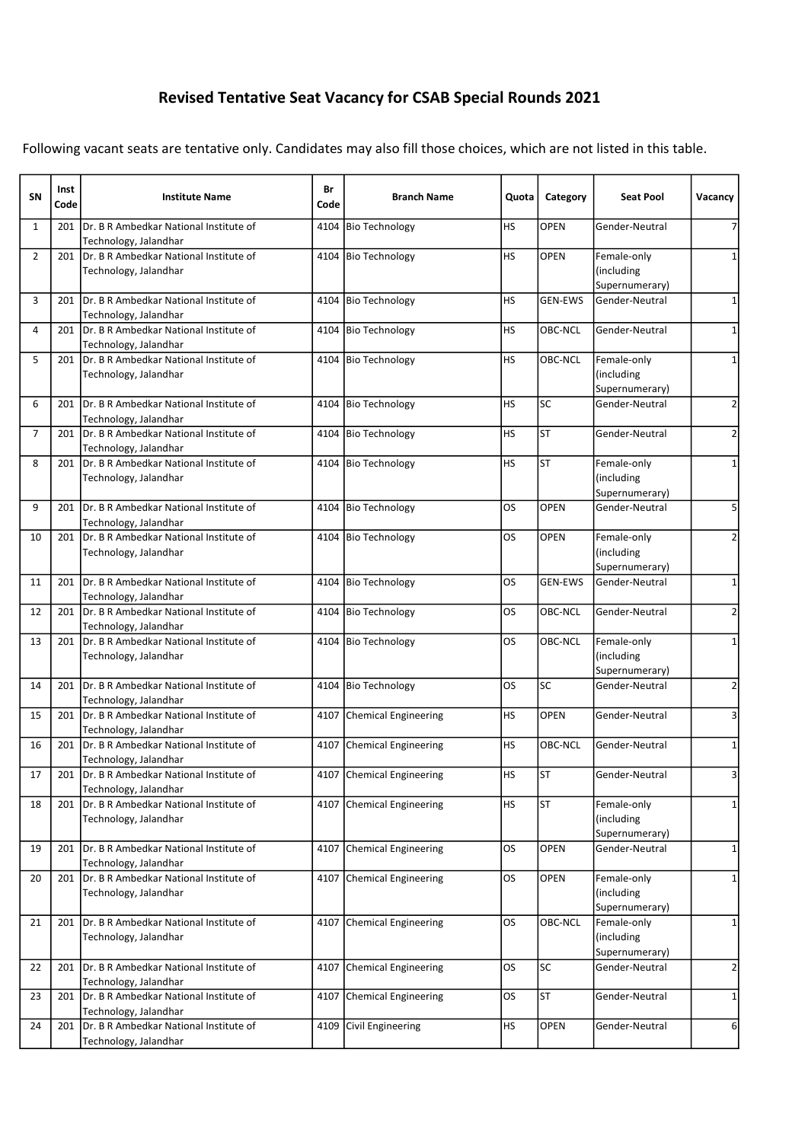## Revised Tentative Seat Vacancy for CSAB Special Rounds 2021

Following vacant seats are tentative only. Candidates may also fill those choices, which are not listed in this table.

| SN             | Inst<br>Code | <b>Institute Name</b>                                                 | Br<br>Code | <b>Branch Name</b>          | Quota     | Category       | <b>Seat Pool</b>                            | Vacancy        |
|----------------|--------------|-----------------------------------------------------------------------|------------|-----------------------------|-----------|----------------|---------------------------------------------|----------------|
| $\mathbf{1}$   | 201          | Dr. B R Ambedkar National Institute of<br>Technology, Jalandhar       |            | 4104 Bio Technology         | HS        | OPEN           | Gender-Neutral                              | 7              |
| $\overline{2}$ | 201          | IDr. B R Ambedkar National Institute of<br>Technology, Jalandhar      |            | 4104 Bio Technology         | HS        | <b>OPEN</b>    | Female-only<br>(including<br>Supernumerary) | $\mathbf{1}$   |
| 3              | 201          | Dr. B R Ambedkar National Institute of<br>Technology, Jalandhar       |            | 4104 Bio Technology         | <b>HS</b> | <b>GEN-EWS</b> | Gender-Neutral                              | 1              |
| 4              | 201          | Dr. B R Ambedkar National Institute of<br>Technology, Jalandhar       |            | 4104 Bio Technology         | HS        | OBC-NCL        | Gender-Neutral                              | 1              |
| 5              | 201          | IDr. B R Ambedkar National Institute of<br>Technology, Jalandhar      |            | 4104 Bio Technology         | <b>HS</b> | OBC-NCL        | Female-only<br>(including<br>Supernumerary) | 1              |
| 6              | 201          | Dr. B R Ambedkar National Institute of<br>Technology, Jalandhar       |            | 4104 Bio Technology         | HS        | SC             | Gender-Neutral                              | $\overline{2}$ |
| 7              | 201          | Dr. B R Ambedkar National Institute of<br>Technology, Jalandhar       |            | 4104 Bio Technology         | HS        | <b>ST</b>      | Gender-Neutral                              | $\overline{2}$ |
| 8              | 201          | IDr. B R Ambedkar National Institute of<br>Technology, Jalandhar      |            | 4104 Bio Technology         | <b>HS</b> | <b>ST</b>      | Female-only<br>(including<br>Supernumerary) | 1              |
| 9              | 201          | Dr. B R Ambedkar National Institute of<br>Technology, Jalandhar       |            | 4104 Bio Technology         | <b>OS</b> | OPEN           | Gender-Neutral                              | 5              |
| 10             | 201          | Dr. B R Ambedkar National Institute of<br>Technology, Jalandhar       |            | 4104 Bio Technology         | <b>OS</b> | <b>OPEN</b>    | Female-only<br>(including<br>Supernumerary) | 2              |
| 11             | 201          | Dr. B R Ambedkar National Institute of<br>Technology, Jalandhar       |            | 4104 Bio Technology         | <b>OS</b> | <b>GEN-EWS</b> | Gender-Neutral                              | $\mathbf{1}$   |
| 12             | 201          | Dr. B R Ambedkar National Institute of<br>Technology, Jalandhar       |            | 4104 Bio Technology         | OS.       | OBC-NCL        | Gender-Neutral                              | 2              |
| 13             | 201          | Dr. B R Ambedkar National Institute of<br>Technology, Jalandhar       |            | 4104 Bio Technology         | <b>OS</b> | OBC-NCL        | Female-only<br>(including<br>Supernumerary) | $\mathbf 1$    |
| 14             | 201          | Dr. B R Ambedkar National Institute of<br>Technology, Jalandhar       |            | 4104 Bio Technology         | <b>OS</b> | SC             | Gender-Neutral                              | $\overline{2}$ |
| 15             |              | 201 Dr. B R Ambedkar National Institute of<br>Technology, Jalandhar   | 4107       | Chemical Engineering        | HS        | <b>OPEN</b>    | Gender-Neutral                              | 3              |
| 16             | 201          | Dr. B R Ambedkar National Institute of<br>Technology, Jalandhar       | 4107       | Chemical Engineering        | <b>HS</b> | OBC-NCL        | Gender-Neutral                              | $\mathbf{1}$   |
| 17             |              | 201   Dr. B R Ambedkar National Institute of<br>Technology, Jalandhar |            | 4107 Chemical Engineering   | <b>HS</b> | <b>ST</b>      | Gender-Neutral                              | 3              |
| 18             | 201          | Dr. B R Ambedkar National Institute of<br>Technology, Jalandhar       |            | 4107 Chemical Engineering   | <b>HS</b> | <b>ST</b>      | Female-only<br>(including<br>Supernumerary) | 1              |
| 19             | 201          | Dr. B R Ambedkar National Institute of<br>Technology, Jalandhar       | 4107       | Chemical Engineering        | OS.       | OPEN           | Gender-Neutral                              | 1              |
| 20             | 201          | Dr. B R Ambedkar National Institute of<br>Technology, Jalandhar       | 4107       | Chemical Engineering        | OS.       | OPEN           | Female-only<br>(including<br>Supernumerary) | 1              |
| 21             | 201          | Dr. B R Ambedkar National Institute of<br>Technology, Jalandhar       | 4107       | Chemical Engineering        | OS.       | OBC-NCL        | Female-only<br>(including<br>Supernumerary) | 1              |
| 22             |              | 201   Dr. B R Ambedkar National Institute of<br>Technology, Jalandhar | 4107       | <b>Chemical Engineering</b> | <b>OS</b> | SC             | Gender-Neutral                              | $\overline{2}$ |
| 23             | 201          | Dr. B R Ambedkar National Institute of<br>Technology, Jalandhar       | 4107       | <b>Chemical Engineering</b> | OS.       | <b>ST</b>      | Gender-Neutral                              | 1              |
| 24             | 201          | Dr. B R Ambedkar National Institute of<br>Technology, Jalandhar       | 4109       | Civil Engineering           | <b>HS</b> | <b>OPEN</b>    | Gender-Neutral                              | 6              |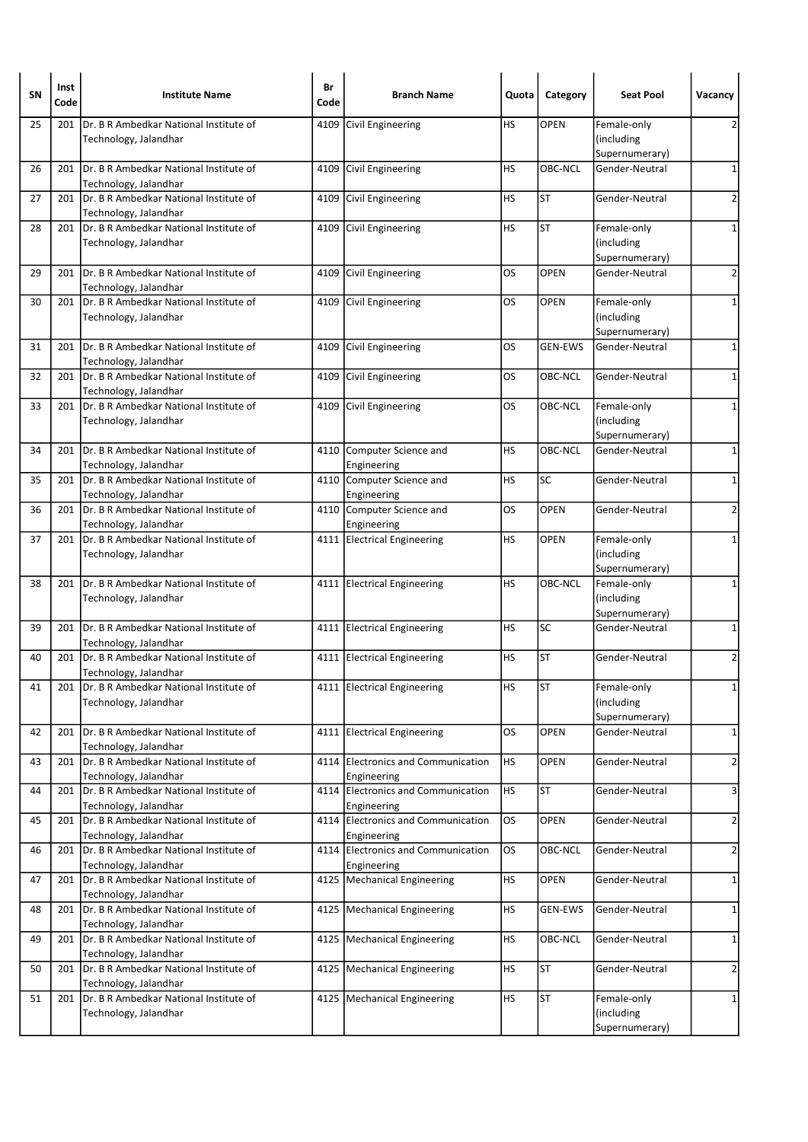| <b>SN</b> | Inst<br>Code | <b>Institute Name</b>                                                 | Br<br>Code | <b>Branch Name</b>                                | Quota     | Category       | <b>Seat Pool</b>                            | Vacancy                 |
|-----------|--------------|-----------------------------------------------------------------------|------------|---------------------------------------------------|-----------|----------------|---------------------------------------------|-------------------------|
| 25        | 201          | Dr. B R Ambedkar National Institute of<br>Technology, Jalandhar       | 4109       | Civil Engineering                                 | НS        | OPEN           | Female-only<br>(including<br>Supernumerary) | 2                       |
| 26        | 201          | Dr. B R Ambedkar National Institute of<br>Technology, Jalandhar       |            | 4109 Civil Engineering                            | HS        | OBC-NCL        | Gender-Neutral                              | $\mathbf 1$             |
| 27        | 201          | Dr. B R Ambedkar National Institute of<br>Technology, Jalandhar       | 4109       | Civil Engineering                                 | HS        | <b>ST</b>      | Gender-Neutral                              | $\overline{2}$          |
| 28        | 201          | Dr. B R Ambedkar National Institute of<br>Technology, Jalandhar       |            | 4109 Civil Engineering                            | <b>HS</b> | <b>ST</b>      | Female-only<br>(including<br>Supernumerary) | 1                       |
| 29        | 201          | Dr. B R Ambedkar National Institute of<br>Technology, Jalandhar       | 4109       | Civil Engineering                                 | OS        | <b>OPEN</b>    | Gender-Neutral                              | $\overline{\mathbf{c}}$ |
| 30        | 201          | Dr. B R Ambedkar National Institute of<br>Technology, Jalandhar       |            | 4109 Civil Engineering                            | OS        | <b>OPEN</b>    | Female-only<br>(including<br>Supernumerary) | 1                       |
| 31        | 201          | Dr. B R Ambedkar National Institute of<br>Technology, Jalandhar       | 4109       | Civil Engineering                                 | OS.       | <b>GEN-EWS</b> | Gender-Neutral                              | $\mathbf 1$             |
| 32        | 201          | IDr. B R Ambedkar National Institute of<br>Technology, Jalandhar      | 4109       | Civil Engineering                                 | OS        | OBC-NCL        | Gender-Neutral                              | $\mathbf 1$             |
| 33        |              | 201 Dr. B R Ambedkar National Institute of<br>Technology, Jalandhar   |            | 4109 Civil Engineering                            | OS        | OBC-NCL        | Female-only<br>(including<br>Supernumerary) | $\mathbf 1$             |
| 34        | 201          | Dr. B R Ambedkar National Institute of<br>Technology, Jalandhar       |            | 4110 Computer Science and<br>Engineering          | HS        | OBC-NCL        | Gender-Neutral                              | 1                       |
| 35        | 201          | Dr. B R Ambedkar National Institute of<br>Technology, Jalandhar       |            | 4110 Computer Science and<br>Engineering          | HS        | <b>SC</b>      | Gender-Neutral                              | $\mathbf 1$             |
| 36        | 201          | Dr. B R Ambedkar National Institute of<br>Technology, Jalandhar       |            | 4110 Computer Science and<br>Engineering          | OS.       | <b>OPEN</b>    | Gender-Neutral                              | $\overline{2}$          |
| 37        | 201          | Dr. B R Ambedkar National Institute of<br>Technology, Jalandhar       |            | 4111 Electrical Engineering                       | HS        | OPEN           | Female-only<br>(including<br>Supernumerary) | 1                       |
| 38        | 201          | Dr. B R Ambedkar National Institute of<br>Technology, Jalandhar       |            | 4111 Electrical Engineering                       | HS        | OBC-NCL        | Female-only<br>(including<br>Supernumerary) | $\mathbf{1}$            |
| 39        | 201          | Dr. B R Ambedkar National Institute of<br>Technology, Jalandhar       |            | 4111 Electrical Engineering                       | HS        | SC             | Gender-Neutral                              | 1                       |
| 40        | 201          | Dr. B R Ambedkar National Institute of<br>Technology, Jalandhar       |            | 4111 Electrical Engineering                       | HS        | ST             | Gender-Neutral                              | 2                       |
| 41        |              | 201   Dr. B R Ambedkar National Institute of<br>Technology, Jalandhar |            | 4111 Electrical Engineering                       | HS        | <b>ST</b>      | Female-only<br>(including<br>Supernumerary) | $\mathbf{1}$            |
| 42        | 201          | Dr. B R Ambedkar National Institute of<br>Technology, Jalandhar       |            | 4111 Electrical Engineering                       | OS        | OPEN           | Gender-Neutral                              | $\mathbf 1$             |
| 43        | 201          | Dr. B R Ambedkar National Institute of<br>Technology, Jalandhar       |            | 4114 Electronics and Communication<br>Engineering | <b>HS</b> | OPEN           | Gender-Neutral                              | $\overline{2}$          |
| 44        | 201          | Dr. B R Ambedkar National Institute of<br>Technology, Jalandhar       |            | 4114 Electronics and Communication<br>Engineering | HS        | <b>ST</b>      | Gender-Neutral                              | 3                       |
| 45        | 201          | Dr. B R Ambedkar National Institute of<br>Technology, Jalandhar       |            | 4114 Electronics and Communication<br>Engineering | <b>OS</b> | <b>OPEN</b>    | Gender-Neutral                              | $\overline{2}$          |
| 46        | 201          | Dr. B R Ambedkar National Institute of<br>Technology, Jalandhar       |            | 4114 Electronics and Communication<br>Engineering | OS.       | OBC-NCL        | Gender-Neutral                              | $\overline{c}$          |
| 47        | 201          | Dr. B R Ambedkar National Institute of<br>Technology, Jalandhar       |            | 4125   Mechanical Engineering                     | HS        | OPEN           | Gender-Neutral                              | $\mathbf{1}$            |
| 48        | 201          | Dr. B R Ambedkar National Institute of<br>Technology, Jalandhar       |            | 4125 Mechanical Engineering                       | HS        | <b>GEN-EWS</b> | Gender-Neutral                              | 1                       |
| 49        | 201          | Dr. B R Ambedkar National Institute of<br>Technology, Jalandhar       | 4125       | Mechanical Engineering                            | HS        | OBC-NCL        | Gender-Neutral                              | 1                       |
| 50        | 201          | Dr. B R Ambedkar National Institute of<br>Technology, Jalandhar       |            | 4125   Mechanical Engineering                     | HS        | <b>ST</b>      | Gender-Neutral                              | 2                       |
| 51        | 201          | Dr. B R Ambedkar National Institute of<br>Technology, Jalandhar       |            | 4125   Mechanical Engineering                     | <b>HS</b> | <b>ST</b>      | Female-only<br>(including<br>Supernumerary) | $\mathbf{1}$            |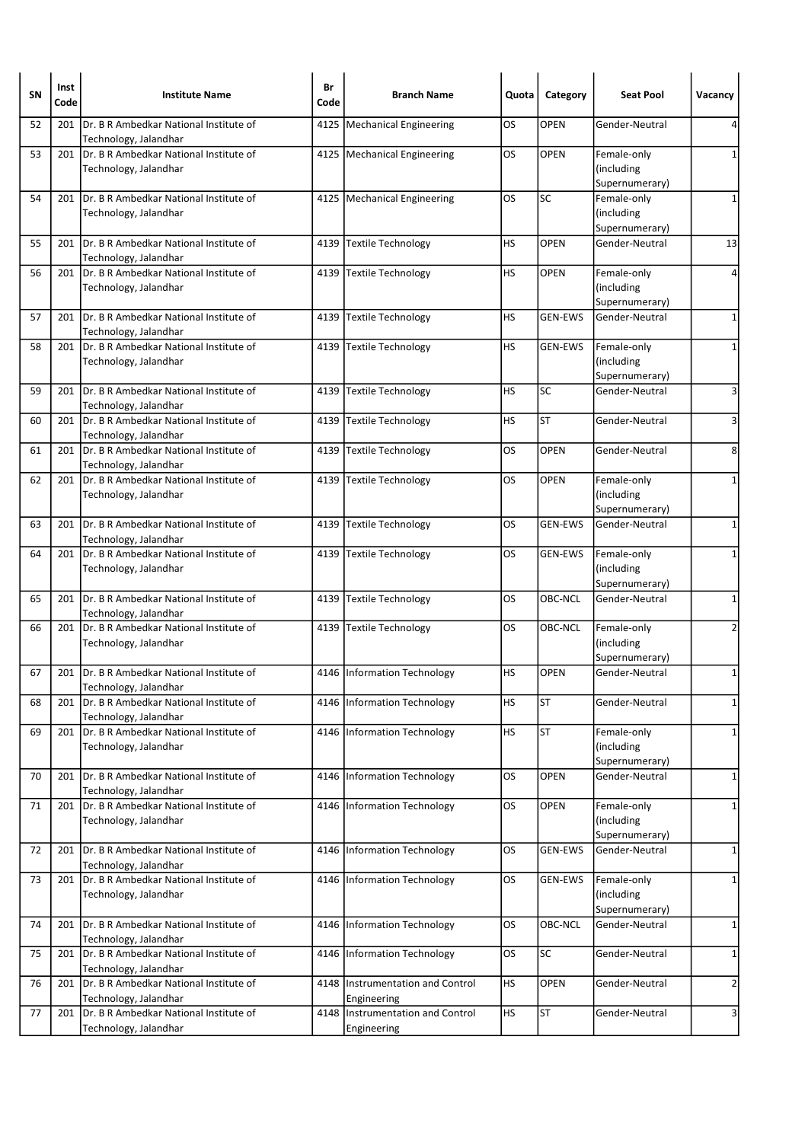| <b>SN</b> | Inst<br>Code | <b>Institute Name</b>                                            | Br<br>Code | <b>Branch Name</b>                               | Quota     | Category       | <b>Seat Pool</b>                            | Vacancy        |
|-----------|--------------|------------------------------------------------------------------|------------|--------------------------------------------------|-----------|----------------|---------------------------------------------|----------------|
| 52        | 201          | Dr. B R Ambedkar National Institute of<br>Technology, Jalandhar  | 4125       | Mechanical Engineering                           | OS        | <b>OPEN</b>    | Gender-Neutral                              | 4              |
| 53        | 201          | Dr. B R Ambedkar National Institute of<br>Technology, Jalandhar  |            | 4125   Mechanical Engineering                    | OS        | <b>OPEN</b>    | Female-only<br>(including<br>Supernumerary) | 1              |
| 54        | 201          | Dr. B R Ambedkar National Institute of<br>Technology, Jalandhar  |            | 4125   Mechanical Engineering                    | OS        | <b>SC</b>      | Female-only<br>(including<br>Supernumerary) | 1              |
| 55        | 201          | IDr. B R Ambedkar National Institute of<br>Technology, Jalandhar |            | 4139 Textile Technology                          | <b>HS</b> | <b>OPEN</b>    | Gender-Neutral                              | 13             |
| 56        | 201          | Dr. B R Ambedkar National Institute of<br>Technology, Jalandhar  | 4139       | Textile Technology                               | НS        | <b>OPEN</b>    | Female-only<br>(including<br>Supernumerary) | 4              |
| 57        | 201          | IDr. B R Ambedkar National Institute of<br>Technology, Jalandhar |            | 4139 Textile Technology                          | HS        | <b>GEN-EWS</b> | Gender-Neutral                              | $\mathbf 1$    |
| 58        | 201          | Dr. B R Ambedkar National Institute of<br>Technology, Jalandhar  |            | 4139 Textile Technology                          | HS        | <b>GEN-EWS</b> | Female-only<br>(including<br>Supernumerary) | $\mathbf{1}$   |
| 59        | 201          | Dr. B R Ambedkar National Institute of<br>Technology, Jalandhar  |            | 4139 Textile Technology                          | <b>HS</b> | SC             | Gender-Neutral                              | 3              |
| 60        | 201          | Dr. B R Ambedkar National Institute of<br>Technology, Jalandhar  | 4139       | Textile Technology                               | HS        | <b>ST</b>      | Gender-Neutral                              | 3              |
| 61        | 201          | Dr. B R Ambedkar National Institute of<br>Technology, Jalandhar  | 4139       | Textile Technology                               | OS        | <b>OPEN</b>    | Gender-Neutral                              | 8              |
| 62        | 201          | Dr. B R Ambedkar National Institute of<br>Technology, Jalandhar  |            | 4139 Textile Technology                          | OS        | <b>OPEN</b>    | Female-only<br>(including<br>Supernumerary) | $\mathbf 1$    |
| 63        | 201          | Dr. B R Ambedkar National Institute of<br>Technology, Jalandhar  | 4139       | Textile Technology                               | OS        | <b>GEN-EWS</b> | Gender-Neutral                              | 1              |
| 64        | 201          | Dr. B R Ambedkar National Institute of<br>Technology, Jalandhar  |            | 4139 Textile Technology                          | OS        | GEN-EWS        | Female-only<br>(including<br>Supernumerary) | 1              |
| 65        | 201          | Dr. B R Ambedkar National Institute of<br>Technology, Jalandhar  | 4139       | <b>Textile Technology</b>                        | OS        | OBC-NCL        | Gender-Neutral                              | 1              |
| 66        | 201          | Dr. B R Ambedkar National Institute of<br>Technology, Jalandhar  |            | 4139 Textile Technology                          | OS        | OBC-NCL        | Female-only<br>(including<br>Supernumerary) | 2              |
| 67        | 201          | Dr. B R Ambedkar National Institute of<br>Technology, Jalandhar  |            | 4146 Information Technology                      | HS        | <b>OPEN</b>    | Gender-Neutral                              | 1              |
| 68        | 201          | Dr. B R Ambedkar National Institute of<br>Technology, Jalandhar  | 4146       | Information Technology                           | HS        | <b>ST</b>      | Gender-Neutral                              | 1              |
| 69        | 201          | Dr. B R Ambedkar National Institute of<br>Technology, Jalandhar  |            | 4146 Information Technology                      | HS        | <b>ST</b>      | Female-only<br>(including<br>Supernumerary) | 1              |
| 70        | 201          | Dr. B R Ambedkar National Institute of<br>Technology, Jalandhar  | 4146       | Information Technology                           | OS        | OPEN           | Gender-Neutral                              | 1              |
| 71        | 201          | Dr. B R Ambedkar National Institute of<br>Technology, Jalandhar  |            | 4146 Information Technology                      | OS        | OPEN           | Female-only<br>(including<br>Supernumerary) | 1              |
| 72        | 201          | IDr. B R Ambedkar National Institute of<br>Technology, Jalandhar | 4146       | Information Technology                           | OS        | <b>GEN-EWS</b> | Gender-Neutral                              | 1              |
| 73        | 201          | Dr. B R Ambedkar National Institute of<br>Technology, Jalandhar  |            | 4146   Information Technology                    | OS        | GEN-EWS        | Female-only<br>(including<br>Supernumerary) | $\mathbf{1}$   |
| 74        | 201          | Dr. B R Ambedkar National Institute of<br>Technology, Jalandhar  | 4146       | Information Technology                           | OS        | OBC-NCL        | Gender-Neutral                              | $\mathbf{1}$   |
| 75        | 201          | Dr. B R Ambedkar National Institute of<br>Technology, Jalandhar  | 4146       | Information Technology                           | <b>OS</b> | SC             | Gender-Neutral                              | 1              |
| 76        | 201          | Dr. B R Ambedkar National Institute of<br>Technology, Jalandhar  |            | 4148  Instrumentation and Control<br>Engineering | <b>HS</b> | OPEN           | Gender-Neutral                              | $\overline{2}$ |
| 77        | 201          | Dr. B R Ambedkar National Institute of<br>Technology, Jalandhar  | 4148       | Instrumentation and Control<br>Engineering       | <b>HS</b> | <b>ST</b>      | Gender-Neutral                              | 3              |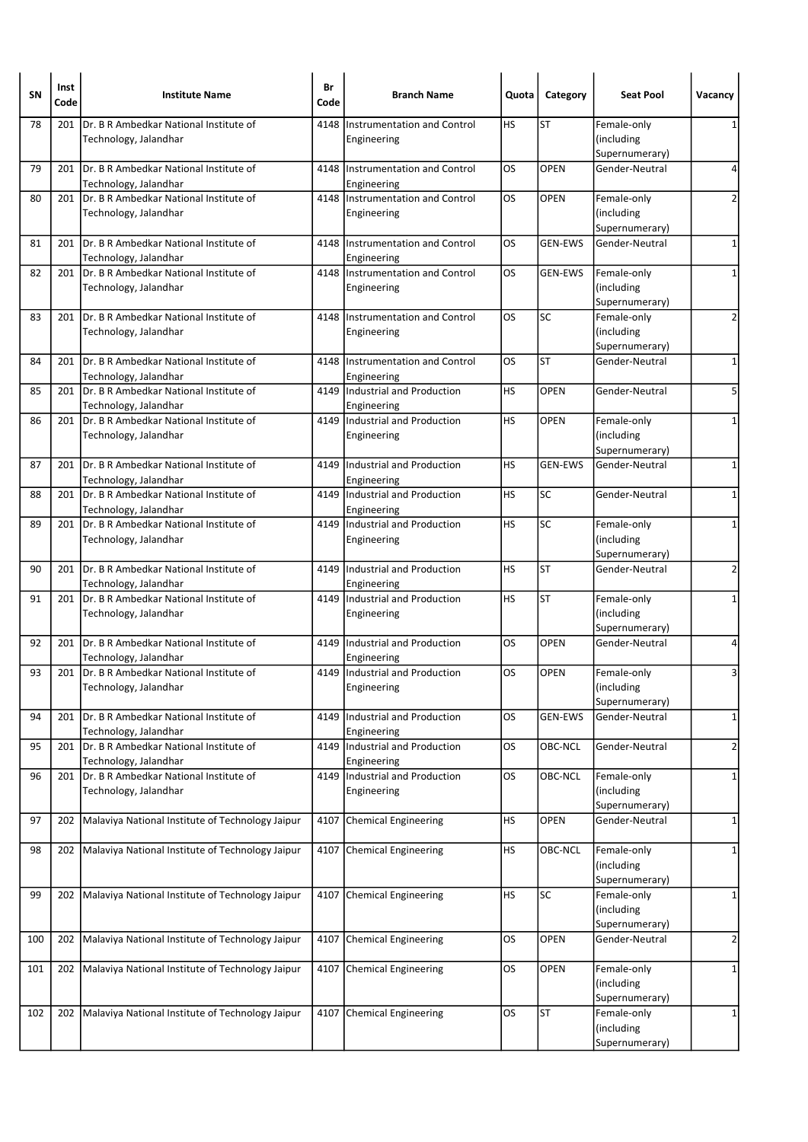| SΝ  | Inst<br>Code | <b>Institute Name</b>                                            | Br<br>Code | <b>Branch Name</b>                              | Quota     | Category       | <b>Seat Pool</b>                            | Vacancy        |
|-----|--------------|------------------------------------------------------------------|------------|-------------------------------------------------|-----------|----------------|---------------------------------------------|----------------|
| 78  | 201          | Dr. B R Ambedkar National Institute of<br>Technology, Jalandhar  | 4148       | Instrumentation and Control<br>Engineering      | HS        | <b>ST</b>      | Female-only<br>(including<br>Supernumerary) | 1              |
| 79  | 201          | IDr. B R Ambedkar National Institute of<br>Technology, Jalandhar |            | 4148 Instrumentation and Control<br>Engineering | OS        | <b>OPEN</b>    | Gender-Neutral                              | 4              |
| 80  | 201          | Dr. B R Ambedkar National Institute of<br>Technology, Jalandhar  | 4148       | Instrumentation and Control<br>Engineering      | OS        | <b>OPEN</b>    | Female-only<br>(including<br>Supernumerary) | $\overline{2}$ |
| 81  | 201          | IDr. B R Ambedkar National Institute of<br>Technology, Jalandhar | 4148       | Instrumentation and Control<br>Engineering      | OS        | <b>GEN-EWS</b> | Gender-Neutral                              | $\mathbf 1$    |
| 82  | 201          | Dr. B R Ambedkar National Institute of<br>Technology, Jalandhar  |            | 4148 Instrumentation and Control<br>Engineering | los       | <b>GEN-EWS</b> | Female-only<br>(including<br>Supernumerary) | $\mathbf{1}$   |
| 83  | 201          | IDr. B R Ambedkar National Institute of<br>Technology, Jalandhar |            | 4148 Instrumentation and Control<br>Engineering | OS        | SC             | Female-only<br>(including<br>Supernumerary) | 2              |
| 84  | 201          | Dr. B R Ambedkar National Institute of<br>Technology, Jalandhar  | 4148       | Instrumentation and Control<br>Engineering      | OS        | <b>ST</b>      | Gender-Neutral                              | 1              |
| 85  | 201          | Dr. B R Ambedkar National Institute of<br>Technology, Jalandhar  | 4149       | Industrial and Production<br>Engineering        | HS        | <b>OPEN</b>    | Gender-Neutral                              | 5              |
| 86  | 201          | Dr. B R Ambedkar National Institute of<br>Technology, Jalandhar  |            | 4149 Industrial and Production<br>Engineering   | HS        | <b>OPEN</b>    | Female-only<br>(including<br>Supernumerary) | $\mathbf{1}$   |
| 87  | 201          | Dr. B R Ambedkar National Institute of<br>Technology, Jalandhar  | 4149       | Industrial and Production<br>Engineering        | HS        | <b>GEN-EWS</b> | Gender-Neutral                              | 1              |
| 88  | 201          | IDr. B R Ambedkar National Institute of<br>Technology, Jalandhar |            | 4149 Industrial and Production<br>Engineering   | HS        | SC             | Gender-Neutral                              | $\mathbf 1$    |
| 89  | 201          | Dr. B R Ambedkar National Institute of<br>Technology, Jalandhar  | 4149       | Industrial and Production<br>Engineering        | <b>HS</b> | SC             | Female-only<br>(including<br>Supernumerary) | 1              |
| 90  | 201          | Dr. B R Ambedkar National Institute of<br>Technology, Jalandhar  | 4149       | Industrial and Production<br>Engineering        | HS        | <b>ST</b>      | Gender-Neutral                              | $\overline{2}$ |
| 91  | 201          | Dr. B R Ambedkar National Institute of<br>Technology, Jalandhar  |            | 4149 Industrial and Production<br>Engineering   | HS        | <b>ST</b>      | Female-only<br>(including<br>Supernumerary) | $\mathbf{1}$   |
| 92  | 201          | Dr. B R Ambedkar National Institute of<br>Technology, Jalandhar  | 4149       | Industrial and Production<br>Engineering        | OS        | <b>OPEN</b>    | Gender-Neutral                              | 4              |
| 93  | 201          | Dr. B R Ambedkar National Institute of<br>Technology, Jalandhar  |            | 4149 Industrial and Production<br>Engineering   | OS        | <b>OPEN</b>    | Female-only<br>(including<br>Supernumerary) | 3              |
| 94  | 201          | Dr. B R Ambedkar National Institute of<br>Technology, Jalandhar  | 4149       | Industrial and Production<br>Engineering        | OS        | <b>GEN-EWS</b> | Gender-Neutral                              | 1              |
| 95  | 201          | Dr. B R Ambedkar National Institute of<br>Technology, Jalandhar  |            | 4149 Industrial and Production<br>Engineering   | OS        | OBC-NCL        | Gender-Neutral                              | $\overline{2}$ |
| 96  | 201          | Dr. B R Ambedkar National Institute of<br>Technology, Jalandhar  | 4149       | Industrial and Production<br>Engineering        | OS        | <b>OBC-NCL</b> | Female-only<br>(including<br>Supernumerary) | 1              |
| 97  | 202          | Malaviya National Institute of Technology Jaipur                 | 4107       | Chemical Engineering                            | HS        | OPEN           | Gender-Neutral                              | $\mathbf 1$    |
| 98  | 202          | Malaviya National Institute of Technology Jaipur                 | 4107       | Chemical Engineering                            | <b>HS</b> | OBC-NCL        | Female-only<br>(including<br>Supernumerary) | 1              |
| 99  | 202          | Malaviya National Institute of Technology Jaipur                 |            | 4107 Chemical Engineering                       | HS        | <b>SC</b>      | Female-only<br>(including<br>Supernumerary) | 1              |
| 100 | 202          | Malaviya National Institute of Technology Jaipur                 | 4107       | Chemical Engineering                            | OS        | <b>OPEN</b>    | Gender-Neutral                              | 2              |
| 101 | 202          | Malaviya National Institute of Technology Jaipur                 |            | 4107 Chemical Engineering                       | <b>OS</b> | <b>OPEN</b>    | Female-only<br>(including<br>Supernumerary) | 1              |
| 102 | 202          | Malaviya National Institute of Technology Jaipur                 |            | 4107 Chemical Engineering                       | OS        | <b>ST</b>      | Female-only<br>(including<br>Supernumerary) | 1              |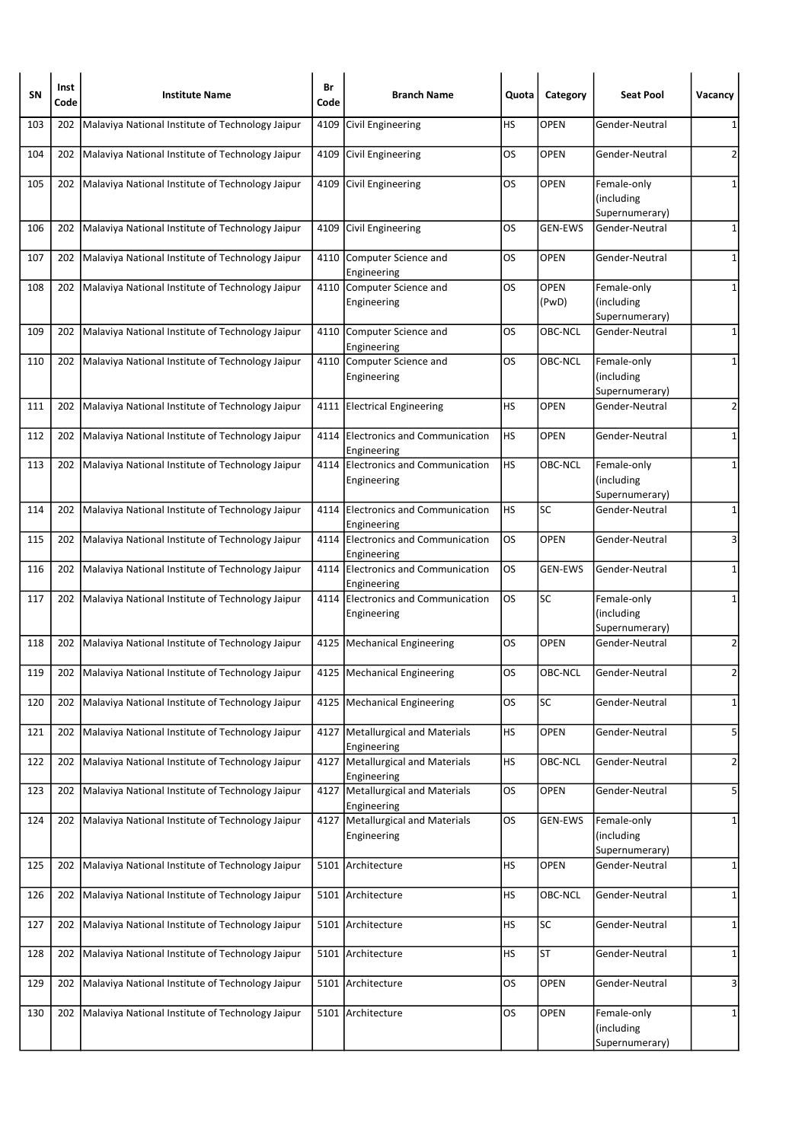| <b>SN</b> | Inst<br>Code | <b>Institute Name</b>                                  | Br<br>Code | <b>Branch Name</b>                                | Quota     | Category             | <b>Seat Pool</b>                            | Vacancy        |
|-----------|--------------|--------------------------------------------------------|------------|---------------------------------------------------|-----------|----------------------|---------------------------------------------|----------------|
| 103       | 202          | Malaviya National Institute of Technology Jaipur       | 4109       | Civil Engineering                                 | HS        | <b>OPEN</b>          | Gender-Neutral                              | 1              |
| 104       | 202          | Malaviya National Institute of Technology Jaipur       | 4109       | Civil Engineering                                 | OS        | <b>OPEN</b>          | Gender-Neutral                              | 2              |
| 105       | 202          | Malaviya National Institute of Technology Jaipur       |            | 4109 Civil Engineering                            | OS        | <b>OPEN</b>          | Female-only<br>(including<br>Supernumerary) | 1              |
| 106       | 202          | Malaviya National Institute of Technology Jaipur       |            | 4109 Civil Engineering                            | OS        | <b>GEN-EWS</b>       | Gender-Neutral                              | 1              |
| 107       | 202          | Malaviya National Institute of Technology Jaipur       | 4110       | Computer Science and<br>Engineering               | OS        | <b>OPEN</b>          | Gender-Neutral                              | 1              |
| 108       | 202          | Malaviya National Institute of Technology Jaipur       |            | 4110 Computer Science and<br>Engineering          | <b>OS</b> | <b>OPEN</b><br>(PwD) | Female-only<br>(including<br>Supernumerary) | 1              |
| 109       |              | 202 Malaviya National Institute of Technology Jaipur   |            | 4110 Computer Science and<br>Engineering          | OS        | OBC-NCL              | Gender-Neutral                              | $\mathbf 1$    |
| 110       | 202          | Malaviya National Institute of Technology Jaipur       | 4110       | Computer Science and<br>Engineering               | OS        | OBC-NCL              | Female-only<br>(including<br>Supernumerary) | 1              |
| 111       | 202          | Malaviya National Institute of Technology Jaipur       |            | 4111 Electrical Engineering                       | HS        | <b>OPEN</b>          | Gender-Neutral                              | 2              |
| 112       | 202          | Malaviya National Institute of Technology Jaipur       |            | 4114 Electronics and Communication<br>Engineering | <b>HS</b> | <b>OPEN</b>          | Gender-Neutral                              | 1              |
| 113       |              | 202 Malaviya National Institute of Technology Jaipur   |            | 4114 Electronics and Communication<br>Engineering | HS        | OBC-NCL              | Female-only<br>(including<br>Supernumerary) | 1              |
| 114       |              | 202 Malaviya National Institute of Technology Jaipur   |            | 4114 Electronics and Communication<br>Engineering | <b>HS</b> | SC                   | Gender-Neutral                              | 1              |
| 115       | 202          | Malaviya National Institute of Technology Jaipur       |            | 4114 Electronics and Communication<br>Engineering | <b>OS</b> | <b>OPEN</b>          | Gender-Neutral                              | 3              |
| 116       | 202          | Malaviya National Institute of Technology Jaipur       |            | 4114 Electronics and Communication<br>Engineering | <b>OS</b> | <b>GEN-EWS</b>       | Gender-Neutral                              | 1              |
| 117       | 202          | Malaviya National Institute of Technology Jaipur       |            | 4114 Electronics and Communication<br>Engineering | los       | SC                   | Female-only<br>(including<br>Supernumerary) | 1              |
| 118       | 202          | Malaviya National Institute of Technology Jaipur       |            | 4125   Mechanical Engineering                     | OS        | <b>OPEN</b>          | Gender-Neutral                              | 2              |
| 119       |              | 202   Malaviya National Institute of Technology Jaipur |            | 4125   Mechanical Engineering                     | OS        | OBC-NCL              | Gender-Neutral                              | 2              |
| 120       | 202          | Malaviya National Institute of Technology Jaipur       | 4125       | <b>Mechanical Engineering</b>                     | OS        | SC                   | Gender-Neutral                              | $\mathbf 1$    |
| 121       | 202          | Malaviya National Institute of Technology Jaipur       | 4127       | Metallurgical and Materials<br>Engineering        | <b>HS</b> | <b>OPEN</b>          | Gender-Neutral                              | 5              |
| 122       | 202          | Malaviya National Institute of Technology Jaipur       |            | 4127 Metallurgical and Materials<br>Engineering   | HS        | OBC-NCL              | Gender-Neutral                              | $\overline{2}$ |
| 123       | 202          | Malaviya National Institute of Technology Jaipur       | 4127       | Metallurgical and Materials<br>Engineering        | OS        | OPEN                 | Gender-Neutral                              | 5              |
| 124       |              | 202 Malaviya National Institute of Technology Jaipur   |            | 4127 Metallurgical and Materials<br>Engineering   | <b>OS</b> | <b>GEN-EWS</b>       | Female-only<br>(including<br>Supernumerary) | $\mathbf 1$    |
| 125       | 202          | Malaviya National Institute of Technology Jaipur       | 5101       | Architecture                                      | <b>HS</b> | OPEN                 | Gender-Neutral                              | 1              |
| 126       | 202          | Malaviya National Institute of Technology Jaipur       |            | 5101 Architecture                                 | НS        | OBC-NCL              | Gender-Neutral                              | 1              |
| 127       | 202          | Malaviya National Institute of Technology Jaipur       | 5101       | Architecture                                      | <b>HS</b> | SC                   | Gender-Neutral                              | $\mathbf{1}$   |
| 128       | 202          | Malaviya National Institute of Technology Jaipur       | 5101       | Architecture                                      | HS        | ST                   | Gender-Neutral                              | 1              |
| 129       | 202          | Malaviya National Institute of Technology Jaipur       | 5101       | Architecture                                      | OS        | OPEN                 | Gender-Neutral                              | 3              |
| 130       | 202          | Malaviya National Institute of Technology Jaipur       | 5101       | Architecture                                      | OS.       | OPEN                 | Female-only<br>(including<br>Supernumerary) | 1              |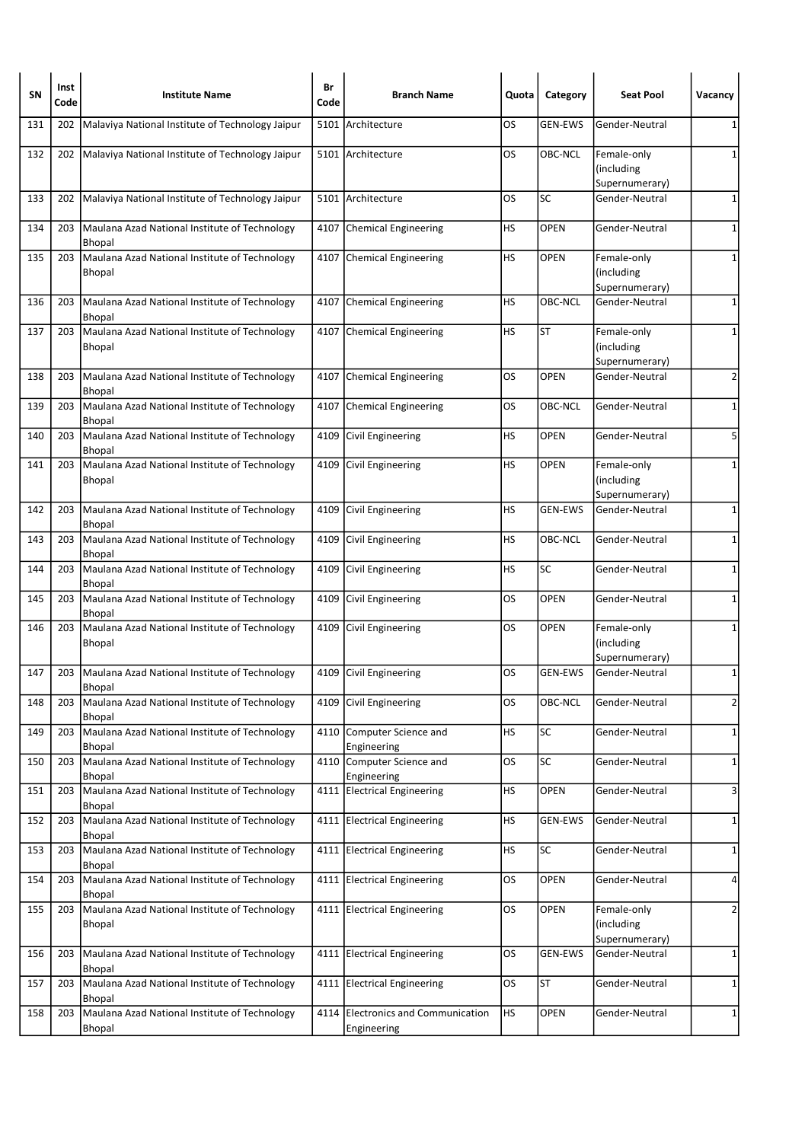| SΝ  | Inst<br>Code | <b>Institute Name</b>                                          | Br<br>Code | <b>Branch Name</b>                                | Quota     | Category       | <b>Seat Pool</b>                            | Vacancy        |
|-----|--------------|----------------------------------------------------------------|------------|---------------------------------------------------|-----------|----------------|---------------------------------------------|----------------|
| 131 | 202          | Malaviya National Institute of Technology Jaipur               | 5101       | Architecture                                      | OS        | <b>GEN-EWS</b> | Gender-Neutral                              | 1              |
| 132 | 202          | Malaviya National Institute of Technology Jaipur               |            | 5101 Architecture                                 | OS        | OBC-NCL        | Female-only<br>(including<br>Supernumerary) | 1              |
| 133 | 202          | Malaviya National Institute of Technology Jaipur               |            | 5101 Architecture                                 | OS        | SC             | Gender-Neutral                              | 1              |
| 134 | 203          | Maulana Azad National Institute of Technology<br><b>Bhopal</b> |            | 4107 Chemical Engineering                         | НS        | <b>OPEN</b>    | Gender-Neutral                              | $\mathbf 1$    |
| 135 | 203          | Maulana Azad National Institute of Technology<br><b>Bhopal</b> |            | 4107 Chemical Engineering                         | <b>HS</b> | <b>OPEN</b>    | Female-only<br>(including<br>Supernumerary) | $\mathbf{1}$   |
| 136 | 203          | Maulana Azad National Institute of Technology<br><b>Bhopal</b> |            | 4107 Chemical Engineering                         | НS        | OBC-NCL        | Gender-Neutral                              | 1              |
| 137 | 203          | Maulana Azad National Institute of Technology<br><b>Bhopal</b> |            | 4107 Chemical Engineering                         | НS        | ST             | Female-only<br>(including<br>Supernumerary) | 1              |
| 138 | 203          | Maulana Azad National Institute of Technology<br><b>Bhopal</b> |            | 4107 Chemical Engineering                         | OS        | <b>OPEN</b>    | Gender-Neutral                              | 2              |
| 139 | 203          | Maulana Azad National Institute of Technology<br><b>Bhopal</b> |            | 4107 Chemical Engineering                         | OS        | OBC-NCL        | Gender-Neutral                              | 1              |
| 140 | 203          | Maulana Azad National Institute of Technology<br><b>Bhopal</b> | 4109       | Civil Engineering                                 | НS        | <b>OPEN</b>    | Gender-Neutral                              | 5              |
| 141 | 203          | Maulana Azad National Institute of Technology<br><b>Bhopal</b> |            | 4109 Civil Engineering                            | HS        | <b>OPEN</b>    | Female-only<br>(including<br>Supernumerary) | 1              |
| 142 | 203          | Maulana Azad National Institute of Technology<br>Bhopal        |            | 4109 Civil Engineering                            | HS        | <b>GEN-EWS</b> | Gender-Neutral                              | 1              |
| 143 | 203          | Maulana Azad National Institute of Technology<br><b>Bhopal</b> |            | 4109 Civil Engineering                            | НS        | OBC-NCL        | Gender-Neutral                              | 1              |
| 144 | 203          | Maulana Azad National Institute of Technology<br><b>Bhopal</b> |            | 4109 Civil Engineering                            | HS        | SC             | Gender-Neutral                              | 1              |
| 145 | 203          | Maulana Azad National Institute of Technology<br><b>Bhopal</b> | 4109       | Civil Engineering                                 | OS        | OPEN           | Gender-Neutral                              | 1              |
| 146 | 203          | Maulana Azad National Institute of Technology<br><b>Bhopal</b> |            | 4109 Civil Engineering                            | OS        | <b>OPEN</b>    | Female-only<br>(including<br>Supernumerary) | 1              |
| 147 | 203          | Maulana Azad National Institute of Technology<br>Bhopal        |            | 4109 Civil Engineering                            | OS        | <b>GEN-EWS</b> | Gender-Neutral                              | 1              |
| 148 | 203          | Maulana Azad National Institute of Technology<br><b>Bhopal</b> | 4109       | Civil Engineering                                 | OS        | OBC-NCL        | Gender-Neutral                              | $\overline{2}$ |
| 149 | 203          | Maulana Azad National Institute of Technology<br><b>Bhopal</b> |            | 4110 Computer Science and<br>Engineering          | <b>HS</b> | SC             | Gender-Neutral                              | $\mathbf 1$    |
| 150 | 203          | Maulana Azad National Institute of Technology<br><b>Bhopal</b> | 4110       | Computer Science and<br>Engineering               | OS        | SC             | Gender-Neutral                              | 1              |
| 151 | 203          | Maulana Azad National Institute of Technology<br><b>Bhopal</b> | 4111       | <b>Electrical Engineering</b>                     | HS        | <b>OPEN</b>    | Gender-Neutral                              | 3              |
| 152 | 203          | Maulana Azad National Institute of Technology<br><b>Bhopal</b> | 4111       | <b>Electrical Engineering</b>                     | HS        | <b>GEN-EWS</b> | Gender-Neutral                              | 1              |
| 153 | 203          | Maulana Azad National Institute of Technology<br><b>Bhopal</b> | 4111       | <b>Electrical Engineering</b>                     | НS        | SC             | Gender-Neutral                              | $\mathbf 1$    |
| 154 | 203          | Maulana Azad National Institute of Technology<br><b>Bhopal</b> |            | 4111 Electrical Engineering                       | OS        | <b>OPEN</b>    | Gender-Neutral                              | 4              |
| 155 | 203          | Maulana Azad National Institute of Technology<br>Bhopal        |            | 4111 Electrical Engineering                       | OS        | <b>OPEN</b>    | Female-only<br>(including<br>Supernumerary) | $\overline{2}$ |
| 156 | 203          | Maulana Azad National Institute of Technology<br><b>Bhopal</b> | 4111       | <b>Electrical Engineering</b>                     | OS        | <b>GEN-EWS</b> | Gender-Neutral                              | 1              |
| 157 | 203          | Maulana Azad National Institute of Technology<br><b>Bhopal</b> |            | 4111 Electrical Engineering                       | OS        | ST             | Gender-Neutral                              | 1              |
| 158 | 203          | Maulana Azad National Institute of Technology<br>Bhopal        |            | 4114 Electronics and Communication<br>Engineering | HS        | OPEN           | Gender-Neutral                              | 1              |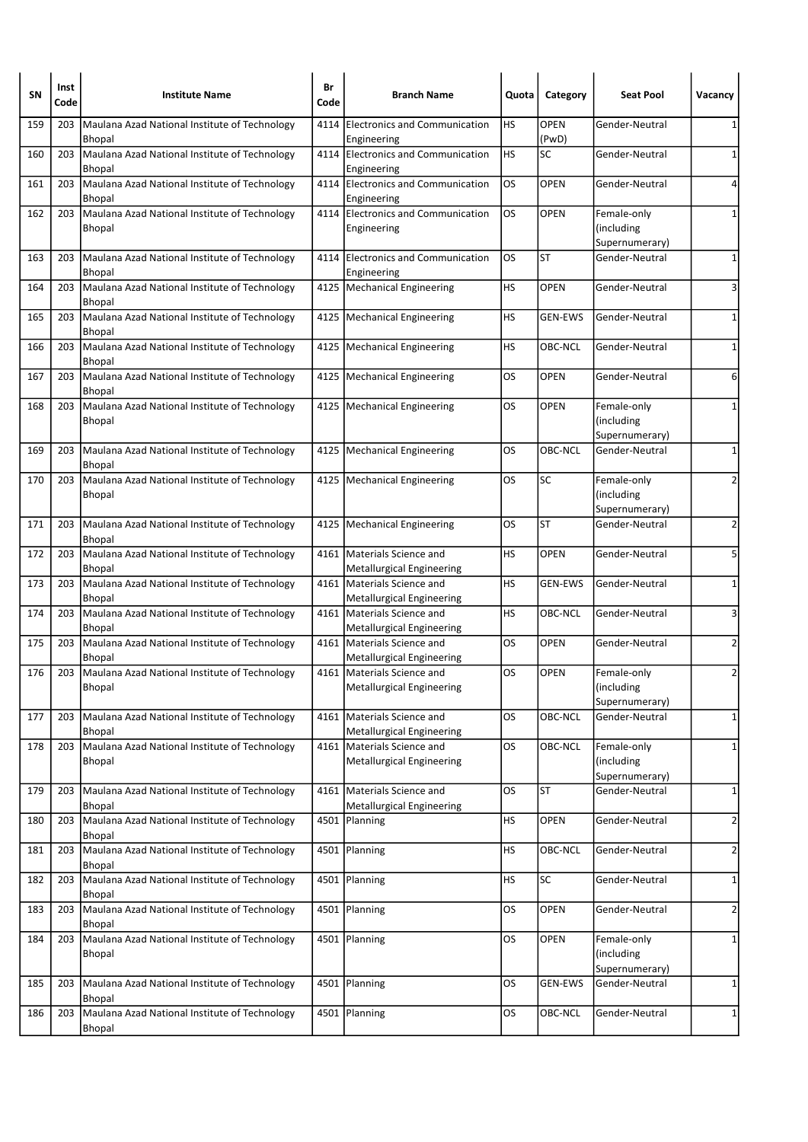| SΝ  | Inst<br>Code | <b>Institute Name</b>                                              | Br<br>Code | <b>Branch Name</b>                                             | Quota     | Category             | <b>Seat Pool</b>                            | Vacancy        |
|-----|--------------|--------------------------------------------------------------------|------------|----------------------------------------------------------------|-----------|----------------------|---------------------------------------------|----------------|
| 159 | 203          | Maulana Azad National Institute of Technology<br><b>Bhopal</b>     | 4114       | <b>Electronics and Communication</b><br>Engineering            | HS        | <b>OPEN</b><br>(PwD) | Gender-Neutral                              | 1              |
| 160 | 203          | Maulana Azad National Institute of Technology<br><b>Bhopal</b>     |            | 4114 Electronics and Communication<br>Engineering              | <b>HS</b> | SC                   | Gender-Neutral                              | 1              |
| 161 | 203          | Maulana Azad National Institute of Technology<br><b>Bhopal</b>     |            | 4114 Electronics and Communication<br>Engineering              | OS        | <b>OPEN</b>          | Gender-Neutral                              | 4              |
| 162 | 203          | Maulana Azad National Institute of Technology<br><b>Bhopal</b>     |            | 4114 Electronics and Communication<br>Engineering              | <b>OS</b> | <b>OPEN</b>          | Female-only<br>(including<br>Supernumerary) | 1              |
| 163 | 203          | Maulana Azad National Institute of Technology<br><b>Bhopal</b>     |            | 4114 Electronics and Communication<br>Engineering              | OS        | <b>ST</b>            | Gender-Neutral                              | 1              |
| 164 | 203          | Maulana Azad National Institute of Technology<br><b>Bhopal</b>     |            | 4125   Mechanical Engineering                                  | HS        | <b>OPEN</b>          | Gender-Neutral                              | 3              |
| 165 | 203          | Maulana Azad National Institute of Technology<br><b>Bhopal</b>     |            | 4125   Mechanical Engineering                                  | HS        | <b>GEN-EWS</b>       | Gender-Neutral                              | 1              |
| 166 | 203          | Maulana Azad National Institute of Technology<br><b>Bhopal</b>     |            | 4125   Mechanical Engineering                                  | НS        | OBC-NCL              | Gender-Neutral                              | 1              |
| 167 | 203          | Maulana Azad National Institute of Technology<br><b>Bhopal</b>     | 4125       | Mechanical Engineering                                         | OS        | <b>OPEN</b>          | Gender-Neutral                              | 6              |
| 168 | 203          | Maulana Azad National Institute of Technology<br><b>Bhopal</b>     |            | 4125   Mechanical Engineering                                  | OS        | <b>OPEN</b>          | Female-only<br>(including<br>Supernumerary) | 1              |
| 169 | 203          | Maulana Azad National Institute of Technology<br><b>Bhopal</b>     | 4125       | Mechanical Engineering                                         | OS        | OBC-NCL              | Gender-Neutral                              | 1              |
| 170 | 203          | Maulana Azad National Institute of Technology<br><b>Bhopal</b>     |            | 4125   Mechanical Engineering                                  | OS        | SC                   | Female-only<br>(including<br>Supernumerary) | 2              |
| 171 | 203          | Maulana Azad National Institute of Technology<br><b>Bhopal</b>     |            | 4125   Mechanical Engineering                                  | <b>OS</b> | ST                   | Gender-Neutral                              | 2              |
| 172 | 203          | Maulana Azad National Institute of Technology<br><b>Bhopal</b>     |            | 4161 Materials Science and<br><b>Metallurgical Engineering</b> | НS        | <b>OPEN</b>          | Gender-Neutral                              | 5              |
| 173 | 203          | Maulana Azad National Institute of Technology<br><b>Bhopal</b>     |            | 4161 Materials Science and<br><b>Metallurgical Engineering</b> | НS        | <b>GEN-EWS</b>       | Gender-Neutral                              | 1              |
| 174 | 203          | Maulana Azad National Institute of Technology<br><b>Bhopal</b>     | 4161       | Materials Science and<br><b>Metallurgical Engineering</b>      | HS        | OBC-NCL              | Gender-Neutral                              | 3              |
| 175 | 203          | Maulana Azad National Institute of Technology<br><b>Bhopal</b>     |            | 4161 Materials Science and<br><b>Metallurgical Engineering</b> | <b>OS</b> | <b>OPEN</b>          | Gender-Neutral                              | $\overline{2}$ |
| 176 | 203          | Maulana Azad National Institute of Technology<br><b>Bhopal</b>     |            | 4161 Materials Science and<br><b>Metallurgical Engineering</b> | OS        | <b>OPEN</b>          | Female-only<br>(including<br>Supernumerary) | 2              |
| 177 | 203          | Maulana Azad National Institute of Technology<br>Bhopal            | 4161       | Materials Science and<br><b>Metallurgical Engineering</b>      | OS        | OBC-NCL              | Gender-Neutral                              | $\mathbf{1}$   |
| 178 |              | 203 Maulana Azad National Institute of Technology<br>Bhopal        |            | 4161 Materials Science and<br><b>Metallurgical Engineering</b> | OS        | <b>OBC-NCL</b>       | Female-only<br>(including<br>Supernumerary) | 1              |
| 179 | 203          | Maulana Azad National Institute of Technology<br><b>Bhopal</b>     | 4161       | Materials Science and<br><b>Metallurgical Engineering</b>      | OS        | ST                   | Gender-Neutral                              | 1              |
| 180 | 203          | Maulana Azad National Institute of Technology<br><b>Bhopal</b>     |            | 4501 Planning                                                  | HS        | OPEN                 | Gender-Neutral                              | $\overline{2}$ |
| 181 | 203          | Maulana Azad National Institute of Technology<br><b>Bhopal</b>     | 4501       | Planning                                                       | <b>HS</b> | OBC-NCL              | Gender-Neutral                              | $\overline{2}$ |
| 182 | 203          | Maulana Azad National Institute of Technology<br>Bhopal            |            | 4501 Planning                                                  | HS        | SC                   | Gender-Neutral                              | 1              |
| 183 |              | 203 Maulana Azad National Institute of Technology<br><b>Bhopal</b> |            | 4501 Planning                                                  | OS        | OPEN                 | Gender-Neutral                              | $\overline{2}$ |
| 184 | 203          | Maulana Azad National Institute of Technology<br>Bhopal            |            | 4501 Planning                                                  | OS        | <b>OPEN</b>          | Female-only<br>(including<br>Supernumerary) | 1              |
| 185 | 203          | Maulana Azad National Institute of Technology<br><b>Bhopal</b>     | 4501       | Planning                                                       | OS        | <b>GEN-EWS</b>       | Gender-Neutral                              | 1              |
| 186 | 203          | Maulana Azad National Institute of Technology<br>Bhopal            | 4501       | Planning                                                       | OS.       | OBC-NCL              | Gender-Neutral                              | $\mathbf{1}$   |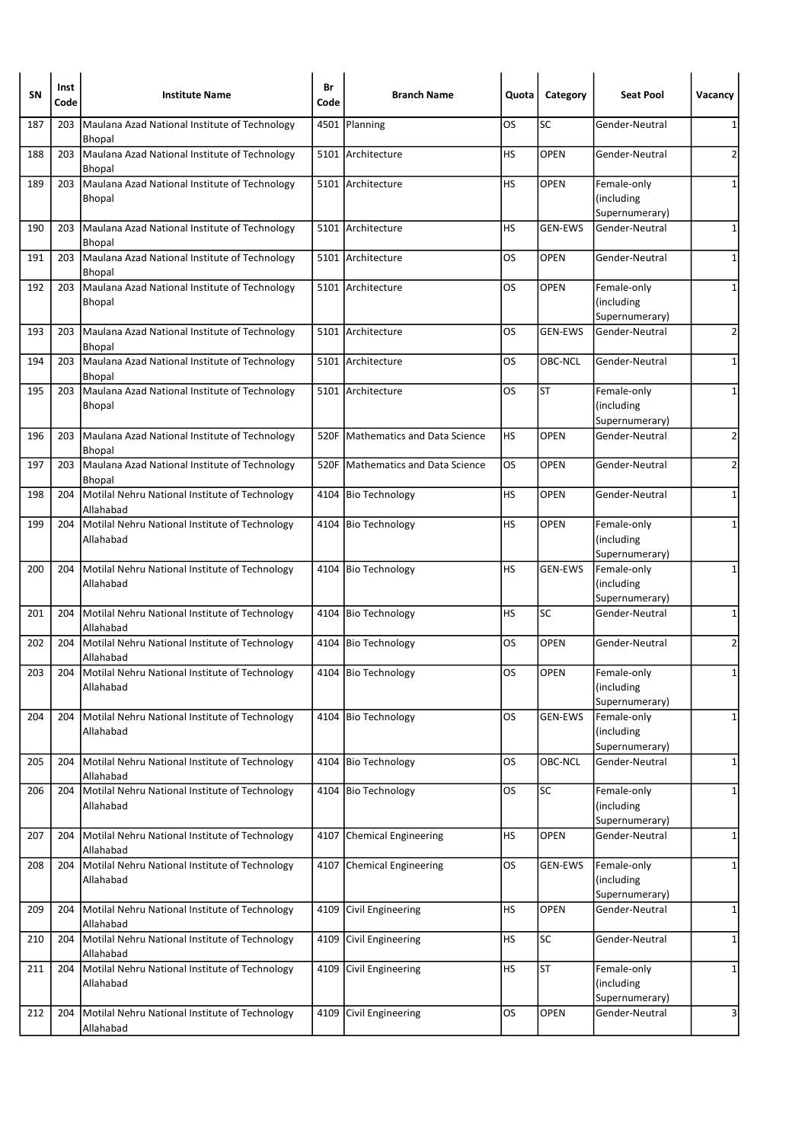| SΝ  | Inst<br>Code | <b>Institute Name</b>                                                | Br<br>Code | <b>Branch Name</b>                  | Quota     | Category       | <b>Seat Pool</b>                            | Vacancy        |
|-----|--------------|----------------------------------------------------------------------|------------|-------------------------------------|-----------|----------------|---------------------------------------------|----------------|
| 187 | 203          | Maulana Azad National Institute of Technology<br><b>Bhopal</b>       | 4501       | Planning                            | OS        | SC             | Gender-Neutral                              | 1              |
| 188 | 203          | Maulana Azad National Institute of Technology<br><b>Bhopal</b>       |            | 5101 Architecture                   | HS        | <b>OPEN</b>    | Gender-Neutral                              | 2              |
| 189 | 203          | Maulana Azad National Institute of Technology<br><b>Bhopal</b>       |            | 5101 Architecture                   | HS        | <b>OPEN</b>    | Female-only<br>(including<br>Supernumerary) | 1              |
| 190 | 203          | Maulana Azad National Institute of Technology<br><b>Bhopal</b>       |            | 5101 Architecture                   | HS        | <b>GEN-EWS</b> | Gender-Neutral                              | 1              |
| 191 | 203          | Maulana Azad National Institute of Technology<br><b>Bhopal</b>       | 5101       | Architecture                        | OS.       | <b>OPEN</b>    | Gender-Neutral                              | $\mathbf{1}$   |
| 192 | 203          | Maulana Azad National Institute of Technology<br>Bhopal              |            | 5101 Architecture                   | OS        | <b>OPEN</b>    | Female-only<br>(including<br>Supernumerary) | 1              |
| 193 |              | 203   Maulana Azad National Institute of Technology<br><b>Bhopal</b> |            | 5101 Architecture                   | OS        | <b>GEN-EWS</b> | Gender-Neutral                              | $\overline{2}$ |
| 194 | 203          | Maulana Azad National Institute of Technology<br><b>Bhopal</b>       |            | 5101 Architecture                   | OS        | OBC-NCL        | Gender-Neutral                              | 1              |
| 195 | 203          | Maulana Azad National Institute of Technology<br><b>Bhopal</b>       |            | 5101 Architecture                   | OS        | <b>ST</b>      | Female-only<br>(including<br>Supernumerary) | 1              |
| 196 | 203          | Maulana Azad National Institute of Technology<br>Bhopal              | 520F       | <b>Mathematics and Data Science</b> | НS        | <b>OPEN</b>    | Gender-Neutral                              | 2              |
| 197 |              | 203 Maulana Azad National Institute of Technology<br><b>Bhopal</b>   | 520F       | <b>Mathematics and Data Science</b> | OS        | <b>OPEN</b>    | Gender-Neutral                              | 2              |
| 198 | 204          | Motilal Nehru National Institute of Technology<br>Allahabad          |            | 4104 Bio Technology                 | HS.       | <b>OPEN</b>    | Gender-Neutral                              | 1              |
| 199 | 204          | Motilal Nehru National Institute of Technology<br>Allahabad          |            | 4104 Bio Technology                 | HS        | <b>OPEN</b>    | Female-only<br>(including<br>Supernumerary) | 1              |
| 200 |              | 204   Motilal Nehru National Institute of Technology<br>Allahabad    |            | 4104 Bio Technology                 | <b>HS</b> | <b>GEN-EWS</b> | Female-only<br>(including<br>Supernumerary) | $\mathbf{1}$   |
| 201 |              | 204   Motilal Nehru National Institute of Technology<br>Allahabad    |            | 4104 Bio Technology                 | HS        | SC             | Gender-Neutral                              | 1              |
| 202 |              | 204   Motilal Nehru National Institute of Technology<br>Allahabad    |            | 4104 Bio Technology                 | <b>OS</b> | <b>OPEN</b>    | Gender-Neutral                              | $\overline{2}$ |
| 203 |              | 204   Motilal Nehru National Institute of Technology<br>Allahabad    |            | 4104 Bio Technology                 | <b>OS</b> | <b>OPEN</b>    | Female-only<br>(including<br>Supernumerary) | 1              |
| 204 | 204          | Motilal Nehru National Institute of Technology<br>Allahabad          |            | 4104 Bio Technology                 | <b>OS</b> | <b>GEN-EWS</b> | Female-only<br>(including<br>Supernumerary) | $\mathbf{1}$   |
| 205 | 204          | Motilal Nehru National Institute of Technology<br>Allahabad          | 4104       | Bio Technology                      | <b>OS</b> | OBC-NCL        | Gender-Neutral                              | 1              |
| 206 | 204          | Motilal Nehru National Institute of Technology<br>Allahabad          |            | 4104 Bio Technology                 | OS        | SC             | Female-only<br>(including<br>Supernumerary) | 1              |
| 207 |              | 204   Motilal Nehru National Institute of Technology<br>Allahabad    | 4107       | Chemical Engineering                | HS        | <b>OPEN</b>    | Gender-Neutral                              | 1              |
| 208 |              | 204   Motilal Nehru National Institute of Technology<br>Allahabad    | 4107       | <b>Chemical Engineering</b>         | OS        | <b>GEN-EWS</b> | Female-only<br>(including<br>Supernumerary) | 1              |
| 209 |              | 204   Motilal Nehru National Institute of Technology<br>Allahabad    | 4109       | Civil Engineering                   | HS.       | <b>OPEN</b>    | Gender-Neutral                              | 1              |
| 210 | 204          | Motilal Nehru National Institute of Technology<br>Allahabad          | 4109       | Civil Engineering                   | HS.       | SC             | Gender-Neutral                              | 1              |
| 211 | 204          | Motilal Nehru National Institute of Technology<br>Allahabad          |            | 4109 Civil Engineering              | HS        | ST             | Female-only<br>(including<br>Supernumerary) | 1              |
| 212 | 204          | Motilal Nehru National Institute of Technology<br>Allahabad          | 4109       | Civil Engineering                   | OS.       | <b>OPEN</b>    | Gender-Neutral                              | 3              |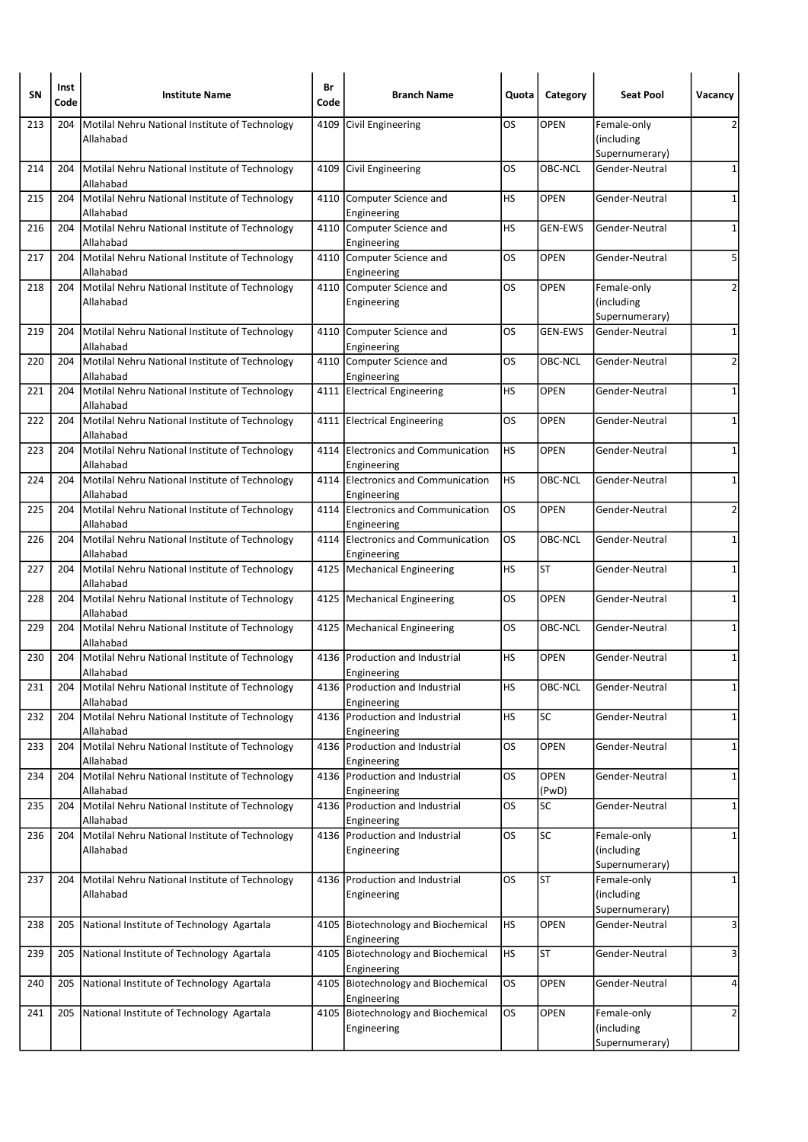| SΝ  | Inst<br>Code | <b>Institute Name</b>                                             | Br<br>Code | <b>Branch Name</b>                                | Quota     | Category             | <b>Seat Pool</b>                            | Vacancy        |
|-----|--------------|-------------------------------------------------------------------|------------|---------------------------------------------------|-----------|----------------------|---------------------------------------------|----------------|
| 213 | 204          | Motilal Nehru National Institute of Technology<br>Allahabad       |            | 4109 Civil Engineering                            | <b>OS</b> | <b>OPEN</b>          | Female-only<br>(including<br>Supernumerary) | 2              |
| 214 |              | 204   Motilal Nehru National Institute of Technology<br>Allahabad |            | 4109 Civil Engineering                            | OS        | <b>OBC-NCL</b>       | Gender-Neutral                              | $\mathbf{1}$   |
| 215 | 204          | Motilal Nehru National Institute of Technology<br>Allahabad       | 4110       | Computer Science and<br>Engineering               | HS        | <b>OPEN</b>          | Gender-Neutral                              | 1              |
| 216 | 204          | Motilal Nehru National Institute of Technology<br>Allahabad       |            | 4110 Computer Science and<br>Engineering          | HS        | <b>GEN-EWS</b>       | Gender-Neutral                              | 1              |
| 217 |              | 204 Motilal Nehru National Institute of Technology<br>Allahabad   |            | 4110 Computer Science and<br>Engineering          | OS        | <b>OPEN</b>          | Gender-Neutral                              | 5              |
| 218 |              | 204   Motilal Nehru National Institute of Technology<br>Allahabad |            | 4110 Computer Science and<br>Engineering          | <b>OS</b> | <b>OPEN</b>          | Female-only<br>(including<br>Supernumerary) | 2              |
| 219 |              | 204   Motilal Nehru National Institute of Technology<br>Allahabad |            | 4110 Computer Science and<br>Engineering          | OS        | <b>GEN-EWS</b>       | Gender-Neutral                              | $\mathbf 1$    |
| 220 | 204          | Motilal Nehru National Institute of Technology<br>Allahabad       |            | 4110 Computer Science and<br>Engineering          | OS        | OBC-NCL              | Gender-Neutral                              | 2              |
| 221 | 204          | Motilal Nehru National Institute of Technology<br>Allahabad       |            | 4111 Electrical Engineering                       | НS        | <b>OPEN</b>          | Gender-Neutral                              | 1              |
| 222 | 204          | Motilal Nehru National Institute of Technology<br>Allahabad       |            | 4111 Electrical Engineering                       | OS        | <b>OPEN</b>          | Gender-Neutral                              | 1              |
| 223 | 204          | Motilal Nehru National Institute of Technology<br>Allahabad       |            | 4114 Electronics and Communication<br>Engineering | <b>HS</b> | <b>OPEN</b>          | Gender-Neutral                              | 1              |
| 224 |              | 204   Motilal Nehru National Institute of Technology<br>Allahabad |            | 4114 Electronics and Communication<br>Engineering | <b>HS</b> | OBC-NCL              | Gender-Neutral                              | 1              |
| 225 |              | 204   Motilal Nehru National Institute of Technology<br>Allahabad |            | 4114 Electronics and Communication<br>Engineering | <b>OS</b> | <b>OPEN</b>          | Gender-Neutral                              | $\overline{2}$ |
| 226 | 204          | Motilal Nehru National Institute of Technology<br>Allahabad       |            | 4114 Electronics and Communication<br>Engineering | OS.       | OBC-NCL              | Gender-Neutral                              | 1              |
| 227 |              | 204 Motilal Nehru National Institute of Technology<br>Allahabad   |            | 4125   Mechanical Engineering                     | HS        | <b>ST</b>            | Gender-Neutral                              | 1              |
| 228 |              | 204 Motilal Nehru National Institute of Technology<br>Allahabad   |            | 4125   Mechanical Engineering                     | <b>OS</b> | <b>OPEN</b>          | Gender-Neutral                              | $\mathbf{1}$   |
| 229 |              | 204   Motilal Nehru National Institute of Technology<br>Allahabad |            | 4125   Mechanical Engineering                     | OS        | OBC-NCL              | Gender-Neutral                              | 1              |
| 230 | 204          | Motilal Nehru National Institute of Technology<br>Allahabad       |            | 4136 Production and Industrial<br>Engineering     | HS        | <b>OPEN</b>          | Gender-Neutral                              | $\mathbf 1$    |
| 231 |              | 204   Motilal Nehru National Institute of Technology<br>Allahabad |            | 4136 Production and Industrial<br>Engineering     | HS        | OBC-NCL              | Gender-Neutral                              | $1\vert$       |
| 232 | 204          | Motilal Nehru National Institute of Technology<br>Allahabad       |            | 4136 Production and Industrial<br>Engineering     | НS        | SC                   | Gender-Neutral                              | 1              |
| 233 | 204          | Motilal Nehru National Institute of Technology<br>Allahabad       |            | 4136 Production and Industrial<br>Engineering     | OS        | <b>OPEN</b>          | Gender-Neutral                              | $\mathbf{1}$   |
| 234 | 204          | Motilal Nehru National Institute of Technology<br>Allahabad       |            | 4136 Production and Industrial<br>Engineering     | <b>OS</b> | <b>OPEN</b><br>(PwD) | Gender-Neutral                              | 1              |
| 235 | 204          | Motilal Nehru National Institute of Technology<br>Allahabad       |            | 4136 Production and Industrial<br>Engineering     | OS.       | SC                   | Gender-Neutral                              | $\mathbf{1}$   |
| 236 | 204          | Motilal Nehru National Institute of Technology<br>Allahabad       |            | 4136 Production and Industrial<br>Engineering     | <b>OS</b> | SC                   | Female-only<br>(including<br>Supernumerary) | 1              |
| 237 |              | 204   Motilal Nehru National Institute of Technology<br>Allahabad |            | 4136 Production and Industrial<br>Engineering     | OS        | ST                   | Female-only<br>(including<br>Supernumerary) | 1              |
| 238 | 205          | National Institute of Technology Agartala                         |            | 4105 Biotechnology and Biochemical<br>Engineering | <b>HS</b> | <b>OPEN</b>          | Gender-Neutral                              | 3              |
| 239 | 205          | National Institute of Technology Agartala                         |            | 4105 Biotechnology and Biochemical<br>Engineering | <b>HS</b> | ST                   | Gender-Neutral                              | 3              |
| 240 | 205          | National Institute of Technology Agartala                         |            | 4105 Biotechnology and Biochemical<br>Engineering | <b>OS</b> | <b>OPEN</b>          | Gender-Neutral                              | 4              |
| 241 |              | 205 National Institute of Technology Agartala                     |            | 4105 Biotechnology and Biochemical<br>Engineering | OS.       | OPEN                 | Female-only<br>(including<br>Supernumerary) | $\overline{2}$ |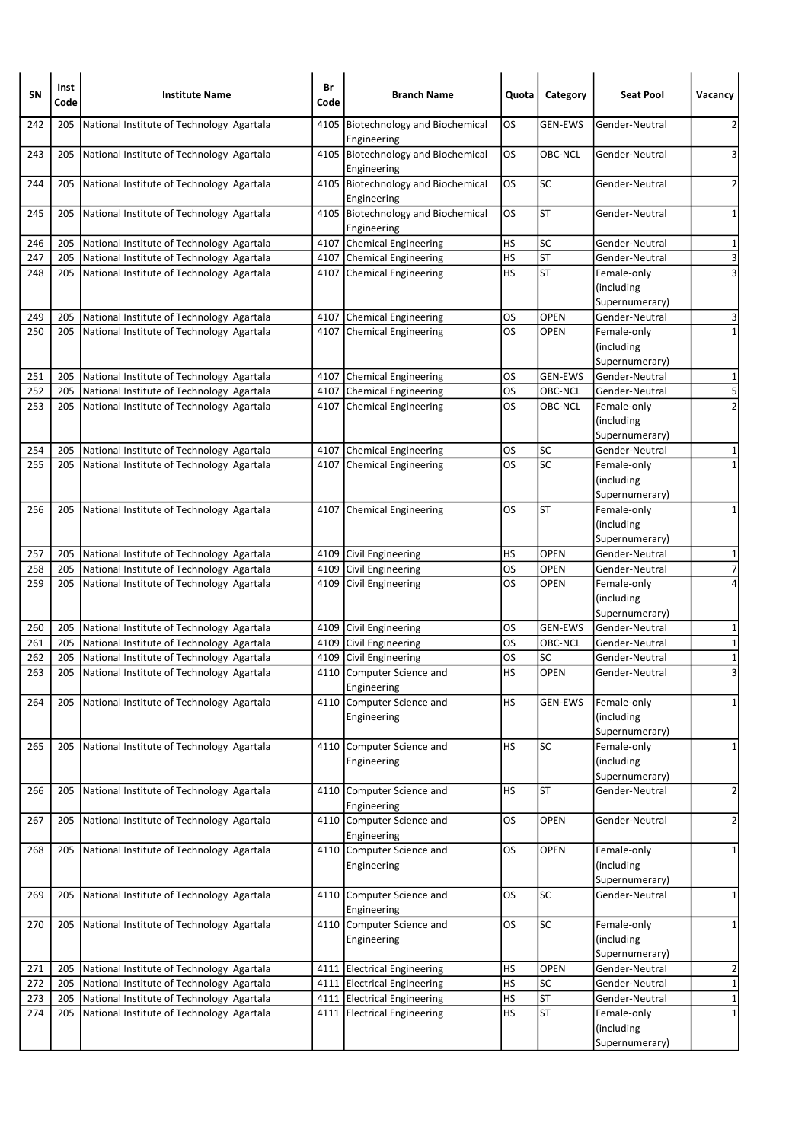| SN  | Inst<br>Code | <b>Institute Name</b>                     | Br<br>Code | <b>Branch Name</b>                                  | Quota     | Category       | <b>Seat Pool</b>                             | Vacancy                 |
|-----|--------------|-------------------------------------------|------------|-----------------------------------------------------|-----------|----------------|----------------------------------------------|-------------------------|
| 242 | 205          | National Institute of Technology Agartala | 4105       | <b>Biotechnology and Biochemical</b><br>Engineering | OS        | <b>GEN-EWS</b> | Gender-Neutral                               | 2                       |
| 243 | 205          | National Institute of Technology Agartala |            | 4105 Biotechnology and Biochemical<br>Engineering   | OS        | OBC-NCL        | Gender-Neutral                               | 3                       |
| 244 | 205          | National Institute of Technology Agartala |            | 4105 Biotechnology and Biochemical<br>Engineering   | OS        | SC             | Gender-Neutral                               | $\overline{2}$          |
| 245 | 205          | National Institute of Technology Agartala |            | 4105 Biotechnology and Biochemical<br>Engineering   | OS        | <b>ST</b>      | Gender-Neutral                               | 1                       |
| 246 | 205          | National Institute of Technology Agartala |            | 4107 Chemical Engineering                           | HS        | <b>SC</b>      | Gender-Neutral                               | $\mathbf 1$             |
| 247 | 205          | National Institute of Technology Agartala |            | 4107 Chemical Engineering                           | HS        | <b>ST</b>      | Gender-Neutral                               | $\overline{\mathbf{3}}$ |
| 248 | 205          | National Institute of Technology Agartala |            | 4107 Chemical Engineering                           | HS        | <b>ST</b>      | Female-only<br>(including<br>Supernumerary)  | 3                       |
| 249 | 205          | National Institute of Technology Agartala |            | 4107 Chemical Engineering                           | OS        | <b>OPEN</b>    | Gender-Neutral                               | 3                       |
| 250 | 205          | National Institute of Technology Agartala |            | 4107 Chemical Engineering                           | OS        | <b>OPEN</b>    | Female-only<br>(including<br>Supernumerary)  | $\mathbf 1$             |
| 251 | 205          | National Institute of Technology Agartala |            | 4107 Chemical Engineering                           | OS        | <b>GEN-EWS</b> | Gender-Neutral                               | 1                       |
| 252 | 205          | National Institute of Technology Agartala |            | 4107 Chemical Engineering                           | OS        | OBC-NCL        | Gender-Neutral                               | 5                       |
| 253 | 205          | National Institute of Technology Agartala |            | 4107 Chemical Engineering                           | OS        | OBC-NCL        | Female-only<br>(including<br>Supernumerary)  | $\overline{2}$          |
| 254 | 205          | National Institute of Technology Agartala | 4107       | <b>Chemical Engineering</b>                         | OS        | <b>SC</b>      | Gender-Neutral                               | 1                       |
| 255 | 205          | National Institute of Technology Agartala |            | 4107 Chemical Engineering                           | OS        | SC             | Female-only<br>(including<br>Supernumerary)  | 1                       |
| 256 | 205          | National Institute of Technology Agartala |            | 4107 Chemical Engineering                           | OS        | <b>ST</b>      | Female-only<br>(including)<br>Supernumerary) | 1                       |
| 257 | 205          | National Institute of Technology Agartala |            | 4109 Civil Engineering                              | HS        | <b>OPEN</b>    | Gender-Neutral                               | 1                       |
| 258 | 205          | National Institute of Technology Agartala |            | 4109 Civil Engineering                              | OS        | <b>OPEN</b>    | Gender-Neutral                               | $\overline{7}$          |
| 259 | 205          | National Institute of Technology Agartala |            | 4109 Civil Engineering                              | OS        | <b>OPEN</b>    | Female-only<br>(including<br>Supernumerary)  | 4                       |
| 260 | 205          | National Institute of Technology Agartala |            | 4109 Civil Engineering                              | OS        | <b>GEN-EWS</b> | Gender-Neutral                               | 1                       |
| 261 | 205          | National Institute of Technology Agartala |            | 4109 Civil Engineering                              | OS        | OBC-NCL        | Gender-Neutral                               | 1                       |
| 262 | 205          | National Institute of Technology Agartala |            | 4109 Civil Engineering                              | OS        | SC             | Gender-Neutral                               | $\overline{\mathbf{1}}$ |
| 263 | 205          | National Institute of Technology Agartala |            | 4110 Computer Science and<br>Engineering            | HS        | <b>OPEN</b>    | Gender-Neutral                               | 3                       |
| 264 | 205          | National Institute of Technology Agartala |            | 4110 Computer Science and<br>Engineering            | HS        | <b>GEN-EWS</b> | Female-only<br>(including<br>Supernumerary)  | $\mathbf{1}$            |
| 265 | 205          | National Institute of Technology Agartala |            | 4110 Computer Science and<br>Engineering            | <b>HS</b> | SC             | Female-only<br>(including<br>Supernumerary)  | $\mathbf{1}$            |
| 266 | 205          | National Institute of Technology Agartala |            | 4110 Computer Science and<br>Engineering            | HS        | <b>ST</b>      | Gender-Neutral                               | $\overline{2}$          |
| 267 | 205          | National Institute of Technology Agartala |            | 4110 Computer Science and<br>Engineering            | OS        | OPEN           | Gender-Neutral                               | $\overline{\mathbf{c}}$ |
| 268 | 205          | National Institute of Technology Agartala |            | 4110 Computer Science and<br>Engineering            | OS        | OPEN           | Female-only<br>(including<br>Supernumerary)  | 1                       |
| 269 | 205          | National Institute of Technology Agartala |            | 4110 Computer Science and<br>Engineering            | OS        | SC             | Gender-Neutral                               | $\mathbf{1}$            |
| 270 | 205          | National Institute of Technology Agartala |            | 4110 Computer Science and<br>Engineering            | OS        | SC             | Female-only<br>(including<br>Supernumerary)  | 1                       |
| 271 | 205          | National Institute of Technology Agartala |            | 4111 Electrical Engineering                         | HS        | <b>OPEN</b>    | Gender-Neutral                               | $\overline{\mathbf{c}}$ |
| 272 | 205          | National Institute of Technology Agartala |            | 4111 Electrical Engineering                         | HS        | SC             | Gender-Neutral                               | $\overline{1}$          |
| 273 | 205          | National Institute of Technology Agartala |            | 4111 Electrical Engineering                         | <b>HS</b> | <b>ST</b>      | Gender-Neutral                               | $\overline{1}$          |
| 274 | 205          | National Institute of Technology Agartala |            | 4111 Electrical Engineering                         | HS        | <b>ST</b>      | Female-only<br>(including<br>Supernumerary)  | $\mathbf{1}$            |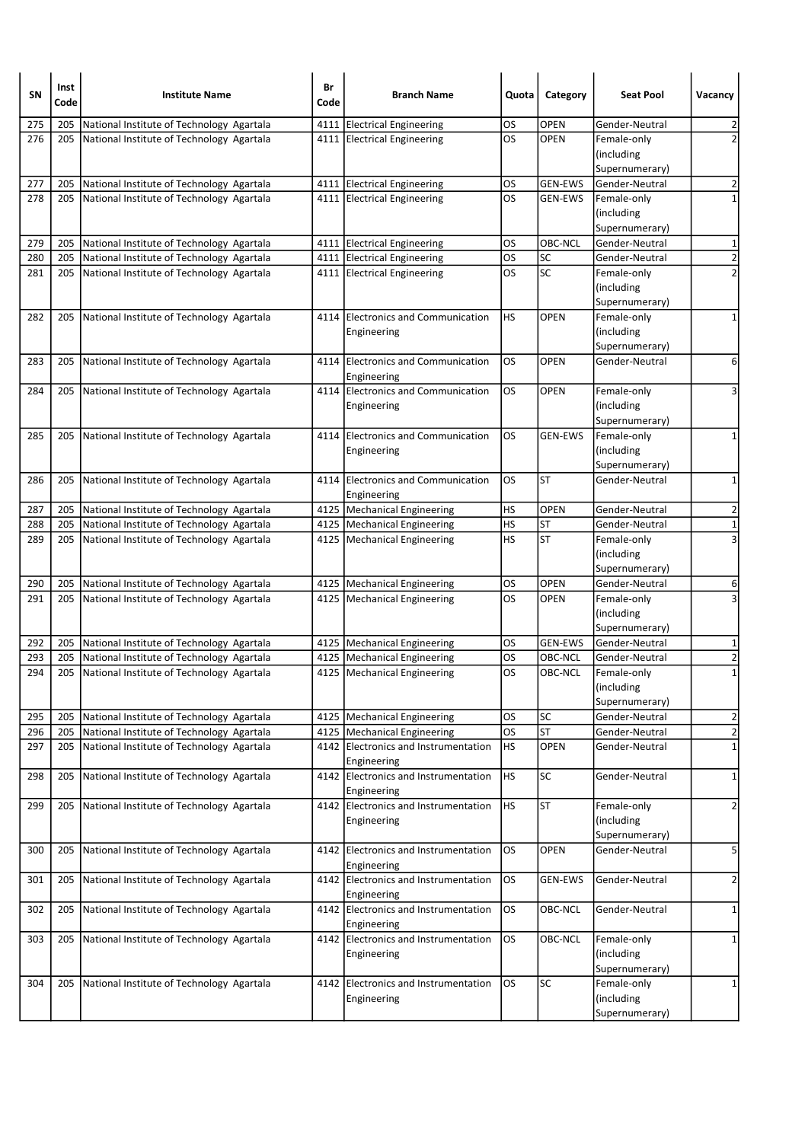| <b>OPEN</b><br>275<br>205<br>National Institute of Technology Agartala<br>4111 Electrical Engineering<br>OS<br>Gender-Neutral<br>2<br>$\overline{2}$<br>276<br>OS<br>National Institute of Technology Agartala<br>4111 Electrical Engineering<br><b>OPEN</b><br>Female-only<br>205<br>(including<br>Supernumerary)<br>National Institute of Technology Agartala<br><b>GEN-EWS</b><br>2<br>277<br>205<br>4111   Electrical Engineering<br>OS<br>Gender-Neutral<br>278<br>National Institute of Technology Agartala<br>$\mathbf 1$<br>205<br>4111 Electrical Engineering<br>OS<br><b>GEN-EWS</b><br>Female-only<br>(including<br>Supernumerary)<br>OBC-NCL<br>$\mathbf 1$<br>279<br>National Institute of Technology Agartala<br>4111 Electrical Engineering<br>OS<br>Gender-Neutral<br>205<br>$\overline{\mathbf{c}}$<br>OS<br>SC<br>280<br>205<br>National Institute of Technology Agartala<br>4111 Electrical Engineering<br>Gender-Neutral<br>$\overline{2}$<br>SC<br>OS<br>281<br>Female-only<br>205<br>National Institute of Technology Agartala<br>4111 Electrical Engineering<br>(including<br>Supernumerary)<br>4114 Electronics and Communication<br>HS<br><b>OPEN</b><br>Female-only<br>1<br>282<br>205<br>National Institute of Technology Agartala<br>(including<br>Engineering<br>Supernumerary)<br><b>OPEN</b><br>6<br>283<br>205<br>National Institute of Technology Agartala<br>4114<br><b>Electronics and Communication</b><br>OS<br>Gender-Neutral<br>Engineering<br>OS<br>National Institute of Technology Agartala<br>4114 Electronics and Communication<br><b>OPEN</b><br>3<br>284<br>205<br>Female-only<br>(including<br>Engineering<br>Supernumerary)<br>Electronics and Communication<br>OS<br><b>GEN-EWS</b><br>285<br>National Institute of Technology Agartala<br>205<br>4114<br>Female-only<br>1<br>(including<br>Engineering<br>Supernumerary)<br><b>ST</b><br>4114 Electronics and Communication<br>OS<br>1<br>286<br>205<br>National Institute of Technology Agartala<br>Gender-Neutral<br>Engineering<br><b>OPEN</b><br>2<br>287<br>205<br>National Institute of Technology Agartala<br>4125   Mechanical Engineering<br>HS<br>Gender-Neutral<br>$\mathbf 1$<br><b>ST</b><br>288<br>205<br>National Institute of Technology Agartala<br>4125   Mechanical Engineering<br>HS<br>Gender-Neutral<br>3<br><b>ST</b><br>289<br>HS<br>205<br>National Institute of Technology Agartala<br>4125   Mechanical Engineering<br>Female-only<br>(including<br>Supernumerary)<br><b>OPEN</b><br>290<br>4125   Mechanical Engineering<br>OS<br>Gender-Neutral<br>205<br>National Institute of Technology Agartala<br>6<br>3<br>291<br>OS<br><b>OPEN</b><br>205<br>National Institute of Technology Agartala<br>4125   Mechanical Engineering<br>Female-only<br>(including<br>Supernumerary)<br>292<br>National Institute of Technology Agartala<br>4125   Mechanical Engineering<br>OS<br><b>GEN-EWS</b><br>205<br>Gender-Neutral<br>1<br>$\overline{\mathbf{c}}$<br>National Institute of Technology Agartala<br>OS<br>OBC-NCL<br>Gender-Neutral<br>293<br>205<br>4125   Mechanical Engineering<br>294<br>205<br>National Institute of Technology Agartala<br>4125   Mechanical Engineering<br>OS<br>OBC-NCL<br>1<br>Female-only<br>(including<br>Supernumerary)<br><b>SC</b><br>$\overline{a}$<br>295<br>205<br>National Institute of Technology Agartala<br>4125   Mechanical Engineering<br>OS<br>Gender-Neutral<br>$\overline{2}$<br><b>ST</b><br><b>OS</b><br>296<br>National Institute of Technology Agartala<br>205<br>4125   Mechanical Engineering<br>Gender-Neutral<br>$\mathbf 1$<br>HS<br><b>OPEN</b><br>National Institute of Technology Agartala<br>4142 Electronics and Instrumentation<br>297<br>205<br>Gender-Neutral<br>Engineering<br>4142 Electronics and Instrumentation<br><b>SC</b><br>National Institute of Technology Agartala<br>HS<br>$\mathbf 1$<br>298<br>205<br>Gender-Neutral<br>Engineering<br><b>HS</b><br><b>ST</b><br>National Institute of Technology Agartala<br>4142 Electronics and Instrumentation<br>$\overline{2}$<br>299<br>205<br>Female-only<br>(including<br>Engineering<br>Supernumerary)<br>5<br>4142 Electronics and Instrumentation<br>OS.<br><b>OPEN</b><br>300<br>205<br>National Institute of Technology Agartala<br>Gender-Neutral<br>Engineering<br>National Institute of Technology Agartala<br>4142 Electronics and Instrumentation<br>OS<br>2<br>205<br><b>GEN-EWS</b><br>Gender-Neutral<br>301<br>Engineering<br>los<br><b>OBC-NCL</b><br>National Institute of Technology Agartala<br>4142 Electronics and Instrumentation<br>Gender-Neutral<br>$\mathbf{1}$<br>302<br>205<br>Engineering<br>National Institute of Technology Agartala<br>4142 Electronics and Instrumentation<br>OS.<br>OBC-NCL<br>Female-only<br>303<br>205<br>1<br>(including<br>Engineering<br>Supernumerary)<br><b>SC</b><br>4142 Electronics and Instrumentation<br>OS.<br>Female-only<br>304<br>205<br>National Institute of Technology Agartala<br>1<br>(including<br>Engineering<br>Supernumerary) | SN | Inst<br>Code | <b>Institute Name</b> | Br<br>Code | <b>Branch Name</b> | Quota | Category | <b>Seat Pool</b> | Vacancy |
|-----------------------------------------------------------------------------------------------------------------------------------------------------------------------------------------------------------------------------------------------------------------------------------------------------------------------------------------------------------------------------------------------------------------------------------------------------------------------------------------------------------------------------------------------------------------------------------------------------------------------------------------------------------------------------------------------------------------------------------------------------------------------------------------------------------------------------------------------------------------------------------------------------------------------------------------------------------------------------------------------------------------------------------------------------------------------------------------------------------------------------------------------------------------------------------------------------------------------------------------------------------------------------------------------------------------------------------------------------------------------------------------------------------------------------------------------------------------------------------------------------------------------------------------------------------------------------------------------------------------------------------------------------------------------------------------------------------------------------------------------------------------------------------------------------------------------------------------------------------------------------------------------------------------------------------------------------------------------------------------------------------------------------------------------------------------------------------------------------------------------------------------------------------------------------------------------------------------------------------------------------------------------------------------------------------------------------------------------------------------------------------------------------------------------------------------------------------------------------------------------------------------------------------------------------------------------------------------------------------------------------------------------------------------------------------------------------------------------------------------------------------------------------------------------------------------------------------------------------------------------------------------------------------------------------------------------------------------------------------------------------------------------------------------------------------------------------------------------------------------------------------------------------------------------------------------------------------------------------------------------------------------------------------------------------------------------------------------------------------------------------------------------------------------------------------------------------------------------------------------------------------------------------------------------------------------------------------------------------------------------------------------------------------------------------------------------------------------------------------------------------------------------------------------------------------------------------------------------------------------------------------------------------------------------------------------------------------------------------------------------------------------------------------------------------------------------------------------------------------------------------------------------------------------------------------------------------------------------------------------------------------------------------------------------------------------------------------------------------------------------------------------------------------------------------------------------------------------------------------------------------------------------------------------------------------------------------------------------------------------------------------------------------------------------------------------------------------------------------------------------------------------------------------------------------------------------------------------------------------------------------------------------------------------------------------------------------------------------------------------------------------------------------------------------------------|----|--------------|-----------------------|------------|--------------------|-------|----------|------------------|---------|
|                                                                                                                                                                                                                                                                                                                                                                                                                                                                                                                                                                                                                                                                                                                                                                                                                                                                                                                                                                                                                                                                                                                                                                                                                                                                                                                                                                                                                                                                                                                                                                                                                                                                                                                                                                                                                                                                                                                                                                                                                                                                                                                                                                                                                                                                                                                                                                                                                                                                                                                                                                                                                                                                                                                                                                                                                                                                                                                                                                                                                                                                                                                                                                                                                                                                                                                                                                                                                                                                                                                                                                                                                                                                                                                                                                                                                                                                                                                                                                                                                                                                                                                                                                                                                                                                                                                                                                                                                                                                                                                                                                                                                                                                                                                                                                                                                                                                                                                                                                                                                                                           |    |              |                       |            |                    |       |          |                  |         |
|                                                                                                                                                                                                                                                                                                                                                                                                                                                                                                                                                                                                                                                                                                                                                                                                                                                                                                                                                                                                                                                                                                                                                                                                                                                                                                                                                                                                                                                                                                                                                                                                                                                                                                                                                                                                                                                                                                                                                                                                                                                                                                                                                                                                                                                                                                                                                                                                                                                                                                                                                                                                                                                                                                                                                                                                                                                                                                                                                                                                                                                                                                                                                                                                                                                                                                                                                                                                                                                                                                                                                                                                                                                                                                                                                                                                                                                                                                                                                                                                                                                                                                                                                                                                                                                                                                                                                                                                                                                                                                                                                                                                                                                                                                                                                                                                                                                                                                                                                                                                                                                           |    |              |                       |            |                    |       |          |                  |         |
|                                                                                                                                                                                                                                                                                                                                                                                                                                                                                                                                                                                                                                                                                                                                                                                                                                                                                                                                                                                                                                                                                                                                                                                                                                                                                                                                                                                                                                                                                                                                                                                                                                                                                                                                                                                                                                                                                                                                                                                                                                                                                                                                                                                                                                                                                                                                                                                                                                                                                                                                                                                                                                                                                                                                                                                                                                                                                                                                                                                                                                                                                                                                                                                                                                                                                                                                                                                                                                                                                                                                                                                                                                                                                                                                                                                                                                                                                                                                                                                                                                                                                                                                                                                                                                                                                                                                                                                                                                                                                                                                                                                                                                                                                                                                                                                                                                                                                                                                                                                                                                                           |    |              |                       |            |                    |       |          |                  |         |
|                                                                                                                                                                                                                                                                                                                                                                                                                                                                                                                                                                                                                                                                                                                                                                                                                                                                                                                                                                                                                                                                                                                                                                                                                                                                                                                                                                                                                                                                                                                                                                                                                                                                                                                                                                                                                                                                                                                                                                                                                                                                                                                                                                                                                                                                                                                                                                                                                                                                                                                                                                                                                                                                                                                                                                                                                                                                                                                                                                                                                                                                                                                                                                                                                                                                                                                                                                                                                                                                                                                                                                                                                                                                                                                                                                                                                                                                                                                                                                                                                                                                                                                                                                                                                                                                                                                                                                                                                                                                                                                                                                                                                                                                                                                                                                                                                                                                                                                                                                                                                                                           |    |              |                       |            |                    |       |          |                  |         |
|                                                                                                                                                                                                                                                                                                                                                                                                                                                                                                                                                                                                                                                                                                                                                                                                                                                                                                                                                                                                                                                                                                                                                                                                                                                                                                                                                                                                                                                                                                                                                                                                                                                                                                                                                                                                                                                                                                                                                                                                                                                                                                                                                                                                                                                                                                                                                                                                                                                                                                                                                                                                                                                                                                                                                                                                                                                                                                                                                                                                                                                                                                                                                                                                                                                                                                                                                                                                                                                                                                                                                                                                                                                                                                                                                                                                                                                                                                                                                                                                                                                                                                                                                                                                                                                                                                                                                                                                                                                                                                                                                                                                                                                                                                                                                                                                                                                                                                                                                                                                                                                           |    |              |                       |            |                    |       |          |                  |         |
|                                                                                                                                                                                                                                                                                                                                                                                                                                                                                                                                                                                                                                                                                                                                                                                                                                                                                                                                                                                                                                                                                                                                                                                                                                                                                                                                                                                                                                                                                                                                                                                                                                                                                                                                                                                                                                                                                                                                                                                                                                                                                                                                                                                                                                                                                                                                                                                                                                                                                                                                                                                                                                                                                                                                                                                                                                                                                                                                                                                                                                                                                                                                                                                                                                                                                                                                                                                                                                                                                                                                                                                                                                                                                                                                                                                                                                                                                                                                                                                                                                                                                                                                                                                                                                                                                                                                                                                                                                                                                                                                                                                                                                                                                                                                                                                                                                                                                                                                                                                                                                                           |    |              |                       |            |                    |       |          |                  |         |
|                                                                                                                                                                                                                                                                                                                                                                                                                                                                                                                                                                                                                                                                                                                                                                                                                                                                                                                                                                                                                                                                                                                                                                                                                                                                                                                                                                                                                                                                                                                                                                                                                                                                                                                                                                                                                                                                                                                                                                                                                                                                                                                                                                                                                                                                                                                                                                                                                                                                                                                                                                                                                                                                                                                                                                                                                                                                                                                                                                                                                                                                                                                                                                                                                                                                                                                                                                                                                                                                                                                                                                                                                                                                                                                                                                                                                                                                                                                                                                                                                                                                                                                                                                                                                                                                                                                                                                                                                                                                                                                                                                                                                                                                                                                                                                                                                                                                                                                                                                                                                                                           |    |              |                       |            |                    |       |          |                  |         |
|                                                                                                                                                                                                                                                                                                                                                                                                                                                                                                                                                                                                                                                                                                                                                                                                                                                                                                                                                                                                                                                                                                                                                                                                                                                                                                                                                                                                                                                                                                                                                                                                                                                                                                                                                                                                                                                                                                                                                                                                                                                                                                                                                                                                                                                                                                                                                                                                                                                                                                                                                                                                                                                                                                                                                                                                                                                                                                                                                                                                                                                                                                                                                                                                                                                                                                                                                                                                                                                                                                                                                                                                                                                                                                                                                                                                                                                                                                                                                                                                                                                                                                                                                                                                                                                                                                                                                                                                                                                                                                                                                                                                                                                                                                                                                                                                                                                                                                                                                                                                                                                           |    |              |                       |            |                    |       |          |                  |         |
|                                                                                                                                                                                                                                                                                                                                                                                                                                                                                                                                                                                                                                                                                                                                                                                                                                                                                                                                                                                                                                                                                                                                                                                                                                                                                                                                                                                                                                                                                                                                                                                                                                                                                                                                                                                                                                                                                                                                                                                                                                                                                                                                                                                                                                                                                                                                                                                                                                                                                                                                                                                                                                                                                                                                                                                                                                                                                                                                                                                                                                                                                                                                                                                                                                                                                                                                                                                                                                                                                                                                                                                                                                                                                                                                                                                                                                                                                                                                                                                                                                                                                                                                                                                                                                                                                                                                                                                                                                                                                                                                                                                                                                                                                                                                                                                                                                                                                                                                                                                                                                                           |    |              |                       |            |                    |       |          |                  |         |
|                                                                                                                                                                                                                                                                                                                                                                                                                                                                                                                                                                                                                                                                                                                                                                                                                                                                                                                                                                                                                                                                                                                                                                                                                                                                                                                                                                                                                                                                                                                                                                                                                                                                                                                                                                                                                                                                                                                                                                                                                                                                                                                                                                                                                                                                                                                                                                                                                                                                                                                                                                                                                                                                                                                                                                                                                                                                                                                                                                                                                                                                                                                                                                                                                                                                                                                                                                                                                                                                                                                                                                                                                                                                                                                                                                                                                                                                                                                                                                                                                                                                                                                                                                                                                                                                                                                                                                                                                                                                                                                                                                                                                                                                                                                                                                                                                                                                                                                                                                                                                                                           |    |              |                       |            |                    |       |          |                  |         |
|                                                                                                                                                                                                                                                                                                                                                                                                                                                                                                                                                                                                                                                                                                                                                                                                                                                                                                                                                                                                                                                                                                                                                                                                                                                                                                                                                                                                                                                                                                                                                                                                                                                                                                                                                                                                                                                                                                                                                                                                                                                                                                                                                                                                                                                                                                                                                                                                                                                                                                                                                                                                                                                                                                                                                                                                                                                                                                                                                                                                                                                                                                                                                                                                                                                                                                                                                                                                                                                                                                                                                                                                                                                                                                                                                                                                                                                                                                                                                                                                                                                                                                                                                                                                                                                                                                                                                                                                                                                                                                                                                                                                                                                                                                                                                                                                                                                                                                                                                                                                                                                           |    |              |                       |            |                    |       |          |                  |         |
|                                                                                                                                                                                                                                                                                                                                                                                                                                                                                                                                                                                                                                                                                                                                                                                                                                                                                                                                                                                                                                                                                                                                                                                                                                                                                                                                                                                                                                                                                                                                                                                                                                                                                                                                                                                                                                                                                                                                                                                                                                                                                                                                                                                                                                                                                                                                                                                                                                                                                                                                                                                                                                                                                                                                                                                                                                                                                                                                                                                                                                                                                                                                                                                                                                                                                                                                                                                                                                                                                                                                                                                                                                                                                                                                                                                                                                                                                                                                                                                                                                                                                                                                                                                                                                                                                                                                                                                                                                                                                                                                                                                                                                                                                                                                                                                                                                                                                                                                                                                                                                                           |    |              |                       |            |                    |       |          |                  |         |
|                                                                                                                                                                                                                                                                                                                                                                                                                                                                                                                                                                                                                                                                                                                                                                                                                                                                                                                                                                                                                                                                                                                                                                                                                                                                                                                                                                                                                                                                                                                                                                                                                                                                                                                                                                                                                                                                                                                                                                                                                                                                                                                                                                                                                                                                                                                                                                                                                                                                                                                                                                                                                                                                                                                                                                                                                                                                                                                                                                                                                                                                                                                                                                                                                                                                                                                                                                                                                                                                                                                                                                                                                                                                                                                                                                                                                                                                                                                                                                                                                                                                                                                                                                                                                                                                                                                                                                                                                                                                                                                                                                                                                                                                                                                                                                                                                                                                                                                                                                                                                                                           |    |              |                       |            |                    |       |          |                  |         |
|                                                                                                                                                                                                                                                                                                                                                                                                                                                                                                                                                                                                                                                                                                                                                                                                                                                                                                                                                                                                                                                                                                                                                                                                                                                                                                                                                                                                                                                                                                                                                                                                                                                                                                                                                                                                                                                                                                                                                                                                                                                                                                                                                                                                                                                                                                                                                                                                                                                                                                                                                                                                                                                                                                                                                                                                                                                                                                                                                                                                                                                                                                                                                                                                                                                                                                                                                                                                                                                                                                                                                                                                                                                                                                                                                                                                                                                                                                                                                                                                                                                                                                                                                                                                                                                                                                                                                                                                                                                                                                                                                                                                                                                                                                                                                                                                                                                                                                                                                                                                                                                           |    |              |                       |            |                    |       |          |                  |         |
|                                                                                                                                                                                                                                                                                                                                                                                                                                                                                                                                                                                                                                                                                                                                                                                                                                                                                                                                                                                                                                                                                                                                                                                                                                                                                                                                                                                                                                                                                                                                                                                                                                                                                                                                                                                                                                                                                                                                                                                                                                                                                                                                                                                                                                                                                                                                                                                                                                                                                                                                                                                                                                                                                                                                                                                                                                                                                                                                                                                                                                                                                                                                                                                                                                                                                                                                                                                                                                                                                                                                                                                                                                                                                                                                                                                                                                                                                                                                                                                                                                                                                                                                                                                                                                                                                                                                                                                                                                                                                                                                                                                                                                                                                                                                                                                                                                                                                                                                                                                                                                                           |    |              |                       |            |                    |       |          |                  |         |
|                                                                                                                                                                                                                                                                                                                                                                                                                                                                                                                                                                                                                                                                                                                                                                                                                                                                                                                                                                                                                                                                                                                                                                                                                                                                                                                                                                                                                                                                                                                                                                                                                                                                                                                                                                                                                                                                                                                                                                                                                                                                                                                                                                                                                                                                                                                                                                                                                                                                                                                                                                                                                                                                                                                                                                                                                                                                                                                                                                                                                                                                                                                                                                                                                                                                                                                                                                                                                                                                                                                                                                                                                                                                                                                                                                                                                                                                                                                                                                                                                                                                                                                                                                                                                                                                                                                                                                                                                                                                                                                                                                                                                                                                                                                                                                                                                                                                                                                                                                                                                                                           |    |              |                       |            |                    |       |          |                  |         |
|                                                                                                                                                                                                                                                                                                                                                                                                                                                                                                                                                                                                                                                                                                                                                                                                                                                                                                                                                                                                                                                                                                                                                                                                                                                                                                                                                                                                                                                                                                                                                                                                                                                                                                                                                                                                                                                                                                                                                                                                                                                                                                                                                                                                                                                                                                                                                                                                                                                                                                                                                                                                                                                                                                                                                                                                                                                                                                                                                                                                                                                                                                                                                                                                                                                                                                                                                                                                                                                                                                                                                                                                                                                                                                                                                                                                                                                                                                                                                                                                                                                                                                                                                                                                                                                                                                                                                                                                                                                                                                                                                                                                                                                                                                                                                                                                                                                                                                                                                                                                                                                           |    |              |                       |            |                    |       |          |                  |         |
|                                                                                                                                                                                                                                                                                                                                                                                                                                                                                                                                                                                                                                                                                                                                                                                                                                                                                                                                                                                                                                                                                                                                                                                                                                                                                                                                                                                                                                                                                                                                                                                                                                                                                                                                                                                                                                                                                                                                                                                                                                                                                                                                                                                                                                                                                                                                                                                                                                                                                                                                                                                                                                                                                                                                                                                                                                                                                                                                                                                                                                                                                                                                                                                                                                                                                                                                                                                                                                                                                                                                                                                                                                                                                                                                                                                                                                                                                                                                                                                                                                                                                                                                                                                                                                                                                                                                                                                                                                                                                                                                                                                                                                                                                                                                                                                                                                                                                                                                                                                                                                                           |    |              |                       |            |                    |       |          |                  |         |
|                                                                                                                                                                                                                                                                                                                                                                                                                                                                                                                                                                                                                                                                                                                                                                                                                                                                                                                                                                                                                                                                                                                                                                                                                                                                                                                                                                                                                                                                                                                                                                                                                                                                                                                                                                                                                                                                                                                                                                                                                                                                                                                                                                                                                                                                                                                                                                                                                                                                                                                                                                                                                                                                                                                                                                                                                                                                                                                                                                                                                                                                                                                                                                                                                                                                                                                                                                                                                                                                                                                                                                                                                                                                                                                                                                                                                                                                                                                                                                                                                                                                                                                                                                                                                                                                                                                                                                                                                                                                                                                                                                                                                                                                                                                                                                                                                                                                                                                                                                                                                                                           |    |              |                       |            |                    |       |          |                  |         |
|                                                                                                                                                                                                                                                                                                                                                                                                                                                                                                                                                                                                                                                                                                                                                                                                                                                                                                                                                                                                                                                                                                                                                                                                                                                                                                                                                                                                                                                                                                                                                                                                                                                                                                                                                                                                                                                                                                                                                                                                                                                                                                                                                                                                                                                                                                                                                                                                                                                                                                                                                                                                                                                                                                                                                                                                                                                                                                                                                                                                                                                                                                                                                                                                                                                                                                                                                                                                                                                                                                                                                                                                                                                                                                                                                                                                                                                                                                                                                                                                                                                                                                                                                                                                                                                                                                                                                                                                                                                                                                                                                                                                                                                                                                                                                                                                                                                                                                                                                                                                                                                           |    |              |                       |            |                    |       |          |                  |         |
|                                                                                                                                                                                                                                                                                                                                                                                                                                                                                                                                                                                                                                                                                                                                                                                                                                                                                                                                                                                                                                                                                                                                                                                                                                                                                                                                                                                                                                                                                                                                                                                                                                                                                                                                                                                                                                                                                                                                                                                                                                                                                                                                                                                                                                                                                                                                                                                                                                                                                                                                                                                                                                                                                                                                                                                                                                                                                                                                                                                                                                                                                                                                                                                                                                                                                                                                                                                                                                                                                                                                                                                                                                                                                                                                                                                                                                                                                                                                                                                                                                                                                                                                                                                                                                                                                                                                                                                                                                                                                                                                                                                                                                                                                                                                                                                                                                                                                                                                                                                                                                                           |    |              |                       |            |                    |       |          |                  |         |
|                                                                                                                                                                                                                                                                                                                                                                                                                                                                                                                                                                                                                                                                                                                                                                                                                                                                                                                                                                                                                                                                                                                                                                                                                                                                                                                                                                                                                                                                                                                                                                                                                                                                                                                                                                                                                                                                                                                                                                                                                                                                                                                                                                                                                                                                                                                                                                                                                                                                                                                                                                                                                                                                                                                                                                                                                                                                                                                                                                                                                                                                                                                                                                                                                                                                                                                                                                                                                                                                                                                                                                                                                                                                                                                                                                                                                                                                                                                                                                                                                                                                                                                                                                                                                                                                                                                                                                                                                                                                                                                                                                                                                                                                                                                                                                                                                                                                                                                                                                                                                                                           |    |              |                       |            |                    |       |          |                  |         |
|                                                                                                                                                                                                                                                                                                                                                                                                                                                                                                                                                                                                                                                                                                                                                                                                                                                                                                                                                                                                                                                                                                                                                                                                                                                                                                                                                                                                                                                                                                                                                                                                                                                                                                                                                                                                                                                                                                                                                                                                                                                                                                                                                                                                                                                                                                                                                                                                                                                                                                                                                                                                                                                                                                                                                                                                                                                                                                                                                                                                                                                                                                                                                                                                                                                                                                                                                                                                                                                                                                                                                                                                                                                                                                                                                                                                                                                                                                                                                                                                                                                                                                                                                                                                                                                                                                                                                                                                                                                                                                                                                                                                                                                                                                                                                                                                                                                                                                                                                                                                                                                           |    |              |                       |            |                    |       |          |                  |         |
|                                                                                                                                                                                                                                                                                                                                                                                                                                                                                                                                                                                                                                                                                                                                                                                                                                                                                                                                                                                                                                                                                                                                                                                                                                                                                                                                                                                                                                                                                                                                                                                                                                                                                                                                                                                                                                                                                                                                                                                                                                                                                                                                                                                                                                                                                                                                                                                                                                                                                                                                                                                                                                                                                                                                                                                                                                                                                                                                                                                                                                                                                                                                                                                                                                                                                                                                                                                                                                                                                                                                                                                                                                                                                                                                                                                                                                                                                                                                                                                                                                                                                                                                                                                                                                                                                                                                                                                                                                                                                                                                                                                                                                                                                                                                                                                                                                                                                                                                                                                                                                                           |    |              |                       |            |                    |       |          |                  |         |
|                                                                                                                                                                                                                                                                                                                                                                                                                                                                                                                                                                                                                                                                                                                                                                                                                                                                                                                                                                                                                                                                                                                                                                                                                                                                                                                                                                                                                                                                                                                                                                                                                                                                                                                                                                                                                                                                                                                                                                                                                                                                                                                                                                                                                                                                                                                                                                                                                                                                                                                                                                                                                                                                                                                                                                                                                                                                                                                                                                                                                                                                                                                                                                                                                                                                                                                                                                                                                                                                                                                                                                                                                                                                                                                                                                                                                                                                                                                                                                                                                                                                                                                                                                                                                                                                                                                                                                                                                                                                                                                                                                                                                                                                                                                                                                                                                                                                                                                                                                                                                                                           |    |              |                       |            |                    |       |          |                  |         |
|                                                                                                                                                                                                                                                                                                                                                                                                                                                                                                                                                                                                                                                                                                                                                                                                                                                                                                                                                                                                                                                                                                                                                                                                                                                                                                                                                                                                                                                                                                                                                                                                                                                                                                                                                                                                                                                                                                                                                                                                                                                                                                                                                                                                                                                                                                                                                                                                                                                                                                                                                                                                                                                                                                                                                                                                                                                                                                                                                                                                                                                                                                                                                                                                                                                                                                                                                                                                                                                                                                                                                                                                                                                                                                                                                                                                                                                                                                                                                                                                                                                                                                                                                                                                                                                                                                                                                                                                                                                                                                                                                                                                                                                                                                                                                                                                                                                                                                                                                                                                                                                           |    |              |                       |            |                    |       |          |                  |         |
|                                                                                                                                                                                                                                                                                                                                                                                                                                                                                                                                                                                                                                                                                                                                                                                                                                                                                                                                                                                                                                                                                                                                                                                                                                                                                                                                                                                                                                                                                                                                                                                                                                                                                                                                                                                                                                                                                                                                                                                                                                                                                                                                                                                                                                                                                                                                                                                                                                                                                                                                                                                                                                                                                                                                                                                                                                                                                                                                                                                                                                                                                                                                                                                                                                                                                                                                                                                                                                                                                                                                                                                                                                                                                                                                                                                                                                                                                                                                                                                                                                                                                                                                                                                                                                                                                                                                                                                                                                                                                                                                                                                                                                                                                                                                                                                                                                                                                                                                                                                                                                                           |    |              |                       |            |                    |       |          |                  |         |
|                                                                                                                                                                                                                                                                                                                                                                                                                                                                                                                                                                                                                                                                                                                                                                                                                                                                                                                                                                                                                                                                                                                                                                                                                                                                                                                                                                                                                                                                                                                                                                                                                                                                                                                                                                                                                                                                                                                                                                                                                                                                                                                                                                                                                                                                                                                                                                                                                                                                                                                                                                                                                                                                                                                                                                                                                                                                                                                                                                                                                                                                                                                                                                                                                                                                                                                                                                                                                                                                                                                                                                                                                                                                                                                                                                                                                                                                                                                                                                                                                                                                                                                                                                                                                                                                                                                                                                                                                                                                                                                                                                                                                                                                                                                                                                                                                                                                                                                                                                                                                                                           |    |              |                       |            |                    |       |          |                  |         |
|                                                                                                                                                                                                                                                                                                                                                                                                                                                                                                                                                                                                                                                                                                                                                                                                                                                                                                                                                                                                                                                                                                                                                                                                                                                                                                                                                                                                                                                                                                                                                                                                                                                                                                                                                                                                                                                                                                                                                                                                                                                                                                                                                                                                                                                                                                                                                                                                                                                                                                                                                                                                                                                                                                                                                                                                                                                                                                                                                                                                                                                                                                                                                                                                                                                                                                                                                                                                                                                                                                                                                                                                                                                                                                                                                                                                                                                                                                                                                                                                                                                                                                                                                                                                                                                                                                                                                                                                                                                                                                                                                                                                                                                                                                                                                                                                                                                                                                                                                                                                                                                           |    |              |                       |            |                    |       |          |                  |         |
|                                                                                                                                                                                                                                                                                                                                                                                                                                                                                                                                                                                                                                                                                                                                                                                                                                                                                                                                                                                                                                                                                                                                                                                                                                                                                                                                                                                                                                                                                                                                                                                                                                                                                                                                                                                                                                                                                                                                                                                                                                                                                                                                                                                                                                                                                                                                                                                                                                                                                                                                                                                                                                                                                                                                                                                                                                                                                                                                                                                                                                                                                                                                                                                                                                                                                                                                                                                                                                                                                                                                                                                                                                                                                                                                                                                                                                                                                                                                                                                                                                                                                                                                                                                                                                                                                                                                                                                                                                                                                                                                                                                                                                                                                                                                                                                                                                                                                                                                                                                                                                                           |    |              |                       |            |                    |       |          |                  |         |
|                                                                                                                                                                                                                                                                                                                                                                                                                                                                                                                                                                                                                                                                                                                                                                                                                                                                                                                                                                                                                                                                                                                                                                                                                                                                                                                                                                                                                                                                                                                                                                                                                                                                                                                                                                                                                                                                                                                                                                                                                                                                                                                                                                                                                                                                                                                                                                                                                                                                                                                                                                                                                                                                                                                                                                                                                                                                                                                                                                                                                                                                                                                                                                                                                                                                                                                                                                                                                                                                                                                                                                                                                                                                                                                                                                                                                                                                                                                                                                                                                                                                                                                                                                                                                                                                                                                                                                                                                                                                                                                                                                                                                                                                                                                                                                                                                                                                                                                                                                                                                                                           |    |              |                       |            |                    |       |          |                  |         |
|                                                                                                                                                                                                                                                                                                                                                                                                                                                                                                                                                                                                                                                                                                                                                                                                                                                                                                                                                                                                                                                                                                                                                                                                                                                                                                                                                                                                                                                                                                                                                                                                                                                                                                                                                                                                                                                                                                                                                                                                                                                                                                                                                                                                                                                                                                                                                                                                                                                                                                                                                                                                                                                                                                                                                                                                                                                                                                                                                                                                                                                                                                                                                                                                                                                                                                                                                                                                                                                                                                                                                                                                                                                                                                                                                                                                                                                                                                                                                                                                                                                                                                                                                                                                                                                                                                                                                                                                                                                                                                                                                                                                                                                                                                                                                                                                                                                                                                                                                                                                                                                           |    |              |                       |            |                    |       |          |                  |         |
|                                                                                                                                                                                                                                                                                                                                                                                                                                                                                                                                                                                                                                                                                                                                                                                                                                                                                                                                                                                                                                                                                                                                                                                                                                                                                                                                                                                                                                                                                                                                                                                                                                                                                                                                                                                                                                                                                                                                                                                                                                                                                                                                                                                                                                                                                                                                                                                                                                                                                                                                                                                                                                                                                                                                                                                                                                                                                                                                                                                                                                                                                                                                                                                                                                                                                                                                                                                                                                                                                                                                                                                                                                                                                                                                                                                                                                                                                                                                                                                                                                                                                                                                                                                                                                                                                                                                                                                                                                                                                                                                                                                                                                                                                                                                                                                                                                                                                                                                                                                                                                                           |    |              |                       |            |                    |       |          |                  |         |
|                                                                                                                                                                                                                                                                                                                                                                                                                                                                                                                                                                                                                                                                                                                                                                                                                                                                                                                                                                                                                                                                                                                                                                                                                                                                                                                                                                                                                                                                                                                                                                                                                                                                                                                                                                                                                                                                                                                                                                                                                                                                                                                                                                                                                                                                                                                                                                                                                                                                                                                                                                                                                                                                                                                                                                                                                                                                                                                                                                                                                                                                                                                                                                                                                                                                                                                                                                                                                                                                                                                                                                                                                                                                                                                                                                                                                                                                                                                                                                                                                                                                                                                                                                                                                                                                                                                                                                                                                                                                                                                                                                                                                                                                                                                                                                                                                                                                                                                                                                                                                                                           |    |              |                       |            |                    |       |          |                  |         |
|                                                                                                                                                                                                                                                                                                                                                                                                                                                                                                                                                                                                                                                                                                                                                                                                                                                                                                                                                                                                                                                                                                                                                                                                                                                                                                                                                                                                                                                                                                                                                                                                                                                                                                                                                                                                                                                                                                                                                                                                                                                                                                                                                                                                                                                                                                                                                                                                                                                                                                                                                                                                                                                                                                                                                                                                                                                                                                                                                                                                                                                                                                                                                                                                                                                                                                                                                                                                                                                                                                                                                                                                                                                                                                                                                                                                                                                                                                                                                                                                                                                                                                                                                                                                                                                                                                                                                                                                                                                                                                                                                                                                                                                                                                                                                                                                                                                                                                                                                                                                                                                           |    |              |                       |            |                    |       |          |                  |         |
|                                                                                                                                                                                                                                                                                                                                                                                                                                                                                                                                                                                                                                                                                                                                                                                                                                                                                                                                                                                                                                                                                                                                                                                                                                                                                                                                                                                                                                                                                                                                                                                                                                                                                                                                                                                                                                                                                                                                                                                                                                                                                                                                                                                                                                                                                                                                                                                                                                                                                                                                                                                                                                                                                                                                                                                                                                                                                                                                                                                                                                                                                                                                                                                                                                                                                                                                                                                                                                                                                                                                                                                                                                                                                                                                                                                                                                                                                                                                                                                                                                                                                                                                                                                                                                                                                                                                                                                                                                                                                                                                                                                                                                                                                                                                                                                                                                                                                                                                                                                                                                                           |    |              |                       |            |                    |       |          |                  |         |
|                                                                                                                                                                                                                                                                                                                                                                                                                                                                                                                                                                                                                                                                                                                                                                                                                                                                                                                                                                                                                                                                                                                                                                                                                                                                                                                                                                                                                                                                                                                                                                                                                                                                                                                                                                                                                                                                                                                                                                                                                                                                                                                                                                                                                                                                                                                                                                                                                                                                                                                                                                                                                                                                                                                                                                                                                                                                                                                                                                                                                                                                                                                                                                                                                                                                                                                                                                                                                                                                                                                                                                                                                                                                                                                                                                                                                                                                                                                                                                                                                                                                                                                                                                                                                                                                                                                                                                                                                                                                                                                                                                                                                                                                                                                                                                                                                                                                                                                                                                                                                                                           |    |              |                       |            |                    |       |          |                  |         |
|                                                                                                                                                                                                                                                                                                                                                                                                                                                                                                                                                                                                                                                                                                                                                                                                                                                                                                                                                                                                                                                                                                                                                                                                                                                                                                                                                                                                                                                                                                                                                                                                                                                                                                                                                                                                                                                                                                                                                                                                                                                                                                                                                                                                                                                                                                                                                                                                                                                                                                                                                                                                                                                                                                                                                                                                                                                                                                                                                                                                                                                                                                                                                                                                                                                                                                                                                                                                                                                                                                                                                                                                                                                                                                                                                                                                                                                                                                                                                                                                                                                                                                                                                                                                                                                                                                                                                                                                                                                                                                                                                                                                                                                                                                                                                                                                                                                                                                                                                                                                                                                           |    |              |                       |            |                    |       |          |                  |         |
|                                                                                                                                                                                                                                                                                                                                                                                                                                                                                                                                                                                                                                                                                                                                                                                                                                                                                                                                                                                                                                                                                                                                                                                                                                                                                                                                                                                                                                                                                                                                                                                                                                                                                                                                                                                                                                                                                                                                                                                                                                                                                                                                                                                                                                                                                                                                                                                                                                                                                                                                                                                                                                                                                                                                                                                                                                                                                                                                                                                                                                                                                                                                                                                                                                                                                                                                                                                                                                                                                                                                                                                                                                                                                                                                                                                                                                                                                                                                                                                                                                                                                                                                                                                                                                                                                                                                                                                                                                                                                                                                                                                                                                                                                                                                                                                                                                                                                                                                                                                                                                                           |    |              |                       |            |                    |       |          |                  |         |
|                                                                                                                                                                                                                                                                                                                                                                                                                                                                                                                                                                                                                                                                                                                                                                                                                                                                                                                                                                                                                                                                                                                                                                                                                                                                                                                                                                                                                                                                                                                                                                                                                                                                                                                                                                                                                                                                                                                                                                                                                                                                                                                                                                                                                                                                                                                                                                                                                                                                                                                                                                                                                                                                                                                                                                                                                                                                                                                                                                                                                                                                                                                                                                                                                                                                                                                                                                                                                                                                                                                                                                                                                                                                                                                                                                                                                                                                                                                                                                                                                                                                                                                                                                                                                                                                                                                                                                                                                                                                                                                                                                                                                                                                                                                                                                                                                                                                                                                                                                                                                                                           |    |              |                       |            |                    |       |          |                  |         |
|                                                                                                                                                                                                                                                                                                                                                                                                                                                                                                                                                                                                                                                                                                                                                                                                                                                                                                                                                                                                                                                                                                                                                                                                                                                                                                                                                                                                                                                                                                                                                                                                                                                                                                                                                                                                                                                                                                                                                                                                                                                                                                                                                                                                                                                                                                                                                                                                                                                                                                                                                                                                                                                                                                                                                                                                                                                                                                                                                                                                                                                                                                                                                                                                                                                                                                                                                                                                                                                                                                                                                                                                                                                                                                                                                                                                                                                                                                                                                                                                                                                                                                                                                                                                                                                                                                                                                                                                                                                                                                                                                                                                                                                                                                                                                                                                                                                                                                                                                                                                                                                           |    |              |                       |            |                    |       |          |                  |         |
|                                                                                                                                                                                                                                                                                                                                                                                                                                                                                                                                                                                                                                                                                                                                                                                                                                                                                                                                                                                                                                                                                                                                                                                                                                                                                                                                                                                                                                                                                                                                                                                                                                                                                                                                                                                                                                                                                                                                                                                                                                                                                                                                                                                                                                                                                                                                                                                                                                                                                                                                                                                                                                                                                                                                                                                                                                                                                                                                                                                                                                                                                                                                                                                                                                                                                                                                                                                                                                                                                                                                                                                                                                                                                                                                                                                                                                                                                                                                                                                                                                                                                                                                                                                                                                                                                                                                                                                                                                                                                                                                                                                                                                                                                                                                                                                                                                                                                                                                                                                                                                                           |    |              |                       |            |                    |       |          |                  |         |
|                                                                                                                                                                                                                                                                                                                                                                                                                                                                                                                                                                                                                                                                                                                                                                                                                                                                                                                                                                                                                                                                                                                                                                                                                                                                                                                                                                                                                                                                                                                                                                                                                                                                                                                                                                                                                                                                                                                                                                                                                                                                                                                                                                                                                                                                                                                                                                                                                                                                                                                                                                                                                                                                                                                                                                                                                                                                                                                                                                                                                                                                                                                                                                                                                                                                                                                                                                                                                                                                                                                                                                                                                                                                                                                                                                                                                                                                                                                                                                                                                                                                                                                                                                                                                                                                                                                                                                                                                                                                                                                                                                                                                                                                                                                                                                                                                                                                                                                                                                                                                                                           |    |              |                       |            |                    |       |          |                  |         |
|                                                                                                                                                                                                                                                                                                                                                                                                                                                                                                                                                                                                                                                                                                                                                                                                                                                                                                                                                                                                                                                                                                                                                                                                                                                                                                                                                                                                                                                                                                                                                                                                                                                                                                                                                                                                                                                                                                                                                                                                                                                                                                                                                                                                                                                                                                                                                                                                                                                                                                                                                                                                                                                                                                                                                                                                                                                                                                                                                                                                                                                                                                                                                                                                                                                                                                                                                                                                                                                                                                                                                                                                                                                                                                                                                                                                                                                                                                                                                                                                                                                                                                                                                                                                                                                                                                                                                                                                                                                                                                                                                                                                                                                                                                                                                                                                                                                                                                                                                                                                                                                           |    |              |                       |            |                    |       |          |                  |         |
|                                                                                                                                                                                                                                                                                                                                                                                                                                                                                                                                                                                                                                                                                                                                                                                                                                                                                                                                                                                                                                                                                                                                                                                                                                                                                                                                                                                                                                                                                                                                                                                                                                                                                                                                                                                                                                                                                                                                                                                                                                                                                                                                                                                                                                                                                                                                                                                                                                                                                                                                                                                                                                                                                                                                                                                                                                                                                                                                                                                                                                                                                                                                                                                                                                                                                                                                                                                                                                                                                                                                                                                                                                                                                                                                                                                                                                                                                                                                                                                                                                                                                                                                                                                                                                                                                                                                                                                                                                                                                                                                                                                                                                                                                                                                                                                                                                                                                                                                                                                                                                                           |    |              |                       |            |                    |       |          |                  |         |
|                                                                                                                                                                                                                                                                                                                                                                                                                                                                                                                                                                                                                                                                                                                                                                                                                                                                                                                                                                                                                                                                                                                                                                                                                                                                                                                                                                                                                                                                                                                                                                                                                                                                                                                                                                                                                                                                                                                                                                                                                                                                                                                                                                                                                                                                                                                                                                                                                                                                                                                                                                                                                                                                                                                                                                                                                                                                                                                                                                                                                                                                                                                                                                                                                                                                                                                                                                                                                                                                                                                                                                                                                                                                                                                                                                                                                                                                                                                                                                                                                                                                                                                                                                                                                                                                                                                                                                                                                                                                                                                                                                                                                                                                                                                                                                                                                                                                                                                                                                                                                                                           |    |              |                       |            |                    |       |          |                  |         |
|                                                                                                                                                                                                                                                                                                                                                                                                                                                                                                                                                                                                                                                                                                                                                                                                                                                                                                                                                                                                                                                                                                                                                                                                                                                                                                                                                                                                                                                                                                                                                                                                                                                                                                                                                                                                                                                                                                                                                                                                                                                                                                                                                                                                                                                                                                                                                                                                                                                                                                                                                                                                                                                                                                                                                                                                                                                                                                                                                                                                                                                                                                                                                                                                                                                                                                                                                                                                                                                                                                                                                                                                                                                                                                                                                                                                                                                                                                                                                                                                                                                                                                                                                                                                                                                                                                                                                                                                                                                                                                                                                                                                                                                                                                                                                                                                                                                                                                                                                                                                                                                           |    |              |                       |            |                    |       |          |                  |         |
|                                                                                                                                                                                                                                                                                                                                                                                                                                                                                                                                                                                                                                                                                                                                                                                                                                                                                                                                                                                                                                                                                                                                                                                                                                                                                                                                                                                                                                                                                                                                                                                                                                                                                                                                                                                                                                                                                                                                                                                                                                                                                                                                                                                                                                                                                                                                                                                                                                                                                                                                                                                                                                                                                                                                                                                                                                                                                                                                                                                                                                                                                                                                                                                                                                                                                                                                                                                                                                                                                                                                                                                                                                                                                                                                                                                                                                                                                                                                                                                                                                                                                                                                                                                                                                                                                                                                                                                                                                                                                                                                                                                                                                                                                                                                                                                                                                                                                                                                                                                                                                                           |    |              |                       |            |                    |       |          |                  |         |
|                                                                                                                                                                                                                                                                                                                                                                                                                                                                                                                                                                                                                                                                                                                                                                                                                                                                                                                                                                                                                                                                                                                                                                                                                                                                                                                                                                                                                                                                                                                                                                                                                                                                                                                                                                                                                                                                                                                                                                                                                                                                                                                                                                                                                                                                                                                                                                                                                                                                                                                                                                                                                                                                                                                                                                                                                                                                                                                                                                                                                                                                                                                                                                                                                                                                                                                                                                                                                                                                                                                                                                                                                                                                                                                                                                                                                                                                                                                                                                                                                                                                                                                                                                                                                                                                                                                                                                                                                                                                                                                                                                                                                                                                                                                                                                                                                                                                                                                                                                                                                                                           |    |              |                       |            |                    |       |          |                  |         |
|                                                                                                                                                                                                                                                                                                                                                                                                                                                                                                                                                                                                                                                                                                                                                                                                                                                                                                                                                                                                                                                                                                                                                                                                                                                                                                                                                                                                                                                                                                                                                                                                                                                                                                                                                                                                                                                                                                                                                                                                                                                                                                                                                                                                                                                                                                                                                                                                                                                                                                                                                                                                                                                                                                                                                                                                                                                                                                                                                                                                                                                                                                                                                                                                                                                                                                                                                                                                                                                                                                                                                                                                                                                                                                                                                                                                                                                                                                                                                                                                                                                                                                                                                                                                                                                                                                                                                                                                                                                                                                                                                                                                                                                                                                                                                                                                                                                                                                                                                                                                                                                           |    |              |                       |            |                    |       |          |                  |         |
|                                                                                                                                                                                                                                                                                                                                                                                                                                                                                                                                                                                                                                                                                                                                                                                                                                                                                                                                                                                                                                                                                                                                                                                                                                                                                                                                                                                                                                                                                                                                                                                                                                                                                                                                                                                                                                                                                                                                                                                                                                                                                                                                                                                                                                                                                                                                                                                                                                                                                                                                                                                                                                                                                                                                                                                                                                                                                                                                                                                                                                                                                                                                                                                                                                                                                                                                                                                                                                                                                                                                                                                                                                                                                                                                                                                                                                                                                                                                                                                                                                                                                                                                                                                                                                                                                                                                                                                                                                                                                                                                                                                                                                                                                                                                                                                                                                                                                                                                                                                                                                                           |    |              |                       |            |                    |       |          |                  |         |
|                                                                                                                                                                                                                                                                                                                                                                                                                                                                                                                                                                                                                                                                                                                                                                                                                                                                                                                                                                                                                                                                                                                                                                                                                                                                                                                                                                                                                                                                                                                                                                                                                                                                                                                                                                                                                                                                                                                                                                                                                                                                                                                                                                                                                                                                                                                                                                                                                                                                                                                                                                                                                                                                                                                                                                                                                                                                                                                                                                                                                                                                                                                                                                                                                                                                                                                                                                                                                                                                                                                                                                                                                                                                                                                                                                                                                                                                                                                                                                                                                                                                                                                                                                                                                                                                                                                                                                                                                                                                                                                                                                                                                                                                                                                                                                                                                                                                                                                                                                                                                                                           |    |              |                       |            |                    |       |          |                  |         |
|                                                                                                                                                                                                                                                                                                                                                                                                                                                                                                                                                                                                                                                                                                                                                                                                                                                                                                                                                                                                                                                                                                                                                                                                                                                                                                                                                                                                                                                                                                                                                                                                                                                                                                                                                                                                                                                                                                                                                                                                                                                                                                                                                                                                                                                                                                                                                                                                                                                                                                                                                                                                                                                                                                                                                                                                                                                                                                                                                                                                                                                                                                                                                                                                                                                                                                                                                                                                                                                                                                                                                                                                                                                                                                                                                                                                                                                                                                                                                                                                                                                                                                                                                                                                                                                                                                                                                                                                                                                                                                                                                                                                                                                                                                                                                                                                                                                                                                                                                                                                                                                           |    |              |                       |            |                    |       |          |                  |         |
|                                                                                                                                                                                                                                                                                                                                                                                                                                                                                                                                                                                                                                                                                                                                                                                                                                                                                                                                                                                                                                                                                                                                                                                                                                                                                                                                                                                                                                                                                                                                                                                                                                                                                                                                                                                                                                                                                                                                                                                                                                                                                                                                                                                                                                                                                                                                                                                                                                                                                                                                                                                                                                                                                                                                                                                                                                                                                                                                                                                                                                                                                                                                                                                                                                                                                                                                                                                                                                                                                                                                                                                                                                                                                                                                                                                                                                                                                                                                                                                                                                                                                                                                                                                                                                                                                                                                                                                                                                                                                                                                                                                                                                                                                                                                                                                                                                                                                                                                                                                                                                                           |    |              |                       |            |                    |       |          |                  |         |
|                                                                                                                                                                                                                                                                                                                                                                                                                                                                                                                                                                                                                                                                                                                                                                                                                                                                                                                                                                                                                                                                                                                                                                                                                                                                                                                                                                                                                                                                                                                                                                                                                                                                                                                                                                                                                                                                                                                                                                                                                                                                                                                                                                                                                                                                                                                                                                                                                                                                                                                                                                                                                                                                                                                                                                                                                                                                                                                                                                                                                                                                                                                                                                                                                                                                                                                                                                                                                                                                                                                                                                                                                                                                                                                                                                                                                                                                                                                                                                                                                                                                                                                                                                                                                                                                                                                                                                                                                                                                                                                                                                                                                                                                                                                                                                                                                                                                                                                                                                                                                                                           |    |              |                       |            |                    |       |          |                  |         |
|                                                                                                                                                                                                                                                                                                                                                                                                                                                                                                                                                                                                                                                                                                                                                                                                                                                                                                                                                                                                                                                                                                                                                                                                                                                                                                                                                                                                                                                                                                                                                                                                                                                                                                                                                                                                                                                                                                                                                                                                                                                                                                                                                                                                                                                                                                                                                                                                                                                                                                                                                                                                                                                                                                                                                                                                                                                                                                                                                                                                                                                                                                                                                                                                                                                                                                                                                                                                                                                                                                                                                                                                                                                                                                                                                                                                                                                                                                                                                                                                                                                                                                                                                                                                                                                                                                                                                                                                                                                                                                                                                                                                                                                                                                                                                                                                                                                                                                                                                                                                                                                           |    |              |                       |            |                    |       |          |                  |         |
|                                                                                                                                                                                                                                                                                                                                                                                                                                                                                                                                                                                                                                                                                                                                                                                                                                                                                                                                                                                                                                                                                                                                                                                                                                                                                                                                                                                                                                                                                                                                                                                                                                                                                                                                                                                                                                                                                                                                                                                                                                                                                                                                                                                                                                                                                                                                                                                                                                                                                                                                                                                                                                                                                                                                                                                                                                                                                                                                                                                                                                                                                                                                                                                                                                                                                                                                                                                                                                                                                                                                                                                                                                                                                                                                                                                                                                                                                                                                                                                                                                                                                                                                                                                                                                                                                                                                                                                                                                                                                                                                                                                                                                                                                                                                                                                                                                                                                                                                                                                                                                                           |    |              |                       |            |                    |       |          |                  |         |
|                                                                                                                                                                                                                                                                                                                                                                                                                                                                                                                                                                                                                                                                                                                                                                                                                                                                                                                                                                                                                                                                                                                                                                                                                                                                                                                                                                                                                                                                                                                                                                                                                                                                                                                                                                                                                                                                                                                                                                                                                                                                                                                                                                                                                                                                                                                                                                                                                                                                                                                                                                                                                                                                                                                                                                                                                                                                                                                                                                                                                                                                                                                                                                                                                                                                                                                                                                                                                                                                                                                                                                                                                                                                                                                                                                                                                                                                                                                                                                                                                                                                                                                                                                                                                                                                                                                                                                                                                                                                                                                                                                                                                                                                                                                                                                                                                                                                                                                                                                                                                                                           |    |              |                       |            |                    |       |          |                  |         |
|                                                                                                                                                                                                                                                                                                                                                                                                                                                                                                                                                                                                                                                                                                                                                                                                                                                                                                                                                                                                                                                                                                                                                                                                                                                                                                                                                                                                                                                                                                                                                                                                                                                                                                                                                                                                                                                                                                                                                                                                                                                                                                                                                                                                                                                                                                                                                                                                                                                                                                                                                                                                                                                                                                                                                                                                                                                                                                                                                                                                                                                                                                                                                                                                                                                                                                                                                                                                                                                                                                                                                                                                                                                                                                                                                                                                                                                                                                                                                                                                                                                                                                                                                                                                                                                                                                                                                                                                                                                                                                                                                                                                                                                                                                                                                                                                                                                                                                                                                                                                                                                           |    |              |                       |            |                    |       |          |                  |         |
|                                                                                                                                                                                                                                                                                                                                                                                                                                                                                                                                                                                                                                                                                                                                                                                                                                                                                                                                                                                                                                                                                                                                                                                                                                                                                                                                                                                                                                                                                                                                                                                                                                                                                                                                                                                                                                                                                                                                                                                                                                                                                                                                                                                                                                                                                                                                                                                                                                                                                                                                                                                                                                                                                                                                                                                                                                                                                                                                                                                                                                                                                                                                                                                                                                                                                                                                                                                                                                                                                                                                                                                                                                                                                                                                                                                                                                                                                                                                                                                                                                                                                                                                                                                                                                                                                                                                                                                                                                                                                                                                                                                                                                                                                                                                                                                                                                                                                                                                                                                                                                                           |    |              |                       |            |                    |       |          |                  |         |
|                                                                                                                                                                                                                                                                                                                                                                                                                                                                                                                                                                                                                                                                                                                                                                                                                                                                                                                                                                                                                                                                                                                                                                                                                                                                                                                                                                                                                                                                                                                                                                                                                                                                                                                                                                                                                                                                                                                                                                                                                                                                                                                                                                                                                                                                                                                                                                                                                                                                                                                                                                                                                                                                                                                                                                                                                                                                                                                                                                                                                                                                                                                                                                                                                                                                                                                                                                                                                                                                                                                                                                                                                                                                                                                                                                                                                                                                                                                                                                                                                                                                                                                                                                                                                                                                                                                                                                                                                                                                                                                                                                                                                                                                                                                                                                                                                                                                                                                                                                                                                                                           |    |              |                       |            |                    |       |          |                  |         |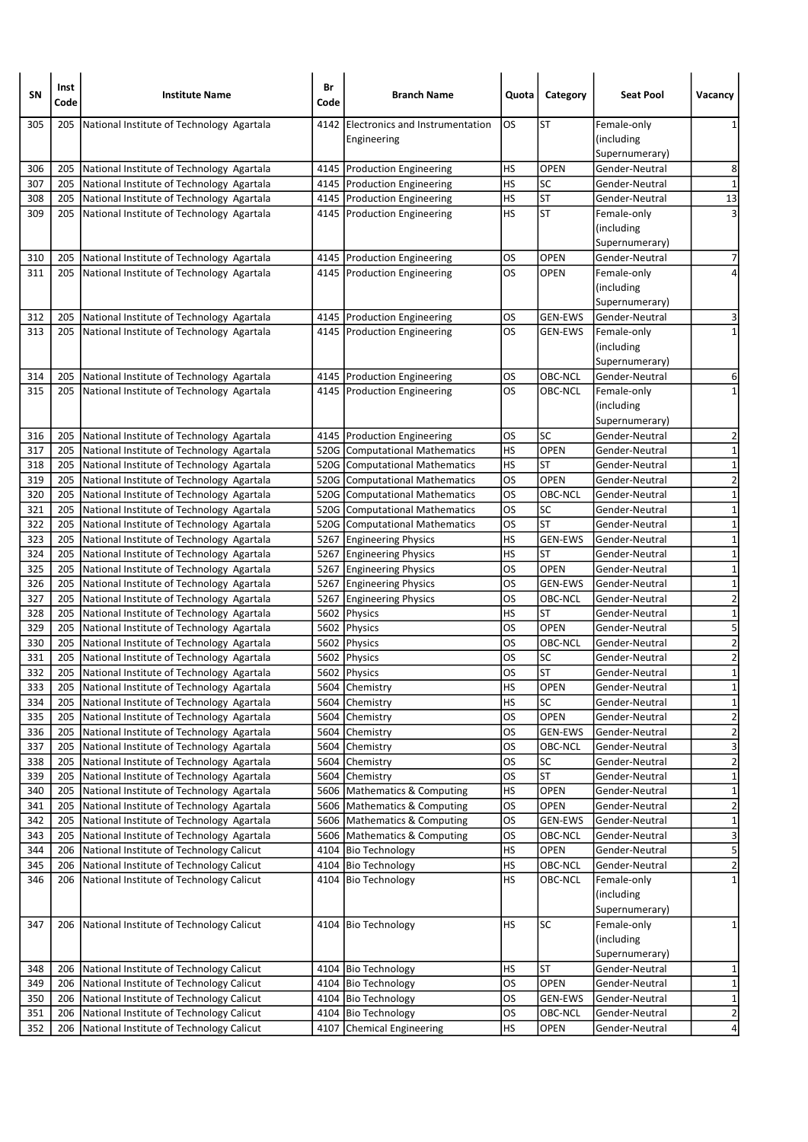| SΝ         | Inst<br>Code | <b>Institute Name</b>                                                                  | Br<br>Code | <b>Branch Name</b>                                               | Quota           | Category                 | <b>Seat Pool</b>                 | Vacancy                       |
|------------|--------------|----------------------------------------------------------------------------------------|------------|------------------------------------------------------------------|-----------------|--------------------------|----------------------------------|-------------------------------|
| 305        | 205          | National Institute of Technology Agartala                                              | 4142       | <b>IElectronics and Instrumentation</b>                          | OS              | <b>ST</b>                | Female-only                      | 1                             |
|            |              |                                                                                        |            | Engineering                                                      |                 |                          | (including)                      |                               |
| 306        | 205          | National Institute of Technology Agartala                                              |            | 4145 Production Engineering                                      | HS              | <b>OPEN</b>              | Supernumerary)<br>Gender-Neutral | 8                             |
| 307        | 205          | National Institute of Technology Agartala                                              |            | 4145   Production Engineering                                    | HS              | SC                       | Gender-Neutral                   | $\mathbf 1$                   |
| 308        | 205          | National Institute of Technology Agartala                                              |            | 4145   Production Engineering                                    | HS              | <b>ST</b>                | Gender-Neutral                   | 13                            |
| 309        | 205          | National Institute of Technology Agartala                                              |            | 4145 Production Engineering                                      | HS              | <b>ST</b>                | Female-only                      | 3                             |
|            |              |                                                                                        |            |                                                                  |                 |                          | (including                       |                               |
|            |              |                                                                                        |            |                                                                  |                 |                          | Supernumerary)                   |                               |
| 310        | 205          | National Institute of Technology Agartala                                              |            | 4145   Production Engineering                                    | OS              | <b>OPEN</b>              | Gender-Neutral                   | $\overline{7}$                |
| 311        | 205          | National Institute of Technology Agartala                                              |            | 4145   Production Engineering                                    | OS              | <b>OPEN</b>              | Female-only                      |                               |
|            |              |                                                                                        |            |                                                                  |                 |                          | (including                       |                               |
| 312        | 205          | National Institute of Technology Agartala                                              |            | 4145   Production Engineering                                    | OS              | <b>GEN-EWS</b>           | Supernumerary)<br>Gender-Neutral | 3                             |
| 313        |              | 205 National Institute of Technology Agartala                                          |            | 4145   Production Engineering                                    | OS              | <b>GEN-EWS</b>           | Female-only                      | $\mathbf{1}$                  |
|            |              |                                                                                        |            |                                                                  |                 |                          | (including                       |                               |
|            |              |                                                                                        |            |                                                                  |                 |                          | Supernumerary)                   |                               |
| 314        | 205          | National Institute of Technology Agartala                                              |            | 4145   Production Engineering                                    | OS              | OBC-NCL                  | Gender-Neutral                   | 6                             |
| 315        | 205          | National Institute of Technology Agartala                                              |            | 4145   Production Engineering                                    | OS              | OBC-NCL                  | Female-only                      | $\mathbf{1}$                  |
|            |              |                                                                                        |            |                                                                  |                 |                          | (including)                      |                               |
|            |              |                                                                                        |            |                                                                  |                 |                          | Supernumerary)                   |                               |
| 316        | 205          | National Institute of Technology Agartala                                              |            | 4145   Production Engineering                                    | OS              | SC                       | Gender-Neutral                   | $\overline{2}$                |
| 317        | 205          | National Institute of Technology Agartala                                              |            | 520G Computational Mathematics                                   | HS              | OPEN                     | Gender-Neutral                   | $\mathbf 1$                   |
| 318<br>319 | 205<br>205   | National Institute of Technology Agartala                                              |            | 520G Computational Mathematics<br>520G Computational Mathematics | HS<br>OS        | <b>ST</b><br><b>OPEN</b> | Gender-Neutral<br>Gender-Neutral | $\mathbf 1$<br>$\overline{2}$ |
| 320        | 205          | National Institute of Technology Agartala<br>National Institute of Technology Agartala |            | 520G Computational Mathematics                                   | los             | OBC-NCL                  | Gender-Neutral                   | $\mathbf{1}$                  |
| 321        | 205          | National Institute of Technology Agartala                                              |            | 520G Computational Mathematics                                   | OS              | SC                       | Gender-Neutral                   | $\mathbf 1$                   |
| 322        | 205          | National Institute of Technology Agartala                                              |            | 520G Computational Mathematics                                   | OS              | <b>ST</b>                | Gender-Neutral                   | $\mathbf 1$                   |
| 323        | 205          | National Institute of Technology Agartala                                              |            | 5267 Engineering Physics                                         | HS              | <b>GEN-EWS</b>           | Gender-Neutral                   | $\mathbf 1$                   |
| 324        | 205          | National Institute of Technology Agartala                                              |            | 5267 Engineering Physics                                         | HS              | <b>ST</b>                | Gender-Neutral                   | $\mathbf 1$                   |
| 325        | 205          | National Institute of Technology Agartala                                              |            | 5267 Engineering Physics                                         | OS              | <b>OPEN</b>              | Gender-Neutral                   | $\overline{1}$                |
| 326        | 205          | National Institute of Technology Agartala                                              |            | 5267 Engineering Physics                                         | OS              | <b>GEN-EWS</b>           | Gender-Neutral                   | $\mathbf 1$                   |
| 327        | 205          | National Institute of Technology Agartala                                              |            | 5267 Engineering Physics                                         | OS              | OBC-NCL                  | Gender-Neutral                   | $\overline{2}$                |
| 328        | 205          | National Institute of Technology Agartala                                              |            | 5602 Physics                                                     | HS              | <b>ST</b>                | Gender-Neutral                   | $\mathbf 1$                   |
| 329        | 205          | National Institute of Technology Agartala                                              |            | 5602 Physics                                                     | OS<br>OS        | OPEN                     | Gender-Neutral                   | 5<br>$\overline{2}$           |
| 330<br>331 | 205<br>205   | National Institute of Technology Agartala<br>National Institute of Technology Agartala |            | 5602 Physics<br>5602 Physics                                     | OS              | OBC-NCL<br>SC            | Gender-Neutral<br>Gender-Neutral | $\overline{2}$                |
| 332        | 205          | National Institute of Technology Agartala                                              |            | 5602 Physics                                                     | OS              | <b>ST</b>                | Gender-Neutral                   | $\mathbf 1$                   |
| 333        | 205          | National Institute of Technology Agartala                                              |            | 5604 Chemistry                                                   | HS              | <b>OPEN</b>              | Gender-Neutral                   | $1\vert$                      |
| 334        | 205          | National Institute of Technology Agartala                                              |            | 5604 Chemistry                                                   | HS              | SC                       | Gender-Neutral                   | $\overline{1}$                |
| 335        | 205          | National Institute of Technology Agartala                                              |            | 5604 Chemistry                                                   | OS              | OPEN                     | Gender-Neutral                   | $\overline{2}$                |
| 336        | 205          | National Institute of Technology Agartala                                              |            | 5604 Chemistry                                                   | <b>OS</b>       | GEN-EWS                  | Gender-Neutral                   | $\overline{2}$                |
| 337        | 205          | National Institute of Technology Agartala                                              |            | 5604 Chemistry                                                   | <b>OS</b>       | OBC-NCL                  | Gender-Neutral                   | ω                             |
| 338        | 205          | National Institute of Technology Agartala                                              |            | 5604 Chemistry                                                   | <b>OS</b>       | SC                       | Gender-Neutral                   | $\overline{\mathbf{c}}$       |
| 339        | 205          | National Institute of Technology Agartala                                              | 5604       | Chemistry                                                        | <b>OS</b>       | <b>ST</b>                | Gender-Neutral                   | $\overline{\mathbf{1}}$       |
| 340        | 205          | National Institute of Technology Agartala                                              | 5606       | Mathematics & Computing                                          | HS<br><b>OS</b> | OPEN                     | Gender-Neutral                   | $\mathbf 1$<br>$\overline{2}$ |
| 341<br>342 | 205<br>205   | National Institute of Technology Agartala<br>National Institute of Technology Agartala |            | 5606   Mathematics & Computing<br>5606 Mathematics & Computing   | <b>OS</b>       | OPEN<br>GEN-EWS          | Gender-Neutral<br>Gender-Neutral | $\overline{\mathbf{1}}$       |
| 343        | 205          | National Institute of Technology Agartala                                              |            | 5606 Mathematics & Computing                                     | <b>OS</b>       | OBC-NCL                  | Gender-Neutral                   | 3                             |
| 344        | 206          | National Institute of Technology Calicut                                               |            | 4104   Bio Technology                                            | HS              | OPEN                     | Gender-Neutral                   | $\overline{\mathbf{5}}$       |
| 345        | 206          | National Institute of Technology Calicut                                               |            | 4104 Bio Technology                                              | <b>HS</b>       | OBC-NCL                  | Gender-Neutral                   | $\overline{2}$                |
| 346        | 206          | National Institute of Technology Calicut                                               |            | 4104 Bio Technology                                              | НS              | OBC-NCL                  | Female-only                      | $\mathbf 1$                   |
|            |              |                                                                                        |            |                                                                  |                 |                          | (including                       |                               |
|            |              |                                                                                        |            |                                                                  |                 |                          | Supernumerary)                   |                               |
| 347        | 206          | National Institute of Technology Calicut                                               |            | 4104 Bio Technology                                              | HS              | SC                       | Female-only                      | $\mathbf{1}$                  |
|            |              |                                                                                        |            |                                                                  |                 |                          | (including                       |                               |
|            |              |                                                                                        |            |                                                                  |                 |                          | Supernumerary)                   |                               |
| 348        | 206          | National Institute of Technology Calicut                                               |            | 4104 Bio Technology                                              | HS<br><b>OS</b> | <b>ST</b><br>OPEN        | Gender-Neutral                   | 1                             |
| 349<br>350 | 206<br>206   | National Institute of Technology Calicut<br>National Institute of Technology Calicut   |            | 4104 Bio Technology<br>4104 Bio Technology                       | OS              | GEN-EWS                  | Gender-Neutral<br>Gender-Neutral | $\mathbf 1$<br>$\mathbf 1$    |
| 351        | 206          | National Institute of Technology Calicut                                               |            | 4104 Bio Technology                                              | <b>OS</b>       | OBC-NCL                  | Gender-Neutral                   | $\overline{2}$                |
| 352        | 206          | National Institute of Technology Calicut                                               | 4107       | Chemical Engineering                                             | НS              | <b>OPEN</b>              | Gender-Neutral                   | $\overline{4}$                |
|            |              |                                                                                        |            |                                                                  |                 |                          |                                  |                               |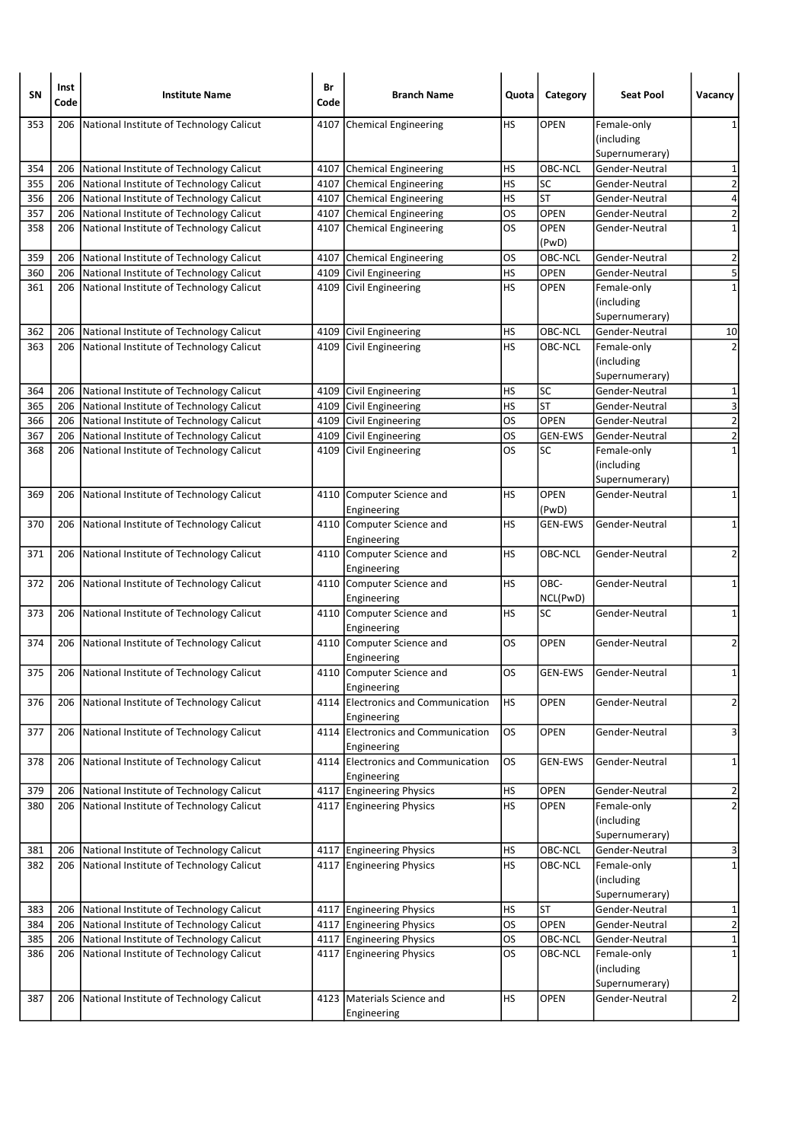| SΝ  | Inst<br>Code | <b>Institute Name</b>                    | Br<br>Code | <b>Branch Name</b>                                | Quota     | Category       | <b>Seat Pool</b> | Vacancy                 |
|-----|--------------|------------------------------------------|------------|---------------------------------------------------|-----------|----------------|------------------|-------------------------|
| 353 | 206          | National Institute of Technology Calicut | 4107       | Chemical Engineering                              | HS        | OPEN           | Female-only      | 1                       |
|     |              |                                          |            |                                                   |           |                | (including       |                         |
|     |              |                                          |            |                                                   |           |                | Supernumerary)   |                         |
| 354 | 206          | National Institute of Technology Calicut |            | 4107 Chemical Engineering                         | HS        | OBC-NCL        | Gender-Neutral   | 1                       |
| 355 | 206          | National Institute of Technology Calicut |            | 4107 Chemical Engineering                         | <b>HS</b> | SC             | Gender-Neutral   | $\overline{\mathbf{c}}$ |
| 356 | 206          | National Institute of Technology Calicut |            | 4107 Chemical Engineering                         | HS        | <b>ST</b>      | Gender-Neutral   | 4                       |
| 357 | 206          | National Institute of Technology Calicut |            | 4107 Chemical Engineering                         | los       | OPEN           | Gender-Neutral   | $\overline{\mathbf{c}}$ |
| 358 | 206          | National Institute of Technology Calicut |            | 4107 Chemical Engineering                         | OS        | OPEN<br>(PwD)  | Gender-Neutral   | $\mathbf 1$             |
| 359 | 206          | National Institute of Technology Calicut |            | 4107 Chemical Engineering                         | OS        | OBC-NCL        | Gender-Neutral   | $\overline{2}$          |
| 360 | 206          | National Institute of Technology Calicut | 4109       | Civil Engineering                                 | HS        | <b>OPEN</b>    | Gender-Neutral   | $\overline{\mathbf{5}}$ |
| 361 | 206          | National Institute of Technology Calicut | 4109       | Civil Engineering                                 | HS        | <b>OPEN</b>    | Female-only      | $\mathbf 1$             |
|     |              |                                          |            |                                                   |           |                | (including       |                         |
|     |              |                                          |            |                                                   |           |                | Supernumerary)   |                         |
| 362 | 206          | National Institute of Technology Calicut |            | 4109 Civil Engineering                            | HS        | OBC-NCL        | Gender-Neutral   | 10                      |
| 363 | 206          | National Institute of Technology Calicut |            | 4109 Civil Engineering                            | HS        | OBC-NCL        | Female-only      | $\overline{2}$          |
|     |              |                                          |            |                                                   |           |                | (including       |                         |
|     |              |                                          |            |                                                   |           |                | Supernumerary)   |                         |
| 364 | 206          | National Institute of Technology Calicut |            | 4109 Civil Engineering                            | HS        | SC             | Gender-Neutral   | 1                       |
| 365 | 206          | National Institute of Technology Calicut |            | 4109 Civil Engineering                            | HS        | <b>ST</b>      | Gender-Neutral   | 3                       |
| 366 | 206          | National Institute of Technology Calicut |            | 4109 Civil Engineering                            | los       | <b>OPEN</b>    | Gender-Neutral   | $\overline{2}$          |
| 367 | 206          | National Institute of Technology Calicut |            | 4109 Civil Engineering                            | OS        | <b>GEN-EWS</b> | Gender-Neutral   | $\overline{a}$          |
| 368 | 206          | National Institute of Technology Calicut | 4109       | Civil Engineering                                 | OS        | <b>SC</b>      | Female-only      | $\mathbf 1$             |
|     |              |                                          |            |                                                   |           |                | (including       |                         |
|     |              |                                          |            |                                                   |           |                | Supernumerary)   |                         |
| 369 | 206          | National Institute of Technology Calicut |            | 4110 Computer Science and                         | HS        | <b>OPEN</b>    | Gender-Neutral   | $\mathbf 1$             |
|     |              |                                          |            | Engineering                                       |           | (PwD)          |                  |                         |
| 370 | 206          | National Institute of Technology Calicut |            | 4110 Computer Science and                         | HS        | <b>GEN-EWS</b> | Gender-Neutral   | 1                       |
|     |              |                                          |            | Engineering<br>4110 Computer Science and          |           |                |                  |                         |
| 371 | 206          | National Institute of Technology Calicut |            |                                                   | HS        | OBC-NCL        | Gender-Neutral   | 2                       |
| 372 | 206          | National Institute of Technology Calicut |            | Engineering<br>4110 Computer Science and          | <b>HS</b> | OBC-           | Gender-Neutral   | $\mathbf 1$             |
|     |              |                                          |            | Engineering                                       |           | NCL(PwD)       |                  |                         |
| 373 | 206          | National Institute of Technology Calicut |            | 4110 Computer Science and                         | HS        | SC             | Gender-Neutral   | 1                       |
|     |              |                                          |            | Engineering                                       |           |                |                  |                         |
| 374 | 206          | National Institute of Technology Calicut |            | 4110 Computer Science and                         | OS        | <b>OPEN</b>    | Gender-Neutral   | 2                       |
|     |              |                                          |            | Engineering                                       |           |                |                  |                         |
| 375 | 206          | National Institute of Technology Calicut |            | 4110 Computer Science and                         | OS        | <b>GEN-EWS</b> | Gender-Neutral   | 1                       |
|     |              |                                          |            | Engineering                                       |           |                |                  |                         |
| 376 | 206          | National Institute of Technology Calicut | 4114       | Electronics and Communication                     | <b>HS</b> | OPEN           | Gender-Neutral   | $\overline{\mathbf{c}}$ |
|     |              |                                          |            | Engineering                                       |           |                |                  |                         |
| 377 | 206          | National Institute of Technology Calicut |            | 4114 Electronics and Communication                | OS        | OPEN           | Gender-Neutral   | 3                       |
| 378 | 206          | National Institute of Technology Calicut |            | Engineering<br>4114 Electronics and Communication | OS        | <b>GEN-EWS</b> | Gender-Neutral   | $\mathbf 1$             |
|     |              |                                          |            | Engineering                                       |           |                |                  |                         |
| 379 | 206          | National Institute of Technology Calicut |            | 4117 Engineering Physics                          | <b>HS</b> | OPEN           | Gender-Neutral   | $\overline{\mathbf{c}}$ |
| 380 | 206          | National Institute of Technology Calicut |            | 4117 Engineering Physics                          | <b>HS</b> | <b>OPEN</b>    | Female-only      | $\overline{2}$          |
|     |              |                                          |            |                                                   |           |                | (including       |                         |
|     |              |                                          |            |                                                   |           |                | Supernumerary)   |                         |
| 381 | 206          | National Institute of Technology Calicut |            | 4117 Engineering Physics                          | HS        | OBC-NCL        | Gender-Neutral   | $\overline{\mathbf{3}}$ |
| 382 | 206          | National Institute of Technology Calicut |            | 4117 Engineering Physics                          | HS        | OBC-NCL        | Female-only      | $\mathbf 1$             |
|     |              |                                          |            |                                                   |           |                | (including       |                         |
|     |              |                                          |            |                                                   |           |                | Supernumerary)   |                         |
| 383 | 206          | National Institute of Technology Calicut |            | 4117 Engineering Physics                          | HS        | <b>ST</b>      | Gender-Neutral   | 1                       |
| 384 | 206          | National Institute of Technology Calicut |            | 4117 Engineering Physics                          | <b>OS</b> | OPEN           | Gender-Neutral   | $\overline{2}$          |
| 385 | 206          | National Institute of Technology Calicut |            | 4117 Engineering Physics                          | OS        | OBC-NCL        | Gender-Neutral   | $\mathbf 1$             |
| 386 | 206          | National Institute of Technology Calicut |            | 4117 Engineering Physics                          | OS        | OBC-NCL        | Female-only      | $\mathbf 1$             |
|     |              |                                          |            |                                                   |           |                | (including       |                         |
|     |              |                                          |            |                                                   |           |                | Supernumerary)   |                         |
| 387 | 206          | National Institute of Technology Calicut |            | 4123 Materials Science and                        | <b>HS</b> | <b>OPEN</b>    | Gender-Neutral   | $\overline{\mathbf{c}}$ |
|     |              |                                          |            | Engineering                                       |           |                |                  |                         |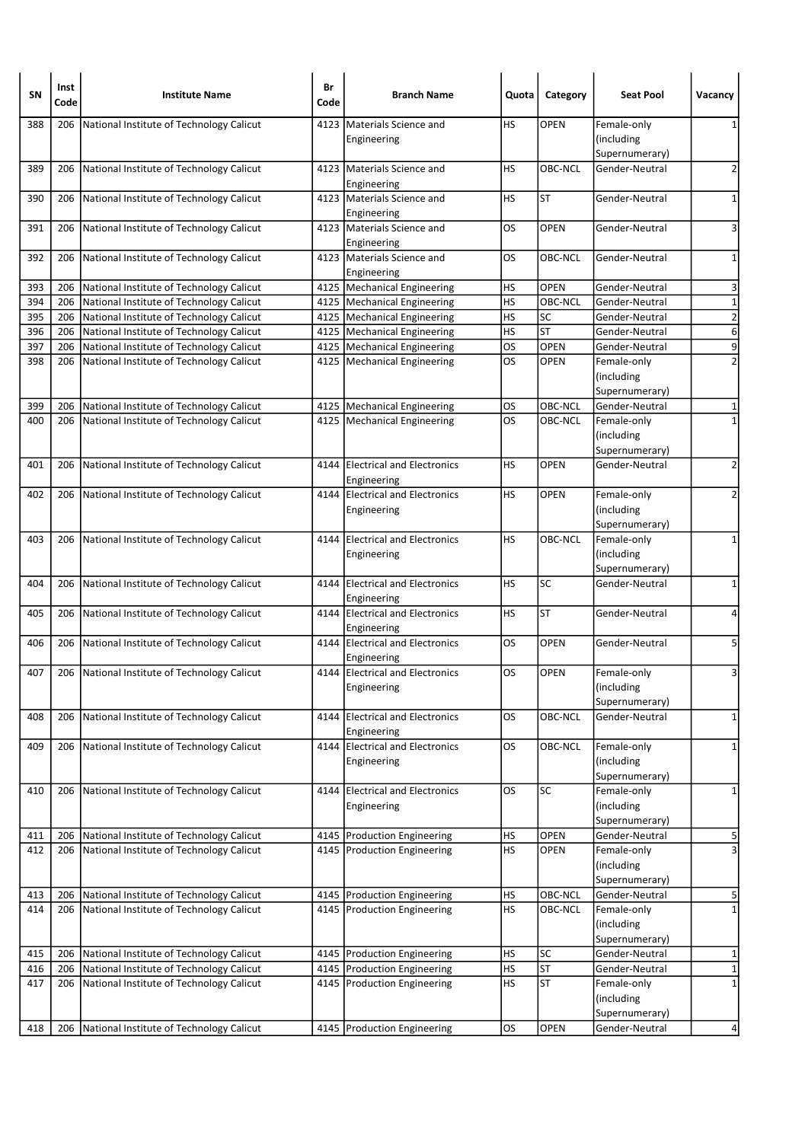| <b>SN</b> | Inst<br>Code | <b>Institute Name</b>                        | Br<br>Code | <b>Branch Name</b>                             | Quota     | Category                 | <b>Seat Pool</b> | Vacancy        |
|-----------|--------------|----------------------------------------------|------------|------------------------------------------------|-----------|--------------------------|------------------|----------------|
| 388       | 206          | National Institute of Technology Calicut     | 4123       | Materials Science and                          | HS        | <b>OPEN</b>              | Female-only      | 1              |
|           |              |                                              |            | Engineering                                    |           |                          | (including       |                |
|           |              |                                              |            |                                                |           |                          | Supernumerary)   |                |
| 389       | 206          | National Institute of Technology Calicut     |            | 4123 Materials Science and<br>Engineering      | <b>HS</b> | OBC-NCL                  | Gender-Neutral   | $\overline{2}$ |
| 390       | 206          | National Institute of Technology Calicut     | 4123       | Materials Science and<br>Engineering           | HS        | <b>ST</b>                | Gender-Neutral   | 1              |
| 391       | 206          | National Institute of Technology Calicut     |            | 4123   Materials Science and<br>Engineering    | <b>OS</b> | <b>OPEN</b>              | Gender-Neutral   | 3              |
| 392       | 206          | National Institute of Technology Calicut     |            | 4123   Materials Science and<br>Engineering    | <b>OS</b> | OBC-NCL                  | Gender-Neutral   | 1              |
| 393       | 206          | National Institute of Technology Calicut     |            | 4125   Mechanical Engineering                  | HS        | <b>OPEN</b>              | Gender-Neutral   | 3              |
| 394       | 206          | National Institute of Technology Calicut     |            | 4125   Mechanical Engineering                  | <b>HS</b> | OBC-NCL                  | Gender-Neutral   | $\mathbf 1$    |
| 395       | 206          | National Institute of Technology Calicut     |            | 4125   Mechanical Engineering                  | HS        | SC                       | Gender-Neutral   | $\overline{2}$ |
| 396       | 206          | National Institute of Technology Calicut     |            | 4125   Mechanical Engineering                  | <b>HS</b> | $\overline{\mathsf{ST}}$ | Gender-Neutral   | $\overline{6}$ |
| 397       | 206          | National Institute of Technology Calicut     |            | 4125   Mechanical Engineering                  | <b>OS</b> | <b>OPEN</b>              | Gender-Neutral   | $\overline{9}$ |
| 398       | 206          | National Institute of Technology Calicut     |            | 4125   Mechanical Engineering                  | <b>OS</b> | <b>OPEN</b>              | Female-only      | $\overline{2}$ |
|           |              |                                              |            |                                                |           |                          | (including       |                |
|           |              |                                              |            |                                                |           |                          | Supernumerary)   |                |
| 399       | 206          | National Institute of Technology Calicut     |            | 4125   Mechanical Engineering                  | OS        | OBC-NCL                  | Gender-Neutral   | 1              |
| 400       | 206          | National Institute of Technology Calicut     |            | 4125   Mechanical Engineering                  | <b>OS</b> | OBC-NCL                  | Female-only      | $\mathbf{1}$   |
|           |              |                                              |            |                                                |           |                          | (including       |                |
|           |              |                                              |            |                                                |           |                          | Supernumerary)   |                |
| 401       | 206          | National Institute of Technology Calicut     |            | 4144 Electrical and Electronics<br>Engineering | HS        | <b>OPEN</b>              | Gender-Neutral   | 2              |
| 402       | 206          | National Institute of Technology Calicut     |            | 4144 Electrical and Electronics                | HS        | OPEN                     | Female-only      | $\overline{2}$ |
|           |              |                                              |            | Engineering                                    |           |                          | (including       |                |
|           |              |                                              |            |                                                |           |                          | Supernumerary)   |                |
| 403       |              | 206 National Institute of Technology Calicut | 4144       | <b>Electrical and Electronics</b>              | <b>HS</b> | OBC-NCL                  | Female-only      | 1              |
|           |              |                                              |            | Engineering                                    |           |                          | (including       |                |
|           |              |                                              |            |                                                |           |                          | Supernumerary)   |                |
| 404       | 206          | National Institute of Technology Calicut     |            | 4144 Electrical and Electronics<br>Engineering | <b>HS</b> | <b>SC</b>                | Gender-Neutral   | 1              |
| 405       | 206          | National Institute of Technology Calicut     |            | 4144 Electrical and Electronics<br>Engineering | HS        | ST                       | Gender-Neutral   | 4              |
| 406       | 206          | National Institute of Technology Calicut     |            | 4144 Electrical and Electronics<br>Engineering | OS.       | <b>OPEN</b>              | Gender-Neutral   | 5              |
| 407       | 206          | National Institute of Technology Calicut     |            | 4144 Electrical and Electronics                | <b>OS</b> | <b>OPEN</b>              | Female-only      | 3              |
|           |              |                                              |            | Engineering                                    |           |                          | (including       |                |
|           |              |                                              |            |                                                |           |                          | Supernumerary)   |                |
| 408       | 206          | National Institute of Technology Calicut     |            | 4144 Electrical and Electronics<br>Engineering | OS        | OBC-NCL                  | Gender-Neutral   | $\mathbf{1}$   |
| 409       | 206          | National Institute of Technology Calicut     |            | 4144 Electrical and Electronics                | los       | OBC-NCL                  | Female-only      | $\mathbf 1$    |
|           |              |                                              |            | Engineering                                    |           |                          | (including       |                |
|           |              |                                              |            |                                                |           |                          | Supernumerary)   |                |
| 410       | 206          | National Institute of Technology Calicut     | 4144       | <b>Electrical and Electronics</b>              | los       | <b>SC</b>                | Female-only      | $\mathbf{1}$   |
|           |              |                                              |            | Engineering                                    |           |                          | (including       |                |
|           |              |                                              |            |                                                |           |                          | Supernumerary)   |                |
| 411       | 206          | National Institute of Technology Calicut     |            | 4145   Production Engineering                  | <b>HS</b> | OPEN                     | Gender-Neutral   | 5              |
| 412       | 206          | National Institute of Technology Calicut     |            | 4145   Production Engineering                  | HS        | <b>OPEN</b>              | Female-only      | 3              |
|           |              |                                              |            |                                                |           |                          | (including       |                |
|           |              |                                              |            |                                                |           |                          | Supernumerary)   |                |
| 413       | 206          | National Institute of Technology Calicut     |            | 4145   Production Engineering                  | <b>HS</b> | OBC-NCL                  | Gender-Neutral   | 5              |
| 414       |              | 206 National Institute of Technology Calicut |            | 4145   Production Engineering                  | <b>HS</b> | OBC-NCL                  | Female-only      | $\mathbf 1$    |
|           |              |                                              |            |                                                |           |                          | (including       |                |
|           |              |                                              |            |                                                |           |                          | Supernumerary)   |                |
| 415       | 206          | National Institute of Technology Calicut     |            | 4145   Production Engineering                  | <b>HS</b> | SC                       | Gender-Neutral   | 1              |
| 416       | 206          | National Institute of Technology Calicut     |            | 4145   Production Engineering                  | <b>HS</b> | <b>ST</b>                | Gender-Neutral   | $\mathbf 1$    |
| 417       | 206          | National Institute of Technology Calicut     |            | 4145   Production Engineering                  | <b>HS</b> | <b>ST</b>                | Female-only      | $\mathbf 1$    |
|           |              |                                              |            |                                                |           |                          | (including       |                |
|           |              |                                              |            |                                                |           |                          | Supernumerary)   |                |
| 418       | 206          | National Institute of Technology Calicut     |            | 4145   Production Engineering                  | <b>OS</b> | OPEN                     | Gender-Neutral   | $\overline{4}$ |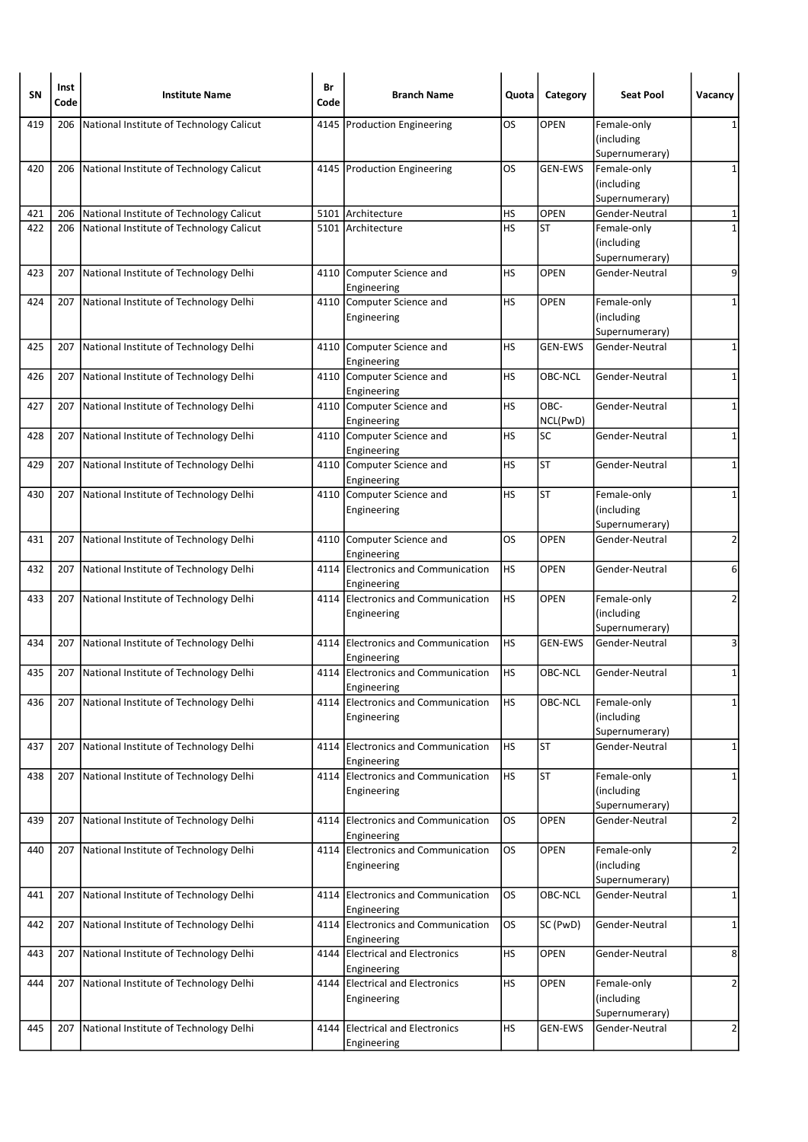| SΝ  | Inst<br>Code | <b>Institute Name</b>                        | Br<br>Code | <b>Branch Name</b>                                | Quota     | Category         | <b>Seat Pool</b>                            | Vacancy        |
|-----|--------------|----------------------------------------------|------------|---------------------------------------------------|-----------|------------------|---------------------------------------------|----------------|
| 419 | 206          | National Institute of Technology Calicut     |            | 4145   Production Engineering                     | OS        | <b>OPEN</b>      | Female-only<br>(including<br>Supernumerary) | 1              |
| 420 |              | 206 National Institute of Technology Calicut |            | 4145 Production Engineering                       | OS        | <b>GEN-EWS</b>   | Female-only<br>(including<br>Supernumerary) | 1              |
| 421 | 206          | National Institute of Technology Calicut     |            | 5101 Architecture                                 | HS        | OPEN             | Gender-Neutral                              | 1              |
| 422 | 206          | National Institute of Technology Calicut     |            | 5101 Architecture                                 | <b>HS</b> | ST               | Female-only                                 | $\mathbf{1}$   |
|     |              |                                              |            |                                                   |           |                  | (including<br>Supernumerary)                |                |
| 423 | 207          | National Institute of Technology Delhi       |            | 4110 Computer Science and<br>Engineering          | HS        | <b>OPEN</b>      | Gender-Neutral                              | 9              |
| 424 | 207          | National Institute of Technology Delhi       |            | 4110 Computer Science and<br>Engineering          | HS        | <b>OPEN</b>      | Female-only<br>(including<br>Supernumerary) | 1              |
| 425 | 207          | National Institute of Technology Delhi       |            | 4110 Computer Science and<br>Engineering          | HS        | <b>GEN-EWS</b>   | Gender-Neutral                              | $\mathbf{1}$   |
| 426 | 207          | National Institute of Technology Delhi       |            | 4110 Computer Science and<br>Engineering          | НS        | OBC-NCL          | Gender-Neutral                              | 1              |
| 427 | 207          | National Institute of Technology Delhi       |            | 4110 Computer Science and<br>Engineering          | HS        | OBC-<br>NCL(PwD) | Gender-Neutral                              | $\mathbf{1}$   |
| 428 | 207          | National Institute of Technology Delhi       |            | 4110 Computer Science and<br>Engineering          | HS        | SC               | Gender-Neutral                              | 1              |
| 429 | 207          | National Institute of Technology Delhi       |            | 4110 Computer Science and<br>Engineering          | HS        | ST               | Gender-Neutral                              | 1              |
| 430 |              | 207 National Institute of Technology Delhi   |            | 4110 Computer Science and<br>Engineering          | <b>HS</b> | <b>ST</b>        | Female-only<br>(including<br>Supernumerary) | 1              |
| 431 | 207          | National Institute of Technology Delhi       |            | 4110 Computer Science and<br>Engineering          | OS        | <b>OPEN</b>      | Gender-Neutral                              | $\overline{2}$ |
| 432 | 207          | National Institute of Technology Delhi       |            | 4114 Electronics and Communication<br>Engineering | HS        | <b>OPEN</b>      | Gender-Neutral                              | 6              |
| 433 | 207          | National Institute of Technology Delhi       |            | 4114 Electronics and Communication<br>Engineering | HS        | <b>OPEN</b>      | Female-only<br>(including<br>Supernumerary) | 2              |
| 434 | 207          | National Institute of Technology Delhi       |            | 4114 Electronics and Communication<br>Engineering | HS        | <b>GEN-EWS</b>   | Gender-Neutral                              | 3              |
| 435 | 207          | National Institute of Technology Delhi       |            | 4114 Electronics and Communication<br>Engineering | HS        | OBC-NCL          | Gender-Neutral                              | 1              |
| 436 | 207          | National Institute of Technology Delhi       |            | 4114 Electronics and Communication<br>Engineering | <b>HS</b> | <b>OBC-NCL</b>   | Female-only<br>(including<br>Supernumerary) | 1              |
| 437 | 207          | National Institute of Technology Delhi       |            | 4114 Electronics and Communication<br>Engineering | <b>HS</b> | <b>ST</b>        | Gender-Neutral                              | $\mathbf{1}$   |
| 438 | 207          | National Institute of Technology Delhi       | 4114       | Electronics and Communication<br>Engineering      | HS        | <b>ST</b>        | Female-only<br>(including<br>Supernumerary) | 1              |
| 439 | 207          | National Institute of Technology Delhi       |            | 4114 Electronics and Communication<br>Engineering | OS        | <b>OPEN</b>      | Gender-Neutral                              | $\overline{2}$ |
| 440 | 207          | National Institute of Technology Delhi       |            | 4114 Electronics and Communication<br>Engineering | los       | <b>OPEN</b>      | Female-only<br>(including<br>Supernumerary) | 2              |
| 441 | 207          | National Institute of Technology Delhi       |            | 4114 Electronics and Communication<br>Engineering | OS        | OBC-NCL          | Gender-Neutral                              | 1              |
| 442 | 207          | National Institute of Technology Delhi       |            | 4114 Electronics and Communication<br>Engineering | OS        | SC (PwD)         | Gender-Neutral                              | $\mathbf{1}$   |
| 443 | 207          | National Institute of Technology Delhi       | 4144       | <b>Electrical and Electronics</b><br>Engineering  | <b>HS</b> | OPEN             | Gender-Neutral                              | 8              |
| 444 | 207          | National Institute of Technology Delhi       |            | 4144 Electrical and Electronics<br>Engineering    | HS        | OPEN             | Female-only<br>(including<br>Supernumerary) | $\overline{2}$ |
| 445 | 207          | National Institute of Technology Delhi       | 4144       | <b>Electrical and Electronics</b><br>Engineering  | <b>HS</b> | <b>GEN-EWS</b>   | Gender-Neutral                              | $\overline{2}$ |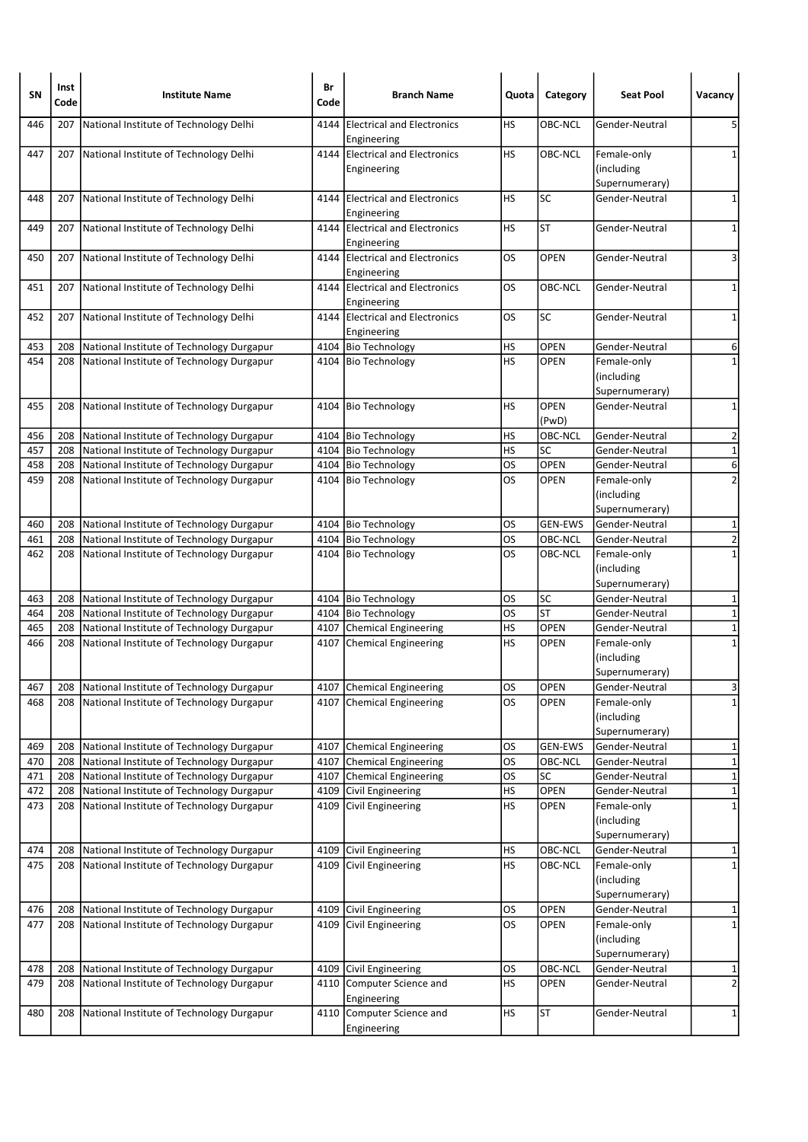| <b>SN</b> | Inst<br>Code | <b>Institute Name</b>                     | Br<br>Code | <b>Branch Name</b>                                | Quota     | Category             | <b>Seat Pool</b>                            | Vacancy                 |
|-----------|--------------|-------------------------------------------|------------|---------------------------------------------------|-----------|----------------------|---------------------------------------------|-------------------------|
| 446       | 207          | National Institute of Technology Delhi    | 4144       | <b>IElectrical and Electronics</b><br>Engineering | HS        | OBC-NCL              | Gender-Neutral                              | 5                       |
| 447       | 207          | National Institute of Technology Delhi    |            | 4144 Electrical and Electronics<br>Engineering    | HS        | OBC-NCL              | Female-only<br>(including<br>Supernumerary) | 1                       |
| 448       | 207          | National Institute of Technology Delhi    | 4144       | <b>Electrical and Electronics</b><br>Engineering  | HS        | <b>SC</b>            | Gender-Neutral                              | 1                       |
| 449       | 207          | National Institute of Technology Delhi    |            | 4144 Electrical and Electronics<br>Engineering    | HS        | <b>ST</b>            | Gender-Neutral                              | 1                       |
| 450       | 207          | National Institute of Technology Delhi    |            | 4144 Electrical and Electronics<br>Engineering    | OS        | <b>OPEN</b>          | Gender-Neutral                              | 3                       |
| 451       | 207          | National Institute of Technology Delhi    |            | 4144 Electrical and Electronics<br>Engineering    | OS        | OBC-NCL              | Gender-Neutral                              | $\mathbf 1$             |
| 452       | 207          | National Institute of Technology Delhi    |            | 4144 Electrical and Electronics<br>Engineering    | OS        | <b>SC</b>            | Gender-Neutral                              | 1                       |
| 453       | 208          | National Institute of Technology Durgapur |            | 4104 Bio Technology                               | HS        | <b>OPEN</b>          | Gender-Neutral                              | 6                       |
| 454       | 208          | National Institute of Technology Durgapur |            | 4104 Bio Technology                               | HS        | <b>OPEN</b>          | Female-only<br>(including<br>Supernumerary) | $\mathbf 1$             |
| 455       | 208          | National Institute of Technology Durgapur |            | 4104 Bio Technology                               | HS        | <b>OPEN</b><br>(PwD) | Gender-Neutral                              | $\mathbf 1$             |
| 456       | 208          | National Institute of Technology Durgapur |            | 4104 Bio Technology                               | НS        | OBC-NCL              | Gender-Neutral                              | $\overline{\mathbf{c}}$ |
| 457       | 208          | National Institute of Technology Durgapur |            | 4104 Bio Technology                               | HS        | <b>SC</b>            | Gender-Neutral                              | $\mathbf 1$             |
| 458       | 208          | National Institute of Technology Durgapur |            | 4104 Bio Technology                               | OS        | <b>OPEN</b>          | Gender-Neutral                              | 6                       |
| 459       | 208          | National Institute of Technology Durgapur |            | 4104 Bio Technology                               | OS        | OPEN                 | Female-only<br>(including<br>Supernumerary) | $\overline{2}$          |
| 460       | 208          | National Institute of Technology Durgapur |            | 4104 Bio Technology                               | OS        | <b>GEN-EWS</b>       | Gender-Neutral                              | $\mathbf{1}$            |
| 461       | 208          | National Institute of Technology Durgapur |            | 4104 Bio Technology                               | OS        | <b>OBC-NCL</b>       | Gender-Neutral                              | 2                       |
| 462       | 208          | National Institute of Technology Durgapur |            | 4104 Bio Technology                               | OS        | OBC-NCL              | Female-only<br>(including<br>Supernumerary) | $\mathbf{1}$            |
| 463       | 208          | National Institute of Technology Durgapur |            | 4104 Bio Technology                               | OS        | SC                   | Gender-Neutral                              | 1                       |
| 464       | 208          | National Institute of Technology Durgapur |            | 4104 Bio Technology                               | OS        | <b>ST</b>            | Gender-Neutral                              | $\mathbf 1$             |
| 465       | 208          | National Institute of Technology Durgapur |            | 4107 Chemical Engineering                         | HS        | <b>OPEN</b>          | Gender-Neutral                              | $\mathbf 1$             |
| 466       | 208          | National Institute of Technology Durgapur |            | 4107 Chemical Engineering                         | HS        | <b>OPEN</b>          | Female-only<br>(including<br>Supernumerary) | $\mathbf{1}$            |
| 467       | 208          | National Institute of Technology Durgapur |            | 4107 Chemical Engineering                         | OS        | <b>OPEN</b>          | Gender-Neutral                              | $\overline{3}$          |
| 468       | 208          | National Institute of Technology Durgapur |            | 4107 Chemical Engineering                         | OS        | <b>OPEN</b>          | Female-only<br>(including<br>Supernumerary) | $\mathbf{1}$            |
| 469       | 208          | National Institute of Technology Durgapur |            | 4107 Chemical Engineering                         | OS        | <b>GEN-EWS</b>       | Gender-Neutral                              | 1                       |
| 470       | 208          | National Institute of Technology Durgapur |            | 4107 Chemical Engineering                         | <b>OS</b> | OBC-NCL              | Gender-Neutral                              | $\mathbf 1$             |
| 471       | 208          | National Institute of Technology Durgapur | 4107       | Chemical Engineering                              | <b>OS</b> | SC                   | Gender-Neutral                              | $\mathbf{1}$            |
| 472       | 208          | National Institute of Technology Durgapur | 4109       | Civil Engineering                                 | HS        | OPEN                 | Gender-Neutral                              | $\mathbf 1$             |
| 473       | 208          | National Institute of Technology Durgapur |            | 4109 Civil Engineering                            | <b>HS</b> | <b>OPEN</b>          | Female-only<br>(including<br>Supernumerary) | $\mathbf 1$             |
| 474       | 208          | National Institute of Technology Durgapur | 4109       | Civil Engineering                                 | HS        | OBC-NCL              | Gender-Neutral                              | 1                       |
| 475       | 208          | National Institute of Technology Durgapur |            | 4109 Civil Engineering                            | <b>HS</b> | OBC-NCL              | Female-only<br>(including<br>Supernumerary) | $\mathbf 1$             |
| 476       | 208          | National Institute of Technology Durgapur |            | 4109 Civil Engineering                            | OS        | OPEN                 | Gender-Neutral                              | 1                       |
| 477       | 208          | National Institute of Technology Durgapur |            | 4109 Civil Engineering                            | los       | <b>OPEN</b>          | Female-only<br>(including<br>Supernumerary) | $\mathbf{1}$            |
| 478       | 208          | National Institute of Technology Durgapur |            | 4109 Civil Engineering                            | <b>OS</b> | OBC-NCL              | Gender-Neutral                              | 1                       |
| 479       | 208          | National Institute of Technology Durgapur |            | 4110 Computer Science and<br>Engineering          | <b>HS</b> | OPEN                 | Gender-Neutral                              | $\overline{\mathbf{c}}$ |
| 480       | 208          | National Institute of Technology Durgapur |            | 4110 Computer Science and<br>Engineering          | <b>HS</b> | <b>ST</b>            | Gender-Neutral                              | $\mathbf{1}$            |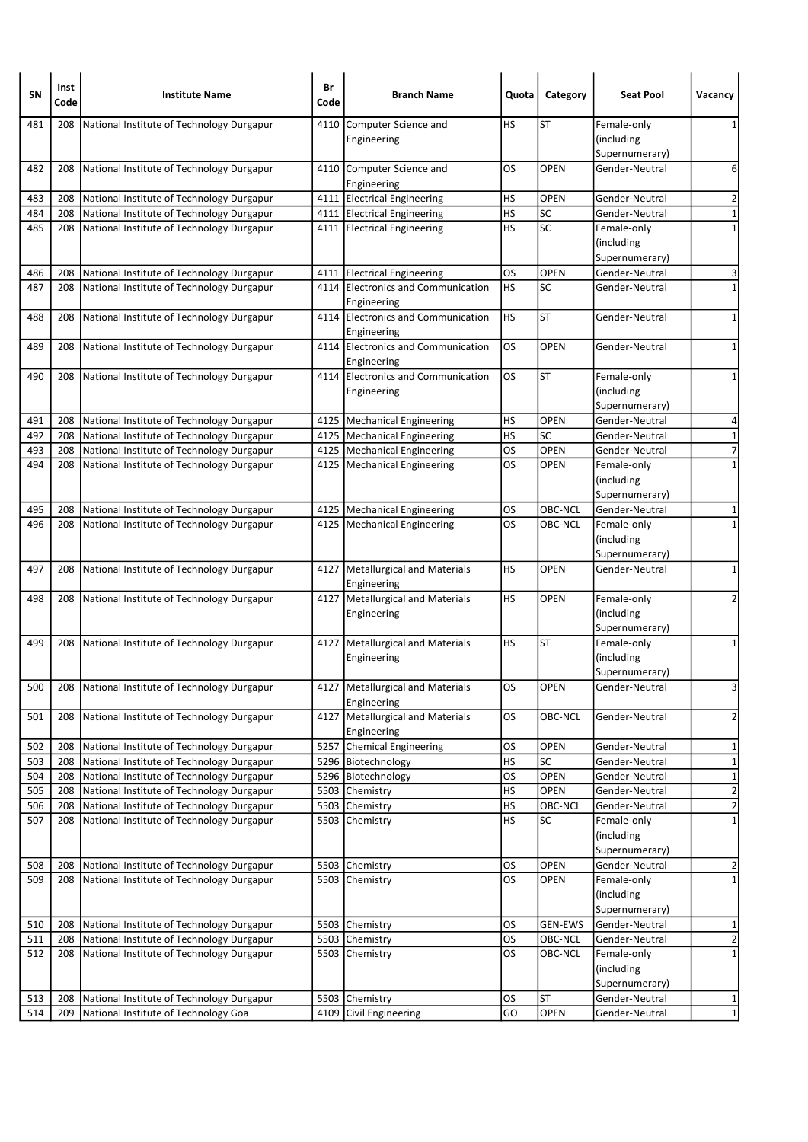| SΝ  | Inst<br>Code | <b>Institute Name</b>                         | Br<br>Code | <b>Branch Name</b>                                | Quota     | Category       | <b>Seat Pool</b>                            | Vacancy                 |
|-----|--------------|-----------------------------------------------|------------|---------------------------------------------------|-----------|----------------|---------------------------------------------|-------------------------|
| 481 | 208          | National Institute of Technology Durgapur     | 4110       | Computer Science and<br>Engineering               | HS        | <b>ST</b>      | Female-only<br>(including<br>Supernumerary) | 1                       |
| 482 | 208          | National Institute of Technology Durgapur     |            | 4110 Computer Science and<br>Engineering          | OS        | <b>OPEN</b>    | Gender-Neutral                              | 6                       |
| 483 | 208          | National Institute of Technology Durgapur     |            | 4111 Electrical Engineering                       | HS        | <b>OPEN</b>    | Gender-Neutral                              | 2                       |
| 484 | 208          | National Institute of Technology Durgapur     |            | 4111 Electrical Engineering                       | <b>HS</b> | SC             | Gender-Neutral                              | $\mathbf 1$             |
| 485 | 208          | National Institute of Technology Durgapur     |            | 4111 Electrical Engineering                       | HS        | <b>SC</b>      | Female-only<br>(including<br>Supernumerary) | $\mathbf 1$             |
| 486 | 208          | National Institute of Technology Durgapur     |            | 4111 Electrical Engineering                       | OS        | <b>OPEN</b>    | Gender-Neutral                              | 3                       |
| 487 | 208          | National Institute of Technology Durgapur     | 4114       | Electronics and Communication<br>Engineering      | HS        | <b>SC</b>      | Gender-Neutral                              | $\mathbf 1$             |
| 488 | 208          | National Institute of Technology Durgapur     |            | 4114 Electronics and Communication<br>Engineering | HS        | <b>ST</b>      | Gender-Neutral                              | $\mathbf 1$             |
| 489 | 208          | National Institute of Technology Durgapur     |            | 4114 Electronics and Communication<br>Engineering | OS        | <b>OPEN</b>    | Gender-Neutral                              | 1                       |
| 490 | 208          | National Institute of Technology Durgapur     | 4114       | Electronics and Communication<br>Engineering      | los       | <b>ST</b>      | Female-only<br>(including<br>Supernumerary) | 1                       |
| 491 | 208          | National Institute of Technology Durgapur     |            | 4125   Mechanical Engineering                     | <b>HS</b> | <b>OPEN</b>    | Gender-Neutral                              | 4                       |
| 492 | 208          | National Institute of Technology Durgapur     |            | 4125   Mechanical Engineering                     | <b>HS</b> | SC             | Gender-Neutral                              | $\mathbf 1$             |
| 493 | 208          | National Institute of Technology Durgapur     |            | 4125   Mechanical Engineering                     | OS        | OPEN           | Gender-Neutral                              | $\overline{7}$          |
| 494 | 208          | National Institute of Technology Durgapur     |            | 4125   Mechanical Engineering                     | OS        | <b>OPEN</b>    | Female-only<br>(including<br>Supernumerary) | $\mathbf{1}$            |
| 495 | 208          | National Institute of Technology Durgapur     |            | 4125   Mechanical Engineering                     | OS        | OBC-NCL        | Gender-Neutral                              | 1                       |
| 496 | 208          | National Institute of Technology Durgapur     |            | 4125   Mechanical Engineering                     | OS        | OBC-NCL        | Female-only<br>(including<br>Supernumerary) | $\mathbf{1}$            |
| 497 | 208          | National Institute of Technology Durgapur     |            | 4127   Metallurgical and Materials<br>Engineering | HS        | <b>OPEN</b>    | Gender-Neutral                              | 1                       |
| 498 | 208          | National Institute of Technology Durgapur     |            | 4127 Metallurgical and Materials<br>Engineering   | HS        | <b>OPEN</b>    | Female-only<br>(including<br>Supernumerary) | 2                       |
| 499 | 208          | National Institute of Technology Durgapur     |            | 4127   Metallurgical and Materials<br>Engineering | HS        | ST             | Female-only<br>(including<br>Supernumerary) | 1                       |
| 500 |              | 208 National Institute of Technology Durgapur |            | 4127   Metallurgical and Materials<br>Engineering | <b>OS</b> | <b>OPEN</b>    | Gender-Neutral                              | 3                       |
| 501 | 208          | National Institute of Technology Durgapur     | 4127       | Metallurgical and Materials<br>Engineering        | OS        | OBC-NCL        | Gender-Neutral                              | $\overline{\mathbf{c}}$ |
| 502 | 208          | National Institute of Technology Durgapur     |            | 5257 Chemical Engineering                         | <b>OS</b> | OPEN           | Gender-Neutral                              | 1                       |
| 503 | 208          | National Institute of Technology Durgapur     |            | 5296 Biotechnology                                | HS        | SC             | Gender-Neutral                              | $\mathbf{1}$            |
| 504 | 208          | National Institute of Technology Durgapur     |            | 5296 Biotechnology                                | OS        | OPEN           | Gender-Neutral                              | $\mathbf 1$             |
| 505 | 208          | National Institute of Technology Durgapur     |            | 5503 Chemistry                                    | HS        | <b>OPEN</b>    | Gender-Neutral                              | $\overline{2}$          |
| 506 | 208          | National Institute of Technology Durgapur     |            | 5503 Chemistry                                    | HS        | OBC-NCL        | Gender-Neutral                              | $\overline{2}$          |
| 507 | 208          | National Institute of Technology Durgapur     |            | 5503 Chemistry                                    | <b>HS</b> | SC             | Female-only<br>(including<br>Supernumerary) | $\overline{1}$          |
| 508 | 208          | National Institute of Technology Durgapur     |            | 5503 Chemistry                                    | OS        | OPEN           | Gender-Neutral                              | $\overline{\mathbf{c}}$ |
| 509 | 208          | National Institute of Technology Durgapur     |            | 5503 Chemistry                                    | los       | <b>OPEN</b>    | Female-only<br>(including<br>Supernumerary) | $\mathbf 1$             |
| 510 | 208          | National Institute of Technology Durgapur     |            | 5503 Chemistry                                    | OS        | <b>GEN-EWS</b> | Gender-Neutral                              | 1                       |
| 511 | 208          | National Institute of Technology Durgapur     |            | 5503 Chemistry                                    | <b>OS</b> | OBC-NCL        | Gender-Neutral                              | $\overline{\mathbf{c}}$ |
| 512 | 208          | National Institute of Technology Durgapur     |            | 5503 Chemistry                                    | OS        | OBC-NCL        | Female-only<br>(including<br>Supernumerary) | $\mathbf 1$             |
| 513 | 208          | National Institute of Technology Durgapur     |            | 5503 Chemistry                                    | <b>OS</b> | <b>ST</b>      | Gender-Neutral                              | 1                       |
| 514 | 209          | National Institute of Technology Goa          |            | 4109 Civil Engineering                            | GO        | <b>OPEN</b>    | Gender-Neutral                              | $\mathbf 1$             |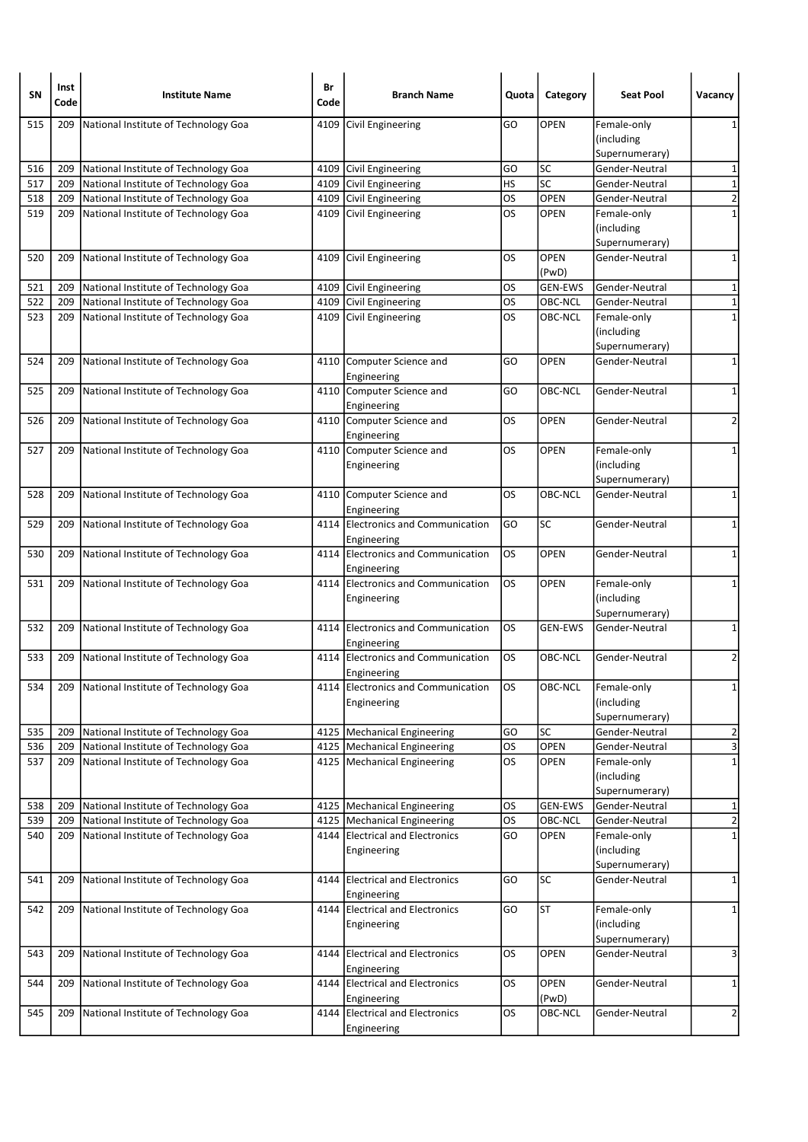| 515<br>National Institute of Technology Goa<br>GO<br><b>OPEN</b><br>209<br>4109<br>Civil Engineering<br>Female-only<br>1<br>(including<br>Supernumerary)<br><b>SC</b><br>516<br>4109 Civil Engineering<br>Gender-Neutral<br>209<br>National Institute of Technology Goa<br>GO<br>1<br>SC<br>$\mathbf 1$<br>HS<br>517<br>209<br>National Institute of Technology Goa<br>4109 Civil Engineering<br>Gender-Neutral<br>$\overline{\mathbf{c}}$<br><b>OPEN</b><br>518<br>National Institute of Technology Goa<br>Civil Engineering<br>OS<br>209<br>4109<br>Gender-Neutral<br>519<br>National Institute of Technology Goa<br>4109 Civil Engineering<br>OS<br><b>OPEN</b><br>$\mathbf 1$<br>209<br>Female-only<br>(including<br>Supernumerary)<br>OS<br><b>OPEN</b><br>520<br>National Institute of Technology Goa<br>Civil Engineering<br>Gender-Neutral<br>1<br>209<br>4109<br>(PwD)<br>Civil Engineering<br><b>GEN-EWS</b><br>521<br>209<br>National Institute of Technology Goa<br>4109<br>OS<br>Gender-Neutral<br>1<br>522<br>National Institute of Technology Goa<br>4109 Civil Engineering<br>OS<br>OBC-NCL<br>$\mathbf 1$<br>209<br>Gender-Neutral<br>OS<br>$\mathbf 1$<br>523<br>209<br>National Institute of Technology Goa<br>4109 Civil Engineering<br>OBC-NCL<br>Female-only<br>(including<br>Supernumerary)<br><b>OPEN</b><br>524<br>209<br>National Institute of Technology Goa<br>4110<br>Computer Science and<br>GO<br>Gender-Neutral<br>1<br>Engineering<br>4110 Computer Science and<br>National Institute of Technology Goa<br>OBC-NCL<br>525<br>209<br>GO<br>Gender-Neutral<br>1<br>Engineering<br>OS<br><b>OPEN</b><br>2<br>526<br>209<br>National Institute of Technology Goa<br>4110 Computer Science and<br>Gender-Neutral<br>Engineering<br>4110 Computer Science and<br>National Institute of Technology Goa<br>OS<br>OPEN<br>527<br>Female-only<br>1<br>209<br>(including<br>Engineering<br>Supernumerary)<br>$\mathbf 1$<br>4110 Computer Science and<br>OS<br>OBC-NCL<br>Gender-Neutral<br>528<br>209<br>National Institute of Technology Goa<br>Engineering<br>Electronics and Communication<br>SC<br>529<br>National Institute of Technology Goa<br>4114<br>GO<br>Gender-Neutral<br>1<br>209<br>Engineering<br>4114 Electronics and Communication<br>209<br>National Institute of Technology Goa<br>OS<br><b>OPEN</b><br>Gender-Neutral<br>1<br>530<br>Engineering<br>4114 Electronics and Communication<br>OS<br><b>OPEN</b><br>531<br>209 National Institute of Technology Goa<br>Female-only<br>1<br>(including<br>Engineering<br>Supernumerary)<br>Electronics and Communication<br>532<br>National Institute of Technology Goa<br>OS<br><b>GEN-EWS</b><br>Gender-Neutral<br>1<br>209<br>4114<br>Engineering<br>$\overline{2}$<br>National Institute of Technology Goa<br>4114 Electronics and Communication<br>OS<br>OBC-NCL<br>Gender-Neutral<br>533<br>209<br>Engineering<br>209 National Institute of Technology Goa<br>4114 Electronics and Communication<br>los<br>OBC-NCL<br>Female-only<br>534<br>$1\vert$<br>(including<br>Engineering<br>Supernumerary)<br><b>SC</b><br>$\overline{\mathbf{c}}$<br>535<br>209<br>National Institute of Technology Goa<br>4125   Mechanical Engineering<br>GO<br>Gender-Neutral<br>3<br><b>OS</b><br>OPEN<br>536<br>209<br>National Institute of Technology Goa<br>4125   Mechanical Engineering<br>Gender-Neutral<br>OS<br>$\mathbf{1}$<br>537<br>National Institute of Technology Goa<br>4125   Mechanical Engineering<br><b>OPEN</b><br>Female-only<br>209<br>(including<br>Supernumerary)<br><b>OS</b><br><b>GEN-EWS</b><br>538<br>209<br>National Institute of Technology Goa<br>4125   Mechanical Engineering<br>Gender-Neutral<br>1<br>$\overline{2}$<br>National Institute of Technology Goa<br><b>OS</b><br>OBC-NCL<br>539<br>209<br>4125   Mechanical Engineering<br>Gender-Neutral<br>National Institute of Technology Goa<br>4144 Electrical and Electronics<br>GO<br><b>OPEN</b><br>Female-only<br>$\mathbf 1$<br>540<br>209<br>(including<br>Engineering<br>Supernumerary)<br><b>SC</b><br>National Institute of Technology Goa<br><b>Electrical and Electronics</b><br>GO<br>541<br>209<br>4144<br>Gender-Neutral<br>1<br>Engineering<br><b>ST</b><br>542<br>National Institute of Technology Goa<br>4144 Electrical and Electronics<br>GO<br>Female-only<br>$\mathbf 1$<br>209<br>(including<br>Engineering<br>Supernumerary)<br>209<br>National Institute of Technology Goa<br><b>Electrical and Electronics</b><br>OS<br>OPEN<br>3<br>543<br>4144<br>Gender-Neutral<br>Engineering<br>National Institute of Technology Goa<br>4144 Electrical and Electronics<br><b>OS</b><br>OPEN<br>544<br>209<br>Gender-Neutral<br>1<br>(PwD)<br>Engineering<br>4144 Electrical and Electronics<br>545<br>National Institute of Technology Goa<br>OS<br>OBC-NCL<br>$\overline{2}$<br>209<br>Gender-Neutral<br>Engineering | SΝ | Inst<br>Code | <b>Institute Name</b> | Br<br>Code | <b>Branch Name</b> | Quota | Category | <b>Seat Pool</b> | Vacancy |
|------------------------------------------------------------------------------------------------------------------------------------------------------------------------------------------------------------------------------------------------------------------------------------------------------------------------------------------------------------------------------------------------------------------------------------------------------------------------------------------------------------------------------------------------------------------------------------------------------------------------------------------------------------------------------------------------------------------------------------------------------------------------------------------------------------------------------------------------------------------------------------------------------------------------------------------------------------------------------------------------------------------------------------------------------------------------------------------------------------------------------------------------------------------------------------------------------------------------------------------------------------------------------------------------------------------------------------------------------------------------------------------------------------------------------------------------------------------------------------------------------------------------------------------------------------------------------------------------------------------------------------------------------------------------------------------------------------------------------------------------------------------------------------------------------------------------------------------------------------------------------------------------------------------------------------------------------------------------------------------------------------------------------------------------------------------------------------------------------------------------------------------------------------------------------------------------------------------------------------------------------------------------------------------------------------------------------------------------------------------------------------------------------------------------------------------------------------------------------------------------------------------------------------------------------------------------------------------------------------------------------------------------------------------------------------------------------------------------------------------------------------------------------------------------------------------------------------------------------------------------------------------------------------------------------------------------------------------------------------------------------------------------------------------------------------------------------------------------------------------------------------------------------------------------------------------------------------------------------------------------------------------------------------------------------------------------------------------------------------------------------------------------------------------------------------------------------------------------------------------------------------------------------------------------------------------------------------------------------------------------------------------------------------------------------------------------------------------------------------------------------------------------------------------------------------------------------------------------------------------------------------------------------------------------------------------------------------------------------------------------------------------------------------------------------------------------------------------------------------------------------------------------------------------------------------------------------------------------------------------------------------------------------------------------------------------------------------------------------------------------------------------------------------------------------------------------------------------------------------------------------------------------------------------------------------------------------------------------------------------------------------------------------------------------------------------------------------------------------------------------------------------------------------------------------------------------------------------------------------------------------------------------------|----|--------------|-----------------------|------------|--------------------|-------|----------|------------------|---------|
|                                                                                                                                                                                                                                                                                                                                                                                                                                                                                                                                                                                                                                                                                                                                                                                                                                                                                                                                                                                                                                                                                                                                                                                                                                                                                                                                                                                                                                                                                                                                                                                                                                                                                                                                                                                                                                                                                                                                                                                                                                                                                                                                                                                                                                                                                                                                                                                                                                                                                                                                                                                                                                                                                                                                                                                                                                                                                                                                                                                                                                                                                                                                                                                                                                                                                                                                                                                                                                                                                                                                                                                                                                                                                                                                                                                                                                                                                                                                                                                                                                                                                                                                                                                                                                                                                                                                                                                                                                                                                                                                                                                                                                                                                                                                                                                                                                                                                                      |    |              |                       |            |                    |       |          |                  |         |
|                                                                                                                                                                                                                                                                                                                                                                                                                                                                                                                                                                                                                                                                                                                                                                                                                                                                                                                                                                                                                                                                                                                                                                                                                                                                                                                                                                                                                                                                                                                                                                                                                                                                                                                                                                                                                                                                                                                                                                                                                                                                                                                                                                                                                                                                                                                                                                                                                                                                                                                                                                                                                                                                                                                                                                                                                                                                                                                                                                                                                                                                                                                                                                                                                                                                                                                                                                                                                                                                                                                                                                                                                                                                                                                                                                                                                                                                                                                                                                                                                                                                                                                                                                                                                                                                                                                                                                                                                                                                                                                                                                                                                                                                                                                                                                                                                                                                                                      |    |              |                       |            |                    |       |          |                  |         |
|                                                                                                                                                                                                                                                                                                                                                                                                                                                                                                                                                                                                                                                                                                                                                                                                                                                                                                                                                                                                                                                                                                                                                                                                                                                                                                                                                                                                                                                                                                                                                                                                                                                                                                                                                                                                                                                                                                                                                                                                                                                                                                                                                                                                                                                                                                                                                                                                                                                                                                                                                                                                                                                                                                                                                                                                                                                                                                                                                                                                                                                                                                                                                                                                                                                                                                                                                                                                                                                                                                                                                                                                                                                                                                                                                                                                                                                                                                                                                                                                                                                                                                                                                                                                                                                                                                                                                                                                                                                                                                                                                                                                                                                                                                                                                                                                                                                                                                      |    |              |                       |            |                    |       |          |                  |         |
|                                                                                                                                                                                                                                                                                                                                                                                                                                                                                                                                                                                                                                                                                                                                                                                                                                                                                                                                                                                                                                                                                                                                                                                                                                                                                                                                                                                                                                                                                                                                                                                                                                                                                                                                                                                                                                                                                                                                                                                                                                                                                                                                                                                                                                                                                                                                                                                                                                                                                                                                                                                                                                                                                                                                                                                                                                                                                                                                                                                                                                                                                                                                                                                                                                                                                                                                                                                                                                                                                                                                                                                                                                                                                                                                                                                                                                                                                                                                                                                                                                                                                                                                                                                                                                                                                                                                                                                                                                                                                                                                                                                                                                                                                                                                                                                                                                                                                                      |    |              |                       |            |                    |       |          |                  |         |
|                                                                                                                                                                                                                                                                                                                                                                                                                                                                                                                                                                                                                                                                                                                                                                                                                                                                                                                                                                                                                                                                                                                                                                                                                                                                                                                                                                                                                                                                                                                                                                                                                                                                                                                                                                                                                                                                                                                                                                                                                                                                                                                                                                                                                                                                                                                                                                                                                                                                                                                                                                                                                                                                                                                                                                                                                                                                                                                                                                                                                                                                                                                                                                                                                                                                                                                                                                                                                                                                                                                                                                                                                                                                                                                                                                                                                                                                                                                                                                                                                                                                                                                                                                                                                                                                                                                                                                                                                                                                                                                                                                                                                                                                                                                                                                                                                                                                                                      |    |              |                       |            |                    |       |          |                  |         |
|                                                                                                                                                                                                                                                                                                                                                                                                                                                                                                                                                                                                                                                                                                                                                                                                                                                                                                                                                                                                                                                                                                                                                                                                                                                                                                                                                                                                                                                                                                                                                                                                                                                                                                                                                                                                                                                                                                                                                                                                                                                                                                                                                                                                                                                                                                                                                                                                                                                                                                                                                                                                                                                                                                                                                                                                                                                                                                                                                                                                                                                                                                                                                                                                                                                                                                                                                                                                                                                                                                                                                                                                                                                                                                                                                                                                                                                                                                                                                                                                                                                                                                                                                                                                                                                                                                                                                                                                                                                                                                                                                                                                                                                                                                                                                                                                                                                                                                      |    |              |                       |            |                    |       |          |                  |         |
|                                                                                                                                                                                                                                                                                                                                                                                                                                                                                                                                                                                                                                                                                                                                                                                                                                                                                                                                                                                                                                                                                                                                                                                                                                                                                                                                                                                                                                                                                                                                                                                                                                                                                                                                                                                                                                                                                                                                                                                                                                                                                                                                                                                                                                                                                                                                                                                                                                                                                                                                                                                                                                                                                                                                                                                                                                                                                                                                                                                                                                                                                                                                                                                                                                                                                                                                                                                                                                                                                                                                                                                                                                                                                                                                                                                                                                                                                                                                                                                                                                                                                                                                                                                                                                                                                                                                                                                                                                                                                                                                                                                                                                                                                                                                                                                                                                                                                                      |    |              |                       |            |                    |       |          |                  |         |
|                                                                                                                                                                                                                                                                                                                                                                                                                                                                                                                                                                                                                                                                                                                                                                                                                                                                                                                                                                                                                                                                                                                                                                                                                                                                                                                                                                                                                                                                                                                                                                                                                                                                                                                                                                                                                                                                                                                                                                                                                                                                                                                                                                                                                                                                                                                                                                                                                                                                                                                                                                                                                                                                                                                                                                                                                                                                                                                                                                                                                                                                                                                                                                                                                                                                                                                                                                                                                                                                                                                                                                                                                                                                                                                                                                                                                                                                                                                                                                                                                                                                                                                                                                                                                                                                                                                                                                                                                                                                                                                                                                                                                                                                                                                                                                                                                                                                                                      |    |              |                       |            |                    |       |          |                  |         |
|                                                                                                                                                                                                                                                                                                                                                                                                                                                                                                                                                                                                                                                                                                                                                                                                                                                                                                                                                                                                                                                                                                                                                                                                                                                                                                                                                                                                                                                                                                                                                                                                                                                                                                                                                                                                                                                                                                                                                                                                                                                                                                                                                                                                                                                                                                                                                                                                                                                                                                                                                                                                                                                                                                                                                                                                                                                                                                                                                                                                                                                                                                                                                                                                                                                                                                                                                                                                                                                                                                                                                                                                                                                                                                                                                                                                                                                                                                                                                                                                                                                                                                                                                                                                                                                                                                                                                                                                                                                                                                                                                                                                                                                                                                                                                                                                                                                                                                      |    |              |                       |            |                    |       |          |                  |         |
|                                                                                                                                                                                                                                                                                                                                                                                                                                                                                                                                                                                                                                                                                                                                                                                                                                                                                                                                                                                                                                                                                                                                                                                                                                                                                                                                                                                                                                                                                                                                                                                                                                                                                                                                                                                                                                                                                                                                                                                                                                                                                                                                                                                                                                                                                                                                                                                                                                                                                                                                                                                                                                                                                                                                                                                                                                                                                                                                                                                                                                                                                                                                                                                                                                                                                                                                                                                                                                                                                                                                                                                                                                                                                                                                                                                                                                                                                                                                                                                                                                                                                                                                                                                                                                                                                                                                                                                                                                                                                                                                                                                                                                                                                                                                                                                                                                                                                                      |    |              |                       |            |                    |       |          |                  |         |
|                                                                                                                                                                                                                                                                                                                                                                                                                                                                                                                                                                                                                                                                                                                                                                                                                                                                                                                                                                                                                                                                                                                                                                                                                                                                                                                                                                                                                                                                                                                                                                                                                                                                                                                                                                                                                                                                                                                                                                                                                                                                                                                                                                                                                                                                                                                                                                                                                                                                                                                                                                                                                                                                                                                                                                                                                                                                                                                                                                                                                                                                                                                                                                                                                                                                                                                                                                                                                                                                                                                                                                                                                                                                                                                                                                                                                                                                                                                                                                                                                                                                                                                                                                                                                                                                                                                                                                                                                                                                                                                                                                                                                                                                                                                                                                                                                                                                                                      |    |              |                       |            |                    |       |          |                  |         |
|                                                                                                                                                                                                                                                                                                                                                                                                                                                                                                                                                                                                                                                                                                                                                                                                                                                                                                                                                                                                                                                                                                                                                                                                                                                                                                                                                                                                                                                                                                                                                                                                                                                                                                                                                                                                                                                                                                                                                                                                                                                                                                                                                                                                                                                                                                                                                                                                                                                                                                                                                                                                                                                                                                                                                                                                                                                                                                                                                                                                                                                                                                                                                                                                                                                                                                                                                                                                                                                                                                                                                                                                                                                                                                                                                                                                                                                                                                                                                                                                                                                                                                                                                                                                                                                                                                                                                                                                                                                                                                                                                                                                                                                                                                                                                                                                                                                                                                      |    |              |                       |            |                    |       |          |                  |         |
|                                                                                                                                                                                                                                                                                                                                                                                                                                                                                                                                                                                                                                                                                                                                                                                                                                                                                                                                                                                                                                                                                                                                                                                                                                                                                                                                                                                                                                                                                                                                                                                                                                                                                                                                                                                                                                                                                                                                                                                                                                                                                                                                                                                                                                                                                                                                                                                                                                                                                                                                                                                                                                                                                                                                                                                                                                                                                                                                                                                                                                                                                                                                                                                                                                                                                                                                                                                                                                                                                                                                                                                                                                                                                                                                                                                                                                                                                                                                                                                                                                                                                                                                                                                                                                                                                                                                                                                                                                                                                                                                                                                                                                                                                                                                                                                                                                                                                                      |    |              |                       |            |                    |       |          |                  |         |
|                                                                                                                                                                                                                                                                                                                                                                                                                                                                                                                                                                                                                                                                                                                                                                                                                                                                                                                                                                                                                                                                                                                                                                                                                                                                                                                                                                                                                                                                                                                                                                                                                                                                                                                                                                                                                                                                                                                                                                                                                                                                                                                                                                                                                                                                                                                                                                                                                                                                                                                                                                                                                                                                                                                                                                                                                                                                                                                                                                                                                                                                                                                                                                                                                                                                                                                                                                                                                                                                                                                                                                                                                                                                                                                                                                                                                                                                                                                                                                                                                                                                                                                                                                                                                                                                                                                                                                                                                                                                                                                                                                                                                                                                                                                                                                                                                                                                                                      |    |              |                       |            |                    |       |          |                  |         |
|                                                                                                                                                                                                                                                                                                                                                                                                                                                                                                                                                                                                                                                                                                                                                                                                                                                                                                                                                                                                                                                                                                                                                                                                                                                                                                                                                                                                                                                                                                                                                                                                                                                                                                                                                                                                                                                                                                                                                                                                                                                                                                                                                                                                                                                                                                                                                                                                                                                                                                                                                                                                                                                                                                                                                                                                                                                                                                                                                                                                                                                                                                                                                                                                                                                                                                                                                                                                                                                                                                                                                                                                                                                                                                                                                                                                                                                                                                                                                                                                                                                                                                                                                                                                                                                                                                                                                                                                                                                                                                                                                                                                                                                                                                                                                                                                                                                                                                      |    |              |                       |            |                    |       |          |                  |         |
|                                                                                                                                                                                                                                                                                                                                                                                                                                                                                                                                                                                                                                                                                                                                                                                                                                                                                                                                                                                                                                                                                                                                                                                                                                                                                                                                                                                                                                                                                                                                                                                                                                                                                                                                                                                                                                                                                                                                                                                                                                                                                                                                                                                                                                                                                                                                                                                                                                                                                                                                                                                                                                                                                                                                                                                                                                                                                                                                                                                                                                                                                                                                                                                                                                                                                                                                                                                                                                                                                                                                                                                                                                                                                                                                                                                                                                                                                                                                                                                                                                                                                                                                                                                                                                                                                                                                                                                                                                                                                                                                                                                                                                                                                                                                                                                                                                                                                                      |    |              |                       |            |                    |       |          |                  |         |
|                                                                                                                                                                                                                                                                                                                                                                                                                                                                                                                                                                                                                                                                                                                                                                                                                                                                                                                                                                                                                                                                                                                                                                                                                                                                                                                                                                                                                                                                                                                                                                                                                                                                                                                                                                                                                                                                                                                                                                                                                                                                                                                                                                                                                                                                                                                                                                                                                                                                                                                                                                                                                                                                                                                                                                                                                                                                                                                                                                                                                                                                                                                                                                                                                                                                                                                                                                                                                                                                                                                                                                                                                                                                                                                                                                                                                                                                                                                                                                                                                                                                                                                                                                                                                                                                                                                                                                                                                                                                                                                                                                                                                                                                                                                                                                                                                                                                                                      |    |              |                       |            |                    |       |          |                  |         |
|                                                                                                                                                                                                                                                                                                                                                                                                                                                                                                                                                                                                                                                                                                                                                                                                                                                                                                                                                                                                                                                                                                                                                                                                                                                                                                                                                                                                                                                                                                                                                                                                                                                                                                                                                                                                                                                                                                                                                                                                                                                                                                                                                                                                                                                                                                                                                                                                                                                                                                                                                                                                                                                                                                                                                                                                                                                                                                                                                                                                                                                                                                                                                                                                                                                                                                                                                                                                                                                                                                                                                                                                                                                                                                                                                                                                                                                                                                                                                                                                                                                                                                                                                                                                                                                                                                                                                                                                                                                                                                                                                                                                                                                                                                                                                                                                                                                                                                      |    |              |                       |            |                    |       |          |                  |         |
|                                                                                                                                                                                                                                                                                                                                                                                                                                                                                                                                                                                                                                                                                                                                                                                                                                                                                                                                                                                                                                                                                                                                                                                                                                                                                                                                                                                                                                                                                                                                                                                                                                                                                                                                                                                                                                                                                                                                                                                                                                                                                                                                                                                                                                                                                                                                                                                                                                                                                                                                                                                                                                                                                                                                                                                                                                                                                                                                                                                                                                                                                                                                                                                                                                                                                                                                                                                                                                                                                                                                                                                                                                                                                                                                                                                                                                                                                                                                                                                                                                                                                                                                                                                                                                                                                                                                                                                                                                                                                                                                                                                                                                                                                                                                                                                                                                                                                                      |    |              |                       |            |                    |       |          |                  |         |
|                                                                                                                                                                                                                                                                                                                                                                                                                                                                                                                                                                                                                                                                                                                                                                                                                                                                                                                                                                                                                                                                                                                                                                                                                                                                                                                                                                                                                                                                                                                                                                                                                                                                                                                                                                                                                                                                                                                                                                                                                                                                                                                                                                                                                                                                                                                                                                                                                                                                                                                                                                                                                                                                                                                                                                                                                                                                                                                                                                                                                                                                                                                                                                                                                                                                                                                                                                                                                                                                                                                                                                                                                                                                                                                                                                                                                                                                                                                                                                                                                                                                                                                                                                                                                                                                                                                                                                                                                                                                                                                                                                                                                                                                                                                                                                                                                                                                                                      |    |              |                       |            |                    |       |          |                  |         |
|                                                                                                                                                                                                                                                                                                                                                                                                                                                                                                                                                                                                                                                                                                                                                                                                                                                                                                                                                                                                                                                                                                                                                                                                                                                                                                                                                                                                                                                                                                                                                                                                                                                                                                                                                                                                                                                                                                                                                                                                                                                                                                                                                                                                                                                                                                                                                                                                                                                                                                                                                                                                                                                                                                                                                                                                                                                                                                                                                                                                                                                                                                                                                                                                                                                                                                                                                                                                                                                                                                                                                                                                                                                                                                                                                                                                                                                                                                                                                                                                                                                                                                                                                                                                                                                                                                                                                                                                                                                                                                                                                                                                                                                                                                                                                                                                                                                                                                      |    |              |                       |            |                    |       |          |                  |         |
|                                                                                                                                                                                                                                                                                                                                                                                                                                                                                                                                                                                                                                                                                                                                                                                                                                                                                                                                                                                                                                                                                                                                                                                                                                                                                                                                                                                                                                                                                                                                                                                                                                                                                                                                                                                                                                                                                                                                                                                                                                                                                                                                                                                                                                                                                                                                                                                                                                                                                                                                                                                                                                                                                                                                                                                                                                                                                                                                                                                                                                                                                                                                                                                                                                                                                                                                                                                                                                                                                                                                                                                                                                                                                                                                                                                                                                                                                                                                                                                                                                                                                                                                                                                                                                                                                                                                                                                                                                                                                                                                                                                                                                                                                                                                                                                                                                                                                                      |    |              |                       |            |                    |       |          |                  |         |
|                                                                                                                                                                                                                                                                                                                                                                                                                                                                                                                                                                                                                                                                                                                                                                                                                                                                                                                                                                                                                                                                                                                                                                                                                                                                                                                                                                                                                                                                                                                                                                                                                                                                                                                                                                                                                                                                                                                                                                                                                                                                                                                                                                                                                                                                                                                                                                                                                                                                                                                                                                                                                                                                                                                                                                                                                                                                                                                                                                                                                                                                                                                                                                                                                                                                                                                                                                                                                                                                                                                                                                                                                                                                                                                                                                                                                                                                                                                                                                                                                                                                                                                                                                                                                                                                                                                                                                                                                                                                                                                                                                                                                                                                                                                                                                                                                                                                                                      |    |              |                       |            |                    |       |          |                  |         |
|                                                                                                                                                                                                                                                                                                                                                                                                                                                                                                                                                                                                                                                                                                                                                                                                                                                                                                                                                                                                                                                                                                                                                                                                                                                                                                                                                                                                                                                                                                                                                                                                                                                                                                                                                                                                                                                                                                                                                                                                                                                                                                                                                                                                                                                                                                                                                                                                                                                                                                                                                                                                                                                                                                                                                                                                                                                                                                                                                                                                                                                                                                                                                                                                                                                                                                                                                                                                                                                                                                                                                                                                                                                                                                                                                                                                                                                                                                                                                                                                                                                                                                                                                                                                                                                                                                                                                                                                                                                                                                                                                                                                                                                                                                                                                                                                                                                                                                      |    |              |                       |            |                    |       |          |                  |         |
|                                                                                                                                                                                                                                                                                                                                                                                                                                                                                                                                                                                                                                                                                                                                                                                                                                                                                                                                                                                                                                                                                                                                                                                                                                                                                                                                                                                                                                                                                                                                                                                                                                                                                                                                                                                                                                                                                                                                                                                                                                                                                                                                                                                                                                                                                                                                                                                                                                                                                                                                                                                                                                                                                                                                                                                                                                                                                                                                                                                                                                                                                                                                                                                                                                                                                                                                                                                                                                                                                                                                                                                                                                                                                                                                                                                                                                                                                                                                                                                                                                                                                                                                                                                                                                                                                                                                                                                                                                                                                                                                                                                                                                                                                                                                                                                                                                                                                                      |    |              |                       |            |                    |       |          |                  |         |
|                                                                                                                                                                                                                                                                                                                                                                                                                                                                                                                                                                                                                                                                                                                                                                                                                                                                                                                                                                                                                                                                                                                                                                                                                                                                                                                                                                                                                                                                                                                                                                                                                                                                                                                                                                                                                                                                                                                                                                                                                                                                                                                                                                                                                                                                                                                                                                                                                                                                                                                                                                                                                                                                                                                                                                                                                                                                                                                                                                                                                                                                                                                                                                                                                                                                                                                                                                                                                                                                                                                                                                                                                                                                                                                                                                                                                                                                                                                                                                                                                                                                                                                                                                                                                                                                                                                                                                                                                                                                                                                                                                                                                                                                                                                                                                                                                                                                                                      |    |              |                       |            |                    |       |          |                  |         |
|                                                                                                                                                                                                                                                                                                                                                                                                                                                                                                                                                                                                                                                                                                                                                                                                                                                                                                                                                                                                                                                                                                                                                                                                                                                                                                                                                                                                                                                                                                                                                                                                                                                                                                                                                                                                                                                                                                                                                                                                                                                                                                                                                                                                                                                                                                                                                                                                                                                                                                                                                                                                                                                                                                                                                                                                                                                                                                                                                                                                                                                                                                                                                                                                                                                                                                                                                                                                                                                                                                                                                                                                                                                                                                                                                                                                                                                                                                                                                                                                                                                                                                                                                                                                                                                                                                                                                                                                                                                                                                                                                                                                                                                                                                                                                                                                                                                                                                      |    |              |                       |            |                    |       |          |                  |         |
|                                                                                                                                                                                                                                                                                                                                                                                                                                                                                                                                                                                                                                                                                                                                                                                                                                                                                                                                                                                                                                                                                                                                                                                                                                                                                                                                                                                                                                                                                                                                                                                                                                                                                                                                                                                                                                                                                                                                                                                                                                                                                                                                                                                                                                                                                                                                                                                                                                                                                                                                                                                                                                                                                                                                                                                                                                                                                                                                                                                                                                                                                                                                                                                                                                                                                                                                                                                                                                                                                                                                                                                                                                                                                                                                                                                                                                                                                                                                                                                                                                                                                                                                                                                                                                                                                                                                                                                                                                                                                                                                                                                                                                                                                                                                                                                                                                                                                                      |    |              |                       |            |                    |       |          |                  |         |
|                                                                                                                                                                                                                                                                                                                                                                                                                                                                                                                                                                                                                                                                                                                                                                                                                                                                                                                                                                                                                                                                                                                                                                                                                                                                                                                                                                                                                                                                                                                                                                                                                                                                                                                                                                                                                                                                                                                                                                                                                                                                                                                                                                                                                                                                                                                                                                                                                                                                                                                                                                                                                                                                                                                                                                                                                                                                                                                                                                                                                                                                                                                                                                                                                                                                                                                                                                                                                                                                                                                                                                                                                                                                                                                                                                                                                                                                                                                                                                                                                                                                                                                                                                                                                                                                                                                                                                                                                                                                                                                                                                                                                                                                                                                                                                                                                                                                                                      |    |              |                       |            |                    |       |          |                  |         |
|                                                                                                                                                                                                                                                                                                                                                                                                                                                                                                                                                                                                                                                                                                                                                                                                                                                                                                                                                                                                                                                                                                                                                                                                                                                                                                                                                                                                                                                                                                                                                                                                                                                                                                                                                                                                                                                                                                                                                                                                                                                                                                                                                                                                                                                                                                                                                                                                                                                                                                                                                                                                                                                                                                                                                                                                                                                                                                                                                                                                                                                                                                                                                                                                                                                                                                                                                                                                                                                                                                                                                                                                                                                                                                                                                                                                                                                                                                                                                                                                                                                                                                                                                                                                                                                                                                                                                                                                                                                                                                                                                                                                                                                                                                                                                                                                                                                                                                      |    |              |                       |            |                    |       |          |                  |         |
|                                                                                                                                                                                                                                                                                                                                                                                                                                                                                                                                                                                                                                                                                                                                                                                                                                                                                                                                                                                                                                                                                                                                                                                                                                                                                                                                                                                                                                                                                                                                                                                                                                                                                                                                                                                                                                                                                                                                                                                                                                                                                                                                                                                                                                                                                                                                                                                                                                                                                                                                                                                                                                                                                                                                                                                                                                                                                                                                                                                                                                                                                                                                                                                                                                                                                                                                                                                                                                                                                                                                                                                                                                                                                                                                                                                                                                                                                                                                                                                                                                                                                                                                                                                                                                                                                                                                                                                                                                                                                                                                                                                                                                                                                                                                                                                                                                                                                                      |    |              |                       |            |                    |       |          |                  |         |
|                                                                                                                                                                                                                                                                                                                                                                                                                                                                                                                                                                                                                                                                                                                                                                                                                                                                                                                                                                                                                                                                                                                                                                                                                                                                                                                                                                                                                                                                                                                                                                                                                                                                                                                                                                                                                                                                                                                                                                                                                                                                                                                                                                                                                                                                                                                                                                                                                                                                                                                                                                                                                                                                                                                                                                                                                                                                                                                                                                                                                                                                                                                                                                                                                                                                                                                                                                                                                                                                                                                                                                                                                                                                                                                                                                                                                                                                                                                                                                                                                                                                                                                                                                                                                                                                                                                                                                                                                                                                                                                                                                                                                                                                                                                                                                                                                                                                                                      |    |              |                       |            |                    |       |          |                  |         |
|                                                                                                                                                                                                                                                                                                                                                                                                                                                                                                                                                                                                                                                                                                                                                                                                                                                                                                                                                                                                                                                                                                                                                                                                                                                                                                                                                                                                                                                                                                                                                                                                                                                                                                                                                                                                                                                                                                                                                                                                                                                                                                                                                                                                                                                                                                                                                                                                                                                                                                                                                                                                                                                                                                                                                                                                                                                                                                                                                                                                                                                                                                                                                                                                                                                                                                                                                                                                                                                                                                                                                                                                                                                                                                                                                                                                                                                                                                                                                                                                                                                                                                                                                                                                                                                                                                                                                                                                                                                                                                                                                                                                                                                                                                                                                                                                                                                                                                      |    |              |                       |            |                    |       |          |                  |         |
|                                                                                                                                                                                                                                                                                                                                                                                                                                                                                                                                                                                                                                                                                                                                                                                                                                                                                                                                                                                                                                                                                                                                                                                                                                                                                                                                                                                                                                                                                                                                                                                                                                                                                                                                                                                                                                                                                                                                                                                                                                                                                                                                                                                                                                                                                                                                                                                                                                                                                                                                                                                                                                                                                                                                                                                                                                                                                                                                                                                                                                                                                                                                                                                                                                                                                                                                                                                                                                                                                                                                                                                                                                                                                                                                                                                                                                                                                                                                                                                                                                                                                                                                                                                                                                                                                                                                                                                                                                                                                                                                                                                                                                                                                                                                                                                                                                                                                                      |    |              |                       |            |                    |       |          |                  |         |
|                                                                                                                                                                                                                                                                                                                                                                                                                                                                                                                                                                                                                                                                                                                                                                                                                                                                                                                                                                                                                                                                                                                                                                                                                                                                                                                                                                                                                                                                                                                                                                                                                                                                                                                                                                                                                                                                                                                                                                                                                                                                                                                                                                                                                                                                                                                                                                                                                                                                                                                                                                                                                                                                                                                                                                                                                                                                                                                                                                                                                                                                                                                                                                                                                                                                                                                                                                                                                                                                                                                                                                                                                                                                                                                                                                                                                                                                                                                                                                                                                                                                                                                                                                                                                                                                                                                                                                                                                                                                                                                                                                                                                                                                                                                                                                                                                                                                                                      |    |              |                       |            |                    |       |          |                  |         |
|                                                                                                                                                                                                                                                                                                                                                                                                                                                                                                                                                                                                                                                                                                                                                                                                                                                                                                                                                                                                                                                                                                                                                                                                                                                                                                                                                                                                                                                                                                                                                                                                                                                                                                                                                                                                                                                                                                                                                                                                                                                                                                                                                                                                                                                                                                                                                                                                                                                                                                                                                                                                                                                                                                                                                                                                                                                                                                                                                                                                                                                                                                                                                                                                                                                                                                                                                                                                                                                                                                                                                                                                                                                                                                                                                                                                                                                                                                                                                                                                                                                                                                                                                                                                                                                                                                                                                                                                                                                                                                                                                                                                                                                                                                                                                                                                                                                                                                      |    |              |                       |            |                    |       |          |                  |         |
|                                                                                                                                                                                                                                                                                                                                                                                                                                                                                                                                                                                                                                                                                                                                                                                                                                                                                                                                                                                                                                                                                                                                                                                                                                                                                                                                                                                                                                                                                                                                                                                                                                                                                                                                                                                                                                                                                                                                                                                                                                                                                                                                                                                                                                                                                                                                                                                                                                                                                                                                                                                                                                                                                                                                                                                                                                                                                                                                                                                                                                                                                                                                                                                                                                                                                                                                                                                                                                                                                                                                                                                                                                                                                                                                                                                                                                                                                                                                                                                                                                                                                                                                                                                                                                                                                                                                                                                                                                                                                                                                                                                                                                                                                                                                                                                                                                                                                                      |    |              |                       |            |                    |       |          |                  |         |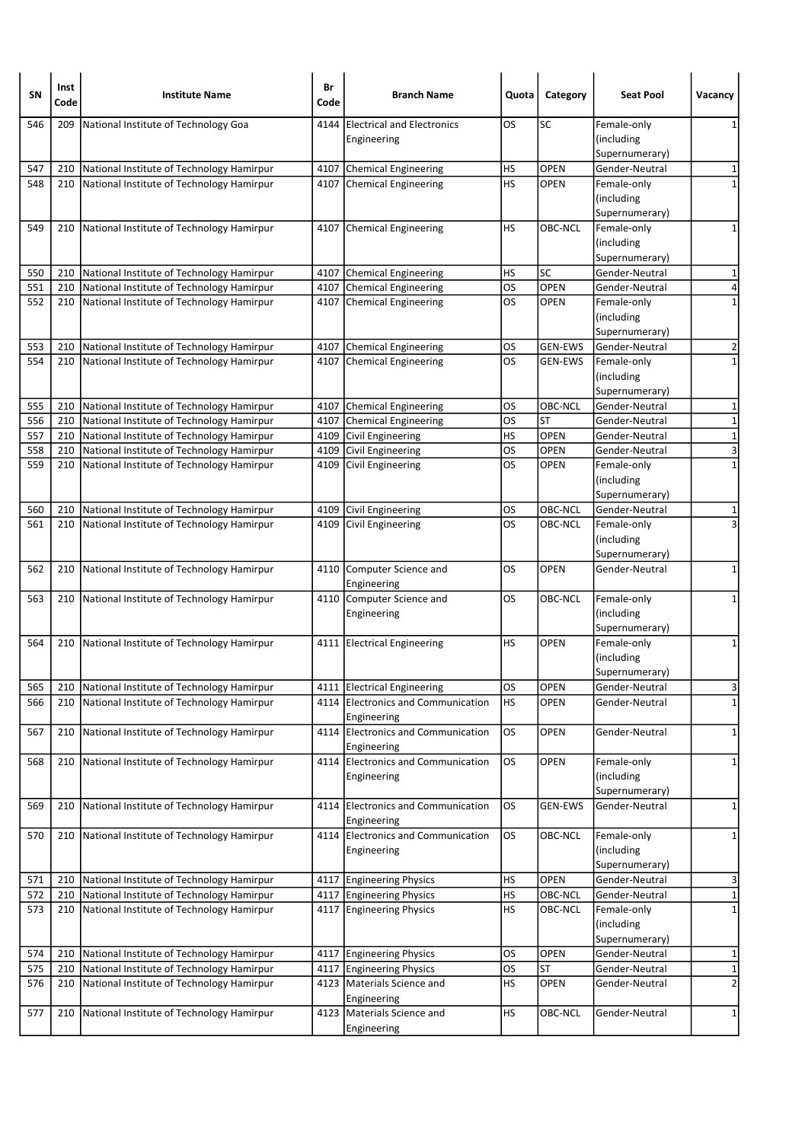| <b>SN</b> | Inst<br>Code | <b>Institute Name</b>                         | Br<br>Code | <b>Branch Name</b>                                | Quota     | Category       | <b>Seat Pool</b>                            | Vacancy                 |
|-----------|--------------|-----------------------------------------------|------------|---------------------------------------------------|-----------|----------------|---------------------------------------------|-------------------------|
| 546       | 209          | National Institute of Technology Goa          | 4144       | <b>Electrical and Electronics</b><br>Engineering  | <b>OS</b> | SC             | Female-only<br>(including<br>Supernumerary) | 1                       |
| 547       | 210          | National Institute of Technology Hamirpur     |            | 4107 Chemical Engineering                         | HS        | OPEN           | Gender-Neutral                              | 1                       |
| 548       | 210          | National Institute of Technology Hamirpur     |            | 4107 Chemical Engineering                         | <b>HS</b> | <b>OPEN</b>    | Female-only                                 | $\mathbf{1}$            |
|           |              |                                               |            |                                                   |           |                | (including<br>Supernumerary)                |                         |
| 549       | 210          | National Institute of Technology Hamirpur     |            | 4107 Chemical Engineering                         | HS        | OBC-NCL        | Female-only<br>(including                   | 1                       |
|           |              |                                               |            |                                                   |           |                | Supernumerary)                              |                         |
| 550       | 210          | National Institute of Technology Hamirpur     |            | 4107 Chemical Engineering                         | HS        | SC             | Gender-Neutral                              | 1                       |
| 551       | 210          | National Institute of Technology Hamirpur     | 4107       | Chemical Engineering                              | <b>OS</b> | OPEN           | Gender-Neutral                              | 4                       |
| 552       | 210          | National Institute of Technology Hamirpur     |            | 4107 Chemical Engineering                         | <b>OS</b> | <b>OPEN</b>    | Female-only<br>(including<br>Supernumerary) | 1                       |
| 553       | 210          | National Institute of Technology Hamirpur     |            | 4107 Chemical Engineering                         | OS        | <b>GEN-EWS</b> | Gender-Neutral                              | 2                       |
| 554       | 210          | National Institute of Technology Hamirpur     |            | 4107 Chemical Engineering                         | OS        | <b>GEN-EWS</b> | Female-only<br>(including<br>Supernumerary) | $\mathbf 1$             |
| 555       | 210          | National Institute of Technology Hamirpur     |            | 4107 Chemical Engineering                         | OS        | OBC-NCL        | Gender-Neutral                              | 1                       |
| 556       | 210          | National Institute of Technology Hamirpur     |            | 4107 Chemical Engineering                         | los       | <b>ST</b>      | Gender-Neutral                              | $\overline{1}$          |
| 557       | 210          | National Institute of Technology Hamirpur     |            | 4109 Civil Engineering                            | <b>HS</b> | <b>OPEN</b>    | Gender-Neutral                              | $\mathbf 1$             |
| 558       | 210          | National Institute of Technology Hamirpur     | 4109       | Civil Engineering                                 | <b>OS</b> | <b>OPEN</b>    | Gender-Neutral                              | ы                       |
| 559       | 210          | National Institute of Technology Hamirpur     | 4109       | Civil Engineering                                 | <b>OS</b> | <b>OPEN</b>    | Female-only<br>(including<br>Supernumerary) | $\mathbf 1$             |
| 560       | 210          | National Institute of Technology Hamirpur     |            | 4109 Civil Engineering                            | OS        | OBC-NCL        | Gender-Neutral                              | 1                       |
| 561       | 210          | National Institute of Technology Hamirpur     |            | 4109 Civil Engineering                            | <b>OS</b> | OBC-NCL        | Female-only<br>(including<br>Supernumerary) | 3                       |
| 562       | 210          | National Institute of Technology Hamirpur     |            | 4110 Computer Science and<br>Engineering          | OS.       | <b>OPEN</b>    | Gender-Neutral                              | 1                       |
| 563       | 210          | National Institute of Technology Hamirpur     |            | 4110 Computer Science and<br>Engineering          | <b>OS</b> | OBC-NCL        | Female-only<br>(including<br>Supernumerary) | $\mathbf{1}$            |
| 564       | 210          | National Institute of Technology Hamirpur     |            | 4111 Electrical Engineering                       | HS        | <b>OPEN</b>    | Female-only<br>(including<br>Supernumerary) | 1                       |
| 565       | 210          | National Institute of Technology Hamirpur     |            | 4111 Electrical Engineering                       | OS        | <b>OPEN</b>    | Gender-Neutral                              | 3                       |
| 566       | 210          | National Institute of Technology Hamirpur     |            | 4114 Electronics and Communication<br>Engineering | HS        | OPEN           | Gender-Neutral                              | $\overline{1}$          |
| 567       | 210          | National Institute of Technology Hamirpur     |            | 4114 Electronics and Communication<br>Engineering | <b>OS</b> | OPEN           | Gender-Neutral                              | 1                       |
| 568       | 210          | National Institute of Technology Hamirpur     |            | 4114 Electronics and Communication<br>Engineering | <b>OS</b> | <b>OPEN</b>    | Female-only<br>(including<br>Supernumerary) | 1                       |
| 569       | 210          | National Institute of Technology Hamirpur     |            | 4114 Electronics and Communication<br>Engineering | <b>OS</b> | <b>GEN-EWS</b> | Gender-Neutral                              | 1                       |
| 570       |              | 210 National Institute of Technology Hamirpur |            | 4114 Electronics and Communication<br>Engineering | OS        | OBC-NCL        | Female-only<br>(including<br>Supernumerary) | 1                       |
| 571       | 210          | National Institute of Technology Hamirpur     |            | 4117 Engineering Physics                          | HS        | OPEN           | Gender-Neutral                              | 3                       |
| 572       | 210          | National Institute of Technology Hamirpur     |            | 4117 Engineering Physics                          | HS        | OBC-NCL        | Gender-Neutral                              | $\mathbf 1$             |
| 573       | 210          | National Institute of Technology Hamirpur     |            | 4117 Engineering Physics                          | HS        | OBC-NCL        | Female-only<br>(including<br>Supernumerary) | $\mathbf 1$             |
| 574       | 210          | National Institute of Technology Hamirpur     |            | 4117 Engineering Physics                          | <b>OS</b> | OPEN           | Gender-Neutral                              | 1                       |
| 575       | 210          | National Institute of Technology Hamirpur     |            | 4117 Engineering Physics                          | <b>OS</b> | ST             | Gender-Neutral                              | $\mathbf 1$             |
| 576       | 210          | National Institute of Technology Hamirpur     |            | 4123   Materials Science and<br>Engineering       | <b>HS</b> | OPEN           | Gender-Neutral                              | $\overline{\mathbf{c}}$ |
| 577       | 210          | National Institute of Technology Hamirpur     |            | 4123   Materials Science and<br>Engineering       | <b>HS</b> | OBC-NCL        | Gender-Neutral                              | $\mathbf{1}$            |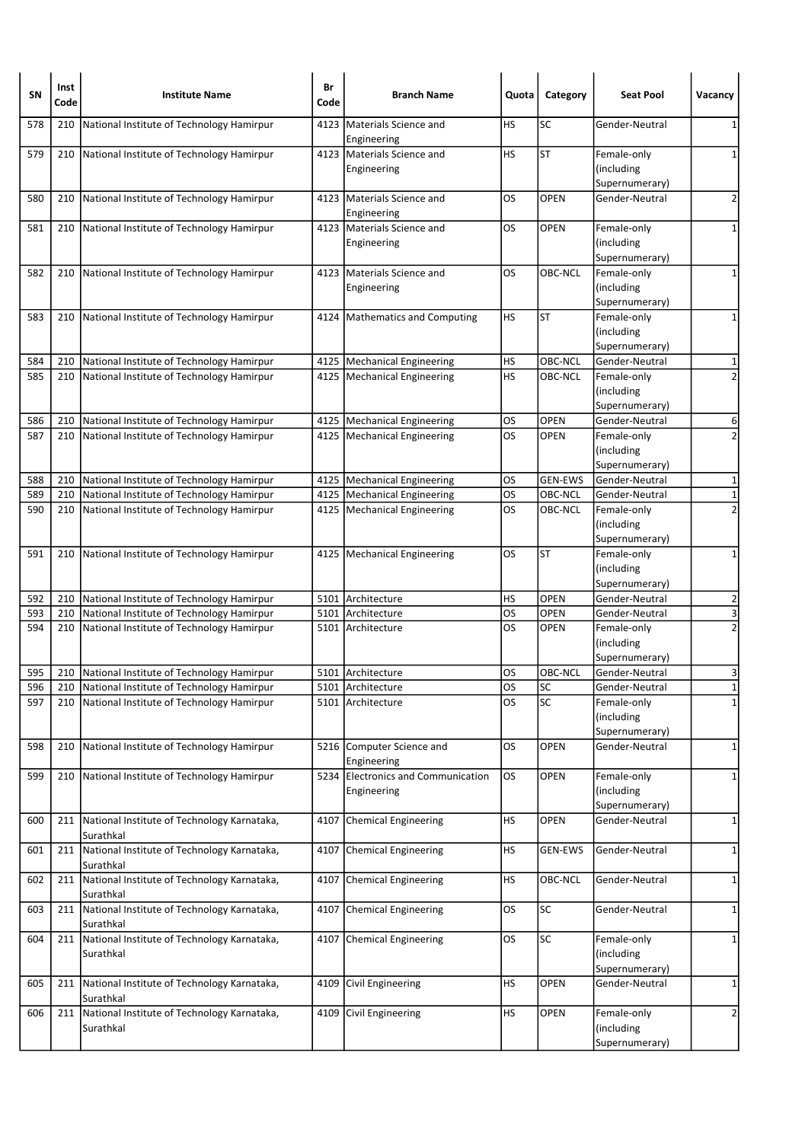| <b>SN</b> | Inst<br>Code | <b>Institute Name</b>                                    | Br<br>Code | <b>Branch Name</b>                                | Quota     | Category       | <b>Seat Pool</b>                            | Vacancy        |
|-----------|--------------|----------------------------------------------------------|------------|---------------------------------------------------|-----------|----------------|---------------------------------------------|----------------|
| 578       | 210          | National Institute of Technology Hamirpur                | 4123       | Materials Science and<br>Engineering              | НS        | SC             | Gender-Neutral                              | 1              |
| 579       | 210          | National Institute of Technology Hamirpur                |            | 4123 Materials Science and<br>Engineering         | <b>HS</b> | <b>ST</b>      | Female-only<br>(including<br>Supernumerary) | 1              |
| 580       | 210          | National Institute of Technology Hamirpur                | 4123       | Materials Science and<br>Engineering              | OS        | <b>OPEN</b>    | Gender-Neutral                              | 2              |
| 581       | 210          | National Institute of Technology Hamirpur                |            | 4123 Materials Science and<br>Engineering         | OS        | <b>OPEN</b>    | Female-only<br>(including<br>Supernumerary) | 1              |
| 582       | 210          | National Institute of Technology Hamirpur                | 4123       | Materials Science and<br>Engineering              | OS        | OBC-NCL        | Female-only<br>(including<br>Supernumerary) | 1              |
| 583       | 210          | National Institute of Technology Hamirpur                |            | 4124   Mathematics and Computing                  | HS        | ST             | Female-only<br>(including<br>Supernumerary) | $\mathbf 1$    |
| 584       | 210          | National Institute of Technology Hamirpur                |            | 4125   Mechanical Engineering                     | <b>HS</b> | OBC-NCL        | Gender-Neutral                              | 1              |
| 585       | 210          | National Institute of Technology Hamirpur                |            | 4125   Mechanical Engineering                     | <b>HS</b> | OBC-NCL        | Female-only<br>(including<br>Supernumerary) | $\overline{2}$ |
| 586       | 210          | National Institute of Technology Hamirpur                |            | 4125   Mechanical Engineering                     | OS        | <b>OPEN</b>    | Gender-Neutral                              | 6              |
| 587       | 210          | National Institute of Technology Hamirpur                |            | 4125   Mechanical Engineering                     | OS        | <b>OPEN</b>    | Female-only<br>(including<br>Supernumerary) | $\overline{2}$ |
| 588       | 210          | National Institute of Technology Hamirpur                |            | 4125   Mechanical Engineering                     | OS        | <b>GEN-EWS</b> | Gender-Neutral                              | $\mathbf 1$    |
| 589       | 210          | National Institute of Technology Hamirpur                |            | 4125   Mechanical Engineering                     | OS        | OBC-NCL        | Gender-Neutral                              | $\mathbf 1$    |
| 590       | 210          | National Institute of Technology Hamirpur                |            | 4125   Mechanical Engineering                     | OS        | OBC-NCL        | Female-only<br>(including<br>Supernumerary) | $\overline{2}$ |
| 591       | 210          | National Institute of Technology Hamirpur                |            | 4125   Mechanical Engineering                     | OS        | <b>ST</b>      | Female-only<br>(including<br>Supernumerary) | 1              |
| 592       | 210          | National Institute of Technology Hamirpur                |            | 5101 Architecture                                 | HS        | <b>OPEN</b>    | Gender-Neutral                              | 2              |
| 593       | 210          | National Institute of Technology Hamirpur                |            | 5101 Architecture                                 | <b>OS</b> | <b>OPEN</b>    | Gender-Neutral                              | 3              |
| 594       | 210          | National Institute of Technology Hamirpur                |            | 5101 Architecture                                 | OS        | <b>OPEN</b>    | Female-only<br>(including<br>Supernumerary) | $\overline{2}$ |
| 595       | 210          | National Institute of Technology Hamirpur                |            | 5101 Architecture                                 | OS        | OBC-NCL        | Gender-Neutral                              | 3              |
| 596       |              | 210 National Institute of Technology Hamirpur            |            | 5101 Architecture                                 | OS        | SC             | Gender-Neutral                              | $1\vert$       |
| 597       | 210          | National Institute of Technology Hamirpur                |            | 5101 Architecture                                 | OS        | SC             | Female-only<br>(including<br>Supernumerary) | $\mathbf 1$    |
| 598       | 210          | National Institute of Technology Hamirpur                |            | 5216 Computer Science and<br>Engineering          | OS        | <b>OPEN</b>    | Gender-Neutral                              | 1              |
| 599       | 210          | National Institute of Technology Hamirpur                |            | 5234 Electronics and Communication<br>Engineering | os        | OPEN           | Female-only<br>(including<br>Supernumerary) | 1              |
| 600       | 211          | National Institute of Technology Karnataka,<br>Surathkal |            | 4107 Chemical Engineering                         | HS        | OPEN           | Gender-Neutral                              | 1              |
| 601       | 211          | National Institute of Technology Karnataka,<br>Surathkal | 4107       | Chemical Engineering                              | НS        | GEN-EWS        | Gender-Neutral                              | 1              |
| 602       | 211          | National Institute of Technology Karnataka,<br>Surathkal | 4107       | Chemical Engineering                              | <b>HS</b> | OBC-NCL        | Gender-Neutral                              | $\mathbf{1}$   |
| 603       | 211          | National Institute of Technology Karnataka,<br>Surathkal | 4107       | Chemical Engineering                              | OS        | <b>SC</b>      | Gender-Neutral                              | 1              |
| 604       | 211          | National Institute of Technology Karnataka,<br>Surathkal |            | 4107 Chemical Engineering                         | <b>OS</b> | SC             | Female-only<br>(including<br>Supernumerary) | 1              |
| 605       | 211          | National Institute of Technology Karnataka,<br>Surathkal | 4109       | Civil Engineering                                 | HS        | <b>OPEN</b>    | Gender-Neutral                              | 1              |
| 606       | 211          | National Institute of Technology Karnataka,<br>Surathkal | 4109       | Civil Engineering                                 | НS        | OPEN           | Female-only<br>(including<br>Supernumerary) | 2              |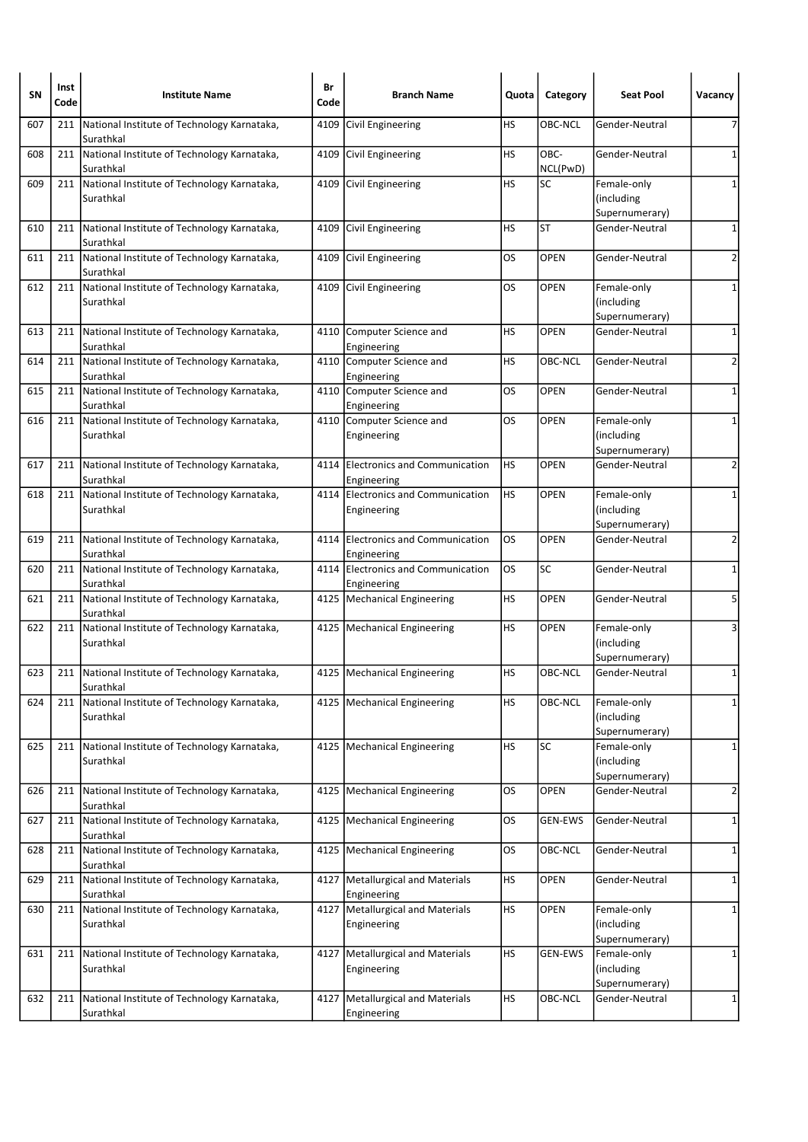| SN  | Inst<br>Code | <b>Institute Name</b>                                        | Br<br>Code | <b>Branch Name</b>                                | Quota     | Category         | <b>Seat Pool</b>                             | Vacancy      |
|-----|--------------|--------------------------------------------------------------|------------|---------------------------------------------------|-----------|------------------|----------------------------------------------|--------------|
| 607 | 211          | National Institute of Technology Karnataka,<br>Surathkal     | 4109       | Civil Engineering                                 | НS        | OBC-NCL          | Gender-Neutral                               | 7            |
| 608 |              | 211 National Institute of Technology Karnataka,<br>Surathkal |            | 4109 Civil Engineering                            | HS        | OBC-<br>NCL(PwD) | Gender-Neutral                               | 1            |
| 609 | 211          | National Institute of Technology Karnataka,<br>Surathkal     |            | 4109 Civil Engineering                            | HS        | SC               | Female-only<br>(including)<br>Supernumerary) | 1            |
| 610 |              | 211 National Institute of Technology Karnataka,<br>Surathkal |            | 4109 Civil Engineering                            | HS        | <b>ST</b>        | Gender-Neutral                               | 1            |
| 611 | 211          | National Institute of Technology Karnataka,<br>Surathkal     | 4109       | Civil Engineering                                 | OS.       | <b>OPEN</b>      | Gender-Neutral                               | 2            |
| 612 | 211          | National Institute of Technology Karnataka,<br>Surathkal     |            | 4109 Civil Engineering                            | OS        | OPEN             | Female-only<br>(including<br>Supernumerary)  | 1            |
| 613 |              | 211 National Institute of Technology Karnataka,<br>Surathkal |            | 4110 Computer Science and<br>Engineering          | НS        | <b>OPEN</b>      | Gender-Neutral                               | 1            |
| 614 | 211          | National Institute of Technology Karnataka,<br>Surathkal     |            | 4110 Computer Science and<br>Engineering          | HS        | OBC-NCL          | Gender-Neutral                               | 2            |
| 615 | 211          | National Institute of Technology Karnataka,<br>Surathkal     |            | 4110 Computer Science and<br>Engineering          | OS        | OPEN             | Gender-Neutral                               | 1            |
| 616 | 211          | National Institute of Technology Karnataka,<br>Surathkal     |            | 4110 Computer Science and<br>Engineering          | OS        | <b>OPEN</b>      | Female-only<br>(including<br>Supernumerary)  | 1            |
| 617 | 211          | National Institute of Technology Karnataka,<br>Surathkal     |            | 4114 Electronics and Communication<br>Engineering | HS        | <b>OPEN</b>      | Gender-Neutral                               | 2            |
| 618 |              | 211 National Institute of Technology Karnataka,<br>Surathkal |            | 4114 Electronics and Communication<br>Engineering | HS        | <b>OPEN</b>      | Female-only<br>(including<br>Supernumerary)  | 1            |
| 619 | 211          | National Institute of Technology Karnataka,<br>Surathkal     |            | 4114 Electronics and Communication<br>Engineering | OS        | <b>OPEN</b>      | Gender-Neutral                               | 2            |
| 620 |              | 211 National Institute of Technology Karnataka,<br>Surathkal |            | 4114 Electronics and Communication<br>Engineering | los       | SC               | Gender-Neutral                               | $\mathbf 1$  |
| 621 | 211          | National Institute of Technology Karnataka,<br>Surathkal     |            | 4125   Mechanical Engineering                     | HS        | <b>OPEN</b>      | Gender-Neutral                               | 5            |
| 622 | 211          | National Institute of Technology Karnataka,<br>Surathkal     |            | 4125   Mechanical Engineering                     | НS        | <b>OPEN</b>      | Female-only<br>(including<br>Supernumerary)  | 3            |
| 623 |              | 211 National Institute of Technology Karnataka,<br>Surathkal |            | 4125   Mechanical Engineering                     | HS        | OBC-NCL          | Gender-Neutral                               | 1            |
| 624 | 211          | National Institute of Technology Karnataka,<br>Surathkal     |            | 4125   Mechanical Engineering                     | HS        | OBC-NCL          | Female-only<br>(including<br>Supernumerary)  | 1            |
| 625 | 211          | National Institute of Technology Karnataka,<br>Surathkal     |            | 4125 Mechanical Engineering                       | HS        | <b>SC</b>        | Female-only<br>(including<br>Supernumerary)  | 1            |
| 626 | 211          | National Institute of Technology Karnataka,<br>Surathkal     |            | 4125   Mechanical Engineering                     | OS        | <b>OPEN</b>      | Gender-Neutral                               | 2            |
| 627 |              | 211 National Institute of Technology Karnataka,<br>Surathkal |            | 4125   Mechanical Engineering                     | OS        | <b>GEN-EWS</b>   | Gender-Neutral                               | 1            |
| 628 | 211          | National Institute of Technology Karnataka,<br>Surathkal     | 4125       | Mechanical Engineering                            | <b>OS</b> | OBC-NCL          | Gender-Neutral                               | 1            |
| 629 | 211          | National Institute of Technology Karnataka,<br>Surathkal     |            | 4127   Metallurgical and Materials<br>Engineering | HS        | OPEN             | Gender-Neutral                               | $\mathbf{1}$ |
| 630 | 211          | National Institute of Technology Karnataka,<br>Surathkal     |            | 4127   Metallurgical and Materials<br>Engineering | <b>HS</b> | <b>OPEN</b>      | Female-only<br>(including<br>Supernumerary)  | 1            |
| 631 | 211          | National Institute of Technology Karnataka,<br>Surathkal     | 4127       | Metallurgical and Materials<br>Engineering        | HS        | <b>GEN-EWS</b>   | Female-only<br>(including<br>Supernumerary)  | 1            |
| 632 | 211          | National Institute of Technology Karnataka,<br>Surathkal     |            | 4127   Metallurgical and Materials<br>Engineering | <b>HS</b> | OBC-NCL          | Gender-Neutral                               | $\mathbf{1}$ |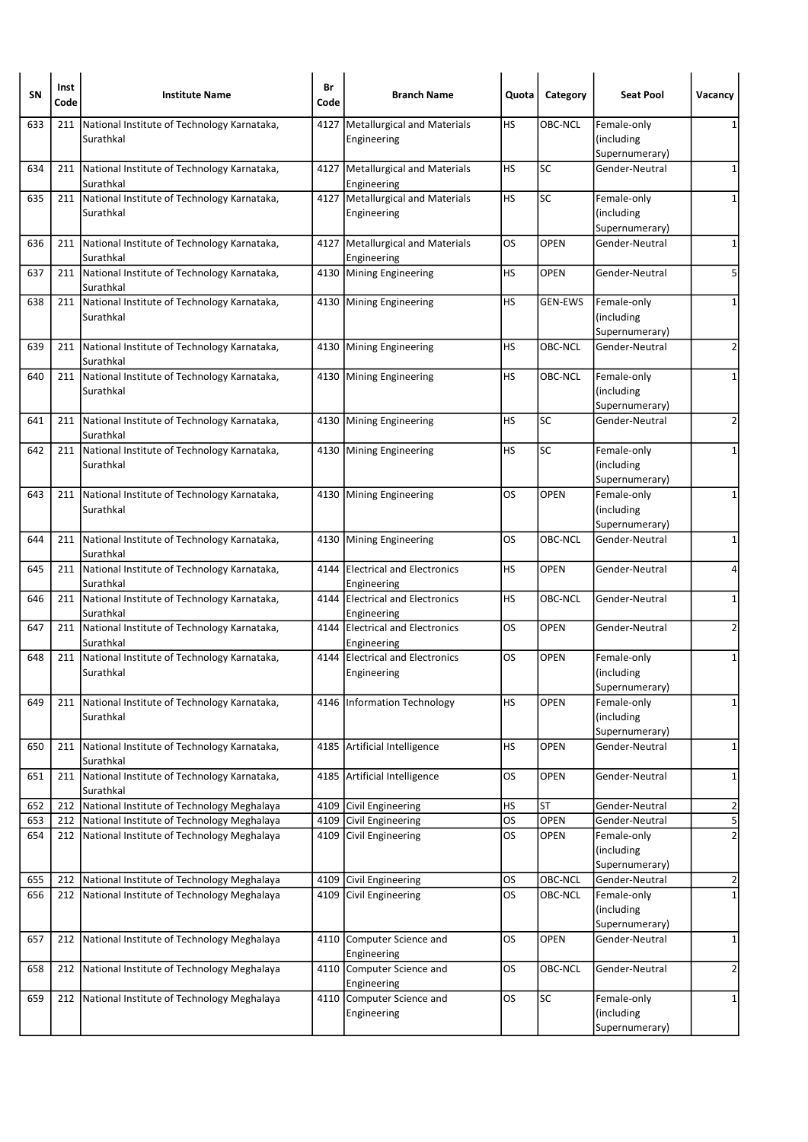| SN         | Inst<br>Code | <b>Institute Name</b>                                                                            | Br<br>Code | <b>Branch Name</b>                              | Quota     | Category            | <b>Seat Pool</b>                 | Vacancy                          |
|------------|--------------|--------------------------------------------------------------------------------------------------|------------|-------------------------------------------------|-----------|---------------------|----------------------------------|----------------------------------|
| 633        | 211          | National Institute of Technology Karnataka,                                                      | 4127       | Metallurgical and Materials                     | HS        | <b>OBC-NCL</b>      | Female-only                      |                                  |
|            |              | Surathkal                                                                                        |            | Engineering                                     |           |                     | (including                       |                                  |
|            |              |                                                                                                  |            |                                                 |           |                     | Supernumerary)                   |                                  |
| 634        |              | 211 National Institute of Technology Karnataka,<br>Surathkal                                     |            | 4127 Metallurgical and Materials<br>Engineering | <b>HS</b> | <b>SC</b>           | Gender-Neutral                   | $\mathbf 1$                      |
| 635        | 211          | National Institute of Technology Karnataka,                                                      | 4127       | Metallurgical and Materials                     | HS        | <b>SC</b>           | Female-only                      | 1                                |
|            |              | Surathkal                                                                                        |            | Engineering                                     |           |                     | (including<br>Supernumerary)     |                                  |
| 636        | 211          | National Institute of Technology Karnataka,                                                      | 4127       | Metallurgical and Materials                     | OS        | <b>OPEN</b>         | Gender-Neutral                   | $\mathbf 1$                      |
|            |              | Surathkal                                                                                        |            | Engineering                                     |           |                     |                                  |                                  |
| 637        | 211          | National Institute of Technology Karnataka,<br>Surathkal                                         |            | 4130 Mining Engineering                         | HS        | <b>OPEN</b>         | Gender-Neutral                   | 5                                |
| 638        | 211          | National Institute of Technology Karnataka,                                                      |            | 4130 Mining Engineering                         | HS        | <b>GEN-EWS</b>      | Female-only                      | 1                                |
|            |              | Surathkal                                                                                        |            |                                                 |           |                     | (including                       |                                  |
|            |              |                                                                                                  |            |                                                 |           |                     | Supernumerary)                   |                                  |
| 639        | 211          | National Institute of Technology Karnataka,<br>Surathkal                                         |            | 4130 Mining Engineering                         | HS        | OBC-NCL             | Gender-Neutral                   | $\overline{2}$                   |
| 640        | 211          | National Institute of Technology Karnataka,                                                      |            | 4130 Mining Engineering                         | HS        | OBC-NCL             | Female-only                      | 1                                |
|            |              | Surathkal                                                                                        |            |                                                 |           |                     | (including<br>Supernumerary)     |                                  |
| 641        |              | 211 National Institute of Technology Karnataka,                                                  |            | 4130 Mining Engineering                         | <b>HS</b> | <b>SC</b>           | Gender-Neutral                   | 2                                |
|            |              | Surathkal                                                                                        |            |                                                 |           |                     |                                  |                                  |
| 642        | 211          | National Institute of Technology Karnataka,                                                      |            | 4130 Mining Engineering                         | HS        | <b>SC</b>           | Female-only                      | 1                                |
|            |              | Surathkal                                                                                        |            |                                                 |           |                     | (including                       |                                  |
|            |              |                                                                                                  |            |                                                 |           |                     | Supernumerary)                   |                                  |
| 643        |              | 211 National Institute of Technology Karnataka,<br>Surathkal                                     |            | 4130 Mining Engineering                         | OS        | <b>OPEN</b>         | Female-only<br>(including        | 1                                |
|            |              |                                                                                                  |            |                                                 |           |                     | Supernumerary)                   |                                  |
| 644        | 211          | National Institute of Technology Karnataka,                                                      |            | 4130 Mining Engineering                         | OS        | OBC-NCL             | Gender-Neutral                   | 1                                |
|            |              | Surathkal                                                                                        |            |                                                 |           |                     |                                  |                                  |
| 645        | 211          | National Institute of Technology Karnataka,                                                      |            | 4144 Electrical and Electronics                 | HS        | <b>OPEN</b>         | Gender-Neutral                   | 4                                |
| 646        | 211          | Surathkal<br>National Institute of Technology Karnataka,                                         |            | Engineering<br>4144 Electrical and Electronics  | HS        | OBC-NCL             | Gender-Neutral                   | $\mathbf{1}$                     |
|            |              | Surathkal                                                                                        |            | Engineering                                     |           |                     |                                  |                                  |
| 647        | 211          | National Institute of Technology Karnataka,                                                      | 4144       | <b>Electrical and Electronics</b>               | OS        | <b>OPEN</b>         | Gender-Neutral                   | 2                                |
|            |              | Surathkal                                                                                        |            | Engineering                                     |           |                     |                                  |                                  |
| 648        | 211          | National Institute of Technology Karnataka,                                                      |            | 4144 Electrical and Electronics                 | OS        | OPEN                | Female-only                      | 1                                |
|            |              | Surathkal                                                                                        |            | Engineering                                     |           |                     | (including<br>Supernumerary)     |                                  |
| 649        | 211          | National Institute of Technology Karnataka,                                                      |            | 4146 Information Technology                     | HS        | OPEN                | Female-only                      | $\mathbf{1}$                     |
|            |              | Surathkal                                                                                        |            |                                                 |           |                     | (including                       |                                  |
|            |              |                                                                                                  |            |                                                 |           |                     | Supernumerary)                   |                                  |
| 650        | 211          | National Institute of Technology Karnataka,<br>Surathkal                                         |            | 4185 Artificial Intelligence                    | HS        | OPEN                | Gender-Neutral                   | $\mathbf{1}$                     |
| 651        | 211          | National Institute of Technology Karnataka,                                                      | 4185       | Artificial Intelligence                         | OS        | OPEN                | Gender-Neutral                   | 1                                |
|            |              | Surathkal                                                                                        |            |                                                 |           |                     |                                  |                                  |
| 652        | 212          | National Institute of Technology Meghalaya                                                       | 4109       | Civil Engineering                               | <b>HS</b> | <b>ST</b>           | Gender-Neutral                   | $\overline{\mathbf{c}}$          |
| 653<br>654 |              | 212 National Institute of Technology Meghalaya<br>212 National Institute of Technology Meghalaya | 4109       | Civil Engineering<br>4109 Civil Engineering     | os<br>los | OPEN<br><b>OPEN</b> | Gender-Neutral<br>Female-only    | $\overline{5}$<br>$\overline{2}$ |
|            |              |                                                                                                  |            |                                                 |           |                     | (including                       |                                  |
|            |              |                                                                                                  |            |                                                 |           |                     | Supernumerary)                   |                                  |
| 655        | 212          | National Institute of Technology Meghalaya                                                       | 4109       | Civil Engineering                               | <b>OS</b> | OBC-NCL             | Gender-Neutral                   | 2                                |
| 656        | 212          | National Institute of Technology Meghalaya                                                       | 4109       | Civil Engineering                               | <b>OS</b> | OBC-NCL             | Female-only                      | $\mathbf 1$                      |
|            |              |                                                                                                  |            |                                                 |           |                     | (including                       |                                  |
| 657        | 212          | National Institute of Technology Meghalaya                                                       | 4110       | Computer Science and                            | OS        | OPEN                | Supernumerary)<br>Gender-Neutral | 1                                |
|            |              |                                                                                                  |            | Engineering                                     |           |                     |                                  |                                  |
| 658        | 212          | National Institute of Technology Meghalaya                                                       | 4110       | Computer Science and                            | <b>OS</b> | OBC-NCL             | Gender-Neutral                   | $\overline{2}$                   |
|            |              |                                                                                                  |            | Engineering                                     |           |                     |                                  |                                  |
| 659        |              | 212 National Institute of Technology Meghalaya                                                   |            | 4110 Computer Science and                       | os        | SC                  | Female-only                      | $\mathbf{1}$                     |
|            |              |                                                                                                  |            | Engineering                                     |           |                     | (including<br>Supernumerary)     |                                  |
|            |              |                                                                                                  |            |                                                 |           |                     |                                  |                                  |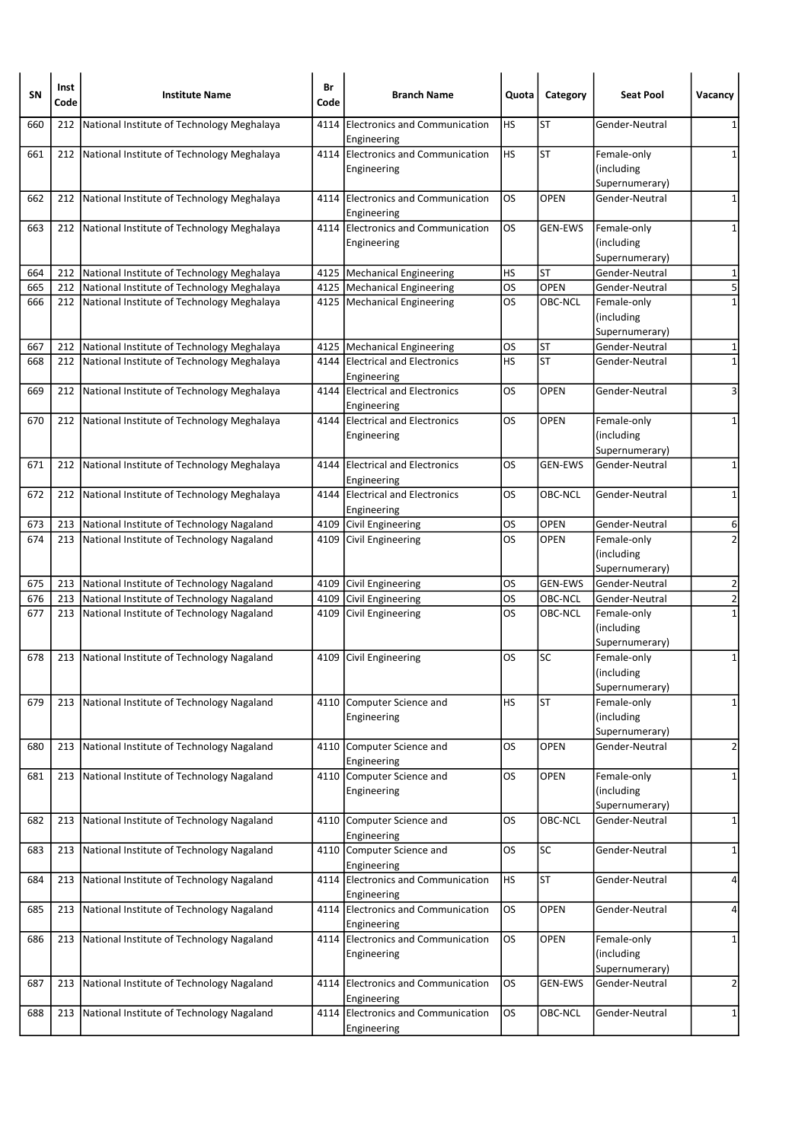| <b>SN</b> | Inst<br>Code | <b>Institute Name</b>                          | Br<br>Code | <b>Branch Name</b>                                  | Quota     | Category       | <b>Seat Pool</b>                            | Vacancy                 |
|-----------|--------------|------------------------------------------------|------------|-----------------------------------------------------|-----------|----------------|---------------------------------------------|-------------------------|
| 660       | 212          | National Institute of Technology Meghalaya     | 4114       | <b>Electronics and Communication</b><br>Engineering | HS        | <b>ST</b>      | Gender-Neutral                              | 1                       |
| 661       | 212          | National Institute of Technology Meghalaya     |            | 4114 Electronics and Communication<br>Engineering   | <b>HS</b> | <b>ST</b>      | Female-only<br>(including<br>Supernumerary) | 1                       |
| 662       | 212          | National Institute of Technology Meghalaya     | 4114       | Electronics and Communication<br>Engineering        | OS        | <b>OPEN</b>    | Gender-Neutral                              | 1                       |
| 663       | 212          | National Institute of Technology Meghalaya     |            | 4114 Electronics and Communication<br>Engineering   | OS        | <b>GEN-EWS</b> | Female-only<br>(including<br>Supernumerary) | 1                       |
| 664       | 212          | National Institute of Technology Meghalaya     |            | 4125   Mechanical Engineering                       | HS        | <b>ST</b>      | Gender-Neutral                              | 1                       |
| 665       | 212          | National Institute of Technology Meghalaya     |            | 4125   Mechanical Engineering                       | OS        | <b>OPEN</b>    | Gender-Neutral                              | 5                       |
| 666       | 212          | National Institute of Technology Meghalaya     |            | 4125   Mechanical Engineering                       | OS        | OBC-NCL        | Female-only<br>(including<br>Supernumerary) | $\mathbf{1}$            |
| 667       | 212          | National Institute of Technology Meghalaya     |            | 4125   Mechanical Engineering                       | OS        | ST             | Gender-Neutral                              | 1                       |
| 668       | 212          | National Institute of Technology Meghalaya     | 4144       | <b>Electrical and Electronics</b><br>Engineering    | HS        | <b>ST</b>      | Gender-Neutral                              | $\mathbf 1$             |
| 669       | 212          | National Institute of Technology Meghalaya     |            | 4144 Electrical and Electronics<br>Engineering      | OS        | <b>OPEN</b>    | Gender-Neutral                              | 3                       |
| 670       |              | 212 National Institute of Technology Meghalaya |            | 4144 Electrical and Electronics<br>Engineering      | OS.       | <b>OPEN</b>    | Female-only<br>(including<br>Supernumerary) | 1                       |
| 671       | 212          | National Institute of Technology Meghalaya     |            | 4144 Electrical and Electronics<br>Engineering      | OS        | <b>GEN-EWS</b> | Gender-Neutral                              | 1                       |
| 672       |              | 212 National Institute of Technology Meghalaya |            | 4144 Electrical and Electronics<br>Engineering      | OS        | <b>OBC-NCL</b> | Gender-Neutral                              | $\mathbf 1$             |
| 673       | 213          | National Institute of Technology Nagaland      |            | 4109 Civil Engineering                              | OS        | <b>OPEN</b>    | Gender-Neutral                              | 6                       |
| 674       | 213          | National Institute of Technology Nagaland      |            | 4109 Civil Engineering                              | OS        | <b>OPEN</b>    | Female-only<br>(including<br>Supernumerary) | $\overline{2}$          |
| 675       | 213          | National Institute of Technology Nagaland      |            | 4109 Civil Engineering                              | OS        | <b>GEN-EWS</b> | Gender-Neutral                              | $\overline{2}$          |
| 676       | 213          | National Institute of Technology Nagaland      |            | 4109 Civil Engineering                              | OS        | OBC-NCL        | Gender-Neutral                              | $\overline{2}$          |
| 677       | 213          | National Institute of Technology Nagaland      | 4109       | Civil Engineering                                   | OS        | OBC-NCL        | Female-only<br>(including<br>Supernumerary) | $\mathbf{1}$            |
| 678       | 213          | National Institute of Technology Nagaland      |            | 4109 Civil Engineering                              | OS        | <b>SC</b>      | Female-only<br>(including<br>Supernumerary) | $\mathbf{1}$            |
| 679       |              | 213 National Institute of Technology Nagaland  |            | 4110 Computer Science and<br>Engineering            | HS        | <b>ST</b>      | Female-only<br>(including<br>Supernumerary) | $\mathbf 1$             |
| 680       |              | 213 National Institute of Technology Nagaland  |            | 4110 Computer Science and<br>Engineering            | OS.       | <b>OPEN</b>    | Gender-Neutral                              | $\overline{2}$          |
| 681       | 213          | National Institute of Technology Nagaland      | 4110       | Computer Science and<br>Engineering                 | OS        | OPEN           | Female-only<br>(including<br>Supernumerary) | 1                       |
| 682       | 213          | National Institute of Technology Nagaland      |            | 4110 Computer Science and<br>Engineering            | OS        | <b>OBC-NCL</b> | Gender-Neutral                              | $\mathbf 1$             |
| 683       | 213          | National Institute of Technology Nagaland      |            | 4110 Computer Science and<br>Engineering            | <b>OS</b> | SC             | Gender-Neutral                              | 1                       |
| 684       | 213          | National Institute of Technology Nagaland      |            | 4114 Electronics and Communication<br>Engineering   | <b>HS</b> | <b>ST</b>      | Gender-Neutral                              | 4                       |
| 685       |              | 213 National Institute of Technology Nagaland  |            | 4114 Electronics and Communication<br>Engineering   | los       | <b>OPEN</b>    | Gender-Neutral                              | 4                       |
| 686       | 213          | National Institute of Technology Nagaland      |            | 4114 Electronics and Communication<br>Engineering   | OS        | OPEN           | Female-only<br>(including<br>Supernumerary) | 1                       |
| 687       | 213          | National Institute of Technology Nagaland      |            | 4114 Electronics and Communication<br>Engineering   | OS        | <b>GEN-EWS</b> | Gender-Neutral                              | $\overline{\mathbf{c}}$ |
| 688       | 213          | National Institute of Technology Nagaland      |            | 4114 Electronics and Communication<br>Engineering   | los       | OBC-NCL        | Gender-Neutral                              | $\mathbf{1}$            |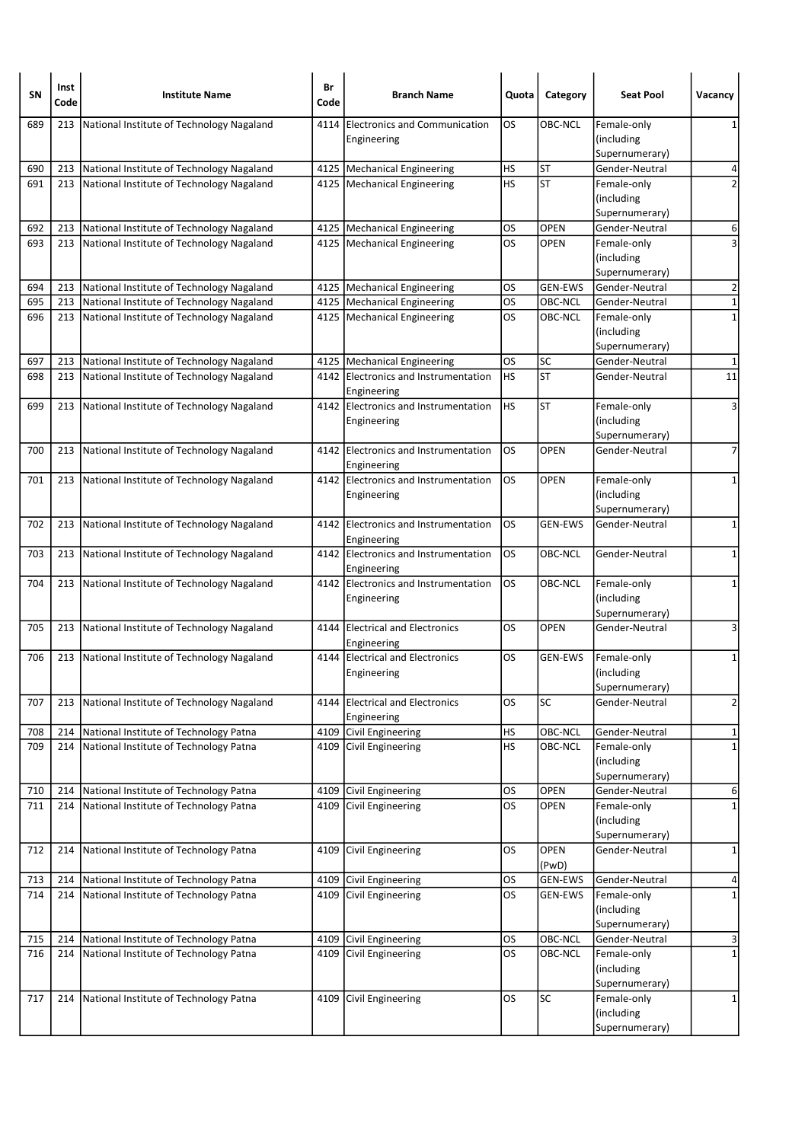| SΝ         | Inst<br>Code | <b>Institute Name</b>                                                                  | Br<br>Code | <b>Branch Name</b>                                             | Quota           | Category               | <b>Seat Pool</b>                 | Vacancy             |
|------------|--------------|----------------------------------------------------------------------------------------|------------|----------------------------------------------------------------|-----------------|------------------------|----------------------------------|---------------------|
| 689        | 213          | National Institute of Technology Nagaland                                              | 4114       | <b>Electronics and Communication</b>                           | OS              | OBC-NCL                | Female-only                      | 1                   |
|            |              |                                                                                        |            | Engineering                                                    |                 |                        | (including                       |                     |
|            |              |                                                                                        |            |                                                                |                 |                        | Supernumerary)                   |                     |
| 690<br>691 | 213<br>213   | National Institute of Technology Nagaland<br>National Institute of Technology Nagaland |            | 4125   Mechanical Engineering<br>4125   Mechanical Engineering | HS<br><b>HS</b> | <b>ST</b><br><b>ST</b> | Gender-Neutral<br>Female-only    | 4<br>$\overline{2}$ |
|            |              |                                                                                        |            |                                                                |                 |                        | (including                       |                     |
|            |              |                                                                                        |            |                                                                |                 |                        | Supernumerary)                   |                     |
| 692        | 213          | National Institute of Technology Nagaland                                              |            | 4125   Mechanical Engineering                                  | OS              | <b>OPEN</b>            | Gender-Neutral                   | 6                   |
| 693        |              | 213 National Institute of Technology Nagaland                                          |            | 4125   Mechanical Engineering                                  | OS              | <b>OPEN</b>            | Female-only                      | 3                   |
|            |              |                                                                                        |            |                                                                |                 |                        | (including                       |                     |
| 694        | 213          | National Institute of Technology Nagaland                                              |            | 4125   Mechanical Engineering                                  | OS              | <b>GEN-EWS</b>         | Supernumerary)<br>Gender-Neutral | $\mathbf 2$         |
| 695        | 213          | National Institute of Technology Nagaland                                              |            | 4125   Mechanical Engineering                                  | OS              | OBC-NCL                | Gender-Neutral                   | 1                   |
| 696        | 213          | National Institute of Technology Nagaland                                              |            | 4125   Mechanical Engineering                                  | OS              | OBC-NCL                | Female-only                      | $\mathbf{1}$        |
|            |              |                                                                                        |            |                                                                |                 |                        | (including                       |                     |
|            |              |                                                                                        |            |                                                                |                 |                        | Supernumerary)                   |                     |
| 697        | 213          | National Institute of Technology Nagaland                                              |            | 4125   Mechanical Engineering                                  | OS              | SC                     | Gender-Neutral                   | 1                   |
| 698        | 213          | National Institute of Technology Nagaland                                              | 4142       | Electronics and Instrumentation                                | <b>HS</b>       | <b>ST</b>              | Gender-Neutral                   | $\overline{11}$     |
|            |              |                                                                                        |            | Engineering                                                    |                 |                        |                                  |                     |
| 699        | 213          | National Institute of Technology Nagaland                                              |            | 4142 Electronics and Instrumentation                           | <b>HS</b>       | <b>ST</b>              | Female-only<br>(including        | 3                   |
|            |              |                                                                                        |            | Engineering                                                    |                 |                        | Supernumerary)                   |                     |
| 700        | 213          | National Institute of Technology Nagaland                                              | 4142       | Electronics and Instrumentation                                | OS              | <b>OPEN</b>            | Gender-Neutral                   | $\overline{7}$      |
|            |              |                                                                                        |            | Engineering                                                    |                 |                        |                                  |                     |
| 701        |              | 213 National Institute of Technology Nagaland                                          |            | 4142 Electronics and Instrumentation                           | OS              | <b>OPEN</b>            | Female-only                      | 1                   |
|            |              |                                                                                        |            | Engineering                                                    |                 |                        | (including                       |                     |
|            |              |                                                                                        |            |                                                                |                 |                        | Supernumerary)                   |                     |
| 702        | 213          | National Institute of Technology Nagaland                                              | 4142       | Electronics and Instrumentation<br>Engineering                 | OS              | <b>GEN-EWS</b>         | Gender-Neutral                   | 1                   |
| 703        | 213          | National Institute of Technology Nagaland                                              |            | 4142 Electronics and Instrumentation                           | OS              | OBC-NCL                | Gender-Neutral                   | 1                   |
|            |              |                                                                                        |            | Engineering                                                    |                 |                        |                                  |                     |
| 704        |              | 213 National Institute of Technology Nagaland                                          |            | 4142 Electronics and Instrumentation                           | los             | OBC-NCL                | Female-only                      | $\mathbf{1}$        |
|            |              |                                                                                        |            | Engineering                                                    |                 |                        | (including                       |                     |
|            |              |                                                                                        |            |                                                                |                 |                        | Supernumerary)                   |                     |
| 705        | 213          | National Institute of Technology Nagaland                                              | 4144       | <b>Electrical and Electronics</b><br>Engineering               | OS              | <b>OPEN</b>            | Gender-Neutral                   | 3                   |
| 706        | 213          | National Institute of Technology Nagaland                                              | 4144       | <b>Electrical and Electronics</b>                              | OS              | GEN-EWS                | Female-only                      | 1                   |
|            |              |                                                                                        |            | Engineering                                                    |                 |                        | (including                       |                     |
|            |              |                                                                                        |            |                                                                |                 |                        | Supernumerary)                   |                     |
| 707        | 213          | National Institute of Technology Nagaland                                              | 4144       | <b>Electrical and Electronics</b>                              | OS              | SC                     | Gender-Neutral                   | $\overline{2}$      |
|            |              |                                                                                        |            | Engineering                                                    |                 |                        |                                  |                     |
| 708        | 214          | National Institute of Technology Patna                                                 | 4109       | Civil Engineering                                              | HS<br>HS        | <b>OBC-NCL</b>         | Gender-Neutral                   | 1                   |
| 709        |              | 214 National Institute of Technology Patna                                             | 4109       | Civil Engineering                                              |                 | OBC-NCL                | Female-only<br>(including        | $\mathbf 1$         |
|            |              |                                                                                        |            |                                                                |                 |                        | Supernumerary)                   |                     |
| 710        | 214          | National Institute of Technology Patna                                                 |            | 4109 Civil Engineering                                         | <b>OS</b>       | <b>OPEN</b>            | Gender-Neutral                   | 6                   |
| 711        | 214          | National Institute of Technology Patna                                                 | 4109       | Civil Engineering                                              | los             | <b>OPEN</b>            | Female-only                      | $\mathbf 1$         |
|            |              |                                                                                        |            |                                                                |                 |                        | (including                       |                     |
|            |              |                                                                                        |            |                                                                |                 |                        | Supernumerary)                   |                     |
| 712        | 214          | National Institute of Technology Patna                                                 | 4109       | Civil Engineering                                              | OS              | <b>OPEN</b>            | Gender-Neutral                   | 1                   |
| 713        | 214          | National Institute of Technology Patna                                                 |            | 4109 Civil Engineering                                         | OS              | (PwD)<br>GEN-EWS       | Gender-Neutral                   | 4                   |
| 714        | 214          | National Institute of Technology Patna                                                 | 4109       | Civil Engineering                                              | OS              | GEN-EWS                | Female-only                      | $\mathbf{1}$        |
|            |              |                                                                                        |            |                                                                |                 |                        | (including                       |                     |
|            |              |                                                                                        |            |                                                                |                 |                        | Supernumerary)                   |                     |
| 715        | 214          | National Institute of Technology Patna                                                 | 4109       | Civil Engineering                                              | <b>OS</b>       | OBC-NCL                | Gender-Neutral                   | 3                   |
| 716        | 214          | National Institute of Technology Patna                                                 | 4109       | Civil Engineering                                              | los             | OBC-NCL                | Female-only                      | $\mathbf 1$         |
|            |              |                                                                                        |            |                                                                |                 |                        | (including                       |                     |
| 717        |              | 214 National Institute of Technology Patna                                             |            | 4109 Civil Engineering                                         | los             | SC                     | Supernumerary)<br>Female-only    |                     |
|            |              |                                                                                        |            |                                                                |                 |                        | (including                       | 1                   |
|            |              |                                                                                        |            |                                                                |                 |                        | Supernumerary)                   |                     |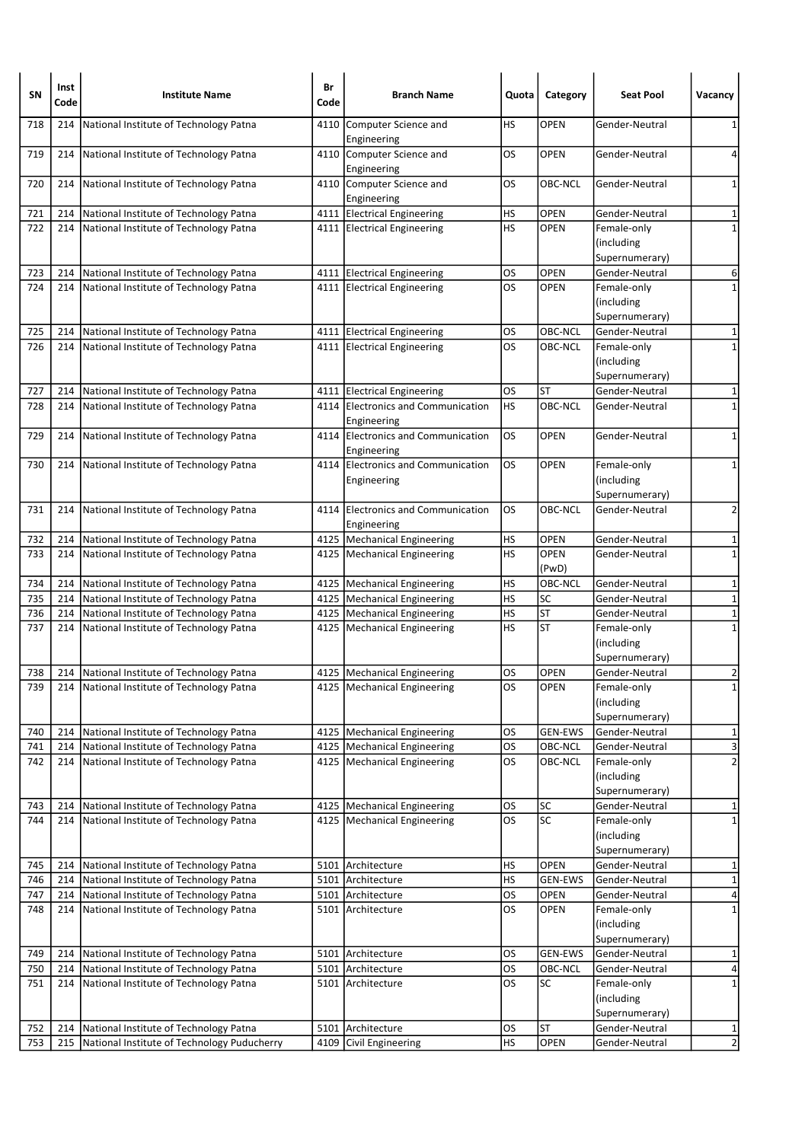| SN         | Inst<br>Code | <b>Institute Name</b>                                                            | Br<br>Code | <b>Branch Name</b>                                             | Quota     | Category               | <b>Seat Pool</b>                                              | Vacancy          |
|------------|--------------|----------------------------------------------------------------------------------|------------|----------------------------------------------------------------|-----------|------------------------|---------------------------------------------------------------|------------------|
| 718        | 214          | National Institute of Technology Patna                                           | 4110       | Computer Science and<br>Engineering                            | HS        | <b>OPEN</b>            | Gender-Neutral                                                | 1                |
| 719        | 214          | National Institute of Technology Patna                                           |            | 4110 Computer Science and<br>Engineering                       | OS        | <b>OPEN</b>            | Gender-Neutral                                                | 4                |
| 720        | 214          | National Institute of Technology Patna                                           |            | 4110 Computer Science and<br>Engineering                       | OS        | OBC-NCL                | Gender-Neutral                                                | 1                |
| 721        | 214          | National Institute of Technology Patna                                           |            | 4111 Electrical Engineering                                    | HS        | OPEN                   | Gender-Neutral                                                | 1                |
| 722        | 214          | National Institute of Technology Patna                                           |            | 4111 Electrical Engineering                                    | HS        | <b>OPEN</b>            | Female-only<br>(including<br>Supernumerary)                   | $\mathbf{1}$     |
| 723        | 214          | National Institute of Technology Patna                                           |            | 4111 Electrical Engineering                                    | <b>OS</b> | <b>OPEN</b>            | Gender-Neutral                                                | 6                |
| 724        | 214          | National Institute of Technology Patna                                           |            | 4111 Electrical Engineering                                    | OS        | <b>OPEN</b>            | Female-only<br>(including<br>Supernumerary)                   | 1                |
| 725        | 214          | National Institute of Technology Patna                                           |            | 4111 Electrical Engineering                                    | OS        | OBC-NCL                | Gender-Neutral                                                | 1                |
| 726        |              | 214   National Institute of Technology Patna                                     |            | 4111 Electrical Engineering                                    | OS        | OBC-NCL                | Female-only<br>(including<br>Supernumerary)                   | $\mathbf 1$      |
| 727        | 214          | National Institute of Technology Patna                                           |            | 4111   Electrical Engineering                                  | OS        | ST                     | Gender-Neutral                                                | 1                |
| 728        | 214          | National Institute of Technology Patna                                           |            | 4114 Electronics and Communication<br>Engineering              | HS        | OBC-NCL                | Gender-Neutral                                                | $\mathbf{1}$     |
| 729        | 214          | National Institute of Technology Patna                                           |            | 4114 Electronics and Communication<br>Engineering              | OS        | <b>OPEN</b>            | Gender-Neutral                                                | 1                |
| 730        | 214          | National Institute of Technology Patna                                           |            | 4114 Electronics and Communication<br>Engineering              | OS        | <b>OPEN</b>            | Female-only<br>(including<br>Supernumerary)                   | 1                |
| 731        | 214          | National Institute of Technology Patna                                           | 4114       | Electronics and Communication<br>Engineering                   | OS        | OBC-NCL                | Gender-Neutral                                                | $\overline{2}$   |
| 732        | 214          | National Institute of Technology Patna                                           |            | 4125   Mechanical Engineering                                  | HS        | OPEN                   | Gender-Neutral                                                | 1                |
| 733        | 214          | National Institute of Technology Patna                                           |            | 4125   Mechanical Engineering                                  | HS        | <b>OPEN</b><br>(PwD)   | Gender-Neutral                                                | $\mathbf 1$      |
| 734        | 214          | National Institute of Technology Patna                                           |            | 4125   Mechanical Engineering                                  | HS        | OBC-NCL                | Gender-Neutral                                                | 1                |
| 735        | 214          | National Institute of Technology Patna                                           |            | 4125   Mechanical Engineering                                  | HS        | <b>SC</b>              | Gender-Neutral                                                | $\mathbf 1$      |
| 736<br>737 | 214<br>214   | National Institute of Technology Patna<br>National Institute of Technology Patna |            | 4125   Mechanical Engineering<br>4125   Mechanical Engineering | HS<br>HS  | <b>ST</b><br><b>ST</b> | Gender-Neutral<br>Female-only<br>(including<br>Supernumerary) | $\mathbf 1$<br>1 |
| 738        | 214          | National Institute of Technology Patna                                           |            | 4125   Mechanical Engineering                                  | OS        | <b>OPEN</b>            | Gender-Neutral                                                | $\overline{2}$   |
| 739        |              | 214   National Institute of Technology Patna                                     |            | 4125   Mechanical Engineering                                  | OS        | <b>OPEN</b>            | Female-only<br>(including<br>Supernumerary)                   | $1\vert$         |
| 740        | 214          | National Institute of Technology Patna                                           |            | 4125   Mechanical Engineering                                  | OS        | <b>GEN-EWS</b>         | Gender-Neutral                                                | 1                |
| 741        | 214          | National Institute of Technology Patna                                           |            | 4125   Mechanical Engineering                                  | <b>OS</b> | OBC-NCL                | Gender-Neutral                                                | ω                |
| 742        | 214          | National Institute of Technology Patna                                           |            | 4125 Mechanical Engineering                                    | OS        | OBC-NCL                | Female-only<br>(including<br>Supernumerary)                   | $\overline{2}$   |
| 743        | 214          | National Institute of Technology Patna                                           |            | 4125   Mechanical Engineering                                  | <b>OS</b> | SC                     | Gender-Neutral                                                | 1                |
| 744        |              | 214 National Institute of Technology Patna                                       |            | 4125   Mechanical Engineering                                  | los       | $\overline{SC}$        | Female-only<br>(including<br>Supernumerary)                   | $\mathbf 1$      |
| 745        | 214          | National Institute of Technology Patna                                           |            | 5101 Architecture                                              | НS        | OPEN                   | Gender-Neutral                                                | 1                |
| 746        | 214          | National Institute of Technology Patna                                           |            | 5101 Architecture                                              | HS        | <b>GEN-EWS</b>         | Gender-Neutral                                                | $\mathbf 1$      |
| 747        | 214          | National Institute of Technology Patna                                           |            | 5101 Architecture                                              | OS        | <b>OPEN</b>            | Gender-Neutral                                                | 4                |
| 748        |              | 214   National Institute of Technology Patna                                     |            | 5101 Architecture                                              | los       | <b>OPEN</b>            | Female-only<br>(including<br>Supernumerary)                   | $\mathbf 1$      |
| 749        | 214          | National Institute of Technology Patna                                           |            | 5101 Architecture                                              | <b>OS</b> | <b>GEN-EWS</b>         | Gender-Neutral                                                | 1                |
| 750        | 214          | National Institute of Technology Patna                                           |            | 5101 Architecture                                              | <b>OS</b> | OBC-NCL                | Gender-Neutral                                                | 4                |
| 751        |              | 214   National Institute of Technology Patna                                     |            | 5101 Architecture                                              | <b>OS</b> | SC                     | Female-only<br>(including<br>Supernumerary)                   | $\mathbf 1$      |
| 752        | 214          | National Institute of Technology Patna                                           |            | 5101 Architecture                                              | OS        | ST                     | Gender-Neutral                                                | 1                |
| 753        | 215          | National Institute of Technology Puducherry                                      | 4109       | Civil Engineering                                              | HS        | <b>OPEN</b>            | Gender-Neutral                                                | $\overline{2}$   |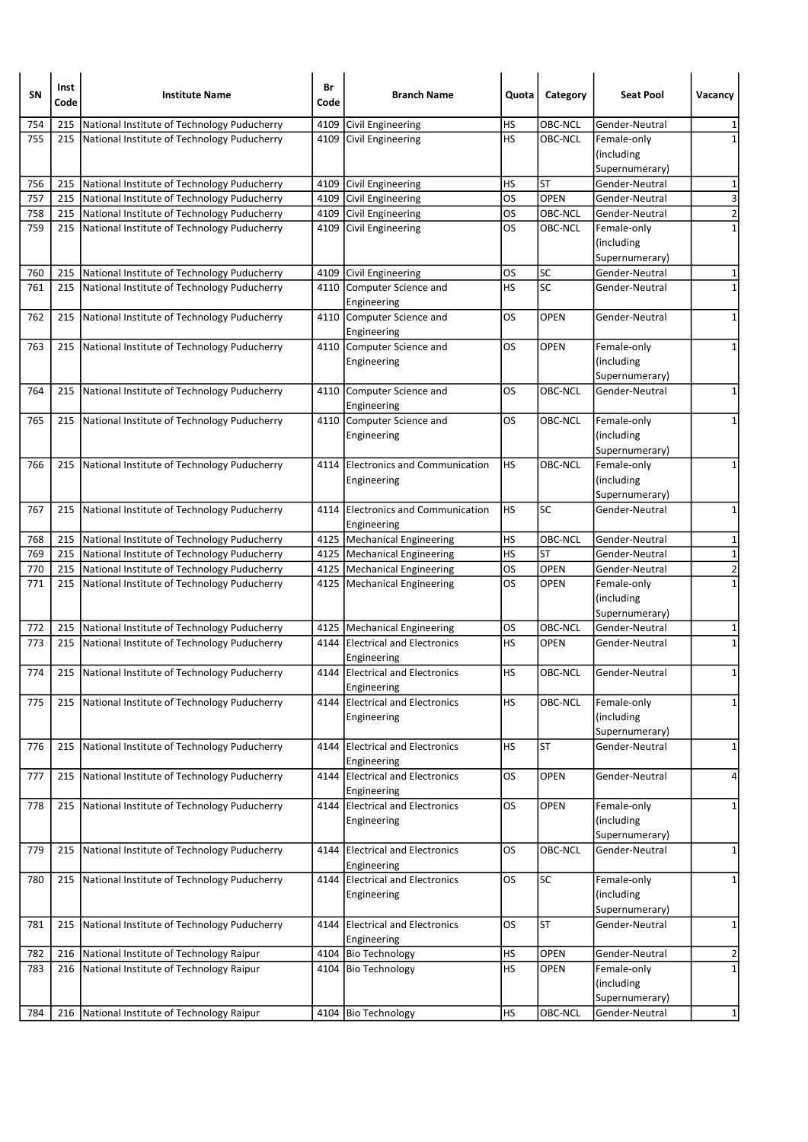| <b>SN</b> | Inst<br>Code | <b>Institute Name</b>                           | Br<br>Code | <b>Branch Name</b>                                | Quota     | Category    | <b>Seat Pool</b>                            | Vacancy                 |
|-----------|--------------|-------------------------------------------------|------------|---------------------------------------------------|-----------|-------------|---------------------------------------------|-------------------------|
| 754       | 215          | National Institute of Technology Puducherry     | 4109       | Civil Engineering                                 | HS        | OBC-NCL     | Gender-Neutral                              | 1                       |
| 755       | 215          | National Institute of Technology Puducherry     | 4109       | Civil Engineering                                 | HS        | OBC-NCL     | Female-only<br>(including<br>Supernumerary) | $\mathbf{1}$            |
| 756       | 215          | National Institute of Technology Puducherry     |            | 4109 Civil Engineering                            | НS        | <b>ST</b>   | Gender-Neutral                              | 1                       |
| 757       | 215          | National Institute of Technology Puducherry     |            | 4109 Civil Engineering                            | OS        | <b>OPEN</b> | Gender-Neutral                              | 3                       |
| 758       | 215          | National Institute of Technology Puducherry     |            | 4109 Civil Engineering                            | OS        | OBC-NCL     | Gender-Neutral                              | $\overline{2}$          |
| 759       | 215          | National Institute of Technology Puducherry     |            | 4109 Civil Engineering                            | OS        | OBC-NCL     | Female-only<br>(including<br>Supernumerary) | $\mathbf 1$             |
| 760       | 215          | National Institute of Technology Puducherry     |            | 4109 Civil Engineering                            | OS        | <b>SC</b>   | Gender-Neutral                              | 1                       |
| 761       | 215          | National Institute of Technology Puducherry     | 4110       | Computer Science and<br>Engineering               | HS        | <b>SC</b>   | Gender-Neutral                              | $\mathbf 1$             |
| 762       | 215          | National Institute of Technology Puducherry     |            | 4110 Computer Science and<br>Engineering          | OS        | <b>OPEN</b> | Gender-Neutral                              | 1                       |
| 763       |              | 215 National Institute of Technology Puducherry |            | 4110 Computer Science and<br>Engineering          | OS        | OPEN        | Female-only<br>(including<br>Supernumerary) | 1                       |
| 764       | 215          | National Institute of Technology Puducherry     |            | 4110 Computer Science and<br>Engineering          | OS        | OBC-NCL     | Gender-Neutral                              | 1                       |
| 765       |              | 215 National Institute of Technology Puducherry |            | 4110 Computer Science and<br>Engineering          | OS        | OBC-NCL     | Female-only<br>(including<br>Supernumerary) | 1                       |
| 766       | 215          | National Institute of Technology Puducherry     | 4114       | Electronics and Communication<br>Engineering      | HS        | OBC-NCL     | Female-only<br>(including<br>Supernumerary) | 1                       |
| 767       | 215          | National Institute of Technology Puducherry     |            | 4114 Electronics and Communication<br>Engineering | <b>HS</b> | <b>SC</b>   | Gender-Neutral                              | $\mathbf 1$             |
| 768       | 215          | National Institute of Technology Puducherry     |            | 4125 Mechanical Engineering                       | HS        | OBC-NCL     | Gender-Neutral                              | 1                       |
| 769       | 215          | National Institute of Technology Puducherry     |            | 4125   Mechanical Engineering                     | HS        | <b>ST</b>   | Gender-Neutral                              | $\mathbf 1$             |
| 770       | 215          | National Institute of Technology Puducherry     |            | 4125   Mechanical Engineering                     | OS        | <b>OPEN</b> | Gender-Neutral                              | $\overline{2}$          |
| 771       |              | 215 National Institute of Technology Puducherry |            | 4125   Mechanical Engineering                     | OS        | <b>OPEN</b> | Female-only<br>(including<br>Supernumerary) | $\mathbf{1}$            |
| 772       | 215          | National Institute of Technology Puducherry     |            | 4125   Mechanical Engineering                     | OS        | OBC-NCL     | Gender-Neutral                              | 1                       |
| 773       | 215          | National Institute of Technology Puducherry     |            | 4144 Electrical and Electronics<br>Engineering    | HS        | OPEN        | Gender-Neutral                              | $\mathbf 1$             |
| 774       | 215          | National Institute of Technology Puducherry     |            | 4144 Electrical and Electronics<br>Engineering    | HS        | OBC-NCL     | Gender-Neutral                              | 1                       |
| 775       | 215          | National Institute of Technology Puducherry     |            | 4144 Electrical and Electronics<br>Engineering    | HS        | OBC-NCL     | Female-only<br>(including<br>Supernumerary) | $\mathbf{1}$            |
| 776       | 215          | National Institute of Technology Puducherry     |            | 4144 Electrical and Electronics<br>Engineering    | HS        | <b>ST</b>   | Gender-Neutral                              | $\mathbf 1$             |
| 777       | 215          | National Institute of Technology Puducherry     |            | 4144 Electrical and Electronics<br>Engineering    | OS        | <b>OPEN</b> | Gender-Neutral                              | 4                       |
| 778       | 215          | National Institute of Technology Puducherry     |            | 4144 Electrical and Electronics<br>Engineering    | OS        | <b>OPEN</b> | Female-only<br>(including<br>Supernumerary) | 1                       |
| 779       | 215          | National Institute of Technology Puducherry     | 4144       | <b>Electrical and Electronics</b><br>Engineering  | OS        | OBC-NCL     | Gender-Neutral                              | $\mathbf 1$             |
| 780       | 215          | National Institute of Technology Puducherry     |            | 4144 Electrical and Electronics<br>Engineering    | OS        | SC          | Female-only<br>(including<br>Supernumerary) | 1                       |
| 781       | 215          | National Institute of Technology Puducherry     |            | 4144 Electrical and Electronics<br>Engineering    | OS        | <b>ST</b>   | Gender-Neutral                              | $\mathbf 1$             |
| 782       | 216          | National Institute of Technology Raipur         |            | 4104 Bio Technology                               | HS        | OPEN        | Gender-Neutral                              | $\overline{\mathbf{c}}$ |
| 783       | 216          | National Institute of Technology Raipur         |            | 4104 Bio Technology                               | HS        | <b>OPEN</b> | Female-only<br>(including<br>Supernumerary) | $\mathbf 1$             |
| 784       | 216          | National Institute of Technology Raipur         |            | 4104 Bio Technology                               | HS        | OBC-NCL     | Gender-Neutral                              | $\mathbf{1}$            |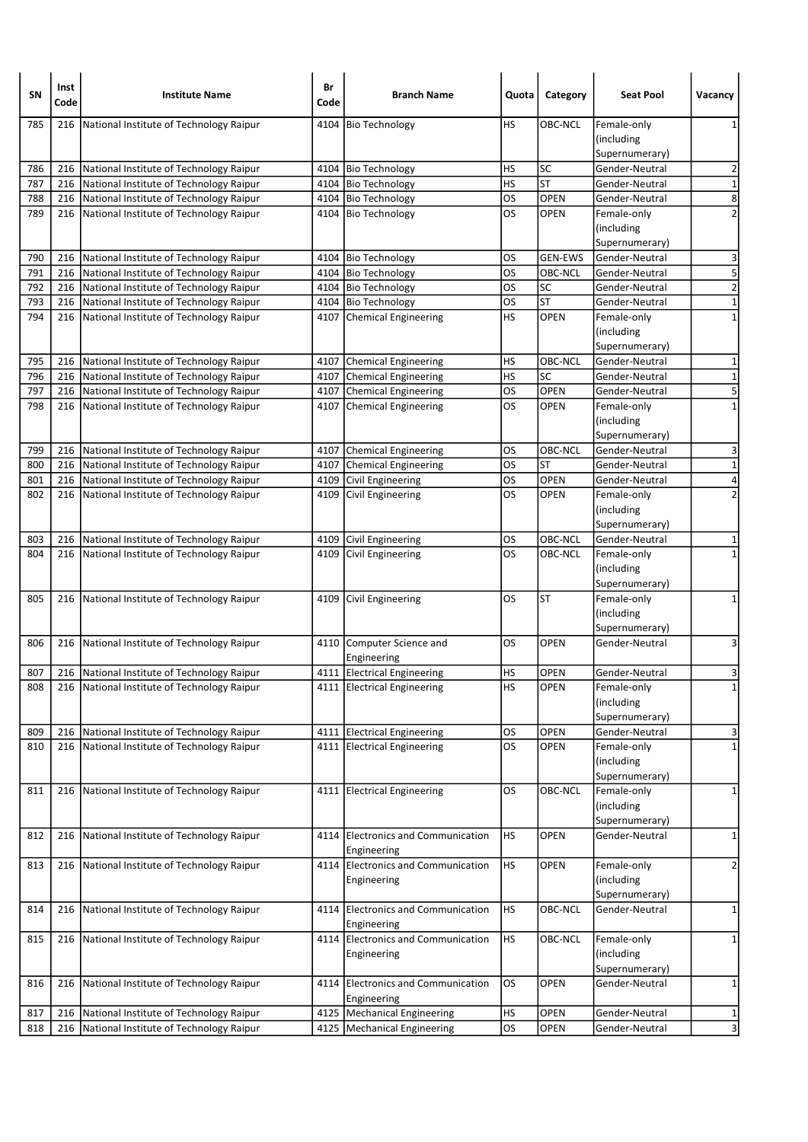| SN         | Inst<br>Code | <b>Institute Name</b>                                                              | Br<br>Code | <b>Branch Name</b>                                             | Quota                  | Category               | <b>Seat Pool</b>                 | Vacancy                      |
|------------|--------------|------------------------------------------------------------------------------------|------------|----------------------------------------------------------------|------------------------|------------------------|----------------------------------|------------------------------|
| 785        | 216          | National Institute of Technology Raipur                                            | 4104       | <b>Bio Technology</b>                                          | HS                     | <b>OBC-NCL</b>         | Female-only                      | 1                            |
|            |              |                                                                                    |            |                                                                |                        |                        | (including                       |                              |
|            |              |                                                                                    |            |                                                                |                        |                        | Supernumerary)                   |                              |
| 786        | 216          | National Institute of Technology Raipur                                            |            | 4104 Bio Technology                                            | HS                     | <b>SC</b><br><b>ST</b> | Gender-Neutral                   | $\overline{2}$               |
| 787<br>788 | 216<br>216   | National Institute of Technology Raipur<br>National Institute of Technology Raipur |            | 4104 Bio Technology<br>4104 Bio Technology                     | HS<br>OS               | <b>OPEN</b>            | Gender-Neutral<br>Gender-Neutral | $\mathbf 1$<br>$\infty$      |
| 789        | 216          | National Institute of Technology Raipur                                            |            | 4104 Bio Technology                                            | OS                     | <b>OPEN</b>            | Female-only                      | $\overline{2}$               |
|            |              |                                                                                    |            |                                                                |                        |                        | (including                       |                              |
|            |              |                                                                                    |            |                                                                |                        |                        | Supernumerary)                   |                              |
| 790        | 216          | National Institute of Technology Raipur                                            |            | 4104 Bio Technology                                            | OS                     | <b>GEN-EWS</b>         | Gender-Neutral                   | 3                            |
| 791        | 216          | National Institute of Technology Raipur                                            |            | 4104   Bio Technology                                          | OS                     | OBC-NCL                | Gender-Neutral                   | 5                            |
| 792        | 216          | National Institute of Technology Raipur                                            |            | 4104 Bio Technology                                            | OS                     | SC                     | Gender-Neutral                   | $\overline{2}$               |
| 793        | 216          | National Institute of Technology Raipur                                            |            | 4104 Bio Technology                                            | <b>OS</b>              | <b>ST</b>              | Gender-Neutral                   | $\mathbf 1$                  |
| 794        | 216          | National Institute of Technology Raipur                                            |            | 4107 Chemical Engineering                                      | HS                     | <b>OPEN</b>            | Female-only                      | $\mathbf 1$                  |
|            |              |                                                                                    |            |                                                                |                        |                        | (including                       |                              |
|            |              |                                                                                    |            |                                                                |                        |                        | Supernumerary)                   |                              |
| 795        | 216          | National Institute of Technology Raipur                                            | 4107       | Chemical Engineering                                           | HS                     | OBC-NCL                | Gender-Neutral                   | 1                            |
| 796        | 216          | National Institute of Technology Raipur                                            |            | 4107 Chemical Engineering                                      | <b>HS</b>              | SC                     | Gender-Neutral                   | $\mathbf 1$                  |
| 797        | 216          | National Institute of Technology Raipur                                            |            | 4107 Chemical Engineering                                      | <b>OS</b>              | <b>OPEN</b>            | Gender-Neutral                   | 5                            |
| 798        | 216          | National Institute of Technology Raipur                                            |            | 4107 Chemical Engineering                                      | OS                     | <b>OPEN</b>            | Female-only                      | $\mathbf{1}$                 |
|            |              |                                                                                    |            |                                                                |                        |                        | (including                       |                              |
|            |              |                                                                                    |            |                                                                |                        |                        | Supernumerary)                   |                              |
| 799        | 216          | National Institute of Technology Raipur                                            | 4107       | Chemical Engineering                                           | OS                     | OBC-NCL                | Gender-Neutral                   | 3                            |
| 800        | 216          | National Institute of Technology Raipur                                            | 4107       | Chemical Engineering                                           | OS                     | <b>ST</b>              | Gender-Neutral                   | $\mathbf 1$<br>4             |
| 801        | 216          | National Institute of Technology Raipur                                            |            | 4109 Civil Engineering                                         | <b>OS</b><br>los       | <b>OPEN</b><br>OPEN    | Gender-Neutral                   | $\overline{2}$               |
| 802        |              | 216 National Institute of Technology Raipur                                        |            | 4109 Civil Engineering                                         |                        |                        | Female-only<br>(including        |                              |
|            |              |                                                                                    |            |                                                                |                        |                        | Supernumerary)                   |                              |
| 803        | 216          | National Institute of Technology Raipur                                            |            | 4109 Civil Engineering                                         | OS                     | OBC-NCL                | Gender-Neutral                   | 1                            |
| 804        | 216          | National Institute of Technology Raipur                                            |            | 4109 Civil Engineering                                         | OS                     | OBC-NCL                | Female-only                      | $\mathbf{1}$                 |
|            |              |                                                                                    |            |                                                                |                        |                        | (including                       |                              |
|            |              |                                                                                    |            |                                                                |                        |                        | Supernumerary)                   |                              |
| 805        | 216          | National Institute of Technology Raipur                                            |            | 4109 Civil Engineering                                         | OS                     | ST                     | Female-only                      | 1                            |
|            |              |                                                                                    |            |                                                                |                        |                        | (including                       |                              |
|            |              |                                                                                    |            |                                                                |                        |                        | Supernumerary)                   |                              |
| 806        | 216          | National Institute of Technology Raipur                                            |            | 4110 Computer Science and                                      | OS                     | <b>OPEN</b>            | Gender-Neutral                   | 3                            |
|            |              |                                                                                    |            | Engineering                                                    |                        |                        |                                  |                              |
| 807        | 216          | National Institute of Technology Raipur                                            |            | 4111 Electrical Engineering                                    | HS                     | <b>OPEN</b>            | Gender-Neutral                   | 3                            |
| 808        |              | 216 National Institute of Technology Raipur                                        |            | 4111 Electrical Engineering                                    | HS                     | <b>OPEN</b>            | Female-only                      | $\mathbf{1}$                 |
|            |              |                                                                                    |            |                                                                |                        |                        | (including                       |                              |
|            |              |                                                                                    |            |                                                                |                        |                        | Supernumerary)                   |                              |
| 809        | 216          | National Institute of Technology Raipur                                            |            | 4111 Electrical Engineering                                    | OS<br><b>OS</b>        | OPEN                   | Gender-Neutral                   | 3<br>$\mathbf 1$             |
| 810        |              | 216 National Institute of Technology Raipur                                        |            | 4111 Electrical Engineering                                    |                        | OPEN                   | Female-only<br>(including        |                              |
|            |              |                                                                                    |            |                                                                |                        |                        | Supernumerary)                   |                              |
| 811        | 216          | National Institute of Technology Raipur                                            |            | 4111 Electrical Engineering                                    | OS                     | OBC-NCL                | Female-only                      | 1                            |
|            |              |                                                                                    |            |                                                                |                        |                        | (including                       |                              |
|            |              |                                                                                    |            |                                                                |                        |                        | Supernumerary)                   |                              |
| 812        | 216          | National Institute of Technology Raipur                                            |            | 4114 Electronics and Communication                             | HS                     | <b>OPEN</b>            | Gender-Neutral                   | 1                            |
|            |              |                                                                                    |            | Engineering                                                    |                        |                        |                                  |                              |
| 813        | 216          | National Institute of Technology Raipur                                            |            | 4114 Electronics and Communication                             | <b>HS</b>              | OPEN                   | Female-only                      | 2                            |
|            |              |                                                                                    |            | Engineering                                                    |                        |                        | (including                       |                              |
|            |              |                                                                                    |            |                                                                |                        |                        | Supernumerary)                   |                              |
| 814        | 216          | National Institute of Technology Raipur                                            |            | 4114 Electronics and Communication                             | HS                     | <b>OBC-NCL</b>         | Gender-Neutral                   | $\mathbf 1$                  |
|            |              |                                                                                    |            | Engineering                                                    |                        |                        |                                  |                              |
| 815        | 216          | National Institute of Technology Raipur                                            | 4114       | Electronics and Communication                                  | <b>HS</b>              | OBC-NCL                | Female-only                      | 1                            |
|            |              |                                                                                    |            | Engineering                                                    |                        |                        | (including                       |                              |
|            |              |                                                                                    |            |                                                                |                        |                        | Supernumerary)                   |                              |
| 816        | 216          | National Institute of Technology Raipur                                            |            | 4114 Electronics and Communication                             | <b>OS</b>              | OPEN                   | Gender-Neutral                   | 1                            |
|            |              |                                                                                    |            | Engineering                                                    |                        |                        |                                  |                              |
| 817<br>818 | 216<br>216   | National Institute of Technology Raipur<br>National Institute of Technology Raipur |            | 4125   Mechanical Engineering<br>4125   Mechanical Engineering | <b>HS</b><br><b>OS</b> | OPEN<br><b>OPEN</b>    | Gender-Neutral<br>Gender-Neutral | 1<br>$\overline{\mathbf{3}}$ |
|            |              |                                                                                    |            |                                                                |                        |                        |                                  |                              |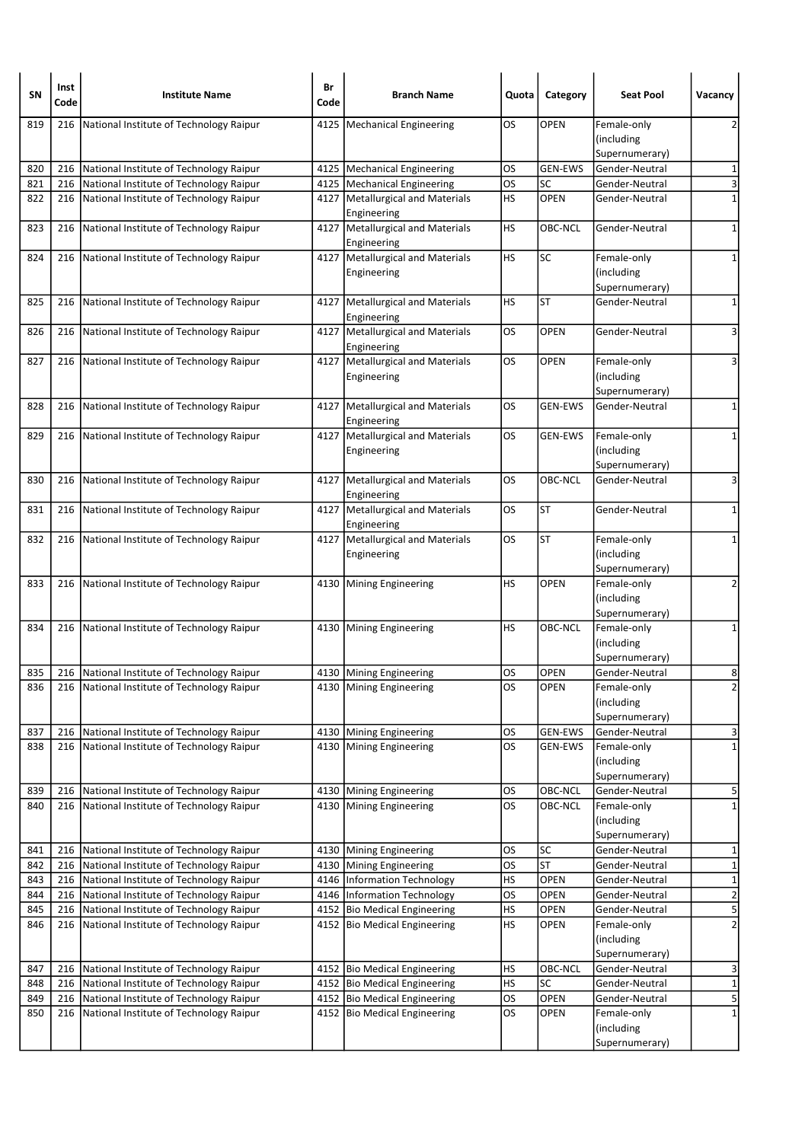| SΝ         | Inst<br>Code | <b>Institute Name</b>                                                              | Br<br>Code | <b>Branch Name</b>                                       | Quota           | Category               | <b>Seat Pool</b>                 | Vacancy                    |
|------------|--------------|------------------------------------------------------------------------------------|------------|----------------------------------------------------------|-----------------|------------------------|----------------------------------|----------------------------|
| 819        | 216          | National Institute of Technology Raipur                                            | 4125       | Mechanical Engineering                                   | OS              | <b>OPEN</b>            | Female-only                      | 2                          |
|            |              |                                                                                    |            |                                                          |                 |                        | (including                       |                            |
|            |              |                                                                                    |            |                                                          |                 |                        | Supernumerary)                   |                            |
| 820        | 216          | National Institute of Technology Raipur                                            |            | 4125   Mechanical Engineering                            | OS              | <b>GEN-EWS</b>         | Gender-Neutral                   | 1                          |
| 821        | 216          | National Institute of Technology Raipur                                            |            | 4125 Mechanical Engineering                              | los             | SC<br><b>OPEN</b>      | Gender-Neutral                   | 3<br>$\mathbf 1$           |
| 822        | 216          | National Institute of Technology Raipur                                            | 4127       | Metallurgical and Materials<br>Engineering               | НS              |                        | Gender-Neutral                   |                            |
| 823        | 216          | National Institute of Technology Raipur                                            | 4127       | Metallurgical and Materials                              | <b>HS</b>       | OBC-NCL                | Gender-Neutral                   | 1                          |
|            |              |                                                                                    |            | Engineering                                              |                 |                        |                                  |                            |
| 824        |              | 216 National Institute of Technology Raipur                                        |            | 4127   Metallurgical and Materials                       | HS              | <b>SC</b>              | Female-only                      | 1                          |
|            |              |                                                                                    |            | Engineering                                              |                 |                        | (including                       |                            |
|            |              |                                                                                    |            |                                                          |                 |                        | Supernumerary)                   |                            |
| 825        | 216          | National Institute of Technology Raipur                                            | 4127       | Metallurgical and Materials                              | НS              | ST                     | Gender-Neutral                   | 1                          |
|            |              |                                                                                    |            | Engineering                                              |                 |                        |                                  |                            |
| 826        | 216          | National Institute of Technology Raipur                                            |            | 4127 Metallurgical and Materials                         | OS              | <b>OPEN</b>            | Gender-Neutral                   | 3                          |
|            |              |                                                                                    |            | Engineering                                              |                 |                        |                                  |                            |
| 827        | 216          | National Institute of Technology Raipur                                            | 4127       | Metallurgical and Materials                              | OS              | <b>OPEN</b>            | Female-only                      | 3                          |
|            |              |                                                                                    |            | Engineering                                              |                 |                        | (including<br>Supernumerary)     |                            |
| 828        | 216          | National Institute of Technology Raipur                                            |            | 4127   Metallurgical and Materials                       | OS              | <b>GEN-EWS</b>         | Gender-Neutral                   | 1                          |
|            |              |                                                                                    |            | Engineering                                              |                 |                        |                                  |                            |
| 829        | 216          | National Institute of Technology Raipur                                            |            | 4127 Metallurgical and Materials                         | OS              | <b>GEN-EWS</b>         | Female-only                      | 1                          |
|            |              |                                                                                    |            | Engineering                                              |                 |                        | (including                       |                            |
|            |              |                                                                                    |            |                                                          |                 |                        | Supernumerary)                   |                            |
| 830        | 216          | National Institute of Technology Raipur                                            |            | 4127   Metallurgical and Materials                       | OS              | OBC-NCL                | Gender-Neutral                   | 3                          |
|            |              |                                                                                    |            | Engineering                                              |                 |                        |                                  |                            |
| 831        |              | 216 National Institute of Technology Raipur                                        |            | 4127   Metallurgical and Materials                       | OS              | <b>ST</b>              | Gender-Neutral                   | 1                          |
|            |              |                                                                                    |            | Engineering                                              |                 |                        |                                  |                            |
| 832        | 216          | National Institute of Technology Raipur                                            | 4127       | Metallurgical and Materials<br>Engineering               | OS              | <b>ST</b>              | Female-only<br>(including        | 1                          |
|            |              |                                                                                    |            |                                                          |                 |                        | Supernumerary)                   |                            |
| 833        |              | 216 National Institute of Technology Raipur                                        |            | 4130 Mining Engineering                                  | <b>HS</b>       | OPEN                   | Female-only                      | 2                          |
|            |              |                                                                                    |            |                                                          |                 |                        | (including                       |                            |
|            |              |                                                                                    |            |                                                          |                 |                        | Supernumerary)                   |                            |
| 834        | 216          | National Institute of Technology Raipur                                            |            | 4130 Mining Engineering                                  | HS              | <b>OBC-NCL</b>         | Female-only                      | 1                          |
|            |              |                                                                                    |            |                                                          |                 |                        | (including                       |                            |
|            |              |                                                                                    |            |                                                          |                 |                        | Supernumerary)                   |                            |
| 835        | 216          | National Institute of Technology Raipur                                            |            | 4130 Mining Engineering                                  | OS              | <b>OPEN</b>            | Gender-Neutral                   | 8                          |
| 836        |              | 216   National Institute of Technology Raipur                                      |            | 4130   Mining Engineering                                | <b>OS</b>       | <b>OPEN</b>            | Female-only                      | $\overline{2}$             |
|            |              |                                                                                    |            |                                                          |                 |                        | (including<br>Supernumerary)     |                            |
| 837        | 216          | National Institute of Technology Raipur                                            |            | 4130 Mining Engineering                                  | OS              | <b>GEN-EWS</b>         | Gender-Neutral                   | 3                          |
| 838        |              | 216 National Institute of Technology Raipur                                        |            | 4130 Mining Engineering                                  | os              | GEN-EWS                | Female-only                      | $\mathbf 1$                |
|            |              |                                                                                    |            |                                                          |                 |                        | (including                       |                            |
|            |              |                                                                                    |            |                                                          |                 |                        | Supernumerary)                   |                            |
| 839        | 216          | National Institute of Technology Raipur                                            |            | 4130 Mining Engineering                                  | <b>OS</b>       | OBC-NCL                | Gender-Neutral                   | 5                          |
| 840        | 216          | National Institute of Technology Raipur                                            |            | 4130 Mining Engineering                                  | OS              | OBC-NCL                | Female-only                      | $\mathbf 1$                |
|            |              |                                                                                    |            |                                                          |                 |                        | (including                       |                            |
|            |              |                                                                                    |            |                                                          |                 |                        | Supernumerary)                   |                            |
| 841        | 216          | National Institute of Technology Raipur                                            |            | 4130 Mining Engineering                                  | OS              | <b>SC</b><br><b>ST</b> | Gender-Neutral                   | 1                          |
| 842<br>843 | 216<br>216   | National Institute of Technology Raipur<br>National Institute of Technology Raipur |            | 4130 Mining Engineering<br>4146   Information Technology | <b>OS</b><br>HS | OPEN                   | Gender-Neutral<br>Gender-Neutral | $\mathbf 1$<br>$\mathbf 1$ |
| 844        | 216          | National Institute of Technology Raipur                                            |            | 4146   Information Technology                            | <b>OS</b>       | OPEN                   | Gender-Neutral                   | $\overline{2}$             |
| 845        | 216          | National Institute of Technology Raipur                                            |            | 4152 Bio Medical Engineering                             | HS              | OPEN                   | Gender-Neutral                   | $\overline{5}$             |
| 846        | 216          | National Institute of Technology Raipur                                            |            | 4152 Bio Medical Engineering                             | <b>HS</b>       | <b>OPEN</b>            | Female-only                      | $\overline{\mathbf{c}}$    |
|            |              |                                                                                    |            |                                                          |                 |                        | (including                       |                            |
|            |              |                                                                                    |            |                                                          |                 |                        | Supernumerary)                   |                            |
| 847        | 216          | National Institute of Technology Raipur                                            |            | 4152 Bio Medical Engineering                             | HS              | OBC-NCL                | Gender-Neutral                   | 3                          |
| 848        | 216          | National Institute of Technology Raipur                                            |            | 4152 Bio Medical Engineering                             | <b>HS</b>       | SC                     | Gender-Neutral                   | $\mathbf 1$                |
| 849        |              | 216 National Institute of Technology Raipur                                        |            | 4152 Bio Medical Engineering                             | <b>OS</b>       | OPEN                   | Gender-Neutral                   | 5                          |
| 850        | 216          | National Institute of Technology Raipur                                            |            | 4152 Bio Medical Engineering                             | <b>OS</b>       | <b>OPEN</b>            | Female-only                      | $\mathbf{1}$               |
|            |              |                                                                                    |            |                                                          |                 |                        | (including<br>Supernumerary)     |                            |
|            |              |                                                                                    |            |                                                          |                 |                        |                                  |                            |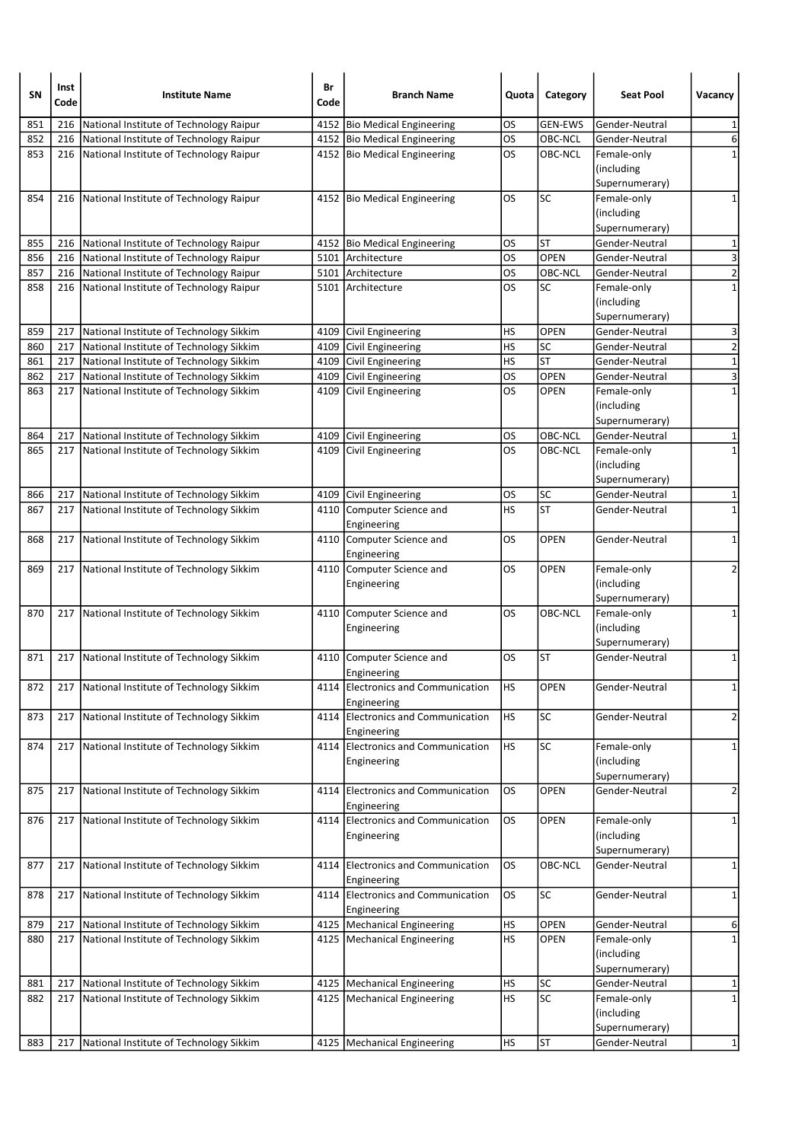| SN  | Inst<br>Code | <b>Institute Name</b>                         | Br<br>Code | <b>Branch Name</b>                                | Quota     | Category       | <b>Seat Pool</b>                            | Vacancy                 |
|-----|--------------|-----------------------------------------------|------------|---------------------------------------------------|-----------|----------------|---------------------------------------------|-------------------------|
| 851 | 216          | National Institute of Technology Raipur       |            | 4152 Bio Medical Engineering                      | OS        | <b>GEN-EWS</b> | Gender-Neutral                              | 1                       |
| 852 | 216          | National Institute of Technology Raipur       |            | 4152 Bio Medical Engineering                      | OS        | OBC-NCL        | Gender-Neutral                              | 6                       |
| 853 |              | 216 National Institute of Technology Raipur   |            | 4152 Bio Medical Engineering                      | OS        | OBC-NCL        | Female-only<br>(including<br>Supernumerary) | $\mathbf{1}$            |
| 854 |              | 216 National Institute of Technology Raipur   |            | 4152 Bio Medical Engineering                      | OS        | <b>SC</b>      | Female-only<br>(including<br>Supernumerary) | 1                       |
| 855 |              | 216 National Institute of Technology Raipur   |            | 4152 Bio Medical Engineering                      | OS        | <b>ST</b>      | Gender-Neutral                              | 1                       |
| 856 | 216          | National Institute of Technology Raipur       |            | 5101 Architecture                                 | OS        | <b>OPEN</b>    | Gender-Neutral                              | $\overline{\mathbf{3}}$ |
| 857 | 216          | National Institute of Technology Raipur       |            | 5101 Architecture                                 | OS        | OBC-NCL        | Gender-Neutral                              | $\overline{2}$          |
| 858 |              | 216 National Institute of Technology Raipur   |            | 5101 Architecture                                 | OS        | SC             | Female-only<br>(including<br>Supernumerary) | $\mathbf 1$             |
| 859 | 217          | National Institute of Technology Sikkim       |            | 4109 Civil Engineering                            | HS        | <b>OPEN</b>    | Gender-Neutral                              | 3                       |
| 860 | 217          | National Institute of Technology Sikkim       |            | 4109 Civil Engineering                            | HS        | <b>SC</b>      | Gender-Neutral                              | $\overline{2}$          |
| 861 | 217          | National Institute of Technology Sikkim       | 4109       | Civil Engineering                                 | HS        | <b>ST</b>      | Gender-Neutral                              | $\overline{1}$          |
| 862 | 217          | National Institute of Technology Sikkim       | 4109       | Civil Engineering                                 | OS        | <b>OPEN</b>    | Gender-Neutral                              | $\overline{\mathbf{3}}$ |
| 863 | 217          | National Institute of Technology Sikkim       | 4109       | Civil Engineering                                 | OS        | <b>OPEN</b>    | Female-only<br>(including<br>Supernumerary) | $\mathbf{1}$            |
| 864 | 217          | National Institute of Technology Sikkim       |            | 4109 Civil Engineering                            | OS        | OBC-NCL        | Gender-Neutral                              | 1                       |
| 865 | 217          | National Institute of Technology Sikkim       |            | 4109 Civil Engineering                            | OS        | OBC-NCL        | Female-only<br>(including<br>Supernumerary) | $\mathbf{1}$            |
| 866 | 217          | National Institute of Technology Sikkim       |            | 4109 Civil Engineering                            | OS        | <b>SC</b>      | Gender-Neutral                              | 1                       |
| 867 | 217          | National Institute of Technology Sikkim       | 4110       | Computer Science and<br>Engineering               | HS        | <b>ST</b>      | Gender-Neutral                              | $\mathbf 1$             |
| 868 | 217          | National Institute of Technology Sikkim       |            | 4110 Computer Science and<br>Engineering          | OS        | <b>OPEN</b>    | Gender-Neutral                              | 1                       |
| 869 |              | 217 National Institute of Technology Sikkim   |            | 4110 Computer Science and<br>Engineering          | OS        | <b>OPEN</b>    | Female-only<br>(including<br>Supernumerary) | $\overline{2}$          |
| 870 |              | 217 National Institute of Technology Sikkim   | 4110       | Computer Science and<br>Engineering               | OS        | OBC-NCL        | Female-only<br>(including<br>Supernumerary) | 1                       |
| 871 |              | 217 National Institute of Technology Sikkim   |            | 4110 Computer Science and<br>Engineering          | OS        | <b>ST</b>      | Gender-Neutral                              | $\mathbf 1$             |
| 872 |              | 217   National Institute of Technology Sikkim |            | 4114 Electronics and Communication<br>Engineering | ΗS        | <b>OPEN</b>    | Gender-Neutral                              | $\mathbf{1}$            |
| 873 | 217          | National Institute of Technology Sikkim       |            | 4114 Electronics and Communication<br>Engineering | <b>HS</b> | <b>SC</b>      | Gender-Neutral                              | $\overline{2}$          |
| 874 |              | 217 National Institute of Technology Sikkim   |            | 4114 Electronics and Communication<br>Engineering | <b>HS</b> | SC             | Female-only<br>(including<br>Supernumerary) | 1                       |
| 875 | 217          | National Institute of Technology Sikkim       | 4114       | Electronics and Communication<br>Engineering      | <b>OS</b> | OPEN           | Gender-Neutral                              | 2                       |
| 876 |              | 217 National Institute of Technology Sikkim   |            | 4114 Electronics and Communication<br>Engineering | os        | <b>OPEN</b>    | Female-only<br>(including<br>Supernumerary) | $\mathbf 1$             |
| 877 | 217          | National Institute of Technology Sikkim       | 4114       | Electronics and Communication<br>Engineering      | os        | OBC-NCL        | Gender-Neutral                              | 1                       |
| 878 | 217          | National Institute of Technology Sikkim       |            | 4114 Electronics and Communication<br>Engineering | <b>OS</b> | <b>SC</b>      | Gender-Neutral                              | 1                       |
| 879 | 217          | National Institute of Technology Sikkim       |            | 4125 Mechanical Engineering                       | <b>HS</b> | <b>OPEN</b>    | Gender-Neutral                              | 6                       |
| 880 | 217          | National Institute of Technology Sikkim       |            | 4125   Mechanical Engineering                     | <b>HS</b> | <b>OPEN</b>    | Female-only<br>(including<br>Supernumerary) | $\mathbf 1$             |
| 881 | 217          | National Institute of Technology Sikkim       |            | 4125   Mechanical Engineering                     | <b>HS</b> | SC             | Gender-Neutral                              | 1                       |
| 882 |              | 217 National Institute of Technology Sikkim   |            | 4125   Mechanical Engineering                     | <b>HS</b> | SC             | Female-only<br>(including<br>Supernumerary) | $\mathbf{1}$            |
| 883 | 217          | National Institute of Technology Sikkim       |            | 4125   Mechanical Engineering                     | <b>HS</b> | <b>ST</b>      | Gender-Neutral                              | $\mathbf{1}$            |
|     |              |                                               |            |                                                   |           |                |                                             |                         |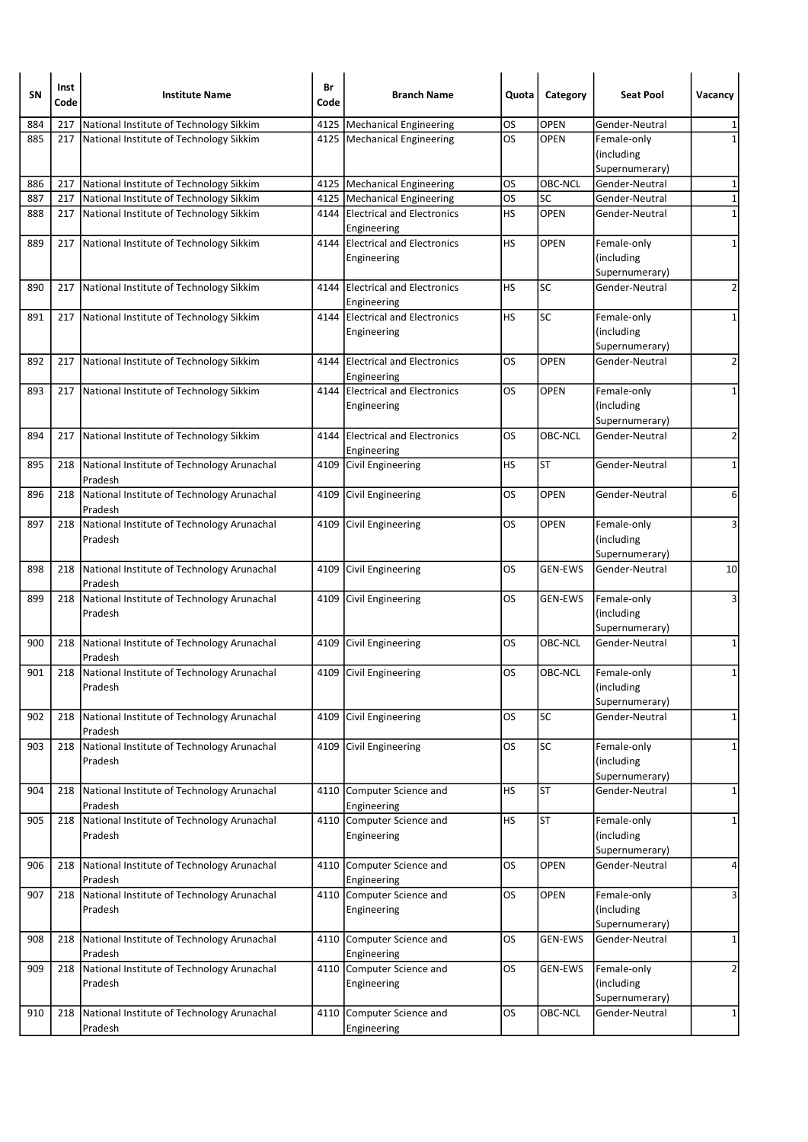| SΝ  | Inst<br>Code | <b>Institute Name</b>                                       | Br<br>Code | <b>Branch Name</b>                               | Quota     | Category       | <b>Seat Pool</b>                            | Vacancy        |
|-----|--------------|-------------------------------------------------------------|------------|--------------------------------------------------|-----------|----------------|---------------------------------------------|----------------|
| 884 | 217          | National Institute of Technology Sikkim                     |            | 4125   Mechanical Engineering                    | <b>OS</b> | <b>OPEN</b>    | Gender-Neutral                              | 1              |
| 885 | 217          | National Institute of Technology Sikkim                     |            | 4125   Mechanical Engineering                    | OS        | <b>OPEN</b>    | Female-only<br>(including<br>Supernumerary) | $\mathbf{1}$   |
| 886 | 217          | National Institute of Technology Sikkim                     |            | 4125   Mechanical Engineering                    | OS        | OBC-NCL        | Gender-Neutral                              | 1              |
| 887 | 217          | National Institute of Technology Sikkim                     |            | 4125 Mechanical Engineering                      | OS        | <b>SC</b>      | Gender-Neutral                              | $\mathbf 1$    |
| 888 | 217          | National Institute of Technology Sikkim                     | 4144       | <b>Electrical and Electronics</b><br>Engineering | HS        | <b>OPEN</b>    | Gender-Neutral                              | $\mathbf{1}$   |
| 889 |              | 217 National Institute of Technology Sikkim                 |            | 4144 Electrical and Electronics<br>Engineering   | HS        | <b>OPEN</b>    | Female-only<br>(including<br>Supernumerary) | 1              |
| 890 | 217          | National Institute of Technology Sikkim                     | 4144       | <b>Electrical and Electronics</b><br>Engineering | НS        | <b>SC</b>      | Gender-Neutral                              | 2              |
| 891 | 217          | National Institute of Technology Sikkim                     |            | 4144 Electrical and Electronics<br>Engineering   | <b>HS</b> | <b>SC</b>      | Female-only<br>(including<br>Supernumerary) | 1              |
| 892 | 217          | National Institute of Technology Sikkim                     | 4144       | <b>Electrical and Electronics</b><br>Engineering | OS        | <b>OPEN</b>    | Gender-Neutral                              | $\overline{2}$ |
| 893 | 217          | National Institute of Technology Sikkim                     |            | 4144 Electrical and Electronics<br>Engineering   | OS        | <b>OPEN</b>    | Female-only<br>(including<br>Supernumerary) | 1              |
| 894 | 217          | National Institute of Technology Sikkim                     | 4144       | <b>Electrical and Electronics</b><br>Engineering | OS        | OBC-NCL        | Gender-Neutral                              | 2              |
| 895 | 218          | National Institute of Technology Arunachal<br>Pradesh       | 4109       | Civil Engineering                                | HS        | <b>ST</b>      | Gender-Neutral                              | 1              |
| 896 | 218          | National Institute of Technology Arunachal<br>Pradesh       | 4109       | Civil Engineering                                | OS        | <b>OPEN</b>    | Gender-Neutral                              | 6              |
| 897 | 218          | National Institute of Technology Arunachal<br>Pradesh       |            | 4109 Civil Engineering                           | OS        | <b>OPEN</b>    | Female-only<br>(including<br>Supernumerary) | 3              |
| 898 | 218          | National Institute of Technology Arunachal<br>Pradesh       | 4109       | Civil Engineering                                | OS        | <b>GEN-EWS</b> | Gender-Neutral                              | 10             |
| 899 | 218          | National Institute of Technology Arunachal<br>Pradesh       | 4109       | Civil Engineering                                | OS        | <b>GEN-EWS</b> | Female-only<br>(including<br>Supernumerary) | 3              |
| 900 | 218          | National Institute of Technology Arunachal<br>Pradesh       | 4109       | Civil Engineering                                | OS        | OBC-NCL        | Gender-Neutral                              | 1              |
| 901 |              | 218   National Institute of Technology Arunachal<br>Pradesh |            | 4109 Civil Engineering                           | OS        | OBC-NCL        | Female-only<br>(including<br>Supernumerary) | 1              |
| 902 | 218          | National Institute of Technology Arunachal<br>Pradesh       | 4109       | Civil Engineering                                | OS        | SC             | Gender-Neutral                              | $\mathbf{1}$   |
| 903 | 218          | National Institute of Technology Arunachal<br>Pradesh       |            | 4109 Civil Engineering                           | los       | SC             | Female-only<br>(including<br>Supernumerary) | $\mathbf{1}$   |
| 904 | 218          | National Institute of Technology Arunachal<br>Pradesh       |            | 4110 Computer Science and<br>Engineering         | HS        | <b>ST</b>      | Gender-Neutral                              | $\mathbf{1}$   |
| 905 |              | 218 National Institute of Technology Arunachal<br>Pradesh   |            | 4110 Computer Science and<br>Engineering         | <b>HS</b> | <b>ST</b>      | Female-only<br>(including<br>Supernumerary) | $\mathbf 1$    |
| 906 | 218          | National Institute of Technology Arunachal<br>Pradesh       | 4110       | Computer Science and<br>Engineering              | OS        | OPEN           | Gender-Neutral                              | $\overline{4}$ |
| 907 | 218          | National Institute of Technology Arunachal<br>Pradesh       |            | 4110 Computer Science and<br>Engineering         | OS        | <b>OPEN</b>    | Female-only<br>(including<br>Supernumerary) | 3              |
| 908 | 218          | National Institute of Technology Arunachal<br>Pradesh       | 4110       | Computer Science and<br>Engineering              | OS        | GEN-EWS        | Gender-Neutral                              | 1              |
| 909 | 218          | National Institute of Technology Arunachal<br>Pradesh       |            | 4110 Computer Science and<br>Engineering         | OS        | GEN-EWS        | Female-only<br>(including<br>Supernumerary) | $\overline{2}$ |
| 910 | 218          | National Institute of Technology Arunachal<br>Pradesh       |            | 4110 Computer Science and<br>Engineering         | OS        | OBC-NCL        | Gender-Neutral                              | $\mathbf{1}$   |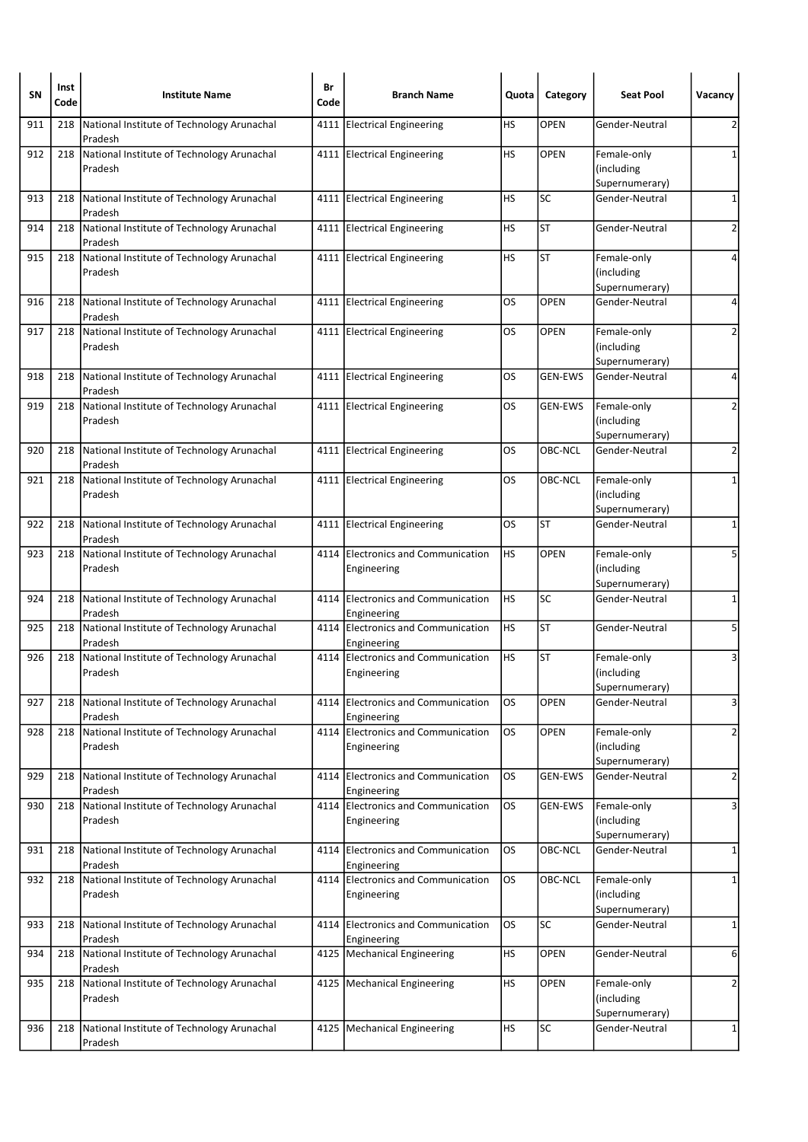| SN  | Inst<br>Code | <b>Institute Name</b>                                     | Br<br>Code | <b>Branch Name</b>                                | Quota     | Category       | <b>Seat Pool</b>                            | Vacancy                 |
|-----|--------------|-----------------------------------------------------------|------------|---------------------------------------------------|-----------|----------------|---------------------------------------------|-------------------------|
| 911 | 218          | National Institute of Technology Arunachal<br>Pradesh     |            | 4111 Electrical Engineering                       | НS        | <b>OPEN</b>    | Gender-Neutral                              | 2                       |
| 912 | 218          | National Institute of Technology Arunachal<br>Pradesh     |            | 4111 Electrical Engineering                       | HS        | <b>OPEN</b>    | Female-only<br>(including<br>Supernumerary) | 1                       |
| 913 | 218          | National Institute of Technology Arunachal<br>Pradesh     |            | 4111 Electrical Engineering                       | HS        | <b>SC</b>      | Gender-Neutral                              | 1                       |
| 914 | 218          | National Institute of Technology Arunachal<br>Pradesh     |            | 4111 Electrical Engineering                       | HS        | <b>ST</b>      | Gender-Neutral                              | 2                       |
| 915 | 218          | National Institute of Technology Arunachal<br>Pradesh     |            | 4111 Electrical Engineering                       | HS        | <b>ST</b>      | Female-only<br>(including<br>Supernumerary) | 4                       |
| 916 | 218          | National Institute of Technology Arunachal<br>Pradesh     |            | 4111 Electrical Engineering                       | OS        | <b>OPEN</b>    | Gender-Neutral                              | 4                       |
| 917 | 218          | National Institute of Technology Arunachal<br>Pradesh     |            | 4111 Electrical Engineering                       | OS        | <b>OPEN</b>    | Female-only<br>(including<br>Supernumerary) | 2                       |
| 918 | 218          | National Institute of Technology Arunachal<br>Pradesh     |            | 4111 Electrical Engineering                       | OS        | <b>GEN-EWS</b> | Gender-Neutral                              | 4                       |
| 919 | 218          | National Institute of Technology Arunachal<br>Pradesh     |            | 4111 Electrical Engineering                       | OS        | <b>GEN-EWS</b> | Female-only<br>(including<br>Supernumerary) | 2                       |
| 920 | 218          | National Institute of Technology Arunachal<br>Pradesh     |            | 4111 Electrical Engineering                       | OS        | OBC-NCL        | Gender-Neutral                              | 2                       |
| 921 |              | 218 National Institute of Technology Arunachal<br>Pradesh |            | 4111 Electrical Engineering                       | OS        | OBC-NCL        | Female-only<br>(including<br>Supernumerary) | 1                       |
| 922 | 218          | National Institute of Technology Arunachal<br>Pradesh     |            | 4111 Electrical Engineering                       | OS.       | <b>ST</b>      | Gender-Neutral                              | 1                       |
| 923 | 218          | National Institute of Technology Arunachal<br>Pradesh     |            | 4114 Electronics and Communication<br>Engineering | HS        | <b>OPEN</b>    | Female-only<br>(including<br>Supernumerary) | 5                       |
| 924 | 218          | National Institute of Technology Arunachal<br>Pradesh     | 4114       | Electronics and Communication<br>Engineering      | HS        | <b>SC</b>      | Gender-Neutral                              | 1                       |
| 925 | 218          | National Institute of Technology Arunachal<br>Pradesh     |            | 4114 Electronics and Communication<br>Engineering | HS        | <b>ST</b>      | Gender-Neutral                              | 5                       |
| 926 | 218          | National Institute of Technology Arunachal<br>Pradesh     |            | 4114 Electronics and Communication<br>Engineering | HS        | <b>ST</b>      | Female-only<br>(including<br>Supernumerary) | 3                       |
| 927 | 218          | National Institute of Technology Arunachal<br>Pradesh     |            | 4114 Electronics and Communication<br>Engineering | OS        | OPEN           | Gender-Neutral                              | 3                       |
| 928 | 218          | National Institute of Technology Arunachal<br>Pradesh     |            | 4114 Electronics and Communication<br>Engineering | OS        | <b>OPEN</b>    | Female-only<br>(including<br>Supernumerary) | $\overline{2}$          |
| 929 | 218          | National Institute of Technology Arunachal<br>Pradesh     | 4114       | Electronics and Communication<br>Engineering      | OS.       | <b>GEN-EWS</b> | Gender-Neutral                              | $\overline{\mathbf{c}}$ |
| 930 | 218          | National Institute of Technology Arunachal<br>Pradesh     |            | 4114 Electronics and Communication<br>Engineering | <b>OS</b> | GEN-EWS        | Female-only<br>(including<br>Supernumerary) | 3                       |
| 931 | 218          | National Institute of Technology Arunachal<br>Pradesh     | 4114       | Electronics and Communication<br>Engineering      | OS.       | <b>OBC-NCL</b> | Gender-Neutral                              | 1                       |
| 932 | 218          | National Institute of Technology Arunachal<br>Pradesh     |            | 4114 Electronics and Communication<br>Engineering | <b>OS</b> | OBC-NCL        | Female-only<br>(including<br>Supernumerary) | 1                       |
| 933 | 218          | National Institute of Technology Arunachal<br>Pradesh     |            | 4114 Electronics and Communication<br>Engineering | los       | SC             | Gender-Neutral                              | $\mathbf{1}$            |
| 934 | 218          | National Institute of Technology Arunachal<br>Pradesh     | 4125       | Mechanical Engineering                            | HS        | <b>OPEN</b>    | Gender-Neutral                              | 6                       |
| 935 | 218          | National Institute of Technology Arunachal<br>Pradesh     |            | 4125   Mechanical Engineering                     | HS        | <b>OPEN</b>    | Female-only<br>(including<br>Supernumerary) | $\overline{2}$          |
| 936 | 218          | National Institute of Technology Arunachal<br>Pradesh     |            | 4125   Mechanical Engineering                     | <b>HS</b> | SC             | Gender-Neutral                              | 1                       |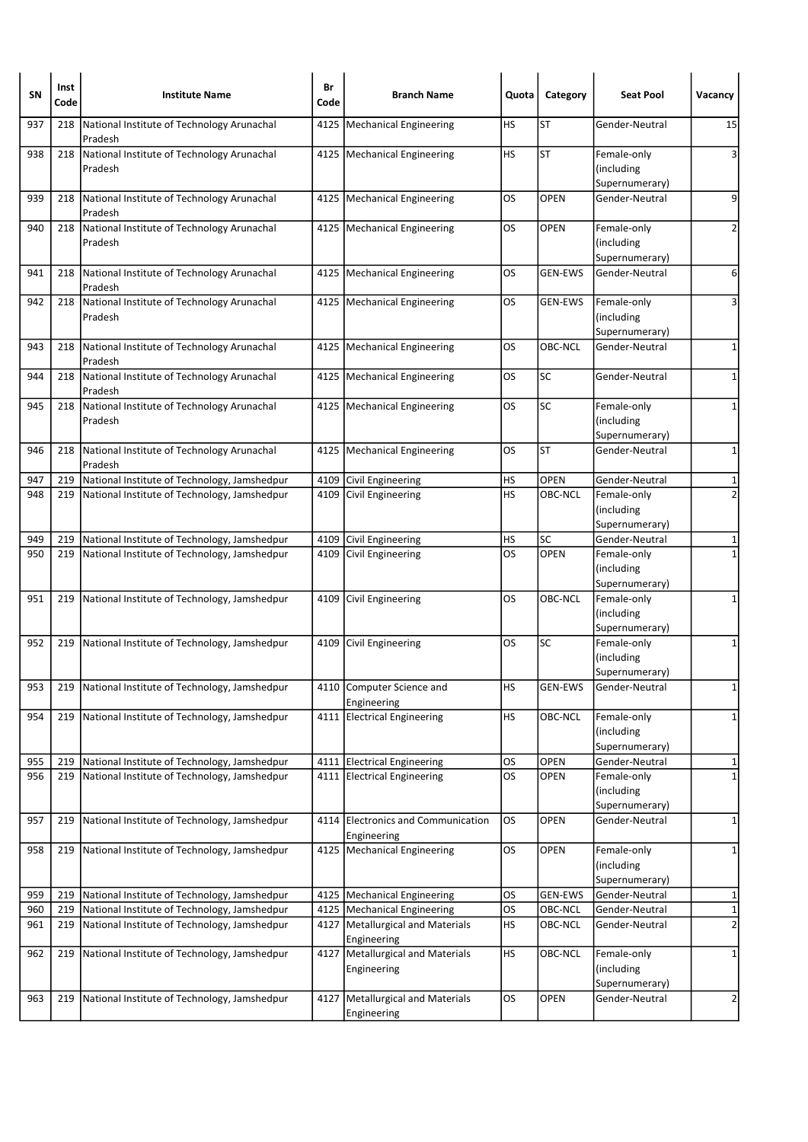| <b>SN</b> | Inst<br>Code | <b>Institute Name</b>                                 | Br<br>Code | <b>Branch Name</b>                                | Quota     | Category       | <b>Seat Pool</b>                            | Vacancy        |
|-----------|--------------|-------------------------------------------------------|------------|---------------------------------------------------|-----------|----------------|---------------------------------------------|----------------|
| 937       | 218          | National Institute of Technology Arunachal<br>Pradesh | 4125       | Mechanical Engineering                            | НS        | ST             | Gender-Neutral                              | 15             |
| 938       | 218          | National Institute of Technology Arunachal<br>Pradesh |            | 4125   Mechanical Engineering                     | HS        | <b>ST</b>      | Female-only<br>(including<br>Supernumerary) | 3              |
| 939       | 218          | National Institute of Technology Arunachal<br>Pradesh |            | 4125   Mechanical Engineering                     | OS        | <b>OPEN</b>    | Gender-Neutral                              | 9              |
| 940       | 218          | National Institute of Technology Arunachal<br>Pradesh |            | 4125   Mechanical Engineering                     | OS        | <b>OPEN</b>    | Female-only<br>(including<br>Supernumerary) | 2              |
| 941       | 218          | National Institute of Technology Arunachal<br>Pradesh | 4125       | Mechanical Engineering                            | OS        | <b>GEN-EWS</b> | Gender-Neutral                              | 6              |
| 942       | 218          | National Institute of Technology Arunachal<br>Pradesh |            | 4125   Mechanical Engineering                     | OS        | <b>GEN-EWS</b> | Female-only<br>(including<br>Supernumerary) | 3              |
| 943       | 218          | National Institute of Technology Arunachal<br>Pradesh |            | 4125   Mechanical Engineering                     | OS        | OBC-NCL        | Gender-Neutral                              | 1              |
| 944       | 218          | National Institute of Technology Arunachal<br>Pradesh |            | 4125   Mechanical Engineering                     | OS        | SC             | Gender-Neutral                              | 1              |
| 945       | 218          | National Institute of Technology Arunachal<br>Pradesh |            | 4125   Mechanical Engineering                     | OS        | SC             | Female-only<br>(including<br>Supernumerary) | $\mathbf{1}$   |
| 946       | 218          | National Institute of Technology Arunachal<br>Pradesh |            | 4125   Mechanical Engineering                     | OS        | <b>ST</b>      | Gender-Neutral                              | 1              |
| 947       |              | 219 National Institute of Technology, Jamshedpur      |            | 4109 Civil Engineering                            | НS        | <b>OPEN</b>    | Gender-Neutral                              | $\mathbf 1$    |
| 948       | 219          | National Institute of Technology, Jamshedpur          |            | 4109 Civil Engineering                            | <b>HS</b> | OBC-NCL        | Female-only<br>(including<br>Supernumerary) | $\overline{2}$ |
| 949       | 219          | National Institute of Technology, Jamshedpur          | 4109       | Civil Engineering                                 | HS        | SC             | Gender-Neutral                              | 1              |
| 950       | 219          | National Institute of Technology, Jamshedpur          |            | 4109 Civil Engineering                            | OS        | <b>OPEN</b>    | Female-only<br>(including<br>Supernumerary) | $\mathbf{1}$   |
| 951       | 219          | National Institute of Technology, Jamshedpur          | 4109       | Civil Engineering                                 | OS        | OBC-NCL        | Female-only<br>(including<br>Supernumerary) | 1              |
| 952       | 219          | National Institute of Technology, Jamshedpur          | 4109       | Civil Engineering                                 | OS        | <b>SC</b>      | Female-only<br>(including<br>Supernumerary) | 1              |
| 953       |              | 219   National Institute of Technology, Jamshedpur    |            | 4110 Computer Science and<br>Engineering          | <b>HS</b> | GEN-EWS        | Gender-Neutral                              | $\mathbf{1}$   |
| 954       | 219          | National Institute of Technology, Jamshedpur          |            | 4111 Electrical Engineering                       | <b>HS</b> | OBC-NCL        | Female-only<br>(including<br>Supernumerary) | 1              |
| 955       | 219          | National Institute of Technology, Jamshedpur          |            | 4111 Electrical Engineering                       | OS        | <b>OPEN</b>    | Gender-Neutral                              | 1              |
| 956       | 219          | National Institute of Technology, Jamshedpur          |            | 4111 Electrical Engineering                       | los       | <b>OPEN</b>    | Female-only<br>(including<br>Supernumerary) | $\mathbf 1$    |
| 957       | 219          | National Institute of Technology, Jamshedpur          |            | 4114 Electronics and Communication<br>Engineering | OS        | OPEN           | Gender-Neutral                              | 1              |
| 958       | 219          | National Institute of Technology, Jamshedpur          |            | 4125 Mechanical Engineering                       | <b>OS</b> | OPEN           | Female-only<br>(including<br>Supernumerary) | 1              |
| 959       | 219          | National Institute of Technology, Jamshedpur          |            | 4125   Mechanical Engineering                     | OS        | <b>GEN-EWS</b> | Gender-Neutral                              | 1              |
| 960       | 219          | National Institute of Technology, Jamshedpur          |            | 4125   Mechanical Engineering                     | <b>OS</b> | OBC-NCL        | Gender-Neutral                              | $\mathbf 1$    |
| 961       | 219          | National Institute of Technology, Jamshedpur          | 4127       | Metallurgical and Materials<br>Engineering        | НS        | OBC-NCL        | Gender-Neutral                              | $\overline{2}$ |
| 962       | 219          | National Institute of Technology, Jamshedpur          | 4127       | Metallurgical and Materials<br>Engineering        | <b>HS</b> | OBC-NCL        | Female-only<br>(including<br>Supernumerary) | 1              |
| 963       | 219          | National Institute of Technology, Jamshedpur          |            | 4127   Metallurgical and Materials<br>Engineering | <b>OS</b> | <b>OPEN</b>    | Gender-Neutral                              | $\overline{2}$ |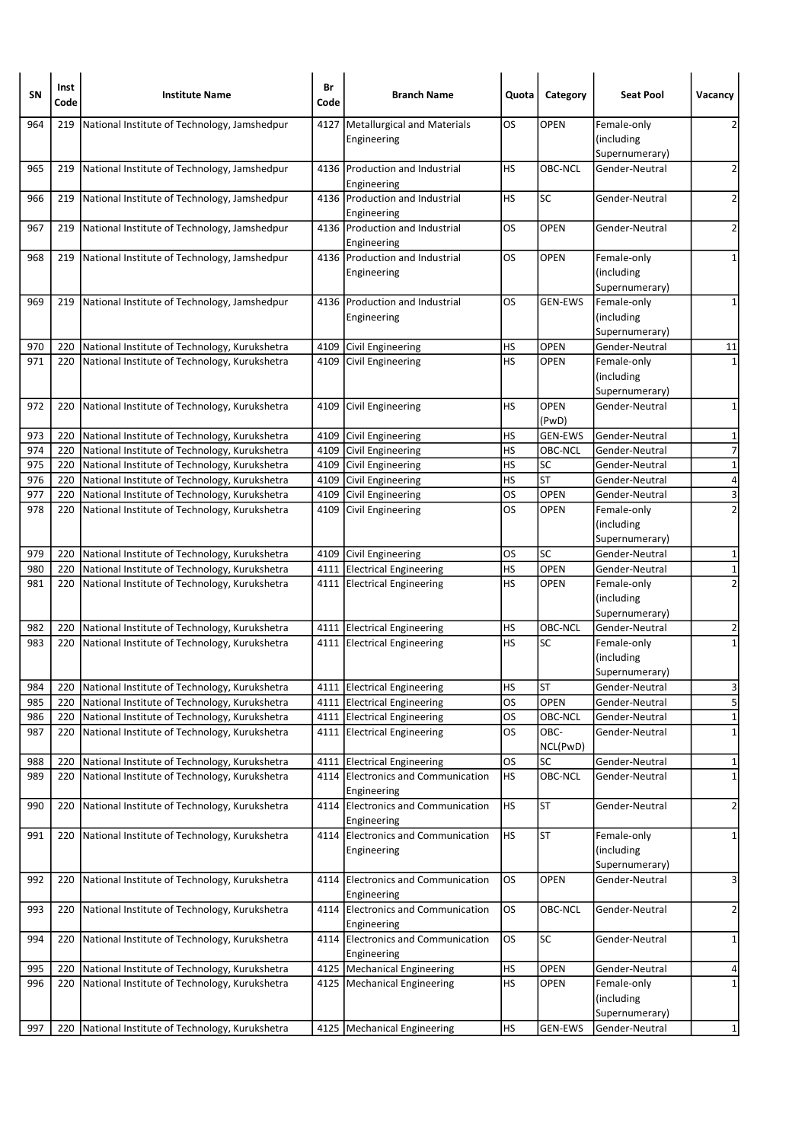| SΝ  | Inst<br>Code | <b>Institute Name</b>                             | Br<br>Code | <b>Branch Name</b>                                | Quota     | Category             | <b>Seat Pool</b>                            | Vacancy                 |
|-----|--------------|---------------------------------------------------|------------|---------------------------------------------------|-----------|----------------------|---------------------------------------------|-------------------------|
| 964 | 219          | National Institute of Technology, Jamshedpur      | 4127       | Metallurgical and Materials                       | OS        | <b>OPEN</b>          | Female-only                                 | 2                       |
|     |              |                                                   |            | Engineering                                       |           |                      | (including                                  |                         |
|     |              |                                                   |            |                                                   |           |                      | Supernumerary)                              |                         |
| 965 | 219          | National Institute of Technology, Jamshedpur      |            | 4136 Production and Industrial<br>Engineering     | <b>HS</b> | OBC-NCL              | Gender-Neutral                              | $\overline{2}$          |
| 966 | 219          | National Institute of Technology, Jamshedpur      |            | 4136 Production and Industrial<br>Engineering     | НS        | SC                   | Gender-Neutral                              | $\overline{2}$          |
| 967 | 219          | National Institute of Technology, Jamshedpur      |            | 4136 Production and Industrial<br>Engineering     | OS        | <b>OPEN</b>          | Gender-Neutral                              | $\overline{2}$          |
| 968 | 219          | National Institute of Technology, Jamshedpur      |            | 4136 Production and Industrial<br>Engineering     | OS        | <b>OPEN</b>          | Female-only<br>(including<br>Supernumerary) | 1                       |
| 969 | 219          | National Institute of Technology, Jamshedpur      |            | 4136 Production and Industrial<br>Engineering     | OS        | <b>GEN-EWS</b>       | Female-only<br>(including<br>Supernumerary) | 1                       |
| 970 | 220          | National Institute of Technology, Kurukshetra     |            | 4109 Civil Engineering                            | HS        | <b>OPEN</b>          | Gender-Neutral                              | 11                      |
| 971 | 220          | National Institute of Technology, Kurukshetra     | 4109       | Civil Engineering                                 | HS        | <b>OPEN</b>          | Female-only<br>(including<br>Supernumerary) | $\mathbf{1}$            |
| 972 | 220          | National Institute of Technology, Kurukshetra     | 4109       | Civil Engineering                                 | <b>HS</b> | <b>OPEN</b><br>(PwD) | Gender-Neutral                              | 1                       |
| 973 | 220          | National Institute of Technology, Kurukshetra     |            | 4109 Civil Engineering                            | HS        | <b>GEN-EWS</b>       | Gender-Neutral                              | 1                       |
| 974 | 220          | National Institute of Technology, Kurukshetra     |            | 4109 Civil Engineering                            | HS        | OBC-NCL              | Gender-Neutral                              | $\overline{7}$          |
| 975 | 220          | National Institute of Technology, Kurukshetra     |            | 4109 Civil Engineering                            | HS        | SC                   | Gender-Neutral                              | $\mathbf 1$             |
| 976 | 220          | National Institute of Technology, Kurukshetra     |            | 4109 Civil Engineering                            | HS        | <b>ST</b>            | Gender-Neutral                              | 4                       |
| 977 | 220          | National Institute of Technology, Kurukshetra     |            | 4109 Civil Engineering                            | los       | <b>OPEN</b>          | Gender-Neutral                              | $\overline{\mathbf{3}}$ |
| 978 | 220          | National Institute of Technology, Kurukshetra     |            | 4109 Civil Engineering                            | OS        | <b>OPEN</b>          | Female-only<br>(including                   | $\overline{2}$          |
| 979 | 220          | National Institute of Technology, Kurukshetra     |            | 4109 Civil Engineering                            | OS        | SC                   | Supernumerary)<br>Gender-Neutral            | $\mathbf{1}$            |
| 980 | 220          | National Institute of Technology, Kurukshetra     |            | 4111 Electrical Engineering                       | HS        | <b>OPEN</b>          | Gender-Neutral                              | $\overline{\mathbf{1}}$ |
| 981 |              | 220 National Institute of Technology, Kurukshetra |            | 4111 Electrical Engineering                       | HS        | <b>OPEN</b>          | Female-only                                 | $\overline{2}$          |
|     |              |                                                   |            |                                                   |           |                      | (including<br>Supernumerary)                |                         |
| 982 | 220          | National Institute of Technology, Kurukshetra     |            | 4111 Electrical Engineering                       | HS        | OBC-NCL              | Gender-Neutral                              | 2                       |
| 983 | 220          | National Institute of Technology, Kurukshetra     |            | 4111 Electrical Engineering                       | <b>HS</b> | SC                   | Female-only<br>(including<br>Supernumerary) | $\mathbf{1}$            |
| 984 | 220          | National Institute of Technology, Kurukshetra     |            | 4111 Electrical Engineering                       | HS        | <b>ST</b>            | Gender-Neutral                              | $\overline{3}$          |
| 985 | 220          | National Institute of Technology, Kurukshetra     |            | 4111 Electrical Engineering                       | <b>OS</b> | OPEN                 | Gender-Neutral                              | $\overline{5}$          |
| 986 | 220          | National Institute of Technology, Kurukshetra     |            | 4111 Electrical Engineering                       | OS        | OBC-NCL              | Gender-Neutral                              | $\mathbf{1}$            |
| 987 | 220          | National Institute of Technology, Kurukshetra     |            | 4111 Electrical Engineering                       | <b>OS</b> | OBC-<br>NCL(PwD)     | Gender-Neutral                              | $\mathbf 1$             |
| 988 | 220          | National Institute of Technology, Kurukshetra     |            | 4111 Electrical Engineering                       | OS        | SC                   | Gender-Neutral                              | 1                       |
| 989 | 220          | National Institute of Technology, Kurukshetra     | 4114       | Electronics and Communication<br>Engineering      | <b>HS</b> | OBC-NCL              | Gender-Neutral                              | $\mathbf 1$             |
| 990 | 220          | National Institute of Technology, Kurukshetra     |            | 4114 Electronics and Communication<br>Engineering | HS        | <b>ST</b>            | Gender-Neutral                              | $\overline{2}$          |
| 991 |              | 220 National Institute of Technology, Kurukshetra |            | 4114 Electronics and Communication<br>Engineering | <b>HS</b> | <b>ST</b>            | Female-only<br>(including<br>Supernumerary) | 1                       |
| 992 | 220          | National Institute of Technology, Kurukshetra     | 4114       | Electronics and Communication<br>Engineering      | <b>OS</b> | OPEN                 | Gender-Neutral                              | 3                       |
| 993 | 220          | National Institute of Technology, Kurukshetra     |            | 4114 Electronics and Communication<br>Engineering | os        | OBC-NCL              | Gender-Neutral                              | $\overline{\mathbf{c}}$ |
| 994 | 220          | National Institute of Technology, Kurukshetra     | 4114       | Electronics and Communication<br>Engineering      | <b>OS</b> | SC                   | Gender-Neutral                              | 1                       |
| 995 | 220          | National Institute of Technology, Kurukshetra     |            | 4125   Mechanical Engineering                     | HS        | OPEN                 | Gender-Neutral                              | 4                       |
| 996 | 220          | National Institute of Technology, Kurukshetra     |            | 4125   Mechanical Engineering                     | <b>HS</b> | <b>OPEN</b>          | Female-only<br>(including                   | $\mathbf 1$             |
|     |              |                                                   |            |                                                   |           |                      | Supernumerary)                              |                         |
| 997 | 220          | National Institute of Technology, Kurukshetra     |            | 4125   Mechanical Engineering                     | <b>HS</b> | GEN-EWS              | Gender-Neutral                              | $\mathbf{1}$            |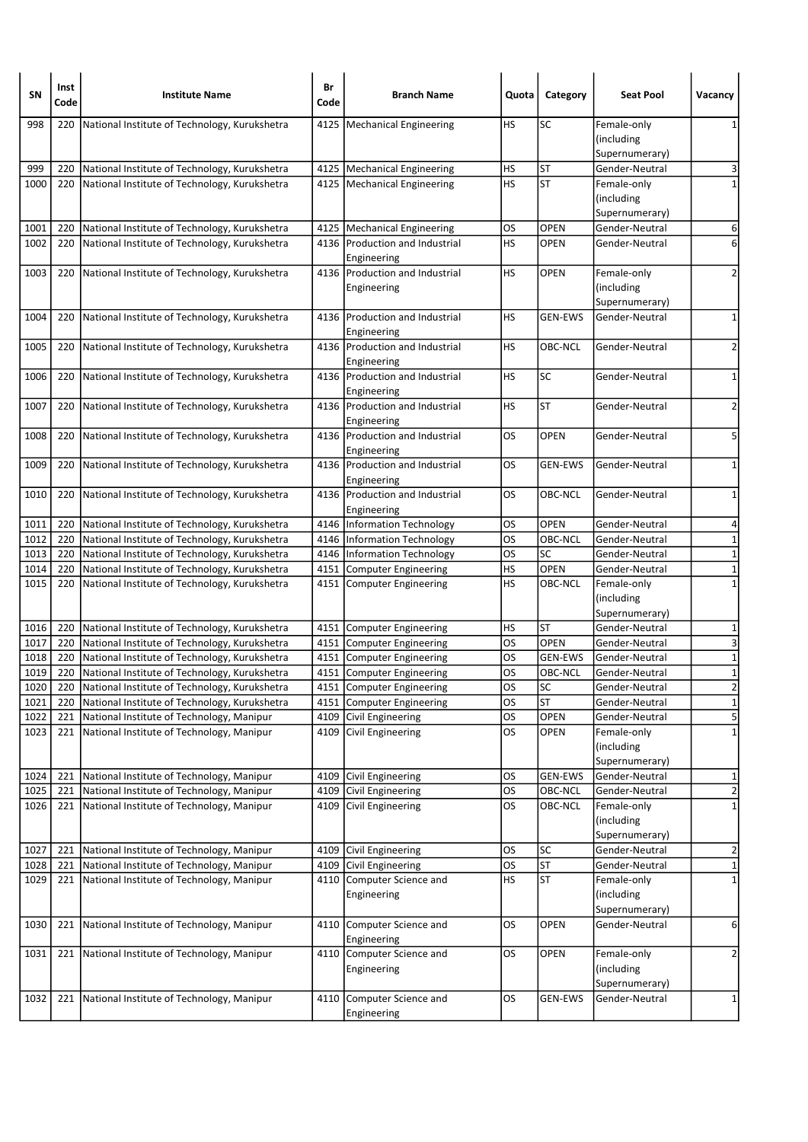| SN           | Inst<br>Code | <b>Institute Name</b>                                                                  | Br<br>Code | <b>Branch Name</b>                               | Quota           | Category           | <b>Seat Pool</b>                                              | Vacancy                                   |
|--------------|--------------|----------------------------------------------------------------------------------------|------------|--------------------------------------------------|-----------------|--------------------|---------------------------------------------------------------|-------------------------------------------|
| 998          | 220          | National Institute of Technology, Kurukshetra                                          |            | 4125   Mechanical Engineering                    | HS              | <b>SC</b>          | Female-only<br>(including<br>Supernumerary)                   | 1                                         |
| 999          | 220          | National Institute of Technology, Kurukshetra                                          |            | 4125   Mechanical Engineering                    | HS              | <b>ST</b>          | Gender-Neutral                                                | 3                                         |
| 1000         | 220          | National Institute of Technology, Kurukshetra                                          |            | 4125   Mechanical Engineering                    | HS              | <b>ST</b>          | Female-only<br>(including<br>Supernumerary)                   | 1                                         |
| 1001         | 220          | National Institute of Technology, Kurukshetra                                          |            | 4125   Mechanical Engineering                    | OS              | <b>OPEN</b>        | Gender-Neutral                                                | 6                                         |
| 1002         | 220          | National Institute of Technology, Kurukshetra                                          |            | 4136 Production and Industrial<br>Engineering    | HS              | <b>OPEN</b>        | Gender-Neutral                                                | 6                                         |
| 1003         | 220          | National Institute of Technology, Kurukshetra                                          |            | 4136 Production and Industrial<br>Engineering    | HS              | <b>OPEN</b>        | Female-only<br>(including<br>Supernumerary)                   | 2                                         |
| 1004         | 220          | National Institute of Technology, Kurukshetra                                          |            | 4136 Production and Industrial<br>Engineering    | HS              | <b>GEN-EWS</b>     | Gender-Neutral                                                | 1                                         |
| 1005         | 220          | National Institute of Technology, Kurukshetra                                          |            | 4136 Production and Industrial<br>Engineering    | HS              | OBC-NCL            | Gender-Neutral                                                | $\overline{2}$                            |
| 1006         | 220          | National Institute of Technology, Kurukshetra                                          |            | 4136 Production and Industrial<br>Engineering    | HS              | <b>SC</b>          | Gender-Neutral                                                | 1                                         |
| 1007         | 220          | National Institute of Technology, Kurukshetra                                          |            | 4136 Production and Industrial<br>Engineering    | HS              | <b>ST</b>          | Gender-Neutral                                                | $\mathbf 2$                               |
| 1008         | 220          | National Institute of Technology, Kurukshetra                                          |            | 4136 Production and Industrial<br>Engineering    | OS              | <b>OPEN</b>        | Gender-Neutral                                                | 5                                         |
| 1009         | 220          | National Institute of Technology, Kurukshetra                                          |            | 4136 Production and Industrial<br>Engineering    | OS              | <b>GEN-EWS</b>     | Gender-Neutral                                                | 1                                         |
| 1010         | 220          | National Institute of Technology, Kurukshetra                                          |            | 4136 Production and Industrial<br>Engineering    | OS              | OBC-NCL            | Gender-Neutral                                                | $\mathbf 1$                               |
| 1011         | 220          | National Institute of Technology, Kurukshetra                                          |            | 4146   Information Technology                    | OS              | <b>OPEN</b>        | Gender-Neutral                                                | 4                                         |
| 1012         | 220          | National Institute of Technology, Kurukshetra                                          |            | 4146   Information Technology                    | <b>OS</b>       | OBC-NCL            | Gender-Neutral                                                | $\mathbf 1$                               |
| 1013         | 220          | National Institute of Technology, Kurukshetra                                          |            | 4146   Information Technology                    | OS              | SC                 | Gender-Neutral                                                | $\mathbf 1$                               |
| 1014         | 220          | National Institute of Technology, Kurukshetra                                          |            | 4151 Computer Engineering                        | HS              | OPEN               | Gender-Neutral                                                | $\overline{1}$                            |
| 1015         | 220          | National Institute of Technology, Kurukshetra                                          |            | 4151 Computer Engineering                        | HS              | OBC-NCL            | Female-only<br>(including<br>Supernumerary)                   | $\mathbf 1$                               |
| 1016         | 220          | National Institute of Technology, Kurukshetra                                          |            | 4151 Computer Engineering                        | HS              | ST                 | Gender-Neutral                                                | 1                                         |
| 1017         | 220          | National Institute of Technology, Kurukshetra                                          |            | 4151 Computer Engineering                        | <b>OS</b>       | OPEN               | Gender-Neutral                                                | 3                                         |
| 1018         | 220          | National Institute of Technology, Kurukshetra                                          |            | 4151 Computer Engineering                        | OS              | GEN-EWS            | Gender-Neutral                                                | $\mathbf 1$                               |
| 1019         | 220          | National Institute of Technology, Kurukshetra                                          |            | 4151 Computer Engineering                        | OS              | OBC-NCL            | Gender-Neutral                                                | $\mathbf 1$                               |
| 1020         | 220          | National Institute of Technology, Kurukshetra                                          |            | 4151 Computer Engineering                        | OS              | <b>SC</b>          | Gender-Neutral                                                | $\overline{2}$                            |
| 1021         | 220          | National Institute of Technology, Kurukshetra                                          |            | 4151 Computer Engineering                        | <b>OS</b>       | <b>ST</b>          | Gender-Neutral                                                | $\mathbf 1$                               |
| 1022<br>1023 | 221<br>221   | National Institute of Technology, Manipur<br>National Institute of Technology, Manipur |            | 4109 Civil Engineering<br>4109 Civil Engineering | OS<br><b>OS</b> | OPEN<br>OPEN       | Gender-Neutral<br>Female-only<br>(including<br>Supernumerary) | $\overline{\mathbf{5}}$<br>$\mathbf 1$    |
| 1024         | 221          | National Institute of Technology, Manipur                                              |            | 4109 Civil Engineering                           | OS              | <b>GEN-EWS</b>     | Gender-Neutral                                                | 1                                         |
| 1025<br>1026 | 221<br>221   | National Institute of Technology, Manipur<br>National Institute of Technology, Manipur |            | 4109 Civil Engineering<br>4109 Civil Engineering | OS<br><b>OS</b> | OBC-NCL<br>OBC-NCL | Gender-Neutral<br>Female-only<br>(including                   | $\overline{\mathbf{c}}$<br>$\overline{1}$ |
| 1027         | 221          | National Institute of Technology, Manipur                                              |            | 4109 Civil Engineering                           | <b>OS</b>       | SC                 | Supernumerary)<br>Gender-Neutral                              | 2                                         |
| 1028         | 221          | National Institute of Technology, Manipur                                              |            | 4109 Civil Engineering                           | <b>OS</b>       | <b>ST</b>          | Gender-Neutral                                                | $\mathbf 1$                               |
| 1029         | 221          | National Institute of Technology, Manipur                                              | 4110       | Computer Science and<br>Engineering              | <b>HS</b>       | <b>ST</b>          | Female-only<br>(including<br>Supernumerary)                   | $\mathbf 1$                               |
| 1030         | 221          | National Institute of Technology, Manipur                                              |            | 4110 Computer Science and<br>Engineering         | OS              | <b>OPEN</b>        | Gender-Neutral                                                | 6                                         |
| 1031         | 221          | National Institute of Technology, Manipur                                              |            | 4110 Computer Science and<br>Engineering         | <b>OS</b>       | OPEN               | Female-only<br>(including<br>Supernumerary)                   | $\overline{2}$                            |
| 1032         | 221          | National Institute of Technology, Manipur                                              |            | 4110 Computer Science and<br>Engineering         | OS              | GEN-EWS            | Gender-Neutral                                                | $\mathbf{1}$                              |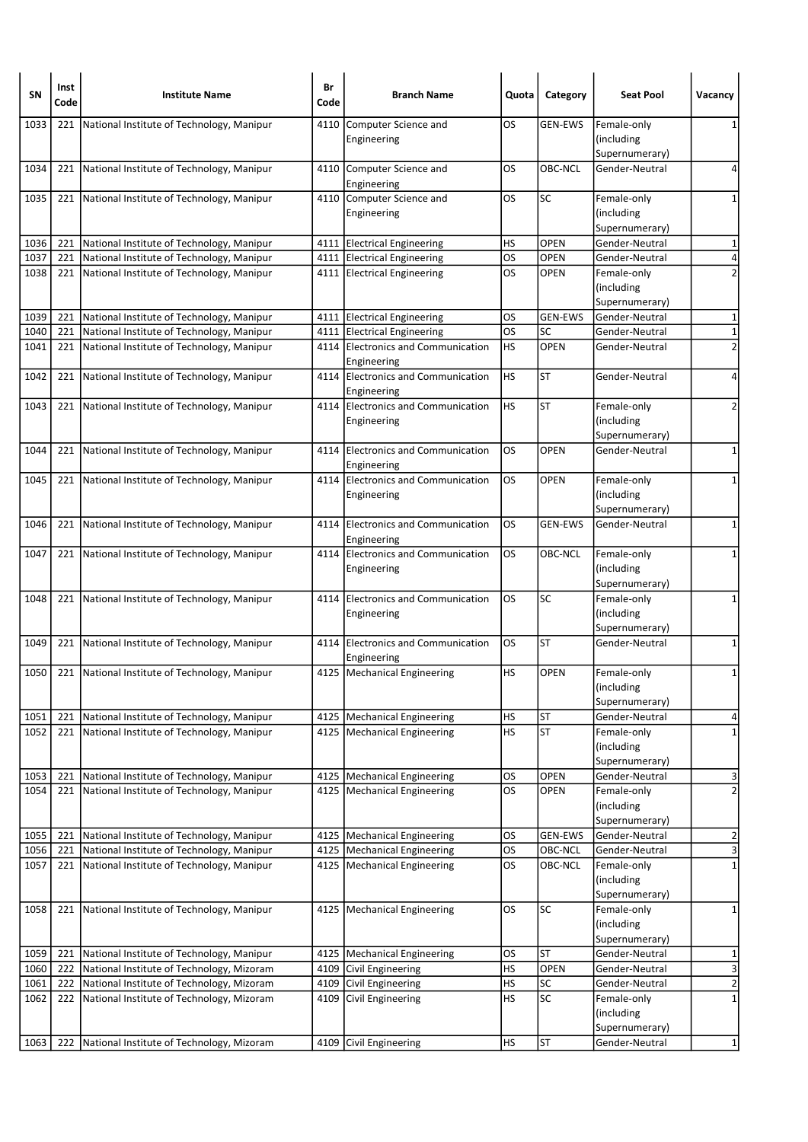| SΝ   | Inst<br>Code | <b>Institute Name</b>                           | Br<br>Code | <b>Branch Name</b>                                  | Quota     | Category                 | <b>Seat Pool</b>                            | Vacancy                 |
|------|--------------|-------------------------------------------------|------------|-----------------------------------------------------|-----------|--------------------------|---------------------------------------------|-------------------------|
| 1033 | 221          | National Institute of Technology, Manipur       | 4110       | Computer Science and<br>Engineering                 | <b>OS</b> | <b>GEN-EWS</b>           | Female-only<br>(including<br>Supernumerary) | 1                       |
| 1034 |              | 221 National Institute of Technology, Manipur   |            | 4110 Computer Science and<br>Engineering            | <b>OS</b> | OBC-NCL                  | Gender-Neutral                              | 4                       |
| 1035 | 221          | National Institute of Technology, Manipur       |            | 4110 Computer Science and<br>Engineering            | <b>OS</b> | <b>SC</b>                | Female-only<br>(including<br>Supernumerary) | 1                       |
| 1036 | 221          | National Institute of Technology, Manipur       |            | 4111 Electrical Engineering                         | HS        | OPEN                     | Gender-Neutral                              | $\mathbf{1}$            |
| 1037 | 221          | National Institute of Technology, Manipur       |            | 4111 Electrical Engineering                         | <b>OS</b> | <b>OPEN</b>              | Gender-Neutral                              | 4                       |
| 1038 | 221          | National Institute of Technology, Manipur       |            | 4111 Electrical Engineering                         | <b>OS</b> | <b>OPEN</b>              | Female-only<br>(including<br>Supernumerary) | $\overline{2}$          |
| 1039 | 221          | National Institute of Technology, Manipur       |            | 4111 Electrical Engineering                         | OS        | <b>GEN-EWS</b>           | Gender-Neutral                              | 1                       |
| 1040 | 221          | National Institute of Technology, Manipur       |            | 4111 Electrical Engineering                         | los       | SC                       | Gender-Neutral                              | $\mathbf 1$             |
| 1041 | 221          | National Institute of Technology, Manipur       |            | 4114 Electronics and Communication<br>Engineering   | HS        | <b>OPEN</b>              | Gender-Neutral                              | $\overline{\mathbf{c}}$ |
| 1042 | 221          | National Institute of Technology, Manipur       |            | 4114 Electronics and Communication<br>Engineering   | HS        | <b>ST</b>                | Gender-Neutral                              | 4                       |
| 1043 |              | 221 National Institute of Technology, Manipur   |            | 4114 Electronics and Communication<br>Engineering   | HS        | <b>ST</b>                | Female-only<br>(including<br>Supernumerary) | 2                       |
| 1044 | 221          | National Institute of Technology, Manipur       | 4114       | <b>Electronics and Communication</b><br>Engineering | OS        | OPEN                     | Gender-Neutral                              | 1                       |
| 1045 |              | 221 National Institute of Technology, Manipur   |            | 4114 Electronics and Communication<br>Engineering   | <b>OS</b> | <b>OPEN</b>              | Female-only<br>(including<br>Supernumerary) | 1                       |
| 1046 | 221          | National Institute of Technology, Manipur       |            | 4114 Electronics and Communication<br>Engineering   | OS.       | <b>GEN-EWS</b>           | Gender-Neutral                              | 1                       |
| 1047 |              | 221 National Institute of Technology, Manipur   |            | 4114 Electronics and Communication<br>Engineering   | <b>OS</b> | OBC-NCL                  | Female-only<br>(including<br>Supernumerary) | 1                       |
| 1048 | 221          | National Institute of Technology, Manipur       |            | 4114 Electronics and Communication<br>Engineering   | <b>OS</b> | SC                       | Female-only<br>(including<br>Supernumerary) | $\mathbf{1}$            |
| 1049 | 221          | National Institute of Technology, Manipur       |            | 4114 Electronics and Communication<br>Engineering   | OS.       | ST                       | Gender-Neutral                              | 1                       |
| 1050 |              | 221   National Institute of Technology, Manipur |            | 4125   Mechanical Engineering                       | HS        | <b>OPEN</b>              | Female-only<br>(including<br>Supernumerary) | 1                       |
| 1051 | 221          | National Institute of Technology, Manipur       |            | 4125   Mechanical Engineering                       | HS        | ST                       | Gender-Neutral                              | 4                       |
| 1052 |              | 221 National Institute of Technology, Manipur   |            | 4125   Mechanical Engineering                       | <b>HS</b> | <b>ST</b>                | Female-only<br>(including<br>Supernumerary) | $\mathbf 1$             |
| 1053 | 221          | National Institute of Technology, Manipur       |            | 4125   Mechanical Engineering                       | <b>OS</b> | OPEN                     | Gender-Neutral                              | 3                       |
| 1054 | 221          | National Institute of Technology, Manipur       |            | 4125   Mechanical Engineering                       | <b>OS</b> | <b>OPEN</b>              | Female-only<br>(including<br>Supernumerary) | $\overline{\mathbf{c}}$ |
| 1055 | 221          | National Institute of Technology, Manipur       |            | 4125   Mechanical Engineering                       | OS        | <b>GEN-EWS</b>           | Gender-Neutral                              | 2                       |
| 1056 | 221          | National Institute of Technology, Manipur       |            | 4125   Mechanical Engineering                       | <b>OS</b> | OBC-NCL                  | Gender-Neutral                              | $\mathbf{a}$            |
| 1057 | 221          | National Institute of Technology, Manipur       |            | 4125   Mechanical Engineering                       | OS        | OBC-NCL                  | Female-only<br>(including<br>Supernumerary) | $\mathbf 1$             |
| 1058 |              | 221 National Institute of Technology, Manipur   |            | 4125   Mechanical Engineering                       | los       | $\overline{\mathsf{sc}}$ | Female-only<br>(including<br>Supernumerary) | $\mathbf 1$             |
| 1059 | 221          | National Institute of Technology, Manipur       |            | 4125   Mechanical Engineering                       | <b>OS</b> | <b>ST</b>                | Gender-Neutral                              | 1                       |
| 1060 | 222          | National Institute of Technology, Mizoram       |            | 4109 Civil Engineering                              | HS        | OPEN                     | Gender-Neutral                              | $\overline{\mathbf{3}}$ |
| 1061 | 222          | National Institute of Technology, Mizoram       |            | 4109 Civil Engineering                              | <b>HS</b> | <b>SC</b>                | Gender-Neutral                              | $\overline{2}$          |
| 1062 |              | 222 National Institute of Technology, Mizoram   |            | 4109 Civil Engineering                              | HS        | SC                       | Female-only<br>(including<br>Supernumerary) | $\mathbf 1$             |
| 1063 | 222          | National Institute of Technology, Mizoram       | 4109       | Civil Engineering                                   | <b>HS</b> | ST                       | Gender-Neutral                              | $\mathbf{1}$            |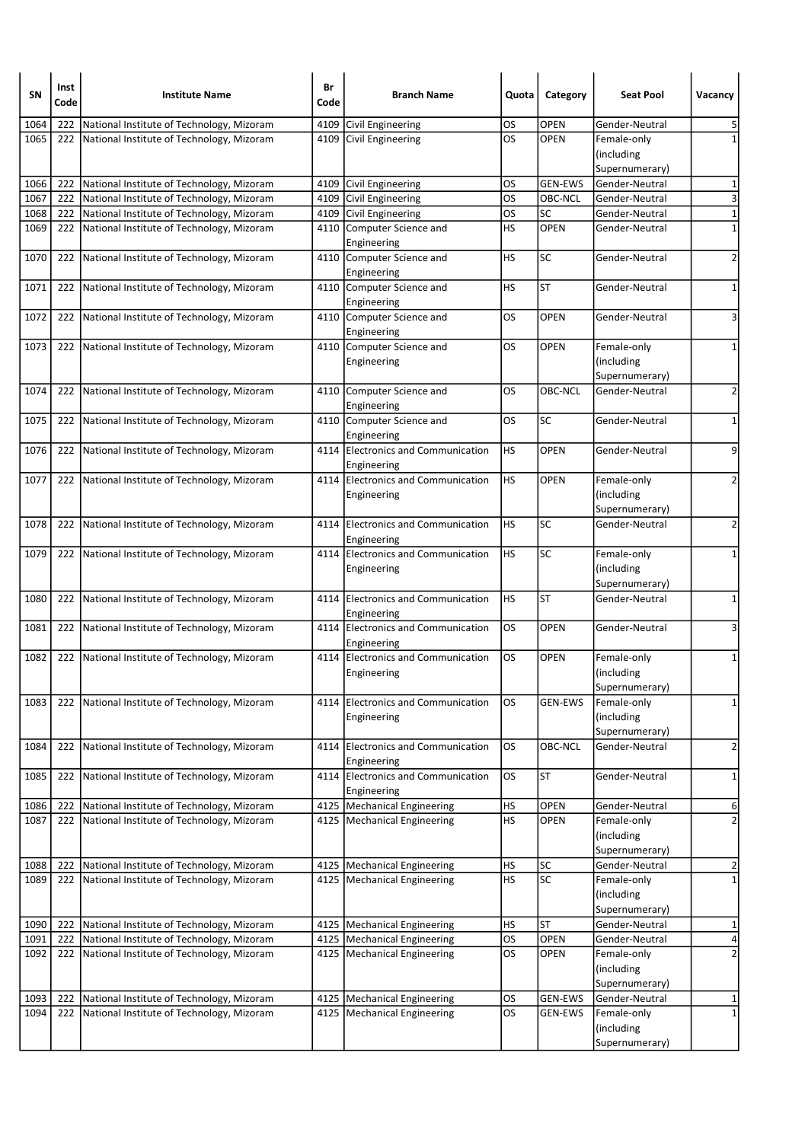| SΝ   | Inst<br>Code | <b>Institute Name</b>                           | Br<br>Code | <b>Branch Name</b>                                | Quota     | Category        | <b>Seat Pool</b>                 | Vacancy                 |
|------|--------------|-------------------------------------------------|------------|---------------------------------------------------|-----------|-----------------|----------------------------------|-------------------------|
| 1064 | 222          | National Institute of Technology, Mizoram       | 4109       | Civil Engineering                                 | OS        | <b>OPEN</b>     | Gender-Neutral                   | 5                       |
| 1065 | 222          | National Institute of Technology, Mizoram       |            | 4109 Civil Engineering                            | <b>OS</b> | <b>OPEN</b>     | Female-only                      | $\mathbf{1}$            |
|      |              |                                                 |            |                                                   |           |                 | (including                       |                         |
|      |              |                                                 |            |                                                   |           |                 | Supernumerary)                   |                         |
| 1066 | 222          | National Institute of Technology, Mizoram       |            | 4109 Civil Engineering                            | OS        | <b>GEN-EWS</b>  | Gender-Neutral                   | 1                       |
| 1067 | 222          | National Institute of Technology, Mizoram       |            | 4109 Civil Engineering                            | OS        | OBC-NCL         | Gender-Neutral                   | 3                       |
| 1068 | 222          | National Institute of Technology, Mizoram       |            | 4109 Civil Engineering                            | <b>OS</b> | SC              | Gender-Neutral                   | $\mathbf 1$             |
| 1069 | 222          | National Institute of Technology, Mizoram       |            | 4110 Computer Science and                         | HS        | <b>OPEN</b>     | Gender-Neutral                   | $\mathbf 1$             |
|      |              |                                                 |            | Engineering                                       |           |                 |                                  |                         |
| 1070 | 222          | National Institute of Technology, Mizoram       |            | 4110 Computer Science and<br>Engineering          | HS        | <b>SC</b>       | Gender-Neutral                   | 2                       |
| 1071 | 222          | National Institute of Technology, Mizoram       |            | 4110 Computer Science and<br>Engineering          | HS        | <b>ST</b>       | Gender-Neutral                   | 1                       |
| 1072 | 222          | National Institute of Technology, Mizoram       |            | 4110 Computer Science and<br>Engineering          | OS.       | <b>OPEN</b>     | Gender-Neutral                   | 3                       |
| 1073 |              | 222 National Institute of Technology, Mizoram   |            | 4110 Computer Science and                         | OS        | <b>OPEN</b>     | Female-only                      | 1                       |
|      |              |                                                 |            | Engineering                                       |           |                 | (including                       |                         |
|      |              |                                                 |            |                                                   |           |                 | Supernumerary)                   |                         |
| 1074 | 222          | National Institute of Technology, Mizoram       |            | 4110 Computer Science and                         | <b>OS</b> | OBC-NCL         | Gender-Neutral                   | $\overline{2}$          |
|      |              |                                                 |            | Engineering                                       | <b>OS</b> | $\overline{SC}$ |                                  |                         |
| 1075 |              | 222 National Institute of Technology, Mizoram   |            | 4110 Computer Science and<br>Engineering          |           |                 | Gender-Neutral                   | $\mathbf 1$             |
| 1076 | 222          | National Institute of Technology, Mizoram       |            | 4114 Electronics and Communication<br>Engineering | HS        | OPEN            | Gender-Neutral                   | 9                       |
| 1077 |              | 222 National Institute of Technology, Mizoram   |            | 4114 Electronics and Communication                | HS        | <b>OPEN</b>     | Female-only                      | 2                       |
|      |              |                                                 |            | Engineering                                       |           |                 | (including                       |                         |
|      |              |                                                 |            |                                                   |           |                 | Supernumerary)                   |                         |
| 1078 | 222          | National Institute of Technology, Mizoram       |            | 4114 Electronics and Communication<br>Engineering | <b>HS</b> | SC              | Gender-Neutral                   | $\overline{2}$          |
| 1079 |              | 222 National Institute of Technology, Mizoram   |            | 4114 Electronics and Communication                | HS        | SC              | Female-only                      | 1                       |
|      |              |                                                 |            | Engineering                                       |           |                 | (including                       |                         |
|      |              |                                                 |            |                                                   |           |                 | Supernumerary)                   |                         |
| 1080 | 222          | National Institute of Technology, Mizoram       |            | 4114 Electronics and Communication<br>Engineering | HS        | <b>ST</b>       | Gender-Neutral                   | $\mathbf 1$             |
| 1081 | 222          | National Institute of Technology, Mizoram       |            | 4114 Electronics and Communication                | <b>OS</b> | <b>OPEN</b>     | Gender-Neutral                   | 3                       |
|      |              |                                                 |            | Engineering                                       |           |                 |                                  |                         |
| 1082 | 222          | National Institute of Technology, Mizoram       |            | 4114 Electronics and Communication                | <b>OS</b> | <b>OPEN</b>     | Female-only                      | 1                       |
|      |              |                                                 |            | Engineering                                       |           |                 | (including                       |                         |
|      |              |                                                 |            |                                                   |           |                 | Supernumerary)                   |                         |
| 1083 | 222          | National Institute of Technology, Mizoram       |            | 4114 Electronics and Communication                | <b>OS</b> | <b>GEN-EWS</b>  | Female-only                      | $\mathbf{1}$            |
|      |              |                                                 |            | Engineering                                       |           |                 | (including                       |                         |
| 1084 | 222          | National Institute of Technology, Mizoram       |            | 4114 Electronics and Communication                | los       | <b>OBC-NCL</b>  | Supernumerary)<br>Gender-Neutral | $\overline{\mathbf{c}}$ |
|      |              |                                                 |            | Engineering                                       |           |                 |                                  |                         |
| 1085 | 222          | National Institute of Technology, Mizoram       |            | 4114 Electronics and Communication<br>Engineering | OS.       | <b>ST</b>       | Gender-Neutral                   | 1                       |
| 1086 | 222          | National Institute of Technology, Mizoram       |            | 4125 Mechanical Engineering                       | HS        | OPEN            | Gender-Neutral                   | 6                       |
| 1087 | 222          | National Institute of Technology, Mizoram       |            | 4125   Mechanical Engineering                     | <b>HS</b> | OPEN            | Female-only                      | $\overline{2}$          |
|      |              |                                                 |            |                                                   |           |                 | (including                       |                         |
|      |              |                                                 |            |                                                   |           |                 | Supernumerary)                   |                         |
| 1088 | 222          | National Institute of Technology, Mizoram       |            | 4125   Mechanical Engineering                     | <b>HS</b> | <b>SC</b>       | Gender-Neutral                   | 2                       |
| 1089 | 222          | National Institute of Technology, Mizoram       |            | 4125   Mechanical Engineering                     | HS        | SC              | Female-only                      | 1                       |
|      |              |                                                 |            |                                                   |           |                 | (including                       |                         |
|      |              |                                                 |            |                                                   |           |                 | Supernumerary)                   |                         |
| 1090 | 222          | National Institute of Technology, Mizoram       |            | 4125   Mechanical Engineering                     | <b>HS</b> | <b>ST</b>       | Gender-Neutral                   | 1                       |
| 1091 | 222          | National Institute of Technology, Mizoram       |            | 4125   Mechanical Engineering                     | <b>OS</b> | OPEN            | Gender-Neutral                   | 4                       |
| 1092 | 222          | National Institute of Technology, Mizoram       |            | 4125   Mechanical Engineering                     | <b>OS</b> | <b>OPEN</b>     | Female-only                      | $\overline{\mathbf{c}}$ |
|      |              |                                                 |            |                                                   |           |                 | (including                       |                         |
| 1093 |              | 222 National Institute of Technology, Mizoram   |            | 4125   Mechanical Engineering                     | <b>OS</b> | GEN-EWS         | Supernumerary)<br>Gender-Neutral | 1                       |
| 1094 |              | 222   National Institute of Technology, Mizoram |            | 4125   Mechanical Engineering                     | <b>OS</b> | GEN-EWS         | Female-only                      | $\mathbf{1}$            |
|      |              |                                                 |            |                                                   |           |                 | (including                       |                         |
|      |              |                                                 |            |                                                   |           |                 | Supernumerary)                   |                         |
|      |              |                                                 |            |                                                   |           |                 |                                  |                         |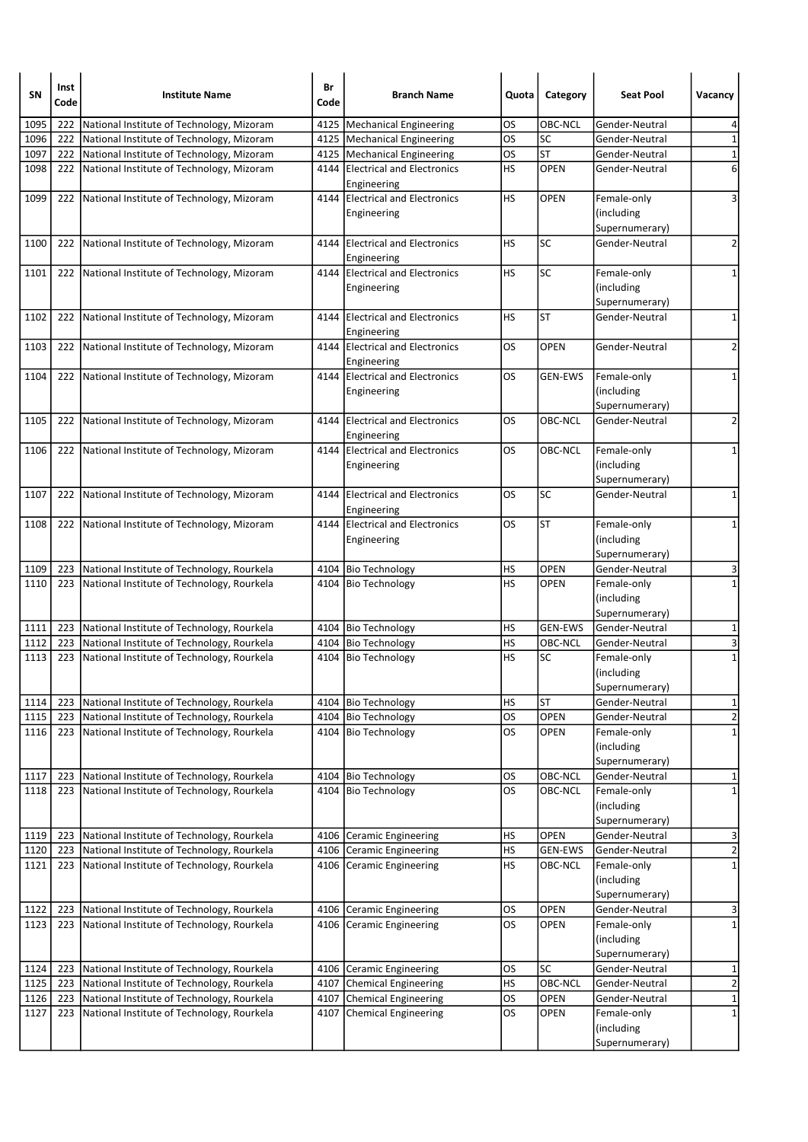| SN   | Inst<br>Code | <b>Institute Name</b>                          | Br<br>Code | <b>Branch Name</b>                             | Quota            | Category       | <b>Seat Pool</b>                  | Vacancy                 |
|------|--------------|------------------------------------------------|------------|------------------------------------------------|------------------|----------------|-----------------------------------|-------------------------|
| 1095 | 222          | National Institute of Technology, Mizoram      |            | 4125   Mechanical Engineering                  | OS.              | OBC-NCL        | Gender-Neutral                    | 4                       |
| 1096 | 222          | National Institute of Technology, Mizoram      |            | 4125   Mechanical Engineering                  | <b>OS</b>        | SC             | Gender-Neutral                    | $\mathbf 1$             |
| 1097 | 222          | National Institute of Technology, Mizoram      |            | 4125   Mechanical Engineering                  | <b>OS</b>        | ST             | Gender-Neutral                    | $\mathbf 1$             |
| 1098 |              | 222 National Institute of Technology, Mizoram  |            | 4144 Electrical and Electronics<br>Engineering | <b>HS</b>        | OPEN           | Gender-Neutral                    | 6                       |
| 1099 | 222          | National Institute of Technology, Mizoram      |            | 4144 Electrical and Electronics                | <b>HS</b>        | <b>OPEN</b>    | Female-only                       | 3                       |
|      |              |                                                |            | Engineering                                    |                  |                | (including                        |                         |
|      |              |                                                |            |                                                |                  |                | Supernumerary)                    |                         |
| 1100 | 222          | National Institute of Technology, Mizoram      |            | 4144 Electrical and Electronics<br>Engineering | <b>HS</b>        | SC             | Gender-Neutral                    | $\overline{2}$          |
| 1101 | 222          | National Institute of Technology, Mizoram      |            | 4144 Electrical and Electronics                | <b>HS</b>        | SC             | Female-only                       | $\mathbf{1}$            |
|      |              |                                                |            | Engineering                                    |                  |                | (including                        |                         |
|      |              |                                                |            |                                                |                  |                | Supernumerary)                    |                         |
| 1102 | 222          | National Institute of Technology, Mizoram      |            | 4144 Electrical and Electronics                | <b>HS</b>        | <b>ST</b>      | Gender-Neutral                    | 1                       |
|      |              |                                                |            | Engineering                                    |                  |                |                                   |                         |
| 1103 | 222          | National Institute of Technology, Mizoram      |            | 4144 Electrical and Electronics                | OS.              | <b>OPEN</b>    | Gender-Neutral                    | 2                       |
|      |              |                                                |            | Engineering                                    |                  |                |                                   |                         |
| 1104 |              | 222 National Institute of Technology, Mizoram  |            | 4144 Electrical and Electronics                | OS               | <b>GEN-EWS</b> | Female-only                       | 1                       |
|      |              |                                                |            | Engineering                                    |                  |                | (including                        |                         |
| 1105 |              |                                                |            | 4144 Electrical and Electronics                | <b>OS</b>        | OBC-NCL        | Supernumerary)<br>lGender-Neutral | 2                       |
|      |              | 222 National Institute of Technology, Mizoram  |            | Engineering                                    |                  |                |                                   |                         |
| 1106 | 222          | National Institute of Technology, Mizoram      |            | 4144 Electrical and Electronics                | OS               | OBC-NCL        | Female-only                       | 1                       |
|      |              |                                                |            | Engineering                                    |                  |                | (including                        |                         |
|      |              |                                                |            |                                                |                  |                | Supernumerary)                    |                         |
| 1107 | 222          | National Institute of Technology, Mizoram      |            | 4144 Electrical and Electronics<br>Engineering | <b>OS</b>        | <b>SC</b>      | Gender-Neutral                    | $\mathbf 1$             |
| 1108 | 222          | National Institute of Technology, Mizoram      |            | 4144 Electrical and Electronics                | <b>OS</b>        | <b>ST</b>      | Female-only                       | 1                       |
|      |              |                                                |            | Engineering                                    |                  |                | (including                        |                         |
|      |              |                                                |            |                                                |                  |                | Supernumerary)                    |                         |
| 1109 | 223          | National Institute of Technology, Rourkela     |            | 4104 Bio Technology                            | <b>HS</b>        | <b>OPEN</b>    | Gender-Neutral                    | 3                       |
| 1110 |              | 223 National Institute of Technology, Rourkela |            | 4104 Bio Technology                            | <b>HS</b>        | <b>OPEN</b>    | Female-only                       | $\mathbf{1}$            |
|      |              |                                                |            |                                                |                  |                | (including<br>Supernumerary)      |                         |
| 1111 | 223          | National Institute of Technology, Rourkela     |            | 4104 Bio Technology                            | HS               | <b>GEN-EWS</b> | Gender-Neutral                    | 1                       |
| 1112 | 223          | National Institute of Technology, Rourkela     |            | 4104   Bio Technology                          | <b>HS</b>        | OBC-NCL        | Gender-Neutral                    | 3                       |
| 1113 | 223          | National Institute of Technology, Rourkela     |            | 4104 Bio Technology                            | HS               | SC             | Female-only                       | $\mathbf 1$             |
|      |              |                                                |            |                                                |                  |                | (including<br>Supernumerary)      |                         |
| 1114 | 223          | National Institute of Technology, Rourkela     |            | 4104 Bio Technology                            | HS               | <b>ST</b>      | Gender-Neutral                    | $\mathbf{1}$            |
| 1115 | 223          | National Institute of Technology, Rourkela     |            | 4104 Bio Technology                            | OS               | OPEN           | Gender-Neutral                    | $\mathbf 2$             |
| 1116 | 223          | National Institute of Technology, Rourkela     |            | 4104 Bio Technology                            | OS.              | <b>OPEN</b>    | Female-only                       | $\mathbf 1$             |
|      |              |                                                |            |                                                |                  |                | (including                        |                         |
|      |              |                                                |            |                                                |                  |                | Supernumerary)                    |                         |
| 1117 | 223          | National Institute of Technology, Rourkela     |            | 4104 Bio Technology                            | <b>OS</b>        | OBC-NCL        | Gender-Neutral                    | 1                       |
| 1118 | 223          | National Institute of Technology, Rourkela     |            | 4104 Bio Technology                            | los              | OBC-NCL        | Female-only                       | $\mathbf{1}$            |
|      |              |                                                |            |                                                |                  |                | (including                        |                         |
|      |              |                                                |            |                                                |                  |                | Supernumerary)                    |                         |
| 1119 | 223          | National Institute of Technology, Rourkela     |            | 4106 Ceramic Engineering                       | HS               | OPEN           | Gender-Neutral                    | 3                       |
| 1120 | 223          | National Institute of Technology, Rourkela     |            | 4106 Ceramic Engineering                       | <b>HS</b>        | <b>GEN-EWS</b> | Gender-Neutral                    | $\overline{c}$          |
| 1121 | 223          | National Institute of Technology, Rourkela     |            | 4106 Ceramic Engineering                       | HS               | OBC-NCL        | Female-only                       | $\mathbf 1$             |
|      |              |                                                |            |                                                |                  |                | (including                        |                         |
|      |              |                                                |            |                                                |                  |                | Supernumerary)                    |                         |
| 1122 | 223          | National Institute of Technology, Rourkela     |            | 4106 Ceramic Engineering                       | <b>OS</b><br>los | OPEN           | Gender-Neutral                    | 3<br>$\mathbf{1}$       |
| 1123 | 223          | National Institute of Technology, Rourkela     |            | 4106 Ceramic Engineering                       |                  | <b>OPEN</b>    | Female-only<br>(including         |                         |
|      |              |                                                |            |                                                |                  |                | Supernumerary)                    |                         |
| 1124 | 223          | National Institute of Technology, Rourkela     |            | 4106 Ceramic Engineering                       | OS               | <b>SC</b>      | Gender-Neutral                    | 1                       |
| 1125 | 223          | National Institute of Technology, Rourkela     |            | 4107 Chemical Engineering                      | <b>HS</b>        | OBC-NCL        | Gender-Neutral                    | $\overline{\mathbf{c}}$ |
| 1126 |              | 223 National Institute of Technology, Rourkela |            | 4107 Chemical Engineering                      | <b>OS</b>        | OPEN           | Gender-Neutral                    | $\mathbf{1}$            |
| 1127 | 223          | National Institute of Technology, Rourkela     |            | 4107 Chemical Engineering                      | los              | <b>OPEN</b>    | Female-only                       | $\mathbf{1}$            |
|      |              |                                                |            |                                                |                  |                | (including                        |                         |
|      |              |                                                |            |                                                |                  |                | Supernumerary)                    |                         |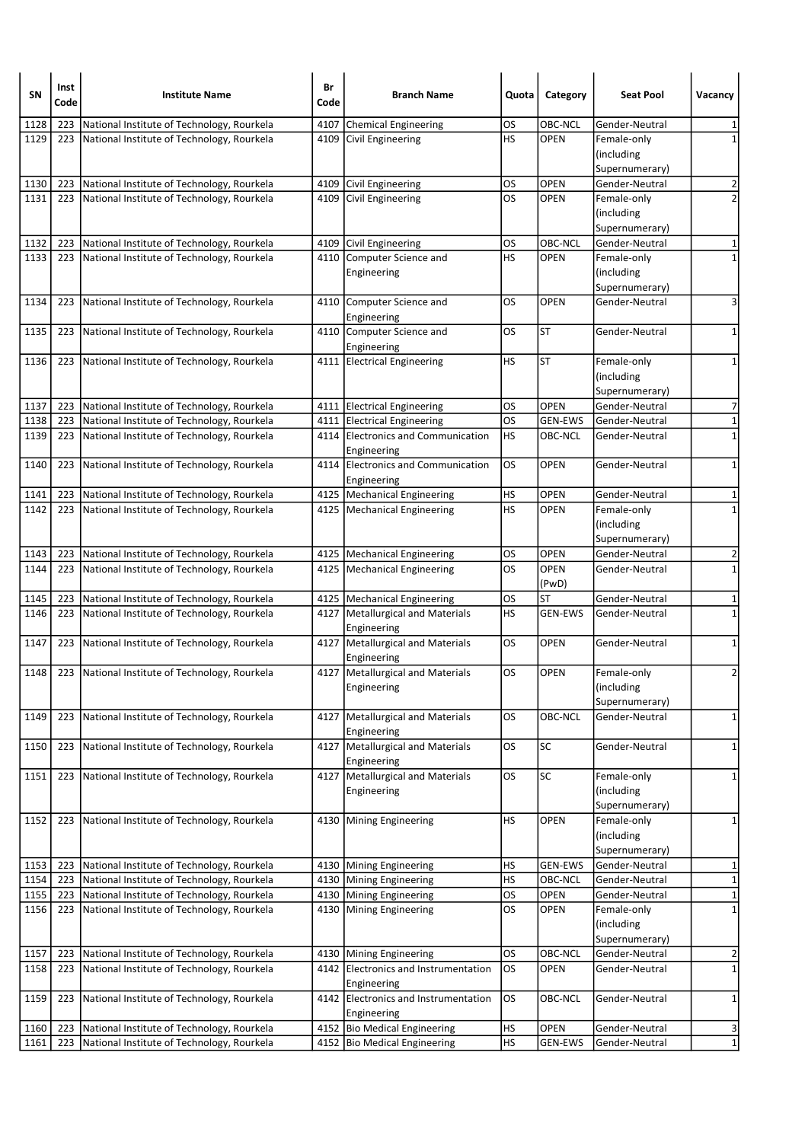| SN           | Inst<br>Code | <b>Institute Name</b>                                                                        | Br<br>Code | <b>Branch Name</b>                                 | Quota           | Category            | <b>Seat Pool</b>              | Vacancy                    |
|--------------|--------------|----------------------------------------------------------------------------------------------|------------|----------------------------------------------------|-----------------|---------------------|-------------------------------|----------------------------|
| 1128         | 223          | National Institute of Technology, Rourkela                                                   | 4107       | <b>Chemical Engineering</b>                        | OS              | OBC-NCL             | Gender-Neutral                | 1                          |
| 1129         | 223          | National Institute of Technology, Rourkela                                                   |            | 4109 Civil Engineering                             | HS              | <b>OPEN</b>         | Female-only                   | $\mathbf{1}$               |
|              |              |                                                                                              |            |                                                    |                 |                     | (including                    |                            |
|              |              |                                                                                              |            |                                                    |                 |                     | Supernumerary)                |                            |
| 1130         | 223          | National Institute of Technology, Rourkela                                                   |            | 4109 Civil Engineering                             | OS              | <b>OPEN</b>         | Gender-Neutral                | 2                          |
| 1131         | 223          | National Institute of Technology, Rourkela                                                   |            | 4109 Civil Engineering                             | <b>OS</b>       | <b>OPEN</b>         | Female-only                   | $\overline{2}$             |
|              |              |                                                                                              |            |                                                    |                 |                     | (including                    |                            |
|              |              |                                                                                              |            |                                                    |                 |                     | Supernumerary)                |                            |
| 1132         | 223          | National Institute of Technology, Rourkela                                                   |            | 4109 Civil Engineering                             | OS              | OBC-NCL             | Gender-Neutral                | 1                          |
| 1133         |              | 223   National Institute of Technology, Rourkela                                             |            | 4110 Computer Science and                          | HS              | <b>OPEN</b>         | Female-only                   | 1                          |
|              |              |                                                                                              |            | Engineering                                        |                 |                     | (including                    |                            |
|              |              |                                                                                              |            |                                                    |                 |                     | Supernumerary)                |                            |
| 1134         | 223          | National Institute of Technology, Rourkela                                                   |            | 4110 Computer Science and                          | OS              | <b>OPEN</b>         | Gender-Neutral                | 3                          |
|              |              |                                                                                              |            | Engineering                                        |                 | <b>ST</b>           |                               |                            |
| 1135         |              | 223 National Institute of Technology, Rourkela                                               |            | 4110 Computer Science and                          | <b>OS</b>       |                     | Gender-Neutral                | $\mathbf 1$                |
| 1136         | 223          | National Institute of Technology, Rourkela                                                   |            | Engineering<br>4111 Electrical Engineering         | HS              | <b>ST</b>           | Female-only                   | 1                          |
|              |              |                                                                                              |            |                                                    |                 |                     | (including                    |                            |
|              |              |                                                                                              |            |                                                    |                 |                     | Supernumerary)                |                            |
| 1137         | 223          | National Institute of Technology, Rourkela                                                   |            | 4111 Electrical Engineering                        | OS              | OPEN                | Gender-Neutral                | $\overline{7}$             |
| 1138         | 223          | National Institute of Technology, Rourkela                                                   |            | 4111 Electrical Engineering                        | <b>OS</b>       | <b>GEN-EWS</b>      | Gender-Neutral                | $\mathbf 1$                |
| 1139         | 223          | National Institute of Technology, Rourkela                                                   |            | 4114 Electronics and Communication                 | HS              | OBC-NCL             | Gender-Neutral                | $\mathbf 1$                |
|              |              |                                                                                              |            | Engineering                                        |                 |                     |                               |                            |
| 1140         | 223          | National Institute of Technology, Rourkela                                                   |            | 4114 Electronics and Communication                 | <b>OS</b>       | <b>OPEN</b>         | Gender-Neutral                | 1                          |
|              |              |                                                                                              |            | Engineering                                        |                 |                     |                               |                            |
| 1141         | 223          | National Institute of Technology, Rourkela                                                   |            | 4125   Mechanical Engineering                      | <b>HS</b>       | OPEN                | Gender-Neutral                | 1                          |
| 1142         |              | 223 National Institute of Technology, Rourkela                                               |            | 4125   Mechanical Engineering                      | HS              | <b>OPEN</b>         | Female-only                   | $\mathbf 1$                |
|              |              |                                                                                              |            |                                                    |                 |                     | (including                    |                            |
|              |              |                                                                                              |            |                                                    |                 |                     | Supernumerary)                |                            |
| 1143         | 223          | National Institute of Technology, Rourkela                                                   |            | 4125   Mechanical Engineering                      | OS              | OPEN                | Gender-Neutral                | 2                          |
| 1144         | 223          | National Institute of Technology, Rourkela                                                   |            | 4125   Mechanical Engineering                      | <b>OS</b>       | OPEN                | Gender-Neutral                | $\mathbf{1}$               |
|              |              |                                                                                              |            |                                                    |                 | (PwD)               |                               |                            |
| 1145         | 223          | National Institute of Technology, Rourkela                                                   |            | 4125   Mechanical Engineering                      | <b>OS</b>       | ST                  | Gender-Neutral                | 1                          |
| 1146         | 223          | National Institute of Technology, Rourkela                                                   | 4127       | Metallurgical and Materials                        | HS              | <b>GEN-EWS</b>      | Gender-Neutral                | $\mathbf 1$                |
|              | 223          | National Institute of Technology, Rourkela                                                   |            | Engineering                                        | OS.             | <b>OPEN</b>         | Gender-Neutral                | 1                          |
| 1147         |              |                                                                                              |            | 4127   Metallurgical and Materials<br>Engineering  |                 |                     |                               |                            |
| 1148         |              | 223 National Institute of Technology, Rourkela                                               |            | 4127   Metallurgical and Materials                 | <b>OS</b>       | <b>OPEN</b>         | Female-only                   | $\overline{2}$             |
|              |              |                                                                                              |            | Engineering                                        |                 |                     | (including                    |                            |
|              |              |                                                                                              |            |                                                    |                 |                     | Supernumerary)                |                            |
| 1149         | 223          | National Institute of Technology, Rourkela                                                   | 4127       | Metallurgical and Materials                        | OS              | OBC-NCL             | Gender-Neutral                | $\mathbf{1}$               |
|              |              |                                                                                              |            | Engineering                                        |                 |                     |                               |                            |
| 1150         | 223          | National Institute of Technology, Rourkela                                                   |            | 4127 Metallurgical and Materials                   | los             | SC                  | Gender-Neutral                | $\mathbf{1}$               |
|              |              |                                                                                              |            | Engineering                                        |                 |                     |                               |                            |
| 1151         | 223          | National Institute of Technology, Rourkela                                                   | 4127       | Metallurgical and Materials                        | os              | SC                  | Female-only                   | 1                          |
|              |              |                                                                                              |            | Engineering                                        |                 |                     | (including                    |                            |
|              |              |                                                                                              |            |                                                    |                 |                     | Supernumerary)                |                            |
| 1152         |              | 223 National Institute of Technology, Rourkela                                               |            | 4130 Mining Engineering                            | <b>HS</b>       | OPEN                | Female-only                   | 1                          |
|              |              |                                                                                              |            |                                                    |                 |                     | (including                    |                            |
|              |              |                                                                                              |            |                                                    |                 |                     | Supernumerary)                |                            |
| 1153         | 223          | National Institute of Technology, Rourkela                                                   |            | 4130 Mining Engineering                            | HS<br><b>HS</b> | <b>GEN-EWS</b>      | Gender-Neutral                | 1                          |
| 1154         | 223          | National Institute of Technology, Rourkela                                                   |            | 4130 Mining Engineering                            | <b>OS</b>       | OBC-NCL             | Gender-Neutral                | $\mathbf 1$<br>$\mathbf 1$ |
| 1155<br>1156 | 223          | National Institute of Technology, Rourkela<br>223 National Institute of Technology, Rourkela |            | 4130 Mining Engineering<br>4130 Mining Engineering | os              | OPEN<br><b>OPEN</b> | Gender-Neutral<br>Female-only | $\mathbf 1$                |
|              |              |                                                                                              |            |                                                    |                 |                     | (including                    |                            |
|              |              |                                                                                              |            |                                                    |                 |                     | Supernumerary)                |                            |
| 1157         | 223          | National Institute of Technology, Rourkela                                                   |            | 4130 Mining Engineering                            | <b>OS</b>       | OBC-NCL             | Gender-Neutral                | $\overline{2}$             |
| 1158         | 223          | National Institute of Technology, Rourkela                                                   |            | 4142 Electronics and Instrumentation               | OS              | <b>OPEN</b>         | Gender-Neutral                | $\mathbf 1$                |
|              |              |                                                                                              |            | Engineering                                        |                 |                     |                               |                            |
| 1159         | 223          | National Institute of Technology, Rourkela                                                   |            | 4142 Electronics and Instrumentation               | OS              | OBC-NCL             | Gender-Neutral                | $\mathbf{1}$               |
|              |              |                                                                                              |            | Engineering                                        |                 |                     |                               |                            |
| 1160         | 223          | National Institute of Technology, Rourkela                                                   |            | 4152 Bio Medical Engineering                       | <b>HS</b>       | OPEN                | Gender-Neutral                | 3                          |
| 1161         | 223          | National Institute of Technology, Rourkela                                                   |            | 4152 Bio Medical Engineering                       | <b>HS</b>       | <b>GEN-EWS</b>      | Gender-Neutral                | $\mathbf 1$                |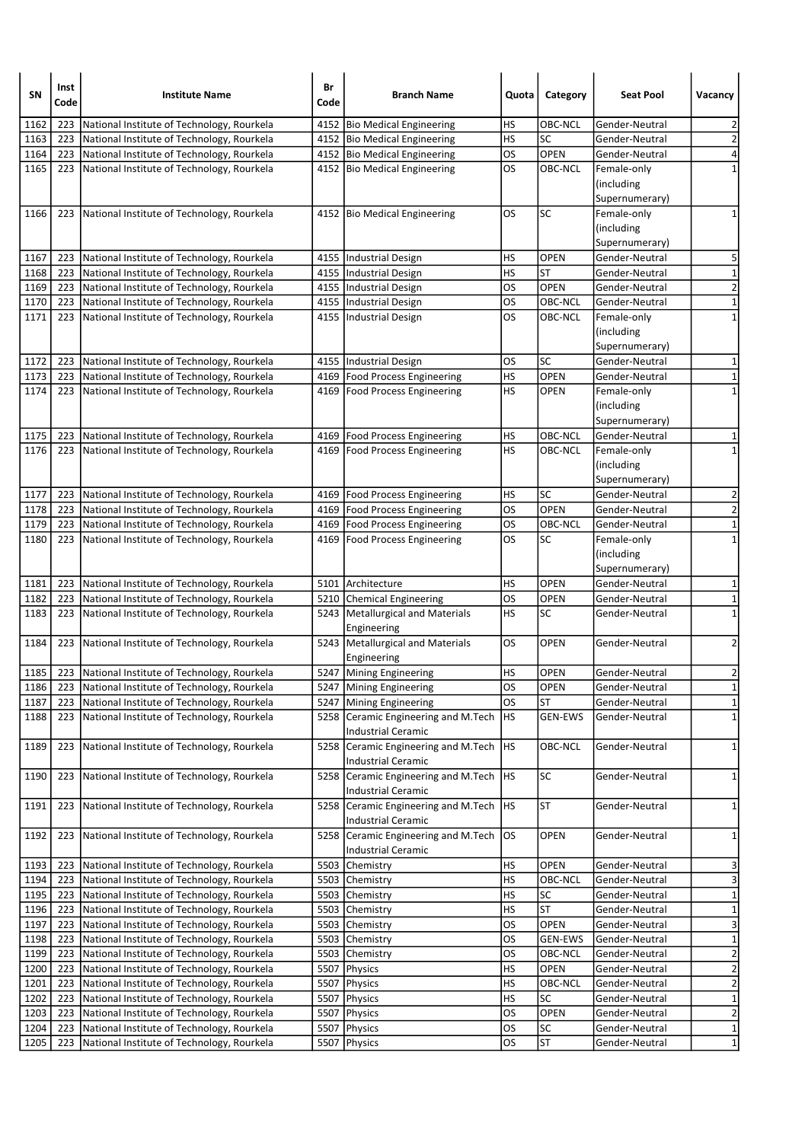| SΝ   | Inst<br>Code | <b>Institute Name</b>                            | Br<br>Code | <b>Branch Name</b>                  | Quota     | Category       | <b>Seat Pool</b> | Vacancy                 |
|------|--------------|--------------------------------------------------|------------|-------------------------------------|-----------|----------------|------------------|-------------------------|
| 1162 | 223          | National Institute of Technology, Rourkela       |            | 4152 Bio Medical Engineering        | HS        | OBC-NCL        | Gender-Neutral   | 2                       |
| 1163 | 223          | National Institute of Technology, Rourkela       |            | 4152 Bio Medical Engineering        | HS        | SC             | Gender-Neutral   | $\overline{\mathbf{c}}$ |
| 1164 | 223          | National Institute of Technology, Rourkela       |            | 4152 Bio Medical Engineering        | <b>OS</b> | OPEN           | Gender-Neutral   | 4                       |
| 1165 | 223          | National Institute of Technology, Rourkela       |            | 4152 Bio Medical Engineering        | OS        | OBC-NCL        | Female-only      | 1                       |
|      |              |                                                  |            |                                     |           |                | (including       |                         |
|      |              |                                                  |            |                                     |           |                | Supernumerary)   |                         |
| 1166 | 223          | National Institute of Technology, Rourkela       |            | 4152 Bio Medical Engineering        | <b>OS</b> | SC             | Female-only      | 1                       |
|      |              |                                                  |            |                                     |           |                | (including       |                         |
|      |              |                                                  |            |                                     |           |                | Supernumerary)   |                         |
| 1167 | 223          | National Institute of Technology, Rourkela       |            | 4155   Industrial Design            | HS        | <b>OPEN</b>    | Gender-Neutral   | 5                       |
| 1168 | 223          | National Institute of Technology, Rourkela       |            | 4155   Industrial Design            | HS        | <b>ST</b>      | Gender-Neutral   | $\mathbf 1$             |
| 1169 | 223          | National Institute of Technology, Rourkela       |            | 4155  Industrial Design             | OS        | OPEN           | Gender-Neutral   | $\overline{2}$          |
| 1170 | 223          | National Institute of Technology, Rourkela       |            | 4155  Industrial Design             | OS        | OBC-NCL        | Gender-Neutral   | $\mathbf 1$             |
| 1171 | 223          | National Institute of Technology, Rourkela       |            | 4155   Industrial Design            | OS        | OBC-NCL        | Female-only      | $\mathbf 1$             |
|      |              |                                                  |            |                                     |           |                | (including       |                         |
|      |              |                                                  |            |                                     |           |                | Supernumerary)   |                         |
| 1172 | 223          | National Institute of Technology, Rourkela       |            | 4155   Industrial Design            | OS        | SC             | Gender-Neutral   | $\mathbf{1}$            |
| 1173 | 223          | National Institute of Technology, Rourkela       |            | 4169   Food Process Engineering     | HS        | <b>OPEN</b>    | Gender-Neutral   | $\mathbf 1$             |
| 1174 | 223          | National Institute of Technology, Rourkela       |            | 4169 Food Process Engineering       | HS        | <b>OPEN</b>    | Female-only      | $\mathbf 1$             |
|      |              |                                                  |            |                                     |           |                | (including       |                         |
|      |              |                                                  |            |                                     |           |                | Supernumerary)   |                         |
| 1175 | 223          | National Institute of Technology, Rourkela       |            | 4169   Food Process Engineering     | HS        | OBC-NCL        | Gender-Neutral   | 1                       |
| 1176 | 223          | National Institute of Technology, Rourkela       |            | 4169   Food Process Engineering     | HS        | OBC-NCL        | Female-only      | 1                       |
|      |              |                                                  |            |                                     |           |                | (including       |                         |
|      |              |                                                  |            |                                     |           |                | Supernumerary)   |                         |
| 1177 | 223          | National Institute of Technology, Rourkela       |            | 4169   Food Process Engineering     | HS        | <b>SC</b>      | Gender-Neutral   | $\mathbf 2$             |
| 1178 | 223          | National Institute of Technology, Rourkela       |            | 4169   Food Process Engineering     | OS        | <b>OPEN</b>    | Gender-Neutral   | $\overline{\mathbf{c}}$ |
| 1179 | 223          | National Institute of Technology, Rourkela       |            | 4169   Food Process Engineering     | <b>OS</b> | OBC-NCL        | Gender-Neutral   | $\mathbf 1$             |
| 1180 | 223          | National Institute of Technology, Rourkela       |            | 4169   Food Process Engineering     | <b>OS</b> | SC             | Female-only      | $\mathbf 1$             |
|      |              |                                                  |            |                                     |           |                | (including       |                         |
|      |              |                                                  |            |                                     |           |                | Supernumerary)   |                         |
| 1181 | 223          | National Institute of Technology, Rourkela       |            | 5101 Architecture                   | HS        | <b>OPEN</b>    | Gender-Neutral   | 1                       |
| 1182 | 223          | National Institute of Technology, Rourkela       |            | 5210 Chemical Engineering           | OS        | <b>OPEN</b>    | Gender-Neutral   | $\mathbf 1$             |
| 1183 | 223          | National Institute of Technology, Rourkela       |            | 5243 Metallurgical and Materials    | HS        | SC             | Gender-Neutral   | $\mathbf 1$             |
|      |              |                                                  |            | Engineering                         |           |                |                  |                         |
| 1184 | 223          | National Institute of Technology, Rourkela       |            | 5243 Metallurgical and Materials    | OS        | <b>OPEN</b>    | Gender-Neutral   | 2                       |
|      |              |                                                  |            | Engineering                         |           |                |                  |                         |
| 1185 |              | 223   National Institute of Technology, Rourkela |            | 5247 Mining Engineering             | HS        | <b>OPEN</b>    | Gender-Neutral   | $\overline{\mathbf{c}}$ |
| 1186 | 223          | National Institute of Technology, Rourkela       |            | 5247 Mining Engineering             | OS        | <b>OPEN</b>    | Gender-Neutral   | $1\vert$                |
| 1187 | 223          | National Institute of Technology, Rourkela       | 5247       | Mining Engineering                  | OS        | ST             | Gender-Neutral   | $\overline{1}$          |
| 1188 | 223          | National Institute of Technology, Rourkela       | 5258       | Ceramic Engineering and M.Tech      | HS        | <b>GEN-EWS</b> | Gender-Neutral   | $\mathbf 1$             |
|      |              |                                                  |            | <b>Industrial Ceramic</b>           |           |                |                  |                         |
| 1189 | 223          | National Institute of Technology, Rourkela       | 5258       | Ceramic Engineering and M.Tech      | HS        | OBC-NCL        | Gender-Neutral   | $\mathbf{1}$            |
|      |              |                                                  |            | <b>Industrial Ceramic</b>           |           |                |                  |                         |
| 1190 | 223          | National Institute of Technology, Rourkela       | 5258       | Ceramic Engineering and M.Tech      | HS        | <b>SC</b>      | Gender-Neutral   | 1                       |
|      |              |                                                  |            | Industrial Ceramic                  |           |                |                  |                         |
| 1191 | 223          | National Institute of Technology, Rourkela       | 5258       | Ceramic Engineering and M.Tech      | HS        | <b>ST</b>      | Gender-Neutral   | $\mathbf{1}$            |
|      |              |                                                  |            | Industrial Ceramic                  |           |                |                  |                         |
| 1192 | 223          | National Institute of Technology, Rourkela       |            | 5258 Ceramic Engineering and M.Tech | los       | OPEN           | Gender-Neutral   | 1                       |
|      |              |                                                  |            | Industrial Ceramic                  |           |                |                  |                         |
| 1193 | 223          | National Institute of Technology, Rourkela       | 5503       | Chemistry                           | HS        | OPEN           | Gender-Neutral   | 3                       |
| 1194 | 223          | National Institute of Technology, Rourkela       |            | 5503 Chemistry                      | HS        | OBC-NCL        | Gender-Neutral   | 3                       |
| 1195 | 223          | National Institute of Technology, Rourkela       |            | 5503 Chemistry                      | HS        | SC             | Gender-Neutral   | $\mathbf 1$             |
| 1196 | 223          | National Institute of Technology, Rourkela       |            | 5503 Chemistry                      | HS        | ST             | Gender-Neutral   | $\overline{\mathbf{1}}$ |
| 1197 | 223          | National Institute of Technology, Rourkela       |            | 5503 Chemistry                      | <b>OS</b> | OPEN           | Gender-Neutral   | $\overline{\mathbf{3}}$ |
| 1198 | 223          | National Institute of Technology, Rourkela       |            | 5503 Chemistry                      | OS        | <b>GEN-EWS</b> | Gender-Neutral   | $\mathbf 1$             |
| 1199 | 223          | National Institute of Technology, Rourkela       |            | 5503 Chemistry                      | OS        | OBC-NCL        | Gender-Neutral   | $\overline{2}$          |
| 1200 | 223          | National Institute of Technology, Rourkela       |            | 5507 Physics                        | HS        | <b>OPEN</b>    | Gender-Neutral   | $\overline{\mathbf{c}}$ |
| 1201 | 223          | National Institute of Technology, Rourkela       |            | 5507   Physics                      | HS        | OBC-NCL        | Gender-Neutral   | $\overline{2}$          |
| 1202 | 223          | National Institute of Technology, Rourkela       |            | 5507 Physics                        | <b>HS</b> | SC             | Gender-Neutral   | $\overline{\mathbf{1}}$ |
| 1203 | 223          | National Institute of Technology, Rourkela       |            | 5507   Physics                      | <b>OS</b> | OPEN           | Gender-Neutral   | $\overline{2}$          |
| 1204 | 223          | National Institute of Technology, Rourkela       | 5507       | Physics                             | <b>OS</b> | <b>SC</b>      | Gender-Neutral   | $\overline{1}$          |
| 1205 | 223          | National Institute of Technology, Rourkela       |            | 5507 Physics                        | OS        | <b>ST</b>      | Gender-Neutral   | 1                       |
|      |              |                                                  |            |                                     |           |                |                  |                         |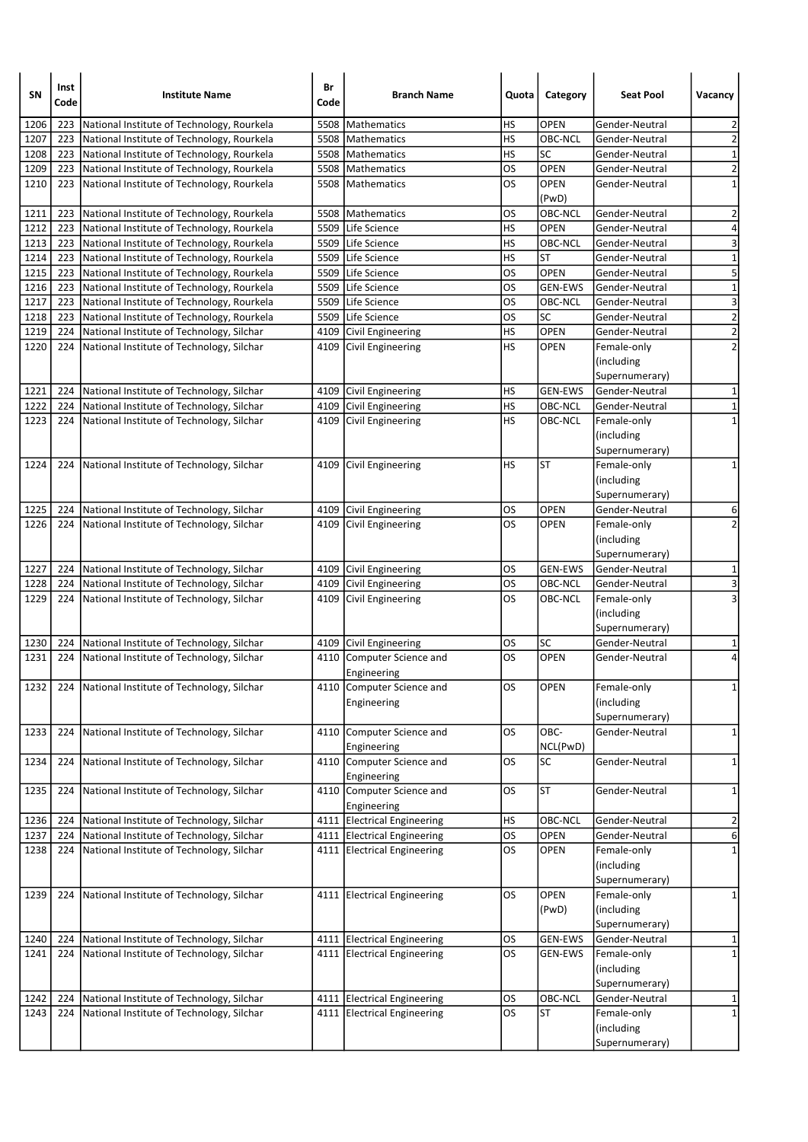| SΝ   | Inst<br>Code | <b>Institute Name</b>                           | Br<br>Code | <b>Branch Name</b>                       | Quota     | Category       | <b>Seat Pool</b>             | Vacancy                 |
|------|--------------|-------------------------------------------------|------------|------------------------------------------|-----------|----------------|------------------------------|-------------------------|
| 1206 | 223          | National Institute of Technology, Rourkela      | 5508       | Mathematics                              | HS        | <b>OPEN</b>    | Gender-Neutral               | $\overline{2}$          |
| 1207 | 223          | National Institute of Technology, Rourkela      |            | 5508   Mathematics                       | <b>HS</b> | OBC-NCL        | Gender-Neutral               | $\overline{2}$          |
| 1208 | 223          | National Institute of Technology, Rourkela      |            | 5508   Mathematics                       | <b>HS</b> | SC             | Gender-Neutral               | $\mathbf 1$             |
| 1209 | 223          | National Institute of Technology, Rourkela      |            | 5508 Mathematics                         | <b>OS</b> | OPEN           | Gender-Neutral               | $\overline{2}$          |
| 1210 | 223          | National Institute of Technology, Rourkela      |            | 5508   Mathematics                       | los       | <b>OPEN</b>    | Gender-Neutral               | $\mathbf 1$             |
|      |              |                                                 |            |                                          |           | (PwD)          |                              |                         |
| 1211 | 223          | National Institute of Technology, Rourkela      |            | 5508   Mathematics                       | <b>OS</b> | <b>OBC-NCL</b> | Gender-Neutral               | 2                       |
| 1212 | 223          | National Institute of Technology, Rourkela      |            | 5509 Life Science                        | HS        | <b>OPEN</b>    | Gender-Neutral               | 4                       |
| 1213 | 223          | National Institute of Technology, Rourkela      |            | 5509 Life Science                        | <b>HS</b> | OBC-NCL        | Gender-Neutral               | $\overline{\mathbf{3}}$ |
| 1214 | 223          | National Institute of Technology, Rourkela      |            | 5509 Life Science                        | <b>HS</b> | ST             | Gender-Neutral               | $\mathbf 1$             |
| 1215 | 223          | National Institute of Technology, Rourkela      |            | 5509 Life Science                        | <b>OS</b> | <b>OPEN</b>    | Gender-Neutral               | 5                       |
| 1216 | 223          | National Institute of Technology, Rourkela      |            | 5509 Life Science                        | <b>OS</b> | <b>GEN-EWS</b> | Gender-Neutral               | $\mathbf 1$             |
| 1217 | 223          | National Institute of Technology, Rourkela      |            | 5509 Life Science                        | OS        | OBC-NCL        | Gender-Neutral               | 3                       |
| 1218 | 223          | National Institute of Technology, Rourkela      |            | 5509 Life Science                        | OS        | SC             | Gender-Neutral               | $\overline{2}$          |
| 1219 | 224          | National Institute of Technology, Silchar       |            | 4109 Civil Engineering                   | HS        | OPEN           | Gender-Neutral               | $\overline{2}$          |
| 1220 | 224          | National Institute of Technology, Silchar       |            | 4109 Civil Engineering                   | HS        | <b>OPEN</b>    | Female-only                  | $\overline{2}$          |
|      |              |                                                 |            |                                          |           |                | (including<br>Supernumerary) |                         |
| 1221 | 224          | National Institute of Technology, Silchar       |            | 4109 Civil Engineering                   | <b>HS</b> | <b>GEN-EWS</b> | Gender-Neutral               | 1                       |
| 1222 |              | 224 National Institute of Technology, Silchar   |            | 4109 Civil Engineering                   | HS        | OBC-NCL        | Gender-Neutral               | $\mathbf{1}$            |
| 1223 |              | 224 National Institute of Technology, Silchar   |            | 4109 Civil Engineering                   | <b>HS</b> | OBC-NCL        | Female-only                  | $\mathbf{1}$            |
|      |              |                                                 |            |                                          |           |                | (including                   |                         |
| 1224 |              | National Institute of Technology, Silchar       |            |                                          | HS        | <b>ST</b>      | Supernumerary)               | 1                       |
|      | 224          |                                                 |            | 4109 Civil Engineering                   |           |                | Female-only                  |                         |
|      |              |                                                 |            |                                          |           |                | (including                   |                         |
|      |              |                                                 |            |                                          |           |                | Supernumerary)               |                         |
| 1225 | 224          | National Institute of Technology, Silchar       |            | 4109 Civil Engineering                   | OS        | <b>OPEN</b>    | Gender-Neutral               | 6                       |
| 1226 |              | 224   National Institute of Technology, Silchar |            | 4109 Civil Engineering                   | <b>OS</b> | <b>OPEN</b>    | Female-only                  | $\overline{2}$          |
|      |              |                                                 |            |                                          |           |                | (including                   |                         |
|      |              |                                                 |            |                                          |           |                | Supernumerary)               |                         |
| 1227 |              | 224 National Institute of Technology, Silchar   |            | 4109 Civil Engineering                   | OS        | <b>GEN-EWS</b> | Gender-Neutral               | 1                       |
| 1228 |              | 224 National Institute of Technology, Silchar   |            | 4109 Civil Engineering                   | los       | OBC-NCL        | Gender-Neutral               | $\overline{\mathbf{3}}$ |
| 1229 |              | 224 National Institute of Technology, Silchar   |            | 4109 Civil Engineering                   | <b>OS</b> | OBC-NCL        | Female-only                  | 3                       |
|      |              |                                                 |            |                                          |           |                | (including                   |                         |
|      |              |                                                 |            |                                          |           |                | Supernumerary)               |                         |
| 1230 | 224          | National Institute of Technology, Silchar       |            | 4109 Civil Engineering                   | OS        | SC             | Gender-Neutral               | 1                       |
| 1231 | 224          | National Institute of Technology, Silchar       |            | 4110 Computer Science and<br>Engineering | <b>OS</b> | OPEN           | Gender-Neutral               | 4                       |
| 1232 |              | 224 National Institute of Technology, Silchar   |            | 4110 Computer Science and                | <b>OS</b> | <b>OPEN</b>    | Female-only                  | $\mathbf{1}$            |
|      |              |                                                 |            | Engineering                              |           |                | (including                   |                         |
|      |              |                                                 |            |                                          |           |                | Supernumerary)               |                         |
| 1233 | 224          | National Institute of Technology, Silchar       |            | 4110 Computer Science and                | OS        | OBC-           | Gender-Neutral               | $\mathbf{1}$            |
|      |              |                                                 |            | Engineering                              |           | NCL(PwD)       |                              |                         |
| 1234 | 224          | National Institute of Technology, Silchar       |            | 4110 Computer Science and                | <b>OS</b> | SC             | Gender-Neutral               | $\mathbf{1}$            |
|      |              |                                                 |            | Engineering                              |           |                |                              |                         |
| 1235 | 224          | National Institute of Technology, Silchar       |            | 4110 Computer Science and                | <b>OS</b> | <b>ST</b>      | Gender-Neutral               | 1                       |
|      |              |                                                 |            | Engineering                              |           |                |                              |                         |
| 1236 | 224          | National Institute of Technology, Silchar       |            | 4111 Electrical Engineering              | HS        | OBC-NCL        | Gender-Neutral               | $\overline{\mathbf{c}}$ |
| 1237 |              | 224 National Institute of Technology, Silchar   |            | 4111 Electrical Engineering              | <b>OS</b> | OPEN           | Gender-Neutral               | 6                       |
| 1238 |              | 224 National Institute of Technology, Silchar   |            | 4111 Electrical Engineering              | <b>OS</b> | <b>OPEN</b>    | Female-only                  | $\mathbf 1$             |
|      |              |                                                 |            |                                          |           |                | (including                   |                         |
|      |              |                                                 |            |                                          |           |                | Supernumerary)               |                         |
| 1239 | 224          | National Institute of Technology, Silchar       |            | 4111 Electrical Engineering              | OS        | OPEN           | Female-only                  | $\mathbf{1}$            |
|      |              |                                                 |            |                                          |           | (PwD)          | (including                   |                         |
|      |              |                                                 |            |                                          |           |                | Supernumerary)               |                         |
| 1240 | 224          | National Institute of Technology, Silchar       |            | 4111 Electrical Engineering              | OS        | <b>GEN-EWS</b> | Gender-Neutral               | 1                       |
| 1241 | 224          | National Institute of Technology, Silchar       |            | 4111 Electrical Engineering              | <b>OS</b> | GEN-EWS        | Female-only                  | $\mathbf 1$             |
|      |              |                                                 |            |                                          |           |                | (including                   |                         |
|      |              |                                                 |            |                                          |           |                | Supernumerary)               |                         |
| 1242 | 224          | National Institute of Technology, Silchar       |            | 4111 Electrical Engineering              | <b>OS</b> | OBC-NCL        | Gender-Neutral               | 1                       |
| 1243 |              | 224 National Institute of Technology, Silchar   |            | 4111 Electrical Engineering              | los       | <b>ST</b>      | Female-only                  | $\mathbf{1}$            |
|      |              |                                                 |            |                                          |           |                | (including                   |                         |
|      |              |                                                 |            |                                          |           |                | Supernumerary)               |                         |
|      |              |                                                 |            |                                          |           |                |                              |                         |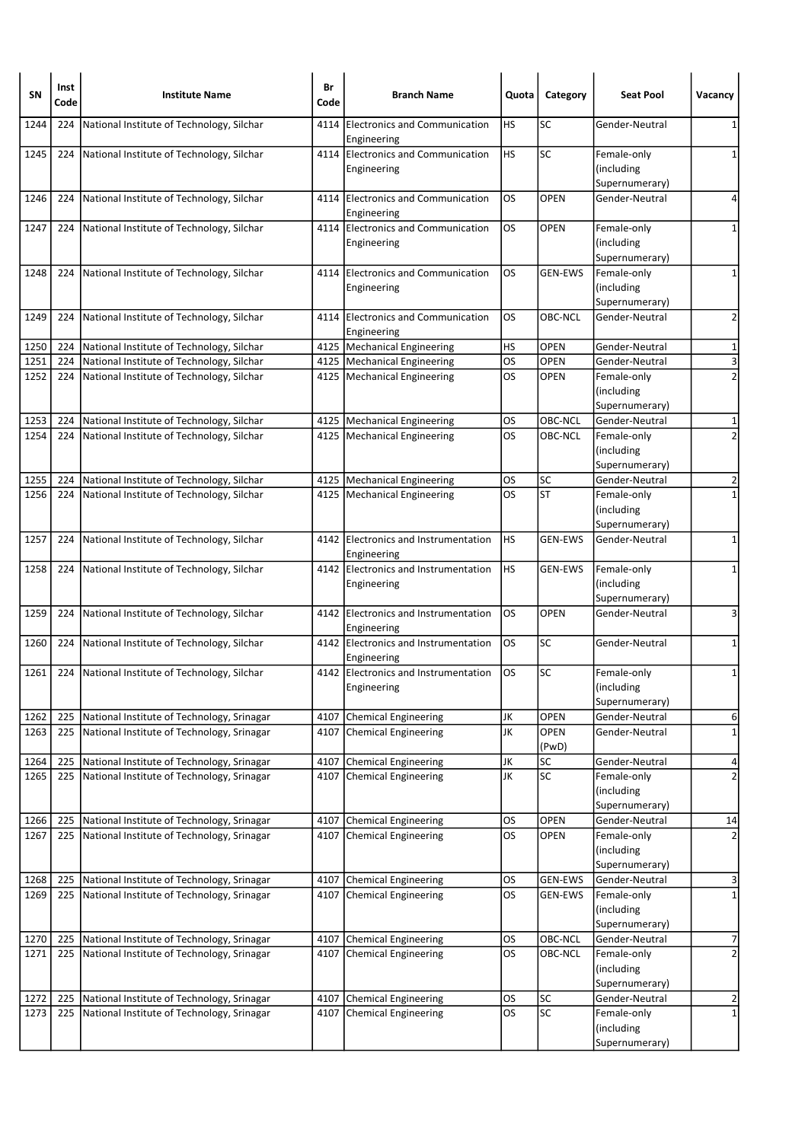| <b>SN</b> | Inst<br>Code | <b>Institute Name</b>                         | Br<br>Code | <b>Branch Name</b>                                  | Quota     | Category                 | <b>Seat Pool</b>                            | Vacancy                 |
|-----------|--------------|-----------------------------------------------|------------|-----------------------------------------------------|-----------|--------------------------|---------------------------------------------|-------------------------|
| 1244      | 224          | National Institute of Technology, Silchar     | 4114       | <b>Electronics and Communication</b><br>Engineering | HS        | SC                       | Gender-Neutral                              | 1                       |
| 1245      | 224          | National Institute of Technology, Silchar     |            | 4114 Electronics and Communication<br>Engineering   | HS        | <b>SC</b>                | Female-only<br>(including<br>Supernumerary) | 1                       |
| 1246      | 224          | National Institute of Technology, Silchar     |            | 4114 Electronics and Communication<br>Engineering   | OS.       | <b>OPEN</b>              | Gender-Neutral                              | 4                       |
| 1247      | 224          | National Institute of Technology, Silchar     |            | 4114 Electronics and Communication<br>Engineering   | <b>OS</b> | <b>OPEN</b>              | Female-only<br>(including<br>Supernumerary) | 1                       |
| 1248      | 224          | National Institute of Technology, Silchar     |            | 4114 Electronics and Communication<br>Engineering   | <b>OS</b> | <b>GEN-EWS</b>           | Female-only<br>(including<br>Supernumerary) | $\mathbf{1}$            |
| 1249      | 224          | National Institute of Technology, Silchar     |            | 4114 Electronics and Communication<br>Engineering   | <b>OS</b> | OBC-NCL                  | Gender-Neutral                              | $\overline{2}$          |
| 1250      | 224          | National Institute of Technology, Silchar     |            | 4125   Mechanical Engineering                       | HS        | <b>OPEN</b>              | Gender-Neutral                              | 1                       |
| 1251      | 224          | National Institute of Technology, Silchar     |            | 4125   Mechanical Engineering                       | los       | <b>OPEN</b>              | Gender-Neutral                              | $\overline{\mathbf{3}}$ |
| 1252      |              | 224 National Institute of Technology, Silchar |            | 4125   Mechanical Engineering                       | <b>OS</b> | <b>OPEN</b>              | Female-only<br>(including<br>Supernumerary) | $\overline{2}$          |
| 1253      | 224          | National Institute of Technology, Silchar     |            | 4125   Mechanical Engineering                       | <b>OS</b> | OBC-NCL                  | Gender-Neutral                              | 1                       |
| 1254      | 224          | National Institute of Technology, Silchar     |            | 4125   Mechanical Engineering                       | <b>OS</b> | OBC-NCL                  | Female-only<br>(including<br>Supernumerary) | $\overline{2}$          |
| 1255      | 224          | National Institute of Technology, Silchar     |            | 4125   Mechanical Engineering                       | OS        | <b>SC</b>                | Gender-Neutral                              | $\overline{\mathbf{c}}$ |
| 1256      | 224          | National Institute of Technology, Silchar     |            | 4125   Mechanical Engineering                       | <b>OS</b> | <b>ST</b>                | Female-only<br>(including<br>Supernumerary) | $\mathbf{1}$            |
| 1257      | 224          | National Institute of Technology, Silchar     |            | 4142 Electronics and Instrumentation<br>Engineering | HS        | <b>GEN-EWS</b>           | Gender-Neutral                              | 1                       |
| 1258      |              | 224 National Institute of Technology, Silchar |            | 4142 Electronics and Instrumentation<br>Engineering | <b>HS</b> | <b>GEN-EWS</b>           | Female-only<br>(including<br>Supernumerary) | $\mathbf{1}$            |
| 1259      | 224          | National Institute of Technology, Silchar     |            | 4142 Electronics and Instrumentation<br>Engineering | <b>OS</b> | <b>OPEN</b>              | Gender-Neutral                              | 3                       |
| 1260      | 224          | National Institute of Technology, Silchar     |            | 4142 Electronics and Instrumentation<br>Engineering | OS.       | <b>SC</b>                | Gender-Neutral                              | 1                       |
| 1261      |              | 224 National Institute of Technology, Silchar |            | 4142 Electronics and Instrumentation<br>Engineering | <b>OS</b> | SC                       | Female-only<br>(including<br>Supernumerary) | 1                       |
| 1262      | 225          | National Institute of Technology, Srinagar    |            | 4107 Chemical Engineering                           | JK        | OPEN                     | Gender-Neutral                              | 6                       |
| 1263      | 225          | National Institute of Technology, Srinagar    | 4107       | Chemical Engineering                                | JK        | OPEN<br>(PwD)            | Gender-Neutral                              | $\mathbf{1}$            |
| 1264      | 225          | National Institute of Technology, Srinagar    | 4107       | Chemical Engineering                                | JK        | <b>SC</b>                | Gender-Neutral                              | 4                       |
| 1265      | 225          | National Institute of Technology, Srinagar    |            | 4107 Chemical Engineering                           | JK        | $\overline{\mathsf{SC}}$ | Female-only<br>(including<br>Supernumerary) | $\overline{2}$          |
| 1266      | 225          | National Institute of Technology, Srinagar    |            | 4107 Chemical Engineering                           | <b>OS</b> | OPEN                     | Gender-Neutral                              | 14                      |
| 1267      | 225          | National Institute of Technology, Srinagar    |            | 4107 Chemical Engineering                           | los       | <b>OPEN</b>              | Female-only<br>(including<br>Supernumerary) | $\overline{2}$          |
| 1268      | 225          | National Institute of Technology, Srinagar    |            | 4107 Chemical Engineering                           | OS        | <b>GEN-EWS</b>           | Gender-Neutral                              | 3                       |
| 1269      | 225          | National Institute of Technology, Srinagar    |            | 4107 Chemical Engineering                           | <b>OS</b> | <b>GEN-EWS</b>           | Female-only<br>(including<br>Supernumerary) | $\overline{\mathbf{1}}$ |
| 1270      | 225          | National Institute of Technology, Srinagar    | 4107       | Chemical Engineering                                | <b>OS</b> | OBC-NCL                  | Gender-Neutral                              | 7                       |
| 1271      | 225          | National Institute of Technology, Srinagar    |            | 4107 Chemical Engineering                           | <b>OS</b> | OBC-NCL                  | Female-only<br>(including<br>Supernumerary) | $\overline{c}$          |
| 1272      | 225          | National Institute of Technology, Srinagar    |            | 4107 Chemical Engineering                           | <b>OS</b> | SC                       | Gender-Neutral                              | 2                       |
| 1273      | 225          | National Institute of Technology, Srinagar    | 4107       | <b>Chemical Engineering</b>                         | los       | SC                       | Female-only<br>(including<br>Supernumerary) | $\mathbf 1$             |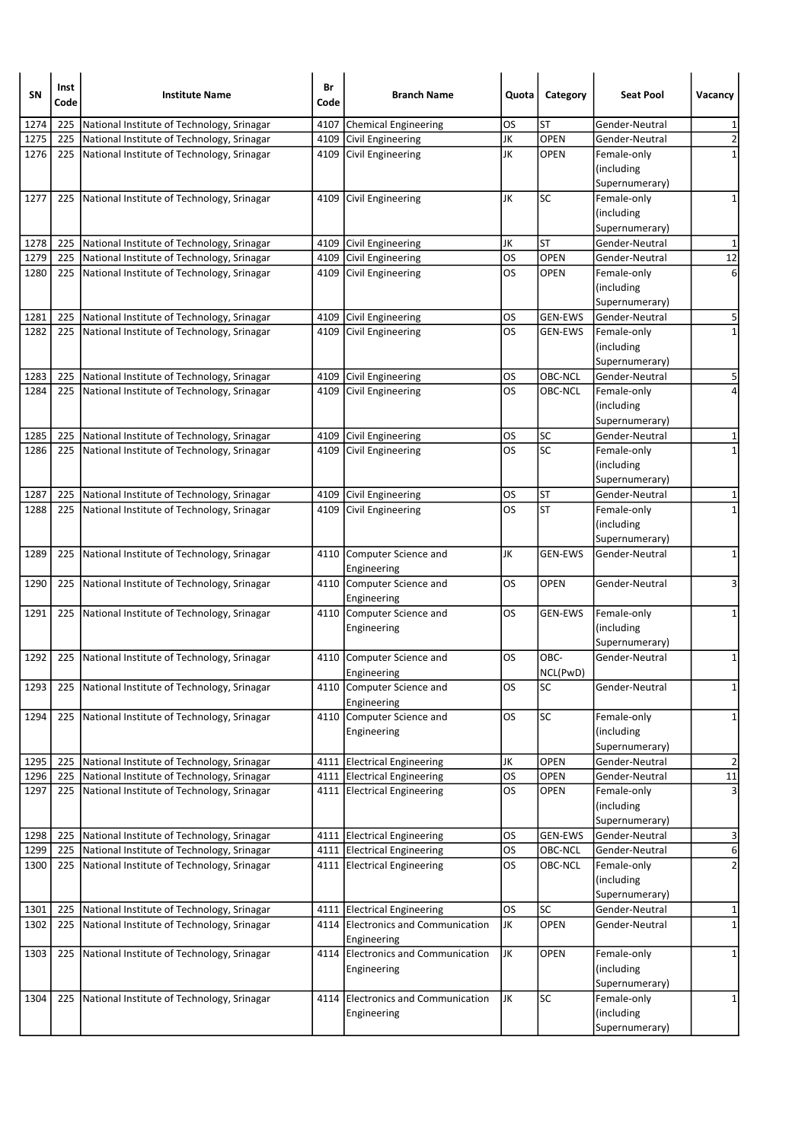| SN           | Inst<br>Code | <b>Institute Name</b>                                                                    | Br<br>Code | <b>Branch Name</b>                                         | Quota                  | Category           | <b>Seat Pool</b>              | Vacancy                      |
|--------------|--------------|------------------------------------------------------------------------------------------|------------|------------------------------------------------------------|------------------------|--------------------|-------------------------------|------------------------------|
| 1274         | 225          | National Institute of Technology, Srinagar                                               | 4107       | Chemical Engineering                                       | OS                     | ST                 | Gender-Neutral                | 1                            |
| 1275         | 225          | National Institute of Technology, Srinagar                                               |            | 4109 Civil Engineering                                     | JK                     | OPEN               | Gender-Neutral                | $\overline{2}$               |
| 1276         | 225          | National Institute of Technology, Srinagar                                               |            | 4109 Civil Engineering                                     | JK                     | OPEN               | Female-only<br>(including     | 1                            |
|              |              |                                                                                          |            |                                                            |                        |                    | Supernumerary)                |                              |
| 1277         | 225          | National Institute of Technology, Srinagar                                               |            | 4109 Civil Engineering                                     | JK                     | SC                 | Female-only                   | 1                            |
|              |              |                                                                                          |            |                                                            |                        |                    | (including                    |                              |
|              |              |                                                                                          |            |                                                            |                        |                    | Supernumerary)                |                              |
| 1278         | 225          | National Institute of Technology, Srinagar                                               |            | 4109 Civil Engineering                                     | JK                     | ST                 | Gender-Neutral                | $\mathbf{1}$                 |
| 1279         | 225          | National Institute of Technology, Srinagar                                               |            | 4109 Civil Engineering                                     | <b>OS</b>              | <b>OPEN</b>        | Gender-Neutral                | 12                           |
| 1280         | 225          | National Institute of Technology, Srinagar                                               |            | 4109 Civil Engineering                                     | OS                     | <b>OPEN</b>        | Female-only                   | 6                            |
|              |              |                                                                                          |            |                                                            |                        |                    | (including                    |                              |
|              |              |                                                                                          |            |                                                            |                        |                    | Supernumerary)                |                              |
| 1281         | 225          | National Institute of Technology, Srinagar                                               |            | 4109 Civil Engineering                                     | OS                     | <b>GEN-EWS</b>     | Gender-Neutral                | 5                            |
| 1282         |              | 225 National Institute of Technology, Srinagar                                           |            | 4109 Civil Engineering                                     | <b>OS</b>              | <b>GEN-EWS</b>     | Female-only<br>(including     | $\mathbf{1}$                 |
|              |              |                                                                                          |            |                                                            |                        |                    | Supernumerary)                |                              |
| 1283         | 225          | National Institute of Technology, Srinagar                                               |            | 4109 Civil Engineering                                     | OS                     | <b>OBC-NCL</b>     | Gender-Neutral                | 5                            |
| 1284         |              | 225 National Institute of Technology, Srinagar                                           |            | 4109 Civil Engineering                                     | <b>OS</b>              | OBC-NCL            | Female-only                   |                              |
|              |              |                                                                                          |            |                                                            |                        |                    | (including                    |                              |
|              |              |                                                                                          |            |                                                            |                        |                    | Supernumerary)                |                              |
| 1285         | 225          | National Institute of Technology, Srinagar                                               |            | 4109 Civil Engineering                                     | OS                     | <b>SC</b>          | Gender-Neutral                | 1                            |
| 1286         | 225          | National Institute of Technology, Srinagar                                               |            | 4109 Civil Engineering                                     | los                    | SC                 | Female-only                   | $\mathbf{1}$                 |
|              |              |                                                                                          |            |                                                            |                        |                    | (including                    |                              |
|              |              |                                                                                          |            |                                                            |                        |                    | Supernumerary)                |                              |
| 1287         |              | 225 National Institute of Technology, Srinagar                                           |            | 4109 Civil Engineering                                     | OS                     | ST                 | Gender-Neutral                | 1                            |
| 1288         | 225          | National Institute of Technology, Srinagar                                               |            | 4109 Civil Engineering                                     | <b>OS</b>              | ST                 | Female-only                   | $\mathbf{1}$                 |
|              |              |                                                                                          |            |                                                            |                        |                    | (including<br>Supernumerary)  |                              |
| 1289         | 225          | National Institute of Technology, Srinagar                                               |            | 4110 Computer Science and                                  | JK                     | <b>GEN-EWS</b>     | Gender-Neutral                | 1                            |
|              |              |                                                                                          |            | Engineering                                                |                        |                    |                               |                              |
| 1290         | 225          | National Institute of Technology, Srinagar                                               |            | 4110 Computer Science and                                  | <b>OS</b>              | <b>OPEN</b>        | Gender-Neutral                | 3                            |
|              |              |                                                                                          |            | Engineering                                                |                        |                    |                               |                              |
| 1291         | 225          | National Institute of Technology, Srinagar                                               |            | 4110 Computer Science and                                  | OS                     | <b>GEN-EWS</b>     | Female-only                   | 1                            |
|              |              |                                                                                          |            | Engineering                                                |                        |                    | (including                    |                              |
|              |              |                                                                                          |            |                                                            |                        |                    | Supernumerary)                |                              |
| 1292         |              | 225 National Institute of Technology, Srinagar                                           |            | 4110 Computer Science and                                  | <b>OS</b>              | OBC-               | Gender-Neutral                | $\mathbf 1$                  |
|              |              |                                                                                          |            | Engineering                                                |                        | NCL(PwD)           |                               |                              |
| 1293         |              | 225   National Institute of Technology, Srinagar                                         |            | 4110 Computer Science and<br>Engineering                   | <b>OS</b>              | SC]                | Gender-Neutral                | $1\vert$                     |
| 1294         | 225          | National Institute of Technology, Srinagar                                               |            | 4110 Computer Science and                                  | OS                     | <b>SC</b>          | Female-only                   | 1                            |
|              |              |                                                                                          |            | Engineering                                                |                        |                    | (including                    |                              |
|              |              |                                                                                          |            |                                                            |                        |                    | Supernumerary)                |                              |
| 1295         | 225          | National Institute of Technology, Srinagar                                               |            | 4111 Electrical Engineering                                | JK                     | OPEN               | Gender-Neutral                | $\overline{2}$               |
| 1296         | 225          | National Institute of Technology, Srinagar                                               |            | 4111 Electrical Engineering                                | <b>OS</b>              | <b>OPEN</b>        | Gender-Neutral                | ${\bf 11}$                   |
| 1297         | 225          | National Institute of Technology, Srinagar                                               |            | 4111 Electrical Engineering                                | <b>OS</b>              | <b>OPEN</b>        | Female-only                   | 3                            |
|              |              |                                                                                          |            |                                                            |                        |                    | (including                    |                              |
|              |              |                                                                                          |            |                                                            |                        |                    | Supernumerary)                |                              |
| 1298         | 225          | National Institute of Technology, Srinagar                                               |            | 4111 Electrical Engineering                                | <b>OS</b>              | <b>GEN-EWS</b>     | Gender-Neutral                | 3                            |
| 1299<br>1300 | 225<br>225   | National Institute of Technology, Srinagar<br>National Institute of Technology, Srinagar |            | 4111 Electrical Engineering<br>4111 Electrical Engineering | <b>OS</b><br><b>OS</b> | OBC-NCL<br>OBC-NCL | Gender-Neutral<br>Female-only | 6<br>$\overline{\mathbf{c}}$ |
|              |              |                                                                                          |            |                                                            |                        |                    | (including                    |                              |
|              |              |                                                                                          |            |                                                            |                        |                    | Supernumerary)                |                              |
| 1301         | 225          | National Institute of Technology, Srinagar                                               |            | 4111 Electrical Engineering                                | OS                     | <b>SC</b>          | Gender-Neutral                | 1                            |
| 1302         | 225          | National Institute of Technology, Srinagar                                               |            | 4114 Electronics and Communication                         | JK                     | OPEN               | Gender-Neutral                | $\mathbf{1}$                 |
|              |              |                                                                                          |            | Engineering                                                |                        |                    |                               |                              |
| 1303         | 225          | National Institute of Technology, Srinagar                                               |            | 4114 Electronics and Communication                         | JK                     | <b>OPEN</b>        | Female-only                   | 1                            |
|              |              |                                                                                          |            | Engineering                                                |                        |                    | (including                    |                              |
|              |              |                                                                                          |            |                                                            |                        |                    | Supernumerary)                |                              |
| 1304         | 225          | National Institute of Technology, Srinagar                                               |            | 4114 Electronics and Communication                         | JK                     | SC                 | Female-only                   | 1                            |
|              |              |                                                                                          |            | Engineering                                                |                        |                    | (including                    |                              |
|              |              |                                                                                          |            |                                                            |                        |                    | Supernumerary)                |                              |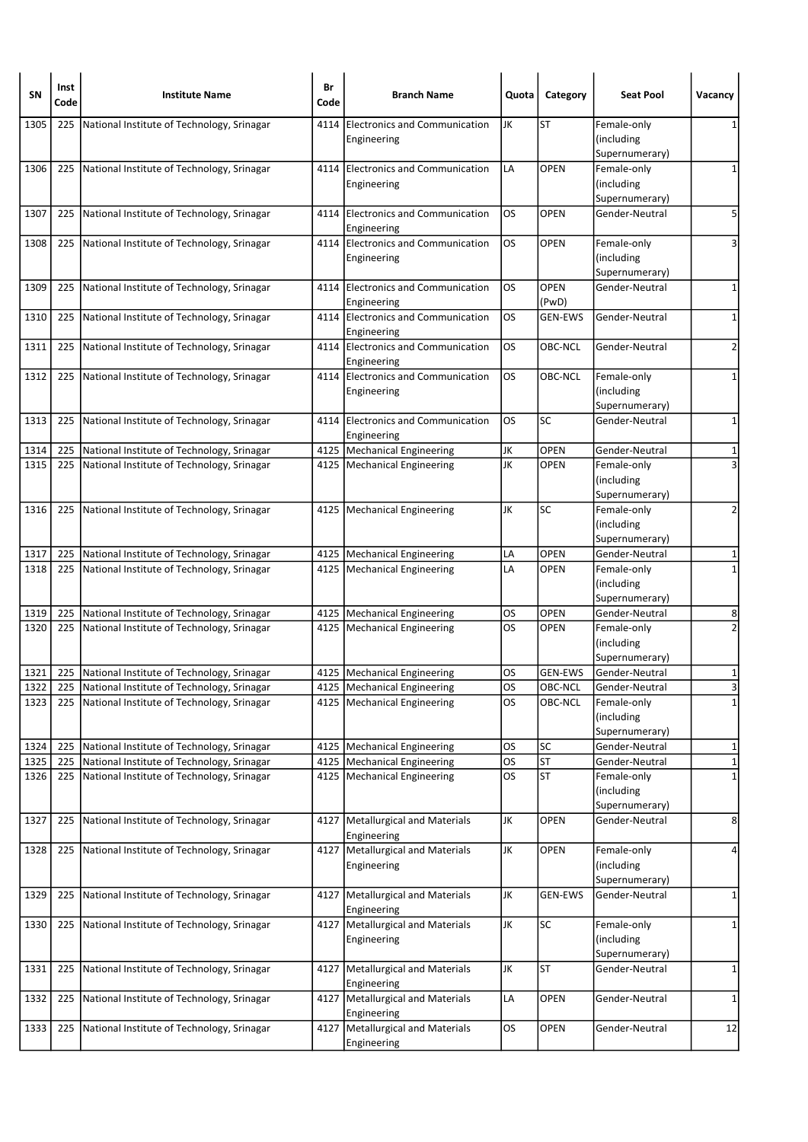| <b>SN</b> | Inst<br>Code | <b>Institute Name</b>                          | Br<br>Code | <b>Branch Name</b>                                  | Quota     | Category       | <b>Seat Pool</b>                 | Vacancy        |
|-----------|--------------|------------------------------------------------|------------|-----------------------------------------------------|-----------|----------------|----------------------------------|----------------|
| 1305      | 225          | National Institute of Technology, Srinagar     | 4114       | Electronics and Communication                       | JK        | <b>ST</b>      | Female-only                      | 1              |
|           |              |                                                |            | Engineering                                         |           |                | (including                       |                |
|           |              |                                                |            |                                                     |           |                | Supernumerary)                   |                |
| 1306      | 225          | National Institute of Technology, Srinagar     |            | 4114 Electronics and Communication                  | LA        | <b>OPEN</b>    | Female-only                      | 1              |
|           |              |                                                |            | Engineering                                         |           |                | (including                       |                |
|           | 225          | National Institute of Technology, Srinagar     | 4114       |                                                     | <b>OS</b> | OPEN           | Supernumerary)<br>Gender-Neutral | 5              |
| 1307      |              |                                                |            | <b>Electronics and Communication</b><br>Engineering |           |                |                                  |                |
| 1308      | 225          | National Institute of Technology, Srinagar     |            | 4114 Electronics and Communication                  | <b>OS</b> | OPEN           | Female-only                      | 3              |
|           |              |                                                |            | Engineering                                         |           |                | (including                       |                |
|           |              |                                                |            |                                                     |           |                | Supernumerary)                   |                |
| 1309      | 225          | National Institute of Technology, Srinagar     |            | 4114 Electronics and Communication                  | <b>OS</b> | <b>OPEN</b>    | Gender-Neutral                   | 1              |
|           |              |                                                |            | Engineering                                         |           | (PwD)          |                                  |                |
| 1310      | 225          | National Institute of Technology, Srinagar     |            | 4114 Electronics and Communication                  | OS        | <b>GEN-EWS</b> | Gender-Neutral                   | 1              |
|           |              |                                                |            | Engineering                                         |           |                |                                  |                |
| 1311      | 225          | National Institute of Technology, Srinagar     |            | 4114 Electronics and Communication                  | <b>OS</b> | OBC-NCL        | Gender-Neutral                   | 2              |
| 1312      |              | 225 National Institute of Technology, Srinagar |            | Engineering<br>4114 Electronics and Communication   | <b>OS</b> | OBC-NCL        | Female-only                      | 1              |
|           |              |                                                |            | Engineering                                         |           |                | (including                       |                |
|           |              |                                                |            |                                                     |           |                | Supernumerary)                   |                |
| 1313      | 225          | National Institute of Technology, Srinagar     |            | 4114 Electronics and Communication                  | los       | SC             | Gender-Neutral                   | $\mathbf 1$    |
|           |              |                                                |            | Engineering                                         |           |                |                                  |                |
| 1314      | 225          | National Institute of Technology, Srinagar     |            | 4125 Mechanical Engineering                         | JK        | <b>OPEN</b>    | Gender-Neutral                   | 1              |
| 1315      | 225          | National Institute of Technology, Srinagar     |            | 4125   Mechanical Engineering                       | JK        | <b>OPEN</b>    | Female-only                      | 3              |
|           |              |                                                |            |                                                     |           |                | (including                       |                |
|           |              |                                                |            |                                                     |           |                | Supernumerary)                   |                |
| 1316      | 225          | National Institute of Technology, Srinagar     |            | 4125   Mechanical Engineering                       | JK        | SC             | Female-only                      | 2              |
|           |              |                                                |            |                                                     |           |                | (including                       |                |
|           |              |                                                |            |                                                     |           |                | Supernumerary)                   |                |
| 1317      | 225          | National Institute of Technology, Srinagar     |            | 4125   Mechanical Engineering                       | LA        | <b>OPEN</b>    | Gender-Neutral                   | 1              |
| 1318      | 225          | National Institute of Technology, Srinagar     |            | 4125   Mechanical Engineering                       | LA        | OPEN           | Female-only                      | $\mathbf{1}$   |
|           |              |                                                |            |                                                     |           |                | (including<br>Supernumerary)     |                |
| 1319      | 225          | National Institute of Technology, Srinagar     | 4125       | Mechanical Engineering                              | OS        | <b>OPEN</b>    | Gender-Neutral                   | 8              |
| 1320      | 225          | National Institute of Technology, Srinagar     |            | 4125   Mechanical Engineering                       | <b>OS</b> | <b>OPEN</b>    | Female-only                      | $\overline{2}$ |
|           |              |                                                |            |                                                     |           |                | (including                       |                |
|           |              |                                                |            |                                                     |           |                | Supernumerary)                   |                |
| 1321      | 225          | National Institute of Technology, Srinagar     |            | 4125   Mechanical Engineering                       | OS        | <b>GEN-EWS</b> | Gender-Neutral                   | 1              |
| 1322      | 225          | National Institute of Technology, Srinagar     |            | 4125   Mechanical Engineering                       | OS        | OBC-NCL        | Gender-Neutral                   | 3              |
| 1323      | 225          | National Institute of Technology, Srinagar     |            | 4125   Mechanical Engineering                       | <b>OS</b> | OBC-NCL        | Female-only                      | $\overline{1}$ |
|           |              |                                                |            |                                                     |           |                | (including                       |                |
|           |              |                                                |            |                                                     |           |                | Supernumerary)                   |                |
| 1324      | 225          | National Institute of Technology, Srinagar     |            | 4125   Mechanical Engineering                       | <b>OS</b> | <b>SC</b>      | Gender-Neutral                   | 1              |
| 1325      | 225          | National Institute of Technology, Srinagar     |            | 4125   Mechanical Engineering                       | <b>OS</b> | <b>ST</b>      | Gender-Neutral                   | $\mathbf{1}$   |
| 1326      | 225          | National Institute of Technology, Srinagar     |            | 4125   Mechanical Engineering                       | <b>OS</b> | <b>ST</b>      | Female-only                      | $\mathbf 1$    |
|           |              |                                                |            |                                                     |           |                | (including<br>Supernumerary)     |                |
| 1327      | 225          | National Institute of Technology, Srinagar     |            | 4127   Metallurgical and Materials                  | JK        | OPEN           | Gender-Neutral                   | 8              |
|           |              |                                                |            | Engineering                                         |           |                |                                  |                |
| 1328      | 225          | National Institute of Technology, Srinagar     |            | 4127   Metallurgical and Materials                  | JK        | <b>OPEN</b>    | Female-only                      | 4              |
|           |              |                                                |            | Engineering                                         |           |                | (including                       |                |
|           |              |                                                |            |                                                     |           |                | Supernumerary)                   |                |
| 1329      | 225          | National Institute of Technology, Srinagar     |            | 4127   Metallurgical and Materials                  | JK        | <b>GEN-EWS</b> | Gender-Neutral                   | 1              |
|           |              |                                                |            | Engineering                                         |           |                |                                  |                |
| 1330      | 225          | National Institute of Technology, Srinagar     |            | 4127   Metallurgical and Materials                  | JK        | SC             | Female-only                      | 1              |
|           |              |                                                |            | Engineering                                         |           |                | (including                       |                |
|           |              |                                                |            |                                                     |           |                | Supernumerary)                   |                |
| 1331      | 225          | National Institute of Technology, Srinagar     | 4127       | Metallurgical and Materials                         | JK        | <b>ST</b>      | Gender-Neutral                   | 1              |
|           |              |                                                |            | Engineering                                         | LA        | OPEN           |                                  |                |
| 1332      |              | 225 National Institute of Technology, Srinagar |            | 4127   Metallurgical and Materials<br>Engineering   |           |                | Gender-Neutral                   | 1              |
| 1333      | 225          | National Institute of Technology, Srinagar     | 4127       | Metallurgical and Materials                         | <b>OS</b> | OPEN           | Gender-Neutral                   | 12             |
|           |              |                                                |            | Engineering                                         |           |                |                                  |                |
|           |              |                                                |            |                                                     |           |                |                                  |                |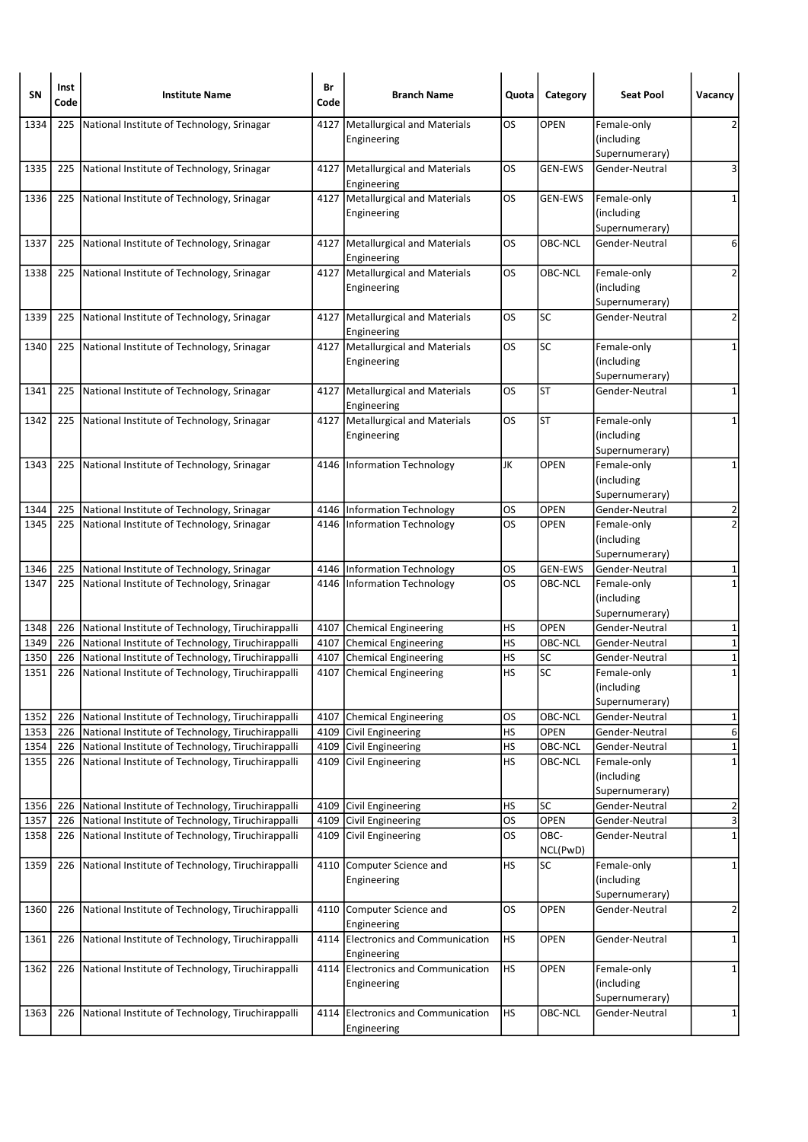| SN           | Inst<br>Code | <b>Institute Name</b>                                                                                  | Br<br>Code | <b>Branch Name</b>                                | Quota            | Category                 | <b>Seat Pool</b>                            | Vacancy                                |
|--------------|--------------|--------------------------------------------------------------------------------------------------------|------------|---------------------------------------------------|------------------|--------------------------|---------------------------------------------|----------------------------------------|
| 1334         | 225          | National Institute of Technology, Srinagar                                                             | 4127       | Metallurgical and Materials<br>Engineering        | OS               | <b>OPEN</b>              | Female-only<br>(including<br>Supernumerary) | 2                                      |
| 1335         | 225          | National Institute of Technology, Srinagar                                                             |            | 4127   Metallurgical and Materials<br>Engineering | OS.              | <b>GEN-EWS</b>           | Gender-Neutral                              | 3                                      |
| 1336         | 225          | National Institute of Technology, Srinagar                                                             | 4127       | Metallurgical and Materials<br>Engineering        | OS               | <b>GEN-EWS</b>           | Female-only<br>(including<br>Supernumerary) | 1                                      |
| 1337         | 225          | National Institute of Technology, Srinagar                                                             |            | 4127   Metallurgical and Materials<br>Engineering | <b>OS</b>        | <b>OBC-NCL</b>           | Gender-Neutral                              | 6                                      |
| 1338         | 225          | National Institute of Technology, Srinagar                                                             |            | 4127 Metallurgical and Materials<br>Engineering   | <b>OS</b>        | OBC-NCL                  | Female-only<br>(including<br>Supernumerary) | 2                                      |
| 1339         | 225          | National Institute of Technology, Srinagar                                                             |            | 4127   Metallurgical and Materials<br>Engineering | <b>OS</b>        | <b>SC</b>                | Gender-Neutral                              | $\overline{2}$                         |
| 1340         | 225          | National Institute of Technology, Srinagar                                                             |            | 4127 Metallurgical and Materials<br>Engineering   | <b>OS</b>        | SC                       | Female-only<br>(including<br>Supernumerary) | 1                                      |
| 1341         | 225          | National Institute of Technology, Srinagar                                                             |            | 4127   Metallurgical and Materials<br>Engineering | <b>OS</b>        | <b>ST</b>                | Gender-Neutral                              | 1                                      |
| 1342         | 225          | National Institute of Technology, Srinagar                                                             |            | 4127   Metallurgical and Materials<br>Engineering | los              | <b>ST</b>                | Female-only<br>(including<br>Supernumerary) | 1                                      |
| 1343         | 225          | National Institute of Technology, Srinagar                                                             |            | 4146   Information Technology                     | JK               | <b>OPEN</b>              | Female-only<br>(including<br>Supernumerary) | 1                                      |
| 1344         | 225          | National Institute of Technology, Srinagar                                                             |            | 4146   Information Technology                     | OS               | <b>OPEN</b>              | Gender-Neutral                              | 2                                      |
| 1345         | 225          | National Institute of Technology, Srinagar                                                             |            | 4146 Information Technology                       | <b>OS</b>        | <b>OPEN</b>              | Female-only<br>(including<br>Supernumerary) | $\overline{2}$                         |
| 1346         | 225          | National Institute of Technology, Srinagar                                                             |            | 4146   Information Technology                     | OS               | <b>GEN-EWS</b>           | Gender-Neutral                              | 1                                      |
| 1347         |              | 225 National Institute of Technology, Srinagar                                                         |            | 4146 Information Technology                       | <b>OS</b>        | OBC-NCL                  | Female-only<br>(including<br>Supernumerary) | 1                                      |
| 1348         | 226          | National Institute of Technology, Tiruchirappalli                                                      |            | 4107 Chemical Engineering                         | HS               | OPEN                     | Gender-Neutral                              | 1                                      |
| 1349         | 226          | National Institute of Technology, Tiruchirappalli                                                      |            | 4107 Chemical Engineering                         | <b>HS</b>        | OBC-NCL                  | Gender-Neutral                              | $\mathbf 1$                            |
| 1350         |              | 226 National Institute of Technology, Tiruchirappalli                                                  |            | 4107 Chemical Engineering                         | HS               | SC                       | Gender-Neutral                              | $\mathbf 1$                            |
| 1351         | 226          | National Institute of Technology, Tiruchirappalli                                                      |            | 4107 Chemical Engineering                         | <b>HS</b>        | SC                       | Female-only<br>(including<br>Supernumerary) | $\mathbf 1$                            |
| 1352         | 226          | National Institute of Technology, Tiruchirappalli                                                      |            | 4107 Chemical Engineering                         | OS               | OBC-NCL                  | Gender-Neutral                              | 1                                      |
| 1353         | 226          | National Institute of Technology, Tiruchirappalli                                                      |            | 4109 Civil Engineering                            | <b>HS</b>        | OPEN                     | Gender-Neutral                              | $\overline{6}$                         |
| 1354         | 226          | National Institute of Technology, Tiruchirappalli                                                      |            | 4109 Civil Engineering                            | <b>HS</b>        | OBC-NCL                  | Gender-Neutral                              | $\mathbf 1$                            |
| 1355         | 226          | National Institute of Technology, Tiruchirappalli                                                      |            | 4109 Civil Engineering                            | <b>HS</b>        | OBC-NCL                  | Female-only<br>(including<br>Supernumerary) | $\mathbf 1$                            |
| 1356         | 226          | National Institute of Technology, Tiruchirappalli                                                      |            | 4109 Civil Engineering                            | <b>HS</b>        | <b>SC</b>                | Gender-Neutral                              | $\overline{\mathbf{c}}$                |
| 1357<br>1358 | 226<br>226   | National Institute of Technology, Tiruchirappalli<br>National Institute of Technology, Tiruchirappalli | 4109       | 4109 Civil Engineering<br>Civil Engineering       | <b>OS</b><br>los | OPEN<br>OBC-<br>NCL(PwD) | Gender-Neutral<br>Gender-Neutral            | $\overline{\mathsf{a}}$<br>$\mathbf 1$ |
| 1359         | 226          | National Institute of Technology, Tiruchirappalli                                                      |            | 4110 Computer Science and<br>Engineering          | <b>HS</b>        | <b>SC</b>                | Female-only<br>(including<br>Supernumerary) | $\mathbf 1$                            |
| 1360         | 226          | National Institute of Technology, Tiruchirappalli                                                      |            | 4110 Computer Science and<br>Engineering          | <b>OS</b>        | OPEN                     | Gender-Neutral                              | $\overline{2}$                         |
| 1361         | 226          | National Institute of Technology, Tiruchirappalli                                                      |            | 4114 Electronics and Communication<br>Engineering | <b>HS</b>        | OPEN                     | Gender-Neutral                              | $\mathbf{1}$                           |
| 1362         | 226          | National Institute of Technology, Tiruchirappalli                                                      |            | 4114 Electronics and Communication<br>Engineering | <b>HS</b>        | OPEN                     | Female-only<br>(including<br>Supernumerary) | 1                                      |
| 1363         | 226          | National Institute of Technology, Tiruchirappalli                                                      |            | 4114 Electronics and Communication<br>Engineering | <b>HS</b>        | OBC-NCL                  | Gender-Neutral                              | $\mathbf{1}$                           |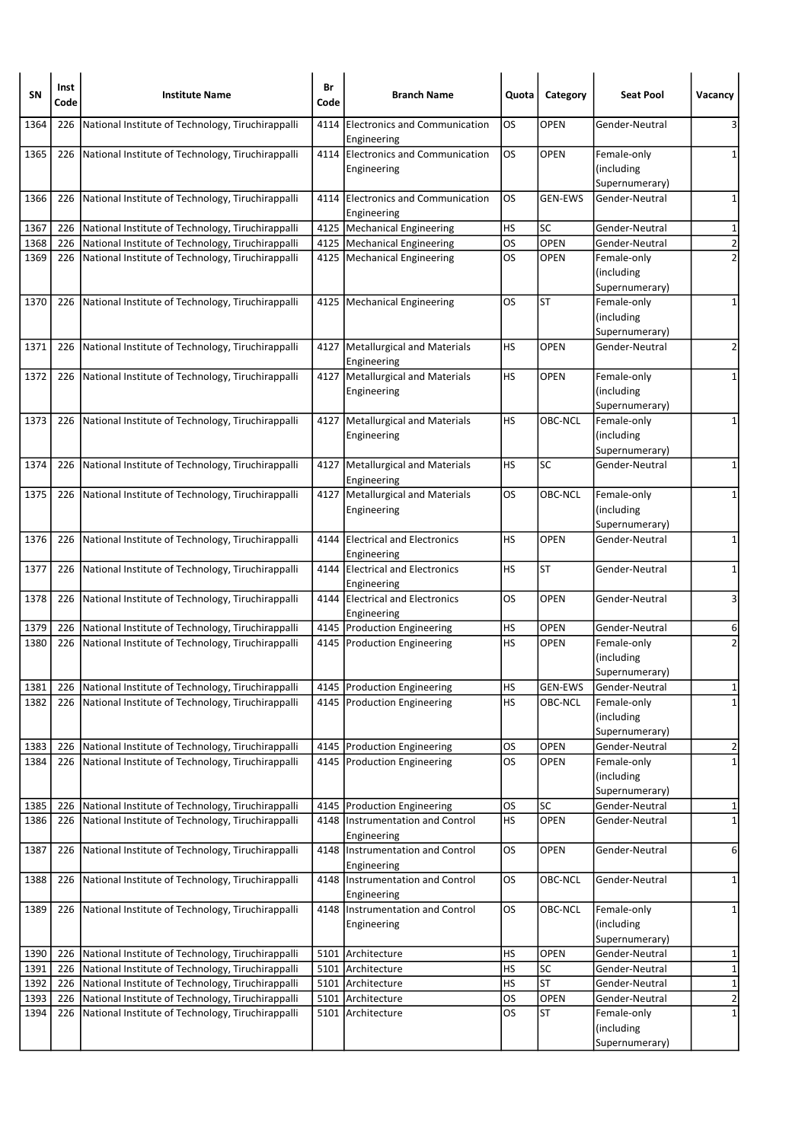| <b>SN</b>    | Inst<br>Code | <b>Institute Name</b>                                                                                  | Br<br>Code | <b>Branch Name</b>                                  | Quota                  | Category          | <b>Seat Pool</b>                                              | Vacancy                       |
|--------------|--------------|--------------------------------------------------------------------------------------------------------|------------|-----------------------------------------------------|------------------------|-------------------|---------------------------------------------------------------|-------------------------------|
| 1364         | 226          | National Institute of Technology, Tiruchirappalli                                                      | 4114       | <b>Electronics and Communication</b><br>Engineering | OS                     | OPEN              | Gender-Neutral                                                | 3                             |
| 1365         | 226          | National Institute of Technology, Tiruchirappalli                                                      |            | 4114 Electronics and Communication<br>Engineering   | OS                     | <b>OPEN</b>       | Female-only<br>(including<br>Supernumerary)                   | 1                             |
| 1366         | 226          | National Institute of Technology, Tiruchirappalli                                                      |            | 4114 Electronics and Communication<br>Engineering   | OS                     | <b>GEN-EWS</b>    | Gender-Neutral                                                | 1                             |
| 1367         | 226          | National Institute of Technology, Tiruchirappalli                                                      |            | 4125   Mechanical Engineering                       | НS                     | <b>SC</b>         | Gender-Neutral                                                | $\mathbf{1}$                  |
| 1368         | 226          | National Institute of Technology, Tiruchirappalli                                                      |            | 4125   Mechanical Engineering                       | OS                     | <b>OPEN</b>       | Gender-Neutral                                                | $\overline{2}$                |
| 1369         |              | 226 National Institute of Technology, Tiruchirappalli                                                  |            | 4125 Mechanical Engineering                         | OS                     | <b>OPEN</b>       | Female-only<br>(including<br>Supernumerary)                   | $\overline{2}$                |
| 1370         | 226          | National Institute of Technology, Tiruchirappalli                                                      |            | 4125   Mechanical Engineering                       | OS                     | ST                | Female-only<br>(including<br>Supernumerary)                   | 1                             |
| 1371         | 226          | National Institute of Technology, Tiruchirappalli                                                      |            | 4127   Metallurgical and Materials<br>Engineering   | НS                     | <b>OPEN</b>       | Gender-Neutral                                                | $\overline{2}$                |
| 1372         | 226          | National Institute of Technology, Tiruchirappalli                                                      |            | 4127 Metallurgical and Materials<br>Engineering     | HS                     | <b>OPEN</b>       | Female-only<br>(including<br>Supernumerary)                   | 1                             |
| 1373         |              | 226 National Institute of Technology, Tiruchirappalli                                                  |            | 4127 Metallurgical and Materials<br>Engineering     | HS                     | <b>OBC-NCL</b>    | Female-only<br>(including<br>Supernumerary)                   | $\mathbf{1}$                  |
| 1374         | 226          | National Institute of Technology, Tiruchirappalli                                                      | 4127       | Metallurgical and Materials<br>Engineering          | НS                     | SC                | Gender-Neutral                                                | 1                             |
| 1375         | 226          | National Institute of Technology, Tiruchirappalli                                                      |            | 4127   Metallurgical and Materials<br>Engineering   | OS                     | OBC-NCL           | Female-only<br>(including<br>Supernumerary)                   | 1                             |
| 1376         | 226          | National Institute of Technology, Tiruchirappalli                                                      | 4144       | <b>Electrical and Electronics</b><br>Engineering    | НS                     | <b>OPEN</b>       | Gender-Neutral                                                | 1                             |
| 1377         | 226          | National Institute of Technology, Tiruchirappalli                                                      |            | 4144 Electrical and Electronics<br>Engineering      | HS                     | <b>ST</b>         | Gender-Neutral                                                | 1                             |
| 1378         | 226          | National Institute of Technology, Tiruchirappalli                                                      |            | 4144 Electrical and Electronics<br>Engineering      | OS                     | <b>OPEN</b>       | Gender-Neutral                                                | 3                             |
| 1379         | 226          | National Institute of Technology, Tiruchirappalli                                                      |            | 4145   Production Engineering                       | <b>HS</b>              | OPEN              | Gender-Neutral                                                | 6                             |
| 1380         | 226          | National Institute of Technology, Tiruchirappalli                                                      |            | 4145   Production Engineering                       | HS                     | <b>OPEN</b>       | Female-only<br>(including<br>Supernumerary)                   | $\overline{2}$                |
| 1381         |              | 226 National Institute of Technology, Tiruchirappalli                                                  |            | 4145   Production Engineering                       | HS                     | <b>GEN-EWS</b>    | Gender-Neutral                                                | $1\vert$                      |
| 1382         | 226          | National Institute of Technology, Tiruchirappalli                                                      |            | 4145   Production Engineering                       | HS                     | OBC-NCL           | Female-only<br>(including<br>Supernumerary)                   | $\overline{1}$                |
| 1383         | 226          | National Institute of Technology, Tiruchirappalli                                                      |            | 4145   Production Engineering                       | OS                     | OPEN              | Gender-Neutral                                                | 2                             |
| 1384         | 226          | National Institute of Technology, Tiruchirappalli                                                      |            | 4145 Production Engineering                         | los                    | <b>OPEN</b>       | Female-only<br>(including<br>Supernumerary)                   | $\mathbf 1$                   |
| 1385         | 226          | National Institute of Technology, Tiruchirappalli                                                      |            | 4145   Production Engineering                       | OS                     | <b>SC</b>         | Gender-Neutral                                                | 1                             |
| 1386         | 226          | National Institute of Technology, Tiruchirappalli                                                      |            | 4148   Instrumentation and Control<br>Engineering   | <b>HS</b>              | OPEN              | Gender-Neutral                                                | $\mathbf 1$                   |
| 1387         | 226          | National Institute of Technology, Tiruchirappalli                                                      |            | 4148 Instrumentation and Control<br>Engineering     | <b>OS</b>              | <b>OPEN</b>       | Gender-Neutral                                                | 6                             |
| 1388         | 226          | National Institute of Technology, Tiruchirappalli                                                      | 4148       | Instrumentation and Control<br>Engineering          | <b>OS</b>              | OBC-NCL           | Gender-Neutral                                                | $\mathbf{1}$                  |
| 1389         | 226          | National Institute of Technology, Tiruchirappalli                                                      |            | 4148   Instrumentation and Control<br>Engineering   | OS                     | OBC-NCL           | Female-only<br>(including<br>Supernumerary)                   | 1                             |
| 1390         | 226          | National Institute of Technology, Tiruchirappalli                                                      |            | 5101 Architecture                                   | HS                     | OPEN              | Gender-Neutral                                                | 1                             |
| 1391         | 226          | National Institute of Technology, Tiruchirappalli                                                      |            | 5101 Architecture                                   | <b>HS</b>              | SC                | Gender-Neutral                                                | 1                             |
| 1392         | 226          | National Institute of Technology, Tiruchirappalli                                                      |            | 5101 Architecture                                   | <b>HS</b><br><b>OS</b> | <b>ST</b><br>OPEN | Gender-Neutral                                                | $\mathbf 1$<br>$\overline{c}$ |
| 1393<br>1394 | 226<br>226   | National Institute of Technology, Tiruchirappalli<br>National Institute of Technology, Tiruchirappalli |            | 5101 Architecture<br>5101 Architecture              | OS                     | <b>ST</b>         | Gender-Neutral<br>Female-only<br>(including<br>Supernumerary) | $\mathbf{1}$                  |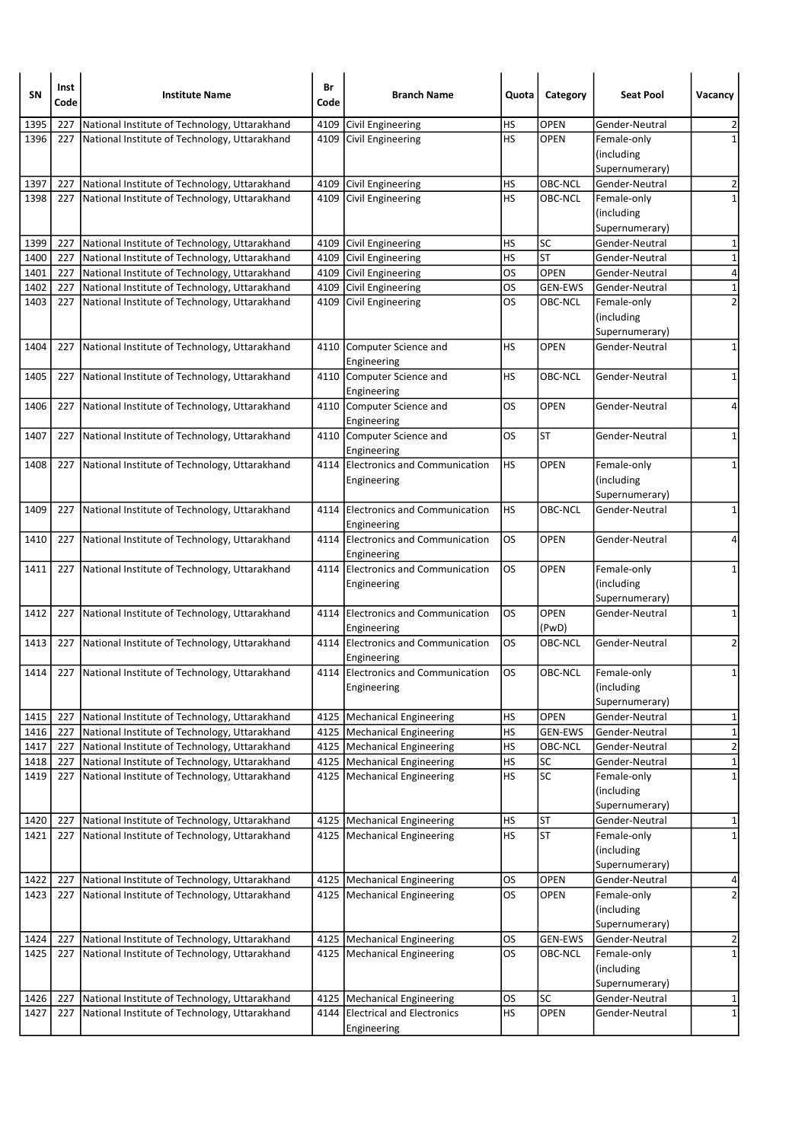| SN   | Inst<br>Code | <b>Institute Name</b>                             | Br<br>Code | <b>Branch Name</b>                                | Quota     | Category       | <b>Seat Pool</b>                            | Vacancy        |
|------|--------------|---------------------------------------------------|------------|---------------------------------------------------|-----------|----------------|---------------------------------------------|----------------|
| 1395 | 227          | National Institute of Technology, Uttarakhand     |            | 4109 Civil Engineering                            | <b>HS</b> | <b>OPEN</b>    | Gender-Neutral                              | 2              |
| 1396 |              | 227 National Institute of Technology, Uttarakhand |            | 4109 Civil Engineering                            | HS        | <b>OPEN</b>    | Female-only<br>(including<br>Supernumerary) | $\mathbf{1}$   |
| 1397 | 227          | National Institute of Technology, Uttarakhand     |            | 4109 Civil Engineering                            | <b>HS</b> | OBC-NCL        | Gender-Neutral                              | $\overline{2}$ |
| 1398 | 227          | National Institute of Technology, Uttarakhand     |            | 4109 Civil Engineering                            | HS        | OBC-NCL        | Female-only                                 | $\mathbf{1}$   |
|      |              |                                                   |            |                                                   |           |                | (including                                  |                |
|      |              |                                                   |            |                                                   |           |                | Supernumerary)                              |                |
| 1399 | 227          | National Institute of Technology, Uttarakhand     |            | 4109 Civil Engineering                            | HS        | <b>SC</b>      | Gender-Neutral                              | $\mathbf{1}$   |
| 1400 | 227          | National Institute of Technology, Uttarakhand     |            | 4109 Civil Engineering                            | <b>HS</b> | <b>ST</b>      | Gender-Neutral                              | $\mathbf 1$    |
| 1401 | 227          | National Institute of Technology, Uttarakhand     |            | 4109 Civil Engineering                            | <b>OS</b> | <b>OPEN</b>    | Gender-Neutral                              | 4              |
| 1402 | 227          | National Institute of Technology, Uttarakhand     |            | 4109 Civil Engineering                            | <b>OS</b> | <b>GEN-EWS</b> | Gender-Neutral                              | $\mathbf 1$    |
| 1403 | 227          | National Institute of Technology, Uttarakhand     | 4109       | Civil Engineering                                 | <b>OS</b> | OBC-NCL        | Female-only                                 | $\overline{2}$ |
|      |              |                                                   |            |                                                   |           |                | (including<br>Supernumerary)                |                |
| 1404 |              | 227 National Institute of Technology, Uttarakhand |            | 4110 Computer Science and<br>Engineering          | HS        | <b>OPEN</b>    | Gender-Neutral                              | $\mathbf 1$    |
| 1405 | 227          | National Institute of Technology, Uttarakhand     |            | 4110 Computer Science and<br>Engineering          | HS        | OBC-NCL        | Gender-Neutral                              | 1              |
| 1406 | 227          | National Institute of Technology, Uttarakhand     |            | 4110 Computer Science and<br>Engineering          | <b>OS</b> | <b>OPEN</b>    | Gender-Neutral                              | 4              |
| 1407 | 227          | National Institute of Technology, Uttarakhand     |            | 4110 Computer Science and<br>Engineering          | <b>OS</b> | <b>ST</b>      | Gender-Neutral                              | $\mathbf{1}$   |
| 1408 |              | 227 National Institute of Technology, Uttarakhand |            | 4114 Electronics and Communication<br>Engineering | HS        | <b>OPEN</b>    | Female-only<br>(including<br>Supernumerary) | 1              |
| 1409 |              | 227 National Institute of Technology, Uttarakhand |            | 4114 Electronics and Communication<br>Engineering | HS        | OBC-NCL        | Gender-Neutral                              | $\mathbf 1$    |
| 1410 |              | 227 National Institute of Technology, Uttarakhand |            | 4114 Electronics and Communication<br>Engineering | los       | <b>OPEN</b>    | Gender-Neutral                              | 4              |
| 1411 | 227          | National Institute of Technology, Uttarakhand     |            | 4114 Electronics and Communication<br>Engineering | <b>OS</b> | <b>OPEN</b>    | Female-only<br>(including<br>Supernumerary) | 1              |
| 1412 | 227          | National Institute of Technology, Uttarakhand     |            | 4114 Electronics and Communication<br>Engineering | <b>OS</b> | OPEN<br>(PwD)  | Gender-Neutral                              | 1              |
| 1413 | 227          | National Institute of Technology, Uttarakhand     |            | 4114 Electronics and Communication<br>Engineering | OS.       | OBC-NCL        | Gender-Neutral                              | $\overline{2}$ |
| 1414 |              | 227 National Institute of Technology, Uttarakhand |            | 4114 Electronics and Communication<br>Engineering | los       | OBC-NCL        | Female-only<br>(including<br>Supernumerary) | 1              |
| 1415 | 227          | National Institute of Technology, Uttarakhand     |            | 4125   Mechanical Engineering                     | HS        | OPEN           | Gender-Neutral                              | 1              |
| 1416 | 227          | National Institute of Technology, Uttarakhand     |            | 4125   Mechanical Engineering                     | <b>HS</b> | <b>GEN-EWS</b> | Gender-Neutral                              | $\mathbf{1}$   |
| 1417 | 227          | National Institute of Technology, Uttarakhand     |            | 4125   Mechanical Engineering                     | HS        | OBC-NCL        | Gender-Neutral                              | $\overline{2}$ |
| 1418 | 227          | National Institute of Technology, Uttarakhand     |            | 4125   Mechanical Engineering                     | HS        | <b>SC</b>      | Gender-Neutral                              | $\mathbf{1}$   |
| 1419 | 227          | National Institute of Technology, Uttarakhand     |            | 4125   Mechanical Engineering                     | <b>HS</b> | SC             | Female-only<br>(including<br>Supernumerary) | $\mathbf 1$    |
| 1420 | 227          | National Institute of Technology, Uttarakhand     |            | 4125   Mechanical Engineering                     | <b>HS</b> | <b>ST</b>      | Gender-Neutral                              | 1              |
| 1421 |              | 227 National Institute of Technology, Uttarakhand |            | 4125 Mechanical Engineering                       | HS        | <b>ST</b>      | Female-only<br>(including<br>Supernumerary) | $\mathbf 1$    |
| 1422 | 227          | National Institute of Technology, Uttarakhand     |            | 4125   Mechanical Engineering                     | OS        | <b>OPEN</b>    | Gender-Neutral                              | 4              |
| 1423 | 227          | National Institute of Technology, Uttarakhand     |            | 4125   Mechanical Engineering                     | <b>OS</b> | OPEN           | Female-only<br>(including<br>Supernumerary) | $\overline{2}$ |
| 1424 | 227          | National Institute of Technology, Uttarakhand     |            | 4125   Mechanical Engineering                     | OS        | <b>GEN-EWS</b> | Gender-Neutral                              | 2              |
| 1425 | 227          | National Institute of Technology, Uttarakhand     |            | 4125   Mechanical Engineering                     | os        | OBC-NCL        | Female-only<br>(including<br>Supernumerary) | $\mathbf{1}$   |
| 1426 | 227          | National Institute of Technology, Uttarakhand     |            | 4125   Mechanical Engineering                     | <b>OS</b> | SC             | Gender-Neutral                              | 1              |
| 1427 | 227          | National Institute of Technology, Uttarakhand     |            | 4144 Electrical and Electronics<br>Engineering    | <b>HS</b> | OPEN           | Gender-Neutral                              | $\mathbf{1}$   |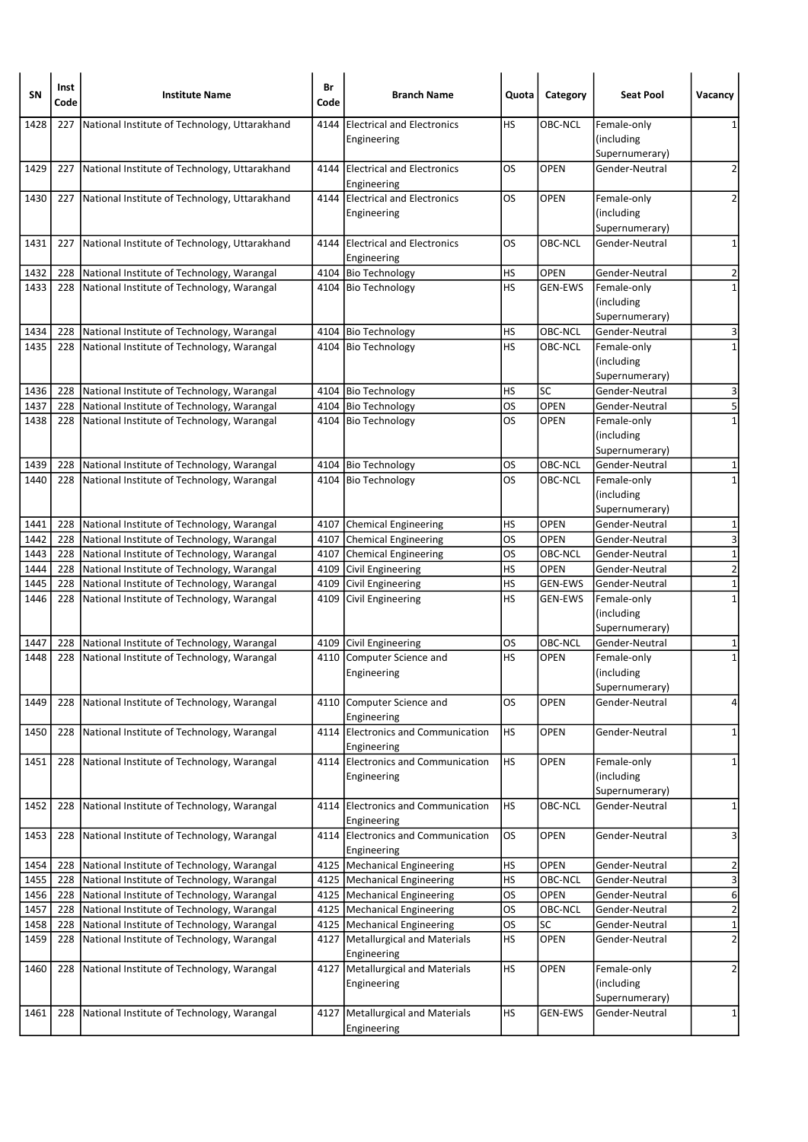| SΝ   | Inst<br>Code | <b>Institute Name</b>                             | Br<br>Code | <b>Branch Name</b>                                | Quota     | Category       | <b>Seat Pool</b>                            | Vacancy                 |
|------|--------------|---------------------------------------------------|------------|---------------------------------------------------|-----------|----------------|---------------------------------------------|-------------------------|
| 1428 | 227          | National Institute of Technology, Uttarakhand     | 4144       | <b>Electrical and Electronics</b><br>Engineering  | HS        | OBC-NCL        | Female-only<br>(including<br>Supernumerary) | 1                       |
| 1429 |              | 227 National Institute of Technology, Uttarakhand |            | 4144 Electrical and Electronics<br>Engineering    | OS.       | <b>OPEN</b>    | Gender-Neutral                              | 2                       |
| 1430 |              | 227 National Institute of Technology, Uttarakhand |            | 4144 Electrical and Electronics<br>Engineering    | OS        | OPEN           | Female-only<br>(including<br>Supernumerary) | 2                       |
| 1431 |              | 227 National Institute of Technology, Uttarakhand |            | 4144 Electrical and Electronics<br>Engineering    | <b>OS</b> | <b>OBC-NCL</b> | Gender-Neutral                              | $\mathbf 1$             |
| 1432 | 228          | National Institute of Technology, Warangal        |            | 4104 Bio Technology                               | HS        | <b>OPEN</b>    | Gender-Neutral                              | 2                       |
| 1433 | 228          | National Institute of Technology, Warangal        |            | 4104 Bio Technology                               | <b>HS</b> | <b>GEN-EWS</b> | Female-only<br>(including<br>Supernumerary) | $\mathbf{1}$            |
| 1434 |              | 228   National Institute of Technology, Warangal  |            | 4104 Bio Technology                               | HS        | OBC-NCL        | Gender-Neutral                              | 3                       |
| 1435 | 228          | National Institute of Technology, Warangal        |            | 4104 Bio Technology                               | HS        | OBC-NCL        | Female-only<br>(including<br>Supernumerary) | $\mathbf{1}$            |
| 1436 | 228          | National Institute of Technology, Warangal        |            | 4104 Bio Technology                               | HS        | SC             | Gender-Neutral                              | 3                       |
| 1437 | 228          | National Institute of Technology, Warangal        |            | 4104 Bio Technology                               | <b>OS</b> | OPEN           | Gender-Neutral                              | 5                       |
| 1438 | 228          | National Institute of Technology, Warangal        |            | 4104 Bio Technology                               | los       | <b>OPEN</b>    | Female-only<br>(including<br>Supernumerary) | $\mathbf{1}$            |
| 1439 | 228          | National Institute of Technology, Warangal        |            | 4104 Bio Technology                               | OS        | OBC-NCL        | Gender-Neutral                              | 1                       |
| 1440 | 228          | National Institute of Technology, Warangal        |            | 4104 Bio Technology                               | <b>OS</b> | OBC-NCL        | Female-only<br>(including<br>Supernumerary) | $\mathbf{1}$            |
| 1441 | 228          | National Institute of Technology, Warangal        |            | 4107 Chemical Engineering                         | HS        | <b>OPEN</b>    | Gender-Neutral                              | 1                       |
| 1442 | 228          | National Institute of Technology, Warangal        |            | 4107 Chemical Engineering                         | OS        | <b>OPEN</b>    | Gender-Neutral                              | 3                       |
| 1443 | 228          | National Institute of Technology, Warangal        |            | 4107 Chemical Engineering                         | OS        | OBC-NCL        | Gender-Neutral                              | $\overline{\mathbf{1}}$ |
| 1444 | 228          | National Institute of Technology, Warangal        |            | 4109 Civil Engineering                            | HS        | <b>OPEN</b>    | Gender-Neutral                              | $\overline{2}$          |
| 1445 | 228          | National Institute of Technology, Warangal        |            | 4109 Civil Engineering                            | HS        | <b>GEN-EWS</b> | Gender-Neutral                              | $\mathbf 1$             |
| 1446 | 228          | National Institute of Technology, Warangal        |            | 4109 Civil Engineering                            | HS        | <b>GEN-EWS</b> | Female-only<br>(including<br>Supernumerary) | $\mathbf{1}$            |
| 1447 | 228          | National Institute of Technology, Warangal        |            | 4109 Civil Engineering                            | OS        | OBC-NCL        | Gender-Neutral                              | 1                       |
| 1448 | 228          | National Institute of Technology, Warangal        |            | 4110 Computer Science and<br>Engineering          | HS        | OPEN           | Female-only<br>(including<br>Supernumerary) | $\mathbf 1$             |
| 1449 | 228          | National Institute of Technology, Warangal        |            | 4110 Computer Science and<br>Engineering          | <b>OS</b> | OPEN           | Gender-Neutral                              | 4                       |
| 1450 | 228          | National Institute of Technology, Warangal        |            | 4114 Electronics and Communication<br>Engineering | HS        | OPEN           | Gender-Neutral                              | 1                       |
| 1451 | 228          | National Institute of Technology, Warangal        |            | 4114 Electronics and Communication<br>Engineering | HS        | OPEN           | Female-only<br>(including<br>Supernumerary) | 1                       |
| 1452 | 228          | National Institute of Technology, Warangal        |            | 4114 Electronics and Communication<br>Engineering | <b>HS</b> | OBC-NCL        | Gender-Neutral                              | 1                       |
| 1453 | 228          | National Institute of Technology, Warangal        |            | 4114 Electronics and Communication<br>Engineering | <b>OS</b> | <b>OPEN</b>    | Gender-Neutral                              | 3                       |
| 1454 | 228          | National Institute of Technology, Warangal        |            | 4125   Mechanical Engineering                     | <b>HS</b> | OPEN           | Gender-Neutral                              | 2                       |
| 1455 | 228          | National Institute of Technology, Warangal        |            | 4125   Mechanical Engineering                     | <b>HS</b> | OBC-NCL        | Gender-Neutral                              | $\overline{\mathbf{3}}$ |
| 1456 | 228          | National Institute of Technology, Warangal        |            | 4125   Mechanical Engineering                     | <b>OS</b> | OPEN           | Gender-Neutral                              | $\overline{6}$          |
| 1457 | 228          | National Institute of Technology, Warangal        |            | 4125   Mechanical Engineering                     | <b>OS</b> | OBC-NCL        | Gender-Neutral                              | $\overline{2}$          |
| 1458 | 228          | National Institute of Technology, Warangal        |            | 4125   Mechanical Engineering                     | <b>OS</b> | SC             | Gender-Neutral                              | $\overline{1}$          |
| 1459 | 228          | National Institute of Technology, Warangal        | 4127       | Metallurgical and Materials<br>Engineering        | HS        | OPEN           | Gender-Neutral                              | $\overline{2}$          |
| 1460 | 228          | National Institute of Technology, Warangal        |            | 4127   Metallurgical and Materials<br>Engineering | <b>HS</b> | OPEN           | Female-only<br>(including<br>Supernumerary) | $\overline{2}$          |
| 1461 | 228          | National Institute of Technology, Warangal        | 4127       | <b>Metallurgical and Materials</b><br>Engineering | <b>HS</b> | GEN-EWS        | Gender-Neutral                              | $\mathbf{1}$            |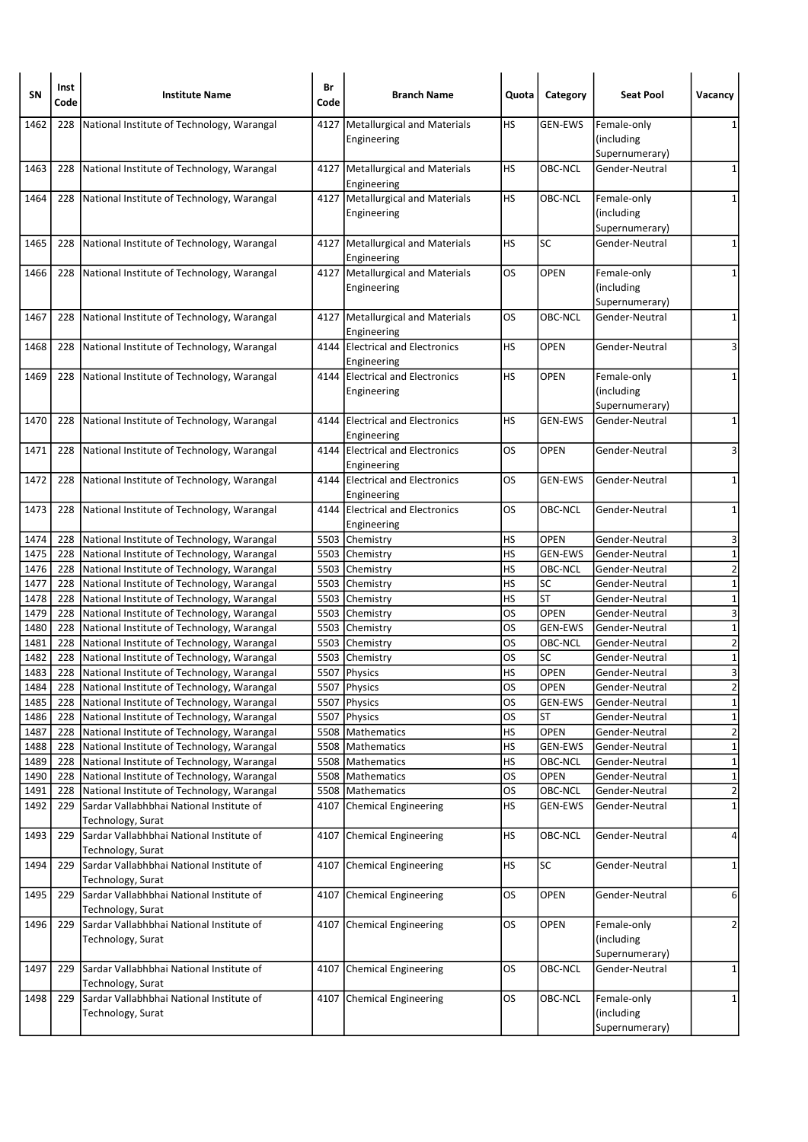| <b>SN</b>    | Inst<br>Code | <b>Institute Name</b>                                                                    | Br<br>Code | <b>Branch Name</b>                                | Quota           | Category             | <b>Seat Pool</b>                            | Vacancy                       |
|--------------|--------------|------------------------------------------------------------------------------------------|------------|---------------------------------------------------|-----------------|----------------------|---------------------------------------------|-------------------------------|
| 1462         | 228          | National Institute of Technology, Warangal                                               | 4127       | Metallurgical and Materials<br>Engineering        | НS              | <b>GEN-EWS</b>       | Female-only<br>(including                   | 1                             |
| 1463         | 228          | National Institute of Technology, Warangal                                               |            | 4127   Metallurgical and Materials                | HS              | OBC-NCL              | Supernumerary)<br>Gender-Neutral            | 1                             |
|              |              |                                                                                          |            | Engineering                                       |                 |                      |                                             |                               |
| 1464         | 228          | National Institute of Technology, Warangal                                               | 4127       | Metallurgical and Materials<br>Engineering        | HS              | OBC-NCL              | Female-only<br>(including                   | $\mathbf{1}$                  |
| 1465         | 228          | National Institute of Technology, Warangal                                               |            | 4127   Metallurgical and Materials                | <b>HS</b>       | <b>SC</b>            | Supernumerary)<br>Gender-Neutral            | $\mathbf 1$                   |
|              |              |                                                                                          |            | Engineering                                       |                 |                      |                                             |                               |
| 1466         | 228          | National Institute of Technology, Warangal                                               | 4127       | Metallurgical and Materials<br>Engineering        | OS              | OPEN                 | Female-only<br>(including<br>Supernumerary) | 1                             |
| 1467         | 228          | National Institute of Technology, Warangal                                               |            | 4127   Metallurgical and Materials<br>Engineering | OS              | OBC-NCL              | Gender-Neutral                              | $\mathbf 1$                   |
| 1468         | 228          | National Institute of Technology, Warangal                                               | 4144       | <b>Electrical and Electronics</b><br>Engineering  | <b>HS</b>       | <b>OPEN</b>          | Gender-Neutral                              | 3                             |
| 1469         | 228          | National Institute of Technology, Warangal                                               |            | 4144 Electrical and Electronics                   | HS              | <b>OPEN</b>          | Female-only                                 | 1                             |
|              |              |                                                                                          |            | Engineering                                       |                 |                      | (including                                  |                               |
|              |              |                                                                                          |            |                                                   |                 |                      | Supernumerary)                              |                               |
| 1470         | 228          | National Institute of Technology, Warangal                                               | 4144       | <b>Electrical and Electronics</b><br>Engineering  | HS              | <b>GEN-EWS</b>       | Gender-Neutral                              | 1                             |
| 1471         | 228          | National Institute of Technology, Warangal                                               |            | 4144 Electrical and Electronics<br>Engineering    | OS              | <b>OPEN</b>          | Gender-Neutral                              | 3                             |
| 1472         | 228          | National Institute of Technology, Warangal                                               |            | 4144 Electrical and Electronics<br>Engineering    | OS              | <b>GEN-EWS</b>       | Gender-Neutral                              | $\mathbf{1}$                  |
| 1473         | 228          | National Institute of Technology, Warangal                                               | 4144       | <b>Electrical and Electronics</b><br>Engineering  | OS              | OBC-NCL              | Gender-Neutral                              | $\mathbf 1$                   |
| 1474         | 228          | National Institute of Technology, Warangal                                               |            | 5503 Chemistry                                    | HS              | <b>OPEN</b>          | Gender-Neutral                              | 3                             |
| 1475         | 228          | National Institute of Technology, Warangal                                               |            | 5503 Chemistry                                    | HS              | <b>GEN-EWS</b>       | Gender-Neutral                              | $\mathbf 1$                   |
| 1476         | 228          | National Institute of Technology, Warangal                                               |            | 5503 Chemistry                                    | <b>HS</b>       | OBC-NCL              | Gender-Neutral                              | $\overline{2}$                |
| 1477         | 228          | National Institute of Technology, Warangal                                               |            | 5503 Chemistry                                    | HS              | SC                   | Gender-Neutral                              | $\mathbf 1$                   |
| 1478         | 228          | National Institute of Technology, Warangal                                               | 5503       | Chemistry                                         | HS              | <b>ST</b>            | Gender-Neutral                              | $\mathbf 1$                   |
| 1479         | 228          | National Institute of Technology, Warangal                                               |            | 5503 Chemistry                                    | <b>OS</b>       | OPEN                 | Gender-Neutral                              | 3                             |
| 1480         | 228          | National Institute of Technology, Warangal                                               |            | 5503 Chemistry                                    | OS              | <b>GEN-EWS</b>       | Gender-Neutral                              | $\mathbf 1$                   |
| 1481         | 228          | National Institute of Technology, Warangal                                               |            | 5503 Chemistry                                    | OS              | OBC-NCL              | Gender-Neutral                              | $\overline{\mathbf{c}}$       |
| 1482         | 228          | National Institute of Technology, Warangal                                               |            | 5503 Chemistry                                    | OS              | SC                   | Gender-Neutral                              | $\mathbf 1$                   |
| 1483         | 228          | National Institute of Technology, Warangal                                               |            | 5507 Physics                                      | HS              | <b>OPEN</b>          | Gender-Neutral                              | 3                             |
| 1484         | 228          | National Institute of Technology, Warangal                                               |            | 5507   Physics                                    | OS              | <b>OPEN</b>          | Gender-Neutral                              | $\frac{2}{ }$                 |
| 1485         | 228          | National Institute of Technology, Warangal<br>National Institute of Technology, Warangal |            | 5507 Physics                                      | OS              | GEN-EWS<br><b>ST</b> | Gender-Neutral                              | $\mathbf 1$                   |
| 1486<br>1487 | 228<br>228   | National Institute of Technology, Warangal                                               |            | 5507 Physics<br>5508 Mathematics                  | <b>OS</b><br>HS | OPEN                 | Gender-Neutral<br>Gender-Neutral            | $\mathbf 1$<br>$\overline{2}$ |
| 1488         | 228          | National Institute of Technology, Warangal                                               |            | 5508   Mathematics                                | HS              | <b>GEN-EWS</b>       | Gender-Neutral                              | $\mathbf 1$                   |
| 1489         | 228          | National Institute of Technology, Warangal                                               | 5508       | Mathematics                                       | HS              | OBC-NCL              | Gender-Neutral                              | $\mathbf 1$                   |
| 1490         | 228          | National Institute of Technology, Warangal                                               |            | 5508   Mathematics                                | <b>OS</b>       | OPEN                 | Gender-Neutral                              | $\mathbf 1$                   |
| 1491         | 228          | National Institute of Technology, Warangal                                               |            | 5508   Mathematics                                | OS              | OBC-NCL              | Gender-Neutral                              | $\overline{2}$                |
| 1492         | 229          | Sardar Vallabhbhai National Institute of<br>Technology, Surat                            | 4107       | Chemical Engineering                              | <b>HS</b>       | GEN-EWS              | Gender-Neutral                              | $\overline{1}$                |
| 1493         | 229          | Sardar Vallabhbhai National Institute of<br>Technology, Surat                            |            | 4107 Chemical Engineering                         | <b>HS</b>       | OBC-NCL              | Gender-Neutral                              | $\overline{4}$                |
| 1494         | 229          | Sardar Vallabhbhai National Institute of<br>Technology, Surat                            | 4107       | Chemical Engineering                              | <b>HS</b>       | SC                   | Gender-Neutral                              | 1                             |
| 1495         | 229          | Sardar Vallabhbhai National Institute of<br>Technology, Surat                            | 4107       | Chemical Engineering                              | OS              | OPEN                 | Gender-Neutral                              | 6                             |
| 1496         | 229          | Sardar Vallabhbhai National Institute of<br>Technology, Surat                            | 4107       | Chemical Engineering                              | OS              | <b>OPEN</b>          | Female-only<br>(including                   | $\overline{2}$                |
|              |              |                                                                                          |            |                                                   |                 |                      | Supernumerary)                              |                               |
| 1497         | 229          | Sardar Vallabhbhai National Institute of<br>Technology, Surat                            | 4107       | Chemical Engineering                              | OS              | OBC-NCL              | Gender-Neutral                              | 1                             |
| 1498         | 229          | Sardar Vallabhbhai National Institute of<br>Technology, Surat                            |            | 4107 Chemical Engineering                         | <b>OS</b>       | OBC-NCL              | Female-only<br>(including<br>Supernumerary) | 1                             |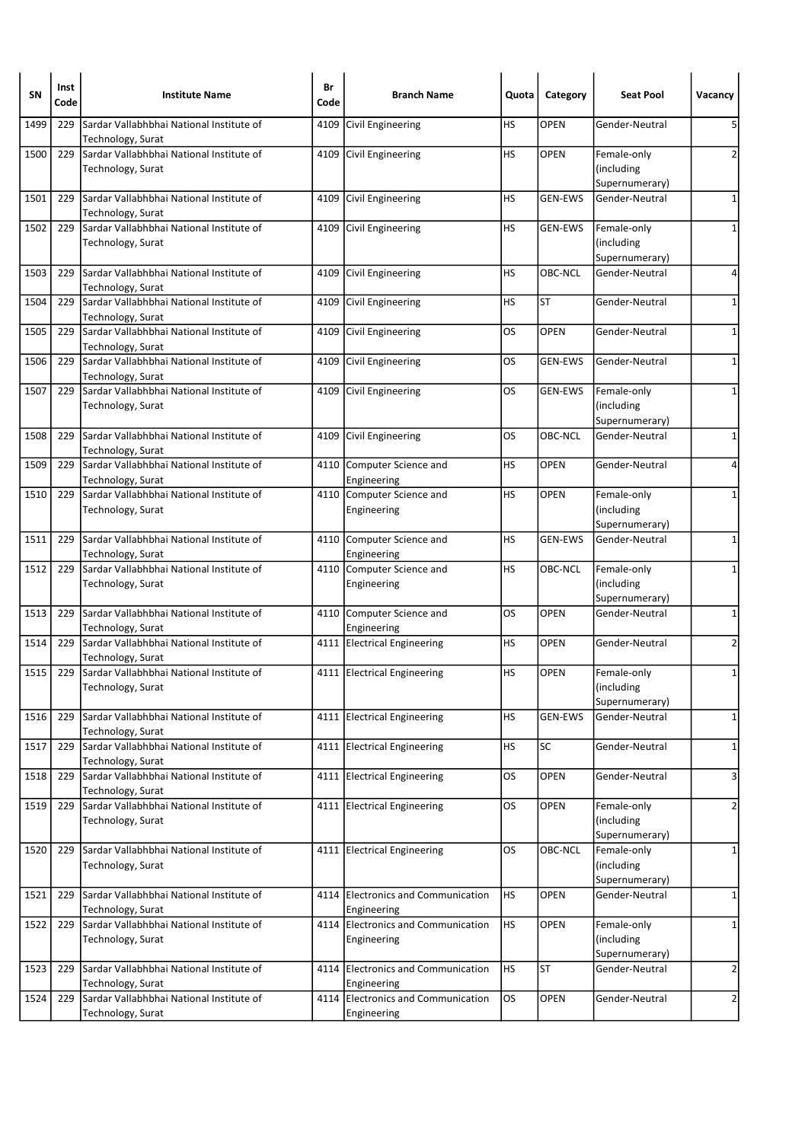| SN   | Inst<br>Code | <b>Institute Name</b>                                         | Br<br>Code | <b>Branch Name</b>                                | Quota     | Category       | <b>Seat Pool</b>                            | Vacancy                 |
|------|--------------|---------------------------------------------------------------|------------|---------------------------------------------------|-----------|----------------|---------------------------------------------|-------------------------|
| 1499 | 229          | Sardar Vallabhbhai National Institute of<br>Technology, Surat | 4109       | Civil Engineering                                 | НS        | <b>OPEN</b>    | Gender-Neutral                              | 5                       |
| 1500 | 229          | Sardar Vallabhbhai National Institute of<br>Technology, Surat |            | 4109 Civil Engineering                            | HS        | OPEN           | Female-only<br>(including<br>Supernumerary) | 2                       |
| 1501 | 229          | Sardar Vallabhbhai National Institute of<br>Technology, Surat |            | 4109 Civil Engineering                            | HS        | <b>GEN-EWS</b> | Gender-Neutral                              | $\mathbf 1$             |
| 1502 | 229          | Sardar Vallabhbhai National Institute of<br>Technology, Surat |            | 4109 Civil Engineering                            | HS        | <b>GEN-EWS</b> | Female-only<br>(including<br>Supernumerary) | 1                       |
| 1503 | 229          | Sardar Vallabhbhai National Institute of<br>Technology, Surat | 4109       | Civil Engineering                                 | HS        | OBC-NCL        | Gender-Neutral                              | 4                       |
| 1504 | 229          | Sardar Vallabhbhai National Institute of<br>Technology, Surat | 4109       | Civil Engineering                                 | HS        | <b>ST</b>      | Gender-Neutral                              | 1                       |
| 1505 | 229          | Sardar Vallabhbhai National Institute of<br>Technology, Surat | 4109       | Civil Engineering                                 | OS        | <b>OPEN</b>    | Gender-Neutral                              | 1                       |
| 1506 | 229          | Sardar Vallabhbhai National Institute of<br>Technology, Surat | 4109       | Civil Engineering                                 | OS        | <b>GEN-EWS</b> | Gender-Neutral                              | $\mathbf 1$             |
| 1507 | 229          | Sardar Vallabhbhai National Institute of<br>Technology, Surat |            | 4109 Civil Engineering                            | OS        | <b>GEN-EWS</b> | Female-only<br>(including<br>Supernumerary) | 1                       |
| 1508 | 229          | Sardar Vallabhbhai National Institute of<br>Technology, Surat | 4109       | Civil Engineering                                 | OS        | OBC-NCL        | Gender-Neutral                              | 1                       |
| 1509 | 229          | Sardar Vallabhbhai National Institute of<br>Technology, Surat |            | 4110 Computer Science and<br>Engineering          | HS        | <b>OPEN</b>    | Gender-Neutral                              | 4                       |
| 1510 | 229          | Sardar Vallabhbhai National Institute of<br>Technology, Surat |            | 4110 Computer Science and<br>Engineering          | <b>HS</b> | <b>OPEN</b>    | Female-only<br>(including<br>Supernumerary) | 1                       |
| 1511 | 229          | Sardar Vallabhbhai National Institute of<br>Technology, Surat |            | 4110 Computer Science and<br>Engineering          | HS        | <b>GEN-EWS</b> | Gender-Neutral                              | 1                       |
| 1512 | 229          | Sardar Vallabhbhai National Institute of<br>Technology, Surat |            | 4110 Computer Science and<br>Engineering          | <b>HS</b> | OBC-NCL        | Female-only<br>(including<br>Supernumerary) | $\mathbf{1}$            |
| 1513 | 229          | Sardar Vallabhbhai National Institute of<br>Technology, Surat | 4110       | Computer Science and<br>Engineering               | OS        | <b>OPEN</b>    | Gender-Neutral                              | $\mathbf 1$             |
| 1514 | 229          | Sardar Vallabhbhai National Institute of<br>Technology, Surat |            | 4111 Electrical Engineering                       | HS        | OPEN           | Gender-Neutral                              | $\overline{\mathbf{c}}$ |
| 1515 | 229          | Sardar Vallabhbhai National Institute of<br>Technology, Surat |            | 4111 Electrical Engineering                       | HS        | <b>OPEN</b>    | Female-only<br>(including<br>Supernumerary) | 1                       |
| 1516 | 229          | Sardar Vallabhbhai National Institute of<br>Technology, Surat |            | 4111 Electrical Engineering                       | HS        | <b>GEN-EWS</b> | Gender-Neutral                              | $\mathbf{1}$            |
| 1517 | 229          | Sardar Vallabhbhai National Institute of<br>Technology, Surat |            | 4111 Electrical Engineering                       | HS        | SC             | Gender-Neutral                              | 1                       |
| 1518 | 229          | Sardar Vallabhbhai National Institute of<br>Technology, Surat |            | 4111 Electrical Engineering                       | OS        | OPEN           | Gender-Neutral                              | 3                       |
| 1519 | 229          | Sardar Vallabhbhai National Institute of<br>Technology, Surat |            | 4111 Electrical Engineering                       | OS        | <b>OPEN</b>    | Female-only<br>(including<br>Supernumerary) | $\overline{2}$          |
| 1520 | 229          | Sardar Vallabhbhai National Institute of<br>Technology, Surat |            | 4111 Electrical Engineering                       | OS        | OBC-NCL        | Female-only<br>(including<br>Supernumerary) | 1                       |
| 1521 | 229          | Sardar Vallabhbhai National Institute of<br>Technology, Surat |            | 4114 Electronics and Communication<br>Engineering | HS        | OPEN           | Gender-Neutral                              | $\mathbf 1$             |
| 1522 | 229          | Sardar Vallabhbhai National Institute of<br>Technology, Surat |            | 4114 Electronics and Communication<br>Engineering | HS        | OPEN           | Female-only<br>(including<br>Supernumerary) | $\mathbf{1}$            |
| 1523 | 229          | Sardar Vallabhbhai National Institute of<br>Technology, Surat |            | 4114 Electronics and Communication<br>Engineering | HS        | <b>ST</b>      | Gender-Neutral                              | 2                       |
| 1524 | 229          | Sardar Vallabhbhai National Institute of<br>Technology, Surat |            | 4114 Electronics and Communication<br>Engineering | OS.       | OPEN           | Gender-Neutral                              | $\overline{2}$          |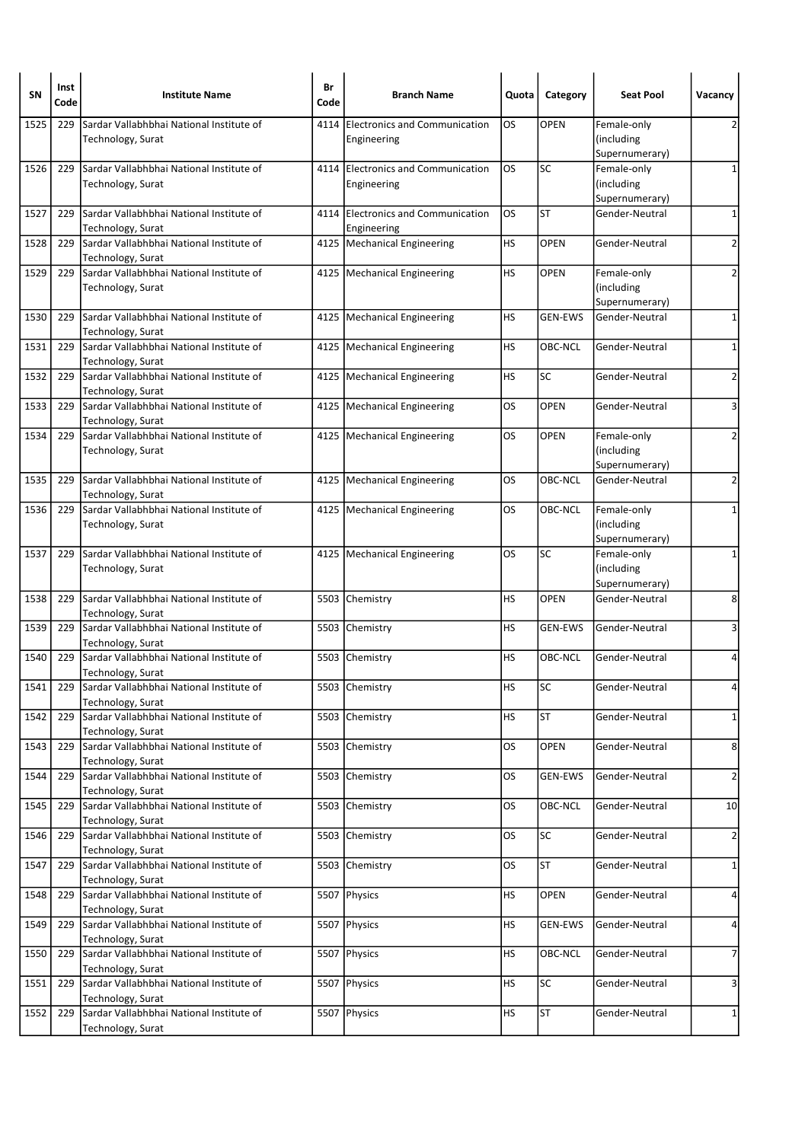| SN   | Inst<br>Code | <b>Institute Name</b>                                         | Br<br>Code | <b>Branch Name</b>                                  | Quota     | Category       | <b>Seat Pool</b>                            | Vacancy                 |
|------|--------------|---------------------------------------------------------------|------------|-----------------------------------------------------|-----------|----------------|---------------------------------------------|-------------------------|
| 1525 | 229          | Sardar Vallabhbhai National Institute of<br>Technology, Surat | 4114       | <b>Electronics and Communication</b><br>Engineering | OS.       | <b>OPEN</b>    | Female-only<br>(including<br>Supernumerary) | 2                       |
| 1526 | 229          | Sardar Vallabhbhai National Institute of<br>Technology, Surat |            | 4114 Electronics and Communication<br>Engineering   | <b>OS</b> | <b>SC</b>      | Female-only<br>(including<br>Supernumerary) | 1                       |
| 1527 | 229          | Sardar Vallabhbhai National Institute of<br>Technology, Surat | 4114       | Electronics and Communication<br>Engineering        | OS        | <b>ST</b>      | Gender-Neutral                              | 1                       |
| 1528 | 229          | Sardar Vallabhbhai National Institute of<br>Technology, Surat |            | 4125   Mechanical Engineering                       | HS        | <b>OPEN</b>    | Gender-Neutral                              | $\overline{\mathbf{c}}$ |
| 1529 | 229          | Sardar Vallabhbhai National Institute of<br>Technology, Surat |            | 4125   Mechanical Engineering                       | HS        | <b>OPEN</b>    | Female-only<br>(including<br>Supernumerary) | 2                       |
| 1530 | 229          | Sardar Vallabhbhai National Institute of<br>Technology, Surat |            | 4125   Mechanical Engineering                       | HS        | <b>GEN-EWS</b> | Gender-Neutral                              | 1                       |
| 1531 | 229          | Sardar Vallabhbhai National Institute of<br>Technology, Surat |            | 4125 Mechanical Engineering                         | HS        | OBC-NCL        | Gender-Neutral                              | 1                       |
| 1532 | 229          | Sardar Vallabhbhai National Institute of<br>Technology, Surat |            | 4125   Mechanical Engineering                       | HS        | SC             | Gender-Neutral                              | $\overline{2}$          |
| 1533 | 229          | Sardar Vallabhbhai National Institute of<br>Technology, Surat |            | 4125   Mechanical Engineering                       | OS        | <b>OPEN</b>    | Gender-Neutral                              | 3                       |
| 1534 | 229          | Sardar Vallabhbhai National Institute of<br>Technology, Surat |            | 4125   Mechanical Engineering                       | OS.       | <b>OPEN</b>    | Female-only<br>(including<br>Supernumerary) | 2                       |
| 1535 | 229          | Sardar Vallabhbhai National Institute of<br>Technology, Surat |            | 4125   Mechanical Engineering                       | OS        | OBC-NCL        | Gender-Neutral                              | $\overline{2}$          |
| 1536 | 229          | Sardar Vallabhbhai National Institute of<br>Technology, Surat |            | 4125   Mechanical Engineering                       | OS        | OBC-NCL        | Female-only<br>(including<br>Supernumerary) | $\mathbf{1}$            |
| 1537 | 229          | Sardar Vallabhbhai National Institute of<br>Technology, Surat |            | 4125   Mechanical Engineering                       | OS        | SC             | Female-only<br>(including<br>Supernumerary) | 1                       |
| 1538 | 229          | Sardar Vallabhbhai National Institute of<br>Technology, Surat |            | 5503 Chemistry                                      | HS        | <b>OPEN</b>    | Gender-Neutral                              | 8                       |
| 1539 | 229          | Sardar Vallabhbhai National Institute of<br>Technology, Surat | 5503       | Chemistry                                           | НS        | <b>GEN-EWS</b> | Gender-Neutral                              | 3                       |
| 1540 | 229          | Sardar Vallabhbhai National Institute of<br>Technology, Surat |            | 5503 Chemistry                                      | НS        | <b>OBC-NCL</b> | Gender-Neutral                              | 4                       |
| 1541 | 229          | Sardar Vallabhbhai National Institute of<br>Technology, Surat |            | 5503 Chemistry                                      | HS        | <b>SC</b>      | Gender-Neutral                              | 4                       |
| 1542 | 229          | Sardar Vallabhbhai National Institute of<br>Technology, Surat |            | 5503 Chemistry                                      | НS        | <b>ST</b>      | Gender-Neutral                              | $\mathbf{1}$            |
| 1543 | 229          | Sardar Vallabhbhai National Institute of<br>Technology, Surat |            | 5503 Chemistry                                      | OS        | <b>OPEN</b>    | Gender-Neutral                              | 8                       |
| 1544 | 229          | Sardar Vallabhbhai National Institute of<br>Technology, Surat | 5503       | Chemistry                                           | OS        | GEN-EWS        | Gender-Neutral                              | $\mathbf{2}$            |
| 1545 | 229          | Sardar Vallabhbhai National Institute of<br>Technology, Surat |            | 5503 Chemistry                                      | OS        | OBC-NCL        | Gender-Neutral                              | 10                      |
| 1546 | 229          | Sardar Vallabhbhai National Institute of<br>Technology, Surat |            | 5503 Chemistry                                      | OS        | SC             | Gender-Neutral                              | 2                       |
| 1547 | 229          | Sardar Vallabhbhai National Institute of<br>Technology, Surat |            | 5503 Chemistry                                      | OS        | <b>ST</b>      | Gender-Neutral                              | $\mathbf{1}$            |
| 1548 | 229          | Sardar Vallabhbhai National Institute of<br>Technology, Surat |            | 5507 Physics                                        | HS        | <b>OPEN</b>    | Gender-Neutral                              | 4                       |
| 1549 | 229          | Sardar Vallabhbhai National Institute of<br>Technology, Surat |            | 5507 Physics                                        | HS        | GEN-EWS        | Gender-Neutral                              | 4                       |
| 1550 | 229          | Sardar Vallabhbhai National Institute of<br>Technology, Surat |            | 5507 Physics                                        | HS        | OBC-NCL        | Gender-Neutral                              | 7                       |
| 1551 | 229          | Sardar Vallabhbhai National Institute of<br>Technology, Surat |            | 5507 Physics                                        | HS        | SC             | Gender-Neutral                              | 3                       |
| 1552 | 229          | Sardar Vallabhbhai National Institute of<br>Technology, Surat |            | 5507 Physics                                        | HS        | <b>ST</b>      | Gender-Neutral                              | $\mathbf{1}$            |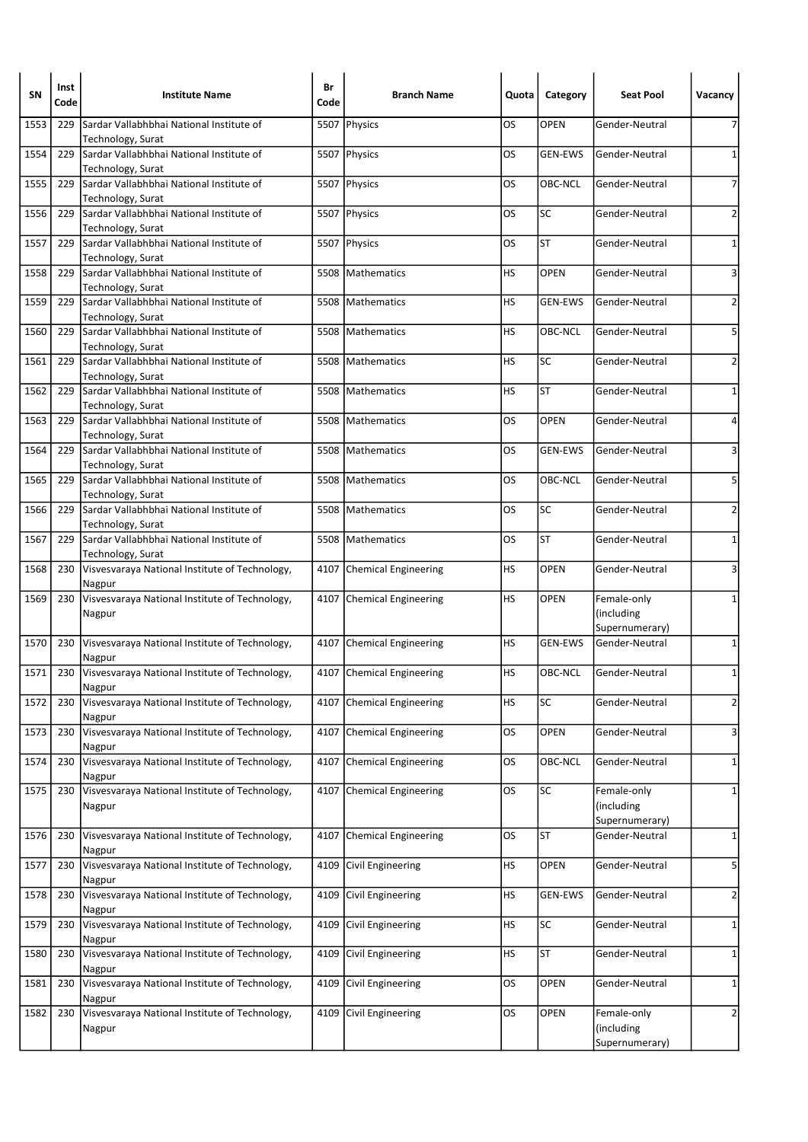| SN   | Inst<br>Code | <b>Institute Name</b>                                                              | Br<br>Code | <b>Branch Name</b>          | Quota     | Category       | <b>Seat Pool</b>                            | Vacancy                 |
|------|--------------|------------------------------------------------------------------------------------|------------|-----------------------------|-----------|----------------|---------------------------------------------|-------------------------|
| 1553 | 229          | Sardar Vallabhbhai National Institute of<br>Technology, Surat                      |            | 5507 Physics                | OS        | <b>OPEN</b>    | Gender-Neutral                              | 7                       |
| 1554 | 229          | Sardar Vallabhbhai National Institute of<br>Technology, Surat                      |            | 5507 Physics                | OS        | <b>GEN-EWS</b> | Gender-Neutral                              | 1                       |
| 1555 | 229          | Sardar Vallabhbhai National Institute of<br>Technology, Surat                      |            | 5507 Physics                | OS        | OBC-NCL        | Gender-Neutral                              | 7                       |
| 1556 | 229          | Sardar Vallabhbhai National Institute of                                           |            | 5507 Physics                | OS        | SC             | Gender-Neutral                              | 2                       |
| 1557 | 229          | Technology, Surat<br>Sardar Vallabhbhai National Institute of<br>Technology, Surat |            | 5507 Physics                | OS        | <b>ST</b>      | Gender-Neutral                              | $\mathbf 1$             |
| 1558 | 229          | Sardar Vallabhbhai National Institute of<br>Technology, Surat                      | 5508       | Mathematics                 | НS        | <b>OPEN</b>    | Gender-Neutral                              | 3                       |
| 1559 | 229          | Sardar Vallabhbhai National Institute of<br>Technology, Surat                      |            | 5508   Mathematics          | HS        | <b>GEN-EWS</b> | Gender-Neutral                              | $\overline{2}$          |
| 1560 | 229          | Sardar Vallabhbhai National Institute of<br>Technology, Surat                      |            | 5508 Mathematics            | НS        | OBC-NCL        | Gender-Neutral                              | 5                       |
| 1561 | 229          | Sardar Vallabhbhai National Institute of<br>Technology, Surat                      |            | 5508 Mathematics            | HS        | <b>SC</b>      | Gender-Neutral                              | $\overline{2}$          |
| 1562 | 229          | Sardar Vallabhbhai National Institute of<br>Technology, Surat                      | 5508       | Mathematics                 | <b>HS</b> | <b>ST</b>      | Gender-Neutral                              | 1                       |
| 1563 | 229          | Sardar Vallabhbhai National Institute of<br>Technology, Surat                      |            | 5508   Mathematics          | OS        | <b>OPEN</b>    | Gender-Neutral                              | 4                       |
| 1564 | 229          | Sardar Vallabhbhai National Institute of<br>Technology, Surat                      | 5508       | Mathematics                 | OS        | <b>GEN-EWS</b> | Gender-Neutral                              | 3                       |
| 1565 | 229          | Sardar Vallabhbhai National Institute of<br>Technology, Surat                      |            | 5508 Mathematics            | OS        | OBC-NCL        | Gender-Neutral                              | 5                       |
| 1566 | 229          | Sardar Vallabhbhai National Institute of<br>Technology, Surat                      | 5508       | <b>IMathematics</b>         | OS.       | <b>SC</b>      | Gender-Neutral                              | $\overline{2}$          |
| 1567 | 229          | Sardar Vallabhbhai National Institute of<br>Technology, Surat                      |            | 5508 Mathematics            | OS        | <b>ST</b>      | Gender-Neutral                              | 1                       |
| 1568 | 230          | Visvesvaraya National Institute of Technology,<br>Nagpur                           |            | 4107 Chemical Engineering   | HS        | <b>OPEN</b>    | Gender-Neutral                              | 3                       |
| 1569 | 230          | Visvesvaraya National Institute of Technology,<br>Nagpur                           | 4107       | Chemical Engineering        | HS        | <b>OPEN</b>    | Female-only<br>(including<br>Supernumerary) | 1                       |
| 1570 | 230          | Visvesvaraya National Institute of Technology,<br>Nagpur                           |            | 4107 Chemical Engineering   | HS        | <b>GEN-EWS</b> | Gender-Neutral                              | $\mathbf 1$             |
| 1571 | 230          | Visvesvaraya National Institute of Technology,<br>Nagpur                           |            | 4107 Chemical Engineering   | HS        | OBC-NCL        | Gender-Neutral                              | 1                       |
| 1572 | 230          | Visvesvaraya National Institute of Technology,<br>Nagpur                           | 4107       | <b>Chemical Engineering</b> | HS        | SC             | Gender-Neutral                              | $\overline{2}$          |
| 1573 | 230          | Visvesvaraya National Institute of Technology,<br>Nagpur                           | 4107       | <b>Chemical Engineering</b> | OS        | OPEN           | Gender-Neutral                              | 3                       |
| 1574 | 230          | Visvesvaraya National Institute of Technology,<br>Nagpur                           | 4107       | <b>Chemical Engineering</b> | OS        | OBC-NCL        | Gender-Neutral                              | 1                       |
| 1575 | 230          | Visvesvaraya National Institute of Technology,<br>Nagpur                           |            | 4107 Chemical Engineering   | OS        | <b>SC</b>      | Female-only<br>(including<br>Supernumerary) | 1                       |
| 1576 | 230          | Visvesvaraya National Institute of Technology,<br>Nagpur                           | 4107       | Chemical Engineering        | OS        | <b>ST</b>      | Gender-Neutral                              | 1                       |
| 1577 | 230          | Visvesvaraya National Institute of Technology,<br>Nagpur                           | 4109       | Civil Engineering           | НS        | OPEN           | Gender-Neutral                              | 5                       |
| 1578 | 230          | Visvesvaraya National Institute of Technology,<br>Nagpur                           | 4109       | Civil Engineering           | НS        | <b>GEN-EWS</b> | Gender-Neutral                              | $\overline{\mathbf{c}}$ |
| 1579 | 230          | Visvesvaraya National Institute of Technology,<br>Nagpur                           | 4109       | Civil Engineering           | HS        | <b>SC</b>      | Gender-Neutral                              | $\mathbf{1}$            |
| 1580 | 230          | Visvesvaraya National Institute of Technology,<br>Nagpur                           | 4109       | Civil Engineering           | НS        | <b>ST</b>      | Gender-Neutral                              | 1                       |
| 1581 | 230          | Visvesvaraya National Institute of Technology,<br>Nagpur                           | 4109       | Civil Engineering           | OS        | <b>OPEN</b>    | Gender-Neutral                              | $\mathbf 1$             |
| 1582 | 230          | Visvesvaraya National Institute of Technology,<br>Nagpur                           | 4109       | Civil Engineering           | OS        | OPEN           | Female-only<br>(including<br>Supernumerary) | $\overline{2}$          |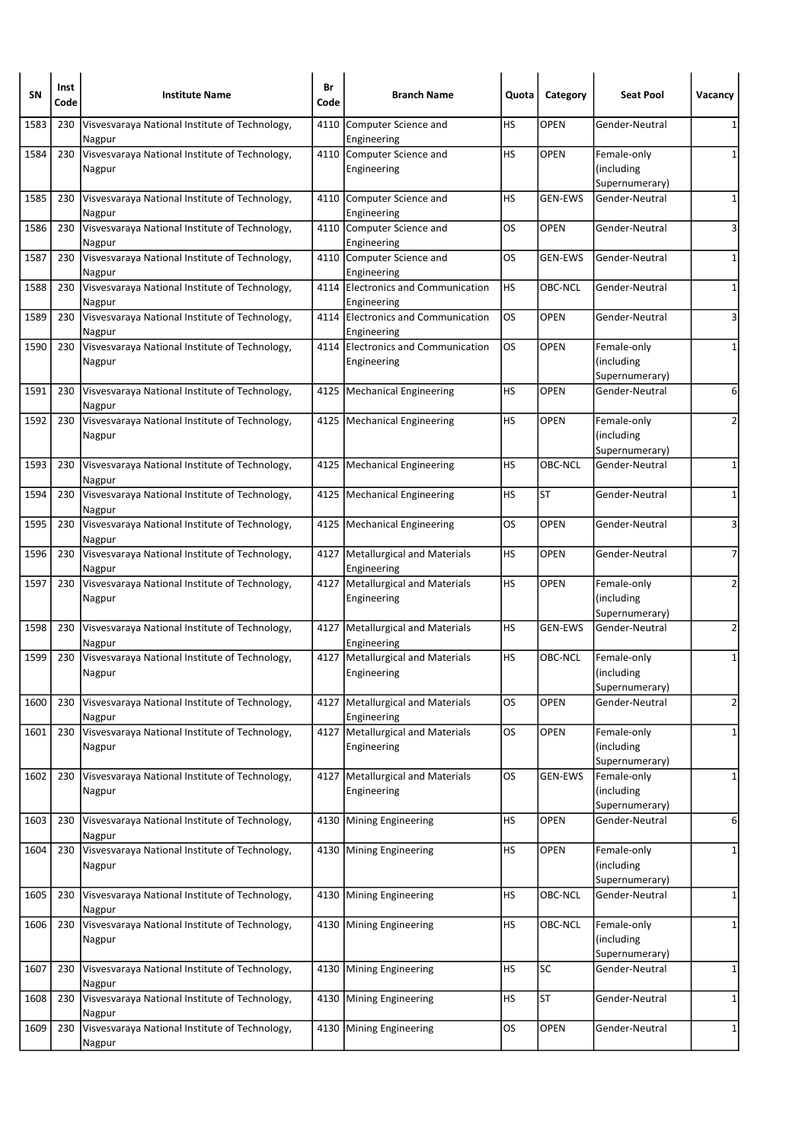| SΝ   | Inst<br>Code | <b>Institute Name</b>                                    | Br<br>Code | <b>Branch Name</b>                                | Quota     | Category       | <b>Seat Pool</b>                            | Vacancy                 |
|------|--------------|----------------------------------------------------------|------------|---------------------------------------------------|-----------|----------------|---------------------------------------------|-------------------------|
| 1583 | 230          | Visvesvaraya National Institute of Technology,<br>Nagpur | 4110       | Computer Science and<br>Engineering               | HS        | <b>OPEN</b>    | Gender-Neutral                              | 1                       |
| 1584 | 230          | Visvesvaraya National Institute of Technology,<br>Nagpur |            | 4110 Computer Science and<br>Engineering          | <b>HS</b> | <b>OPEN</b>    | Female-only<br>(including<br>Supernumerary) | 1                       |
| 1585 | 230          | Visvesvaraya National Institute of Technology,<br>Nagpur | 4110       | Computer Science and<br>Engineering               | НS        | <b>GEN-EWS</b> | Gender-Neutral                              | 1                       |
| 1586 | 230          | Visvesvaraya National Institute of Technology,<br>Nagpur |            | 4110 Computer Science and<br>Engineering          | OS        | <b>OPEN</b>    | Gender-Neutral                              | 3                       |
| 1587 | 230          | Visvesvaraya National Institute of Technology,<br>Nagpur |            | 4110 Computer Science and<br>Engineering          | OS        | <b>GEN-EWS</b> | Gender-Neutral                              | 1                       |
| 1588 | 230          | Visvesvaraya National Institute of Technology,<br>Nagpur | 4114       | Electronics and Communication<br>Engineering      | НS        | OBC-NCL        | Gender-Neutral                              | 1                       |
| 1589 | 230          | Visvesvaraya National Institute of Technology,<br>Nagpur |            | 4114 Electronics and Communication<br>Engineering | OS        | <b>OPEN</b>    | Gender-Neutral                              | 3                       |
| 1590 | 230          | Visvesvaraya National Institute of Technology,<br>Nagpur |            | 4114 Electronics and Communication<br>Engineering | OS        | <b>OPEN</b>    | Female-only<br>(including<br>Supernumerary) | 1                       |
| 1591 | 230          | Visvesvaraya National Institute of Technology,<br>Nagpur |            | 4125   Mechanical Engineering                     | НS        | <b>OPEN</b>    | Gender-Neutral                              | 6                       |
| 1592 | 230          | Visvesvaraya National Institute of Technology,<br>Nagpur |            | 4125   Mechanical Engineering                     | HS        | <b>OPEN</b>    | Female-only<br>(including<br>Supernumerary) | 2                       |
| 1593 | 230          | Visvesvaraya National Institute of Technology,<br>Nagpur |            | 4125   Mechanical Engineering                     | HS        | OBC-NCL        | Gender-Neutral                              | 1                       |
| 1594 | 230          | Visvesvaraya National Institute of Technology,<br>Nagpur |            | 4125   Mechanical Engineering                     | HS        | <b>ST</b>      | Gender-Neutral                              | $\mathbf 1$             |
| 1595 | 230          | Visvesvaraya National Institute of Technology,<br>Nagpur |            | 4125   Mechanical Engineering                     | OS        | <b>OPEN</b>    | Gender-Neutral                              | 3                       |
| 1596 | 230          | Visvesvaraya National Institute of Technology,<br>Nagpur | 4127       | Metallurgical and Materials<br>Engineering        | НS        | <b>OPEN</b>    | Gender-Neutral                              | 7                       |
| 1597 | 230          | Visvesvaraya National Institute of Technology,<br>Nagpur |            | 4127   Metallurgical and Materials<br>Engineering | HS        | <b>OPEN</b>    | Female-only<br>(including<br>Supernumerary) | 2                       |
| 1598 | 230          | Visvesvaraya National Institute of Technology,<br>Nagpur | 4127       | Metallurgical and Materials<br>Engineering        | НS        | <b>GEN-EWS</b> | Gender-Neutral                              | 2                       |
| 1599 | 230          | Visvesvaraya National Institute of Technology,<br>Nagpur | 4127       | Metallurgical and Materials<br>Engineering        | НS        | OBC-NCL        | Female-only<br>(including<br>Supernumerary) | 1                       |
| 1600 | 230          | Visvesvaraya National Institute of Technology,<br>Nagpur | 4127       | Metallurgical and Materials<br>Engineering        | OS        | OPEN           | Gender-Neutral                              | $\overline{\mathbf{c}}$ |
| 1601 | 230          | Visvesvaraya National Institute of Technology,<br>Nagpur |            | 4127   Metallurgical and Materials<br>Engineering | OS        | <b>OPEN</b>    | Female-only<br>(including<br>Supernumerary) | 1                       |
| 1602 | 230          | Visvesvaraya National Institute of Technology,<br>Nagpur | 4127       | Metallurgical and Materials<br>Engineering        | OS        | <b>GEN-EWS</b> | Female-only<br>(including<br>Supernumerary) | 1                       |
| 1603 | 230          | Visvesvaraya National Institute of Technology,<br>Nagpur | 4130       | Mining Engineering                                | HS        | OPEN           | Gender-Neutral                              | 6                       |
| 1604 | 230          | Visvesvaraya National Institute of Technology,<br>Nagpur |            | 4130 Mining Engineering                           | <b>HS</b> | OPEN           | Female-only<br>(including<br>Supernumerary) | 1                       |
| 1605 | 230          | Visvesvaraya National Institute of Technology,<br>Nagpur | 4130       | Mining Engineering                                | HS        | OBC-NCL        | Gender-Neutral                              | 1                       |
| 1606 | 230          | Visvesvaraya National Institute of Technology,<br>Nagpur |            | 4130 Mining Engineering                           | <b>HS</b> | OBC-NCL        | Female-only<br>(including<br>Supernumerary) | 1                       |
| 1607 | 230          | Visvesvaraya National Institute of Technology,<br>Nagpur | 4130       | Mining Engineering                                | HS        | SC             | Gender-Neutral                              | 1                       |
| 1608 | 230          | Visvesvaraya National Institute of Technology,<br>Nagpur | 4130       | Mining Engineering                                | HS        | <b>ST</b>      | Gender-Neutral                              | 1                       |
| 1609 | 230          | Visvesvaraya National Institute of Technology,<br>Nagpur | 4130       | Mining Engineering                                | OS        | OPEN           | Gender-Neutral                              | 1                       |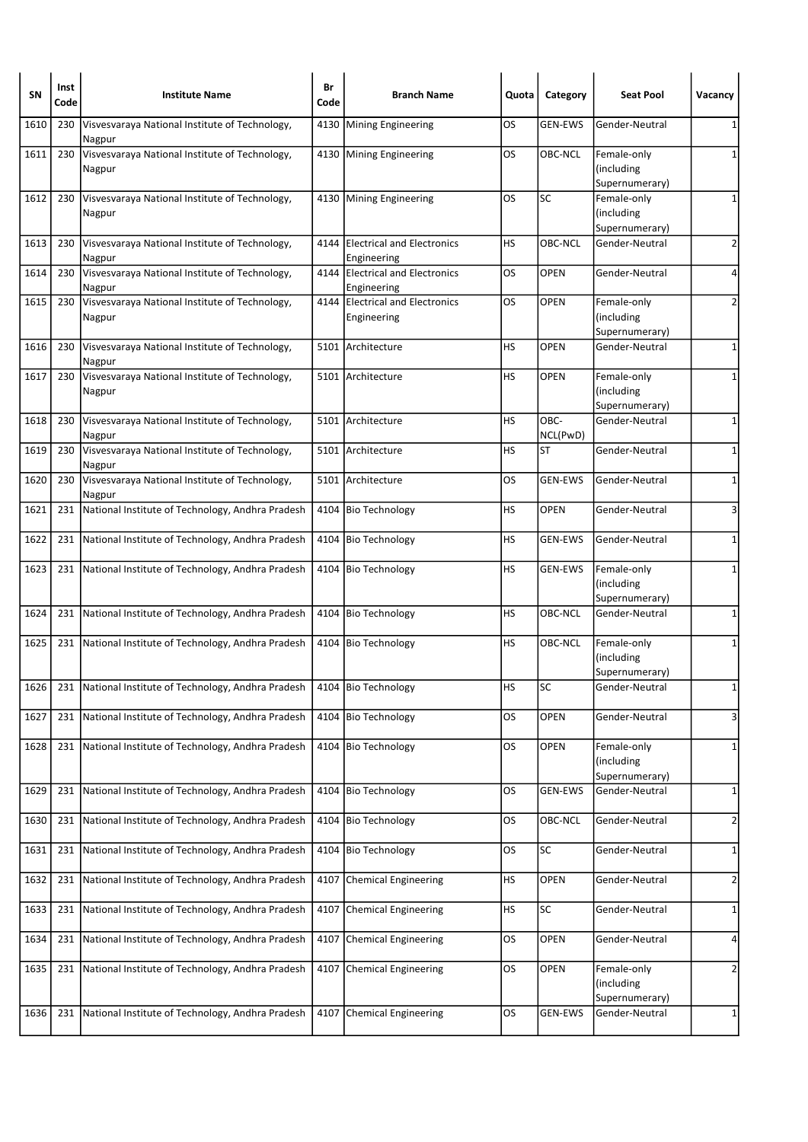| <b>SN</b> | Inst<br>Code | <b>Institute Name</b>                                    | Br<br>Code | <b>Branch Name</b>                             | Quota     | Category         | <b>Seat Pool</b>                            | Vacancy        |
|-----------|--------------|----------------------------------------------------------|------------|------------------------------------------------|-----------|------------------|---------------------------------------------|----------------|
| 1610      | 230          | Visvesvaraya National Institute of Technology,<br>Nagpur | 4130       | Mining Engineering                             | OS        | <b>GEN-EWS</b>   | Gender-Neutral                              | 1              |
| 1611      | 230          | Visvesvaraya National Institute of Technology,<br>Nagpur |            | 4130 Mining Engineering                        | OS        | OBC-NCL          | Female-only<br>(including<br>Supernumerary) | 1              |
| 1612      | 230          | Visvesvaraya National Institute of Technology,<br>Nagpur |            | 4130 Mining Engineering                        | OS        | <b>SC</b>        | Female-only<br>(including<br>Supernumerary) | 1              |
| 1613      | 230          | Visvesvaraya National Institute of Technology,<br>Nagpur |            | 4144 Electrical and Electronics<br>Engineering | <b>HS</b> | <b>OBC-NCL</b>   | Gender-Neutral                              | 2              |
| 1614      | 230          | Visvesvaraya National Institute of Technology,<br>Nagpur |            | 4144 Electrical and Electronics<br>Engineering | OS        | <b>OPEN</b>      | Gender-Neutral                              | 4              |
| 1615      | 230          | Visvesvaraya National Institute of Technology,<br>Nagpur |            | 4144 Electrical and Electronics<br>Engineering | OS        | <b>OPEN</b>      | Female-only<br>(including<br>Supernumerary) | 2              |
| 1616      | 230          | Visvesvaraya National Institute of Technology,<br>Nagpur |            | 5101 Architecture                              | <b>HS</b> | <b>OPEN</b>      | Gender-Neutral                              | 1              |
| 1617      | 230          | Visvesvaraya National Institute of Technology,<br>Nagpur |            | 5101 Architecture                              | HS        | <b>OPEN</b>      | Female-only<br>(including<br>Supernumerary) | 1              |
| 1618      | 230          | Visvesvaraya National Institute of Technology,<br>Nagpur |            | 5101 Architecture                              | HS        | OBC-<br>NCL(PwD) | Gender-Neutral                              | $\mathbf{1}$   |
| 1619      | 230          | Visvesvaraya National Institute of Technology,<br>Nagpur |            | 5101 Architecture                              | HS        | <b>ST</b>        | Gender-Neutral                              | 1              |
| 1620      | 230          | Visvesvaraya National Institute of Technology,<br>Nagpur |            | 5101 Architecture                              | OS        | <b>GEN-EWS</b>   | Gender-Neutral                              | 1              |
| 1621      | 231          | National Institute of Technology, Andhra Pradesh         |            | 4104 Bio Technology                            | НS        | <b>OPEN</b>      | Gender-Neutral                              | 3              |
| 1622      | 231          | National Institute of Technology, Andhra Pradesh         | 4104       | <b>Bio Technology</b>                          | <b>HS</b> | <b>GEN-EWS</b>   | Gender-Neutral                              | 1              |
| 1623      | 231          | National Institute of Technology, Andhra Pradesh         |            | 4104 Bio Technology                            | HS        | <b>GEN-EWS</b>   | Female-only<br>(including<br>Supernumerary) | 1              |
| 1624      | 231          | National Institute of Technology, Andhra Pradesh         | 4104       | <b>Bio Technology</b>                          | HS        | OBC-NCL          | Gender-Neutral                              | 1              |
| 1625      | 231          | National Institute of Technology, Andhra Pradesh         |            | 4104 Bio Technology                            | <b>HS</b> | <b>OBC-NCL</b>   | Female-only<br>(including<br>Supernumerary) | 1              |
| 1626      |              | 231 National Institute of Technology, Andhra Pradesh     |            | 4104 Bio Technology                            | HS        | <b>SC</b>        | Gender-Neutral                              | $1\vert$       |
| 1627      | 231          | National Institute of Technology, Andhra Pradesh         | 4104       | <b>Bio Technology</b>                          | OS        | <b>OPEN</b>      | Gender-Neutral                              | 3              |
| 1628      |              | 231 National Institute of Technology, Andhra Pradesh     |            | 4104 Bio Technology                            | OS        | <b>OPEN</b>      | Female-only<br>(including<br>Supernumerary) | 1              |
| 1629      | 231          | National Institute of Technology, Andhra Pradesh         | 4104       | <b>Bio Technology</b>                          | OS        | <b>GEN-EWS</b>   | Gender-Neutral                              | 1              |
| 1630      | 231          | National Institute of Technology, Andhra Pradesh         |            | 4104 Bio Technology                            | OS        | OBC-NCL          | Gender-Neutral                              | $\overline{2}$ |
| 1631      | 231          | National Institute of Technology, Andhra Pradesh         | 4104       | <b>Bio Technology</b>                          | OS        | SC               | Gender-Neutral                              | 1              |
| 1632      | 231          | National Institute of Technology, Andhra Pradesh         |            | 4107 Chemical Engineering                      | НS        | <b>OPEN</b>      | Gender-Neutral                              | $\overline{2}$ |
| 1633      | 231          | National Institute of Technology, Andhra Pradesh         |            | 4107 Chemical Engineering                      | HS        | SC               | Gender-Neutral                              | $\mathbf{1}$   |
| 1634      | 231          | National Institute of Technology, Andhra Pradesh         | 4107       | Chemical Engineering                           | OS        | OPEN             | Gender-Neutral                              | 4              |
| 1635      | 231          | National Institute of Technology, Andhra Pradesh         |            | 4107 Chemical Engineering                      | <b>OS</b> | OPEN             | Female-only<br>(including<br>Supernumerary) | $\overline{2}$ |
| 1636      | 231          | National Institute of Technology, Andhra Pradesh         | 4107       | Chemical Engineering                           | OS        | <b>GEN-EWS</b>   | Gender-Neutral                              | $\mathbf{1}$   |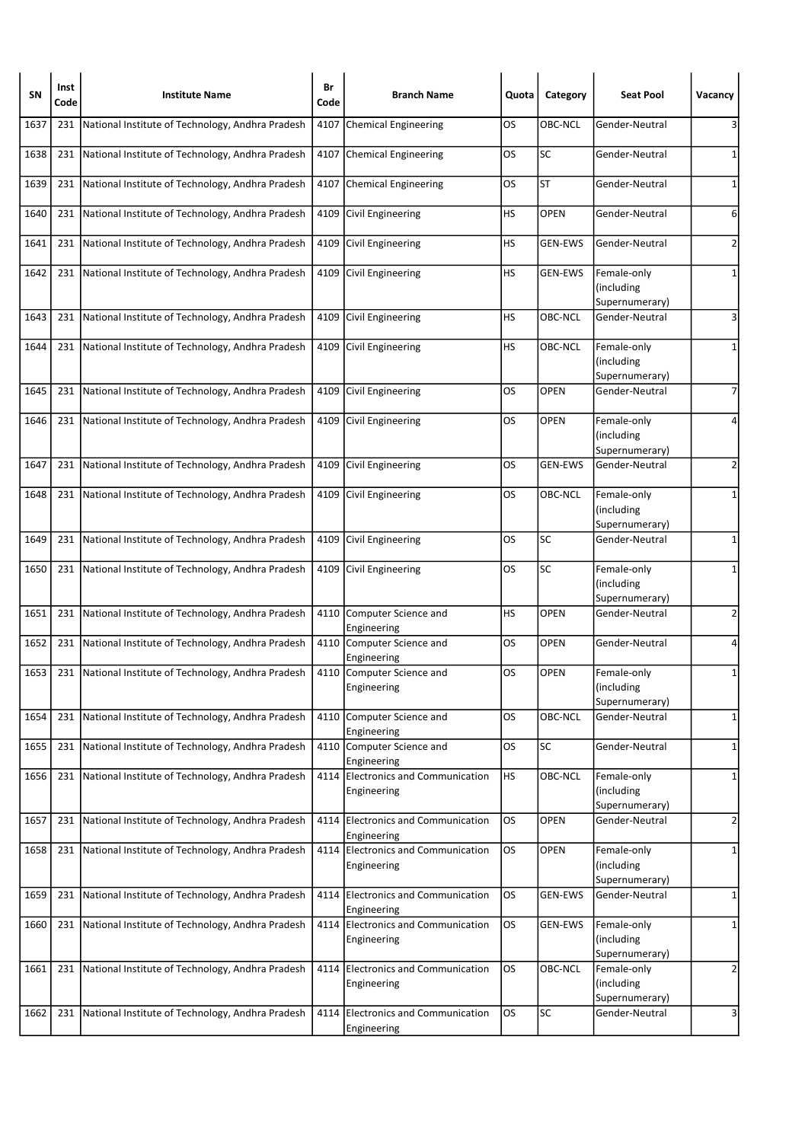| SN   | Inst<br>Code | <b>Institute Name</b>                                | Br<br>Code | <b>Branch Name</b>                                | Quota     | Category       | <b>Seat Pool</b>                            | Vacancy        |
|------|--------------|------------------------------------------------------|------------|---------------------------------------------------|-----------|----------------|---------------------------------------------|----------------|
| 1637 | 231          | National Institute of Technology, Andhra Pradesh     | 4107       | Chemical Engineering                              | OS        | OBC-NCL        | Gender-Neutral                              | 3              |
| 1638 | 231          | National Institute of Technology, Andhra Pradesh     | 4107       | Chemical Engineering                              | OS        | <b>SC</b>      | Gender-Neutral                              | 1              |
| 1639 | 231          | National Institute of Technology, Andhra Pradesh     |            | 4107 Chemical Engineering                         | OS        | <b>ST</b>      | Gender-Neutral                              | 1              |
| 1640 | 231          | National Institute of Technology, Andhra Pradesh     | 4109       | Civil Engineering                                 | HS        | <b>OPEN</b>    | Gender-Neutral                              | 6              |
| 1641 | 231          | National Institute of Technology, Andhra Pradesh     |            | 4109 Civil Engineering                            | HS        | GEN-EWS        | Gender-Neutral                              | $\overline{2}$ |
| 1642 | 231          | National Institute of Technology, Andhra Pradesh     |            | 4109 Civil Engineering                            | HS        | <b>GEN-EWS</b> | Female-only<br>(including<br>Supernumerary) | 1              |
| 1643 | 231          | National Institute of Technology, Andhra Pradesh     | 4109       | Civil Engineering                                 | HS        | OBC-NCL        | Gender-Neutral                              | 3              |
| 1644 | 231          | National Institute of Technology, Andhra Pradesh     |            | 4109 Civil Engineering                            | HS        | OBC-NCL        | Female-only<br>(including<br>Supernumerary) | 1              |
| 1645 | 231          | National Institute of Technology, Andhra Pradesh     | 4109       | Civil Engineering                                 | OS        | OPEN           | Gender-Neutral                              | 7              |
| 1646 | 231          | National Institute of Technology, Andhra Pradesh     |            | 4109 Civil Engineering                            | OS        | <b>OPEN</b>    | Female-only<br>(including<br>Supernumerary) | 4              |
| 1647 | 231          | National Institute of Technology, Andhra Pradesh     | 4109       | Civil Engineering                                 | OS        | <b>GEN-EWS</b> | Gender-Neutral                              | $\overline{2}$ |
| 1648 |              | 231 National Institute of Technology, Andhra Pradesh |            | 4109 Civil Engineering                            | OS        | OBC-NCL        | Female-only<br>(including<br>Supernumerary) | 1              |
| 1649 | 231          | National Institute of Technology, Andhra Pradesh     |            | 4109 Civil Engineering                            | OS        | <b>SC</b>      | Gender-Neutral                              | 1              |
| 1650 | 231          | National Institute of Technology, Andhra Pradesh     | 4109       | Civil Engineering                                 | OS        | SC             | Female-only<br>(including<br>Supernumerary) | 1              |
| 1651 | 231          | National Institute of Technology, Andhra Pradesh     | 4110       | Computer Science and<br>Engineering               | <b>HS</b> | OPEN           | Gender-Neutral                              | 2              |
| 1652 | 231          | National Institute of Technology, Andhra Pradesh     |            | 4110 Computer Science and<br>Engineering          | OS        | <b>OPEN</b>    | Gender-Neutral                              | 4              |
| 1653 |              | 231 National Institute of Technology, Andhra Pradesh |            | 4110 Computer Science and<br>Engineering          | OS        | <b>OPEN</b>    | Female-only<br>(including<br>Supernumerary) | 1              |
| 1654 | 231          | National Institute of Technology, Andhra Pradesh     |            | 4110 Computer Science and<br>Engineering          | OS        | OBC-NCL        | Gender-Neutral                              | 1              |
| 1655 | 231          | National Institute of Technology, Andhra Pradesh     |            | 4110 Computer Science and<br>Engineering          | OS        | <b>SC</b>      | Gender-Neutral                              | 1              |
| 1656 | 231          | National Institute of Technology, Andhra Pradesh     | 4114       | Electronics and Communication<br>Engineering      | <b>HS</b> | OBC-NCL        | Female-only<br>(including<br>Supernumerary) | 1              |
| 1657 | 231          | National Institute of Technology, Andhra Pradesh     |            | 4114 Electronics and Communication<br>Engineering | los       | OPEN           | Gender-Neutral                              | $\overline{2}$ |
| 1658 | 231          | National Institute of Technology, Andhra Pradesh     |            | 4114 Electronics and Communication<br>Engineering | <b>OS</b> | <b>OPEN</b>    | Female-only<br>(including<br>Supernumerary) | 1              |
| 1659 | 231          | National Institute of Technology, Andhra Pradesh     |            | 4114 Electronics and Communication<br>Engineering | OS        | <b>GEN-EWS</b> | Gender-Neutral                              | 1              |
| 1660 | 231          | National Institute of Technology, Andhra Pradesh     |            | 4114 Electronics and Communication<br>Engineering | OS        | <b>GEN-EWS</b> | Female-only<br>(including<br>Supernumerary) | 1              |
| 1661 | 231          | National Institute of Technology, Andhra Pradesh     |            | 4114 Electronics and Communication<br>Engineering | OS        | OBC-NCL        | Female-only<br>(including<br>Supernumerary) | $\overline{2}$ |
| 1662 | 231          | National Institute of Technology, Andhra Pradesh     | 4114       | Electronics and Communication<br>Engineering      | OS        | <b>SC</b>      | Gender-Neutral                              | 3              |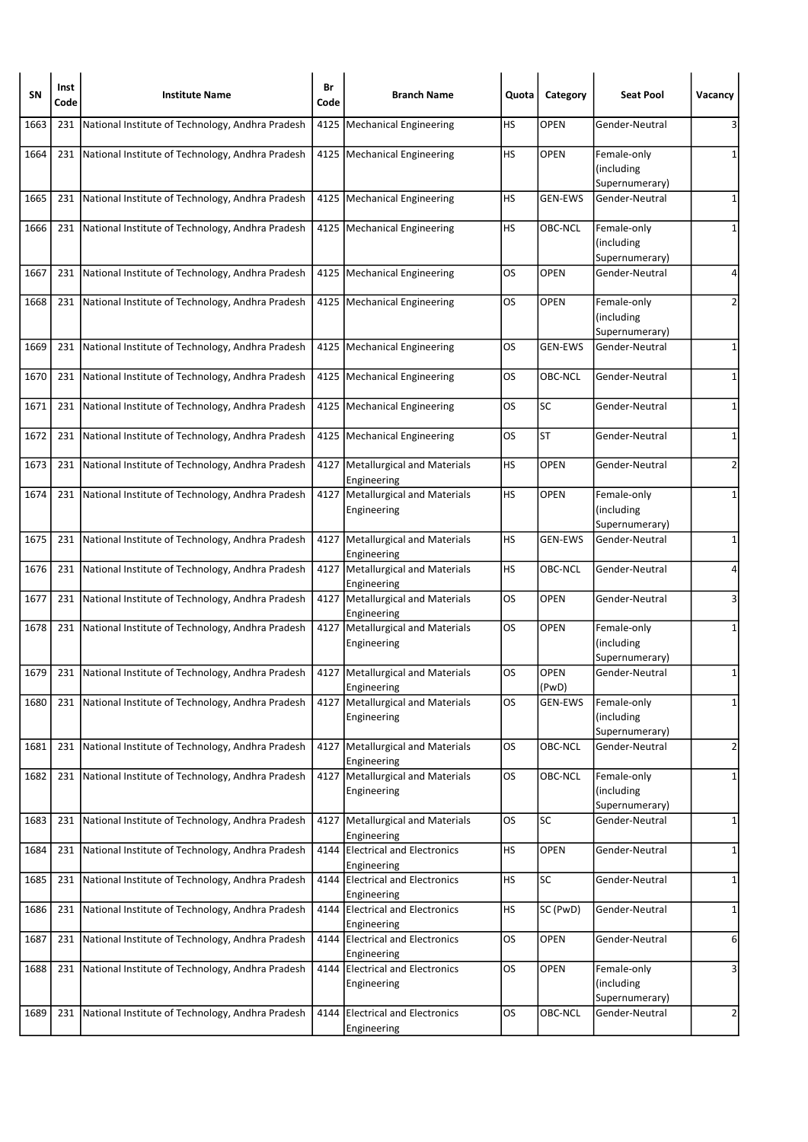| SΝ   | Inst<br>Code | <b>Institute Name</b>                                | Br<br>Code | <b>Branch Name</b>                                | Quota     | Category             | <b>Seat Pool</b>                            | Vacancy        |
|------|--------------|------------------------------------------------------|------------|---------------------------------------------------|-----------|----------------------|---------------------------------------------|----------------|
| 1663 | 231          | National Institute of Technology, Andhra Pradesh     | 4125       | Mechanical Engineering                            | НS        | <b>OPEN</b>          | Gender-Neutral                              | 3              |
| 1664 |              | 231 National Institute of Technology, Andhra Pradesh |            | 4125   Mechanical Engineering                     | HS        | <b>OPEN</b>          | Female-only<br>(including<br>Supernumerary) | 1              |
| 1665 | 231          | National Institute of Technology, Andhra Pradesh     |            | 4125   Mechanical Engineering                     | HS        | <b>GEN-EWS</b>       | Gender-Neutral                              | 1              |
| 1666 | 231          | National Institute of Technology, Andhra Pradesh     |            | 4125   Mechanical Engineering                     | HS        | OBC-NCL              | Female-only<br>(including<br>Supernumerary) | 1              |
| 1667 | 231          | National Institute of Technology, Andhra Pradesh     |            | 4125   Mechanical Engineering                     | OS        | <b>OPEN</b>          | Gender-Neutral                              | 4              |
| 1668 | 231          | National Institute of Technology, Andhra Pradesh     |            | 4125   Mechanical Engineering                     | OS        | <b>OPEN</b>          | Female-only<br>(including<br>Supernumerary) | 2              |
| 1669 | 231          | National Institute of Technology, Andhra Pradesh     |            | 4125   Mechanical Engineering                     | OS        | <b>GEN-EWS</b>       | Gender-Neutral                              | 1              |
| 1670 | 231          | National Institute of Technology, Andhra Pradesh     |            | 4125   Mechanical Engineering                     | OS        | OBC-NCL              | Gender-Neutral                              | 1              |
| 1671 | 231          | National Institute of Technology, Andhra Pradesh     |            | 4125   Mechanical Engineering                     | OS        | <b>SC</b>            | Gender-Neutral                              | 1              |
| 1672 | 231          | National Institute of Technology, Andhra Pradesh     |            | 4125   Mechanical Engineering                     | OS        | <b>ST</b>            | Gender-Neutral                              | 1              |
| 1673 | 231          | National Institute of Technology, Andhra Pradesh     |            | 4127   Metallurgical and Materials<br>Engineering | НS        | <b>OPEN</b>          | Gender-Neutral                              | $\overline{2}$ |
| 1674 |              | 231 National Institute of Technology, Andhra Pradesh |            | 4127   Metallurgical and Materials<br>Engineering | HS        | <b>OPEN</b>          | Female-only<br>(including<br>Supernumerary) | 1              |
| 1675 | 231          | National Institute of Technology, Andhra Pradesh     |            | 4127   Metallurgical and Materials<br>Engineering | НS        | <b>GEN-EWS</b>       | Gender-Neutral                              | 1              |
| 1676 | 231          | National Institute of Technology, Andhra Pradesh     |            | 4127   Metallurgical and Materials<br>Engineering | HS        | OBC-NCL              | Gender-Neutral                              | 4              |
| 1677 | 231          | National Institute of Technology, Andhra Pradesh     | 4127       | Metallurgical and Materials<br>Engineering        | OS        | OPEN                 | Gender-Neutral                              | 3              |
| 1678 | 231          | National Institute of Technology, Andhra Pradesh     |            | 4127   Metallurgical and Materials<br>Engineering | OS        | <b>OPEN</b>          | Female-only<br>(including<br>Supernumerary) | 1              |
| 1679 | 231          | National Institute of Technology, Andhra Pradesh     |            | 4127   Metallurgical and Materials<br>Engineering | OS        | <b>OPEN</b><br>(PwD) | Gender-Neutral                              | $\mathbf{1}$   |
| 1680 |              | 231 National Institute of Technology, Andhra Pradesh |            | 4127   Metallurgical and Materials<br>Engineering | OS        | GEN-EWS              | Female-only<br>(including<br>Supernumerary) | 1              |
| 1681 | 231          | National Institute of Technology, Andhra Pradesh     |            | 4127   Metallurgical and Materials<br>Engineering | OS        | OBC-NCL              | Gender-Neutral                              | $\overline{2}$ |
| 1682 | 231          | National Institute of Technology, Andhra Pradesh     | 4127       | Metallurgical and Materials<br>Engineering        | <b>OS</b> | OBC-NCL              | Female-only<br>(including<br>Supernumerary) | 1              |
| 1683 | 231          | National Institute of Technology, Andhra Pradesh     |            | 4127   Metallurgical and Materials<br>Engineering | OS        | SC                   | Gender-Neutral                              | 1              |
| 1684 | 231          | National Institute of Technology, Andhra Pradesh     | 4144       | <b>Electrical and Electronics</b><br>Engineering  | <b>HS</b> | OPEN                 | Gender-Neutral                              | 1              |
| 1685 | 231          | National Institute of Technology, Andhra Pradesh     |            | 4144 Electrical and Electronics<br>Engineering    | <b>HS</b> | SC                   | Gender-Neutral                              | 1              |
| 1686 | 231          | National Institute of Technology, Andhra Pradesh     |            | 4144 Electrical and Electronics<br>Engineering    | <b>HS</b> | SC (PwD)             | Gender-Neutral                              | $\mathbf{1}$   |
| 1687 | 231          | National Institute of Technology, Andhra Pradesh     |            | 4144 Electrical and Electronics<br>Engineering    | OS        | OPEN                 | Gender-Neutral                              | 6              |
| 1688 | 231          | National Institute of Technology, Andhra Pradesh     |            | 4144 Electrical and Electronics<br>Engineering    | <b>OS</b> | OPEN                 | Female-only<br>(including<br>Supernumerary) | 3              |
| 1689 | 231          | National Institute of Technology, Andhra Pradesh     | 4144       | <b>Electrical and Electronics</b><br>Engineering  | OS        | OBC-NCL              | Gender-Neutral                              | $\overline{2}$ |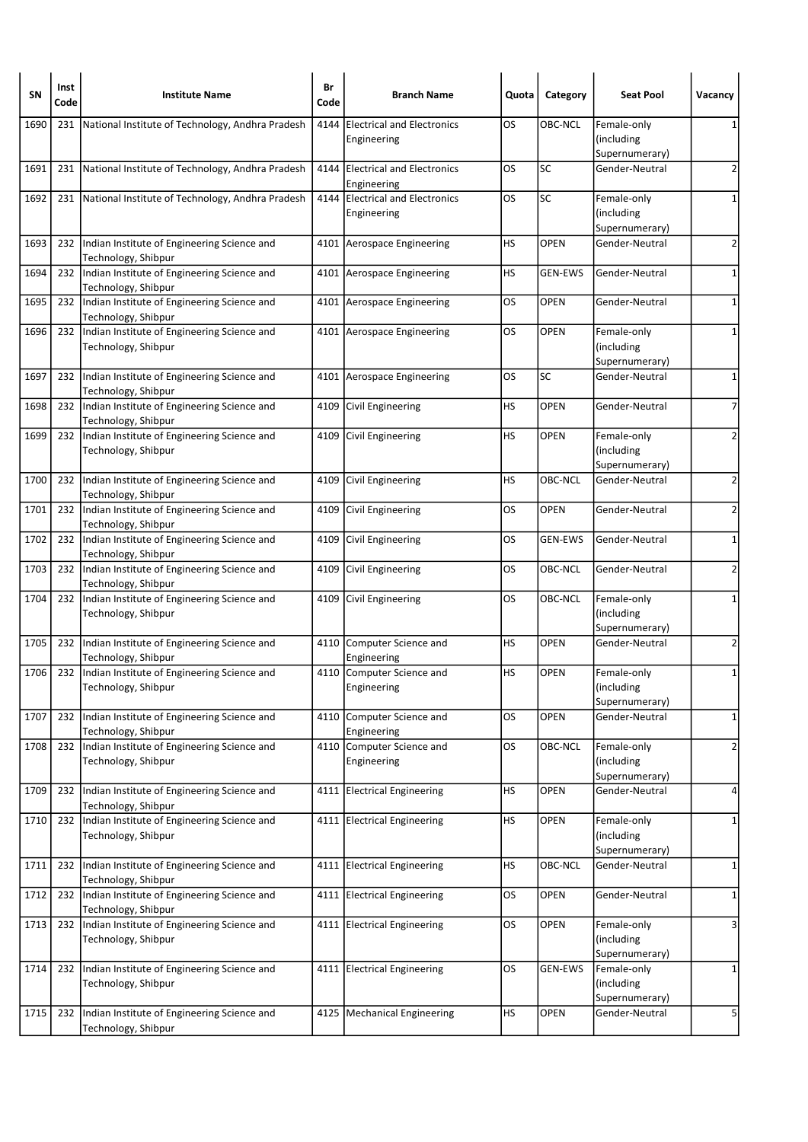| SN   | Inst<br>Code | <b>Institute Name</b>                                                   | Br<br>Code | <b>Branch Name</b>                               | Quota     | Category       | <b>Seat Pool</b>                            | Vacancy        |
|------|--------------|-------------------------------------------------------------------------|------------|--------------------------------------------------|-----------|----------------|---------------------------------------------|----------------|
| 1690 | 231          | National Institute of Technology, Andhra Pradesh                        | 4144       | <b>Electrical and Electronics</b><br>Engineering | OS        | <b>OBC-NCL</b> | Female-only<br>(including<br>Supernumerary) |                |
| 1691 |              | 231 National Institute of Technology, Andhra Pradesh                    |            | 4144 Electrical and Electronics<br>Engineering   | OS        | SC             | Gender-Neutral                              | $\overline{2}$ |
| 1692 | 231          | National Institute of Technology, Andhra Pradesh                        | 4144       | <b>Electrical and Electronics</b><br>Engineering | OS        | <b>SC</b>      | Female-only<br>(including<br>Supernumerary) | 1              |
| 1693 |              | 232 Indian Institute of Engineering Science and<br>Technology, Shibpur  |            | 4101 Aerospace Engineering                       | HS        | <b>OPEN</b>    | Gender-Neutral                              | $\overline{2}$ |
| 1694 | 232          | Indian Institute of Engineering Science and<br>Technology, Shibpur      |            | 4101 Aerospace Engineering                       | HS        | <b>GEN-EWS</b> | Gender-Neutral                              | $\mathbf{1}$   |
| 1695 | 232          | Indian Institute of Engineering Science and<br>Technology, Shibpur      |            | 4101 Aerospace Engineering                       | OS        | OPEN           | Gender-Neutral                              | 1              |
| 1696 |              | 232 Indian Institute of Engineering Science and<br>Technology, Shibpur  |            | 4101 Aerospace Engineering                       | OS        | <b>OPEN</b>    | Female-only<br>(including<br>Supernumerary) | 1              |
| 1697 | 232          | Indian Institute of Engineering Science and<br>Technology, Shibpur      |            | 4101 Aerospace Engineering                       | OS        | <b>SC</b>      | Gender-Neutral                              | 1              |
| 1698 | 232          | Indian Institute of Engineering Science and<br>Technology, Shibpur      | 4109       | Civil Engineering                                | HS        | <b>OPEN</b>    | Gender-Neutral                              | $\overline{7}$ |
| 1699 | 232          | Indian Institute of Engineering Science and<br>Technology, Shibpur      | 4109       | Civil Engineering                                | HS        | <b>OPEN</b>    | Female-only<br>(including<br>Supernumerary) | $\overline{2}$ |
| 1700 | 232          | Indian Institute of Engineering Science and<br>Technology, Shibpur      |            | 4109 Civil Engineering                           | НS        | OBC-NCL        | Gender-Neutral                              | $\overline{2}$ |
| 1701 | 232          | Indian Institute of Engineering Science and<br>Technology, Shibpur      | 4109       | Civil Engineering                                | OS        | <b>OPEN</b>    | Gender-Neutral                              | $\overline{2}$ |
| 1702 | 232          | Indian Institute of Engineering Science and<br>Technology, Shibpur      | 4109       | Civil Engineering                                | OS        | <b>GEN-EWS</b> | Gender-Neutral                              | 1              |
| 1703 | 232          | Indian Institute of Engineering Science and<br>Technology, Shibpur      | 4109       | Civil Engineering                                | OS        | OBC-NCL        | Gender-Neutral                              | 2              |
| 1704 | 232          | Indian Institute of Engineering Science and<br>Technology, Shibpur      | 4109       | Civil Engineering                                | OS.       | OBC-NCL        | Female-only<br>(including<br>Supernumerary) | $\mathbf{1}$   |
| 1705 | 232          | Indian Institute of Engineering Science and<br>Technology, Shibpur      |            | 4110 Computer Science and<br>Engineering         | HS        | <b>OPEN</b>    | Gender-Neutral                              | 2              |
| 1706 |              | 232  Indian Institute of Engineering Science and<br>Technology, Shibpur |            | 4110 Computer Science and<br>Engineering         | HS        | <b>OPEN</b>    | Female-only<br>(including<br>Supernumerary) | 1              |
| 1707 | 232          | Indian Institute of Engineering Science and<br>Technology, Shibpur      | 4110       | Computer Science and<br>Engineering              | OS        | OPEN           | Gender-Neutral                              | $\mathbf{1}$   |
| 1708 | 232          | Indian Institute of Engineering Science and<br>Technology, Shibpur      |            | 4110 Computer Science and<br>Engineering         | OS        | OBC-NCL        | Female-only<br>(including<br>Supernumerary) | $\overline{2}$ |
| 1709 | 232          | Indian Institute of Engineering Science and<br>Technology, Shibpur      |            | 4111 Electrical Engineering                      | HS        | OPEN           | Gender-Neutral                              | 4              |
| 1710 | 232          | Indian Institute of Engineering Science and<br>Technology, Shibpur      |            | 4111 Electrical Engineering                      | HS        | OPEN           | Female-only<br>(including<br>Supernumerary) | $\mathbf 1$    |
| 1711 | 232          | Indian Institute of Engineering Science and<br>Technology, Shibpur      |            | 4111 Electrical Engineering                      | HS        | OBC-NCL        | Gender-Neutral                              | 1              |
| 1712 | 232          | Indian Institute of Engineering Science and<br>Technology, Shibpur      |            | 4111 Electrical Engineering                      | OS        | <b>OPEN</b>    | Gender-Neutral                              | $\mathbf{1}$   |
| 1713 | 232          | Indian Institute of Engineering Science and<br>Technology, Shibpur      |            | 4111 Electrical Engineering                      | <b>OS</b> | <b>OPEN</b>    | Female-only<br>(including<br>Supernumerary) | 3              |
| 1714 | 232          | Indian Institute of Engineering Science and<br>Technology, Shibpur      |            | 4111 Electrical Engineering                      | OS        | <b>GEN-EWS</b> | Female-only<br>(including<br>Supernumerary) | 1              |
| 1715 | 232          | Indian Institute of Engineering Science and<br>Technology, Shibpur      |            | 4125   Mechanical Engineering                    | <b>HS</b> | <b>OPEN</b>    | Gender-Neutral                              | 5              |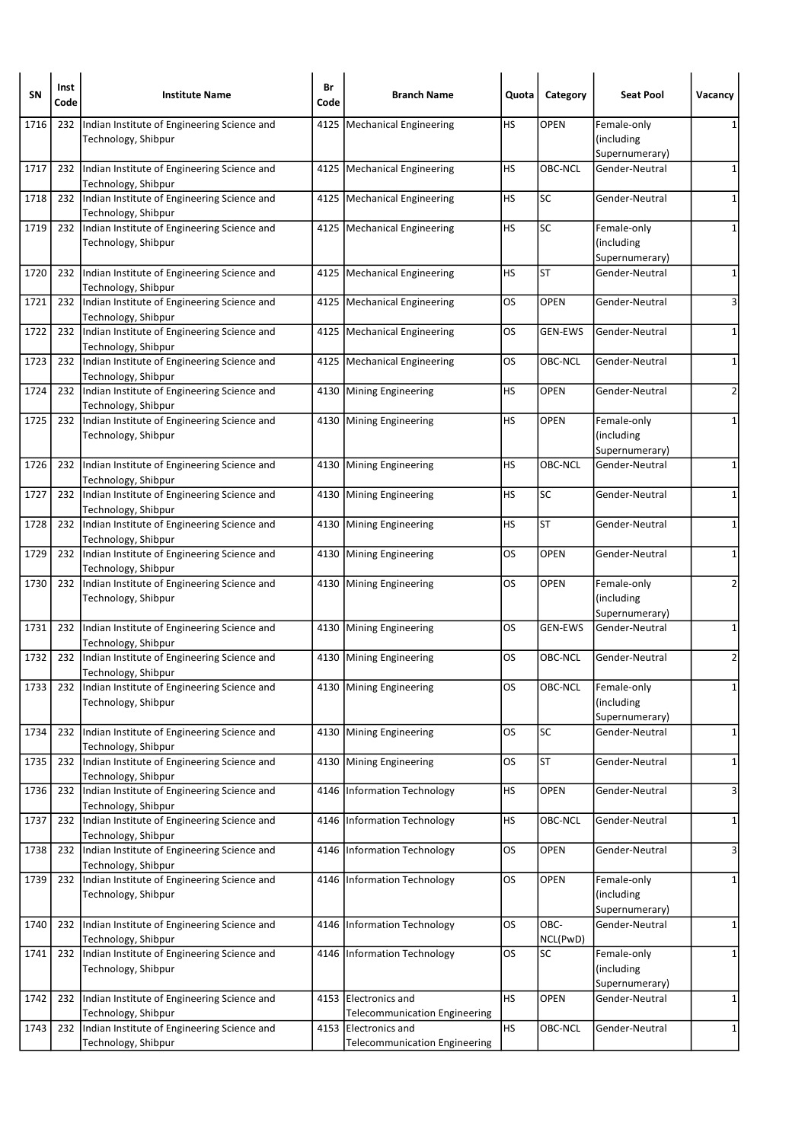| <b>SN</b> | Inst<br>Code | <b>Institute Name</b>                                                  | Br<br>Code | <b>Branch Name</b>                                           | Quota     | Category         | <b>Seat Pool</b>                            | Vacancy        |
|-----------|--------------|------------------------------------------------------------------------|------------|--------------------------------------------------------------|-----------|------------------|---------------------------------------------|----------------|
| 1716      | 232          | Indian Institute of Engineering Science and<br>Technology, Shibpur     | 4125       | Mechanical Engineering                                       | НS        | <b>OPEN</b>      | Female-only<br>(including<br>Supernumerary) |                |
| 1717      | 232          | Indian Institute of Engineering Science and<br>Technology, Shibpur     |            | 4125   Mechanical Engineering                                | HS        | OBC-NCL          | Gender-Neutral                              | 1              |
| 1718      | 232          | Indian Institute of Engineering Science and<br>Technology, Shibpur     |            | 4125   Mechanical Engineering                                | HS        | SC               | Gender-Neutral                              | 1              |
| 1719      | 232          | Indian Institute of Engineering Science and<br>Technology, Shibpur     |            | 4125   Mechanical Engineering                                | HS        | <b>SC</b>        | Female-only<br>(including<br>Supernumerary) | 1              |
| 1720      | 232          | Indian Institute of Engineering Science and<br>Technology, Shibpur     | 4125       | Mechanical Engineering                                       | НS        | <b>ST</b>        | Gender-Neutral                              | 1              |
| 1721      | 232          | Indian Institute of Engineering Science and<br>Technology, Shibpur     |            | 4125   Mechanical Engineering                                | OS        | <b>OPEN</b>      | Gender-Neutral                              | 3              |
| 1722      | 232          | Indian Institute of Engineering Science and<br>Technology, Shibpur     |            | 4125   Mechanical Engineering                                | OS        | <b>GEN-EWS</b>   | Gender-Neutral                              | 1              |
| 1723      | 232          | Indian Institute of Engineering Science and<br>Technology, Shibpur     |            | 4125   Mechanical Engineering                                | OS        | OBC-NCL          | Gender-Neutral                              | 1              |
| 1724      | 232          | Indian Institute of Engineering Science and<br>Technology, Shibpur     |            | 4130 Mining Engineering                                      | HS        | <b>OPEN</b>      | Gender-Neutral                              | 2              |
| 1725      | 232          | Indian Institute of Engineering Science and<br>Technology, Shibpur     |            | 4130 Mining Engineering                                      | HS        | <b>OPEN</b>      | Female-only<br>(including<br>Supernumerary) | 1              |
| 1726      | 232          | Indian Institute of Engineering Science and<br>Technology, Shibpur     |            | 4130 Mining Engineering                                      | HS        | OBC-NCL          | Gender-Neutral                              | 1              |
| 1727      | 232          | Indian Institute of Engineering Science and<br>Technology, Shibpur     |            | 4130 Mining Engineering                                      | HS        | <b>SC</b>        | Gender-Neutral                              | 1              |
| 1728      | 232          | Indian Institute of Engineering Science and<br>Technology, Shibpur     |            | 4130 Mining Engineering                                      | HS        | <b>ST</b>        | Gender-Neutral                              | 1              |
| 1729      | 232          | Indian Institute of Engineering Science and<br>Technology, Shibpur     |            | 4130 Mining Engineering                                      | OS        | <b>OPEN</b>      | Gender-Neutral                              | 1              |
| 1730      | 232          | Indian Institute of Engineering Science and<br>Technology, Shibpur     |            | 4130 Mining Engineering                                      | OS        | <b>OPEN</b>      | Female-only<br>(including<br>Supernumerary) | $\overline{2}$ |
| 1731      | 232          | Indian Institute of Engineering Science and<br>Technology, Shibpur     |            | 4130 Mining Engineering                                      | OS        | <b>GEN-EWS</b>   | Gender-Neutral                              | 1              |
| 1732      | 232          | Indian Institute of Engineering Science and<br>Technology, Shibpur     |            | 4130 Mining Engineering                                      | OS        | OBC-NCL          | Gender-Neutral                              | 2              |
| 1733      |              | 232 Indian Institute of Engineering Science and<br>Technology, Shibpur |            | 4130   Mining Engineering                                    | OS        | OBC-NCL          | Female-only<br>(including<br>Supernumerary) | $\mathbf{1}$   |
| 1734      | 232          | Indian Institute of Engineering Science and<br>Technology, Shibpur     |            | 4130 Mining Engineering                                      | OS        | SC               | Gender-Neutral                              | $\mathbf 1$    |
| 1735      | 232          | Indian Institute of Engineering Science and<br>Technology, Shibpur     | 4130       | Mining Engineering                                           | OS        | <b>ST</b>        | Gender-Neutral                              | $\mathbf{1}$   |
| 1736      | 232          | Indian Institute of Engineering Science and<br>Technology, Shibpur     | 4146       | Information Technology                                       | НS        | OPEN             | Gender-Neutral                              | 3              |
| 1737      | 232          | Indian Institute of Engineering Science and<br>Technology, Shibpur     |            | 4146   Information Technology                                | <b>HS</b> | OBC-NCL          | Gender-Neutral                              | $\mathbf{1}$   |
| 1738      | 232          | Indian Institute of Engineering Science and<br>Technology, Shibpur     | 4146       | Information Technology                                       | <b>OS</b> | OPEN             | Gender-Neutral                              | 3              |
| 1739      | 232          | Indian Institute of Engineering Science and<br>Technology, Shibpur     |            | 4146   Information Technology                                | OS        | OPEN             | Female-only<br>(including<br>Supernumerary) | $\mathbf{1}$   |
| 1740      | 232          | Indian Institute of Engineering Science and<br>Technology, Shibpur     | 4146       | Information Technology                                       | OS        | OBC-<br>NCL(PwD) | Gender-Neutral                              | $\mathbf{1}$   |
| 1741      | 232          | Indian Institute of Engineering Science and<br>Technology, Shibpur     |            | 4146 Information Technology                                  | <b>OS</b> | SC               | Female-only<br>(including<br>Supernumerary) | 1              |
| 1742      | 232          | Indian Institute of Engineering Science and<br>Technology, Shibpur     |            | 4153 Electronics and<br><b>Telecommunication Engineering</b> | HS        | <b>OPEN</b>      | Gender-Neutral                              | 1              |
| 1743      | 232          | Indian Institute of Engineering Science and<br>Technology, Shibpur     | 4153       | Electronics and<br><b>Telecommunication Engineering</b>      | <b>HS</b> | OBC-NCL          | Gender-Neutral                              | $\mathbf{1}$   |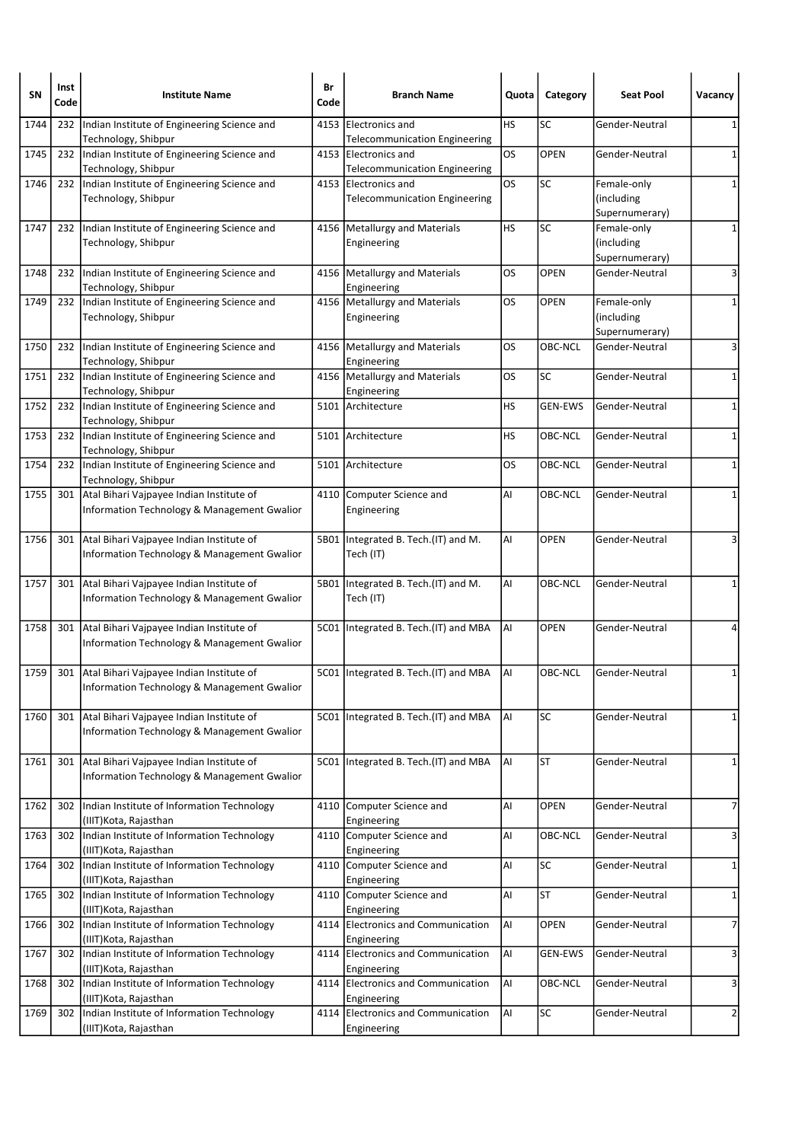| <b>SN</b> | Inst<br>Code | <b>Institute Name</b>                                                                   | Br<br>Code | <b>Branch Name</b>                                               | Quota | Category       | <b>Seat Pool</b>                            | Vacancy        |
|-----------|--------------|-----------------------------------------------------------------------------------------|------------|------------------------------------------------------------------|-------|----------------|---------------------------------------------|----------------|
| 1744      | 232          | Indian Institute of Engineering Science and<br>Technology, Shibpur                      | 4153       | Electronics and<br><b>Telecommunication Engineering</b>          | HS    | SC             | Gender-Neutral                              | 1              |
| 1745      | 232          | Indian Institute of Engineering Science and<br>Technology, Shibpur                      |            | 4153 Electronics and<br><b>Telecommunication Engineering</b>     | OS    | <b>OPEN</b>    | Gender-Neutral                              | 1              |
| 1746      | 232          | Indian Institute of Engineering Science and<br>Technology, Shibpur                      |            | 4153 Electronics and<br><b>Telecommunication Engineering</b>     | los   | <b>SC</b>      | Female-only<br>(including<br>Supernumerary) | 1              |
| 1747      | 232          | Indian Institute of Engineering Science and<br>Technology, Shibpur                      |            | 4156   Metallurgy and Materials<br>Engineering                   | HS    | SC             | Female-only<br>(including<br>Supernumerary) | 1              |
| 1748      | 232          | Indian Institute of Engineering Science and<br>Technology, Shibpur                      |            | 4156   Metallurgy and Materials<br>Engineering                   | OS    | <b>OPEN</b>    | Gender-Neutral                              | 3              |
| 1749      | 232          | Indian Institute of Engineering Science and<br>Technology, Shibpur                      |            | 4156   Metallurgy and Materials<br>Engineering                   | OS    | <b>OPEN</b>    | Female-only<br>(including<br>Supernumerary) | 1              |
| 1750      | 232          | Indian Institute of Engineering Science and<br>Technology, Shibpur                      |            | 4156   Metallurgy and Materials<br>Engineering                   | OS    | OBC-NCL        | Gender-Neutral                              | 3              |
| 1751      | 232          | Indian Institute of Engineering Science and<br>Technology, Shibpur                      |            | 4156   Metallurgy and Materials<br>Engineering                   | OS    | <b>SC</b>      | Gender-Neutral                              | 1              |
| 1752      | 232          | Indian Institute of Engineering Science and<br>Technology, Shibpur                      |            | 5101 Architecture                                                | HS    | <b>GEN-EWS</b> | Gender-Neutral                              | 1              |
| 1753      | 232          | Indian Institute of Engineering Science and<br>Technology, Shibpur                      |            | 5101 Architecture                                                | HS    | OBC-NCL        | Gender-Neutral                              | 1              |
| 1754      | 232          | Indian Institute of Engineering Science and<br>Technology, Shibpur                      |            | 5101 Architecture                                                | OS    | OBC-NCL        | Gender-Neutral                              | 1              |
| 1755      | 301          | Atal Bihari Vajpayee Indian Institute of<br>Information Technology & Management Gwalior |            | 4110 Computer Science and<br>Engineering                         | Al    | OBC-NCL        | Gender-Neutral                              | 1              |
| 1756      | 301          | Atal Bihari Vajpayee Indian Institute of<br>Information Technology & Management Gwalior | 5B01       | Integrated B. Tech.(IT) and M.<br>Tech (IT)                      | Al    | <b>OPEN</b>    | Gender-Neutral                              | 3              |
| 1757      | 301          | Atal Bihari Vajpayee Indian Institute of<br>Information Technology & Management Gwalior |            | 5B01 Integrated B. Tech. (IT) and M.<br>Tech (IT)                | Al    | <b>OBC-NCL</b> | Gender-Neutral                              |                |
| 1758      | 301          | Atal Bihari Vajpayee Indian Institute of<br>Information Technology & Management Gwalior |            | 5C01   Integrated B. Tech. (IT) and MBA                          | AI    | <b>OPEN</b>    | Gender-Neutral                              |                |
| 1759      | 301          | Atal Bihari Vajpayee Indian Institute of<br>Information Technology & Management Gwalior |            | 5C01 Integrated B. Tech. (IT) and MBA                            | AI    | OBC-NCL        | Gender-Neutral                              | 1              |
| 1760      | 301          | Atal Bihari Vajpayee Indian Institute of<br>Information Technology & Management Gwalior |            | 5C01 Integrated B. Tech.(IT) and MBA                             | AI    | SC             | Gender-Neutral                              | 1              |
| 1761      | 301          | Atal Bihari Vajpayee Indian Institute of<br>Information Technology & Management Gwalior |            | 5C01 Integrated B. Tech. (IT) and MBA                            | AI    | <b>ST</b>      | Gender-Neutral                              | 1              |
| 1762      | 302          | Indian Institute of Information Technology<br>(IIIT) Kota, Rajasthan                    |            | 4110 Computer Science and<br>Engineering                         | AI    | <b>OPEN</b>    | Gender-Neutral                              | $\overline{7}$ |
| 1763      | 302          | Indian Institute of Information Technology<br>(IIIT)Kota, Rajasthan                     |            | 4110 Computer Science and<br>Engineering                         | AI    | OBC-NCL        | Gender-Neutral                              | 3              |
| 1764      | 302          | Indian Institute of Information Technology<br>(IIIT) Kota, Rajasthan                    |            | 4110 Computer Science and<br>Engineering                         | AI    | SC             | Gender-Neutral                              | 1              |
| 1765      | 302          | Indian Institute of Information Technology<br>(IIIT)Kota, Rajasthan                     |            | 4110 Computer Science and<br>Engineering                         | Al    | <b>ST</b>      | Gender-Neutral                              | $\mathbf{1}$   |
| 1766      | 302          | Indian Institute of Information Technology<br>(IIIT)Kota, Rajasthan                     |            | 4114 Electronics and Communication<br>Engineering                | AI    | <b>OPEN</b>    | Gender-Neutral                              | $\overline{7}$ |
| 1767      | 302          | Indian Institute of Information Technology<br>(IIIT) Kota, Rajasthan                    |            | 4114 Electronics and Communication<br>Engineering                | AI    | <b>GEN-EWS</b> | Gender-Neutral                              | 3              |
| 1768      | 302          | Indian Institute of Information Technology<br>(IIIT) Kota, Rajasthan                    |            | 4114 Electronics and Communication                               | AI    | OBC-NCL        | Gender-Neutral                              | 3              |
| 1769      | 302          | Indian Institute of Information Technology<br>(IIIT) Kota, Rajasthan                    |            | Engineering<br>4114 Electronics and Communication<br>Engineering | AI    | SC             | Gender-Neutral                              | $\overline{2}$ |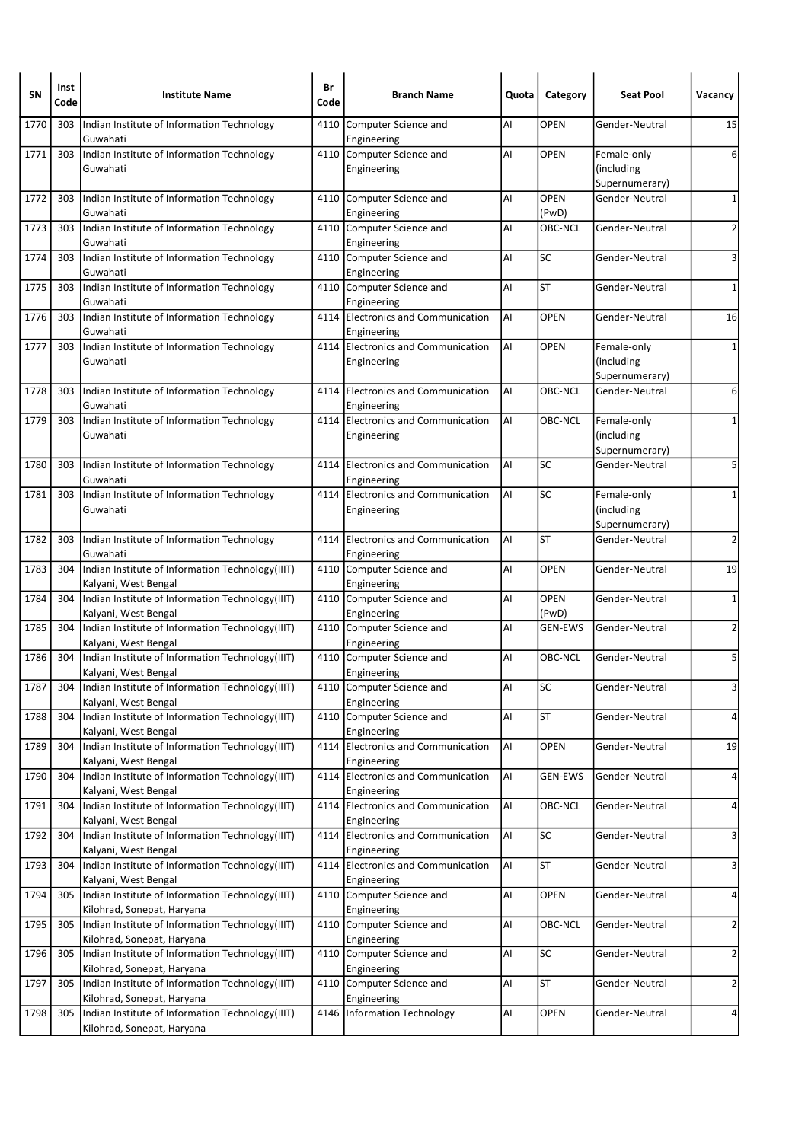| SN   | Inst<br>Code | <b>Institute Name</b>                                                          | Br<br>Code | <b>Branch Name</b>                                | Quota | Category             | <b>Seat Pool</b>                            | Vacancy        |
|------|--------------|--------------------------------------------------------------------------------|------------|---------------------------------------------------|-------|----------------------|---------------------------------------------|----------------|
| 1770 | 303          | Indian Institute of Information Technology<br>Guwahati                         | 4110       | Computer Science and<br>Engineering               | Al    | <b>OPEN</b>          | Gender-Neutral                              | 15             |
| 1771 | 303          | Indian Institute of Information Technology<br>Guwahati                         |            | 4110 Computer Science and<br>Engineering          | AI    | <b>OPEN</b>          | Female-only<br>(including<br>Supernumerary) | 6              |
| 1772 | 303          | Indian Institute of Information Technology<br>Guwahati                         | 4110       | Computer Science and<br>Engineering               | Al    | <b>OPEN</b><br>(PwD) | Gender-Neutral                              | $\mathbf{1}$   |
| 1773 | 303          | Indian Institute of Information Technology<br>Guwahati                         |            | 4110 Computer Science and<br>Engineering          | Al    | OBC-NCL              | Gender-Neutral                              | $\overline{2}$ |
| 1774 | 303          | Indian Institute of Information Technology<br>Guwahati                         |            | 4110 Computer Science and<br>Engineering          | AI    | <b>SC</b>            | Gender-Neutral                              | 3              |
| 1775 | 303          | Indian Institute of Information Technology<br>Guwahati                         |            | 4110 Computer Science and<br>Engineering          | Al    | <b>ST</b>            | Gender-Neutral                              | $\mathbf{1}$   |
| 1776 | 303          | Indian Institute of Information Technology<br>Guwahati                         |            | 4114 Electronics and Communication<br>Engineering | AI    | <b>OPEN</b>          | Gender-Neutral                              | 16             |
| 1777 | 303          | Indian Institute of Information Technology<br>Guwahati                         |            | 4114 Electronics and Communication<br>Engineering | l Al  | <b>OPEN</b>          | Female-only<br>(including<br>Supernumerary) | $\mathbf{1}$   |
| 1778 | 303          | Indian Institute of Information Technology<br>Guwahati                         |            | 4114 Electronics and Communication<br>Engineering | Al    | OBC-NCL              | Gender-Neutral                              | 6              |
| 1779 | 303          | Indian Institute of Information Technology<br>Guwahati                         |            | 4114 Electronics and Communication<br>Engineering | lai   | OBC-NCL              | Female-only<br>(including<br>Supernumerary) | $\mathbf{1}$   |
| 1780 | 303          | Indian Institute of Information Technology<br>Guwahati                         |            | 4114 Electronics and Communication<br>Engineering | Al    | SC                   | Gender-Neutral                              | 5              |
| 1781 | 303          | Indian Institute of Information Technology<br>Guwahati                         |            | 4114 Electronics and Communication<br>Engineering | Al    | <b>SC</b>            | Female-only<br>(including<br>Supernumerary) | 1              |
| 1782 | 303          | Indian Institute of Information Technology<br>Guwahati                         |            | 4114 Electronics and Communication<br>Engineering | Al    | <b>ST</b>            | Gender-Neutral                              | $\overline{2}$ |
| 1783 | 304          | Indian Institute of Information Technology(IIIT)<br>Kalyani, West Bengal       |            | 4110 Computer Science and<br>Engineering          | AI    | <b>OPEN</b>          | Gender-Neutral                              | 19             |
| 1784 | 304          | Indian Institute of Information Technology(IIIT)<br>Kalyani, West Bengal       |            | 4110 Computer Science and<br>Engineering          | Al    | <b>OPEN</b><br>(PwD) | Gender-Neutral                              | $\mathbf{1}$   |
| 1785 | 304          | Indian Institute of Information Technology(IIIT)<br>Kalyani, West Bengal       |            | 4110 Computer Science and<br>Engineering          | Al    | <b>GEN-EWS</b>       | Gender-Neutral                              | $\overline{2}$ |
| 1786 | 304          | Indian Institute of Information Technology(IIIT)<br>Kalyani, West Bengal       |            | 4110 Computer Science and<br>Engineering          | AI    | OBC-NCL              | Gender-Neutral                              | 5              |
| 1787 | 304          | Indian Institute of Information Technology(IIIT)<br>Kalyani, West Bengal       |            | 4110 Computer Science and<br>Engineering          | Al    | SC                   | Gender-Neutral                              | 3              |
| 1788 | 304          | Indian Institute of Information Technology(IIIT)<br>Kalyani, West Bengal       |            | 4110 Computer Science and<br>Engineering          | Al    | <b>ST</b>            | Gender-Neutral                              | 4              |
| 1789 | 304          | Indian Institute of Information Technology(IIIT)<br>Kalyani, West Bengal       |            | 4114 Electronics and Communication<br>Engineering | AI    | OPEN                 | Gender-Neutral                              | 19             |
| 1790 | 304          | Indian Institute of Information Technology(IIIT)<br>Kalyani, West Bengal       | 4114       | Electronics and Communication<br>Engineering      | AI    | <b>GEN-EWS</b>       | Gender-Neutral                              | 4              |
| 1791 | 304          | Indian Institute of Information Technology(IIIT)<br>Kalyani, West Bengal       |            | 4114 Electronics and Communication<br>Engineering | AI    | OBC-NCL              | Gender-Neutral                              | 4              |
| 1792 | 304          | Indian Institute of Information Technology(IIIT)<br>Kalyani, West Bengal       |            | 4114 Electronics and Communication<br>Engineering | AI.   | SC                   | Gender-Neutral                              | 3              |
| 1793 | 304          | Indian Institute of Information Technology(IIIT)<br>Kalyani, West Bengal       | 4114       | Electronics and Communication<br>Engineering      | AI    | <b>ST</b>            | Gender-Neutral                              | 3              |
| 1794 | 305          | Indian Institute of Information Technology(IIIT)<br>Kilohrad, Sonepat, Haryana |            | 4110 Computer Science and<br>Engineering          | Al    | OPEN                 | Gender-Neutral                              | 4              |
| 1795 | 305          | Indian Institute of Information Technology(IIIT)<br>Kilohrad, Sonepat, Haryana |            | 4110 Computer Science and<br>Engineering          | Al    | OBC-NCL              | Gender-Neutral                              | $\overline{2}$ |
| 1796 | 305          | Indian Institute of Information Technology(IIIT)<br>Kilohrad, Sonepat, Haryana |            | 4110 Computer Science and<br>Engineering          | Al    | SC                   | Gender-Neutral                              | $\overline{2}$ |
| 1797 | 305          | Indian Institute of Information Technology(IIIT)<br>Kilohrad, Sonepat, Haryana |            | 4110 Computer Science and<br>Engineering          | AI    | <b>ST</b>            | Gender-Neutral                              | $\overline{2}$ |
| 1798 | 305          | Indian Institute of Information Technology(IIIT)<br>Kilohrad, Sonepat, Haryana | 4146       | Information Technology                            | AI    | OPEN                 | Gender-Neutral                              | 4              |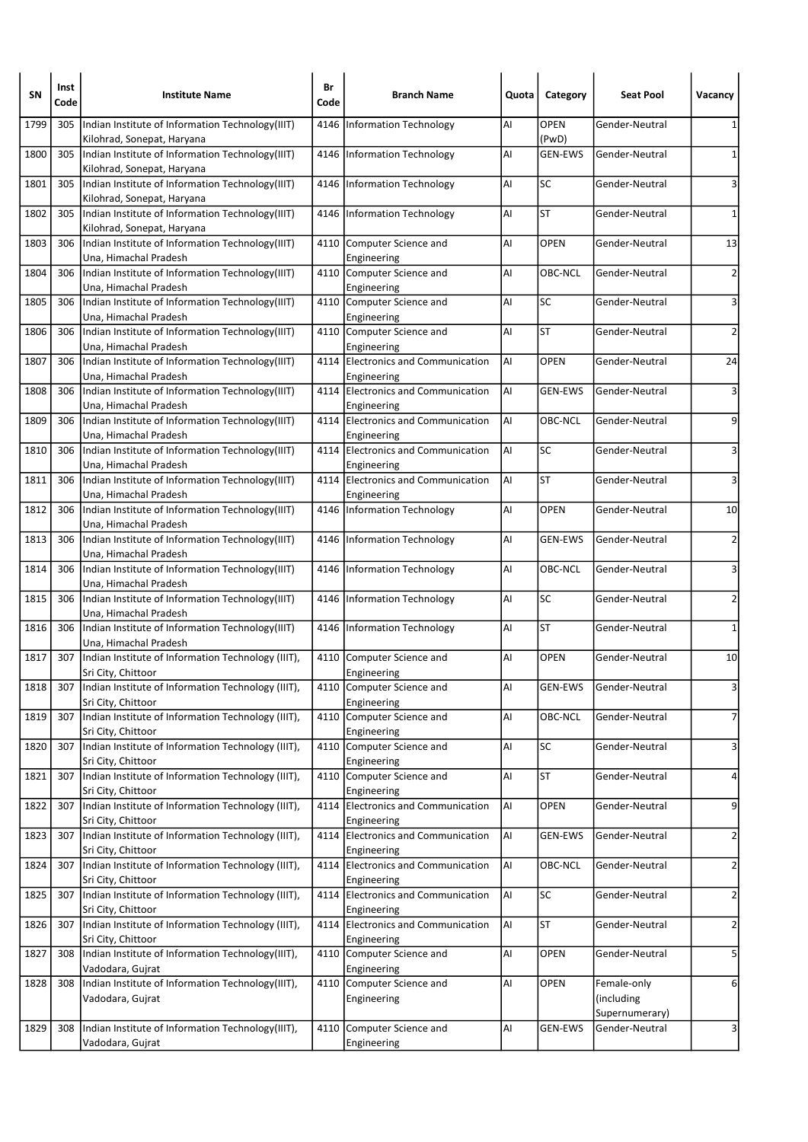| SΝ   | Inst<br>Code | <b>Institute Name</b>                                                            | Br<br>Code | <b>Branch Name</b>                                | Quota | Category             | <b>Seat Pool</b>                 | Vacancy                 |
|------|--------------|----------------------------------------------------------------------------------|------------|---------------------------------------------------|-------|----------------------|----------------------------------|-------------------------|
| 1799 | 305          | Indian Institute of Information Technology(IIIT)<br>Kilohrad, Sonepat, Haryana   | 4146       | <b>Information Technology</b>                     | AI    | <b>OPEN</b><br>(PwD) | Gender-Neutral                   | 1                       |
| 1800 | 305          | Indian Institute of Information Technology(IIIT)<br>Kilohrad, Sonepat, Haryana   |            | 4146 Information Technology                       | AI    | GEN-EWS              | Gender-Neutral                   | 1                       |
| 1801 | 305          | Indian Institute of Information Technology(IIIT)<br>Kilohrad, Sonepat, Haryana   |            | 4146   Information Technology                     | AI    | SC                   | Gender-Neutral                   | 3                       |
| 1802 | 305          | Indian Institute of Information Technology(IIIT)<br>Kilohrad, Sonepat, Haryana   |            | 4146   Information Technology                     | AI    | ST                   | Gender-Neutral                   | 1                       |
| 1803 | 306          | Indian Institute of Information Technology(IIIT)<br>Una, Himachal Pradesh        |            | 4110 Computer Science and<br>Engineering          | ΙAΙ   | <b>OPEN</b>          | Gender-Neutral                   | 13                      |
| 1804 | 306          | Indian Institute of Information Technology(IIIT)<br>Una, Himachal Pradesh        |            | 4110 Computer Science and<br>Engineering          | AI    | OBC-NCL              | Gender-Neutral                   | $\overline{2}$          |
| 1805 |              | 306   Indian Institute of Information Technology (IIIT)<br>Una, Himachal Pradesh |            | 4110 Computer Science and<br>Engineering          | AI    | SC                   | Gender-Neutral                   | 3                       |
| 1806 | 306          | Indian Institute of Information Technology(IIIT)<br>Una, Himachal Pradesh        |            | 4110 Computer Science and<br>Engineering          | AI    | <b>ST</b>            | Gender-Neutral                   | $\overline{2}$          |
| 1807 | 306          | Indian Institute of Information Technology(IIIT)<br>Una, Himachal Pradesh        |            | 4114 Electronics and Communication<br>Engineering | AI    | <b>OPEN</b>          | Gender-Neutral                   | 24                      |
| 1808 | 306          | Indian Institute of Information Technology(IIIT)<br>Una, Himachal Pradesh        |            | 4114 Electronics and Communication<br>Engineering | AI    | <b>GEN-EWS</b>       | Gender-Neutral                   | 3                       |
| 1809 | 306          | Indian Institute of Information Technology(IIIT)<br>Una, Himachal Pradesh        |            | 4114 Electronics and Communication<br>Engineering | lai   | OBC-NCL              | Gender-Neutral                   | 9                       |
| 1810 | 306          | Indian Institute of Information Technology(IIIT)<br>Una, Himachal Pradesh        |            | 4114 Electronics and Communication<br>Engineering | AI    | SC                   | Gender-Neutral                   | 3                       |
| 1811 |              | 306   Indian Institute of Information Technology (IIIT)<br>Una, Himachal Pradesh |            | 4114 Electronics and Communication<br>Engineering | laı   | <b>ST</b>            | Gender-Neutral                   | 3                       |
| 1812 | 306          | Indian Institute of Information Technology(IIIT)<br>Una, Himachal Pradesh        |            | 4146   Information Technology                     | AI    | <b>OPEN</b>          | Gender-Neutral                   | 10                      |
| 1813 | 306          | Indian Institute of Information Technology(IIIT)<br>Una, Himachal Pradesh        |            | 4146   Information Technology                     | AI    | <b>GEN-EWS</b>       | Gender-Neutral                   | $\overline{2}$          |
| 1814 | 306          | Indian Institute of Information Technology(IIIT)<br>Una, Himachal Pradesh        |            | 4146 Information Technology                       | AI    | OBC-NCL              | Gender-Neutral                   | 3                       |
| 1815 | 306          | Indian Institute of Information Technology(IIIT)<br>Una, Himachal Pradesh        |            | 4146   Information Technology                     | AI    | SC                   | Gender-Neutral                   | 2                       |
| 1816 |              | 306   Indian Institute of Information Technology (IIIT)<br>Una, Himachal Pradesh |            | 4146   Information Technology                     | AI    | ST                   | Gender-Neutral                   | 1                       |
| 1817 | 307          | Indian Institute of Information Technology (IIIT),<br>Sri City, Chittoor         |            | 4110 Computer Science and<br>Engineering          | AI    | <b>OPEN</b>          | Gender-Neutral                   | 10                      |
| 1818 |              | 307   Indian Institute of Information Technology (IIIT),<br>Sri City, Chittoor   |            | 4110 Computer Science and<br>Engineering          | AI    | <b>GEN-EWS</b>       | Gender-Neutral                   | 3                       |
| 1819 |              | 307 Indian Institute of Information Technology (IIIT),<br>Sri City, Chittoor     |            | 4110 Computer Science and<br>Engineering          | AI    | OBC-NCL              | Gender-Neutral                   | $\overline{7}$          |
| 1820 | 307          | Indian Institute of Information Technology (IIIT),<br>Sri City, Chittoor         |            | 4110 Computer Science and<br>Engineering          | AI    | SC                   | Gender-Neutral                   | 3                       |
| 1821 | 307          | Indian Institute of Information Technology (IIIT),<br>Sri City, Chittoor         |            | 4110 Computer Science and<br>Engineering          | AI    | ST                   | Gender-Neutral                   | 4                       |
| 1822 | 307          | Indian Institute of Information Technology (IIIT),<br>Sri City, Chittoor         |            | 4114 Electronics and Communication<br>Engineering | AI.   | OPEN                 | Gender-Neutral                   | 9                       |
| 1823 | 307          | Indian Institute of Information Technology (IIIT),<br>Sri City, Chittoor         |            | 4114 Electronics and Communication<br>Engineering | AI    | <b>GEN-EWS</b>       | Gender-Neutral                   | $\overline{2}$          |
| 1824 | 307          | Indian Institute of Information Technology (IIIT),<br>Sri City, Chittoor         |            | 4114 Electronics and Communication<br>Engineering | AI    | OBC-NCL              | Gender-Neutral                   | $\overline{2}$          |
| 1825 | 307          | Indian Institute of Information Technology (IIIT),<br>Sri City, Chittoor         |            | 4114 Electronics and Communication<br>Engineering | laı   | SC                   | Gender-Neutral                   | $\overline{\mathbf{c}}$ |
| 1826 | 307          | Indian Institute of Information Technology (IIIT),<br>Sri City, Chittoor         |            | 4114 Electronics and Communication<br>Engineering | laı   | ST                   | Gender-Neutral                   | $\overline{2}$          |
| 1827 | 308          | Indian Institute of Information Technology(IIIT),<br>Vadodara, Gujrat            | 4110       | Computer Science and<br>Engineering               | AI    | OPEN                 | Gender-Neutral                   | 5                       |
| 1828 | 308          | Indian Institute of Information Technology(IIIT),<br>Vadodara, Gujrat            |            | 4110 Computer Science and<br>Engineering          | AI    | <b>OPEN</b>          | Female-only<br>(including        | 6                       |
| 1829 | 308          | Indian Institute of Information Technology(IIIT),                                | 4110       | Computer Science and                              | AI    | <b>GEN-EWS</b>       | Supernumerary)<br>Gender-Neutral | 3                       |
|      |              | Vadodara, Gujrat                                                                 |            | Engineering                                       |       |                      |                                  |                         |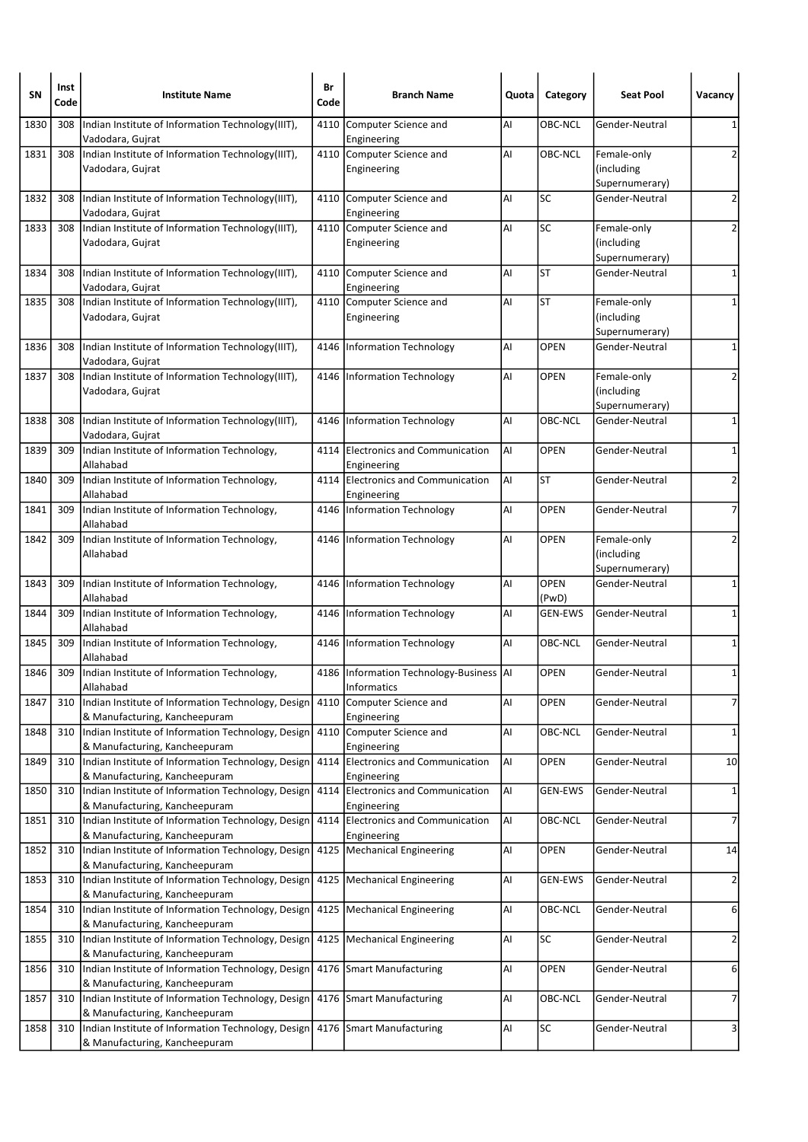| SΝ   | Inst<br>Code | <b>Institute Name</b>                                                                   | Br<br>Code | <b>Branch Name</b>                                         | Quota | Category             | <b>Seat Pool</b>                            | Vacancy        |
|------|--------------|-----------------------------------------------------------------------------------------|------------|------------------------------------------------------------|-------|----------------------|---------------------------------------------|----------------|
| 1830 | 308          | Indian Institute of Information Technology(IIIT),<br>Vadodara, Gujrat                   | 4110       | Computer Science and<br>Engineering                        | AI    | OBC-NCL              | Gender-Neutral                              | 1              |
| 1831 | 308          | Indian Institute of Information Technology(IIIT),<br>Vadodara, Gujrat                   |            | 4110 Computer Science and<br>Engineering                   | AI    | OBC-NCL              | Female-only<br>(including<br>Supernumerary) | 2              |
| 1832 | 308          | Indian Institute of Information Technology(IIIT),<br>Vadodara, Gujrat                   | 4110       | Computer Science and<br>Engineering                        | AI    | SC                   | Gender-Neutral                              | $\overline{2}$ |
| 1833 | 308          | Indian Institute of Information Technology(IIIT),<br>Vadodara, Gujrat                   |            | 4110 Computer Science and<br>Engineering                   | AI    | SC                   | Female-only<br>(including<br>Supernumerary) | 2              |
| 1834 | 308          | Indian Institute of Information Technology(IIIT),<br>Vadodara, Gujrat                   | 4110       | Computer Science and<br>Engineering                        | AI    | <b>ST</b>            | Gender-Neutral                              | $\mathbf{1}$   |
| 1835 | 308          | Indian Institute of Information Technology(IIIT),<br>Vadodara, Gujrat                   |            | 4110 Computer Science and<br>Engineering                   | AI    | <b>ST</b>            | Female-only<br>(including<br>Supernumerary) | 1              |
| 1836 | 308          | Indian Institute of Information Technology(IIIT),<br>Vadodara, Gujrat                   |            | 4146 Information Technology                                | AI    | <b>OPEN</b>          | Gender-Neutral                              | $\mathbf{1}$   |
| 1837 | 308          | Indian Institute of Information Technology(IIIT),<br>Vadodara, Gujrat                   |            | 4146 Information Technology                                | AI    | <b>OPEN</b>          | Female-only<br>(including<br>Supernumerary) | 2              |
| 1838 | 308          | Indian Institute of Information Technology(IIIT),<br>Vadodara, Gujrat                   |            | 4146 Information Technology                                | AI    | OBC-NCL              | Gender-Neutral                              | 1              |
| 1839 | 309          | Indian Institute of Information Technology,<br>Allahabad                                | 4114       | <b>Electronics and Communication</b><br>Engineering        | laı   | <b>OPEN</b>          | Gender-Neutral                              | 1              |
| 1840 | 309          | Indian Institute of Information Technology,<br>Allahabad                                |            | 4114 Electronics and Communication<br>Engineering          | ΑI    | ST                   | Gender-Neutral                              | $\overline{2}$ |
| 1841 | 309          | Indian Institute of Information Technology,<br>Allahabad                                |            | 4146 Information Technology                                | AI    | <b>OPEN</b>          | Gender-Neutral                              | $\overline{7}$ |
| 1842 | 309          | Indian Institute of Information Technology,<br>Allahabad                                |            | 4146 Information Technology                                | AI    | <b>OPEN</b>          | Female-only<br>(including<br>Supernumerary) | 2              |
| 1843 | 309          | Indian Institute of Information Technology,<br>Allahabad                                |            | 4146 Information Technology                                | AI    | <b>OPEN</b><br>(PwD) | Gender-Neutral                              | 1              |
| 1844 | 309          | Indian Institute of Information Technology,<br>Allahabad                                | 4146       | <b>Information Technology</b>                              | AI    | <b>GEN-EWS</b>       | Gender-Neutral                              | 1              |
| 1845 | 309          | Indian Institute of Information Technology,<br>Allahabad                                |            | 4146 Information Technology                                | AI    | OBC-NCL              | Gender-Neutral                              | 1              |
| 1846 | 309          | Indian Institute of Information Technology,<br>Allahabad                                |            | 4186   Information Technology-Business   AI<br>Informatics |       | <b>OPEN</b>          | Gender-Neutral                              | 1              |
| 1847 | 310          | Indian Institute of Information Technology, Design<br>& Manufacturing, Kancheepuram     | 4110       | Computer Science and<br>Engineering                        | AI    | OPEN                 | Gender-Neutral                              | 7              |
| 1848 | 310          | Indian Institute of Information Technology, Design<br>& Manufacturing, Kancheepuram     |            | 4110 Computer Science and<br>Engineering                   | AI    | OBC-NCL              | Gender-Neutral                              | 1              |
| 1849 | 310          | Indian Institute of Information Technology, Design<br>& Manufacturing, Kancheepuram     |            | 4114 Electronics and Communication<br>Engineering          | İAΙ   | OPEN                 | Gender-Neutral                              | 10             |
| 1850 | 310          | Indian Institute of Information Technology, Design<br>& Manufacturing, Kancheepuram     | 4114       | <b>Electronics and Communication</b><br>Engineering        | AI    | <b>GEN-EWS</b>       | Gender-Neutral                              | 1              |
| 1851 | 310          | Indian Institute of Information Technology, Design<br>& Manufacturing, Kancheepuram     |            | 4114 Electronics and Communication<br>Engineering          | AI    | OBC-NCL              | Gender-Neutral                              | 7              |
| 1852 | 310          | Indian Institute of Information Technology, Design<br>& Manufacturing, Kancheepuram     |            | 4125   Mechanical Engineering                              | AI.   | OPEN                 | Gender-Neutral                              | 14             |
| 1853 | 310          | Indian Institute of Information Technology, Design<br>& Manufacturing, Kancheepuram     | 4125       | <b>Mechanical Engineering</b>                              | AI    | <b>GEN-EWS</b>       | Gender-Neutral                              | 2              |
| 1854 |              | 310 Indian Institute of Information Technology, Design<br>& Manufacturing, Kancheepuram |            | 4125   Mechanical Engineering                              | AI    | OBC-NCL              | Gender-Neutral                              | 6              |
| 1855 | 310          | Indian Institute of Information Technology, Design<br>& Manufacturing, Kancheepuram     | 4125       | <b>Mechanical Engineering</b>                              | AI    | SC                   | Gender-Neutral                              | $\overline{2}$ |
| 1856 | 310          | Indian Institute of Information Technology, Design<br>& Manufacturing, Kancheepuram     |            | 4176 Smart Manufacturing                                   | Al    | OPEN                 | Gender-Neutral                              | 6              |
| 1857 | 310          | Indian Institute of Information Technology, Design<br>& Manufacturing, Kancheepuram     |            | 4176 Smart Manufacturing                                   | AI    | OBC-NCL              | Gender-Neutral                              | 7              |
| 1858 | 310          | Indian Institute of Information Technology, Design<br>& Manufacturing, Kancheepuram     |            | 4176 Smart Manufacturing                                   | AI    | SC                   | Gender-Neutral                              | 3              |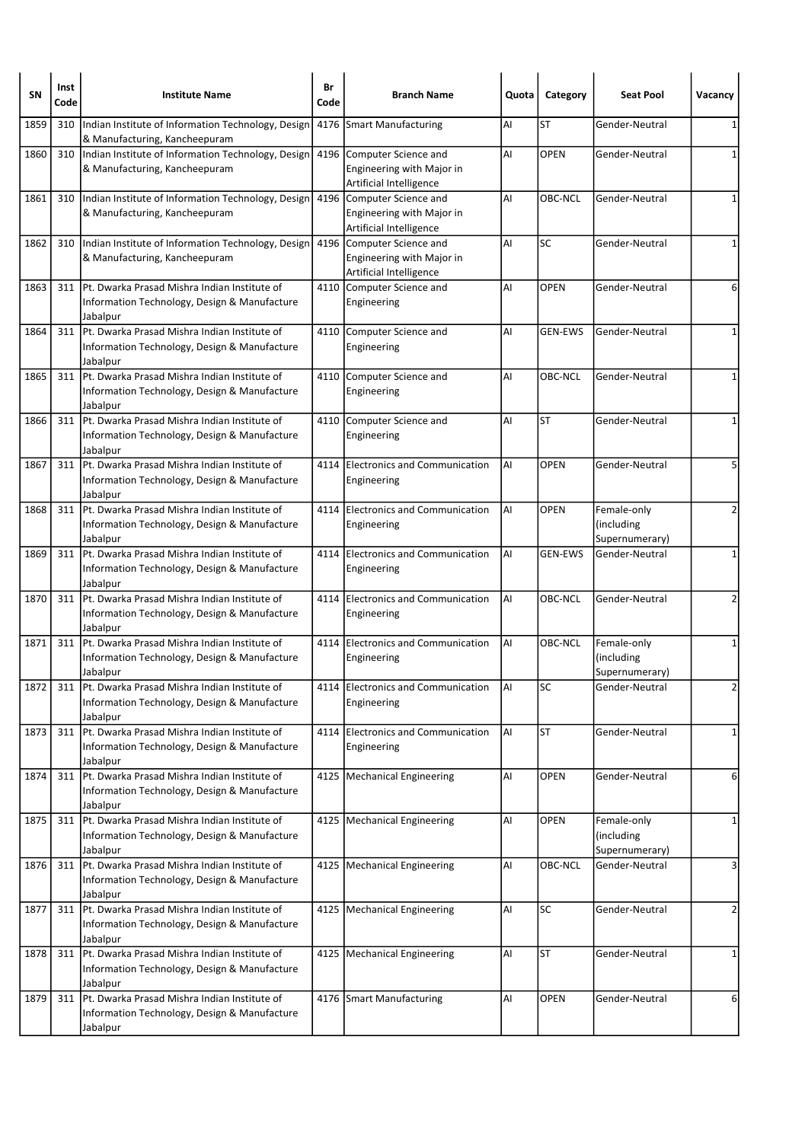| SΝ   | Inst<br>Code | <b>Institute Name</b>                                                                                          | Br<br>Code | <b>Branch Name</b>                                                                | Quota | Category       | <b>Seat Pool</b>                            | Vacancy      |
|------|--------------|----------------------------------------------------------------------------------------------------------------|------------|-----------------------------------------------------------------------------------|-------|----------------|---------------------------------------------|--------------|
| 1859 | 310          | Indian Institute of Information Technology, Design<br>& Manufacturing, Kancheepuram                            | 4176       | Smart Manufacturing                                                               | Al    | <b>ST</b>      | Gender-Neutral                              | 1            |
| 1860 | 310          | Indian Institute of Information Technology, Design<br>& Manufacturing, Kancheepuram                            |            | 4196 Computer Science and<br>Engineering with Major in<br>Artificial Intelligence | Al    | OPEN           | Gender-Neutral                              | 1            |
| 1861 | 310          | Indian Institute of Information Technology, Design<br>& Manufacturing, Kancheepuram                            |            | 4196 Computer Science and<br>Engineering with Major in<br>Artificial Intelligence | Al    | OBC-NCL        | Gender-Neutral                              | $\mathbf{1}$ |
| 1862 | 310          | Indian Institute of Information Technology, Design<br>& Manufacturing, Kancheepuram                            |            | 4196 Computer Science and<br>Engineering with Major in<br>Artificial Intelligence | Al    | SC             | Gender-Neutral                              | $\mathbf{1}$ |
| 1863 | 311          | Pt. Dwarka Prasad Mishra Indian Institute of<br>Information Technology, Design & Manufacture<br>Jabalpur       |            | 4110 Computer Science and<br>Engineering                                          | Al    | <b>OPEN</b>    | Gender-Neutral                              | 6            |
| 1864 | 311          | lPt. Dwarka Prasad Mishra Indian Institute of<br>Information Technology, Design & Manufacture<br>Jabalpur      |            | 4110 Computer Science and<br>Engineering                                          | AI    | <b>GEN-EWS</b> | Gender-Neutral                              | 1            |
| 1865 | 311          | Pt. Dwarka Prasad Mishra Indian Institute of<br>Information Technology, Design & Manufacture<br>Jabalpur       | 4110       | Computer Science and<br>Engineering                                               | Al    | OBC-NCL        | Gender-Neutral                              | 1            |
| 1866 | 311          | Pt. Dwarka Prasad Mishra Indian Institute of<br>Information Technology, Design & Manufacture<br>Jabalpur       |            | 4110 Computer Science and<br>Engineering                                          | Al    | <b>ST</b>      | Gender-Neutral                              | $\mathbf{1}$ |
| 1867 | 311          | Pt. Dwarka Prasad Mishra Indian Institute of<br>Information Technology, Design & Manufacture<br>Jabalpur       |            | 4114 Electronics and Communication<br>Engineering                                 | Al    | <b>OPEN</b>    | Gender-Neutral                              | 5            |
| 1868 | 311          | lPt. Dwarka Prasad Mishra Indian Institute of<br>Information Technology, Design & Manufacture<br>Jabalpur      | 4114       | <b>Electronics and Communication</b><br>Engineering                               | Al    | <b>OPEN</b>    | Female-only<br>(including<br>Supernumerary) | 2            |
| 1869 | 311          | Pt. Dwarka Prasad Mishra Indian Institute of<br>Information Technology, Design & Manufacture<br>Jabalpur       |            | 4114 Electronics and Communication<br>Engineering                                 | Al    | <b>GEN-EWS</b> | Gender-Neutral                              | 1            |
| 1870 | 311          | Pt. Dwarka Prasad Mishra Indian Institute of<br>Information Technology, Design & Manufacture<br>Jabalpur       | 4114       | Electronics and Communication<br>Engineering                                      | Al    | <b>OBC-NCL</b> | Gender-Neutral                              | 2            |
| 1871 | 311          | IPt. Dwarka Prasad Mishra Indian Institute of<br>Information Technology, Design & Manufacture<br>Jabalpur      |            | 4114 Electronics and Communication<br>Engineering                                 | AI    | OBC-NCL        | Female-only<br>(including<br>Supernumerary) | 1            |
| 1872 |              | 311   Pt. Dwarka Prasad Mishra Indian Institute of<br>Information Technology, Design & Manufacture<br>Jabalpur |            | 4114 Electronics and Communication<br>Engineering                                 | AI    | <b>SC</b>      | Gender-Neutral                              | 2            |
| 1873 | 311          | Pt. Dwarka Prasad Mishra Indian Institute of<br>Information Technology, Design & Manufacture<br>Jabalpur       |            | 4114 Electronics and Communication<br>Engineering                                 | Al    | <b>ST</b>      | Gender-Neutral                              | 1            |
| 1874 | 311          | Pt. Dwarka Prasad Mishra Indian Institute of<br>Information Technology, Design & Manufacture<br>Jabalpur       |            | 4125   Mechanical Engineering                                                     | AI    | OPEN           | Gender-Neutral                              | 6            |
| 1875 |              | 311 Pt. Dwarka Prasad Mishra Indian Institute of<br>Information Technology, Design & Manufacture<br>Jabalpur   |            | 4125 Mechanical Engineering                                                       | AI    | OPEN           | Female-only<br>(including<br>Supernumerary) | 1            |
| 1876 | 311          | Pt. Dwarka Prasad Mishra Indian Institute of<br>Information Technology, Design & Manufacture<br>Jabalpur       |            | 4125   Mechanical Engineering                                                     | AI    | OBC-NCL        | Gender-Neutral                              | 3            |
| 1877 | 311          | Pt. Dwarka Prasad Mishra Indian Institute of<br>Information Technology, Design & Manufacture<br>Jabalpur       |            | 4125   Mechanical Engineering                                                     | Al    | <b>SC</b>      | Gender-Neutral                              | 2            |
| 1878 | 311          | Pt. Dwarka Prasad Mishra Indian Institute of<br>Information Technology, Design & Manufacture<br>Jabalpur       |            | 4125   Mechanical Engineering                                                     | AI    | <b>ST</b>      | Gender-Neutral                              | 1            |
| 1879 | 311          | Pt. Dwarka Prasad Mishra Indian Institute of<br>Information Technology, Design & Manufacture<br>Jabalpur       |            | 4176 Smart Manufacturing                                                          | Al    | <b>OPEN</b>    | Gender-Neutral                              | 6            |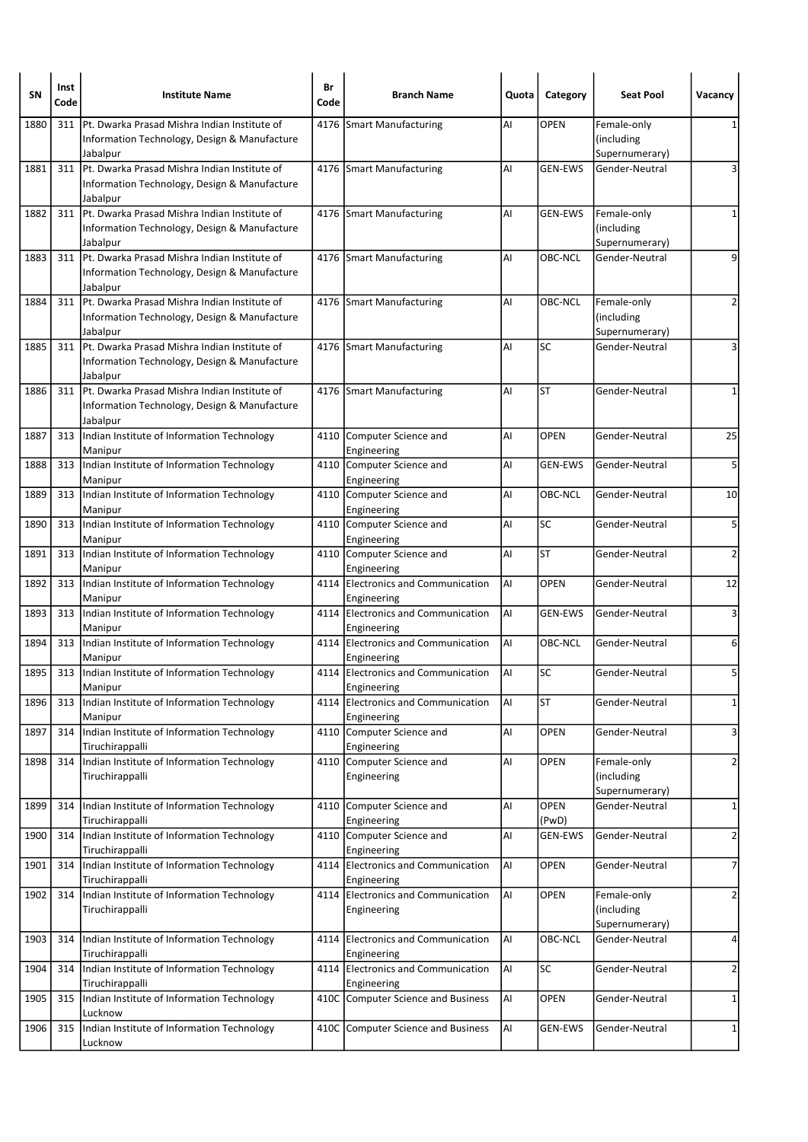| SΝ   | Inst<br>Code | <b>Institute Name</b>                                                                                     | Br<br>Code | <b>Branch Name</b>                                | Quota | Category       | <b>Seat Pool</b>                            | Vacancy        |
|------|--------------|-----------------------------------------------------------------------------------------------------------|------------|---------------------------------------------------|-------|----------------|---------------------------------------------|----------------|
| 1880 | 311          | Pt. Dwarka Prasad Mishra Indian Institute of<br>Information Technology, Design & Manufacture<br>Jabalpur  |            | 4176 Smart Manufacturing                          | Al    | <b>OPEN</b>    | Female-only<br>(including<br>Supernumerary) |                |
| 1881 | 311          | lPt. Dwarka Prasad Mishra Indian Institute of<br>Information Technology, Design & Manufacture<br>Jabalpur |            | 4176 Smart Manufacturing                          | AI    | <b>GEN-EWS</b> | Gender-Neutral                              | 3              |
| 1882 | 311          | Pt. Dwarka Prasad Mishra Indian Institute of<br>Information Technology, Design & Manufacture<br>Jabalpur  |            | 4176 Smart Manufacturing                          | AI    | <b>GEN-EWS</b> | Female-only<br>(including<br>Supernumerary) | 1              |
| 1883 | 311          | Pt. Dwarka Prasad Mishra Indian Institute of<br>Information Technology, Design & Manufacture<br>Jabalpur  |            | 4176 Smart Manufacturing                          | AI    | OBC-NCL        | Gender-Neutral                              | 9              |
| 1884 | 311          | lPt. Dwarka Prasad Mishra Indian Institute of<br>Information Technology, Design & Manufacture<br>Jabalpur |            | 4176 Smart Manufacturing                          | Al    | OBC-NCL        | Female-only<br>(including<br>Supernumerary) | 2              |
| 1885 | 311          | Pt. Dwarka Prasad Mishra Indian Institute of<br>Information Technology, Design & Manufacture<br>Jabalpur  |            | 4176 Smart Manufacturing                          | Al    | SC             | Gender-Neutral                              | 3              |
| 1886 | 311          | Pt. Dwarka Prasad Mishra Indian Institute of<br>Information Technology, Design & Manufacture<br>Jabalpur  |            | 4176 Smart Manufacturing                          | Al    | <b>ST</b>      | Gender-Neutral                              | 1              |
| 1887 | 313          | Indian Institute of Information Technology<br>Manipur                                                     |            | 4110 Computer Science and<br>Engineering          | Al    | <b>OPEN</b>    | Gender-Neutral                              | 25             |
| 1888 | 313          | Indian Institute of Information Technology<br>Manipur                                                     |            | 4110 Computer Science and<br>Engineering          | Al    | <b>GEN-EWS</b> | Gender-Neutral                              | 5              |
| 1889 |              | 313 Indian Institute of Information Technology<br>Manipur                                                 |            | 4110 Computer Science and<br>Engineering          | Al    | OBC-NCL        | Gender-Neutral                              | 10             |
| 1890 | 313          | Indian Institute of Information Technology<br>Manipur                                                     |            | 4110 Computer Science and<br>Engineering          | AI    | SC             | Gender-Neutral                              | 5              |
| 1891 | 313          | Indian Institute of Information Technology<br>Manipur                                                     |            | 4110 Computer Science and<br>Engineering          | Al    | <b>ST</b>      | Gender-Neutral                              | 2              |
| 1892 | 313          | Indian Institute of Information Technology<br>Manipur                                                     |            | 4114 Electronics and Communication<br>Engineering | Al    | <b>OPEN</b>    | Gender-Neutral                              | 12             |
| 1893 | 313          | Indian Institute of Information Technology<br>Manipur                                                     |            | 4114 Electronics and Communication<br>Engineering | AI    | <b>GEN-EWS</b> | Gender-Neutral                              | 3              |
| 1894 | 313          | Indian Institute of Information Technology<br>Manipur                                                     |            | 4114 Electronics and Communication<br>Engineering | Al    | OBC-NCL        | Gender-Neutral                              | 6              |
| 1895 |              | 313 Indian Institute of Information Technology<br>Manipur                                                 |            | 4114 Electronics and Communication<br>Engineering | Al    | SC             | Gender-Neutral                              | 5              |
| 1896 | 313          | Indian Institute of Information Technology<br>Manipur                                                     |            | 4114 Electronics and Communication<br>Engineering | AI    | <b>ST</b>      | Gender-Neutral                              | $\mathbf 1$    |
| 1897 | 314          | Indian Institute of Information Technology<br>Tiruchirappalli                                             |            | 4110 Computer Science and<br>Engineering          | Al    | <b>OPEN</b>    | Gender-Neutral                              | 3              |
| 1898 | 314          | Indian Institute of Information Technology<br>Tiruchirappalli                                             |            | 4110 Computer Science and<br>Engineering          | Al    | <b>OPEN</b>    | Female-only<br>(including<br>Supernumerary) | $\overline{2}$ |
| 1899 | 314          | Indian Institute of Information Technology<br>Tiruchirappalli                                             |            | 4110 Computer Science and<br>Engineering          | Al    | OPEN<br>(PwD)  | Gender-Neutral                              | 1              |
| 1900 | 314          | Indian Institute of Information Technology<br>Tiruchirappalli                                             |            | 4110 Computer Science and<br>Engineering          | Al    | <b>GEN-EWS</b> | Gender-Neutral                              | $\overline{2}$ |
| 1901 | 314          | Indian Institute of Information Technology<br>Tiruchirappalli                                             | 4114       | Electronics and Communication<br>Engineering      | AI    | OPEN           | Gender-Neutral                              | 7              |
| 1902 | 314          | Indian Institute of Information Technology<br>Tiruchirappalli                                             |            | 4114 Electronics and Communication<br>Engineering | Al    | <b>OPEN</b>    | Female-only<br>(including<br>Supernumerary) | $\overline{2}$ |
| 1903 | 314          | Indian Institute of Information Technology<br>Tiruchirappalli                                             | 4114       | Electronics and Communication<br>Engineering      | AI    | OBC-NCL        | Gender-Neutral                              | 4              |
| 1904 | 314          | Indian Institute of Information Technology<br>Tiruchirappalli                                             | 4114       | Electronics and Communication<br>Engineering      | AI    | <b>SC</b>      | Gender-Neutral                              | $\overline{2}$ |
| 1905 | 315          | Indian Institute of Information Technology<br>Lucknow                                                     |            | 410C Computer Science and Business                | AI    | <b>OPEN</b>    | Gender-Neutral                              | 1              |
| 1906 | 315          | Indian Institute of Information Technology<br>Lucknow                                                     |            | 410C Computer Science and Business                | AI    | <b>GEN-EWS</b> | Gender-Neutral                              | $\mathbf{1}$   |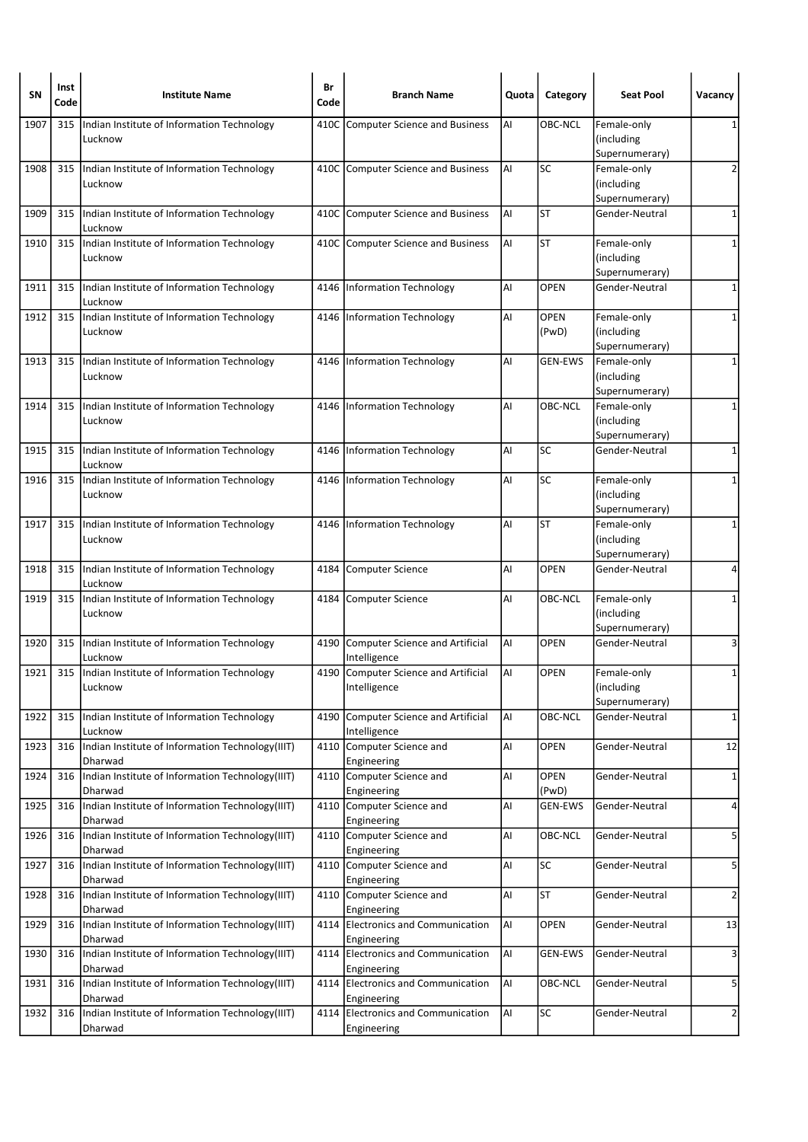| SΝ   | Inst<br>Code | <b>Institute Name</b>                                       | Br<br>Code | <b>Branch Name</b>                                   | Quota | Category         | <b>Seat Pool</b>              | Vacancy        |
|------|--------------|-------------------------------------------------------------|------------|------------------------------------------------------|-------|------------------|-------------------------------|----------------|
| 1907 | 315          | Indian Institute of Information Technology<br>Lucknow       | 410C       | Computer Science and Business                        | AI    | OBC-NCL          | Female-only<br>(including     | 1              |
| 1908 | 315          | Indian Institute of Information Technology                  |            | 410C Computer Science and Business                   | AI    | SC               | Supernumerary)<br>Female-only | 2              |
|      |              | Lucknow                                                     |            |                                                      |       |                  | (including                    |                |
|      |              |                                                             |            |                                                      |       |                  | Supernumerary)                |                |
| 1909 | 315          | Indian Institute of Information Technology<br>Lucknow       |            | 410C Computer Science and Business                   | AI    | <b>ST</b>        | Gender-Neutral                | 1              |
| 1910 | 315          | Indian Institute of Information Technology                  |            | 410C Computer Science and Business                   | AI    | <b>ST</b>        | Female-only                   | $\mathbf{1}$   |
|      |              | Lucknow                                                     |            |                                                      |       |                  | (including<br>Supernumerary)  |                |
| 1911 | 315          | Indian Institute of Information Technology<br>Lucknow       |            | 4146 Information Technology                          | AI    | <b>OPEN</b>      | Gender-Neutral                | 1              |
| 1912 |              | 315  Indian Institute of Information Technology             |            | 4146 Information Technology                          | AI    | <b>OPEN</b>      | Female-only                   | 1              |
|      |              | Lucknow                                                     |            |                                                      |       | (PwD)            | (including                    |                |
| 1913 | 315          | Indian Institute of Information Technology                  |            | 4146   Information Technology                        | Al    | <b>GEN-EWS</b>   | Supernumerary)<br>Female-only | 1              |
|      |              | Lucknow                                                     |            |                                                      |       |                  | (including                    |                |
|      |              |                                                             |            |                                                      |       |                  | Supernumerary)                |                |
| 1914 |              | 315  Indian Institute of Information Technology<br>Lucknow  |            | 4146   Information Technology                        | AI    | OBC-NCL          | Female-only<br>(including     | 1              |
|      |              |                                                             |            |                                                      |       |                  | Supernumerary)                |                |
| 1915 | 315          | Indian Institute of Information Technology<br>Lucknow       |            | 4146 Information Technology                          | AI    | SC               | Gender-Neutral                | 1              |
| 1916 |              | 315  Indian Institute of Information Technology             |            | 4146 Information Technology                          | AI    | <b>SC</b>        | Female-only                   | 1              |
|      |              | Lucknow                                                     |            |                                                      |       |                  | (including                    |                |
| 1917 | 315          | Indian Institute of Information Technology                  |            | 4146   Information Technology                        | AI    | <b>ST</b>        | Supernumerary)<br>Female-only | 1              |
|      |              | Lucknow                                                     |            |                                                      |       |                  | (including                    |                |
|      |              |                                                             |            |                                                      |       |                  | Supernumerary)                |                |
| 1918 | 315          | Indian Institute of Information Technology<br>Lucknow       |            | 4184 Computer Science                                | AI    | OPEN             | Gender-Neutral                | 4              |
| 1919 | 315          | Indian Institute of Information Technology<br>Lucknow       | 4184       | Computer Science                                     | AI    | OBC-NCL          | Female-only<br>(including     | 1              |
|      |              |                                                             |            |                                                      |       |                  | Supernumerary)                |                |
| 1920 |              | 315  Indian Institute of Information Technology<br>Lucknow  |            | 4190 Computer Science and Artificial<br>Intelligence | AI    | <b>OPEN</b>      | Gender-Neutral                | 3              |
| 1921 | 315          | Indian Institute of Information Technology                  |            | 4190 Computer Science and Artificial                 | AI    | <b>OPEN</b>      | Female-only                   | 1              |
|      |              | Lucknow                                                     |            | Intelligence                                         |       |                  | (including<br>Supernumerary)  |                |
| 1922 | 315          | Indian Institute of Information Technology                  |            | 4190 Computer Science and Artificial                 | AI    | OBC-NCL          | Gender-Neutral                | $\mathbf{1}$   |
|      |              | Lucknow                                                     |            | Intelligence                                         |       |                  |                               |                |
| 1923 | 316          | Indian Institute of Information Technology(IIIT)<br>Dharwad |            | 4110 Computer Science and<br>Engineering             | AI    | OPEN             | Gender-Neutral                | 12             |
| 1924 | 316          | Indian Institute of Information Technology(IIIT)            | 4110       | Computer Science and                                 | AI    | OPEN             | Gender-Neutral                | $\mathbf{1}$   |
| 1925 | 316          | Dharwad<br>Indian Institute of Information Technology(IIIT) |            | Engineering<br>4110 Computer Science and             | Al    | (PwD)<br>GEN-EWS | Gender-Neutral                | $\overline{a}$ |
|      |              | Dharwad                                                     |            | Engineering                                          |       |                  |                               |                |
| 1926 | 316          | Indian Institute of Information Technology (IIIT)           |            | 4110 Computer Science and                            | AI    | OBC-NCL          | Gender-Neutral                | 5              |
| 1927 | 316          | Dharwad<br>Indian Institute of Information Technology(IIIT) |            | Engineering<br>4110 Computer Science and             | AI    | SC               | Gender-Neutral                | 5              |
|      |              | Dharwad                                                     |            | Engineering                                          |       |                  |                               |                |
| 1928 | 316          | Indian Institute of Information Technology(IIIT)<br>Dharwad |            | 4110 Computer Science and<br>Engineering             | AI    | <b>ST</b>        | Gender-Neutral                | $\overline{2}$ |
| 1929 | 316          | Indian Institute of Information Technology(IIIT)<br>Dharwad |            | 4114 Electronics and Communication<br>Engineering    | AI    | <b>OPEN</b>      | Gender-Neutral                | 13             |
| 1930 | 316          | Indian Institute of Information Technology(IIIT)            |            | 4114 Electronics and Communication                   | AI    | <b>GEN-EWS</b>   | Gender-Neutral                | 3              |
|      |              | Dharwad                                                     |            | Engineering                                          |       |                  |                               |                |
| 1931 | 316          | Indian Institute of Information Technology(IIIT)<br>Dharwad |            | 4114 Electronics and Communication<br>Engineering    | AI    | OBC-NCL          | Gender-Neutral                | 5              |
| 1932 | 316          | Indian Institute of Information Technology(IIIT)            |            | 4114 Electronics and Communication                   | AI    | SC               | Gender-Neutral                | $\overline{2}$ |
|      |              | Dharwad                                                     |            | Engineering                                          |       |                  |                               |                |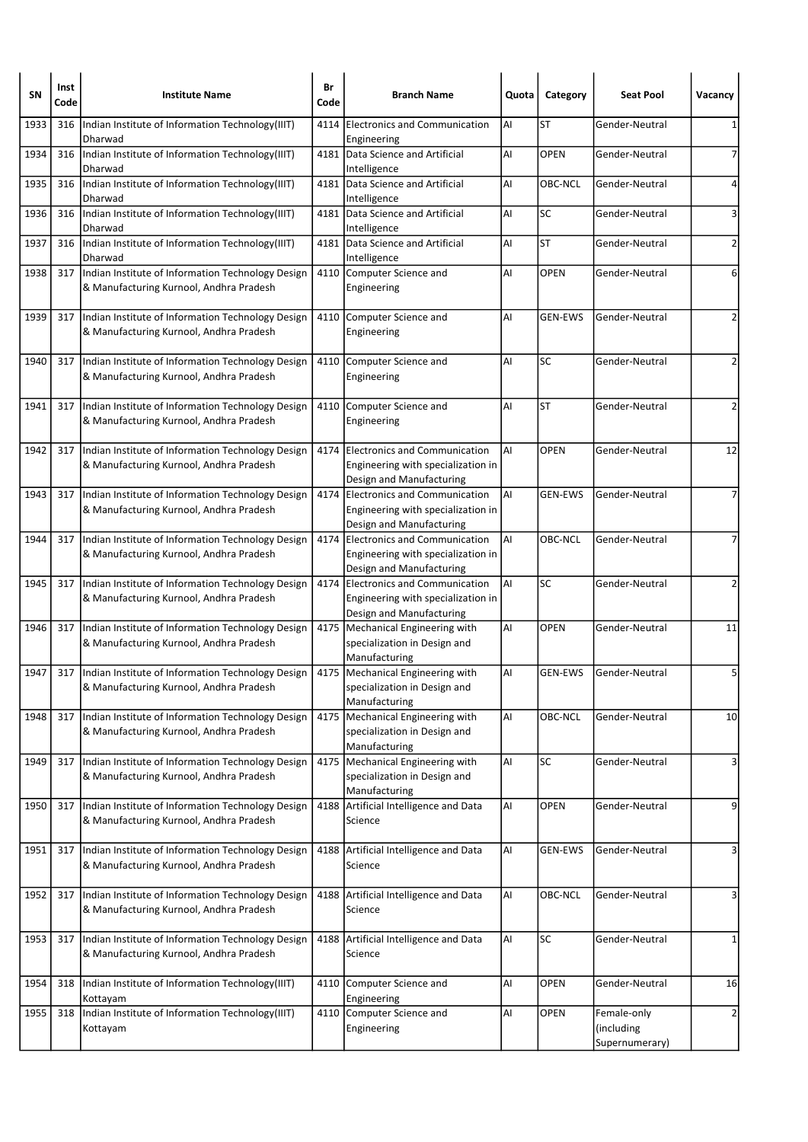| SΝ   | Inst<br>Code | <b>Institute Name</b>                                                                        | Br<br>Code | <b>Branch Name</b>                                                                                   | Quota | Category       | <b>Seat Pool</b>                            | Vacancy        |
|------|--------------|----------------------------------------------------------------------------------------------|------------|------------------------------------------------------------------------------------------------------|-------|----------------|---------------------------------------------|----------------|
| 1933 | 316          | Indian Institute of Information Technology(IIIT)<br>Dharwad                                  | 4114       | <b>Electronics and Communication</b><br>Engineering                                                  | AI    | <b>ST</b>      | Gender-Neutral                              | 1              |
| 1934 | 316          | Indian Institute of Information Technology(IIIT)<br>Dharwad                                  |            | 4181 Data Science and Artificial<br>Intelligence                                                     | Al    | <b>OPEN</b>    | Gender-Neutral                              | 7              |
| 1935 | 316          | Indian Institute of Information Technology(IIIT)<br>Dharwad                                  |            | 4181 Data Science and Artificial<br>Intelligence                                                     | AI    | OBC-NCL        | Gender-Neutral                              | 4              |
| 1936 | 316          | Indian Institute of Information Technology(IIIT)<br>Dharwad                                  | 4181       | Data Science and Artificial<br>Intelligence                                                          | Al    | SC             | Gender-Neutral                              | 3              |
| 1937 | 316          | Indian Institute of Information Technology(IIIT)<br>Dharwad                                  |            | 4181 Data Science and Artificial<br>Intelligence                                                     | Al    | <b>ST</b>      | Gender-Neutral                              | 2              |
| 1938 | 317          | Indian Institute of Information Technology Design<br>& Manufacturing Kurnool, Andhra Pradesh |            | 4110 Computer Science and<br>Engineering                                                             | Al    | <b>OPEN</b>    | Gender-Neutral                              | 6              |
| 1939 | 317          | Indian Institute of Information Technology Design<br>& Manufacturing Kurnool, Andhra Pradesh |            | 4110 Computer Science and<br>Engineering                                                             | Al    | <b>GEN-EWS</b> | Gender-Neutral                              | 2              |
| 1940 | 317          | Indian Institute of Information Technology Design<br>& Manufacturing Kurnool, Andhra Pradesh | 4110       | Computer Science and<br>Engineering                                                                  | Al    | SC             | Gender-Neutral                              | 2              |
| 1941 | 317          | Indian Institute of Information Technology Design<br>& Manufacturing Kurnool, Andhra Pradesh |            | 4110 Computer Science and<br>Engineering                                                             | AI    | <b>ST</b>      | Gender-Neutral                              | 2              |
| 1942 | 317          | Indian Institute of Information Technology Design<br>& Manufacturing Kurnool, Andhra Pradesh | 4174       | Electronics and Communication<br>Engineering with specialization in<br>Design and Manufacturing      | AI    | <b>OPEN</b>    | Gender-Neutral                              | 12             |
| 1943 | 317          | Indian Institute of Information Technology Design<br>& Manufacturing Kurnool, Andhra Pradesh |            | 4174 Electronics and Communication<br>Engineering with specialization in<br>Design and Manufacturing | Al    | <b>GEN-EWS</b> | Gender-Neutral                              | 7              |
| 1944 | 317          | Indian Institute of Information Technology Design<br>& Manufacturing Kurnool, Andhra Pradesh | 4174       | Electronics and Communication<br>Engineering with specialization in<br>Design and Manufacturing      | AI    | OBC-NCL        | Gender-Neutral                              |                |
| 1945 | 317          | Indian Institute of Information Technology Design<br>& Manufacturing Kurnool, Andhra Pradesh |            | 4174 Electronics and Communication<br>Engineering with specialization in<br>Design and Manufacturing | AI    | SC             | Gender-Neutral                              | $\overline{2}$ |
| 1946 | 317          | Indian Institute of Information Technology Design<br>& Manufacturing Kurnool, Andhra Pradesh | 4175       | Mechanical Engineering with<br>specialization in Design and<br>Manufacturing                         | Al    | <b>OPEN</b>    | Gender-Neutral                              | 11             |
| 1947 | 317          | Indian Institute of Information Technology Design<br>& Manufacturing Kurnool, Andhra Pradesh |            | 4175   Mechanical Engineering with<br>specialization in Design and<br>Manufacturing                  | AI    | <b>GEN-EWS</b> | Gender-Neutral                              | 5              |
| 1948 | 317          | Indian Institute of Information Technology Design<br>& Manufacturing Kurnool, Andhra Pradesh | 4175       | Mechanical Engineering with<br>specialization in Design and<br>Manufacturing                         | AI    | OBC-NCL        | Gender-Neutral                              | 10             |
| 1949 | 317          | Indian Institute of Information Technology Design<br>& Manufacturing Kurnool, Andhra Pradesh |            | 4175 Mechanical Engineering with<br>specialization in Design and<br>Manufacturing                    | AI    | SC             | Gender-Neutral                              | 3              |
| 1950 | 317          | Indian Institute of Information Technology Design<br>& Manufacturing Kurnool, Andhra Pradesh |            | 4188 Artificial Intelligence and Data<br>Science                                                     | AI    | <b>OPEN</b>    | Gender-Neutral                              | 9              |
| 1951 | 317          | Indian Institute of Information Technology Design<br>& Manufacturing Kurnool, Andhra Pradesh |            | 4188 Artificial Intelligence and Data<br>Science                                                     | AI    | <b>GEN-EWS</b> | Gender-Neutral                              | 3              |
| 1952 | 317          | Indian Institute of Information Technology Design<br>& Manufacturing Kurnool, Andhra Pradesh |            | 4188 Artificial Intelligence and Data<br>Science                                                     | Al    | OBC-NCL        | Gender-Neutral                              | 3              |
| 1953 | 317          | Indian Institute of Information Technology Design<br>& Manufacturing Kurnool, Andhra Pradesh | 4188       | Artificial Intelligence and Data<br>Science                                                          | AI    | <b>SC</b>      | Gender-Neutral                              | 1              |
| 1954 | 318          | Indian Institute of Information Technology(IIIT)<br>Kottayam                                 |            | 4110 Computer Science and<br>Engineering                                                             | Al    | OPEN           | Gender-Neutral                              | 16             |
| 1955 | 318          | Indian Institute of Information Technology(IIIT)<br>Kottayam                                 |            | 4110 Computer Science and<br>Engineering                                                             | AI    | <b>OPEN</b>    | Female-only<br>(including<br>Supernumerary) | 2              |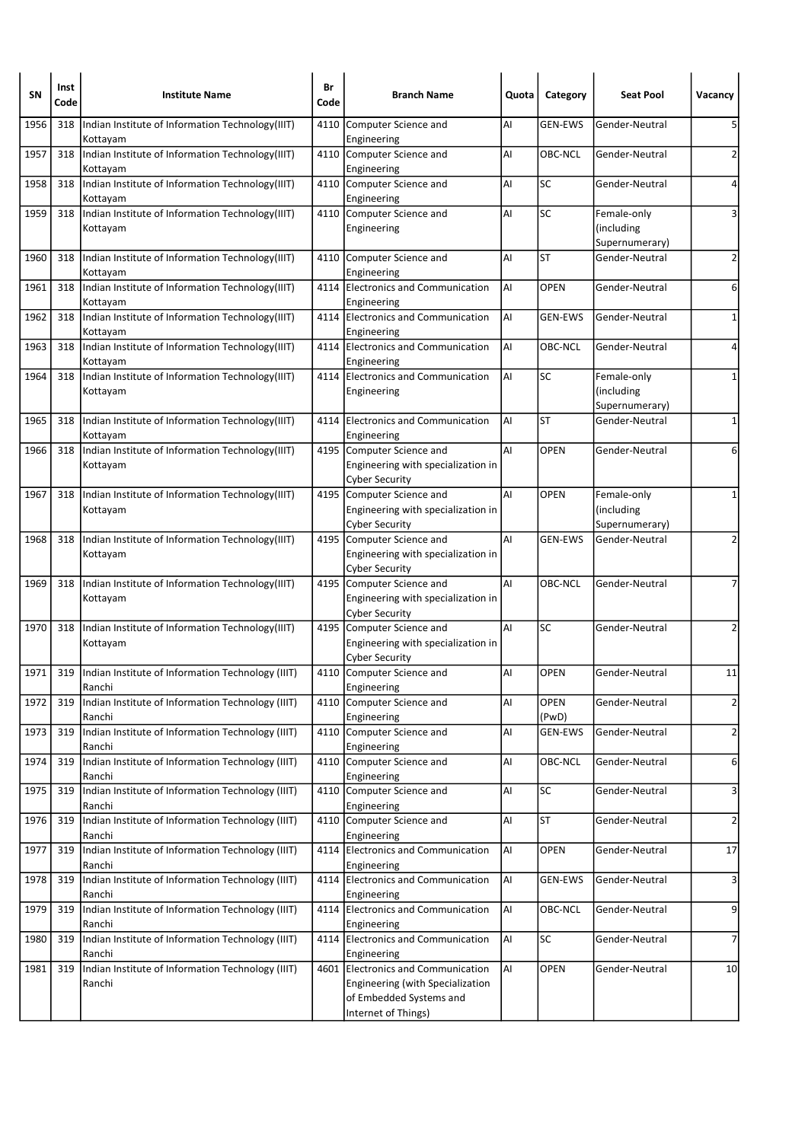| SΝ   | Inst<br>Code | <b>Institute Name</b>                                         | Br<br>Code | <b>Branch Name</b>                                                                                                       | Quota | Category             | <b>Seat Pool</b>                            | Vacancy        |
|------|--------------|---------------------------------------------------------------|------------|--------------------------------------------------------------------------------------------------------------------------|-------|----------------------|---------------------------------------------|----------------|
| 1956 | 318          | Indian Institute of Information Technology(IIIT)<br>Kottayam  | 4110       | Computer Science and<br>Engineering                                                                                      | Al    | <b>GEN-EWS</b>       | Gender-Neutral                              | 5              |
| 1957 | 318          | Indian Institute of Information Technology(IIIT)<br>Kottayam  |            | 4110 Computer Science and<br>Engineering                                                                                 | Al    | OBC-NCL              | Gender-Neutral                              | 2              |
| 1958 | 318          | Indian Institute of Information Technology (IIIT)<br>Kottayam |            | 4110 Computer Science and<br>Engineering                                                                                 | Al    | SC                   | Gender-Neutral                              | 4              |
| 1959 | 318          | Indian Institute of Information Technology(IIIT)<br>Kottayam  | 4110       | Computer Science and<br>Engineering                                                                                      | AI    | <b>SC</b>            | Female-only<br>(including<br>Supernumerary) | 3              |
| 1960 | 318          | Indian Institute of Information Technology(IIIT)<br>Kottayam  | 4110       | Computer Science and<br>Engineering                                                                                      | Al    | <b>ST</b>            | Gender-Neutral                              | 2              |
| 1961 | 318          | Indian Institute of Information Technology(IIIT)<br>Kottayam  | 4114       | Electronics and Communication<br>Engineering                                                                             | AI    | OPEN                 | Gender-Neutral                              | 6              |
| 1962 | 318          | Indian Institute of Information Technology(IIIT)<br>Kottayam  |            | 4114 Electronics and Communication<br>Engineering                                                                        | Al    | <b>GEN-EWS</b>       | Gender-Neutral                              | 1              |
| 1963 | 318          | Indian Institute of Information Technology(IIIT)<br>Kottayam  |            | 4114 Electronics and Communication<br>Engineering                                                                        | AI    | OBC-NCL              | Gender-Neutral                              | 4              |
| 1964 | 318          | Indian Institute of Information Technology(IIIT)<br>Kottayam  | 4114       | Electronics and Communication<br>Engineering                                                                             | Al    | SC                   | Female-only<br>(including<br>Supernumerary) | 1              |
| 1965 | 318          | Indian Institute of Information Technology(IIIT)<br>Kottayam  |            | 4114 Electronics and Communication<br>Engineering                                                                        | Al    | <b>ST</b>            | Gender-Neutral                              | 1              |
| 1966 | 318          | Indian Institute of Information Technology(IIIT)<br>Kottayam  |            | 4195 Computer Science and<br>Engineering with specialization in<br><b>Cyber Security</b>                                 | Al    | <b>OPEN</b>          | Gender-Neutral                              | 6              |
| 1967 | 318          | Indian Institute of Information Technology(IIIT)<br>Kottayam  |            | 4195 Computer Science and<br>Engineering with specialization in<br><b>Cyber Security</b>                                 | Al    | <b>OPEN</b>          | Female-only<br>(including<br>Supernumerary) | 1              |
| 1968 | 318          | Indian Institute of Information Technology(IIIT)<br>Kottayam  |            | 4195 Computer Science and<br>Engineering with specialization in<br>Cyber Security                                        | AI    | <b>GEN-EWS</b>       | Gender-Neutral                              | 2              |
| 1969 | 318          | Indian Institute of Information Technology(IIIT)<br>Kottayam  |            | 4195 Computer Science and<br>Engineering with specialization in<br><b>Cyber Security</b>                                 | AI    | OBC-NCL              | Gender-Neutral                              | 7              |
| 1970 | 318          | Indian Institute of Information Technology(IIIT)<br>Kottayam  |            | 4195 Computer Science and<br>Engineering with specialization in<br><b>Cyber Security</b>                                 | Al    | SC                   | Gender-Neutral                              | 2              |
| 1971 | 319          | Indian Institute of Information Technology (IIIT)<br>Ranchi   |            | 4110 Computer Science and<br>Engineering                                                                                 | Al    | <b>OPEN</b>          | Gender-Neutral                              | 11             |
| 1972 | 319          | Indian Institute of Information Technology (IIIT)<br>Ranchi   |            | 4110 Computer Science and<br>Engineering                                                                                 | AI    | <b>OPEN</b><br>(PwD) | Gender-Neutral                              | $\overline{2}$ |
| 1973 | 319          | Indian Institute of Information Technology (IIIT)<br>Ranchi   |            | 4110 Computer Science and<br>Engineering                                                                                 | Al    | GEN-EWS              | Gender-Neutral                              | $\overline{2}$ |
| 1974 | 319          | Indian Institute of Information Technology (IIIT)<br>Ranchi   |            | 4110 Computer Science and<br>Engineering                                                                                 | Al    | OBC-NCL              | Gender-Neutral                              | 6              |
| 1975 | 319          | Indian Institute of Information Technology (IIIT)<br>Ranchi   |            | 4110 Computer Science and<br>Engineering                                                                                 | AI    | SC                   | Gender-Neutral                              | 3              |
| 1976 | 319          | Indian Institute of Information Technology (IIIT)<br>Ranchi   |            | 4110 Computer Science and<br>Engineering                                                                                 | AI    | <b>ST</b>            | Gender-Neutral                              | $\overline{2}$ |
| 1977 | 319          | Indian Institute of Information Technology (IIIT)<br>Ranchi   |            | 4114 Electronics and Communication<br>Engineering                                                                        | AI    | <b>OPEN</b>          | Gender-Neutral                              | 17             |
| 1978 | 319          | Indian Institute of Information Technology (IIIT)<br>Ranchi   |            | 4114 Electronics and Communication<br>Engineering                                                                        | AI    | <b>GEN-EWS</b>       | Gender-Neutral                              | 3              |
| 1979 | 319          | Indian Institute of Information Technology (IIIT)<br>Ranchi   |            | 4114 Electronics and Communication<br>Engineering                                                                        | AI    | <b>OBC-NCL</b>       | Gender-Neutral                              | 9              |
| 1980 | 319          | Indian Institute of Information Technology (IIIT)<br>Ranchi   |            | 4114 Electronics and Communication<br>Engineering                                                                        | AI    | <b>SC</b>            | Gender-Neutral                              | 7              |
| 1981 | 319          | Indian Institute of Information Technology (IIIT)<br>Ranchi   |            | 4601 Electronics and Communication<br>Engineering (with Specialization<br>of Embedded Systems and<br>Internet of Things) | Al    | <b>OPEN</b>          | Gender-Neutral                              | 10             |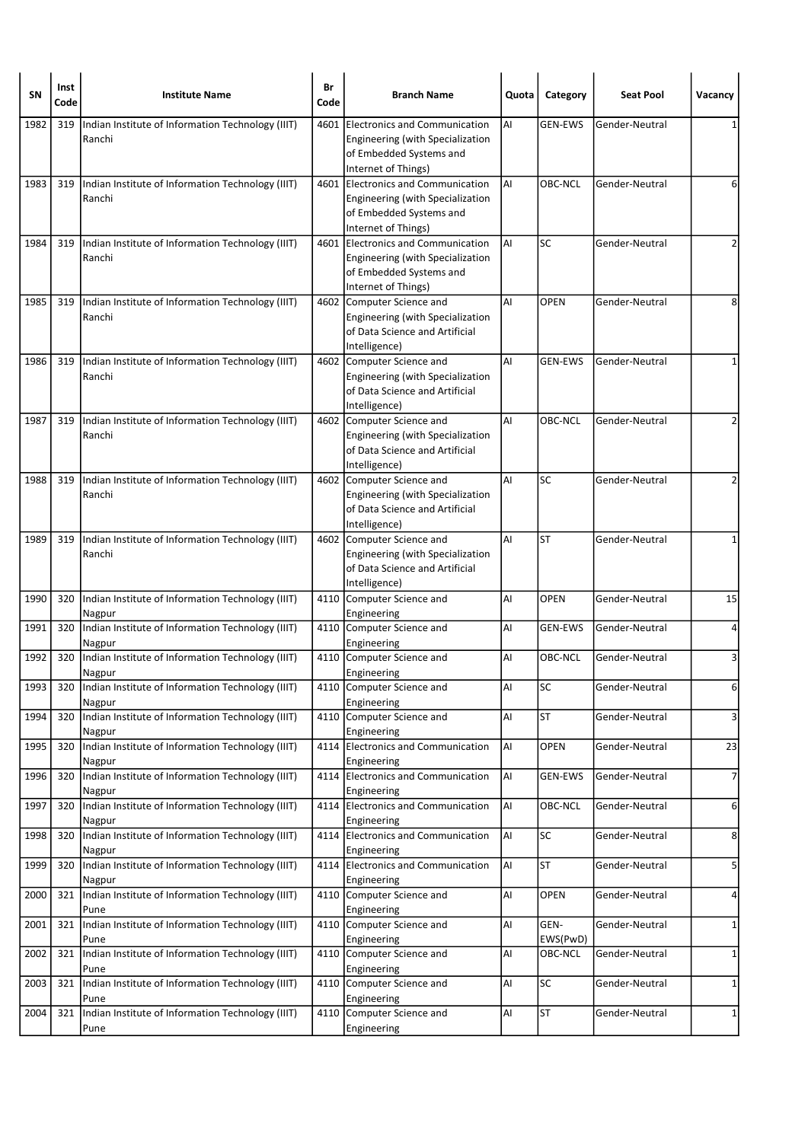| SΝ   | Inst<br>Code | <b>Institute Name</b>                                       | Br<br>Code | <b>Branch Name</b>                                                                                                       | Quota | Category         | <b>Seat Pool</b> | Vacancy        |
|------|--------------|-------------------------------------------------------------|------------|--------------------------------------------------------------------------------------------------------------------------|-------|------------------|------------------|----------------|
| 1982 | 319          | Indian Institute of Information Technology (IIIT)<br>Ranchi | 4601       | Electronics and Communication<br>Engineering (with Specialization<br>of Embedded Systems and<br>Internet of Things)      | AI    | <b>GEN-EWS</b>   | Gender-Neutral   |                |
| 1983 | 319          | Indian Institute of Information Technology (IIIT)<br>Ranchi |            | 4601 Electronics and Communication<br>Engineering (with Specialization<br>of Embedded Systems and<br>Internet of Things) | AI    | OBC-NCL          | Gender-Neutral   | 6              |
| 1984 | 319          | Indian Institute of Information Technology (IIIT)<br>Ranchi |            | 4601 Electronics and Communication<br>Engineering (with Specialization<br>of Embedded Systems and<br>Internet of Things) | Al    | <b>SC</b>        | Gender-Neutral   | $\overline{2}$ |
| 1985 | 319          | Indian Institute of Information Technology (IIIT)<br>Ranchi |            | 4602 Computer Science and<br>Engineering (with Specialization<br>of Data Science and Artificial<br>Intelligence)         | Al    | <b>OPEN</b>      | Gender-Neutral   | 8              |
| 1986 | 319          | Indian Institute of Information Technology (IIIT)<br>Ranchi |            | 4602 Computer Science and<br>Engineering (with Specialization<br>of Data Science and Artificial<br>Intelligence)         | Al    | <b>GEN-EWS</b>   | Gender-Neutral   | 1              |
| 1987 | 319          | Indian Institute of Information Technology (IIIT)<br>Ranchi |            | 4602 Computer Science and<br>Engineering (with Specialization<br>of Data Science and Artificial<br>Intelligence)         | AI    | OBC-NCL          | Gender-Neutral   | $\overline{2}$ |
| 1988 | 319          | Indian Institute of Information Technology (IIIT)<br>Ranchi |            | 4602 Computer Science and<br>Engineering (with Specialization<br>of Data Science and Artificial<br>Intelligence)         | AI    | <b>SC</b>        | Gender-Neutral   | 2              |
| 1989 | 319          | Indian Institute of Information Technology (IIIT)<br>Ranchi |            | 4602 Computer Science and<br>Engineering (with Specialization<br>of Data Science and Artificial<br>Intelligence)         | AI    | <b>ST</b>        | Gender-Neutral   | 1              |
| 1990 | 320          | Indian Institute of Information Technology (IIIT)<br>Nagpur |            | 4110 Computer Science and<br>Engineering                                                                                 | Al    | <b>OPEN</b>      | Gender-Neutral   | 15             |
| 1991 | 320          | Indian Institute of Information Technology (IIIT)<br>Nagpur |            | 4110 Computer Science and<br>Engineering                                                                                 | Al    | <b>GEN-EWS</b>   | Gender-Neutral   | 4              |
| 1992 | 320          | Indian Institute of Information Technology (IIIT)<br>Nagpur |            | 4110 Computer Science and<br>Engineering                                                                                 | Al    | OBC-NCL          | Gender-Neutral   | 3              |
| 1993 | 320          | Indian Institute of Information Technology (IIIT)<br>Nagpur |            | 4110 Computer Science and<br>Engineering                                                                                 | Al    | <b>SC</b>        | Gender-Neutral   | 6              |
| 1994 | 320          | Indian Institute of Information Technology (IIIT)<br>Nagpur | 4110       | Computer Science and<br>Engineering                                                                                      | AI    | <b>ST</b>        | Gender-Neutral   | 3              |
| 1995 | 320          | Indian Institute of Information Technology (IIIT)<br>Nagpur |            | 4114 Electronics and Communication<br>Engineering                                                                        | AI    | OPEN             | Gender-Neutral   | 23             |
| 1996 | 320          | Indian Institute of Information Technology (IIIT)<br>Nagpur | 4114       | Electronics and Communication<br>Engineering                                                                             | AI    | GEN-EWS          | Gender-Neutral   | $\overline{7}$ |
| 1997 | 320          | Indian Institute of Information Technology (IIIT)<br>Nagpur |            | 4114 Electronics and Communication<br>Engineering                                                                        | AI    | OBC-NCL          | Gender-Neutral   | 6              |
| 1998 | 320          | Indian Institute of Information Technology (IIIT)<br>Nagpur |            | 4114 Electronics and Communication<br>Engineering                                                                        | AI    | <b>SC</b>        | Gender-Neutral   | 8              |
| 1999 | 320          | Indian Institute of Information Technology (IIIT)<br>Nagpur | 4114       | Electronics and Communication<br>Engineering                                                                             | AI    | <b>ST</b>        | Gender-Neutral   | 5              |
| 2000 | 321          | Indian Institute of Information Technology (IIIT)<br>Pune   |            | 4110 Computer Science and<br>Engineering                                                                                 | Al    | <b>OPEN</b>      | Gender-Neutral   | 4              |
| 2001 | 321          | Indian Institute of Information Technology (IIIT)<br>Pune   |            | 4110 Computer Science and<br>Engineering                                                                                 | Al    | GEN-<br>EWS(PwD) | Gender-Neutral   | $\mathbf{1}$   |
| 2002 | 321          | Indian Institute of Information Technology (IIIT)<br>Pune   |            | 4110 Computer Science and<br>Engineering                                                                                 | Al    | OBC-NCL          | Gender-Neutral   | 1              |
| 2003 | 321          | Indian Institute of Information Technology (IIIT)<br>Pune   |            | 4110 Computer Science and<br>Engineering                                                                                 | Al    | SC               | Gender-Neutral   | 1              |
| 2004 | 321          | Indian Institute of Information Technology (IIIT)<br>Pune   |            | 4110 Computer Science and<br>Engineering                                                                                 | AI    | <b>ST</b>        | Gender-Neutral   | $\mathbf{1}$   |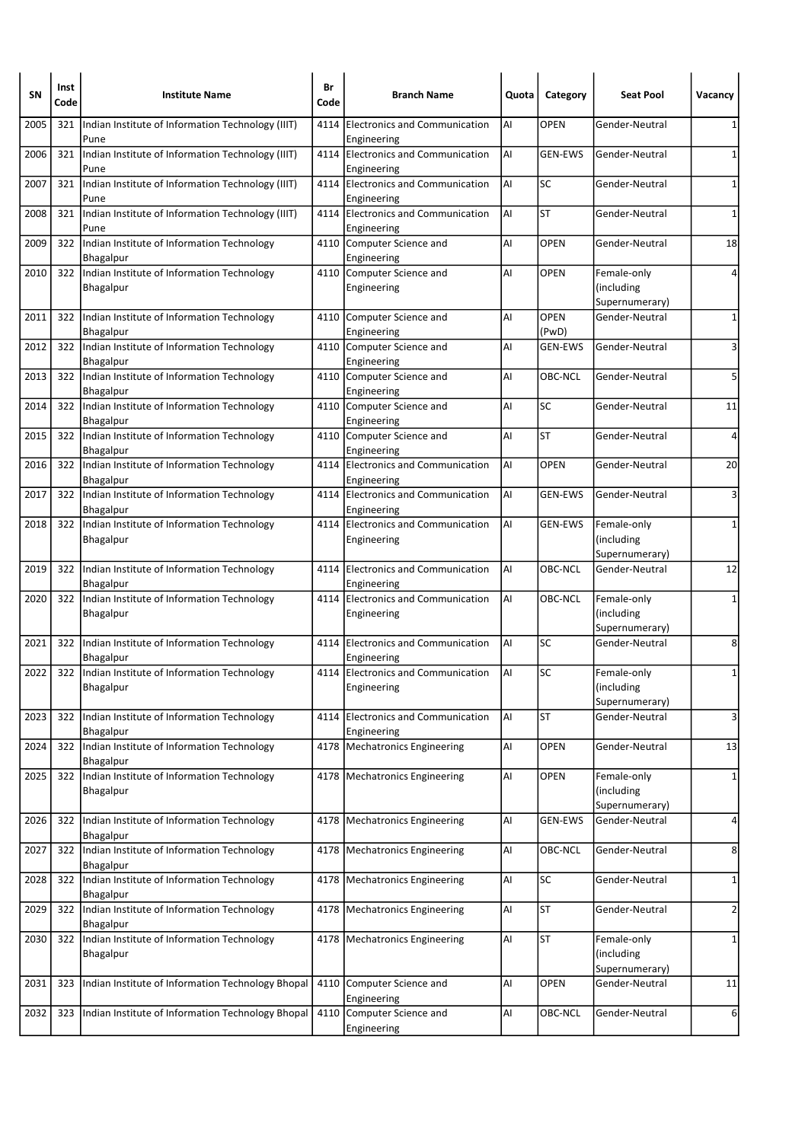| <b>SN</b> | Inst<br>Code | <b>Institute Name</b>                                          | Br<br>Code | <b>Branch Name</b>                                  | Quota | Category             | <b>Seat Pool</b>                            | Vacancy        |
|-----------|--------------|----------------------------------------------------------------|------------|-----------------------------------------------------|-------|----------------------|---------------------------------------------|----------------|
| 2005      | 321          | Indian Institute of Information Technology (IIIT)<br>Pune      | 4114       | <b>Electronics and Communication</b><br>Engineering | AI    | <b>OPEN</b>          | Gender-Neutral                              | 1              |
| 2006      | 321          | Indian Institute of Information Technology (IIIT)<br>Pune      |            | 4114 Electronics and Communication<br>Engineering   | AI    | <b>GEN-EWS</b>       | Gender-Neutral                              | 1              |
| 2007      | 321          | Indian Institute of Information Technology (IIIT)<br>Pune      |            | 4114 Electronics and Communication<br>Engineering   | AI    | SC                   | Gender-Neutral                              | 1              |
| 2008      | 321          | Indian Institute of Information Technology (IIIT)<br>Pune      | 4114       | Electronics and Communication<br>Engineering        | Al    | <b>ST</b>            | Gender-Neutral                              | $\mathbf 1$    |
| 2009      | 322          | Indian Institute of Information Technology<br>Bhagalpur        |            | 4110 Computer Science and<br>Engineering            | AI    | <b>OPEN</b>          | Gender-Neutral                              | 18             |
| 2010      | 322          | Indian Institute of Information Technology<br><b>Bhagalpur</b> |            | 4110 Computer Science and<br>Engineering            | AI    | <b>OPEN</b>          | Female-only<br>(including<br>Supernumerary) | 4              |
| 2011      | 322          | Indian Institute of Information Technology<br>Bhagalpur        |            | 4110 Computer Science and<br>Engineering            | Al    | <b>OPEN</b><br>(PwD) | Gender-Neutral                              | 1              |
| 2012      | 322          | Indian Institute of Information Technology<br>Bhagalpur        |            | 4110 Computer Science and<br>Engineering            | AI    | <b>GEN-EWS</b>       | Gender-Neutral                              | 3              |
| 2013      | 322          | Indian Institute of Information Technology<br>Bhagalpur        |            | 4110 Computer Science and<br>Engineering            | Al    | OBC-NCL              | Gender-Neutral                              | 5              |
| 2014      | 322          | Indian Institute of Information Technology<br>Bhagalpur        |            | 4110 Computer Science and<br>Engineering            | Al    | SC                   | Gender-Neutral                              | 11             |
| 2015      | 322          | Indian Institute of Information Technology<br>Bhagalpur        |            | 4110 Computer Science and<br>Engineering            | AI    | <b>ST</b>            | Gender-Neutral                              | 4              |
| 2016      | 322          | Indian Institute of Information Technology<br>Bhagalpur        |            | 4114 Electronics and Communication<br>Engineering   | AI    | <b>OPEN</b>          | Gender-Neutral                              | 20             |
| 2017      | 322          | Indian Institute of Information Technology<br>Bhagalpur        |            | 4114 Electronics and Communication<br>Engineering   | AI    | <b>GEN-EWS</b>       | Gender-Neutral                              | 3              |
| 2018      | 322          | Indian Institute of Information Technology<br>Bhagalpur        | 4114       | <b>Electronics and Communication</b><br>Engineering | Al    | <b>GEN-EWS</b>       | Female-only<br>(including<br>Supernumerary) | $\mathbf{1}$   |
| 2019      | 322          | Indian Institute of Information Technology<br>Bhagalpur        |            | 4114 Electronics and Communication<br>Engineering   | AI    | OBC-NCL              | Gender-Neutral                              | 12             |
| 2020      | 322          | Indian Institute of Information Technology<br><b>Bhagalpur</b> |            | 4114 Electronics and Communication<br>Engineering   | l Al  | OBC-NCL              | Female-only<br>(including<br>Supernumerary) | $\mathbf{1}$   |
| 2021      | 322          | Indian Institute of Information Technology<br>Bhagalpur        |            | 4114 Electronics and Communication<br>Engineering   | AI    | SC                   | Gender-Neutral                              | 8              |
| 2022      |              | 322 Indian Institute of Information Technology<br>Bhagalpur    |            | 4114 Electronics and Communication<br>Engineering   | l Al  | SC                   | Female-only<br>(including<br>Supernumerary) | 1              |
| 2023      | 322          | Indian Institute of Information Technology<br>Bhagalpur        | 4114       | Electronics and Communication<br>Engineering        | ΑI    | <b>ST</b>            | Gender-Neutral                              | 3              |
| 2024      | 322          | Indian Institute of Information Technology<br>Bhagalpur        |            | 4178   Mechatronics Engineering                     | AI    | <b>OPEN</b>          | Gender-Neutral                              | 13             |
| 2025      | 322          | Indian Institute of Information Technology<br>Bhagalpur        |            | 4178 Mechatronics Engineering                       | AI    | <b>OPEN</b>          | Female-only<br>(including<br>Supernumerary) | 1              |
| 2026      | 322          | Indian Institute of Information Technology<br>Bhagalpur        |            | 4178   Mechatronics Engineering                     | Al    | <b>GEN-EWS</b>       | Gender-Neutral                              | 4              |
| 2027      | 322          | Indian Institute of Information Technology<br>Bhagalpur        |            | 4178   Mechatronics Engineering                     | Al    | OBC-NCL              | Gender-Neutral                              | 8              |
| 2028      | 322          | Indian Institute of Information Technology<br>Bhagalpur        |            | 4178   Mechatronics Engineering                     | AI    | SC                   | Gender-Neutral                              | 1              |
| 2029      |              | 322   Indian Institute of Information Technology<br>Bhagalpur  |            | 4178   Mechatronics Engineering                     | AI    | <b>ST</b>            | Gender-Neutral                              | $\overline{2}$ |
| 2030      | 322          | Indian Institute of Information Technology<br>Bhagalpur        |            | 4178   Mechatronics Engineering                     | AI    | <b>ST</b>            | Female-only<br>(including<br>Supernumerary) | 1              |
| 2031      | 323          | Indian Institute of Information Technology Bhopal              |            | 4110 Computer Science and<br>Engineering            | Al    | <b>OPEN</b>          | Gender-Neutral                              | 11             |
| 2032      | 323          | Indian Institute of Information Technology Bhopal              |            | 4110 Computer Science and<br>Engineering            | AI    | OBC-NCL              | Gender-Neutral                              | 6              |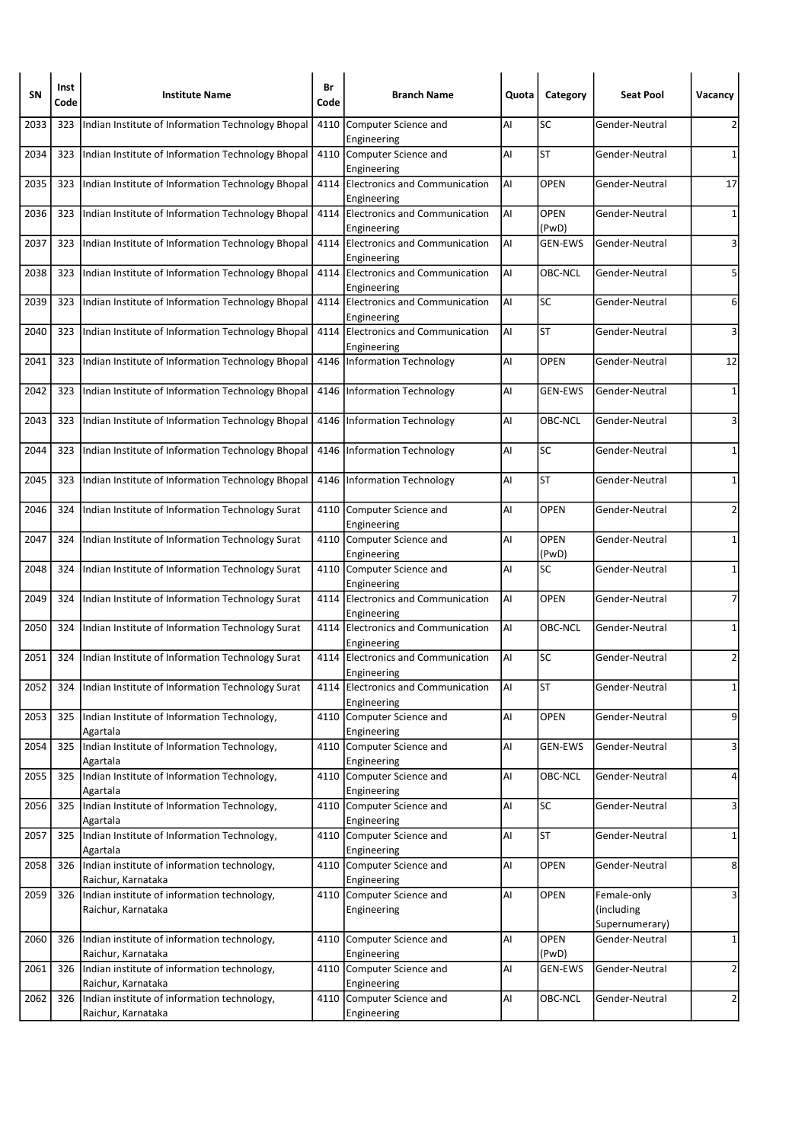| SΝ   | Inst<br>Code | <b>Institute Name</b>                                             | Br<br>Code | <b>Branch Name</b>                                | Quota | Category             | <b>Seat Pool</b>                            | Vacancy        |
|------|--------------|-------------------------------------------------------------------|------------|---------------------------------------------------|-------|----------------------|---------------------------------------------|----------------|
| 2033 | 323          | Indian Institute of Information Technology Bhopal                 | 4110       | Computer Science and<br>Engineering               | Al    | SC                   | Gender-Neutral                              | 2              |
| 2034 | 323          | Indian Institute of Information Technology Bhopal                 |            | 4110 Computer Science and<br>Engineering          | AI    | <b>ST</b>            | Gender-Neutral                              | $\mathbf{1}$   |
| 2035 | 323          | Indian Institute of Information Technology Bhopal                 |            | 4114 Electronics and Communication<br>Engineering | Al    | <b>OPEN</b>          | Gender-Neutral                              | 17             |
| 2036 | 323          | Indian Institute of Information Technology Bhopal                 | 4114       | Electronics and Communication<br>Engineering      | Al    | <b>OPEN</b><br>(PwD) | Gender-Neutral                              | 1              |
| 2037 | 323          | Indian Institute of Information Technology Bhopal                 |            | 4114 Electronics and Communication<br>Engineering | l Al  | <b>GEN-EWS</b>       | Gender-Neutral                              | 3              |
| 2038 | 323          | Indian Institute of Information Technology Bhopal                 |            | 4114 Electronics and Communication<br>Engineering | AI    | OBC-NCL              | Gender-Neutral                              | 5              |
| 2039 | 323          | Indian Institute of Information Technology Bhopal                 |            | 4114 Electronics and Communication<br>Engineering | AI    | SC                   | Gender-Neutral                              | 6              |
| 2040 | 323          | Indian Institute of Information Technology Bhopal                 |            | 4114 Electronics and Communication<br>Engineering | AI    | <b>ST</b>            | Gender-Neutral                              | 3              |
| 2041 | 323          | Indian Institute of Information Technology Bhopal                 |            | 4146 Information Technology                       | Al    | <b>OPEN</b>          | Gender-Neutral                              | 12             |
| 2042 | 323          | Indian Institute of Information Technology Bhopal                 |            | 4146   Information Technology                     | Al    | GEN-EWS              | Gender-Neutral                              | 1              |
| 2043 | 323          | Indian Institute of Information Technology Bhopal                 |            | 4146   Information Technology                     | AI    | OBC-NCL              | Gender-Neutral                              | 3              |
| 2044 | 323          | Indian Institute of Information Technology Bhopal                 | 4146       | Information Technology                            | Al    | SC                   | Gender-Neutral                              | 1              |
| 2045 | 323          | Indian Institute of Information Technology Bhopal                 |            | 4146 Information Technology                       | Al    | <b>ST</b>            | Gender-Neutral                              | 1              |
| 2046 | 324          | Indian Institute of Information Technology Surat                  |            | 4110 Computer Science and<br>Engineering          | AI    | <b>OPEN</b>          | Gender-Neutral                              | 2              |
| 2047 | 324          | Indian Institute of Information Technology Surat                  |            | 4110 Computer Science and<br>Engineering          | AI    | <b>OPEN</b><br>(PwD) | Gender-Neutral                              | 1              |
| 2048 | 324          | Indian Institute of Information Technology Surat                  |            | 4110 Computer Science and<br>Engineering          | AI    | <b>SC</b>            | Gender-Neutral                              | $\mathbf 1$    |
| 2049 | 324          | Indian Institute of Information Technology Surat                  |            | 4114 Electronics and Communication<br>Engineering | AI    | <b>OPEN</b>          | Gender-Neutral                              | $\overline{7}$ |
| 2050 | 324          | Indian Institute of Information Technology Surat                  |            | 4114 Electronics and Communication<br>Engineering | AI    | OBC-NCL              | Gender-Neutral                              | 1              |
| 2051 | 324          | Indian Institute of Information Technology Surat                  |            | 4114 Electronics and Communication<br>Engineering | laı   | <b>SC</b>            | Gender-Neutral                              | $\overline{2}$ |
| 2052 | 324          | Indian Institute of Information Technology Surat                  |            | 4114 Electronics and Communication<br>Engineering | AI    | <b>ST</b>            | Gender-Neutral                              | $1\vert$       |
| 2053 | 325          | Indian Institute of Information Technology,<br>Agartala           |            | 4110 Computer Science and<br>Engineering          | AI    | OPEN                 | Gender-Neutral                              | 9              |
| 2054 | 325          | Indian Institute of Information Technology,<br>Agartala           |            | 4110 Computer Science and<br>Engineering          | AI    | <b>GEN-EWS</b>       | Gender-Neutral                              | 3              |
| 2055 | 325          | Indian Institute of Information Technology,<br>Agartala           | 4110       | Computer Science and<br>Engineering               | Al    | OBC-NCL              | Gender-Neutral                              | $\overline{a}$ |
| 2056 | 325          | Indian Institute of Information Technology,<br>Agartala           |            | 4110 Computer Science and<br>Engineering          | Al    | <b>SC</b>            | Gender-Neutral                              | 3              |
| 2057 | 325          | Indian Institute of Information Technology,<br>Agartala           |            | 4110 Computer Science and<br>Engineering          | AI    | <b>ST</b>            | Gender-Neutral                              | 1              |
| 2058 | 326          | Indian institute of information technology,<br>Raichur, Karnataka |            | 4110 Computer Science and<br>Engineering          | AI    | OPEN                 | Gender-Neutral                              | 8              |
| 2059 | 326          | Indian institute of information technology,<br>Raichur, Karnataka |            | 4110 Computer Science and<br>Engineering          | AI    | <b>OPEN</b>          | Female-only<br>(including<br>Supernumerary) | 3              |
| 2060 | 326          | Indian institute of information technology,<br>Raichur, Karnataka | 4110       | Computer Science and<br>Engineering               | Al    | <b>OPEN</b><br>(PwD) | Gender-Neutral                              | $\mathbf{1}$   |
| 2061 | 326          | Indian institute of information technology,<br>Raichur, Karnataka |            | 4110 Computer Science and<br>Engineering          | Al    | GEN-EWS              | Gender-Neutral                              | $\overline{2}$ |
| 2062 | 326          | Indian institute of information technology,<br>Raichur, Karnataka |            | 4110 Computer Science and<br>Engineering          | AI    | OBC-NCL              | Gender-Neutral                              | $\overline{2}$ |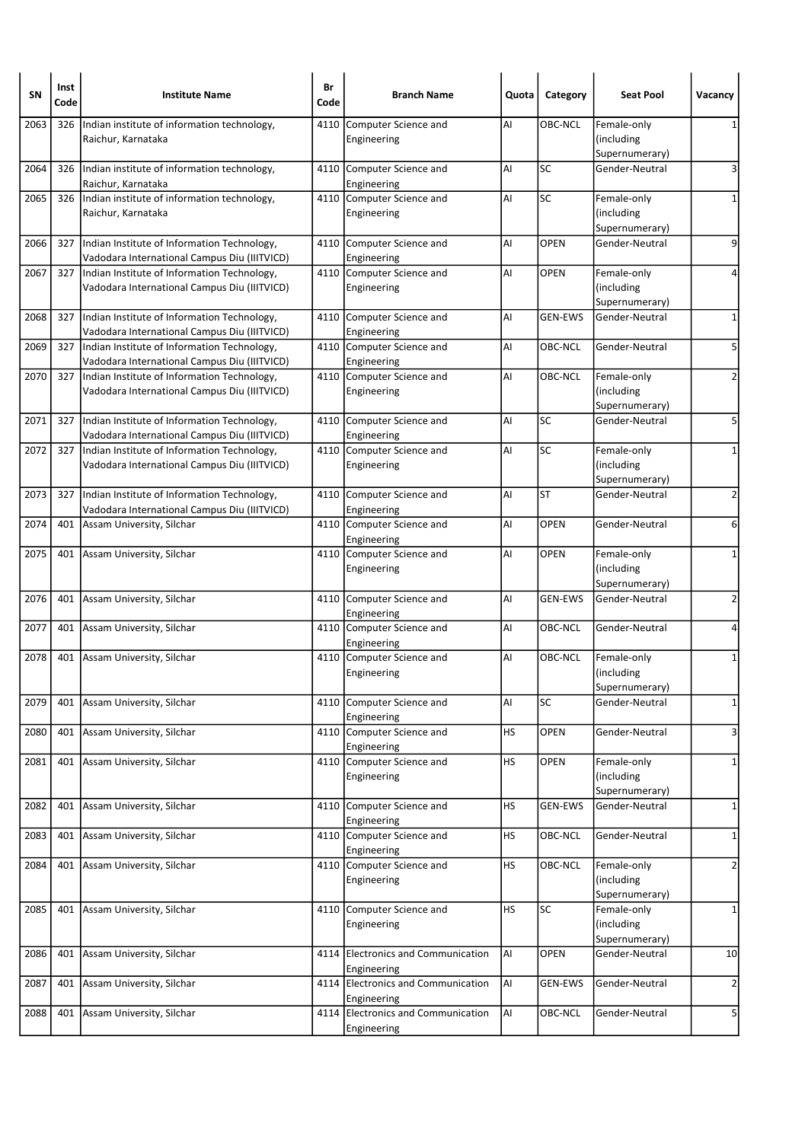| SΝ   | Inst<br>Code | <b>Institute Name</b>                                                                       | Br<br>Code | <b>Branch Name</b>                       | Quota     | Category        | <b>Seat Pool</b>                 | Vacancy        |
|------|--------------|---------------------------------------------------------------------------------------------|------------|------------------------------------------|-----------|-----------------|----------------------------------|----------------|
| 2063 | 326          | Indian institute of information technology,                                                 | 4110       | Computer Science and                     | AI        | OBC-NCL         | Female-only                      |                |
|      |              | Raichur, Karnataka                                                                          |            | Engineering                              |           |                 | (including                       |                |
|      |              |                                                                                             |            |                                          |           | <b>SC</b>       | Supernumerary)                   |                |
| 2064 | 326          | Indian institute of information technology,<br>Raichur, Karnataka                           |            | 4110 Computer Science and<br>Engineering | AI        |                 | Gender-Neutral                   | 3              |
| 2065 | 326          | Indian institute of information technology,                                                 |            | 4110 Computer Science and                | AI        | SC              | Female-only                      | 1              |
|      |              | Raichur, Karnataka                                                                          |            | Engineering                              |           |                 | (including<br>Supernumerary)     |                |
| 2066 | 327          | Indian Institute of Information Technology,                                                 |            | 4110 Computer Science and                | Al        | <b>OPEN</b>     | Gender-Neutral                   | 9              |
|      |              | Vadodara International Campus Diu (IIITVICD)                                                |            | Engineering                              |           |                 |                                  |                |
| 2067 | 327          | Indian Institute of Information Technology,                                                 |            | 4110 Computer Science and                | AI        | <b>OPEN</b>     | Female-only                      | 4              |
|      |              | Vadodara International Campus Diu (IIITVICD)                                                |            | Engineering                              |           |                 | (including                       |                |
|      |              |                                                                                             |            |                                          |           |                 | Supernumerary)                   |                |
| 2068 | 327          | Indian Institute of Information Technology,                                                 |            | 4110 Computer Science and                | AI        | <b>GEN-EWS</b>  | Gender-Neutral                   | 1              |
| 2069 | 327          | Vadodara International Campus Diu (IIITVICD)<br>Indian Institute of Information Technology, |            | Engineering<br>4110 Computer Science and | AI        | OBC-NCL         | Gender-Neutral                   | 5              |
|      |              | Vadodara International Campus Diu (IIITVICD)                                                |            | Engineering                              |           |                 |                                  |                |
| 2070 | 327          | Indian Institute of Information Technology,                                                 |            | 4110 Computer Science and                | AI        | OBC-NCL         | Female-only                      | 2              |
|      |              | Vadodara International Campus Diu (IIITVICD)                                                |            | Engineering                              |           |                 | (including                       |                |
|      |              |                                                                                             |            |                                          |           |                 | Supernumerary)                   |                |
| 2071 | 327          | Indian Institute of Information Technology,<br>Vadodara International Campus Diu (IIITVICD) |            | 4110 Computer Science and<br>Engineering | AI        | <b>SC</b>       | Gender-Neutral                   | 5              |
| 2072 | 327          | Indian Institute of Information Technology,                                                 |            | 4110 Computer Science and                | AI        | <b>SC</b>       | Female-only                      | 1              |
|      |              | Vadodara International Campus Diu (IIITVICD)                                                |            | Engineering                              |           |                 | (including                       |                |
|      |              |                                                                                             |            |                                          |           |                 | Supernumerary)                   |                |
| 2073 | 327          | Indian Institute of Information Technology,                                                 |            | 4110 Computer Science and                | Al        | <b>ST</b>       | Gender-Neutral                   | $\overline{2}$ |
| 2074 | 401          | Vadodara International Campus Diu (IIITVICD)<br>Assam University, Silchar                   |            | Engineering<br>4110 Computer Science and | AI        | <b>OPEN</b>     | Gender-Neutral                   | 6              |
|      |              |                                                                                             |            | Engineering                              |           |                 |                                  |                |
| 2075 | 401          | Assam University, Silchar                                                                   |            | 4110 Computer Science and                | AI        | <b>OPEN</b>     | Female-only                      | 1              |
|      |              |                                                                                             |            | Engineering                              |           |                 | (including<br>Supernumerary)     |                |
| 2076 | 401          | Assam University, Silchar                                                                   |            | 4110 Computer Science and                | AI        | <b>GEN-EWS</b>  | Gender-Neutral                   | 2              |
|      |              |                                                                                             |            | Engineering                              |           |                 |                                  |                |
| 2077 | 401          | Assam University, Silchar                                                                   |            | 4110 Computer Science and                | AI        | OBC-NCL         | Gender-Neutral                   | 4              |
|      |              |                                                                                             |            | Engineering                              |           |                 |                                  |                |
| 2078 |              | 401 Assam University, Silchar                                                               |            | 4110 Computer Science and                | AI        | OBC-NCL         | Female-only                      | 1              |
|      |              |                                                                                             |            | Engineering                              |           |                 | (including                       |                |
| 2079 | 401          | Assam University, Silchar                                                                   |            | 4110 Computer Science and                | Al        | SC              | Supernumerary)<br>Gender-Neutral | $\mathbf{1}$   |
|      |              |                                                                                             |            | Engineering                              |           |                 |                                  |                |
| 2080 | 401          | Assam University, Silchar                                                                   |            | 4110 Computer Science and                | HS        | OPEN            | Gender-Neutral                   | 3              |
|      |              |                                                                                             |            | Engineering                              |           |                 |                                  |                |
| 2081 | 401          | Assam University, Silchar                                                                   |            | 4110 Computer Science and                | <b>HS</b> | OPEN            | Female-only                      | 1              |
|      |              |                                                                                             |            | Engineering                              |           |                 | (including                       |                |
|      |              |                                                                                             |            |                                          |           |                 | Supernumerary)                   |                |
| 2082 | 401          | Assam University, Silchar                                                                   |            | 4110 Computer Science and<br>Engineering | HS        | <b>GEN-EWS</b>  | Gender-Neutral                   | 1              |
| 2083 |              | 401 Assam University, Silchar                                                               |            | 4110 Computer Science and                | <b>HS</b> | OBC-NCL         | Gender-Neutral                   | $\mathbf{1}$   |
|      |              |                                                                                             |            | Engineering                              |           |                 |                                  |                |
| 2084 |              | 401 Assam University, Silchar                                                               |            | 4110 Computer Science and                | <b>HS</b> | OBC-NCL         | Female-only                      | $\overline{2}$ |
|      |              |                                                                                             |            | Engineering                              |           |                 | (including                       |                |
|      |              |                                                                                             |            |                                          |           |                 | Supernumerary)                   |                |
| 2085 |              | 401 Assam University, Silchar                                                               |            | 4110 Computer Science and                | HS        | $\overline{SC}$ | Female-only                      | $\mathbf{1}$   |
|      |              |                                                                                             |            | Engineering                              |           |                 | (including<br>Supernumerary)     |                |
| 2086 | 401          | Assam University, Silchar                                                                   |            | 4114 Electronics and Communication       | AI        | <b>OPEN</b>     | Gender-Neutral                   | 10             |
|      |              |                                                                                             |            | Engineering                              |           |                 |                                  |                |
| 2087 | 401          | Assam University, Silchar                                                                   |            | 4114 Electronics and Communication       | AI        | GEN-EWS         | Gender-Neutral                   | $\overline{2}$ |
|      |              |                                                                                             |            | Engineering                              |           |                 |                                  |                |
| 2088 | 401          | Assam University, Silchar                                                                   |            | 4114 Electronics and Communication       | AI        | OBC-NCL         | Gender-Neutral                   | 5              |
|      |              |                                                                                             |            | Engineering                              |           |                 |                                  |                |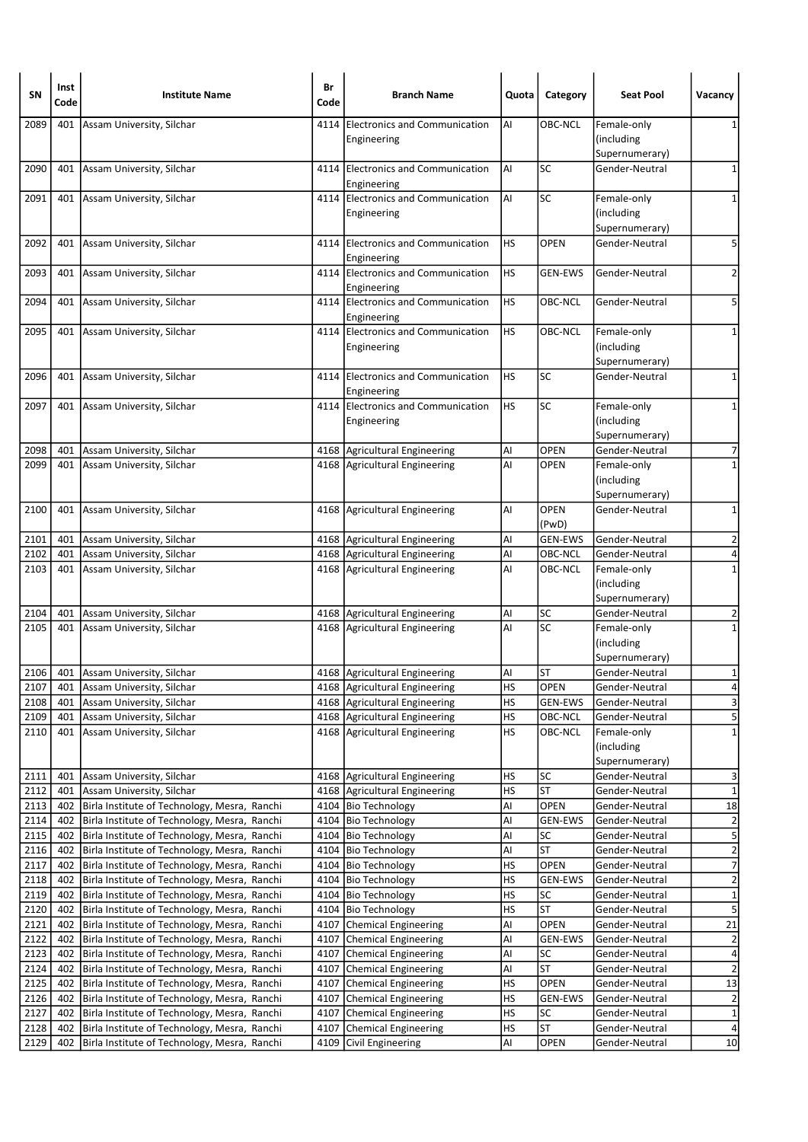| <b>SN</b>    | Inst<br>Code | <b>Institute Name</b>                                                                        | Br<br>Code | <b>Branch Name</b>                                               | Quota           | Category               | <b>Seat Pool</b>                            | Vacancy                                   |
|--------------|--------------|----------------------------------------------------------------------------------------------|------------|------------------------------------------------------------------|-----------------|------------------------|---------------------------------------------|-------------------------------------------|
| 2089         | 401          | Assam University, Silchar                                                                    |            | 4114 Electronics and Communication<br>Engineering                | AI              | OBC-NCL                | Female-only<br>(including                   | 1                                         |
| 2090         | 401          | Assam University, Silchar                                                                    |            | 4114 Electronics and Communication<br>Engineering                | Al              | SC                     | Supernumerary)<br>Gender-Neutral            | 1                                         |
| 2091         | 401          | Assam University, Silchar                                                                    |            | 4114 Electronics and Communication<br>Engineering                | AI              | SC                     | Female-only<br>(including                   | 1                                         |
| 2092         | 401          | Assam University, Silchar                                                                    |            | 4114 Electronics and Communication                               | HS              | <b>OPEN</b>            | Supernumerary)<br>Gender-Neutral            | 5                                         |
| 2093         | 401          | Assam University, Silchar                                                                    |            | Engineering<br>4114 Electronics and Communication<br>Engineering | HS              | <b>GEN-EWS</b>         | Gender-Neutral                              | $\overline{2}$                            |
| 2094         | 401          | Assam University, Silchar                                                                    |            | 4114 Electronics and Communication<br>Engineering                | <b>HS</b>       | OBC-NCL                | Gender-Neutral                              | 5                                         |
| 2095         | 401          | Assam University, Silchar                                                                    |            | 4114 Electronics and Communication<br>Engineering                | HS              | OBC-NCL                | Female-only<br>(including<br>Supernumerary) | 1                                         |
| 2096         | 401          | Assam University, Silchar                                                                    |            | 4114 Electronics and Communication<br>Engineering                | HS              | SC                     | Gender-Neutral                              | 1                                         |
| 2097         |              | 401 Assam University, Silchar                                                                |            | 4114 Electronics and Communication<br>Engineering                | <b>HS</b>       | <b>SC</b>              | Female-only<br>(including<br>Supernumerary) | 1                                         |
| 2098         | 401          | Assam University, Silchar                                                                    |            | 4168 Agricultural Engineering                                    | AI              | <b>OPEN</b>            | Gender-Neutral                              | 7                                         |
| 2099         | 401          | Assam University, Silchar                                                                    |            | 4168 Agricultural Engineering                                    | AI              | OPEN                   | Female-only<br>(including<br>Supernumerary) | $\mathbf{1}$                              |
| 2100         | 401          | Assam University, Silchar                                                                    |            | 4168 Agricultural Engineering                                    | AI              | <b>OPEN</b><br>(PwD)   | Gender-Neutral                              | 1                                         |
| 2101         | 401          | Assam University, Silchar                                                                    |            | 4168 Agricultural Engineering                                    | Al              | <b>GEN-EWS</b>         | Gender-Neutral                              | $\overline{2}$                            |
| 2102         |              | 401 Assam University, Silchar                                                                |            | 4168 Agricultural Engineering                                    | AI              | OBC-NCL                | Gender-Neutral                              | 4                                         |
| 2103         |              | 401 Assam University, Silchar                                                                |            | 4168 Agricultural Engineering                                    | AI              | OBC-NCL                | Female-only<br>(including<br>Supernumerary) | $\mathbf{1}$                              |
| 2104         | 401          | Assam University, Silchar                                                                    |            | 4168 Agricultural Engineering                                    | AI              | SC                     | Gender-Neutral                              | 2                                         |
| 2105         | 401          | Assam University, Silchar                                                                    |            | 4168 Agricultural Engineering                                    | AI              | SC                     | Female-only<br>(including<br>Supernumerary) | $\mathbf{1}$                              |
| 2106         | 401          | Assam University, Silchar                                                                    |            | 4168 Agricultural Engineering                                    | AI              | ST                     | Gender-Neutral                              | 1                                         |
| 2107         | 401          | Assam University, Silchar                                                                    |            | 4168 Agricultural Engineering                                    | HS              | OPEN                   | Gender-Neutral                              | 4                                         |
| 2108         | 401          | Assam University, Silchar                                                                    |            | 4168 Agricultural Engineering                                    | <b>HS</b>       | GEN-EWS                | Gender-Neutral                              | $\overline{\mathbf{3}}$                   |
| 2109         | 401          | Assam University, Silchar                                                                    |            | 4168 Agricultural Engineering                                    | <b>HS</b>       | OBC-NCL                | Gender-Neutral                              | $\overline{5}$                            |
| 2110         |              | 401 Assam University, Silchar                                                                |            | 4168 Agricultural Engineering                                    | <b>HS</b>       | OBC-NCL                | Female-only<br>(including<br>Supernumerary) | $\mathbf 1$                               |
| 2111         | 401          | Assam University, Silchar                                                                    |            | 4168 Agricultural Engineering                                    | HS              | SC                     | Gender-Neutral                              | 3                                         |
| 2112         | 401          | Assam University, Silchar                                                                    |            | 4168   Agricultural Engineering                                  | <b>HS</b>       | <b>ST</b>              | Gender-Neutral                              | $\mathbf 1$                               |
| 2113         | 402          | Birla Institute of Technology, Mesra, Ranchi                                                 |            | 4104 Bio Technology                                              | Al              | OPEN                   | Gender-Neutral                              | $18\,$                                    |
| 2114         | 402          | Birla Institute of Technology, Mesra, Ranchi                                                 |            | 4104 Bio Technology                                              | AI              | <b>GEN-EWS</b>         | Gender-Neutral                              | $\overline{c}$                            |
| 2115         | 402          | Birla Institute of Technology, Mesra, Ranchi                                                 |            | 4104   Bio Technology                                            | Al              | <b>SC</b><br><b>ST</b> | Gender-Neutral                              | $\overline{5}$<br>$\overline{\mathbf{c}}$ |
| 2116<br>2117 | 402<br>402   | Birla Institute of Technology, Mesra, Ranchi<br>Birla Institute of Technology, Mesra, Ranchi |            | 4104 Bio Technology<br>4104 Bio Technology                       | Al<br><b>HS</b> | OPEN                   | Gender-Neutral<br>Gender-Neutral            | $\overline{7}$                            |
| 2118         | 402          | Birla Institute of Technology, Mesra, Ranchi                                                 |            | 4104   Bio Technology                                            | HS              | <b>GEN-EWS</b>         | Gender-Neutral                              | $\overline{2}$                            |
| 2119         | 402          | Birla Institute of Technology, Mesra, Ranchi                                                 |            | 4104 Bio Technology                                              | HS              | SC                     | Gender-Neutral                              | $\overline{\mathbf{1}}$                   |
| 2120         | 402          | Birla Institute of Technology, Mesra, Ranchi                                                 |            | 4104 Bio Technology                                              | <b>HS</b>       | ST                     | Gender-Neutral                              | $\overline{\mathbf{5}}$                   |
| 2121         | 402          | Birla Institute of Technology, Mesra, Ranchi                                                 | 4107       | Chemical Engineering                                             | Al              | OPEN                   | Gender-Neutral                              | $\overline{21}$                           |
| 2122         | 402          | Birla Institute of Technology, Mesra, Ranchi                                                 |            | 4107 Chemical Engineering                                        | Al              | <b>GEN-EWS</b>         | Gender-Neutral                              | $\overline{c}$                            |
| 2123         | 402          | Birla Institute of Technology, Mesra, Ranchi                                                 |            | 4107 Chemical Engineering                                        | Al              | SC                     | Gender-Neutral                              | $\overline{\mathbf{r}}$                   |
| 2124         | 402          | Birla Institute of Technology, Mesra, Ranchi                                                 |            | 4107 Chemical Engineering                                        | Al              | <b>ST</b>              | Gender-Neutral                              | $\overline{2}$                            |
| 2125         | 402          | Birla Institute of Technology, Mesra, Ranchi                                                 |            | 4107 Chemical Engineering                                        | <b>HS</b>       | OPEN                   | Gender-Neutral                              | 13                                        |
| 2126         | 402          | Birla Institute of Technology, Mesra, Ranchi                                                 |            | 4107 Chemical Engineering                                        | <b>HS</b>       | <b>GEN-EWS</b>         | Gender-Neutral                              | $\overline{\mathbf{c}}$                   |
| 2127         | 402          | Birla Institute of Technology, Mesra, Ranchi                                                 | 4107       | Chemical Engineering                                             | HS              | SC                     | Gender-Neutral                              | $\overline{1}$                            |
| 2128         | 402          | Birla Institute of Technology, Mesra, Ranchi                                                 | 4107       | Chemical Engineering                                             | HS              | <b>ST</b>              | Gender-Neutral                              | $\overline{\mathbf{4}}$                   |
| 2129         | 402          | Birla Institute of Technology, Mesra, Ranchi                                                 |            | 4109 Civil Engineering                                           | Al              | OPEN                   | Gender-Neutral                              | 10                                        |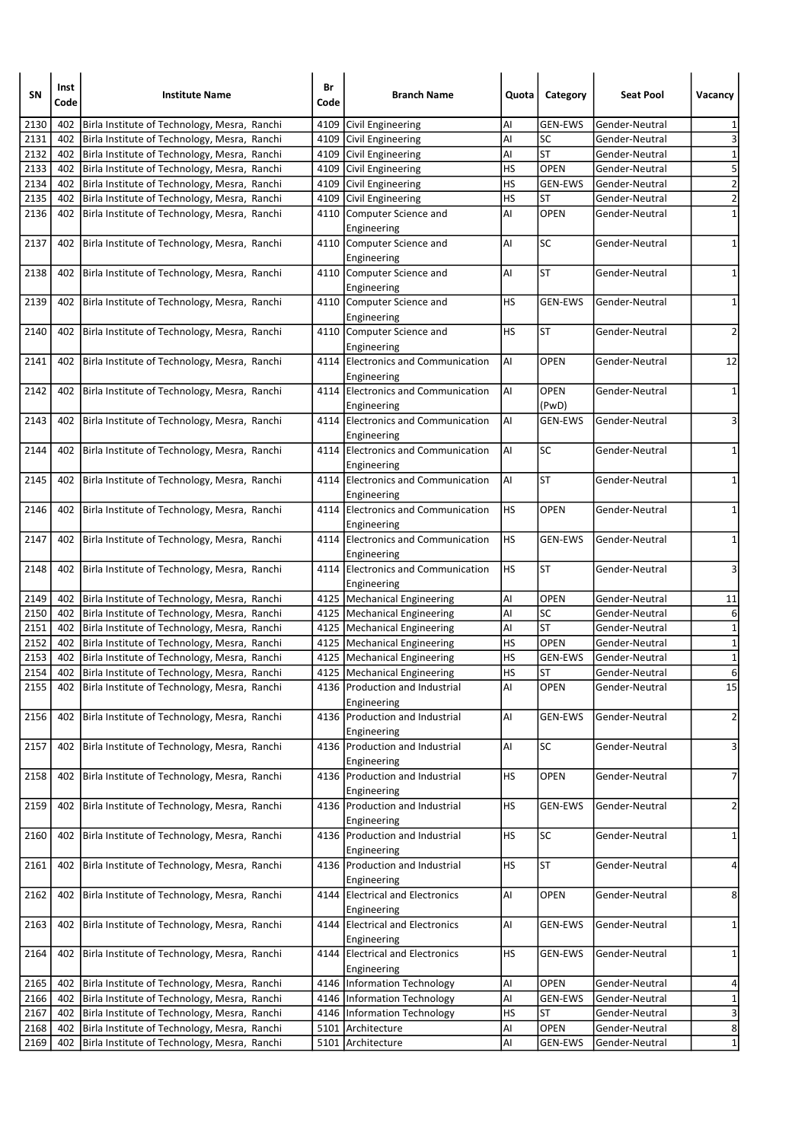| SΝ   | Inst<br>Code | <b>Institute Name</b>                            | Br<br>Code | <b>Branch Name</b>                                | Quota     | Category             | <b>Seat Pool</b> | Vacancy                 |
|------|--------------|--------------------------------------------------|------------|---------------------------------------------------|-----------|----------------------|------------------|-------------------------|
| 2130 | 402          | Birla Institute of Technology, Mesra, Ranchi     | 4109       | Civil Engineering                                 | Al        | GEN-EWS              | Gender-Neutral   | 1                       |
| 2131 | 402          | Birla Institute of Technology, Mesra, Ranchi     |            | 4109 Civil Engineering                            | Al        | SC                   | Gender-Neutral   | 3                       |
| 2132 | 402          | Birla Institute of Technology, Mesra, Ranchi     |            | 4109 Civil Engineering                            | Al        | <b>ST</b>            | Gender-Neutral   | $\mathbf 1$             |
| 2133 | 402          | Birla Institute of Technology, Mesra, Ranchi     |            | 4109 Civil Engineering                            | HS        | OPEN                 | Gender-Neutral   | $\overline{\mathbf{5}}$ |
| 2134 | 402          | Birla Institute of Technology, Mesra, Ranchi     |            | 4109 Civil Engineering                            | HS        | <b>GEN-EWS</b>       | Gender-Neutral   | $\overline{2}$          |
| 2135 | 402          | Birla Institute of Technology, Mesra, Ranchi     |            | 4109 Civil Engineering                            | HS        | <b>ST</b>            | Gender-Neutral   | $\overline{\mathbf{c}}$ |
| 2136 | 402          | Birla Institute of Technology, Mesra, Ranchi     |            | 4110 Computer Science and                         | Al        | <b>OPEN</b>          | Gender-Neutral   | $\mathbf 1$             |
|      |              |                                                  |            | Engineering                                       |           |                      |                  |                         |
| 2137 | 402          | Birla Institute of Technology, Mesra, Ranchi     |            | 4110 Computer Science and                         | Al        | <b>SC</b>            | Gender-Neutral   | 1                       |
|      |              |                                                  |            | Engineering                                       |           |                      |                  |                         |
| 2138 | 402          | Birla Institute of Technology, Mesra, Ranchi     |            | 4110 Computer Science and                         | Al        | <b>ST</b>            | Gender-Neutral   | $\mathbf{1}$            |
|      |              |                                                  |            | Engineering                                       |           |                      |                  |                         |
| 2139 | 402          | Birla Institute of Technology, Mesra, Ranchi     |            | 4110 Computer Science and                         | HS        | <b>GEN-EWS</b>       | Gender-Neutral   | 1                       |
|      |              |                                                  |            | Engineering                                       | HS        | <b>ST</b>            |                  | $\overline{2}$          |
| 2140 | 402          | Birla Institute of Technology, Mesra, Ranchi     |            | 4110 Computer Science and                         |           |                      | Gender-Neutral   |                         |
| 2141 |              |                                                  |            | Engineering                                       | AI        | <b>OPEN</b>          | Gender-Neutral   | 12                      |
|      | 402          | Birla Institute of Technology, Mesra, Ranchi     |            | 4114 Electronics and Communication                |           |                      |                  |                         |
|      |              |                                                  |            | Engineering                                       |           |                      |                  |                         |
| 2142 | 402          | Birla Institute of Technology, Mesra, Ranchi     |            | 4114 Electronics and Communication                | AI        | <b>OPEN</b><br>(PwD) | Gender-Neutral   | 1                       |
| 2143 |              |                                                  |            | Engineering                                       | Al        |                      |                  | 3                       |
|      |              | 402 Birla Institute of Technology, Mesra, Ranchi |            | 4114 Electronics and Communication<br>Engineering |           | <b>GEN-EWS</b>       | Gender-Neutral   |                         |
| 2144 | 402          | Birla Institute of Technology, Mesra, Ranchi     |            | 4114 Electronics and Communication                | AI        | <b>SC</b>            | Gender-Neutral   | 1                       |
|      |              |                                                  |            | Engineering                                       |           |                      |                  |                         |
| 2145 | 402          | Birla Institute of Technology, Mesra, Ranchi     |            | 4114 Electronics and Communication                | AI        | <b>ST</b>            | Gender-Neutral   | 1                       |
|      |              |                                                  |            | Engineering                                       |           |                      |                  |                         |
| 2146 | 402          | Birla Institute of Technology, Mesra, Ranchi     |            | 4114 Electronics and Communication                | HS        | <b>OPEN</b>          | Gender-Neutral   | 1                       |
|      |              |                                                  |            | Engineering                                       |           |                      |                  |                         |
| 2147 | 402          | Birla Institute of Technology, Mesra, Ranchi     |            | 4114 Electronics and Communication                | HS        | <b>GEN-EWS</b>       | Gender-Neutral   | 1                       |
|      |              |                                                  |            | Engineering                                       |           |                      |                  |                         |
| 2148 | 402          | Birla Institute of Technology, Mesra, Ranchi     |            | 4114 Electronics and Communication                | HS        | <b>ST</b>            | Gender-Neutral   | 3                       |
|      |              |                                                  |            | Engineering                                       |           |                      |                  |                         |
| 2149 | 402          | Birla Institute of Technology, Mesra, Ranchi     |            | 4125   Mechanical Engineering                     | Al        | <b>OPEN</b>          | Gender-Neutral   | 11                      |
| 2150 | 402          | Birla Institute of Technology, Mesra, Ranchi     |            | 4125   Mechanical Engineering                     | Al        | SC                   | Gender-Neutral   | 6                       |
| 2151 | 402          | Birla Institute of Technology, Mesra, Ranchi     |            | 4125   Mechanical Engineering                     | Al        | <b>ST</b>            | Gender-Neutral   | $\mathbf 1$             |
| 2152 | 402          | Birla Institute of Technology, Mesra, Ranchi     |            | 4125   Mechanical Engineering                     | HS        | <b>OPEN</b>          | Gender-Neutral   | $\mathbf 1$             |
| 2153 | 402          | Birla Institute of Technology, Mesra, Ranchi     |            | 4125   Mechanical Engineering                     | HS        | GEN-EWS              | Gender-Neutral   | $\mathbf 1$             |
| 2154 | 402          | Birla Institute of Technology, Mesra, Ranchi     |            | 4125   Mechanical Engineering                     | HS        | ST                   | Gender-Neutral   | 6                       |
| 2155 |              | 402 Birla Institute of Technology, Mesra, Ranchi |            | 4136   Production and Industrial                  | AI        | <b>OPEN</b>          | Gender-Neutral   | 15                      |
|      |              |                                                  |            | Engineering                                       |           |                      |                  |                         |
| 2156 | 402          | Birla Institute of Technology, Mesra, Ranchi     | 4136       | Production and Industrial                         | AI        | <b>GEN-EWS</b>       | Gender-Neutral   | $\overline{a}$          |
| 2157 |              | Birla Institute of Technology, Mesra, Ranchi     |            | Engineering<br>4136 Production and Industrial     | AI        | SC                   | Gender-Neutral   | 3                       |
|      | 402          |                                                  |            | Engineering                                       |           |                      |                  |                         |
| 2158 | 402          | Birla Institute of Technology, Mesra, Ranchi     |            | 4136 Production and Industrial                    | HS        | OPEN                 | Gender-Neutral   | $\overline{7}$          |
|      |              |                                                  |            | Engineering                                       |           |                      |                  |                         |
| 2159 | 402          | Birla Institute of Technology, Mesra, Ranchi     |            | 4136 Production and Industrial                    | НS        | <b>GEN-EWS</b>       | Gender-Neutral   | $\overline{2}$          |
|      |              |                                                  |            | Engineering                                       |           |                      |                  |                         |
| 2160 | 402          | Birla Institute of Technology, Mesra, Ranchi     |            | 4136 Production and Industrial                    | <b>HS</b> | SC                   | Gender-Neutral   | $\mathbf{1}$            |
|      |              |                                                  |            | Engineering                                       |           |                      |                  |                         |
| 2161 | 402          | Birla Institute of Technology, Mesra, Ranchi     |            | 4136 Production and Industrial                    | НS        | <b>ST</b>            | Gender-Neutral   | 4                       |
|      |              |                                                  |            | Engineering                                       |           |                      |                  |                         |
| 2162 | 402          | Birla Institute of Technology, Mesra, Ranchi     |            | 4144 Electrical and Electronics                   | Al        | <b>OPEN</b>          | Gender-Neutral   | 8                       |
|      |              |                                                  |            | Engineering                                       |           |                      |                  |                         |
| 2163 | 402          | Birla Institute of Technology, Mesra, Ranchi     |            | 4144 Electrical and Electronics                   | AI        | <b>GEN-EWS</b>       | Gender-Neutral   | 1                       |
|      |              |                                                  |            | Engineering                                       |           |                      |                  |                         |
| 2164 | 402          | Birla Institute of Technology, Mesra, Ranchi     |            | 4144 Electrical and Electronics                   | НS        | <b>GEN-EWS</b>       | Gender-Neutral   | 1                       |
|      |              |                                                  |            | Engineering                                       |           |                      |                  |                         |
| 2165 | 402          | Birla Institute of Technology, Mesra, Ranchi     |            | 4146   Information Technology                     | Al        | OPEN                 | Gender-Neutral   | 4                       |
| 2166 | 402          | Birla Institute of Technology, Mesra, Ranchi     |            | 4146   Information Technology                     | Al        | <b>GEN-EWS</b>       | Gender-Neutral   | $\mathbf 1$             |
| 2167 | 402          | Birla Institute of Technology, Mesra, Ranchi     |            | 4146   Information Technology                     | HS        | <b>ST</b>            | Gender-Neutral   | $\overline{\mathbf{3}}$ |
| 2168 | 402          | Birla Institute of Technology, Mesra, Ranchi     | 5101       | Architecture                                      | Al        | <b>OPEN</b>          | Gender-Neutral   | $\overline{8}$          |
| 2169 | 402          | Birla Institute of Technology, Mesra, Ranchi     |            | 5101 Architecture                                 | Al        | <b>GEN-EWS</b>       | Gender-Neutral   | $1\vert$                |
|      |              |                                                  |            |                                                   |           |                      |                  |                         |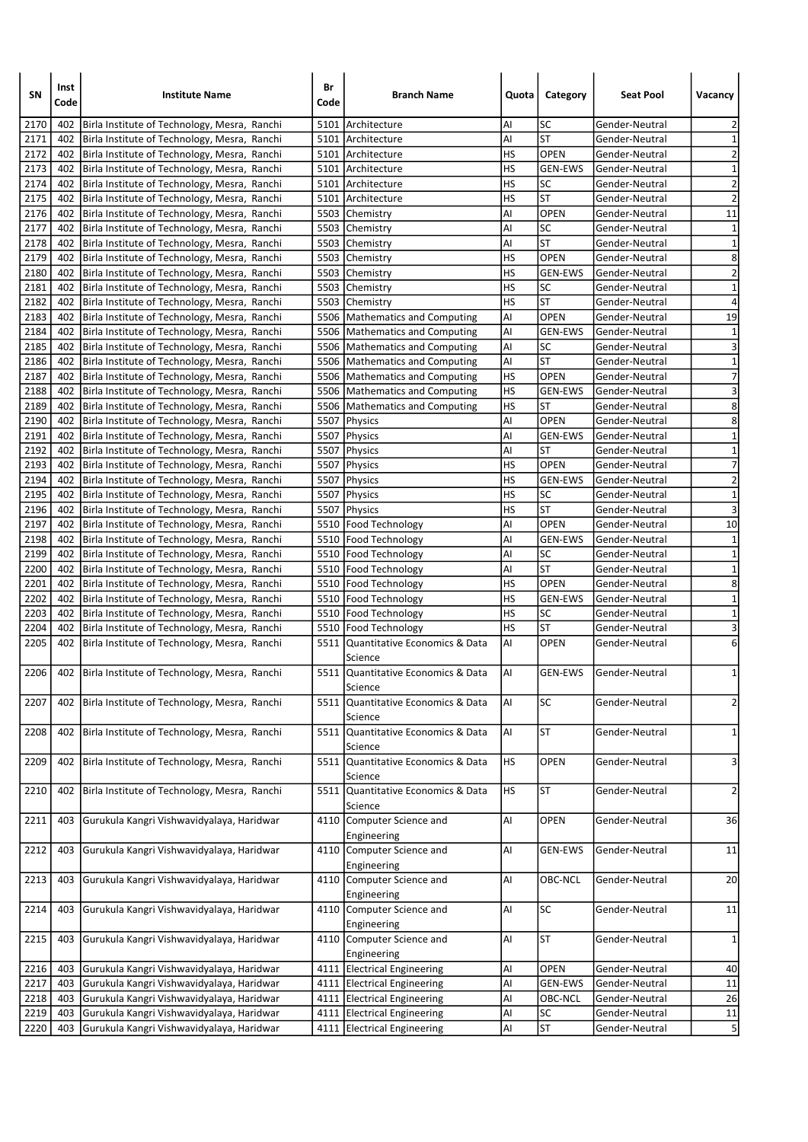| SN           | Inst<br>Code | <b>Institute Name</b>                                                                        | Br<br>Code | <b>Branch Name</b>                            | Quota     | Category                    | <b>Seat Pool</b>                 | Vacancy                    |
|--------------|--------------|----------------------------------------------------------------------------------------------|------------|-----------------------------------------------|-----------|-----------------------------|----------------------------------|----------------------------|
| 2170         | 402          | Birla Institute of Technology, Mesra, Ranchi                                                 |            | 5101 Architecture                             | Al        | SC                          | Gender-Neutral                   | 2                          |
| 2171         | 402          | Birla Institute of Technology, Mesra, Ranchi                                                 |            | 5101 Architecture                             | Al        | <b>ST</b>                   | Gender-Neutral                   | $\mathbf 1$                |
| 2172         | 402          | Birla Institute of Technology, Mesra, Ranchi                                                 |            | 5101 Architecture                             | HS        | <b>OPEN</b>                 | Gender-Neutral                   | $\overline{\mathbf{c}}$    |
| 2173         | 402          | Birla Institute of Technology, Mesra, Ranchi                                                 |            | 5101 Architecture                             | HS        | <b>GEN-EWS</b>              | Gender-Neutral                   | $\mathbf 1$                |
| 2174         | 402          | Birla Institute of Technology, Mesra, Ranchi                                                 |            | 5101 Architecture                             | HS        | SC                          | Gender-Neutral                   | $\overline{\mathbf{c}}$    |
| 2175         | 402          | Birla Institute of Technology, Mesra, Ranchi                                                 |            | 5101 Architecture                             | HS        | <b>ST</b>                   | Gender-Neutral                   | $\overline{2}$             |
| 2176         | 402          | Birla Institute of Technology, Mesra, Ranchi                                                 |            | 5503 Chemistry                                | Al        | <b>OPEN</b>                 | Gender-Neutral                   | 11                         |
| 2177         | 402          | Birla Institute of Technology, Mesra, Ranchi                                                 |            | 5503 Chemistry                                | Al        | SC                          | Gender-Neutral                   | $\mathbf 1$                |
| 2178         | 402          | Birla Institute of Technology, Mesra, Ranchi                                                 |            | 5503 Chemistry                                | Al        | <b>ST</b>                   | Gender-Neutral                   | $\mathbf{1}$               |
| 2179         | 402          | Birla Institute of Technology, Mesra, Ranchi                                                 |            | 5503 Chemistry                                | HS        | <b>OPEN</b>                 | Gender-Neutral                   | 8                          |
| 2180         | 402          | Birla Institute of Technology, Mesra, Ranchi                                                 |            | 5503 Chemistry                                | HS        | <b>GEN-EWS</b>              | Gender-Neutral                   | $\overline{\mathbf{c}}$    |
| 2181         | 402          | Birla Institute of Technology, Mesra, Ranchi                                                 |            | 5503 Chemistry                                | HS        | SC                          | Gender-Neutral                   | $\mathbf 1$                |
| 2182         | 402          | Birla Institute of Technology, Mesra, Ranchi                                                 |            | 5503 Chemistry                                | HS        | ST                          | Gender-Neutral                   | 4                          |
| 2183         | 402          | Birla Institute of Technology, Mesra, Ranchi                                                 |            | 5506 Mathematics and Computing                | Al        | <b>OPEN</b>                 | Gender-Neutral                   | 19                         |
| 2184         | 402          | Birla Institute of Technology, Mesra, Ranchi                                                 |            | 5506 Mathematics and Computing                | Al        | <b>GEN-EWS</b>              | Gender-Neutral                   | $\mathbf 1$                |
| 2185         | 402          | Birla Institute of Technology, Mesra, Ranchi                                                 |            | 5506 Mathematics and Computing                | Al        | SC                          | Gender-Neutral                   | $\overline{\mathbf{3}}$    |
| 2186         | 402          | Birla Institute of Technology, Mesra, Ranchi                                                 | 5506       | Mathematics and Computing                     | Al        | <b>ST</b>                   | Gender-Neutral                   | $\mathbf 1$                |
| 2187         | 402          | Birla Institute of Technology, Mesra, Ranchi                                                 |            | 5506 Mathematics and Computing                | HS        | <b>OPEN</b>                 | Gender-Neutral                   | 7                          |
| 2188         | 402          | Birla Institute of Technology, Mesra, Ranchi                                                 |            | 5506   Mathematics and Computing              | HS        | <b>GEN-EWS</b>              | Gender-Neutral                   | 3                          |
| 2189         | 402          | Birla Institute of Technology, Mesra, Ranchi                                                 |            | 5506 Mathematics and Computing                | HS        | <b>ST</b>                   | Gender-Neutral                   | 8                          |
| 2190         | 402          | Birla Institute of Technology, Mesra, Ranchi                                                 |            | 5507   Physics                                | Al        | <b>OPEN</b>                 | Gender-Neutral                   | 8                          |
| 2191<br>2192 | 402          | Birla Institute of Technology, Mesra, Ranchi                                                 |            | 5507 Physics                                  | Al        | <b>GEN-EWS</b><br><b>ST</b> | Gender-Neutral                   | $\mathbf 1$<br>$\mathbf 1$ |
| 2193         | 402<br>402   | Birla Institute of Technology, Mesra, Ranchi                                                 |            | 5507 Physics                                  | Al<br>HS  | <b>OPEN</b>                 | Gender-Neutral<br>Gender-Neutral | $\overline{7}$             |
| 2194         | 402          | Birla Institute of Technology, Mesra, Ranchi                                                 |            | 5507   Physics<br>5507 Physics                | HS        | <b>GEN-EWS</b>              | Gender-Neutral                   | $\overline{2}$             |
| 2195         | 402          | Birla Institute of Technology, Mesra, Ranchi                                                 |            | 5507 Physics                                  | HS        | SC                          |                                  | $\mathbf 1$                |
| 2196         | 402          | Birla Institute of Technology, Mesra, Ranchi<br>Birla Institute of Technology, Mesra, Ranchi |            | 5507   Physics                                | HS        | <b>ST</b>                   | Gender-Neutral<br>Gender-Neutral | 3                          |
| 2197         | 402          | Birla Institute of Technology, Mesra, Ranchi                                                 |            | 5510 Food Technology                          | Al        | <b>OPEN</b>                 | Gender-Neutral                   | 10                         |
| 2198         | 402          | Birla Institute of Technology, Mesra, Ranchi                                                 |            | 5510   Food Technology                        | Al        | <b>GEN-EWS</b>              | Gender-Neutral                   | $\mathbf 1$                |
| 2199         | 402          | Birla Institute of Technology, Mesra, Ranchi                                                 |            | 5510   Food Technology                        | Al        | SC                          | Gender-Neutral                   | $\mathbf 1$                |
| 2200         | 402          | Birla Institute of Technology, Mesra, Ranchi                                                 |            | 5510   Food Technology                        | Al        | ST                          | Gender-Neutral                   | $\mathbf{1}$               |
| 2201         | 402          | Birla Institute of Technology, Mesra, Ranchi                                                 |            | 5510   Food Technology                        | HS        | <b>OPEN</b>                 | Gender-Neutral                   | 8                          |
| 2202         | 402          | Birla Institute of Technology, Mesra, Ranchi                                                 |            | 5510   Food Technology                        | HS        | <b>GEN-EWS</b>              | Gender-Neutral                   | $\mathbf 1$                |
| 2203         | 402          | Birla Institute of Technology, Mesra, Ranchi                                                 |            | 5510   Food Technology                        | HS        | SC                          | Gender-Neutral                   | $\mathbf 1$                |
| 2204         | 402          | Birla Institute of Technology, Mesra, Ranchi                                                 |            | 5510   Food Technology                        | HS        | <b>ST</b>                   | Gender-Neutral                   | 3                          |
| 2205         | 402          | Birla Institute of Technology, Mesra, Ranchi                                                 |            | 5511  Quantitative Economics & Data           | Al        | <b>OPEN</b>                 | Gender-Neutral                   | 6                          |
|              |              |                                                                                              |            | Science                                       |           |                             |                                  |                            |
| 2206         | 402          | Birla Institute of Technology, Mesra, Ranchi                                                 |            | 5511 Quantitative Economics & Data<br>Science | Al        | <b>GEN-EWS</b>              | l Gender-Neutral                 | 1                          |
| 2207         | 402          | Birla Institute of Technology, Mesra, Ranchi                                                 | 5511       | Quantitative Economics & Data                 | AI        | <b>SC</b>                   | Gender-Neutral                   | $\overline{\mathbf{c}}$    |
|              |              |                                                                                              |            | Science                                       |           |                             |                                  |                            |
| 2208         | 402          | Birla Institute of Technology, Mesra, Ranchi                                                 |            | 5511 Quantitative Economics & Data<br>Science | AI        | <b>ST</b>                   | Gender-Neutral                   | $\mathbf{1}$               |
| 2209         | 402          | Birla Institute of Technology, Mesra, Ranchi                                                 |            | 5511 Quantitative Economics & Data<br>Science | <b>HS</b> | OPEN                        | Gender-Neutral                   | 3                          |
| 2210         | 402          | Birla Institute of Technology, Mesra, Ranchi                                                 | 5511       | Quantitative Economics & Data<br>Science      | <b>HS</b> | <b>ST</b>                   | Gender-Neutral                   | $\overline{a}$             |
| 2211         | 403          | Gurukula Kangri Vishwavidyalaya, Haridwar                                                    |            | 4110 Computer Science and                     | AI        | OPEN                        | Gender-Neutral                   | 36                         |
| 2212         | 403          | Gurukula Kangri Vishwavidyalaya, Haridwar                                                    |            | Engineering<br>4110 Computer Science and      | AI        | <b>GEN-EWS</b>              | Gender-Neutral                   | 11                         |
| 2213         | 403          | Gurukula Kangri Vishwavidyalaya, Haridwar                                                    | 4110       | Engineering<br>Computer Science and           | Al        | OBC-NCL                     | Gender-Neutral                   | 20                         |
|              | 403          |                                                                                              |            | Engineering                                   | Al        | SC                          |                                  |                            |
| 2214         |              | Gurukula Kangri Vishwavidyalaya, Haridwar                                                    |            | 4110 Computer Science and<br>Engineering      |           |                             | Gender-Neutral                   | $11\,$                     |
| 2215         | 403          | Gurukula Kangri Vishwavidyalaya, Haridwar                                                    | 4110       | Computer Science and<br>Engineering           | Al        | <b>ST</b>                   | Gender-Neutral                   | $\mathbf{1}$               |
| 2216         | 403          | Gurukula Kangri Vishwavidyalaya, Haridwar                                                    |            | 4111 Electrical Engineering                   | Al        | OPEN                        | Gender-Neutral                   | 40                         |
| 2217         | 403          | Gurukula Kangri Vishwavidyalaya, Haridwar                                                    |            | 4111 Electrical Engineering                   | Al        | GEN-EWS                     | Gender-Neutral                   | $11\,$                     |
| 2218         | 403          | Gurukula Kangri Vishwavidyalaya, Haridwar                                                    |            | 4111 Electrical Engineering                   | AI        | OBC-NCL                     | Gender-Neutral                   | 26                         |
| 2219         | 403          | Gurukula Kangri Vishwavidyalaya, Haridwar                                                    |            | 4111 Electrical Engineering                   | Al        | <b>SC</b>                   | Gender-Neutral                   | ${\bf 11}$                 |
| 2220         | 403          | Gurukula Kangri Vishwavidyalaya, Haridwar                                                    |            | 4111 Electrical Engineering                   | AI        | <b>ST</b>                   | Gender-Neutral                   | $\overline{\mathbf{5}}$    |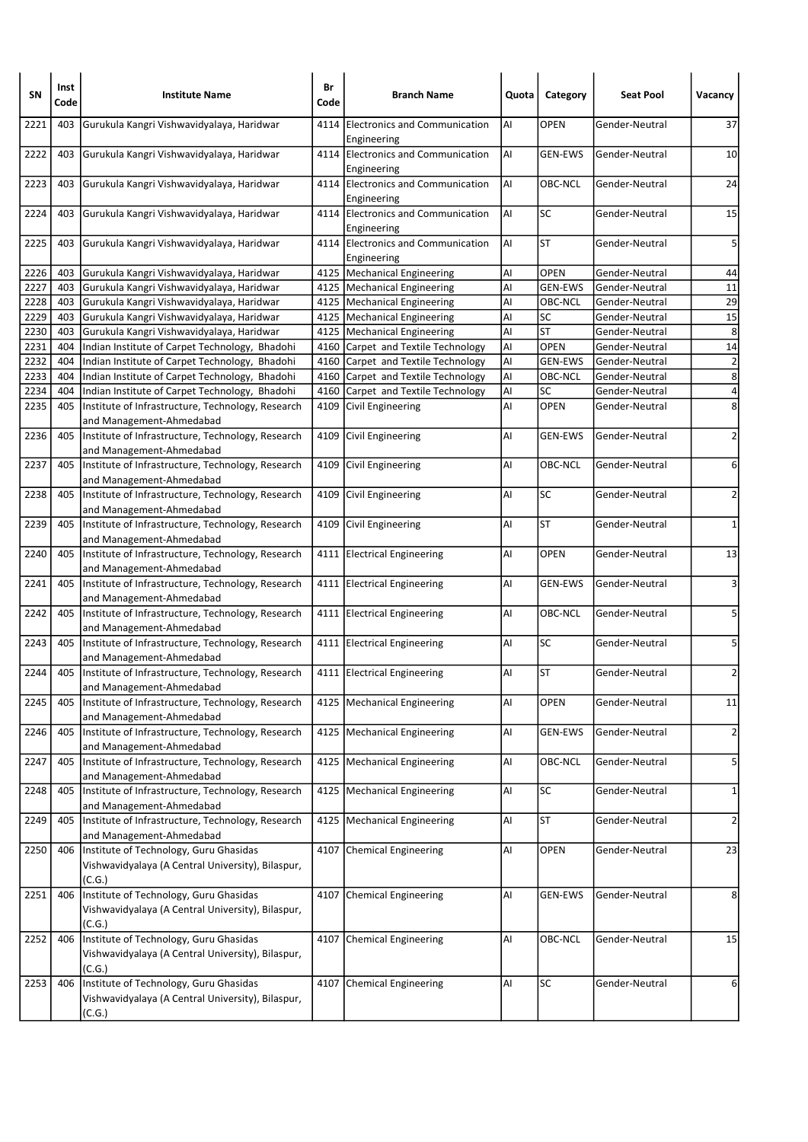| SN   | Inst<br>Code | <b>Institute Name</b>                                                                                 | Br<br>Code | <b>Branch Name</b>                                | Quota | Category       | <b>Seat Pool</b> | Vacancy         |
|------|--------------|-------------------------------------------------------------------------------------------------------|------------|---------------------------------------------------|-------|----------------|------------------|-----------------|
| 2221 | 403          | Gurukula Kangri Vishwavidyalaya, Haridwar                                                             | 4114       | Electronics and Communication<br>Engineering      | AI    | <b>OPEN</b>    | Gender-Neutral   | 37              |
| 2222 | 403          | Gurukula Kangri Vishwavidyalaya, Haridwar                                                             |            | 4114 Electronics and Communication<br>Engineering | Al    | <b>GEN-EWS</b> | Gender-Neutral   | 10              |
| 2223 | 403          | Gurukula Kangri Vishwavidyalaya, Haridwar                                                             |            | 4114 Electronics and Communication<br>Engineering | Al    | OBC-NCL        | Gender-Neutral   | 24              |
| 2224 | 403          | Gurukula Kangri Vishwavidyalaya, Haridwar                                                             |            | 4114 Electronics and Communication<br>Engineering | Al    | SC             | Gender-Neutral   | 15              |
| 2225 | 403          | Gurukula Kangri Vishwavidyalaya, Haridwar                                                             |            | 4114 Electronics and Communication<br>Engineering | Al    | <b>ST</b>      | Gender-Neutral   | 5               |
| 2226 | 403          | Gurukula Kangri Vishwavidyalaya, Haridwar                                                             |            | 4125 Mechanical Engineering                       | Al    | OPEN           | Gender-Neutral   | 44              |
| 2227 | 403          | Gurukula Kangri Vishwavidyalaya, Haridwar                                                             |            | 4125   Mechanical Engineering                     | Al    | <b>GEN-EWS</b> | Gender-Neutral   | $11\,$          |
| 2228 | 403          | Gurukula Kangri Vishwavidyalaya, Haridwar                                                             |            | 4125   Mechanical Engineering                     | Al    | OBC-NCL        | Gender-Neutral   | $\overline{29}$ |
| 2229 | 403          | Gurukula Kangri Vishwavidyalaya, Haridwar                                                             |            | 4125   Mechanical Engineering                     | Al    | SC             | Gender-Neutral   | 15              |
| 2230 | 403          | Gurukula Kangri Vishwavidyalaya, Haridwar                                                             |            | 4125   Mechanical Engineering                     | Al    | <b>ST</b>      | Gender-Neutral   | 8               |
| 2231 | 404          | Indian Institute of Carpet Technology, Bhadohi                                                        |            | 4160 Carpet and Textile Technology                | Al    | <b>OPEN</b>    | Gender-Neutral   | 14              |
| 2232 | 404          | Indian Institute of Carpet Technology, Bhadohi                                                        |            | 4160 Carpet and Textile Technology                | AI    | <b>GEN-EWS</b> | Gender-Neutral   | $\overline{2}$  |
| 2233 | 404          | Indian Institute of Carpet Technology, Bhadohi                                                        |            | 4160 Carpet and Textile Technology                | Al    | OBC-NCL        | Gender-Neutral   | $\overline{8}$  |
| 2234 | 404          | Indian Institute of Carpet Technology, Bhadohi                                                        |            | 4160 Carpet and Textile Technology                | Al    | SC             | Gender-Neutral   | $\overline{4}$  |
| 2235 | 405          | Institute of Infrastructure, Technology, Research<br>and Management-Ahmedabad                         |            | 4109 Civil Engineering                            | Al    | <b>OPEN</b>    | Gender-Neutral   | 8               |
| 2236 | 405          | Institute of Infrastructure, Technology, Research<br>and Management-Ahmedabad                         | 4109       | Civil Engineering                                 | Al    | <b>GEN-EWS</b> | Gender-Neutral   | $\overline{2}$  |
| 2237 | 405          | Institute of Infrastructure, Technology, Research<br>and Management-Ahmedabad                         | 4109       | Civil Engineering                                 | Al    | OBC-NCL        | Gender-Neutral   | 6               |
| 2238 | 405          | Institute of Infrastructure, Technology, Research<br>and Management-Ahmedabad                         |            | 4109 Civil Engineering                            | AI    | <b>SC</b>      | Gender-Neutral   | $\overline{2}$  |
| 2239 | 405          | Institute of Infrastructure, Technology, Research<br>and Management-Ahmedabad                         | 4109       | Civil Engineering                                 | Al    | <b>ST</b>      | Gender-Neutral   | $\mathbf 1$     |
| 2240 | 405          | Institute of Infrastructure, Technology, Research<br>and Management-Ahmedabad                         |            | 4111 Electrical Engineering                       | Al    | <b>OPEN</b>    | Gender-Neutral   | 13              |
| 2241 | 405          | Institute of Infrastructure, Technology, Research<br>and Management-Ahmedabad                         |            | 4111 Electrical Engineering                       | Al    | <b>GEN-EWS</b> | Gender-Neutral   | 3               |
| 2242 | 405          | Institute of Infrastructure, Technology, Research<br>and Management-Ahmedabad                         |            | 4111 Electrical Engineering                       | AI    | OBC-NCL        | Gender-Neutral   | 5               |
| 2243 | 405          | Institute of Infrastructure, Technology, Research<br>and Management-Ahmedabad                         |            | 4111 Electrical Engineering                       | Al    | <b>SC</b>      | Gender-Neutral   | 5               |
| 2244 | 405          | Institute of Infrastructure, Technology, Research<br>and Management-Ahmedabad                         |            | 4111 Electrical Engineering                       | Al    | <b>ST</b>      | Gender-Neutral   | $\overline{2}$  |
| 2245 | 405          | Institute of Infrastructure, Technology, Research<br>and Management-Ahmedabad                         |            | 4125   Mechanical Engineering                     | AI    | OPEN           | Gender-Neutral   | 11              |
| 2246 | 405          | Institute of Infrastructure, Technology, Research<br>and Management-Ahmedabad                         |            | 4125   Mechanical Engineering                     | AI    | GEN-EWS        | Gender-Neutral   | $\overline{2}$  |
| 2247 | 405          | Institute of Infrastructure, Technology, Research<br>and Management-Ahmedabad                         | 4125       | Mechanical Engineering                            | Al    | OBC-NCL        | Gender-Neutral   | 5               |
| 2248 | 405          | Institute of Infrastructure, Technology, Research<br>and Management-Ahmedabad                         | 4125       | Mechanical Engineering                            | AI    | <b>SC</b>      | Gender-Neutral   | $\mathbf{1}$    |
| 2249 | 405          | Institute of Infrastructure, Technology, Research<br>and Management-Ahmedabad                         |            | 4125   Mechanical Engineering                     | AI    | <b>ST</b>      | Gender-Neutral   | $\overline{2}$  |
| 2250 | 406          | Institute of Technology, Guru Ghasidas<br>Vishwavidyalaya (A Central University), Bilaspur,<br>(C.G.) | 4107       | Chemical Engineering                              | AI    | OPEN           | Gender-Neutral   | 23              |
| 2251 | 406          | Institute of Technology, Guru Ghasidas<br>Vishwavidyalaya (A Central University), Bilaspur,<br>(C.G.) |            | 4107 Chemical Engineering                         | AI    | <b>GEN-EWS</b> | Gender-Neutral   | 8               |
| 2252 | 406          | Institute of Technology, Guru Ghasidas<br>Vishwavidyalaya (A Central University), Bilaspur,<br>(C.G.) |            | 4107 Chemical Engineering                         | AI    | OBC-NCL        | Gender-Neutral   | 15              |
| 2253 | 406          | Institute of Technology, Guru Ghasidas<br>Vishwavidyalaya (A Central University), Bilaspur,<br>(C.G.) |            | 4107 Chemical Engineering                         | Al    | SC             | Gender-Neutral   | 6               |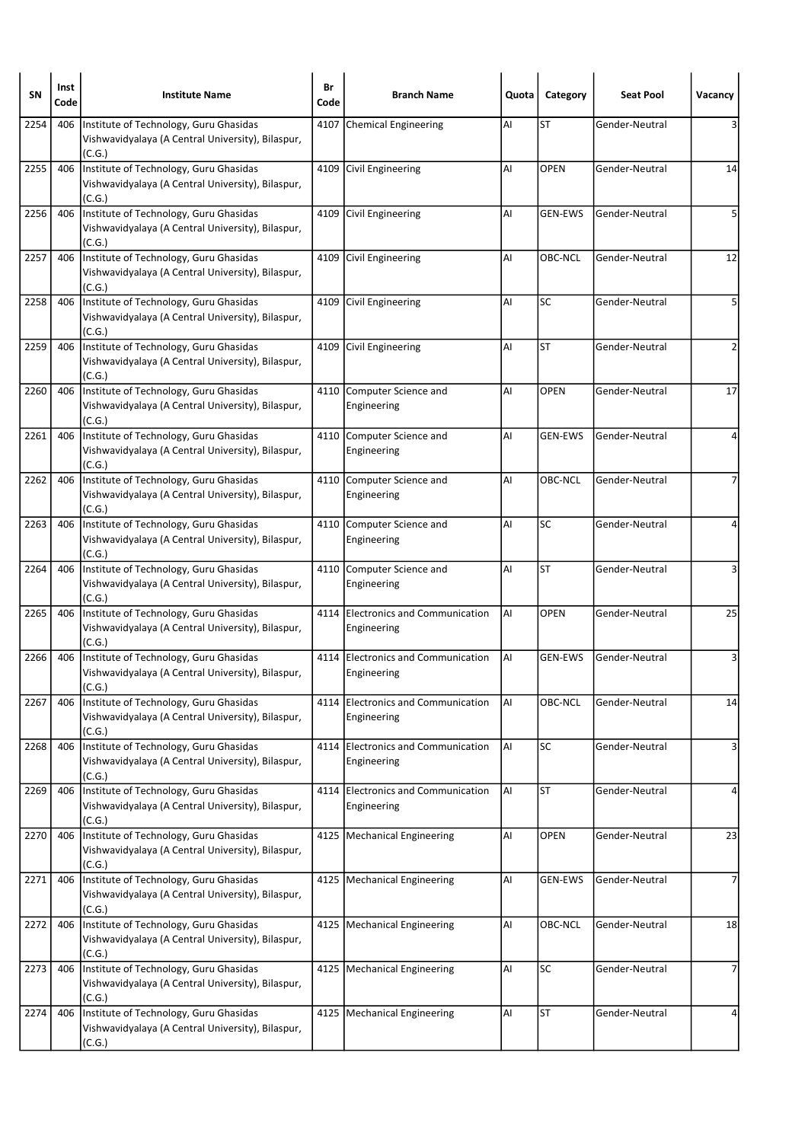| SΝ   | Inst<br>Code | <b>Institute Name</b>                                                                                 | Br<br>Code | <b>Branch Name</b>                                | Quota | Category       | <b>Seat Pool</b> | Vacancy |
|------|--------------|-------------------------------------------------------------------------------------------------------|------------|---------------------------------------------------|-------|----------------|------------------|---------|
| 2254 | 406          | Institute of Technology, Guru Ghasidas<br>Vishwavidyalaya (A Central University), Bilaspur,<br>(C.G.) | 4107       | Chemical Engineering                              | Al    | <b>ST</b>      | Gender-Neutral   |         |
| 2255 | 406          | Institute of Technology, Guru Ghasidas<br>Vishwavidyalaya (A Central University), Bilaspur,<br>(C.G.) |            | 4109 Civil Engineering                            | Al    | <b>OPEN</b>    | Gender-Neutral   | 14      |
| 2256 | 406          | Institute of Technology, Guru Ghasidas<br>Vishwavidyalaya (A Central University), Bilaspur,<br>(C.G.) |            | 4109 Civil Engineering                            | Al    | <b>GEN-EWS</b> | Gender-Neutral   | 5       |
| 2257 | 406          | Institute of Technology, Guru Ghasidas<br>Vishwavidyalaya (A Central University), Bilaspur,<br>(C.G.) |            | 4109 Civil Engineering                            | Al    | OBC-NCL        | Gender-Neutral   | 12      |
| 2258 | 406          | Institute of Technology, Guru Ghasidas<br>Vishwavidyalaya (A Central University), Bilaspur,<br>(C.G.) | 4109       | Civil Engineering                                 | Al    | <b>SC</b>      | Gender-Neutral   | 5       |
| 2259 | 406          | Institute of Technology, Guru Ghasidas<br>Vishwavidyalaya (A Central University), Bilaspur,<br>(C.G.) |            | 4109 Civil Engineering                            | Al    | <b>ST</b>      | Gender-Neutral   | 2       |
| 2260 | 406          | Institute of Technology, Guru Ghasidas<br>Vishwavidyalaya (A Central University), Bilaspur,<br>(C.G.) | 4110       | Computer Science and<br>Engineering               | Al    | <b>OPEN</b>    | Gender-Neutral   | 17      |
| 2261 | 406          | Institute of Technology, Guru Ghasidas<br>Vishwavidyalaya (A Central University), Bilaspur,<br>(C.G.) | 4110       | Computer Science and<br>Engineering               | Al    | <b>GEN-EWS</b> | Gender-Neutral   |         |
| 2262 | 406          | Institute of Technology, Guru Ghasidas<br>Vishwavidyalaya (A Central University), Bilaspur,<br>(C.G.) |            | 4110 Computer Science and<br>Engineering          | Al    | OBC-NCL        | Gender-Neutral   | 7       |
| 2263 | 406          | Institute of Technology, Guru Ghasidas<br>Vishwavidyalaya (A Central University), Bilaspur,<br>(C.G.) | 4110       | Computer Science and<br>Engineering               | Al    | SC             | Gender-Neutral   |         |
| 2264 | 406          | Institute of Technology, Guru Ghasidas<br>Vishwavidyalaya (A Central University), Bilaspur,<br>(C.G.) |            | 4110 Computer Science and<br>Engineering          | Al    | <b>ST</b>      | Gender-Neutral   | 3       |
| 2265 | 406          | Institute of Technology, Guru Ghasidas<br>Vishwavidyalaya (A Central University), Bilaspur,<br>(C.G.) | 4114       | Electronics and Communication<br>Engineering      | Al    | <b>OPEN</b>    | Gender-Neutral   | 25      |
| 2266 | 406          | Institute of Technology, Guru Ghasidas<br>Vishwavidyalaya (A Central University), Bilaspur,<br>(C.G.) |            | 4114 Electronics and Communication<br>Engineering | Al    | GEN-EWS        | Gender-Neutral   | 3       |
| 2267 | 406          | Institute of Technology, Guru Ghasidas<br>Vishwavidyalaya (A Central University), Bilaspur,<br>(C.G.) | 4114       | Electronics and Communication<br>Engineering      | AI    | OBC-NCL        | Gender-Neutral   | 14      |
| 2268 | 406          | Institute of Technology, Guru Ghasidas<br>Vishwavidyalaya (A Central University), Bilaspur,<br>(C.G.) |            | 4114 Electronics and Communication<br>Engineering | AI    | SC             | Gender-Neutral   | 3       |
| 2269 | 406          | Institute of Technology, Guru Ghasidas<br>Vishwavidyalaya (A Central University), Bilaspur,<br>(C.G.) | 4114       | Electronics and Communication<br>Engineering      | AI    | <b>ST</b>      | Gender-Neutral   | 4       |
| 2270 | 406          | Institute of Technology, Guru Ghasidas<br>Vishwavidyalaya (A Central University), Bilaspur,<br>(C.G.) |            | 4125   Mechanical Engineering                     | AI    | <b>OPEN</b>    | Gender-Neutral   | 23      |
| 2271 | 406          | Institute of Technology, Guru Ghasidas<br>Vishwavidyalaya (A Central University), Bilaspur,<br>(C.G.) |            | 4125   Mechanical Engineering                     | AI    | <b>GEN-EWS</b> | Gender-Neutral   | 7       |
| 2272 | 406          | Institute of Technology, Guru Ghasidas<br>Vishwavidyalaya (A Central University), Bilaspur,<br>(C.G.) |            | 4125   Mechanical Engineering                     | AI    | OBC-NCL        | Gender-Neutral   | 18      |
| 2273 | 406          | Institute of Technology, Guru Ghasidas<br>Vishwavidyalaya (A Central University), Bilaspur,<br>(C.G.) |            | 4125   Mechanical Engineering                     | AI    | SC             | Gender-Neutral   | 7       |
| 2274 | 406          | Institute of Technology, Guru Ghasidas<br>Vishwavidyalaya (A Central University), Bilaspur,<br>(C.G.) |            | 4125   Mechanical Engineering                     | Al    | <b>ST</b>      | Gender-Neutral   |         |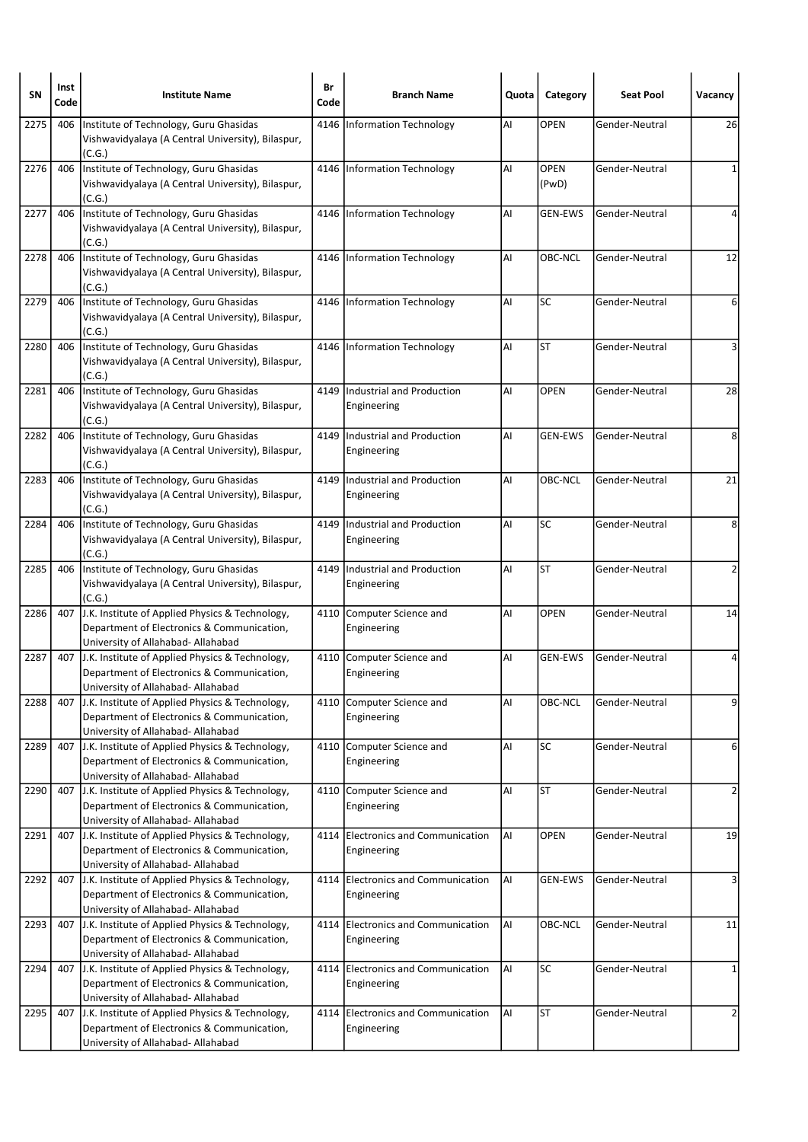| SN   | Inst<br>Code | <b>Institute Name</b>                                                                                                               | Br<br>Code | <b>Branch Name</b>                                | Quota | Category             | <b>Seat Pool</b> | Vacancy        |
|------|--------------|-------------------------------------------------------------------------------------------------------------------------------------|------------|---------------------------------------------------|-------|----------------------|------------------|----------------|
| 2275 | 406          | Institute of Technology, Guru Ghasidas<br>Vishwavidyalaya (A Central University), Bilaspur,<br>(C.G.)                               | 4146       | Information Technology                            | Al    | <b>OPEN</b>          | Gender-Neutral   | 26             |
| 2276 | 406          | Institute of Technology, Guru Ghasidas<br>Vishwavidyalaya (A Central University), Bilaspur,<br>(C.G.)                               |            | 4146 Information Technology                       | Al    | <b>OPEN</b><br>(PwD) | Gender-Neutral   |                |
| 2277 | 406          | Institute of Technology, Guru Ghasidas<br>Vishwavidyalaya (A Central University), Bilaspur,<br>(C.G.)                               |            | 4146   Information Technology                     | Al    | <b>GEN-EWS</b>       | Gender-Neutral   |                |
| 2278 | 406          | Institute of Technology, Guru Ghasidas<br>Vishwavidyalaya (A Central University), Bilaspur,<br>(C.G.)                               |            | 4146   Information Technology                     | Al    | OBC-NCL              | Gender-Neutral   | 12             |
| 2279 | 406          | Institute of Technology, Guru Ghasidas<br>Vishwavidyalaya (A Central University), Bilaspur,<br>(C.G.)                               |            | 4146   Information Technology                     | Al    | SC                   | Gender-Neutral   | 6              |
| 2280 | 406          | Institute of Technology, Guru Ghasidas<br>Vishwavidyalaya (A Central University), Bilaspur,<br>(C.G.)                               |            | 4146 Information Technology                       | Al    | <b>ST</b>            | Gender-Neutral   | 3              |
| 2281 | 406          | Institute of Technology, Guru Ghasidas<br>Vishwavidyalaya (A Central University), Bilaspur,<br>(C.G.)                               | 4149       | Industrial and Production<br>Engineering          | Al    | <b>OPEN</b>          | Gender-Neutral   | 28             |
| 2282 | 406          | Institute of Technology, Guru Ghasidas<br>Vishwavidyalaya (A Central University), Bilaspur,<br>(C.G.)                               | 4149       | Industrial and Production<br>Engineering          | Al    | <b>GEN-EWS</b>       | Gender-Neutral   | 8              |
| 2283 | 406          | Institute of Technology, Guru Ghasidas<br>Vishwavidyalaya (A Central University), Bilaspur,<br>(C.G.)                               | 4149       | Industrial and Production<br>Engineering          | Al    | OBC-NCL              | Gender-Neutral   | 21             |
| 2284 | 406          | Institute of Technology, Guru Ghasidas<br>Vishwavidyalaya (A Central University), Bilaspur,<br>(C.G.)                               | 4149       | Industrial and Production<br>Engineering          | Al    | <b>SC</b>            | Gender-Neutral   | 8              |
| 2285 | 406          | Institute of Technology, Guru Ghasidas<br>Vishwavidyalaya (A Central University), Bilaspur,<br>(C.G.)                               | 4149       | Industrial and Production<br>Engineering          | Al    | <b>ST</b>            | Gender-Neutral   | 2              |
| 2286 | 407          | J.K. Institute of Applied Physics & Technology,<br>Department of Electronics & Communication,<br>University of Allahabad- Allahabad | 4110       | Computer Science and<br>Engineering               | Al    | <b>OPEN</b>          | Gender-Neutral   | 14             |
| 2287 | 407          | J.K. Institute of Applied Physics & Technology,<br>Department of Electronics & Communication,<br>University of Allahabad- Allahabad |            | 4110 Computer Science and<br>Engineering          | Al    | <b>GEN-EWS</b>       | Gender-Neutral   |                |
| 2288 | 407          | J.K. Institute of Applied Physics & Technology,<br>Department of Electronics & Communication,<br>University of Allahabad- Allahabad | 4110       | Computer Science and<br>Engineering               | Al    | OBC-NCL              | Gender-Neutral   | 9              |
| 2289 | 407          | J.K. Institute of Applied Physics & Technology,<br>Department of Electronics & Communication,<br>University of Allahabad- Allahabad |            | 4110 Computer Science and<br>Engineering          | Al    | <b>SC</b>            | Gender-Neutral   | 6              |
| 2290 | 407          | J.K. Institute of Applied Physics & Technology,<br>Department of Electronics & Communication,<br>University of Allahabad- Allahabad | 4110       | Computer Science and<br>Engineering               | AI    | <b>ST</b>            | Gender-Neutral   | $\overline{2}$ |
| 2291 | 407          | J.K. Institute of Applied Physics & Technology,<br>Department of Electronics & Communication,<br>University of Allahabad- Allahabad |            | 4114 Electronics and Communication<br>Engineering | Al    | <b>OPEN</b>          | Gender-Neutral   | 19             |
| 2292 | 407          | J.K. Institute of Applied Physics & Technology,<br>Department of Electronics & Communication,<br>University of Allahabad- Allahabad | 4114       | Electronics and Communication<br>Engineering      | AI    | <b>GEN-EWS</b>       | Gender-Neutral   | 3              |
| 2293 | 407          | J.K. Institute of Applied Physics & Technology,<br>Department of Electronics & Communication,<br>University of Allahabad- Allahabad |            | 4114 Electronics and Communication<br>Engineering | AI    | OBC-NCL              | Gender-Neutral   | 11             |
| 2294 | 407          | J.K. Institute of Applied Physics & Technology,<br>Department of Electronics & Communication,<br>University of Allahabad- Allahabad | 4114       | Electronics and Communication<br>Engineering      | AI    | <b>SC</b>            | Gender-Neutral   | 1              |
| 2295 | 407          | J.K. Institute of Applied Physics & Technology,<br>Department of Electronics & Communication,<br>University of Allahabad- Allahabad | 4114       | Electronics and Communication<br>Engineering      | AI    | <b>ST</b>            | Gender-Neutral   | 2              |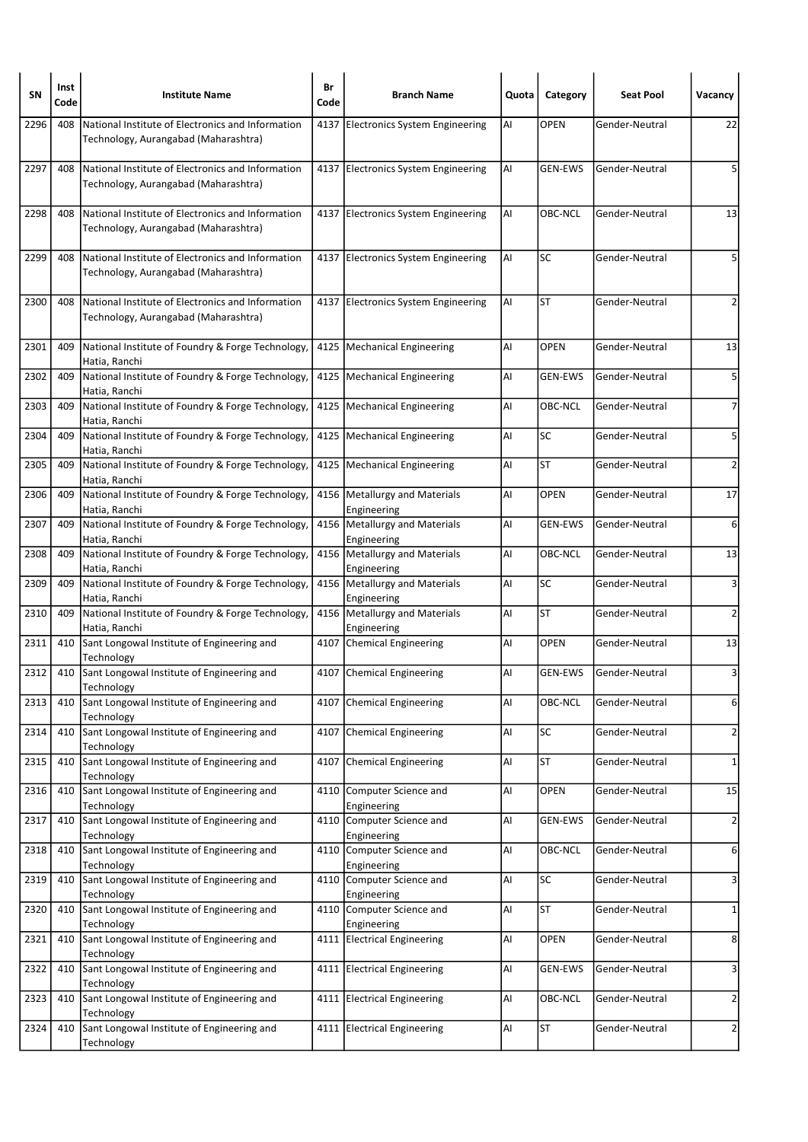| SΝ   | Inst<br>Code | <b>Institute Name</b>                                                                     | Br<br>Code | <b>Branch Name</b>                             | Quota | Category       | <b>Seat Pool</b> | Vacancy                 |
|------|--------------|-------------------------------------------------------------------------------------------|------------|------------------------------------------------|-------|----------------|------------------|-------------------------|
| 2296 | 408          | National Institute of Electronics and Information<br>Technology, Aurangabad (Maharashtra) |            | 4137 Electronics System Engineering            | Al    | <b>OPEN</b>    | Gender-Neutral   | 22                      |
| 2297 | 408          | National Institute of Electronics and Information<br>Technology, Aurangabad (Maharashtra) |            | 4137 Electronics System Engineering            | Al    | <b>GEN-EWS</b> | Gender-Neutral   | 5                       |
| 2298 | 408          | National Institute of Electronics and Information<br>Technology, Aurangabad (Maharashtra) |            | 4137 Electronics System Engineering            | Al    | OBC-NCL        | Gender-Neutral   | 13                      |
| 2299 | 408          | National Institute of Electronics and Information<br>Technology, Aurangabad (Maharashtra) |            | 4137 Electronics System Engineering            | Al    | SC             | Gender-Neutral   | 5                       |
| 2300 | 408          | National Institute of Electronics and Information<br>Technology, Aurangabad (Maharashtra) |            | 4137 Electronics System Engineering            | Al    | ST             | Gender-Neutral   | 2                       |
| 2301 | 409          | National Institute of Foundry & Forge Technology,<br>Hatia, Ranchi                        |            | 4125   Mechanical Engineering                  | Al    | <b>OPEN</b>    | Gender-Neutral   | 13                      |
| 2302 | 409          | National Institute of Foundry & Forge Technology,<br>Hatia, Ranchi                        |            | 4125   Mechanical Engineering                  | Al    | <b>GEN-EWS</b> | Gender-Neutral   | 5                       |
| 2303 | 409          | National Institute of Foundry & Forge Technology,<br>Hatia, Ranchi                        |            | 4125   Mechanical Engineering                  | Al    | OBC-NCL        | Gender-Neutral   | $\overline{7}$          |
| 2304 | 409          | National Institute of Foundry & Forge Technology,<br>Hatia, Ranchi                        |            | 4125   Mechanical Engineering                  | Al    | <b>SC</b>      | Gender-Neutral   | 5                       |
| 2305 | 409          | National Institute of Foundry & Forge Technology,<br>Hatia, Ranchi                        |            | 4125   Mechanical Engineering                  | Al    | <b>ST</b>      | Gender-Neutral   | 2                       |
| 2306 | 409          | National Institute of Foundry & Forge Technology,<br>Hatia, Ranchi                        |            | 4156   Metallurgy and Materials<br>Engineering | Al    | <b>OPEN</b>    | Gender-Neutral   | 17                      |
| 2307 | 409          | National Institute of Foundry & Forge Technology,<br>Hatia, Ranchi                        |            | 4156   Metallurgy and Materials<br>Engineering | Al    | <b>GEN-EWS</b> | Gender-Neutral   | 6                       |
| 2308 | 409          | National Institute of Foundry & Forge Technology,<br>Hatia, Ranchi                        |            | 4156   Metallurgy and Materials<br>Engineering | Al    | OBC-NCL        | Gender-Neutral   | 13                      |
| 2309 | 409          | National Institute of Foundry & Forge Technology,<br>Hatia, Ranchi                        |            | 4156   Metallurgy and Materials<br>Engineering | Al    | <b>SC</b>      | Gender-Neutral   | 3                       |
| 2310 | 409          | National Institute of Foundry & Forge Technology,<br>Hatia, Ranchi                        |            | 4156 Metallurgy and Materials<br>Engineering   | Al    | <b>ST</b>      | Gender-Neutral   | 2                       |
| 2311 | 410          | Sant Longowal Institute of Engineering and<br>Technology                                  |            | 4107 Chemical Engineering                      | Al    | <b>OPEN</b>    | Gender-Neutral   | 13                      |
| 2312 | 410          | Sant Longowal Institute of Engineering and<br>Technology                                  |            | 4107 Chemical Engineering                      | Al    | GEN-EWS        | Gender-Neutral   | 3                       |
| 2313 | 410          | Sant Longowal Institute of Engineering and<br>Technology                                  | 4107       | Chemical Engineering                           | AI    | OBC-NCL        | Gender-Neutral   | 6                       |
| 2314 | 410          | Sant Longowal Institute of Engineering and<br>Technology                                  | 4107       | Chemical Engineering                           | Al    | <b>SC</b>      | Gender-Neutral   | $\mathbf{2}$            |
| 2315 | 410          | Sant Longowal Institute of Engineering and<br>Technology                                  | 4107       | Chemical Engineering                           | Al    | <b>ST</b>      | Gender-Neutral   | $\mathbf{1}$            |
| 2316 | 410          | Sant Longowal Institute of Engineering and<br>Technology                                  | 4110       | Computer Science and<br>Engineering            | Al    | <b>OPEN</b>    | Gender-Neutral   | 15                      |
| 2317 | 410          | Sant Longowal Institute of Engineering and<br>Technology                                  |            | 4110 Computer Science and<br>Engineering       | AI    | GEN-EWS        | Gender-Neutral   | $\overline{\mathbf{c}}$ |
| 2318 | 410          | Sant Longowal Institute of Engineering and<br>Technology                                  |            | 4110 Computer Science and<br>Engineering       | AI    | OBC-NCL        | Gender-Neutral   | 6                       |
| 2319 | 410          | Sant Longowal Institute of Engineering and<br>Technology                                  | 4110       | Computer Science and<br>Engineering            | Al    | <b>SC</b>      | Gender-Neutral   | 3                       |
| 2320 | 410          | Sant Longowal Institute of Engineering and<br>Technology                                  |            | 4110 Computer Science and<br>Engineering       | Al    | <b>ST</b>      | Gender-Neutral   | $\mathbf{1}$            |
| 2321 | 410          | Sant Longowal Institute of Engineering and<br>Technology                                  | 4111       | <b>Electrical Engineering</b>                  | Al    | OPEN           | Gender-Neutral   | 8                       |
| 2322 | 410          | Sant Longowal Institute of Engineering and<br>Technology                                  |            | 4111 Electrical Engineering                    | Al    | GEN-EWS        | Gender-Neutral   | 3                       |
| 2323 | 410          | Sant Longowal Institute of Engineering and<br>Technology                                  |            | 4111 Electrical Engineering                    | AI    | OBC-NCL        | Gender-Neutral   | $\overline{2}$          |
| 2324 | 410          | Sant Longowal Institute of Engineering and<br>Technology                                  |            | 4111 Electrical Engineering                    | AI    | ST             | Gender-Neutral   | $\overline{2}$          |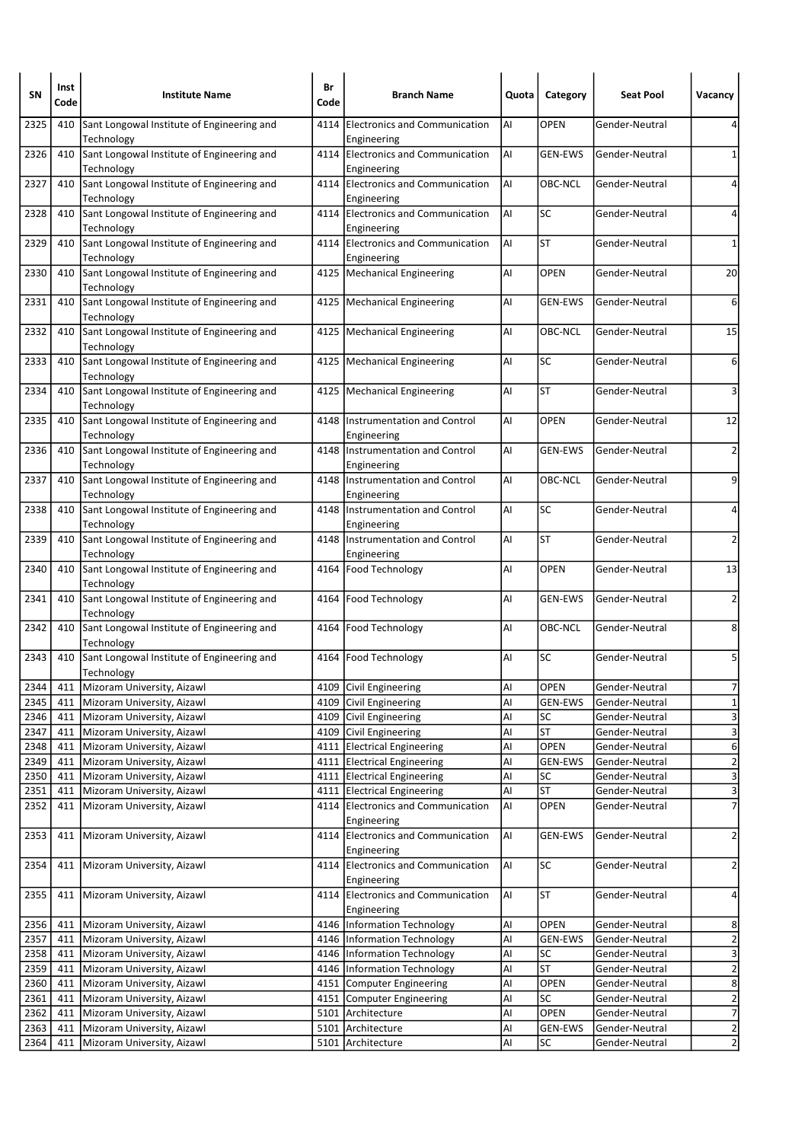| SΝ           | Inst<br>Code | <b>Institute Name</b>                                    | Br<br>Code | <b>Branch Name</b>                                                | Quota    | Category          | <b>Seat Pool</b>                 | Vacancy                                   |
|--------------|--------------|----------------------------------------------------------|------------|-------------------------------------------------------------------|----------|-------------------|----------------------------------|-------------------------------------------|
| 2325         | 410          | Sant Longowal Institute of Engineering and<br>Technology | 4114       | Electronics and Communication<br>Engineering                      | AI       | <b>OPEN</b>       | Gender-Neutral                   |                                           |
| 2326         | 410          | Sant Longowal Institute of Engineering and<br>Technology |            | 4114 Electronics and Communication<br>Engineering                 | Al       | <b>GEN-EWS</b>    | Gender-Neutral                   | 1                                         |
| 2327         | 410          | Sant Longowal Institute of Engineering and<br>Technology |            | 4114 Electronics and Communication<br>Engineering                 | Al       | OBC-NCL           | Gender-Neutral                   | 4                                         |
| 2328         | 410          | Sant Longowal Institute of Engineering and<br>Technology | 4114       | Electronics and Communication<br>Engineering                      | Al       | SC                | Gender-Neutral                   | 4                                         |
| 2329         | 410          | Sant Longowal Institute of Engineering and<br>Technology |            | 4114 Electronics and Communication<br>Engineering                 | Al       | <b>ST</b>         | Gender-Neutral                   | 1                                         |
| 2330         | 410          | Sant Longowal Institute of Engineering and<br>Technology |            | 4125   Mechanical Engineering                                     | Al       | <b>OPEN</b>       | Gender-Neutral                   | 20                                        |
| 2331         | 410          | Sant Longowal Institute of Engineering and<br>Technology |            | 4125   Mechanical Engineering                                     | Al       | <b>GEN-EWS</b>    | Gender-Neutral                   | 6                                         |
| 2332         | 410          | Sant Longowal Institute of Engineering and<br>Technology |            | 4125   Mechanical Engineering                                     | Al       | OBC-NCL           | Gender-Neutral                   | 15                                        |
| 2333         | 410          | Sant Longowal Institute of Engineering and<br>Technology |            | 4125   Mechanical Engineering                                     | Al       | SC                | Gender-Neutral                   | 6                                         |
| 2334         | 410          | Sant Longowal Institute of Engineering and<br>Technology |            | 4125   Mechanical Engineering                                     | Al       | ST                | Gender-Neutral                   | 3                                         |
| 2335         | 410          | Sant Longowal Institute of Engineering and<br>Technology |            | 4148 Instrumentation and Control<br>Engineering                   | Al       | <b>OPEN</b>       | Gender-Neutral                   | 12                                        |
| 2336         | 410          | Sant Longowal Institute of Engineering and<br>Technology | 4148       | Instrumentation and Control<br>Engineering                        | Al       | <b>GEN-EWS</b>    | Gender-Neutral                   | $\overline{2}$                            |
| 2337         | 410          | Sant Longowal Institute of Engineering and<br>Technology |            | 4148 Instrumentation and Control<br>Engineering                   | Al       | OBC-NCL           | Gender-Neutral                   | 9                                         |
| 2338         | 410          | Sant Longowal Institute of Engineering and<br>Technology |            | 4148 Instrumentation and Control<br>Engineering                   | AI       | SC                | Gender-Neutral                   | 4                                         |
| 2339         | 410          | Sant Longowal Institute of Engineering and<br>Technology | 4148       | Instrumentation and Control<br>Engineering                        | Al       | <b>ST</b>         | Gender-Neutral                   | 2                                         |
| 2340         | 410          | Sant Longowal Institute of Engineering and<br>Technology |            | 4164   Food Technology                                            | Al       | <b>OPEN</b>       | Gender-Neutral                   | 13                                        |
| 2341         | 410          | Sant Longowal Institute of Engineering and<br>Technology |            | 4164   Food Technology                                            | Al       | <b>GEN-EWS</b>    | Gender-Neutral                   | 2                                         |
| 2342         | 410          | Sant Longowal Institute of Engineering and<br>Technology |            | 4164   Food Technology                                            | Al       | OBC-NCL           | Gender-Neutral                   | 8                                         |
| 2343         | 410          | Sant Longowal Institute of Engineering and<br>Technology |            | 4164   Food Technology                                            | Al       | SC                | Gender-Neutral                   | 5                                         |
| 2344         | 411          | Mizoram University, Aizawl                               |            | 4109 Civil Engineering                                            | Al       | <b>OPEN</b>       | Gender-Neutral                   | 7                                         |
| 2345         | 411          | Mizoram University, Aizawl                               |            | 4109 Civil Engineering                                            | Al       | GEN-EWS           | Gender-Neutral                   | $\overline{1}$                            |
| 2346         | 411          | Mizoram University, Aizawl                               | 4109       | Civil Engineering                                                 | Al       | SC                | Gender-Neutral                   | 3                                         |
| 2347         | 411          | Mizoram University, Aizawl                               |            | 4109 Civil Engineering                                            | Al       | <b>ST</b>         | Gender-Neutral                   | $\overline{\mathbf{3}}$                   |
| 2348         | 411          | Mizoram University, Aizawl                               |            | 4111 Electrical Engineering                                       | Al       | OPEN              | Gender-Neutral                   | 6                                         |
| 2349         | 411          | Mizoram University, Aizawl                               |            | 4111 Electrical Engineering                                       | Al       | <b>GEN-EWS</b>    | Gender-Neutral                   | $\overline{c}$                            |
| 2350         | 411          | Mizoram University, Aizawl                               |            | 4111 Electrical Engineering                                       | Al       | SC                | Gender-Neutral                   | $\overline{\mathbf{3}}$                   |
| 2351<br>2352 | 411<br>411   | Mizoram University, Aizawl<br>Mizoram University, Aizawl |            | 4111 Electrical Engineering<br>4114 Electronics and Communication | Al<br>Al | ST<br><b>OPEN</b> | Gender-Neutral<br>Gender-Neutral | $\overline{\mathbf{3}}$<br>$\overline{7}$ |
| 2353         | 411          | Mizoram University, Aizawl                               |            | Engineering<br>4114 Electronics and Communication<br>Engineering  | AI       | <b>GEN-EWS</b>    | Gender-Neutral                   | $\overline{2}$                            |
| 2354         | 411          | Mizoram University, Aizawl                               | 4114       | Electronics and Communication<br>Engineering                      | AI       | <b>SC</b>         | Gender-Neutral                   | $\overline{\mathbf{c}}$                   |
| 2355         | 411          | Mizoram University, Aizawl                               |            | 4114 Electronics and Communication                                | Al       | <b>ST</b>         | Gender-Neutral                   | 4                                         |
| 2356         | 411          | Mizoram University, Aizawl                               |            | Engineering<br>4146   Information Technology                      | Al       | OPEN              | Gender-Neutral                   | 8                                         |
| 2357         | 411          | Mizoram University, Aizawl                               | 4146       | Information Technology                                            | Al       | <b>GEN-EWS</b>    | Gender-Neutral                   | $\overline{2}$                            |
| 2358         | 411          | Mizoram University, Aizawl                               |            | 4146   Information Technology                                     | Al       | SC                | Gender-Neutral                   | $\overline{\mathbf{3}}$                   |
| 2359         | 411          | Mizoram University, Aizawl                               |            | 4146 Information Technology                                       | Al       | <b>ST</b>         | Gender-Neutral                   | $\overline{\mathbf{c}}$                   |
| 2360         | 411          | Mizoram University, Aizawl                               |            | 4151 Computer Engineering                                         | Al       | OPEN              | Gender-Neutral                   | $\bf 8$                                   |
| 2361         | 411          | Mizoram University, Aizawl                               |            | 4151 Computer Engineering                                         | Al       | SC                | Gender-Neutral                   | $\overline{\mathbf{c}}$                   |
| 2362         | 411          | Mizoram University, Aizawl                               |            | 5101 Architecture                                                 | Al       | <b>OPEN</b>       | Gender-Neutral                   | $\overline{7}$                            |
| 2363         | 411          | Mizoram University, Aizawl                               | 5101       | Architecture                                                      | Al       | <b>GEN-EWS</b>    | Gender-Neutral                   | $\overline{2}$                            |
| 2364         | 411          | Mizoram University, Aizawl                               |            | 5101 Architecture                                                 | Al       | SC                | Gender-Neutral                   | $\overline{2}$                            |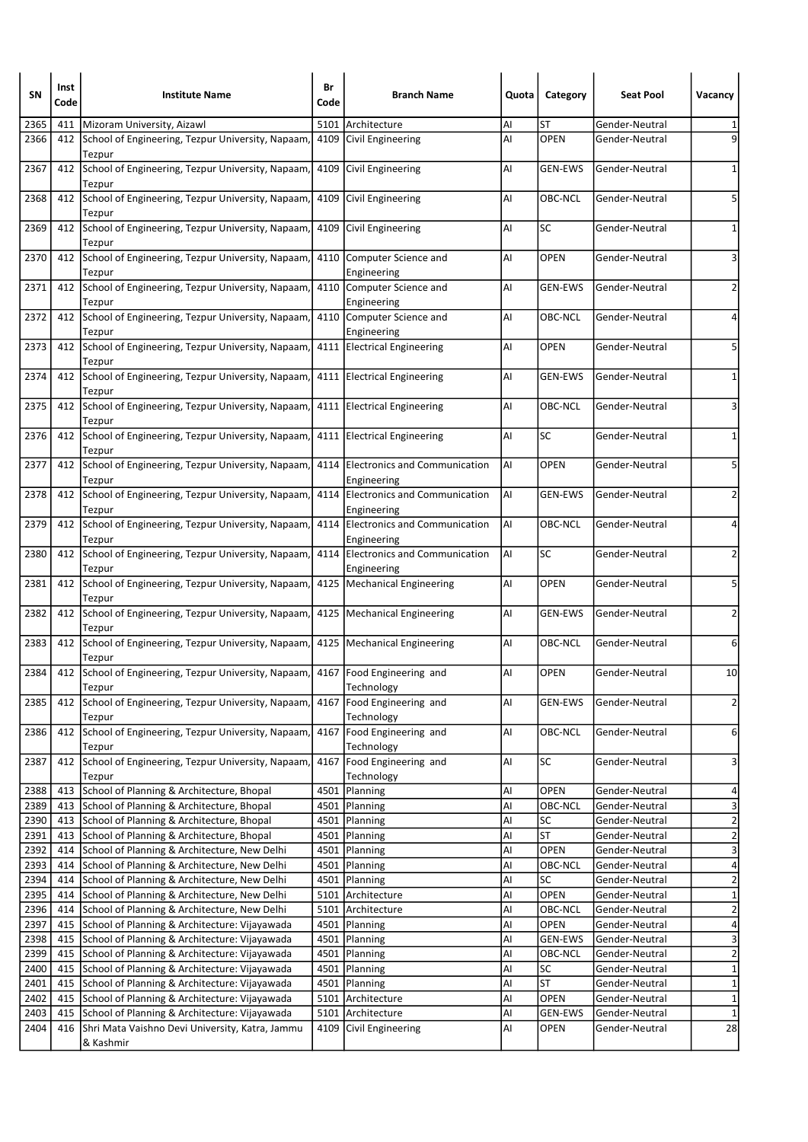| SΝ   | Inst<br>Code | <b>Institute Name</b>                                                                     | Br<br>Code | <b>Branch Name</b>                                | Quota | Category       | <b>Seat Pool</b> | Vacancy                 |
|------|--------------|-------------------------------------------------------------------------------------------|------------|---------------------------------------------------|-------|----------------|------------------|-------------------------|
| 2365 | 411          | Mizoram University, Aizawl                                                                | 5101       | Architecture                                      | Al    | ST             | Gender-Neutral   | 1                       |
| 2366 | 412          | School of Engineering, Tezpur University, Napaam,<br>Tezpur                               | 4109       | Civil Engineering                                 | Al    | <b>OPEN</b>    | Gender-Neutral   | 9                       |
| 2367 | 412          | School of Engineering, Tezpur University, Napaam,<br>Tezpur                               | 4109       | Civil Engineering                                 | Al    | <b>GEN-EWS</b> | Gender-Neutral   | $\mathbf{1}$            |
| 2368 | 412          | School of Engineering, Tezpur University, Napaam,<br>Tezpur                               | 4109       | Civil Engineering                                 | Al    | OBC-NCL        | Gender-Neutral   | 5                       |
| 2369 | 412          | School of Engineering, Tezpur University, Napaam,<br>Tezpur                               | 4109       | Civil Engineering                                 | Al    | <b>SC</b>      | Gender-Neutral   | 1                       |
| 2370 | 412          | School of Engineering, Tezpur University, Napaam,<br>Tezpur                               |            | 4110 Computer Science and<br>Engineering          | Al    | <b>OPEN</b>    | Gender-Neutral   | 3                       |
| 2371 | 412          | School of Engineering, Tezpur University, Napaam,<br>Tezpur                               |            | 4110 Computer Science and<br>Engineering          | Al    | <b>GEN-EWS</b> | Gender-Neutral   | 2                       |
| 2372 | 412          | School of Engineering, Tezpur University, Napaam,<br>Tezpur                               |            | 4110 Computer Science and<br>Engineering          | Al    | OBC-NCL        | Gender-Neutral   | 4                       |
| 2373 | 412          | School of Engineering, Tezpur University, Napaam,<br>Tezpur                               |            | 4111 Electrical Engineering                       | Al    | <b>OPEN</b>    | Gender-Neutral   | 5                       |
| 2374 | 412          | School of Engineering, Tezpur University, Napaam,<br>Tezpur                               |            | 4111 Electrical Engineering                       | Al    | <b>GEN-EWS</b> | Gender-Neutral   | 1                       |
| 2375 | 412          | School of Engineering, Tezpur University, Napaam,<br>Tezpur                               |            | 4111 Electrical Engineering                       | Al    | OBC-NCL        | Gender-Neutral   | 3                       |
| 2376 | 412          | School of Engineering, Tezpur University, Napaam,<br>Tezpur                               |            | 4111 Electrical Engineering                       | Al    | <b>SC</b>      | Gender-Neutral   | 1                       |
| 2377 | 412          | School of Engineering, Tezpur University, Napaam,<br>Tezpur                               |            | 4114 Electronics and Communication<br>Engineering | Al    | <b>OPEN</b>    | Gender-Neutral   | 5                       |
| 2378 | 412          | School of Engineering, Tezpur University, Napaam,<br>Tezpur                               |            | 4114 Electronics and Communication<br>Engineering | Al    | <b>GEN-EWS</b> | Gender-Neutral   | 2                       |
| 2379 | 412          | School of Engineering, Tezpur University, Napaam,<br>Tezpur                               | 4114       | Electronics and Communication<br>Engineering      | AI    | OBC-NCL        | Gender-Neutral   | 4                       |
| 2380 | 412          | School of Engineering, Tezpur University, Napaam,<br>Tezpur                               |            | 4114 Electronics and Communication<br>Engineering | Al    | SC             | Gender-Neutral   | 2                       |
| 2381 | 412          | School of Engineering, Tezpur University, Napaam,<br>Tezpur                               |            | 4125   Mechanical Engineering                     | AI    | <b>OPEN</b>    | Gender-Neutral   | 5                       |
| 2382 | 412          | School of Engineering, Tezpur University, Napaam,<br>Tezpur                               |            | 4125   Mechanical Engineering                     | Al    | GEN-EWS        | Gender-Neutral   | 2                       |
| 2383 |              | 412 School of Engineering, Tezpur University, Napaam,<br>Tezpur                           |            | 4125   Mechanical Engineering                     | Al    | OBC-NCL        | Gender-Neutral   | 6                       |
| 2384 |              | 412 School of Engineering, Tezpur University, Napaam, 4167 Food Engineering and<br>Tezpur |            | Technology                                        | Al    | <b>OPEN</b>    | Gender-Neutral   | 10                      |
| 2385 | 412          | School of Engineering, Tezpur University, Napaam,<br>Tezpur                               | 4167       | Food Engineering and<br>Technology                | Al    | GEN-EWS        | Gender-Neutral   | $\overline{2}$          |
| 2386 | 412          | School of Engineering, Tezpur University, Napaam,<br>Tezpur                               |            | 4167 Food Engineering and<br>Technology           | AI    | OBC-NCL        | Gender-Neutral   | 6                       |
| 2387 | 412          | School of Engineering, Tezpur University, Napaam,<br>Tezpur                               | 4167       | Food Engineering and<br>Technology                | Al    | SC             | Gender-Neutral   | 3                       |
| 2388 | 413          | School of Planning & Architecture, Bhopal                                                 | 4501       | Planning                                          | Al    | OPEN           | Gender-Neutral   | 4                       |
| 2389 | 413          | School of Planning & Architecture, Bhopal                                                 |            | 4501 Planning                                     | Al    | OBC-NCL        | Gender-Neutral   | $\overline{\mathbf{3}}$ |
| 2390 | 413          | School of Planning & Architecture, Bhopal                                                 |            | 4501 Planning                                     | Al    | SC             | Gender-Neutral   | $\overline{c}$          |
| 2391 | 413          | School of Planning & Architecture, Bhopal                                                 |            | 4501 Planning                                     | AI    | <b>ST</b>      | Gender-Neutral   | $\overline{c}$          |
| 2392 | 414          | School of Planning & Architecture, New Delhi                                              |            | 4501 Planning                                     | Al    | OPEN           | Gender-Neutral   | $\overline{\mathbf{3}}$ |
| 2393 | 414          | School of Planning & Architecture, New Delhi                                              |            | 4501 Planning                                     | Al    | OBC-NCL        | Gender-Neutral   | 4                       |
| 2394 | 414          | School of Planning & Architecture, New Delhi                                              |            | 4501   Planning                                   | Al    | SC             | Gender-Neutral   | $\overline{\mathbf{c}}$ |
| 2395 | 414          | School of Planning & Architecture, New Delhi                                              |            | 5101 Architecture                                 | Al    | OPEN           | Gender-Neutral   | $\overline{\mathbf{1}}$ |
| 2396 | 414          | School of Planning & Architecture, New Delhi                                              |            | 5101 Architecture                                 | Al    | OBC-NCL        | Gender-Neutral   | $\overline{c}$          |
| 2397 | 415          | School of Planning & Architecture: Vijayawada                                             |            | 4501 Planning                                     | Al    | <b>OPEN</b>    | Gender-Neutral   | 4                       |
| 2398 | 415          | School of Planning & Architecture: Vijayawada                                             |            | 4501   Planning                                   | Al    | <b>GEN-EWS</b> | Gender-Neutral   | $\overline{\mathbf{3}}$ |
| 2399 | 415          | School of Planning & Architecture: Vijayawada                                             |            | 4501 Planning                                     | Al    | OBC-NCL        | Gender-Neutral   | $\overline{\mathbf{c}}$ |
| 2400 | 415          | School of Planning & Architecture: Vijayawada                                             |            | 4501   Planning                                   | Al    | SC             | Gender-Neutral   | $\overline{1}$          |
| 2401 | 415          | School of Planning & Architecture: Vijayawada                                             |            | 4501 Planning                                     | AI    | <b>ST</b>      | Gender-Neutral   | $\mathbf 1$             |
| 2402 | 415          | School of Planning & Architecture: Vijayawada                                             |            | 5101 Architecture                                 | AI    | OPEN           | Gender-Neutral   | $\mathbf 1$             |
| 2403 | 415          | School of Planning & Architecture: Vijayawada                                             | 5101       | Architecture                                      | Al    | <b>GEN-EWS</b> | Gender-Neutral   | $\mathbf 1$             |
| 2404 | 416          | Shri Mata Vaishno Devi University, Katra, Jammu                                           | 4109       | Civil Engineering                                 | Al    | <b>OPEN</b>    | Gender-Neutral   | 28                      |
|      |              | & Kashmir                                                                                 |            |                                                   |       |                |                  |                         |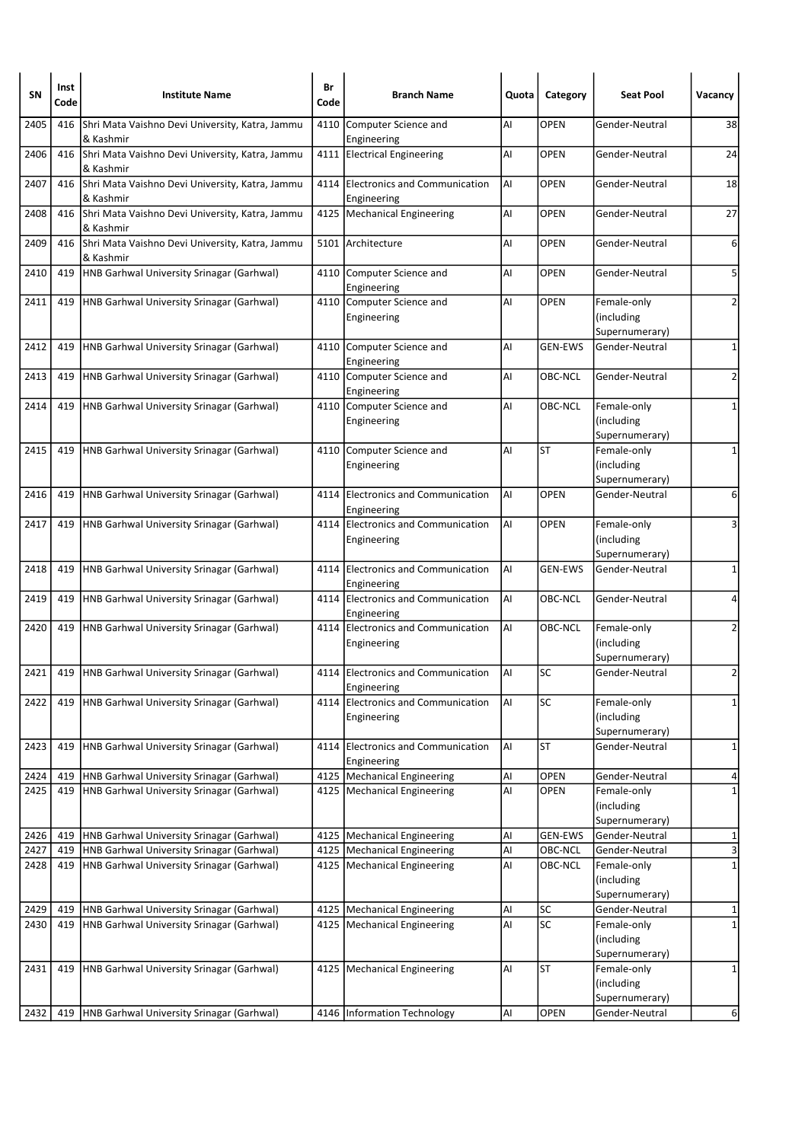| SΝ   | Inst<br>Code | <b>Institute Name</b>                                        | Br<br>Code | <b>Branch Name</b>                                | Quota | Category        | <b>Seat Pool</b>                            | Vacancy                 |
|------|--------------|--------------------------------------------------------------|------------|---------------------------------------------------|-------|-----------------|---------------------------------------------|-------------------------|
| 2405 | 416          | Shri Mata Vaishno Devi University, Katra, Jammu<br>& Kashmir | 4110       | Computer Science and<br>Engineering               | Al    | OPEN            | Gender-Neutral                              | 38                      |
| 2406 | 416          | Shri Mata Vaishno Devi University, Katra, Jammu<br>& Kashmir |            | 4111 Electrical Engineering                       | Al    | <b>OPEN</b>     | Gender-Neutral                              | 24                      |
| 2407 | 416          | Shri Mata Vaishno Devi University, Katra, Jammu<br>& Kashmir | 4114       | Electronics and Communication<br>Engineering      | AI    | <b>OPEN</b>     | Gender-Neutral                              | 18                      |
| 2408 | 416          | Shri Mata Vaishno Devi University, Katra, Jammu<br>& Kashmir |            | 4125   Mechanical Engineering                     | Al    | <b>OPEN</b>     | Gender-Neutral                              | 27                      |
| 2409 | 416          | Shri Mata Vaishno Devi University, Katra, Jammu<br>& Kashmir |            | 5101 Architecture                                 | Al    | <b>OPEN</b>     | Gender-Neutral                              | 6                       |
| 2410 | 419          | HNB Garhwal University Srinagar (Garhwal)                    | 4110       | Computer Science and<br>Engineering               | Al    | <b>OPEN</b>     | Gender-Neutral                              | 5                       |
| 2411 | 419          | HNB Garhwal University Srinagar (Garhwal)                    |            | 4110 Computer Science and<br>Engineering          | Al    | <b>OPEN</b>     | Female-only<br>(including<br>Supernumerary) | 2                       |
| 2412 | 419          | HNB Garhwal University Srinagar (Garhwal)                    | 4110       | Computer Science and<br>Engineering               | AI    | <b>GEN-EWS</b>  | Gender-Neutral                              | 1                       |
| 2413 | 419          | HNB Garhwal University Srinagar (Garhwal)                    |            | 4110 Computer Science and<br>Engineering          | Al    | OBC-NCL         | Gender-Neutral                              | 2                       |
| 2414 | 419          | HNB Garhwal University Srinagar (Garhwal)                    |            | 4110 Computer Science and<br>Engineering          | AI    | OBC-NCL         | Female-only<br>(including<br>Supernumerary) | 1                       |
| 2415 | 419          | HNB Garhwal University Srinagar (Garhwal)                    | 4110       | Computer Science and<br>Engineering               | Al    | <b>ST</b>       | Female-only<br>(including<br>Supernumerary) | 1                       |
| 2416 | 419          | HNB Garhwal University Srinagar (Garhwal)                    |            | 4114 Electronics and Communication<br>Engineering | Al    | OPEN            | Gender-Neutral                              | 6                       |
| 2417 | 419          | HNB Garhwal University Srinagar (Garhwal)                    | 4114       | Electronics and Communication<br>Engineering      | Al    | <b>OPEN</b>     | Female-only<br>(including<br>Supernumerary) | 3                       |
| 2418 | 419          | HNB Garhwal University Srinagar (Garhwal)                    |            | 4114 Electronics and Communication<br>Engineering | Al    | <b>GEN-EWS</b>  | Gender-Neutral                              | 1                       |
| 2419 | 419          | HNB Garhwal University Srinagar (Garhwal)                    |            | 4114 Electronics and Communication<br>Engineering | AI    | OBC-NCL         | Gender-Neutral                              | 4                       |
| 2420 | 419          | HNB Garhwal University Srinagar (Garhwal)                    | 4114       | Electronics and Communication<br>Engineering      | Al    | OBC-NCL         | Female-only<br>(including<br>Supernumerary) | 2                       |
| 2421 | 419          | HNB Garhwal University Srinagar (Garhwal)                    |            | 4114 Electronics and Communication<br>Engineering | Al    | SC              | Gender-Neutral                              | $\overline{2}$          |
| 2422 | 419          | HNB Garhwal University Srinagar (Garhwal)                    | 4114       | Electronics and Communication<br>Engineering      | AI    | SC              | Female-only<br>(including<br>Supernumerary) | $\mathbf{1}$            |
| 2423 | 419          | HNB Garhwal University Srinagar (Garhwal)                    |            | 4114 Electronics and Communication<br>Engineering | Al    | <b>ST</b>       | Gender-Neutral                              | $\mathbf 1$             |
| 2424 | 419          | HNB Garhwal University Srinagar (Garhwal)                    |            | 4125   Mechanical Engineering                     | Al    | OPEN            | Gender-Neutral                              | 4                       |
| 2425 | 419          | HNB Garhwal University Srinagar (Garhwal)                    |            | 4125   Mechanical Engineering                     | AI    | <b>OPEN</b>     | Female-only<br>(including<br>Supernumerary) | 1                       |
| 2426 | 419          | HNB Garhwal University Srinagar (Garhwal)                    |            | 4125   Mechanical Engineering                     | AI    | <b>GEN-EWS</b>  | Gender-Neutral                              | 1                       |
| 2427 | 419          | HNB Garhwal University Srinagar (Garhwal)                    |            | 4125   Mechanical Engineering                     | AI    | OBC-NCL         | Gender-Neutral                              | $\overline{\mathbf{3}}$ |
| 2428 | 419          | HNB Garhwal University Srinagar (Garhwal)                    |            | 4125   Mechanical Engineering                     | Al    | OBC-NCL         | Female-only<br>(including<br>Supernumerary) | $\mathbf 1$             |
| 2429 | 419          | HNB Garhwal University Srinagar (Garhwal)                    |            | 4125   Mechanical Engineering                     | AI    | SC              | Gender-Neutral                              | 1                       |
| 2430 | 419          | HNB Garhwal University Srinagar (Garhwal)                    |            | 4125   Mechanical Engineering                     | Al    | $\overline{SC}$ | Female-only<br>(including<br>Supernumerary) | $\mathbf 1$             |
| 2431 | 419          | HNB Garhwal University Srinagar (Garhwal)                    |            | 4125   Mechanical Engineering                     | AI    | <b>ST</b>       | Female-only<br>(including<br>Supernumerary) | 1                       |
| 2432 | 419          | HNB Garhwal University Srinagar (Garhwal)                    |            | 4146   Information Technology                     | AI    | <b>OPEN</b>     | Gender-Neutral                              | 6                       |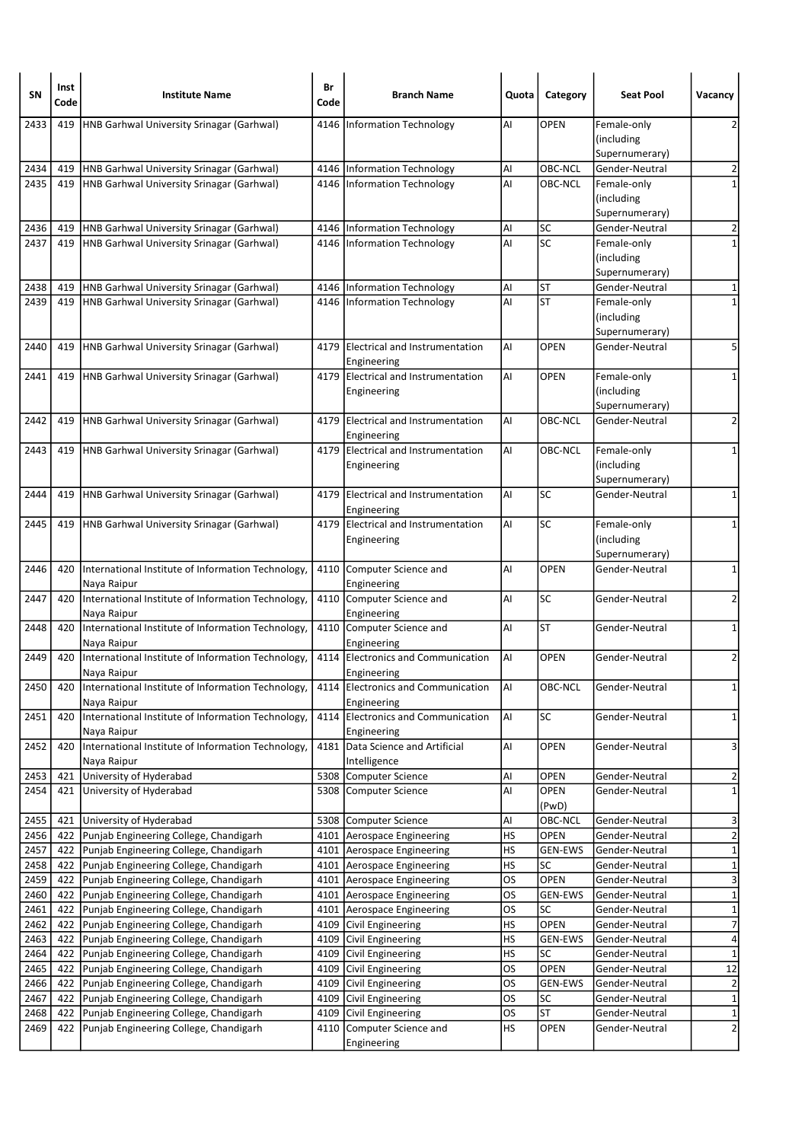| SΝ           | Inst<br>Code | <b>Institute Name</b>                                                            | Br<br>Code | <b>Branch Name</b>                            | Quota           | Category             | <b>Seat Pool</b>                            | Vacancy                      |
|--------------|--------------|----------------------------------------------------------------------------------|------------|-----------------------------------------------|-----------------|----------------------|---------------------------------------------|------------------------------|
| 2433         | 419          | HNB Garhwal University Srinagar (Garhwal)                                        |            | 4146   Information Technology                 | AI              | <b>OPEN</b>          | Female-only<br>(including<br>Supernumerary) | 2                            |
| 2434         | 419          | HNB Garhwal University Srinagar (Garhwal)                                        |            | 4146 Information Technology                   | Al              | OBC-NCL              | Gender-Neutral                              | $\overline{\mathbf{c}}$      |
| 2435         | 419          | <b>HNB Garhwal University Srinagar (Garhwal)</b>                                 |            | 4146 Information Technology                   | AI              | OBC-NCL              | Female-only                                 | $\mathbf{1}$                 |
|              |              |                                                                                  |            |                                               |                 |                      | (including                                  |                              |
|              |              |                                                                                  |            |                                               |                 |                      | Supernumerary)                              |                              |
| 2436         | 419          | HNB Garhwal University Srinagar (Garhwal)                                        |            | 4146   Information Technology                 | AI              | SC                   | Gender-Neutral                              | $\overline{2}$               |
| 2437         | 419          | HNB Garhwal University Srinagar (Garhwal)                                        |            | 4146 Information Technology                   | AI              | SC                   | Female-only<br>(including                   | $\mathbf{1}$                 |
|              |              |                                                                                  |            |                                               |                 |                      | Supernumerary)                              |                              |
| 2438         | 419          | HNB Garhwal University Srinagar (Garhwal)                                        |            | 4146   Information Technology                 | Al              | <b>ST</b>            | Gender-Neutral                              | 1                            |
| 2439         | 419          | HNB Garhwal University Srinagar (Garhwal)                                        |            | 4146 Information Technology                   | AI              | <b>ST</b>            | Female-only                                 | 1                            |
|              |              |                                                                                  |            |                                               |                 |                      | (including                                  |                              |
|              |              |                                                                                  |            |                                               |                 |                      | Supernumerary)                              |                              |
| 2440         | 419          | HNB Garhwal University Srinagar (Garhwal)                                        |            | 4179 Electrical and Instrumentation           | AI              | <b>OPEN</b>          | Gender-Neutral                              | 5                            |
| 2441         | 419          | HNB Garhwal University Srinagar (Garhwal)                                        | 4179       | Engineering<br>Electrical and Instrumentation | Al              | <b>OPEN</b>          | Female-only                                 | 1                            |
|              |              |                                                                                  |            | Engineering                                   |                 |                      | (including                                  |                              |
|              |              |                                                                                  |            |                                               |                 |                      | Supernumerary)                              |                              |
| 2442         | 419          | HNB Garhwal University Srinagar (Garhwal)                                        |            | 4179 Electrical and Instrumentation           | Al              | <b>OBC-NCL</b>       | Gender-Neutral                              | $\overline{2}$               |
|              |              |                                                                                  |            | Engineering                                   |                 |                      |                                             |                              |
| 2443         | 419          | HNB Garhwal University Srinagar (Garhwal)                                        |            | 4179 Electrical and Instrumentation           | AI              | OBC-NCL              | Female-only                                 | 1                            |
|              |              |                                                                                  |            | Engineering                                   |                 |                      | (including                                  |                              |
| 2444         | 419          | HNB Garhwal University Srinagar (Garhwal)                                        |            | 4179 Electrical and Instrumentation           | AI              | SC                   | Supernumerary)<br>Gender-Neutral            | $\mathbf 1$                  |
|              |              |                                                                                  |            | Engineering                                   |                 |                      |                                             |                              |
| 2445         | 419          | HNB Garhwal University Srinagar (Garhwal)                                        |            | 4179 Electrical and Instrumentation           | AI              | SC                   | Female-only                                 | 1                            |
|              |              |                                                                                  |            | Engineering                                   |                 |                      | (including                                  |                              |
|              |              |                                                                                  |            |                                               |                 |                      | Supernumerary)                              |                              |
| 2446         | 420          | International Institute of Information Technology,                               |            | 4110 Computer Science and                     | AI              | <b>OPEN</b>          | Gender-Neutral                              | 1                            |
| 2447         | 420          | Naya Raipur<br>International Institute of Information Technology,                |            | Engineering<br>4110 Computer Science and      | AI              | SC                   | Gender-Neutral                              | 2                            |
|              |              | Naya Raipur                                                                      |            | Engineering                                   |                 |                      |                                             |                              |
| 2448         | 420          | International Institute of Information Technology,                               |            | 4110 Computer Science and                     | AI              | <b>ST</b>            | Gender-Neutral                              | 1                            |
|              |              | Naya Raipur                                                                      |            | Engineering                                   |                 |                      |                                             |                              |
| 2449         | 420          | International Institute of Information Technology,                               |            | 4114 Electronics and Communication            | AI              | <b>OPEN</b>          | Gender-Neutral                              | $\overline{2}$               |
|              |              | Naya Raipur                                                                      |            | Engineering                                   |                 |                      |                                             |                              |
| 2450         | 420          | International Institute of Information Technology,                               |            | 4114 Electronics and Communication            | AI              | OBC-NCL              | Gender-Neutral                              | $\mathbf{1}$                 |
| 2451         | 420          | Naya Raipur<br>International Institute of Information Technology,                | 4114       | Engineering<br>Electronics and Communication  | AI              | <b>SC</b>            | Gender-Neutral                              | 1                            |
|              |              | Naya Raipur                                                                      |            | Engineering                                   |                 |                      |                                             |                              |
| 2452         | 420          | International Institute of Information Technology,                               |            | 4181 Data Science and Artificial              | AI              | OPEN                 | Gender-Neutral                              | 3                            |
|              |              | Naya Raipur                                                                      |            | Intelligence                                  |                 |                      |                                             |                              |
| 2453         | 421          | University of Hyderabad                                                          | 5308       | Computer Science                              | Al              | OPEN                 | Gender-Neutral                              | 2                            |
| 2454         | 421          | University of Hyderabad                                                          |            | 5308 Computer Science                         | AI              | OPEN                 | Gender-Neutral                              | $\mathbf 1$                  |
| 2455         |              | 421 University of Hyderabad                                                      |            | 5308 Computer Science                         | Al              | (PwD)<br>OBC-NCL     | Gender-Neutral                              |                              |
| 2456         | 422          | Punjab Engineering College, Chandigarh                                           |            | 4101 Aerospace Engineering                    | HS              | OPEN                 | Gender-Neutral                              | 3<br>$\overline{\mathbf{c}}$ |
| 2457         | 422          | Punjab Engineering College, Chandigarh                                           |            | 4101 Aerospace Engineering                    | HS              | <b>GEN-EWS</b>       | Gender-Neutral                              | $\mathbf 1$                  |
| 2458         | 422          | Punjab Engineering College, Chandigarh                                           |            | 4101 Aerospace Engineering                    | <b>HS</b>       | SC                   | Gender-Neutral                              | $\mathbf{1}$                 |
| 2459         | 422          | Punjab Engineering College, Chandigarh                                           |            | 4101 Aerospace Engineering                    | OS              | OPEN                 | Gender-Neutral                              | 3                            |
| 2460         | 422          | Punjab Engineering College, Chandigarh                                           |            | 4101 Aerospace Engineering                    | OS              | GEN-EWS              | Gender-Neutral                              | $\mathbf 1$                  |
| 2461         | 422          | Punjab Engineering College, Chandigarh                                           |            | 4101 Aerospace Engineering                    | OS              | <b>SC</b>            | Gender-Neutral                              | $\mathbf{1}$                 |
| 2462         | 422          | Punjab Engineering College, Chandigarh                                           |            | 4109 Civil Engineering                        | HS              | OPEN                 | Gender-Neutral                              | $\overline{7}$               |
| 2463<br>2464 | 422<br>422   | Punjab Engineering College, Chandigarh                                           |            | 4109 Civil Engineering                        | HS<br><b>HS</b> | <b>GEN-EWS</b><br>SC | Gender-Neutral                              | 4                            |
| 2465         | 422          | Punjab Engineering College, Chandigarh<br>Punjab Engineering College, Chandigarh | 4109       | 4109 Civil Engineering<br>Civil Engineering   | <b>OS</b>       | OPEN                 | Gender-Neutral<br>Gender-Neutral            | $\mathbf 1$<br>12            |
| 2466         | 422          | Punjab Engineering College, Chandigarh                                           |            | 4109 Civil Engineering                        | OS              | <b>GEN-EWS</b>       | Gender-Neutral                              | $\overline{\mathbf{c}}$      |
| 2467         | 422          | Punjab Engineering College, Chandigarh                                           |            | 4109 Civil Engineering                        | <b>OS</b>       | SC                   | Gender-Neutral                              | $\overline{\mathbf{1}}$      |
| 2468         | 422          | Punjab Engineering College, Chandigarh                                           |            | 4109 Civil Engineering                        | <b>OS</b>       | <b>ST</b>            | Gender-Neutral                              | $\mathbf{1}$                 |
| 2469         | 422          | Punjab Engineering College, Chandigarh                                           | 4110       | Computer Science and                          | HS              | OPEN                 | Gender-Neutral                              | $\overline{2}$               |
|              |              |                                                                                  |            | Engineering                                   |                 |                      |                                             |                              |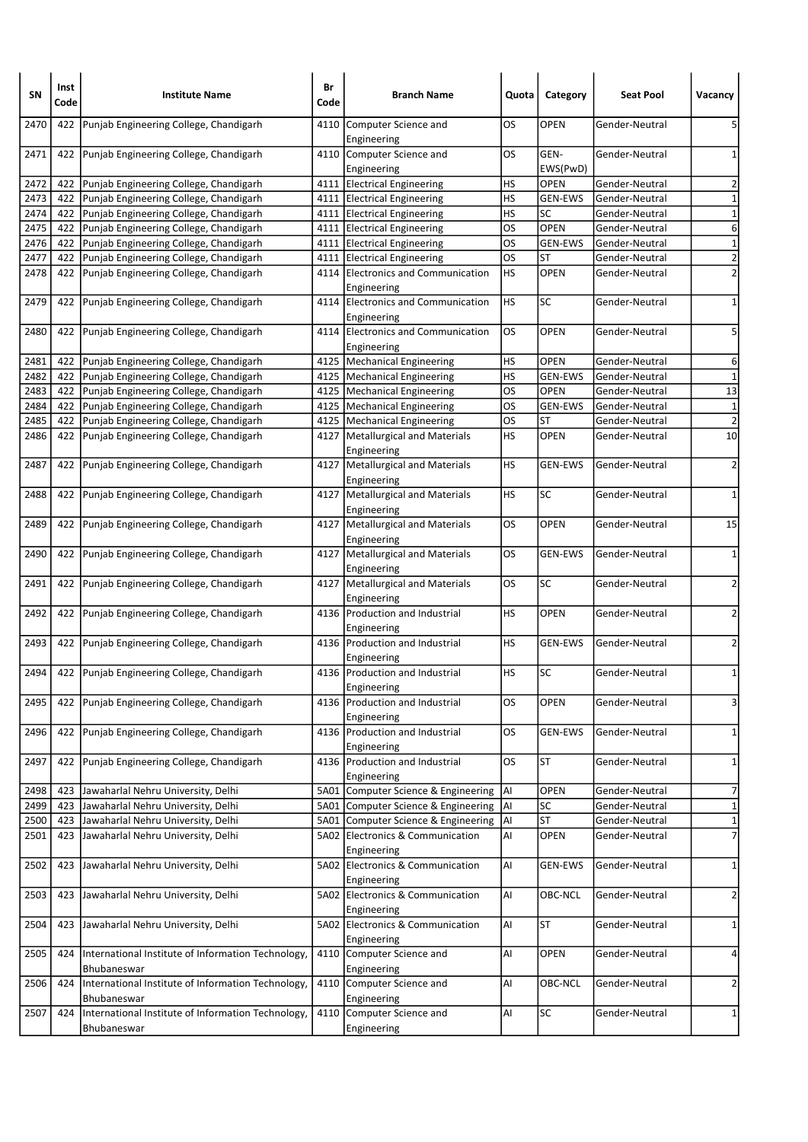| SΝ   | Inst<br>Code | <b>Institute Name</b>                                             | Br<br>Code | <b>Branch Name</b>                                  | Quota     | Category         | <b>Seat Pool</b> | Vacancy        |
|------|--------------|-------------------------------------------------------------------|------------|-----------------------------------------------------|-----------|------------------|------------------|----------------|
| 2470 | 422          | Punjab Engineering College, Chandigarh                            | 4110       | Computer Science and<br>Engineering                 | OS        | OPEN             | Gender-Neutral   | 5              |
| 2471 | 422          | Punjab Engineering College, Chandigarh                            |            | 4110 Computer Science and<br>Engineering            | OS        | GEN-<br>EWS(PwD) | Gender-Neutral   | 1              |
| 2472 | 422          | Punjab Engineering College, Chandigarh                            |            | 4111 Electrical Engineering                         | HS        | <b>OPEN</b>      | Gender-Neutral   | $\overline{2}$ |
| 2473 | 422          | Punjab Engineering College, Chandigarh                            |            | 4111 Electrical Engineering                         | HS        | <b>GEN-EWS</b>   | Gender-Neutral   | $\mathbf 1$    |
| 2474 | 422          | Punjab Engineering College, Chandigarh                            |            | 4111 Electrical Engineering                         | HS        | SC               | Gender-Neutral   | $\mathbf 1$    |
| 2475 | 422          | Punjab Engineering College, Chandigarh                            |            | 4111   Electrical Engineering                       | OS        | <b>OPEN</b>      | Gender-Neutral   | $\overline{6}$ |
| 2476 | 422          | Punjab Engineering College, Chandigarh                            |            | 4111 Electrical Engineering                         | OS        | GEN-EWS          | Gender-Neutral   | $\overline{1}$ |
| 2477 | 422          | Punjab Engineering College, Chandigarh                            |            | 4111   Electrical Engineering                       | OS        | ST               | Gender-Neutral   | $\overline{2}$ |
| 2478 | 422          | Punjab Engineering College, Chandigarh                            |            | 4114 Electronics and Communication<br>Engineering   | НS        | <b>OPEN</b>      | Gender-Neutral   | $\overline{2}$ |
| 2479 | 422          | Punjab Engineering College, Chandigarh                            | 4114       | <b>Electronics and Communication</b><br>Engineering | <b>HS</b> | <b>SC</b>        | Gender-Neutral   | 1              |
| 2480 | 422          | Punjab Engineering College, Chandigarh                            |            | 4114 Electronics and Communication<br>Engineering   | OS        | <b>OPEN</b>      | Gender-Neutral   | 5              |
| 2481 | 422          | Punjab Engineering College, Chandigarh                            |            | 4125   Mechanical Engineering                       | HS        | <b>OPEN</b>      | Gender-Neutral   | 6              |
| 2482 | 422          | Punjab Engineering College, Chandigarh                            |            | 4125   Mechanical Engineering                       | HS        | <b>GEN-EWS</b>   | Gender-Neutral   | $\mathbf 1$    |
| 2483 | 422          | Punjab Engineering College, Chandigarh                            |            | 4125   Mechanical Engineering                       | OS        | <b>OPEN</b>      | Gender-Neutral   | 13             |
| 2484 | 422          | Punjab Engineering College, Chandigarh                            |            | 4125   Mechanical Engineering                       | OS        | <b>GEN-EWS</b>   | Gender-Neutral   | $\mathbf 1$    |
| 2485 | 422          | Punjab Engineering College, Chandigarh                            |            | 4125   Mechanical Engineering                       | <b>OS</b> | ST               | Gender-Neutral   | $\overline{2}$ |
| 2486 | 422          | Punjab Engineering College, Chandigarh                            |            | 4127   Metallurgical and Materials<br>Engineering   | НS        | <b>OPEN</b>      | Gender-Neutral   | 10             |
| 2487 | 422          | Punjab Engineering College, Chandigarh                            | 4127       | Metallurgical and Materials<br>Engineering          | НS        | <b>GEN-EWS</b>   | Gender-Neutral   | $\overline{2}$ |
| 2488 | 422          | Punjab Engineering College, Chandigarh                            |            | 4127   Metallurgical and Materials<br>Engineering   | НS        | <b>SC</b>        | Gender-Neutral   | $\mathbf{1}$   |
| 2489 | 422          | Punjab Engineering College, Chandigarh                            |            | 4127   Metallurgical and Materials<br>Engineering   | OS        | <b>OPEN</b>      | Gender-Neutral   | 15             |
| 2490 | 422          | Punjab Engineering College, Chandigarh                            | 4127       | Metallurgical and Materials<br>Engineering          | OS        | GEN-EWS          | Gender-Neutral   | 1              |
| 2491 | 422          | Punjab Engineering College, Chandigarh                            |            | 4127   Metallurgical and Materials<br>Engineering   | OS        | SC               | Gender-Neutral   | $\overline{2}$ |
| 2492 | 422          | Punjab Engineering College, Chandigarh                            |            | 4136 Production and Industrial<br>Engineering       | НS        | <b>OPEN</b>      | Gender-Neutral   | $\overline{2}$ |
| 2493 | 422          | Punjab Engineering College, Chandigarh                            |            | 4136 Production and Industrial<br>Engineering       | НS        | <b>GEN-EWS</b>   | Gender-Neutral   | 2              |
| 2494 |              | 422 Punjab Engineering College, Chandigarh                        |            | 4136 Production and Industrial<br>Engineering       | HS        | <b>SC</b>        | Gender-Neutral   | $\mathbf{1}$   |
| 2495 | 422          | Punjab Engineering College, Chandigarh                            |            | 4136 Production and Industrial<br>Engineering       | OS        | OPEN             | Gender-Neutral   | 3              |
| 2496 | 422          | Punjab Engineering College, Chandigarh                            |            | 4136 Production and Industrial<br>Engineering       | OS        | GEN-EWS          | Gender-Neutral   | $\mathbf{1}$   |
| 2497 | 422          | Punjab Engineering College, Chandigarh                            |            | 4136 Production and Industrial<br>Engineering       | OS        | <b>ST</b>        | Gender-Neutral   | 1              |
| 2498 | 423          | Jawaharlal Nehru University, Delhi                                |            | 5A01 Computer Science & Engineering                 | AI        | OPEN             | Gender-Neutral   | 7              |
| 2499 | 423          | Jawaharlal Nehru University, Delhi                                | 5A01       | Computer Science & Engineering                      | Al        | <b>SC</b>        | Gender-Neutral   | $\mathbf 1$    |
| 2500 | 423          | Jawaharlal Nehru University, Delhi                                |            | 5A01 Computer Science & Engineering                 | Al        | <b>ST</b>        | Gender-Neutral   | $\overline{1}$ |
| 2501 | 423          | Jawaharlal Nehru University, Delhi                                |            | 5A02 Electronics & Communication<br>Engineering     | Al        | OPEN             | Gender-Neutral   | $\overline{7}$ |
| 2502 | 423          | Jawaharlal Nehru University, Delhi                                |            | 5A02 Electronics & Communication<br>Engineering     | AI        | GEN-EWS          | Gender-Neutral   | 1              |
| 2503 | 423          | Jawaharlal Nehru University, Delhi                                |            | 5A02 Electronics & Communication<br>Engineering     | AI        | OBC-NCL          | Gender-Neutral   | $\overline{2}$ |
| 2504 | 423          | Jawaharlal Nehru University, Delhi                                |            | 5A02 Electronics & Communication<br>Engineering     | AI        | <b>ST</b>        | Gender-Neutral   | 1              |
| 2505 | 424          | International Institute of Information Technology,<br>Bhubaneswar | 4110       | Computer Science and<br>Engineering                 | AI        | OPEN             | Gender-Neutral   | 4              |
| 2506 | 424          | International Institute of Information Technology,<br>Bhubaneswar |            | 4110 Computer Science and<br>Engineering            | AI        | OBC-NCL          | Gender-Neutral   | $\overline{2}$ |
| 2507 | 424          | International Institute of Information Technology,<br>Bhubaneswar |            | 4110 Computer Science and<br>Engineering            | AI        | SC               | Gender-Neutral   | $\mathbf{1}$   |
|      |              |                                                                   |            |                                                     |           |                  |                  |                |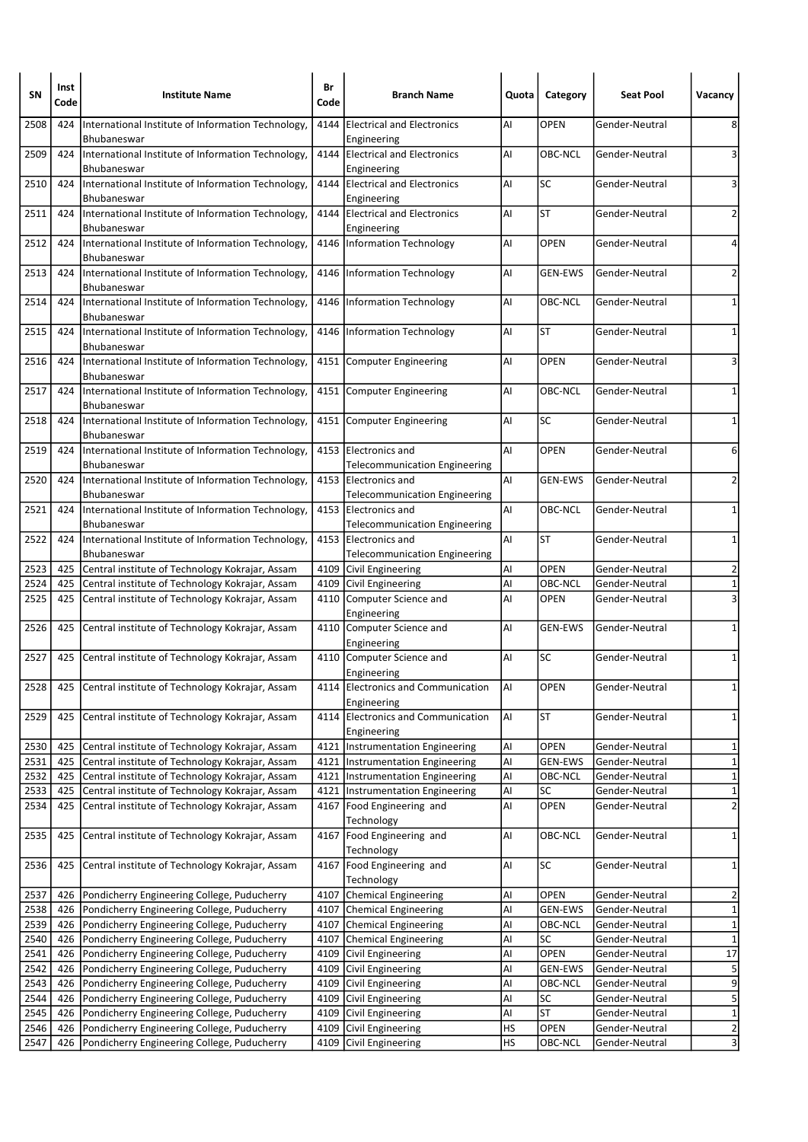| SΝ           | Inst<br>Code | <b>Institute Name</b>                                                                      | Br<br>Code   | <b>Branch Name</b>                                           | Quota    | Category          | <b>Seat Pool</b>                 | Vacancy                 |
|--------------|--------------|--------------------------------------------------------------------------------------------|--------------|--------------------------------------------------------------|----------|-------------------|----------------------------------|-------------------------|
| 2508         | 424          | International Institute of Information Technology,<br>Bhubaneswar                          | 4144         | <b>Electrical and Electronics</b><br>Engineering             | Al       | <b>OPEN</b>       | Gender-Neutral                   | 8                       |
| 2509         | 424          | International Institute of Information Technology,<br>Bhubaneswar                          |              | 4144 Electrical and Electronics<br>Engineering               | AI       | OBC-NCL           | Gender-Neutral                   | 3                       |
| 2510         | 424          | International Institute of Information Technology,<br>Bhubaneswar                          |              | 4144 Electrical and Electronics<br>Engineering               | Al       | SC                | Gender-Neutral                   | 3                       |
| 2511         | 424          | International Institute of Information Technology,<br>Bhubaneswar                          | 4144         | <b>Electrical and Electronics</b><br>Engineering             | AI       | <b>ST</b>         | Gender-Neutral                   | 2                       |
| 2512         | 424          | International Institute of Information Technology,<br>Bhubaneswar                          |              | 4146   Information Technology                                | Al       | <b>OPEN</b>       | Gender-Neutral                   | 4                       |
| 2513         | 424          | International Institute of Information Technology,<br>Bhubaneswar                          |              | 4146   Information Technology                                | Al       | <b>GEN-EWS</b>    | Gender-Neutral                   | 2                       |
| 2514         | 424          | International Institute of Information Technology,<br>Bhubaneswar                          | 4146         | Information Technology                                       | Al       | OBC-NCL           | Gender-Neutral                   | 1                       |
| 2515         | 424          | International Institute of Information Technology,<br>Bhubaneswar                          |              | 4146   Information Technology                                | Al       | <b>ST</b>         | Gender-Neutral                   | 1                       |
| 2516         | 424          | International Institute of Information Technology,<br>Bhubaneswar                          |              | 4151 Computer Engineering                                    | Al       | <b>OPEN</b>       | Gender-Neutral                   | 3                       |
| 2517         | 424          | International Institute of Information Technology,<br>Bhubaneswar                          |              | 4151 Computer Engineering                                    | Al       | OBC-NCL           | Gender-Neutral                   | 1                       |
| 2518         | 424          | International Institute of Information Technology,<br>Bhubaneswar                          |              | 4151 Computer Engineering                                    | AI       | <b>SC</b>         | Gender-Neutral                   | 1                       |
| 2519         | 424          | International Institute of Information Technology,<br>Bhubaneswar                          | 4153         | Electronics and<br><b>Telecommunication Engineering</b>      | Al       | <b>OPEN</b>       | Gender-Neutral                   | 6                       |
| 2520         | 424          | International Institute of Information Technology,<br>Bhubaneswar                          |              | 4153 Electronics and<br><b>Telecommunication Engineering</b> | Al       | <b>GEN-EWS</b>    | Gender-Neutral                   | $\overline{2}$          |
| 2521         | 424          | International Institute of Information Technology,<br>Bhubaneswar                          |              | 4153 Electronics and<br><b>Telecommunication Engineering</b> | AI       | OBC-NCL           | Gender-Neutral                   | 1                       |
| 2522         | 424          | International Institute of Information Technology,<br>Bhubaneswar                          |              | 4153 Electronics and<br><b>Telecommunication Engineering</b> | Al       | <b>ST</b>         | Gender-Neutral                   | 1                       |
| 2523         | 425          | Central institute of Technology Kokrajar, Assam                                            |              | 4109 Civil Engineering                                       | Al       | <b>OPEN</b>       | Gender-Neutral                   | $\overline{2}$          |
| 2524         | 425          | Central institute of Technology Kokrajar, Assam                                            |              | 4109 Civil Engineering                                       | Al       | OBC-NCL           | Gender-Neutral                   | $\mathbf 1$             |
| 2525         | 425          | Central institute of Technology Kokrajar, Assam                                            |              | 4110 Computer Science and<br>Engineering                     | Al       | <b>OPEN</b>       | Gender-Neutral                   | $\overline{\mathbf{3}}$ |
| 2526         | 425          | Central institute of Technology Kokrajar, Assam                                            |              | 4110 Computer Science and<br>Engineering                     | Al       | <b>GEN-EWS</b>    | Gender-Neutral                   | 1                       |
| 2527         | 425          | Central institute of Technology Kokrajar, Assam                                            |              | 4110 Computer Science and<br>Engineering                     | Al       | <b>SC</b>         | Gender-Neutral                   | $\mathbf 1$             |
| 2528         | 425          | Central institute of Technology Kokrajar, Assam                                            |              | 4114 Electronics and Communication<br>Engineering            | AI       | <b>OPEN</b>       | Gender-Neutral                   | $1\vert$                |
| 2529         | 425          | Central institute of Technology Kokrajar, Assam                                            | 4114         | Electronics and Communication<br>Engineering                 | Al       | ST                | Gender-Neutral                   | $\mathbf{1}$            |
| 2530         | 425          | Central institute of Technology Kokrajar, Assam                                            |              | 4121  Instrumentation Engineering                            | AI       | OPEN              | Gender-Neutral                   | 1                       |
| 2531         | 425          | Central institute of Technology Kokrajar, Assam                                            |              | 4121   Instrumentation Engineering                           | Al       | <b>GEN-EWS</b>    | Gender-Neutral                   | $\mathbf{1}$            |
| 2532         | 425          | Central institute of Technology Kokrajar, Assam                                            | 4121         | Instrumentation Engineering                                  | Al       | OBC-NCL           | Gender-Neutral                   | $\mathbf{1}$            |
| 2533         | 425          | Central institute of Technology Kokrajar, Assam                                            |              | 4121   Instrumentation Engineering                           | Al       | SC                | Gender-Neutral                   | $\mathbf{1}$            |
| 2534         | 425          | Central institute of Technology Kokrajar, Assam                                            |              | 4167   Food Engineering and<br>Technology                    | Al       | OPEN              | Gender-Neutral                   | $\overline{2}$          |
| 2535         | 425          | Central institute of Technology Kokrajar, Assam                                            |              | 4167 Food Engineering and<br>Technology                      | AI       | OBC-NCL           | Gender-Neutral                   | $\mathbf 1$             |
| 2536         | 425          | Central institute of Technology Kokrajar, Assam                                            | 4167         | Food Engineering and<br>Technology                           | AI       | SC                | Gender-Neutral                   | $\mathbf{1}$            |
| 2537         | 426          | Pondicherry Engineering College, Puducherry                                                |              | 4107 Chemical Engineering                                    | Al       | <b>OPEN</b>       | Gender-Neutral                   | 2                       |
| 2538         | 426          | Pondicherry Engineering College, Puducherry                                                |              | 4107 Chemical Engineering                                    | Al       | <b>GEN-EWS</b>    | Gender-Neutral                   | $\overline{\mathbf{1}}$ |
| 2539         | 426          | Pondicherry Engineering College, Puducherry                                                |              | 4107 Chemical Engineering                                    | Al       | OBC-NCL           | Gender-Neutral                   | $\mathbf 1$             |
| 2540         | 426          | Pondicherry Engineering College, Puducherry                                                | 4107         | Chemical Engineering                                         | Al       | SC                | Gender-Neutral                   | $\mathbf 1$             |
| 2541         | 426          | Pondicherry Engineering College, Puducherry                                                |              | 4109 Civil Engineering                                       | Al       | OPEN              | Gender-Neutral                   | $\overline{17}$         |
| 2542         | 426          | Pondicherry Engineering College, Puducherry                                                |              | 4109 Civil Engineering                                       | Al       | GEN-EWS           | Gender-Neutral                   | $\overline{\mathbf{5}}$ |
| 2543         | 426          | Pondicherry Engineering College, Puducherry                                                |              | 4109 Civil Engineering                                       | Al       | OBC-NCL           | Gender-Neutral                   | $\overline{9}$          |
| 2544         | 426          | Pondicherry Engineering College, Puducherry                                                |              | 4109 Civil Engineering                                       | Al       | SC                | Gender-Neutral                   | 5                       |
| 2545         | 426          | Pondicherry Engineering College, Puducherry                                                |              | 4109 Civil Engineering                                       | Al       | <b>ST</b><br>OPEN | Gender-Neutral                   | $\mathbf{1}$            |
| 2546<br>2547 | 426<br>426   | Pondicherry Engineering College, Puducherry<br>Pondicherry Engineering College, Puducherry | 4109<br>4109 | Civil Engineering<br>Civil Engineering                       | HS<br>HS | OBC-NCL           | Gender-Neutral<br>Gender-Neutral | $\frac{2}{3}$           |
|              |              |                                                                                            |              |                                                              |          |                   |                                  |                         |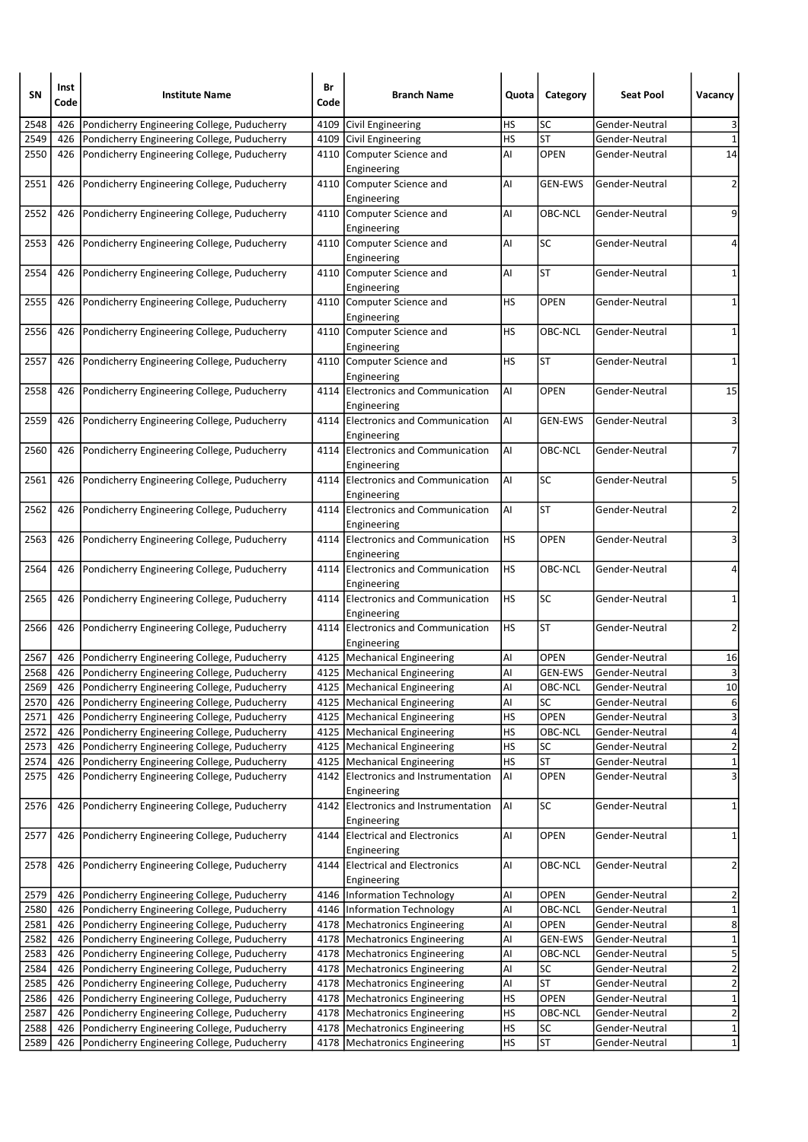| SΝ   | Inst<br>Code | <b>Institute Name</b>                       | Br<br>Code | <b>Branch Name</b>                                  | Quota     | Category       | <b>Seat Pool</b> | Vacancy                 |
|------|--------------|---------------------------------------------|------------|-----------------------------------------------------|-----------|----------------|------------------|-------------------------|
| 2548 | 426          | Pondicherry Engineering College, Puducherry |            | 4109 Civil Engineering                              | <b>HS</b> | SC             | Gender-Neutral   | 3                       |
| 2549 | 426          | Pondicherry Engineering College, Puducherry |            | 4109 Civil Engineering                              | <b>HS</b> | <b>ST</b>      | Gender-Neutral   | $\mathbf 1$             |
| 2550 | 426          | Pondicherry Engineering College, Puducherry |            | 4110 Computer Science and<br>Engineering            | Al        | <b>OPEN</b>    | Gender-Neutral   | 14                      |
| 2551 | 426          | Pondicherry Engineering College, Puducherry |            | 4110 Computer Science and<br>Engineering            | AI        | <b>GEN-EWS</b> | Gender-Neutral   | $\overline{2}$          |
| 2552 | 426          | Pondicherry Engineering College, Puducherry |            | 4110 Computer Science and<br>Engineering            | AI        | OBC-NCL        | Gender-Neutral   | 9                       |
| 2553 | 426          | Pondicherry Engineering College, Puducherry |            | 4110 Computer Science and<br>Engineering            | AI        | <b>SC</b>      | Gender-Neutral   | 4                       |
| 2554 | 426          | Pondicherry Engineering College, Puducherry |            | 4110 Computer Science and<br>Engineering            | AI        | <b>ST</b>      | Gender-Neutral   | $\mathbf{1}$            |
| 2555 | 426          | Pondicherry Engineering College, Puducherry |            | 4110 Computer Science and<br>Engineering            | HS        | <b>OPEN</b>    | Gender-Neutral   | 1                       |
| 2556 | 426          | Pondicherry Engineering College, Puducherry |            | 4110 Computer Science and<br>Engineering            | HS        | OBC-NCL        | Gender-Neutral   | $\mathbf 1$             |
| 2557 | 426          | Pondicherry Engineering College, Puducherry |            | 4110 Computer Science and<br>Engineering            | HS        | <b>ST</b>      | Gender-Neutral   | 1                       |
| 2558 | 426          | Pondicherry Engineering College, Puducherry |            | 4114 Electronics and Communication<br>Engineering   | AI        | <b>OPEN</b>    | Gender-Neutral   | 15                      |
| 2559 | 426          | Pondicherry Engineering College, Puducherry |            | 4114 Electronics and Communication<br>Engineering   | AI        | <b>GEN-EWS</b> | Gender-Neutral   | 3                       |
| 2560 | 426          | Pondicherry Engineering College, Puducherry |            | 4114 Electronics and Communication<br>Engineering   | AI        | OBC-NCL        | Gender-Neutral   | 7                       |
| 2561 | 426          | Pondicherry Engineering College, Puducherry |            | 4114 Electronics and Communication<br>Engineering   | AI        | SC             | Gender-Neutral   | 5                       |
| 2562 | 426          | Pondicherry Engineering College, Puducherry |            | 4114 Electronics and Communication<br>Engineering   | AI        | ST             | Gender-Neutral   | $\overline{2}$          |
| 2563 | 426          | Pondicherry Engineering College, Puducherry |            | 4114 Electronics and Communication<br>Engineering   | HS        | <b>OPEN</b>    | Gender-Neutral   | 3                       |
| 2564 | 426          | Pondicherry Engineering College, Puducherry |            | 4114 Electronics and Communication<br>Engineering   | HS        | OBC-NCL        | Gender-Neutral   | 4                       |
| 2565 | 426          | Pondicherry Engineering College, Puducherry |            | 4114 Electronics and Communication<br>Engineering   | <b>HS</b> | SC             | Gender-Neutral   | $\mathbf{1}$            |
| 2566 | 426          | Pondicherry Engineering College, Puducherry |            | 4114 Electronics and Communication<br>Engineering   | HS        | <b>ST</b>      | Gender-Neutral   | 2                       |
| 2567 | 426          | Pondicherry Engineering College, Puducherry |            | 4125   Mechanical Engineering                       | Al        | OPEN           | Gender-Neutral   | 16                      |
| 2568 | 426          | Pondicherry Engineering College, Puducherry |            | 4125   Mechanical Engineering                       | AI        | <b>GEN-EWS</b> | Gender-Neutral   | 3                       |
| 2569 | 426          | Pondicherry Engineering College, Puducherry |            | 4125   Mechanical Engineering                       | Al        | OBC-NCL        | Gender-Neutral   | 10                      |
| 2570 | 426          | Pondicherry Engineering College, Puducherry |            | 4125   Mechanical Engineering                       | AI        | SC             | Gender-Neutral   | $\overline{6}$          |
| 2571 | 426          | Pondicherry Engineering College, Puducherry |            | 4125   Mechanical Engineering                       | HS        | OPEN           | Gender-Neutral   | 3                       |
| 2572 | 426          | Pondicherry Engineering College, Puducherry |            | 4125   Mechanical Engineering                       | <b>HS</b> | OBC-NCL        | Gender-Neutral   | $\overline{\mathbf{r}}$ |
| 2573 | 426          | Pondicherry Engineering College, Puducherry |            | 4125   Mechanical Engineering                       | HS        | SC             | Gender-Neutral   | $\overline{2}$          |
| 2574 | 426          | Pondicherry Engineering College, Puducherry |            | 4125   Mechanical Engineering                       | <b>HS</b> | ST             | Gender-Neutral   | $\mathbf{1}$            |
| 2575 | 426          | Pondicherry Engineering College, Puducherry | 4142       | Electronics and Instrumentation<br>Engineering      | Al        | OPEN           | Gender-Neutral   | $\overline{\mathbf{3}}$ |
| 2576 | 426          | Pondicherry Engineering College, Puducherry |            | 4142 Electronics and Instrumentation<br>Engineering | AI        | <b>SC</b>      | Gender-Neutral   | $\mathbf{1}$            |
| 2577 | 426          | Pondicherry Engineering College, Puducherry |            | 4144 Electrical and Electronics<br>Engineering      | AI        | OPEN           | Gender-Neutral   | 1                       |
| 2578 | 426          | Pondicherry Engineering College, Puducherry |            | 4144 Electrical and Electronics<br>Engineering      | AI        | OBC-NCL        | Gender-Neutral   | $\overline{c}$          |
| 2579 | 426          | Pondicherry Engineering College, Puducherry |            | 4146   Information Technology                       | Al        | OPEN           | Gender-Neutral   | 2                       |
| 2580 | 426          | Pondicherry Engineering College, Puducherry |            | 4146   Information Technology                       | Al        | OBC-NCL        | Gender-Neutral   | $\overline{\mathbf{1}}$ |
| 2581 | 426          | Pondicherry Engineering College, Puducherry |            | 4178   Mechatronics Engineering                     | Al        | OPEN           | Gender-Neutral   | $\overline{\mathbf{8}}$ |
| 2582 | 426          | Pondicherry Engineering College, Puducherry | 4178       | Mechatronics Engineering                            | Al        | <b>GEN-EWS</b> | Gender-Neutral   | $\overline{1}$          |
| 2583 | 426          | Pondicherry Engineering College, Puducherry |            | 4178   Mechatronics Engineering                     | Al        | OBC-NCL        | Gender-Neutral   | 5                       |
| 2584 | 426          | Pondicherry Engineering College, Puducherry |            | 4178   Mechatronics Engineering                     | Al        | SC             | Gender-Neutral   | $\overline{2}$          |
| 2585 | 426          | Pondicherry Engineering College, Puducherry |            | 4178   Mechatronics Engineering                     | Al        | <b>ST</b>      | Gender-Neutral   | $\overline{2}$          |
| 2586 | 426          | Pondicherry Engineering College, Puducherry |            | 4178   Mechatronics Engineering                     | <b>HS</b> | OPEN           | Gender-Neutral   | $\mathbf{1}$            |
| 2587 | 426          | Pondicherry Engineering College, Puducherry |            | 4178 Mechatronics Engineering                       | <b>HS</b> | OBC-NCL        | Gender-Neutral   | $\overline{2}$          |
| 2588 | 426          | Pondicherry Engineering College, Puducherry |            | 4178   Mechatronics Engineering                     | HS        | <b>SC</b>      | Gender-Neutral   | $\overline{1}$          |
| 2589 | 426          | Pondicherry Engineering College, Puducherry |            | 4178   Mechatronics Engineering                     | HS        | <b>ST</b>      | Gender-Neutral   | $\mathbf{1}$            |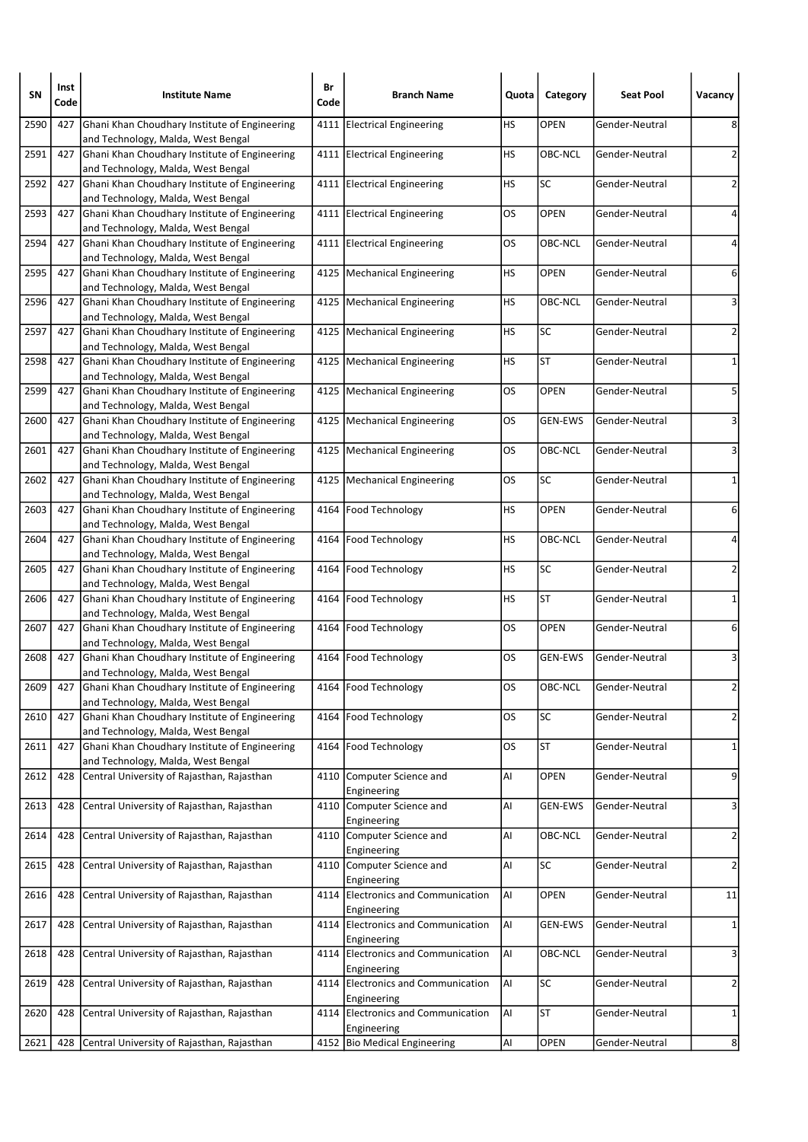| SN   | Inst<br>Code | <b>Institute Name</b>                                                                   | Br<br>Code | <b>Branch Name</b>                                  | Quota | Category       | <b>Seat Pool</b> | Vacancy        |
|------|--------------|-----------------------------------------------------------------------------------------|------------|-----------------------------------------------------|-------|----------------|------------------|----------------|
| 2590 | 427          | Ghani Khan Choudhary Institute of Engineering<br>and Technology, Malda, West Bengal     | 4111       | <b>Electrical Engineering</b>                       | НS    | OPEN           | Gender-Neutral   | 8              |
| 2591 | 427          | Ghani Khan Choudhary Institute of Engineering<br>and Technology, Malda, West Bengal     |            | 4111 Electrical Engineering                         | HS    | OBC-NCL        | Gender-Neutral   | 2              |
| 2592 | 427          | Ghani Khan Choudhary Institute of Engineering<br>and Technology, Malda, West Bengal     |            | 4111 Electrical Engineering                         | НS    | SC             | Gender-Neutral   | 2              |
| 2593 | 427          | Ghani Khan Choudhary Institute of Engineering<br>and Technology, Malda, West Bengal     |            | 4111 Electrical Engineering                         | OS    | OPEN           | Gender-Neutral   | 4              |
| 2594 | 427          | Ghani Khan Choudhary Institute of Engineering<br>and Technology, Malda, West Bengal     |            | 4111 Electrical Engineering                         | OS    | OBC-NCL        | Gender-Neutral   | 4              |
| 2595 | 427          | Ghani Khan Choudhary Institute of Engineering<br>and Technology, Malda, West Bengal     |            | 4125   Mechanical Engineering                       | НS    | <b>OPEN</b>    | Gender-Neutral   | 6              |
| 2596 | 427          | Ghani Khan Choudhary Institute of Engineering<br>and Technology, Malda, West Bengal     |            | 4125   Mechanical Engineering                       | НS    | OBC-NCL        | Gender-Neutral   | 3              |
| 2597 | 427          | Ghani Khan Choudhary Institute of Engineering<br>and Technology, Malda, West Bengal     |            | 4125   Mechanical Engineering                       | HS    | <b>SC</b>      | Gender-Neutral   | 2              |
| 2598 | 427          | Ghani Khan Choudhary Institute of Engineering<br>and Technology, Malda, West Bengal     |            | 4125   Mechanical Engineering                       | HS    | <b>ST</b>      | Gender-Neutral   | 1              |
| 2599 | 427          | Ghani Khan Choudhary Institute of Engineering<br>and Technology, Malda, West Bengal     |            | 4125   Mechanical Engineering                       | OS    | <b>OPEN</b>    | Gender-Neutral   | 5              |
| 2600 | 427          | Ghani Khan Choudhary Institute of Engineering<br>and Technology, Malda, West Bengal     |            | 4125   Mechanical Engineering                       | OS    | <b>GEN-EWS</b> | Gender-Neutral   | 3              |
| 2601 | 427          | Ghani Khan Choudhary Institute of Engineering<br>and Technology, Malda, West Bengal     |            | 4125   Mechanical Engineering                       | OS    | OBC-NCL        | Gender-Neutral   | 3              |
| 2602 | 427          | Ghani Khan Choudhary Institute of Engineering<br>and Technology, Malda, West Bengal     |            | 4125   Mechanical Engineering                       | OS    | <b>SC</b>      | Gender-Neutral   | 1              |
| 2603 | 427          | Ghani Khan Choudhary Institute of Engineering<br>and Technology, Malda, West Bengal     |            | 4164 Food Technology                                | HS    | <b>OPEN</b>    | Gender-Neutral   | 6              |
| 2604 | 427          | Ghani Khan Choudhary Institute of Engineering<br>and Technology, Malda, West Bengal     |            | 4164 Food Technology                                | НS    | OBC-NCL        | Gender-Neutral   | 4              |
| 2605 | 427          | Ghani Khan Choudhary Institute of Engineering<br>and Technology, Malda, West Bengal     |            | 4164 Food Technology                                | HS    | SC             | Gender-Neutral   | 2              |
| 2606 | 427          | Ghani Khan Choudhary Institute of Engineering<br>and Technology, Malda, West Bengal     | 4164       | Food Technology                                     | НS    | <b>ST</b>      | Gender-Neutral   | 1              |
| 2607 | 427          | Ghani Khan Choudhary Institute of Engineering<br>and Technology, Malda, West Bengal     |            | 4164   Food Technology                              | OS    | OPEN           | Gender-Neutral   | 6              |
| 2608 | 427          | Ghani Khan Choudhary Institute of Engineering<br>and Technology, Malda, West Bengal     |            | 4164 Food Technology                                | OS    | <b>GEN-EWS</b> | Gender-Neutral   | 3              |
| 2609 |              | 427 Ghani Khan Choudhary Institute of Engineering<br>and Technology, Malda, West Bengal |            | 4164   Food Technology                              | OS    | OBC-NCL        | Gender-Neutral   | 2              |
| 2610 | 427          | Ghani Khan Choudhary Institute of Engineering<br>and Technology, Malda, West Bengal     |            | 4164 Food Technology                                | OS    | SC             | Gender-Neutral   | $\mathbf{2}$   |
| 2611 | 427          | Ghani Khan Choudhary Institute of Engineering<br>and Technology, Malda, West Bengal     |            | 4164   Food Technology                              | OS    | <b>ST</b>      | Gender-Neutral   | $\mathbf{1}$   |
| 2612 | 428          | Central University of Rajasthan, Rajasthan                                              | 4110       | Computer Science and<br>Engineering                 | Al    | OPEN           | Gender-Neutral   | 9              |
| 2613 | 428          | Central University of Rajasthan, Rajasthan                                              |            | 4110 Computer Science and<br>Engineering            | Al    | <b>GEN-EWS</b> | Gender-Neutral   | 3              |
| 2614 | 428          | Central University of Rajasthan, Rajasthan                                              |            | 4110 Computer Science and<br>Engineering            | Al    | OBC-NCL        | Gender-Neutral   | $\overline{2}$ |
| 2615 | 428          | Central University of Rajasthan, Rajasthan                                              |            | 4110 Computer Science and<br>Engineering            | Al    | SC             | Gender-Neutral   | $\overline{a}$ |
| 2616 | 428          | Central University of Rajasthan, Rajasthan                                              |            | 4114 Electronics and Communication<br>Engineering   | AI    | OPEN           | Gender-Neutral   | $11\,$         |
| 2617 | 428          | Central University of Rajasthan, Rajasthan                                              |            | 4114 Electronics and Communication<br>Engineering   | AI    | <b>GEN-EWS</b> | Gender-Neutral   | $\mathbf{1}$   |
| 2618 | 428          | Central University of Rajasthan, Rajasthan                                              | 4114       | <b>Electronics and Communication</b><br>Engineering | AI    | OBC-NCL        | Gender-Neutral   | 3              |
| 2619 | 428          | Central University of Rajasthan, Rajasthan                                              |            | 4114 Electronics and Communication<br>Engineering   | AI    | SC             | Gender-Neutral   | $\overline{2}$ |
| 2620 | 428          | Central University of Rajasthan, Rajasthan                                              | 4114       | Electronics and Communication<br>Engineering        | AI    | <b>ST</b>      | Gender-Neutral   | $\mathbf{1}$   |
| 2621 | 428          | Central University of Rajasthan, Rajasthan                                              |            | 4152 Bio Medical Engineering                        | Al    | <b>OPEN</b>    | Gender-Neutral   | 8              |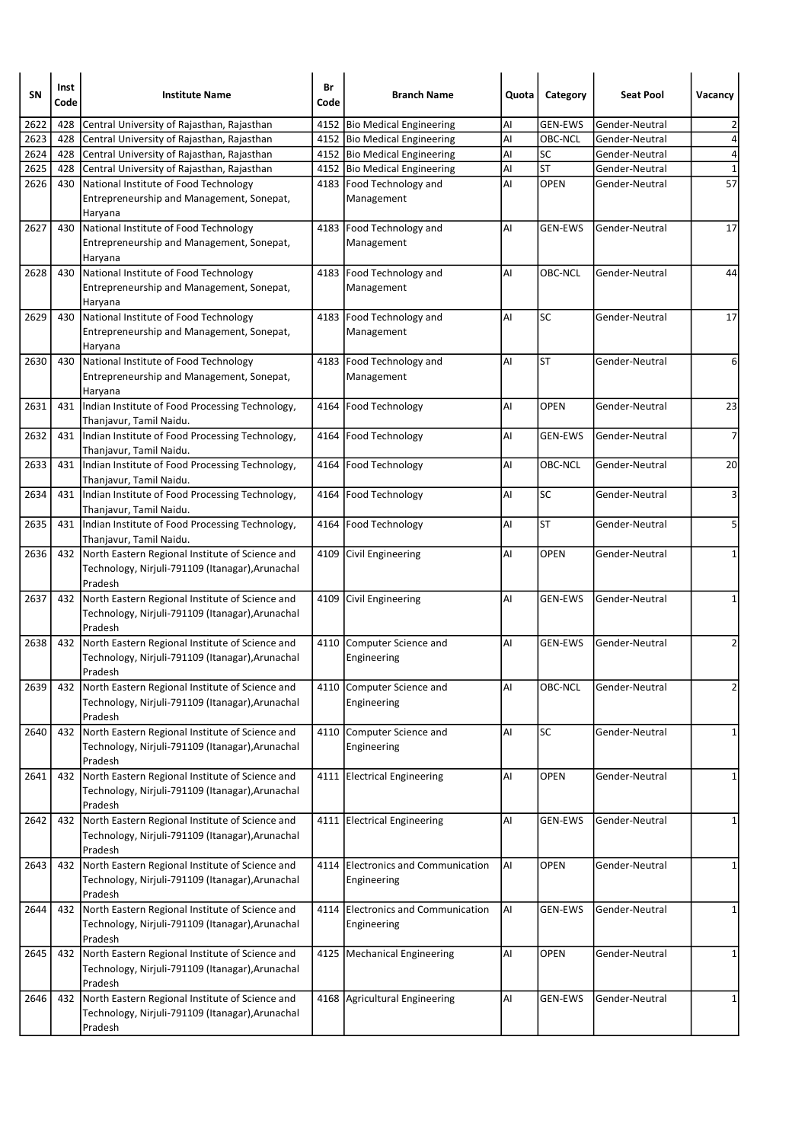| SΝ   | Inst<br>Code | <b>Institute Name</b>                                                                                              | Br<br>Code | <b>Branch Name</b>                                | Quota | Category       | <b>Seat Pool</b> | Vacancy            |
|------|--------------|--------------------------------------------------------------------------------------------------------------------|------------|---------------------------------------------------|-------|----------------|------------------|--------------------|
| 2622 | 428          | Central University of Rajasthan, Rajasthan                                                                         |            | 4152 Bio Medical Engineering                      | Al    | <b>GEN-EWS</b> | Gender-Neutral   | 2                  |
| 2623 | 428          | Central University of Rajasthan, Rajasthan                                                                         |            | 4152 Bio Medical Engineering                      | Al    | OBC-NCL        | Gender-Neutral   | 4                  |
| 2624 | 428          | Central University of Rajasthan, Rajasthan                                                                         |            | 4152 Bio Medical Engineering                      | Al    | SC             | Gender-Neutral   | 4                  |
| 2625 | 428          | Central University of Rajasthan, Rajasthan                                                                         |            | 4152 Bio Medical Engineering                      | Al    | <b>ST</b>      | Gender-Neutral   | $\mathbf{1}$<br>57 |
| 2626 | 430          | National Institute of Food Technology<br>Entrepreneurship and Management, Sonepat,<br>Haryana                      |            | 4183   Food Technology and<br>Management          | AI    | <b>OPEN</b>    | Gender-Neutral   |                    |
| 2627 | 430          | National Institute of Food Technology<br>Entrepreneurship and Management, Sonepat,<br>Haryana                      |            | 4183   Food Technology and<br>Management          | AI    | <b>GEN-EWS</b> | Gender-Neutral   | 17                 |
| 2628 | 430          | National Institute of Food Technology<br>Entrepreneurship and Management, Sonepat,<br>Haryana                      |            | 4183 Food Technology and<br>Management            | AI    | OBC-NCL        | Gender-Neutral   | 44                 |
| 2629 | 430          | National Institute of Food Technology<br>Entrepreneurship and Management, Sonepat,<br>Haryana                      |            | 4183   Food Technology and<br>Management          | AI    | SC             | Gender-Neutral   | 17                 |
| 2630 | 430          | National Institute of Food Technology<br>Entrepreneurship and Management, Sonepat,<br>Haryana                      |            | 4183 Food Technology and<br>Management            | AI    | <b>ST</b>      | Gender-Neutral   | 6                  |
| 2631 | 431          | Indian Institute of Food Processing Technology,<br>Thanjavur, Tamil Naidu.                                         |            | 4164 Food Technology                              | AI    | <b>OPEN</b>    | Gender-Neutral   | 23                 |
| 2632 |              | 431  Indian Institute of Food Processing Technology,<br>Thanjavur, Tamil Naidu.                                    |            | 4164 Food Technology                              | AI    | <b>GEN-EWS</b> | Gender-Neutral   | $\overline{7}$     |
| 2633 | 431          | Indian Institute of Food Processing Technology,<br>Thanjavur, Tamil Naidu.                                         |            | 4164 Food Technology                              | Al    | OBC-NCL        | Gender-Neutral   | 20                 |
| 2634 |              | 431  Indian Institute of Food Processing Technology,<br>Thanjavur, Tamil Naidu.                                    |            | 4164   Food Technology                            | AI    | <b>SC</b>      | Gender-Neutral   | 3                  |
| 2635 | 431          | Indian Institute of Food Processing Technology,<br>Thanjavur, Tamil Naidu.                                         |            | 4164 Food Technology                              | AI    | <b>ST</b>      | Gender-Neutral   | 5                  |
| 2636 | 432          | North Eastern Regional Institute of Science and<br>Technology, Nirjuli-791109 (Itanagar), Arunachal<br>Pradesh     |            | 4109 Civil Engineering                            | AI    | OPEN           | Gender-Neutral   | 1                  |
| 2637 |              | 432 North Eastern Regional Institute of Science and<br>Technology, Nirjuli-791109 (Itanagar), Arunachal<br>Pradesh |            | 4109 Civil Engineering                            | AI    | <b>GEN-EWS</b> | Gender-Neutral   | $\mathbf{1}$       |
| 2638 | 432          | North Eastern Regional Institute of Science and<br>Technology, Nirjuli-791109 (Itanagar), Arunachal<br>Pradesh     |            | 4110 Computer Science and<br>Engineering          | AI    | <b>GEN-EWS</b> | Gender-Neutral   | 2                  |
| 2639 |              | 432 North Eastern Regional Institute of Science and<br>Technology, Nirjuli-791109 (Itanagar), Arunachal<br>Pradesh |            | 4110 Computer Science and<br>Engineering          | ΑI    | OBC-NCL        | Gender-Neutral   | $\overline{2}$     |
| 2640 | 432          | North Eastern Regional Institute of Science and<br>Technology, Nirjuli-791109 (Itanagar), Arunachal<br>Pradesh     |            | 4110 Computer Science and<br>Engineering          | Al    | <b>SC</b>      | Gender-Neutral   | 1                  |
| 2641 | 432          | North Eastern Regional Institute of Science and<br>Technology, Nirjuli-791109 (Itanagar), Arunachal<br>Pradesh     |            | 4111 Electrical Engineering                       | AI    | OPEN           | Gender-Neutral   | 1                  |
| 2642 | 432          | North Eastern Regional Institute of Science and<br>Technology, Nirjuli-791109 (Itanagar), Arunachal<br>Pradesh     |            | 4111 Electrical Engineering                       | AI    | <b>GEN-EWS</b> | Gender-Neutral   | 1                  |
| 2643 | 432          | North Eastern Regional Institute of Science and<br>Technology, Nirjuli-791109 (Itanagar), Arunachal<br>Pradesh     |            | 4114 Electronics and Communication<br>Engineering | AI    | <b>OPEN</b>    | Gender-Neutral   | 1                  |
| 2644 |              | 432 North Eastern Regional Institute of Science and<br>Technology, Nirjuli-791109 (Itanagar), Arunachal<br>Pradesh |            | 4114 Electronics and Communication<br>Engineering | AI    | <b>GEN-EWS</b> | Gender-Neutral   | 1                  |
| 2645 | 432          | North Eastern Regional Institute of Science and<br>Technology, Nirjuli-791109 (Itanagar), Arunachal<br>Pradesh     |            | 4125   Mechanical Engineering                     | AI    | OPEN           | Gender-Neutral   | 1                  |
| 2646 |              | 432 North Eastern Regional Institute of Science and<br>Technology, Nirjuli-791109 (Itanagar), Arunachal<br>Pradesh |            | 4168 Agricultural Engineering                     | Al    | <b>GEN-EWS</b> | Gender-Neutral   | 1                  |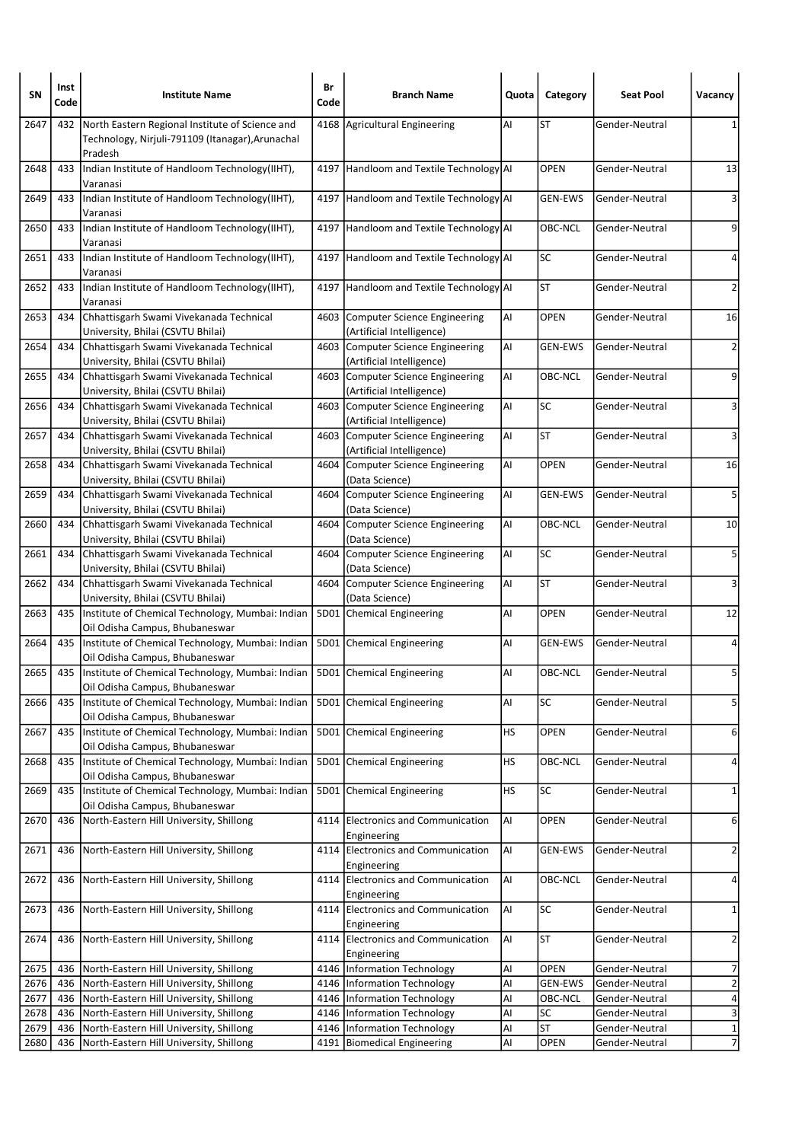| <b>SN</b>    | Inst<br>Code | <b>Institute Name</b>                                                                                          | Br<br>Code   | <b>Branch Name</b>                                             | Quota     | Category        | <b>Seat Pool</b>                 | Vacancy                     |
|--------------|--------------|----------------------------------------------------------------------------------------------------------------|--------------|----------------------------------------------------------------|-----------|-----------------|----------------------------------|-----------------------------|
| 2647         | 432          | North Eastern Regional Institute of Science and<br>Technology, Nirjuli-791109 (Itanagar), Arunachal<br>Pradesh |              | 4168 Agricultural Engineering                                  | Al        | <b>ST</b>       | Gender-Neutral                   |                             |
| 2648         | 433          | Indian Institute of Handloom Technology(IIHT),<br>Varanasi                                                     |              | 4197 Handloom and Textile Technology AI                        |           | <b>OPEN</b>     | Gender-Neutral                   | 13                          |
| 2649         | 433          | Indian Institute of Handloom Technology(IIHT),<br>Varanasi                                                     |              | 4197 Handloom and Textile Technology AI                        |           | <b>GEN-EWS</b>  | Gender-Neutral                   | 3                           |
| 2650         | 433          | Indian Institute of Handloom Technology(IIHT),<br>Varanasi                                                     |              | 4197 Handloom and Textile Technology AI                        |           | OBC-NCL         | Gender-Neutral                   | 9                           |
| 2651         | 433          | Indian Institute of Handloom Technology(IIHT),<br>Varanasi                                                     |              | 4197 Handloom and Textile Technology AI                        |           | <b>SC</b>       | Gender-Neutral                   | 4                           |
| 2652         | 433          | Indian Institute of Handloom Technology(IIHT),<br>Varanasi                                                     | 4197         | Handloom and Textile Technology AI                             |           | <b>ST</b>       | Gender-Neutral                   | 2                           |
| 2653         | 434          | Chhattisgarh Swami Vivekanada Technical<br>University, Bhilai (CSVTU Bhilai)                                   |              | 4603 Computer Science Engineering<br>(Artificial Intelligence) | Al        | <b>OPEN</b>     | Gender-Neutral                   | 16                          |
| 2654         | 434          | Chhattisgarh Swami Vivekanada Technical<br>University, Bhilai (CSVTU Bhilai)                                   | 4603         | Computer Science Engineering<br>(Artificial Intelligence)      | AI        | <b>GEN-EWS</b>  | Gender-Neutral                   | 2                           |
| 2655         | 434          | Chhattisgarh Swami Vivekanada Technical<br>University, Bhilai (CSVTU Bhilai)                                   | 4603         | Computer Science Engineering<br>(Artificial Intelligence)      | AI        | OBC-NCL         | Gender-Neutral                   | 9                           |
| 2656         | 434          | Chhattisgarh Swami Vivekanada Technical<br>University, Bhilai (CSVTU Bhilai)                                   |              | 4603 Computer Science Engineering<br>(Artificial Intelligence) | Al        | SC              | Gender-Neutral                   | 3                           |
| 2657         | 434          | Chhattisgarh Swami Vivekanada Technical<br>University, Bhilai (CSVTU Bhilai)                                   | 4603         | Computer Science Engineering<br>(Artificial Intelligence)      | AI        | <b>ST</b>       | Gender-Neutral                   | 3                           |
| 2658         | 434          | Chhattisgarh Swami Vivekanada Technical<br>University, Bhilai (CSVTU Bhilai)                                   |              | 4604 Computer Science Engineering<br>(Data Science)            | AI        | <b>OPEN</b>     | Gender-Neutral                   | 16                          |
| 2659         | 434          | Chhattisgarh Swami Vivekanada Technical<br>University, Bhilai (CSVTU Bhilai)                                   | 4604         | Computer Science Engineering<br>(Data Science)                 | AI        | <b>GEN-EWS</b>  | Gender-Neutral                   | 5                           |
| 2660         | 434          | Chhattisgarh Swami Vivekanada Technical<br>University, Bhilai (CSVTU Bhilai)                                   | 4604         | Computer Science Engineering<br>(Data Science)                 | AI        | OBC-NCL         | Gender-Neutral                   | 10                          |
| 2661         | 434          | Chhattisgarh Swami Vivekanada Technical<br>University, Bhilai (CSVTU Bhilai)                                   | 4604         | Computer Science Engineering<br>(Data Science)                 | AI        | SC              | Gender-Neutral                   | 5                           |
| 2662         | 434          | Chhattisgarh Swami Vivekanada Technical<br>University, Bhilai (CSVTU Bhilai)                                   |              | 4604 Computer Science Engineering<br>(Data Science)            | AI        | <b>ST</b>       | Gender-Neutral                   | 3                           |
| 2663         | 435          | Institute of Chemical Technology, Mumbai: Indian<br>Oil Odisha Campus, Bhubaneswar                             |              | 5D01 Chemical Engineering                                      | AI        | OPEN            | Gender-Neutral                   | 12                          |
| 2664         | 435          | Institute of Chemical Technology, Mumbai: Indian<br>Oil Odisha Campus, Bhubaneswar                             |              | 5D01 Chemical Engineering                                      | AI        | <b>GEN-EWS</b>  | Gender-Neutral                   | 4                           |
| 2665         | 435          | Institute of Chemical Technology, Mumbai: Indian<br>Oil Odisha Campus, Bhubaneswar                             |              | 5D01 Chemical Engineering                                      | Al        | OBC-NCL         | Gender-Neutral                   | 5                           |
| 2666         | 435          | Institute of Chemical Technology, Mumbai: Indian<br>Oil Odisha Campus, Bhubaneswar                             |              | 5D01 Chemical Engineering                                      | AI        | SC              | Gender-Neutral                   | 5                           |
| 2667         | 435          | Institute of Chemical Technology, Mumbai: Indian<br>Oil Odisha Campus, Bhubaneswar                             |              | 5D01 Chemical Engineering                                      | <b>HS</b> | OPEN            | Gender-Neutral                   | 6                           |
| 2668         | 435          | Institute of Chemical Technology, Mumbai: Indian<br>Oil Odisha Campus, Bhubaneswar                             |              | 5D01 Chemical Engineering                                      | HS        | OBC-NCL         | Gender-Neutral                   | 4                           |
| 2669         | 435          | Institute of Chemical Technology, Mumbai: Indian<br>Oil Odisha Campus, Bhubaneswar                             |              | 5D01 Chemical Engineering                                      | HS        | <b>SC</b>       | Gender-Neutral                   | 1                           |
| 2670         | 436          | North-Eastern Hill University, Shillong                                                                        |              | 4114 Electronics and Communication<br>Engineering              | AI        | OPEN            | Gender-Neutral                   | 6                           |
| 2671         | 436          | North-Eastern Hill University, Shillong                                                                        |              | 4114 Electronics and Communication<br>Engineering              | AI        | <b>GEN-EWS</b>  | Gender-Neutral                   | $\overline{\mathbf{c}}$     |
| 2672         | 436          | North-Eastern Hill University, Shillong                                                                        |              | 4114 Electronics and Communication<br>Engineering              | AI        | OBC-NCL         | Gender-Neutral                   | 4                           |
| 2673         | 436          | North-Eastern Hill University, Shillong                                                                        |              | 4114 Electronics and Communication<br>Engineering              | AI        | SC              | Gender-Neutral                   | 1                           |
| 2674         | 436          | North-Eastern Hill University, Shillong                                                                        |              | 4114 Electronics and Communication<br>Engineering              | AI        | <b>ST</b>       | Gender-Neutral                   | 2                           |
| 2675         | 436          | North-Eastern Hill University, Shillong                                                                        |              | 4146   Information Technology                                  | Al        | OPEN            | Gender-Neutral                   | 7                           |
| 2676         | 436          | North-Eastern Hill University, Shillong                                                                        |              | 4146   Information Technology                                  | AI        | <b>GEN-EWS</b>  | Gender-Neutral                   | $\overline{a}$              |
| 2677         | 436          | North-Eastern Hill University, Shillong                                                                        |              | 4146 Information Technology                                    | AI        | OBC-NCL         | Gender-Neutral                   | $\overline{\mathbf{r}}$     |
| 2678<br>2679 | 436          | North-Eastern Hill University, Shillong<br>North-Eastern Hill University, Shillong                             | 4146<br>4146 | Information Technology<br>Information Technology               | Al<br>Al  | SC<br><b>ST</b> | Gender-Neutral<br>Gender-Neutral | $\mathbf{a}$<br>$\mathbf 1$ |
| 2680         | 436<br>436   | North-Eastern Hill University, Shillong                                                                        |              | 4191 Biomedical Engineering                                    | Al        | <b>OPEN</b>     | Gender-Neutral                   | 키                           |
|              |              |                                                                                                                |              |                                                                |           |                 |                                  |                             |